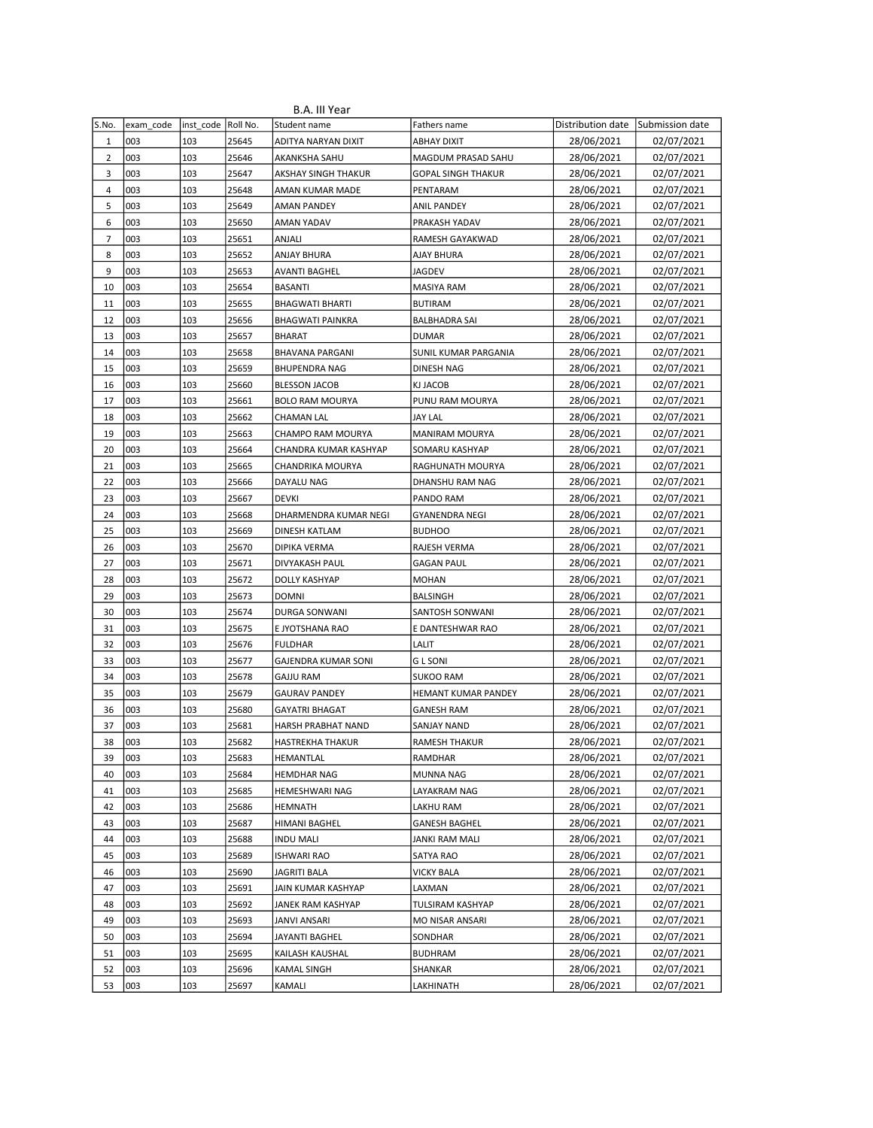|       | B.A. III Year |                    |       |                            |                           |                   |                  |  |  |  |  |
|-------|---------------|--------------------|-------|----------------------------|---------------------------|-------------------|------------------|--|--|--|--|
| S.No. | exam code     | inst code Roll No. |       | Student name               | Fathers name              | Distribution date | lSubmission date |  |  |  |  |
| 1     | 003           | 103                | 25645 | ADITYA NARYAN DIXIT        | <b>ABHAY DIXIT</b>        | 28/06/2021        | 02/07/2021       |  |  |  |  |
| 2     | 003           | 103                | 25646 | AKANKSHA SAHU              | MAGDUM PRASAD SAHU        | 28/06/2021        | 02/07/2021       |  |  |  |  |
| 3     | 003           | 103                | 25647 | AKSHAY SINGH THAKUR        | <b>GOPAL SINGH THAKUR</b> | 28/06/2021        | 02/07/2021       |  |  |  |  |
| 4     | 003           | 103                | 25648 | AMAN KUMAR MADE            | PENTARAM                  | 28/06/2021        | 02/07/2021       |  |  |  |  |
| 5     | 003           | 103                | 25649 | AMAN PANDEY                | <b>ANIL PANDEY</b>        | 28/06/2021        | 02/07/2021       |  |  |  |  |
| 6     | 003           | 103                | 25650 | AMAN YADAV                 | PRAKASH YADAV             | 28/06/2021        | 02/07/2021       |  |  |  |  |
| 7     | 003           | 103                | 25651 | ANJALI                     | RAMESH GAYAKWAD           | 28/06/2021        | 02/07/2021       |  |  |  |  |
| 8     | 003           | 103                | 25652 | <b>ANJAY BHURA</b>         | <b>AJAY BHURA</b>         | 28/06/2021        | 02/07/2021       |  |  |  |  |
| 9     | 003           | 103                | 25653 | AVANTI BAGHEL              | JAGDEV                    | 28/06/2021        | 02/07/2021       |  |  |  |  |
| 10    | 003           | 103                | 25654 | <b>BASANTI</b>             | MASIYA RAM                | 28/06/2021        | 02/07/2021       |  |  |  |  |
| 11    | 003           | 103                | 25655 | <b>BHAGWATI BHARTI</b>     | <b>BUTIRAM</b>            | 28/06/2021        | 02/07/2021       |  |  |  |  |
| 12    | 003           | 103                | 25656 | <b>BHAGWATI PAINKRA</b>    | <b>BALBHADRA SAI</b>      | 28/06/2021        | 02/07/2021       |  |  |  |  |
| 13    | 003           | 103                | 25657 | <b>BHARAT</b>              | <b>DUMAR</b>              | 28/06/2021        | 02/07/2021       |  |  |  |  |
| 14    | 003           | 103                | 25658 | <b>BHAVANA PARGANI</b>     | SUNIL KUMAR PARGANIA      | 28/06/2021        | 02/07/2021       |  |  |  |  |
| 15    | 003           | 103                | 25659 | <b>BHUPENDRA NAG</b>       | DINESH NAG                | 28/06/2021        | 02/07/2021       |  |  |  |  |
| 16    | 003           | 103                | 25660 | <b>BLESSON JACOB</b>       | KJ JACOB                  | 28/06/2021        | 02/07/2021       |  |  |  |  |
| 17    | 003           | 103                | 25661 | <b>BOLO RAM MOURYA</b>     | PUNU RAM MOURYA           | 28/06/2021        | 02/07/2021       |  |  |  |  |
| 18    | 003           | 103                | 25662 | CHAMAN LAL                 | <b>JAY LAL</b>            | 28/06/2021        | 02/07/2021       |  |  |  |  |
| 19    | 003           | 103                | 25663 | CHAMPO RAM MOURYA          | <b>MANIRAM MOURYA</b>     | 28/06/2021        | 02/07/2021       |  |  |  |  |
| 20    | 003           | 103                | 25664 | CHANDRA KUMAR KASHYAP      | SOMARU KASHYAP            | 28/06/2021        | 02/07/2021       |  |  |  |  |
| 21    | 003           | 103                | 25665 | CHANDRIKA MOURYA           | RAGHUNATH MOURYA          | 28/06/2021        | 02/07/2021       |  |  |  |  |
| 22    | 003           | 103                | 25666 | DAYALU NAG                 | DHANSHU RAM NAG           | 28/06/2021        | 02/07/2021       |  |  |  |  |
| 23    | 003           | 103                | 25667 | DEVKI                      | PANDO RAM                 | 28/06/2021        | 02/07/2021       |  |  |  |  |
| 24    | 003           | 103                | 25668 | DHARMENDRA KUMAR NEGI      | <b>GYANENDRA NEGI</b>     | 28/06/2021        | 02/07/2021       |  |  |  |  |
| 25    | 003           | 103                | 25669 | DINESH KATLAM              | <b>BUDHOO</b>             | 28/06/2021        | 02/07/2021       |  |  |  |  |
| 26    | 003           | 103                | 25670 | DIPIKA VERMA               | RAJESH VERMA              | 28/06/2021        | 02/07/2021       |  |  |  |  |
| 27    | 003           | 103                | 25671 | DIVYAKASH PAUL             | <b>GAGAN PAUL</b>         | 28/06/2021        | 02/07/2021       |  |  |  |  |
| 28    | 003           | 103                | 25672 | DOLLY KASHYAP              | <b>MOHAN</b>              | 28/06/2021        | 02/07/2021       |  |  |  |  |
| 29    | 003           | 103                | 25673 | <b>DOMNI</b>               | <b>BALSINGH</b>           | 28/06/2021        | 02/07/2021       |  |  |  |  |
| 30    | 003           | 103                | 25674 | DURGA SONWANI              | SANTOSH SONWANI           | 28/06/2021        | 02/07/2021       |  |  |  |  |
| 31    | 003           | 103                | 25675 | E JYOTSHANA RAO            | E DANTESHWAR RAO          | 28/06/2021        | 02/07/2021       |  |  |  |  |
| 32    | 003           | 103                | 25676 | <b>FULDHAR</b>             | LALIT                     | 28/06/2021        | 02/07/2021       |  |  |  |  |
| 33    | 003           | 103                | 25677 | <b>GAJENDRA KUMAR SONI</b> | G L SONI                  | 28/06/2021        | 02/07/2021       |  |  |  |  |
| 34    | 003           | 103                | 25678 | <b>GAJJU RAM</b>           | <b>SUKOO RAM</b>          | 28/06/2021        | 02/07/2021       |  |  |  |  |
| 35    | 003           | 103                | 25679 | <b>GAURAV PANDEY</b>       | HEMANT KUMAR PANDEY       | 28/06/2021        | 02/07/2021       |  |  |  |  |
| 36    | 003           | 103                | 25680 | <b>GAYATRI BHAGAT</b>      | <b>GANESH RAM</b>         | 28/06/2021        | 02/07/2021       |  |  |  |  |
| 37    | 003           | 103                | 25681 | HARSH PRABHAT NAND         | <b>SANJAY NAND</b>        | 28/06/2021        | 02/07/2021       |  |  |  |  |
| 38    | 003           | 103                | 25682 | HASTREKHA THAKUR           | <b>RAMESH THAKUR</b>      | 28/06/2021        | 02/07/2021       |  |  |  |  |
| 39    | 003           | 103                | 25683 | HEMANTLAL                  | RAMDHAR                   | 28/06/2021        | 02/07/2021       |  |  |  |  |
| 40    | 003           | 103                | 25684 | HEMDHAR NAG                | <b>MUNNA NAG</b>          | 28/06/2021        | 02/07/2021       |  |  |  |  |
| 41    | 003           | 103                | 25685 | HEMESHWARI NAG             | LAYAKRAM NAG              | 28/06/2021        | 02/07/2021       |  |  |  |  |
| 42    | 003           | 103                | 25686 | HEMNATH                    | <b>LAKHU RAM</b>          | 28/06/2021        | 02/07/2021       |  |  |  |  |
| 43    | 003           | 103                | 25687 | HIMANI BAGHEL              | <b>GANESH BAGHEL</b>      | 28/06/2021        | 02/07/2021       |  |  |  |  |
| 44    | 003           | 103                | 25688 | <b>INDU MALI</b>           | <b>JANKI RAM MALI</b>     | 28/06/2021        | 02/07/2021       |  |  |  |  |
| 45    | 003           | 103                | 25689 | <b>ISHWARI RAO</b>         | SATYA RAO                 | 28/06/2021        | 02/07/2021       |  |  |  |  |
| 46    | 003           | 103                | 25690 | JAGRITI BALA               | <b>VICKY BALA</b>         | 28/06/2021        | 02/07/2021       |  |  |  |  |
| 47    | 003           | 103                | 25691 | JAIN KUMAR KASHYAP         | LAXMAN                    | 28/06/2021        | 02/07/2021       |  |  |  |  |
| 48    | 003           | 103                | 25692 | JANEK RAM KASHYAP          | TULSIRAM KASHYAP          | 28/06/2021        | 02/07/2021       |  |  |  |  |
| 49    | 003           | 103                | 25693 | JANVI ANSARI               | MO NISAR ANSARI           | 28/06/2021        | 02/07/2021       |  |  |  |  |
| 50    | 003           | 103                | 25694 | JAYANTI BAGHEL             | SONDHAR                   | 28/06/2021        | 02/07/2021       |  |  |  |  |
| 51    | 003           | 103                | 25695 | KAILASH KAUSHAL            | <b>BUDHRAM</b>            | 28/06/2021        | 02/07/2021       |  |  |  |  |
| 52    | 003           | 103                | 25696 | KAMAL SINGH                | SHANKAR                   | 28/06/2021        | 02/07/2021       |  |  |  |  |
| 53    | 003           | 103                | 25697 | KAMALI                     | LAKHINATH                 | 28/06/2021        | 02/07/2021       |  |  |  |  |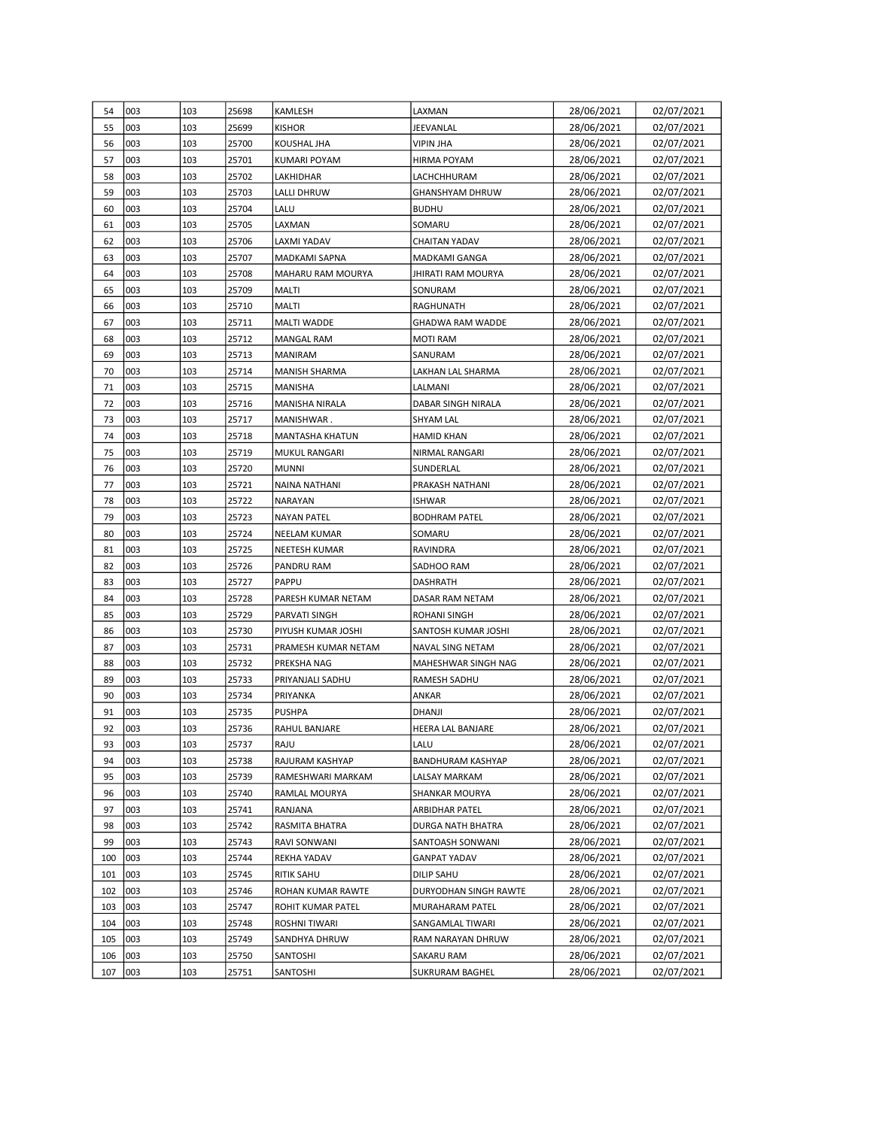| 54  | 003 | 103 | 25698 | KAMLESH                | LAXMAN                    | 28/06/2021 | 02/07/2021 |
|-----|-----|-----|-------|------------------------|---------------------------|------------|------------|
| 55  | 003 | 103 | 25699 | <b>KISHOR</b>          | JEEVANLAL                 | 28/06/2021 | 02/07/2021 |
| 56  | 003 | 103 | 25700 | KOUSHAL JHA            | <b>VIPIN JHA</b>          | 28/06/2021 | 02/07/2021 |
| 57  | 003 | 103 | 25701 | KUMARI POYAM           | HIRMA POYAM               | 28/06/2021 | 02/07/2021 |
| 58  | 003 | 103 | 25702 | LAKHIDHAR              | LACHCHHURAM               | 28/06/2021 | 02/07/2021 |
| 59  | 003 | 103 | 25703 | <b>LALLI DHRUW</b>     | <b>GHANSHYAM DHRUW</b>    | 28/06/2021 | 02/07/2021 |
| 60  | 003 | 103 | 25704 | LALU                   | <b>BUDHU</b>              | 28/06/2021 | 02/07/2021 |
| 61  | 003 | 103 | 25705 | LAXMAN                 | SOMARU                    | 28/06/2021 | 02/07/2021 |
| 62  | 003 | 103 | 25706 | LAXMI YADAV            | <b>CHAITAN YADAV</b>      | 28/06/2021 | 02/07/2021 |
| 63  | 003 | 103 | 25707 | MADKAMI SAPNA          | <b>MADKAMI GANGA</b>      | 28/06/2021 | 02/07/2021 |
| 64  | 003 | 103 | 25708 | MAHARU RAM MOURYA      | <b>JHIRATI RAM MOURYA</b> | 28/06/2021 | 02/07/2021 |
| 65  | 003 | 103 | 25709 | MALTI                  | SONURAM                   | 28/06/2021 | 02/07/2021 |
| 66  | 003 | 103 | 25710 | MALTI                  | RAGHUNATH                 | 28/06/2021 | 02/07/2021 |
| 67  | 003 | 103 | 25711 | <b>MALTI WADDE</b>     | GHADWA RAM WADDE          | 28/06/2021 | 02/07/2021 |
| 68  | 003 | 103 | 25712 | <b>MANGAL RAM</b>      | <b>MOTI RAM</b>           | 28/06/2021 | 02/07/2021 |
| 69  | 003 | 103 | 25713 | <b>MANIRAM</b>         | SANURAM                   | 28/06/2021 | 02/07/2021 |
| 70  | 003 | 103 | 25714 | MANISH SHARMA          | LAKHAN LAL SHARMA         | 28/06/2021 | 02/07/2021 |
| 71  | 003 | 103 | 25715 | MANISHA                | LALMANI                   | 28/06/2021 | 02/07/2021 |
| 72  | 003 | 103 | 25716 | MANISHA NIRALA         | <b>DABAR SINGH NIRALA</b> | 28/06/2021 | 02/07/2021 |
| 73  | 003 | 103 | 25717 | MANISHWAR.             | <b>SHYAM LAL</b>          | 28/06/2021 | 02/07/2021 |
| 74  | 003 | 103 | 25718 | <b>MANTASHA KHATUN</b> | <b>HAMID KHAN</b>         | 28/06/2021 | 02/07/2021 |
| 75  | 003 | 103 | 25719 | MUKUL RANGARI          | NIRMAL RANGARI            | 28/06/2021 | 02/07/2021 |
| 76  | 003 | 103 | 25720 | <b>MUNNI</b>           | SUNDERLAL                 | 28/06/2021 | 02/07/2021 |
| 77  | 003 | 103 | 25721 | NAINA NATHANI          | PRAKASH NATHANI           | 28/06/2021 | 02/07/2021 |
| 78  | 003 | 103 | 25722 | NARAYAN                | <b>ISHWAR</b>             | 28/06/2021 | 02/07/2021 |
| 79  | 003 | 103 | 25723 | NAYAN PATEL            | <b>BODHRAM PATEL</b>      | 28/06/2021 | 02/07/2021 |
| 80  | 003 | 103 | 25724 | NEELAM KUMAR           | SOMARU                    | 28/06/2021 | 02/07/2021 |
| 81  | 003 | 103 | 25725 | NEETESH KUMAR          | RAVINDRA                  | 28/06/2021 | 02/07/2021 |
| 82  | 003 | 103 | 25726 | PANDRU RAM             | SADHOO RAM                | 28/06/2021 | 02/07/2021 |
| 83  | 003 | 103 | 25727 | PAPPU                  | <b>DASHRATH</b>           | 28/06/2021 | 02/07/2021 |
| 84  | 003 | 103 | 25728 | PARESH KUMAR NETAM     | DASAR RAM NETAM           | 28/06/2021 | 02/07/2021 |
| 85  | 003 | 103 | 25729 | PARVATI SINGH          | ROHANI SINGH              | 28/06/2021 | 02/07/2021 |
| 86  | 003 | 103 | 25730 | PIYUSH KUMAR JOSHI     | SANTOSH KUMAR JOSHI       | 28/06/2021 | 02/07/2021 |
| 87  | 003 | 103 | 25731 | PRAMESH KUMAR NETAM    | NAVAL SING NETAM          | 28/06/2021 | 02/07/2021 |
| 88  | 003 | 103 | 25732 | PREKSHA NAG            | MAHESHWAR SINGH NAG       | 28/06/2021 | 02/07/2021 |
| 89  | 003 | 103 | 25733 | PRIYANJALI SADHU       | <b>RAMESH SADHU</b>       | 28/06/2021 | 02/07/2021 |
| 90  | 003 | 103 | 25734 | PRIYANKA               | ANKAR                     | 28/06/2021 | 02/07/2021 |
| 91  | 003 | 103 | 25735 | <b>PUSHPA</b>          | DHANJI                    | 28/06/2021 | 02/07/2021 |
| 92  | 003 | 103 | 25736 | RAHUL BANJARE          | <b>HEERA LAL BANJARE</b>  | 28/06/2021 | 02/07/2021 |
| 93  | 003 | 103 | 25737 | RAJU                   | LALU                      | 28/06/2021 | 02/07/2021 |
| 94  | 003 | 103 | 25738 | RAJURAM KASHYAP        | BANDHURAM KASHYAP         | 28/06/2021 | 02/07/2021 |
| 95  | 003 | 103 | 25739 | RAMESHWARI MARKAM      | LALSAY MARKAM             | 28/06/2021 | 02/07/2021 |
| 96  | 003 | 103 | 25740 | RAMLAL MOURYA          | SHANKAR MOURYA            | 28/06/2021 | 02/07/2021 |
| 97  | 003 | 103 | 25741 | RANJANA                | ARBIDHAR PATEL            | 28/06/2021 | 02/07/2021 |
| 98  | 003 | 103 | 25742 | RASMITA BHATRA         | DURGA NATH BHATRA         | 28/06/2021 | 02/07/2021 |
| 99  | 003 | 103 | 25743 | RAVI SONWANI           | SANTOASH SONWANI          | 28/06/2021 | 02/07/2021 |
| 100 | 003 | 103 | 25744 | REKHA YADAV            | <b>GANPAT YADAV</b>       | 28/06/2021 | 02/07/2021 |
| 101 | 003 | 103 | 25745 | RITIK SAHU             | DILIP SAHU                | 28/06/2021 | 02/07/2021 |
| 102 | 003 | 103 | 25746 | ROHAN KUMAR RAWTE      | DURYODHAN SINGH RAWTE     | 28/06/2021 | 02/07/2021 |
| 103 | 003 | 103 | 25747 | ROHIT KUMAR PATEL      | MURAHARAM PATEL           | 28/06/2021 | 02/07/2021 |
| 104 | 003 | 103 | 25748 | ROSHNI TIWARI          | SANGAMLAL TIWARI          | 28/06/2021 | 02/07/2021 |
| 105 | 003 | 103 | 25749 | SANDHYA DHRUW          | RAM NARAYAN DHRUW         | 28/06/2021 | 02/07/2021 |
| 106 | 003 | 103 | 25750 | SANTOSHI               | SAKARU RAM                | 28/06/2021 | 02/07/2021 |
| 107 | 003 | 103 | 25751 | SANTOSHI               | SUKRURAM BAGHEL           | 28/06/2021 | 02/07/2021 |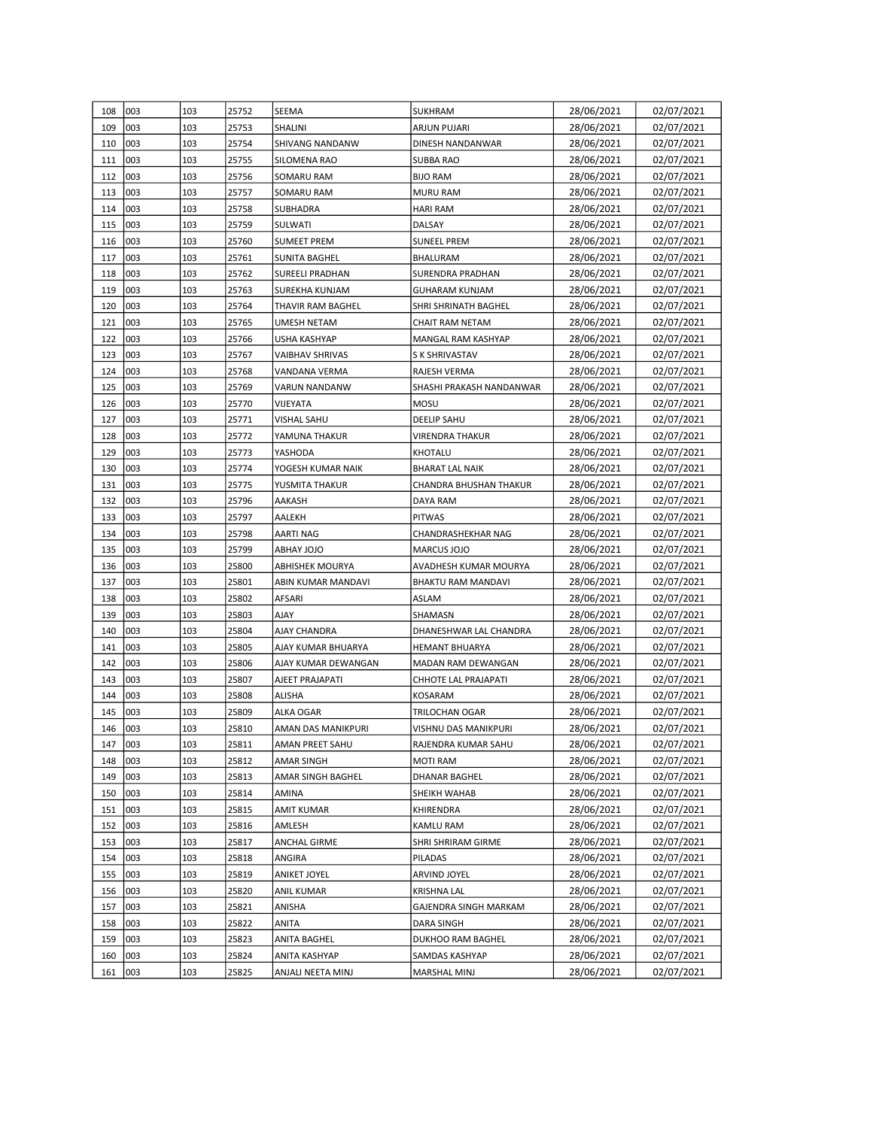| 108 | 1003 | 103 | 25752 | SEEMA               | <b>SUKHRAM</b>              | 28/06/2021 | 02/07/2021 |
|-----|------|-----|-------|---------------------|-----------------------------|------------|------------|
| 109 | 003  | 103 | 25753 | SHALINI             | <b>ARJUN PUJARI</b>         | 28/06/2021 | 02/07/2021 |
| 110 | 003  | 103 | 25754 | SHIVANG NANDANW     | DINESH NANDANWAR            | 28/06/2021 | 02/07/2021 |
| 111 | 003  | 103 | 25755 | SILOMENA RAO        | <b>SUBBA RAO</b>            | 28/06/2021 | 02/07/2021 |
| 112 | 003  | 103 | 25756 | SOMARU RAM          | <b>BIJO RAM</b>             | 28/06/2021 | 02/07/2021 |
| 113 | 003  | 103 | 25757 | SOMARU RAM          | <b>MURU RAM</b>             | 28/06/2021 | 02/07/2021 |
| 114 | 003  | 103 | 25758 | SUBHADRA            | <b>HARI RAM</b>             | 28/06/2021 | 02/07/2021 |
| 115 | 003  | 103 | 25759 | SULWATI             | DALSAY                      | 28/06/2021 | 02/07/2021 |
| 116 | 003  | 103 | 25760 | <b>SUMEET PREM</b>  | <b>SUNEEL PREM</b>          | 28/06/2021 | 02/07/2021 |
| 117 | 003  | 103 | 25761 | SUNITA BAGHEL       | <b>BHALURAM</b>             | 28/06/2021 | 02/07/2021 |
| 118 | 003  | 103 | 25762 | SUREELI PRADHAN     | SURENDRA PRADHAN            | 28/06/2021 | 02/07/2021 |
| 119 | 003  | 103 | 25763 | SUREKHA KUNJAM      | <b>GUHARAM KUNJAM</b>       | 28/06/2021 | 02/07/2021 |
| 120 | 003  | 103 | 25764 | THAVIR RAM BAGHEL   | SHRI SHRINATH BAGHEL        | 28/06/2021 | 02/07/2021 |
| 121 | 003  | 103 | 25765 | UMESH NETAM         | CHAIT RAM NETAM             | 28/06/2021 | 02/07/2021 |
| 122 | 003  | 103 | 25766 | USHA KASHYAP        | MANGAL RAM KASHYAP          | 28/06/2021 | 02/07/2021 |
| 123 | 003  | 103 | 25767 | VAIBHAV SHRIVAS     | S K SHRIVASTAV              | 28/06/2021 | 02/07/2021 |
| 124 | 003  | 103 | 25768 | VANDANA VERMA       | <b>RAJESH VERMA</b>         | 28/06/2021 | 02/07/2021 |
| 125 | 003  | 103 | 25769 | VARUN NANDANW       | SHASHI PRAKASH NANDANWAR    | 28/06/2021 | 02/07/2021 |
| 126 | 003  | 103 | 25770 | VIJEYATA            | <b>MOSU</b>                 | 28/06/2021 | 02/07/2021 |
| 127 | 003  | 103 | 25771 | VISHAL SAHU         | <b>DEELIP SAHU</b>          | 28/06/2021 | 02/07/2021 |
| 128 | 003  | 103 | 25772 | YAMUNA THAKUR       | <b>VIRENDRA THAKUR</b>      | 28/06/2021 | 02/07/2021 |
| 129 | 003  | 103 | 25773 | YASHODA             | KHOTALU                     | 28/06/2021 | 02/07/2021 |
| 130 | 003  | 103 | 25774 | YOGESH KUMAR NAIK   | <b>BHARAT LAL NAIK</b>      | 28/06/2021 | 02/07/2021 |
| 131 | 003  | 103 | 25775 | YUSMITA THAKUR      | CHANDRA BHUSHAN THAKUR      | 28/06/2021 | 02/07/2021 |
| 132 | 003  | 103 | 25796 | AAKASH              | DAYA RAM                    | 28/06/2021 | 02/07/2021 |
| 133 | 003  | 103 | 25797 | AALEKH              | <b>PITWAS</b>               | 28/06/2021 | 02/07/2021 |
| 134 | 003  | 103 | 25798 | AARTI NAG           | CHANDRASHEKHAR NAG          | 28/06/2021 | 02/07/2021 |
| 135 | 003  | 103 | 25799 | <b>OLOL YAHBA</b>   | MARCUS JOJO                 | 28/06/2021 | 02/07/2021 |
| 136 | 003  | 103 | 25800 | ABHISHEK MOURYA     | AVADHESH KUMAR MOURYA       | 28/06/2021 | 02/07/2021 |
| 137 | 003  | 103 | 25801 | ABIN KUMAR MANDAVI  | BHAKTU RAM MANDAVI          | 28/06/2021 | 02/07/2021 |
| 138 | 003  | 103 | 25802 | AFSARI              | ASLAM                       | 28/06/2021 | 02/07/2021 |
| 139 | 003  | 103 | 25803 | AJAY                | SHAMASN                     | 28/06/2021 | 02/07/2021 |
| 140 | 003  | 103 | 25804 | AJAY CHANDRA        | DHANESHWAR LAL CHANDRA      | 28/06/2021 | 02/07/2021 |
| 141 | 003  | 103 | 25805 | AJAY KUMAR BHUARYA  | <b>HEMANT BHUARYA</b>       | 28/06/2021 | 02/07/2021 |
| 142 | 003  | 103 | 25806 | AJAY KUMAR DEWANGAN | MADAN RAM DEWANGAN          | 28/06/2021 | 02/07/2021 |
| 143 | 003  | 103 | 25807 | AJEET PRAJAPATI     | CHHOTE LAL PRAJAPATI        | 28/06/2021 | 02/07/2021 |
| 144 | 003  | 103 | 25808 | ALISHA              | KOSARAM                     | 28/06/2021 | 02/07/2021 |
| 145 | 003  | 103 | 25809 | <b>ALKA OGAR</b>    | TRILOCHAN OGAR              | 28/06/2021 | 02/07/2021 |
| 146 | 003  | 103 | 25810 | AMAN DAS MANIKPURI  | <b>VISHNU DAS MANIKPURI</b> | 28/06/2021 | 02/07/2021 |
| 147 | 003  | 103 | 25811 | AMAN PREET SAHU     | RAJENDRA KUMAR SAHU         | 28/06/2021 | 02/07/2021 |
| 148 | 003  | 103 | 25812 | AMAR SINGH          | <b>MOTI RAM</b>             | 28/06/2021 | 02/07/2021 |
| 149 | 003  | 103 | 25813 | AMAR SINGH BAGHEL   | <b>DHANAR BAGHEL</b>        | 28/06/2021 | 02/07/2021 |
| 150 | 003  | 103 | 25814 | AMINA               | SHEIKH WAHAB                | 28/06/2021 | 02/07/2021 |
| 151 | 003  | 103 | 25815 | AMIT KUMAR          | KHIRENDRA                   | 28/06/2021 | 02/07/2021 |
| 152 | 003  | 103 | 25816 | AMLESH              | <b>KAMLU RAM</b>            | 28/06/2021 | 02/07/2021 |
| 153 | 003  | 103 | 25817 | ANCHAL GIRME        | SHRI SHRIRAM GIRME          | 28/06/2021 | 02/07/2021 |
| 154 | 003  | 103 | 25818 | ANGIRA              | <b>PILADAS</b>              | 28/06/2021 | 02/07/2021 |
| 155 | 003  | 103 | 25819 | <b>ANIKET JOYEL</b> | ARVIND JOYEL                | 28/06/2021 | 02/07/2021 |
| 156 | 003  | 103 | 25820 | ANIL KUMAR          | <b>KRISHNA LAL</b>          | 28/06/2021 | 02/07/2021 |
| 157 | 003  | 103 | 25821 | ANISHA              | GAJENDRA SINGH MARKAM       | 28/06/2021 | 02/07/2021 |
| 158 | 003  | 103 | 25822 | ANITA               | DARA SINGH                  | 28/06/2021 | 02/07/2021 |
| 159 | 003  | 103 | 25823 | ANITA BAGHEL        | DUKHOO RAM BAGHEL           | 28/06/2021 | 02/07/2021 |
| 160 | 003  | 103 | 25824 | ANITA KASHYAP       | SAMDAS KASHYAP              | 28/06/2021 | 02/07/2021 |
| 161 | 003  | 103 | 25825 | ANJALI NEETA MINJ   | MARSHAL MINJ                | 28/06/2021 | 02/07/2021 |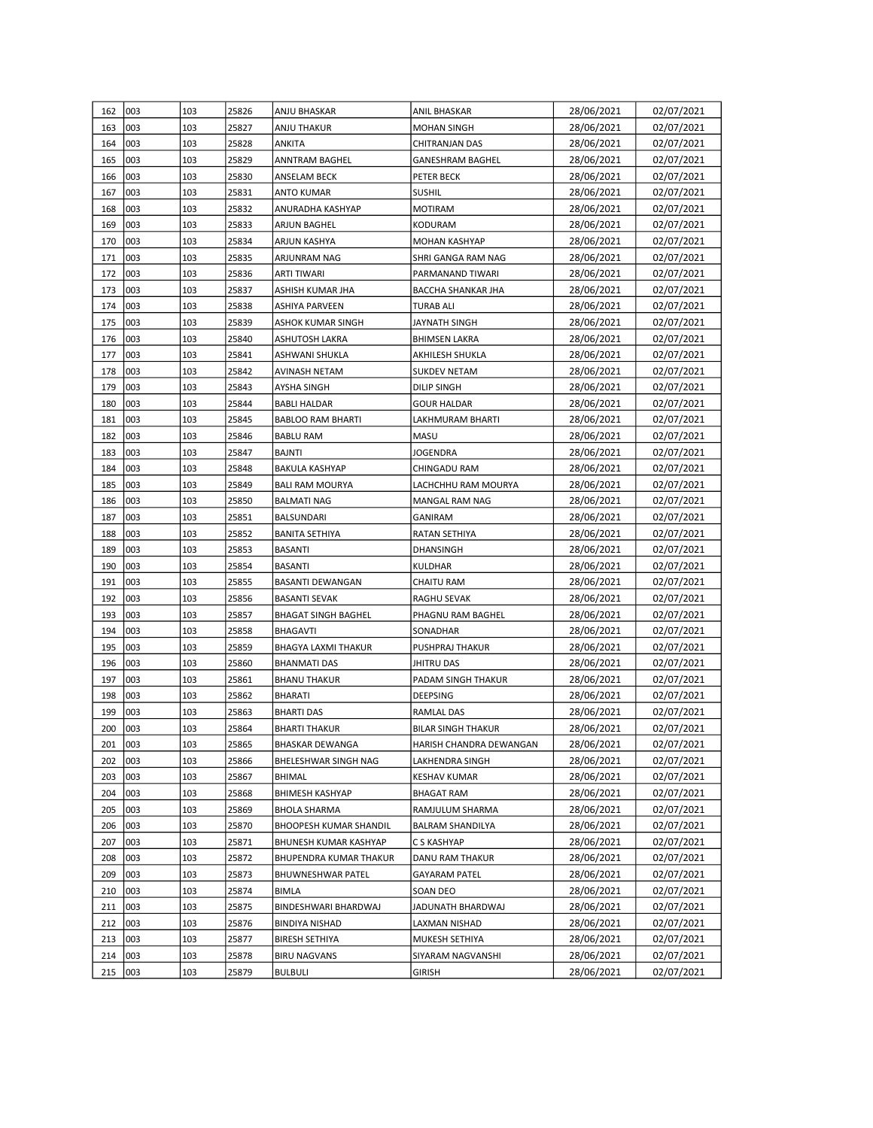| 162 | 003 | 103 | 25826 | ANJU BHASKAR                  | ANIL BHASKAR              | 28/06/2021 | 02/07/2021 |
|-----|-----|-----|-------|-------------------------------|---------------------------|------------|------------|
| 163 | 003 | 103 | 25827 | ANJU THAKUR                   | <b>MOHAN SINGH</b>        | 28/06/2021 | 02/07/2021 |
| 164 | 003 | 103 | 25828 | ANKITA                        | <b>CHITRANJAN DAS</b>     | 28/06/2021 | 02/07/2021 |
| 165 | 003 | 103 | 25829 | ANNTRAM BAGHEL                | <b>GANESHRAM BAGHEL</b>   | 28/06/2021 | 02/07/2021 |
| 166 | 003 | 103 | 25830 | ANSELAM BECK                  | PETER BECK                | 28/06/2021 | 02/07/2021 |
| 167 | 003 | 103 | 25831 | <b>ANTO KUMAR</b>             | <b>SUSHIL</b>             | 28/06/2021 | 02/07/2021 |
| 168 | 003 | 103 | 25832 | ANURADHA KASHYAP              | <b>MOTIRAM</b>            | 28/06/2021 | 02/07/2021 |
| 169 | 003 | 103 | 25833 | ARJUN BAGHEL                  | KODURAM                   | 28/06/2021 | 02/07/2021 |
| 170 | 003 | 103 | 25834 | ARJUN KASHYA                  | <b>MOHAN KASHYAP</b>      | 28/06/2021 | 02/07/2021 |
| 171 | 003 | 103 | 25835 | ARJUNRAM NAG                  | SHRI GANGA RAM NAG        | 28/06/2021 | 02/07/2021 |
| 172 | 003 | 103 | 25836 | ARTI TIWARI                   | PARMANAND TIWARI          | 28/06/2021 | 02/07/2021 |
| 173 | 003 | 103 | 25837 | ASHISH KUMAR JHA              | <b>BACCHA SHANKAR JHA</b> | 28/06/2021 | 02/07/2021 |
| 174 | 003 | 103 | 25838 | ASHIYA PARVEEN                | TURAB ALI                 | 28/06/2021 | 02/07/2021 |
| 175 | 003 | 103 | 25839 | ASHOK KUMAR SINGH             | JAYNATH SINGH             | 28/06/2021 | 02/07/2021 |
| 176 | 003 | 103 | 25840 | ASHUTOSH LAKRA                | <b>BHIMSEN LAKRA</b>      | 28/06/2021 | 02/07/2021 |
| 177 | 003 | 103 | 25841 | ASHWANI SHUKLA                | AKHILESH SHUKLA           | 28/06/2021 | 02/07/2021 |
| 178 | 003 | 103 | 25842 | AVINASH NETAM                 | <b>SUKDEV NETAM</b>       | 28/06/2021 | 02/07/2021 |
| 179 | 003 | 103 | 25843 | AYSHA SINGH                   | <b>DILIP SINGH</b>        | 28/06/2021 | 02/07/2021 |
| 180 | 003 | 103 | 25844 | <b>BABLI HALDAR</b>           | <b>GOUR HALDAR</b>        | 28/06/2021 | 02/07/2021 |
| 181 | 003 | 103 | 25845 | <b>BABLOO RAM BHARTI</b>      | LAKHMURAM BHARTI          | 28/06/2021 | 02/07/2021 |
| 182 | 003 | 103 | 25846 | <b>BABLU RAM</b>              | MASU                      | 28/06/2021 | 02/07/2021 |
| 183 | 003 | 103 | 25847 | BAJNTI                        | JOGENDRA                  | 28/06/2021 | 02/07/2021 |
| 184 | 003 | 103 | 25848 | <b>BAKULA KASHYAP</b>         | CHINGADU RAM              | 28/06/2021 | 02/07/2021 |
| 185 | 003 | 103 | 25849 | <b>BALI RAM MOURYA</b>        | LACHCHHU RAM MOURYA       | 28/06/2021 | 02/07/2021 |
| 186 | 003 | 103 | 25850 | <b>BALMATI NAG</b>            | MANGAL RAM NAG            | 28/06/2021 | 02/07/2021 |
| 187 | 003 | 103 | 25851 | BALSUNDARI                    | <b>GANIRAM</b>            | 28/06/2021 | 02/07/2021 |
| 188 | 003 | 103 | 25852 | BANITA SETHIYA                | RATAN SETHIYA             | 28/06/2021 | 02/07/2021 |
| 189 | 003 | 103 | 25853 | <b>BASANTI</b>                | <b>DHANSINGH</b>          | 28/06/2021 | 02/07/2021 |
| 190 | 003 | 103 | 25854 | BASANTI                       | <b>KULDHAR</b>            | 28/06/2021 | 02/07/2021 |
| 191 | 003 | 103 | 25855 | BASANTI DEWANGAN              | CHAITU RAM                | 28/06/2021 | 02/07/2021 |
| 192 | 003 | 103 | 25856 | <b>BASANTI SEVAK</b>          | RAGHU SEVAK               | 28/06/2021 | 02/07/2021 |
| 193 | 003 | 103 | 25857 | <b>BHAGAT SINGH BAGHEL</b>    | PHAGNU RAM BAGHEL         | 28/06/2021 | 02/07/2021 |
| 194 | 003 | 103 | 25858 | BHAGAVTI                      | SONADHAR                  | 28/06/2021 | 02/07/2021 |
| 195 | 003 | 103 | 25859 | BHAGYA LAXMI THAKUR           | PUSHPRAJ THAKUR           | 28/06/2021 | 02/07/2021 |
| 196 | 003 | 103 | 25860 | BHANMATI DAS                  | <b>JHITRU DAS</b>         | 28/06/2021 | 02/07/2021 |
| 197 | 003 | 103 | 25861 | <b>BHANU THAKUR</b>           | PADAM SINGH THAKUR        | 28/06/2021 | 02/07/2021 |
| 198 | 003 | 103 | 25862 | BHARATI                       | DEEPSING                  | 28/06/2021 | 02/07/2021 |
| 199 | 003 | 103 | 25863 | <b>BHARTI DAS</b>             | <b>RAMLAL DAS</b>         | 28/06/2021 | 02/07/2021 |
| 200 | 003 | 103 | 25864 | <b>BHARTI THAKUR</b>          | <b>BILAR SINGH THAKUR</b> | 28/06/2021 | 02/07/2021 |
| 201 | 003 | 103 | 25865 | BHASKAR DEWANGA               | HARISH CHANDRA DEWANGAN   | 28/06/2021 | 02/07/2021 |
| 202 | 003 | 103 | 25866 | BHELESHWAR SINGH NAG          | LAKHENDRA SINGH           | 28/06/2021 | 02/07/2021 |
| 203 | 003 | 103 | 25867 | BHIMAL                        | <b>KESHAV KUMAR</b>       | 28/06/2021 | 02/07/2021 |
| 204 | 003 | 103 | 25868 | <b>BHIMESH KASHYAP</b>        | <b>BHAGAT RAM</b>         | 28/06/2021 | 02/07/2021 |
| 205 | 003 | 103 | 25869 | BHOLA SHARMA                  | RAMJULUM SHARMA           | 28/06/2021 | 02/07/2021 |
| 206 | 003 | 103 | 25870 | <b>BHOOPESH KUMAR SHANDIL</b> | <b>BALRAM SHANDILYA</b>   | 28/06/2021 | 02/07/2021 |
| 207 | 003 | 103 | 25871 | BHUNESH KUMAR KASHYAP         | C S KASHYAP               | 28/06/2021 | 02/07/2021 |
| 208 | 003 | 103 | 25872 | BHUPENDRA KUMAR THAKUR        | DANU RAM THAKUR           | 28/06/2021 | 02/07/2021 |
| 209 | 003 | 103 | 25873 | BHUWNESHWAR PATEL             | <b>GAYARAM PATEL</b>      | 28/06/2021 | 02/07/2021 |
| 210 | 003 | 103 | 25874 | <b>BIMLA</b>                  | SOAN DEO                  | 28/06/2021 | 02/07/2021 |
| 211 | 003 | 103 | 25875 | BINDESHWARI BHARDWAJ          | JADUNATH BHARDWAJ         | 28/06/2021 | 02/07/2021 |
| 212 | 003 | 103 | 25876 | BINDIYA NISHAD                | LAXMAN NISHAD             | 28/06/2021 | 02/07/2021 |
| 213 | 003 | 103 | 25877 | BIRESH SETHIYA                | MUKESH SETHIYA            | 28/06/2021 | 02/07/2021 |
| 214 | 003 | 103 | 25878 | <b>BIRU NAGVANS</b>           | SIYARAM NAGVANSHI         | 28/06/2021 | 02/07/2021 |
| 215 | 003 | 103 | 25879 | <b>BULBULI</b>                | <b>GIRISH</b>             | 28/06/2021 | 02/07/2021 |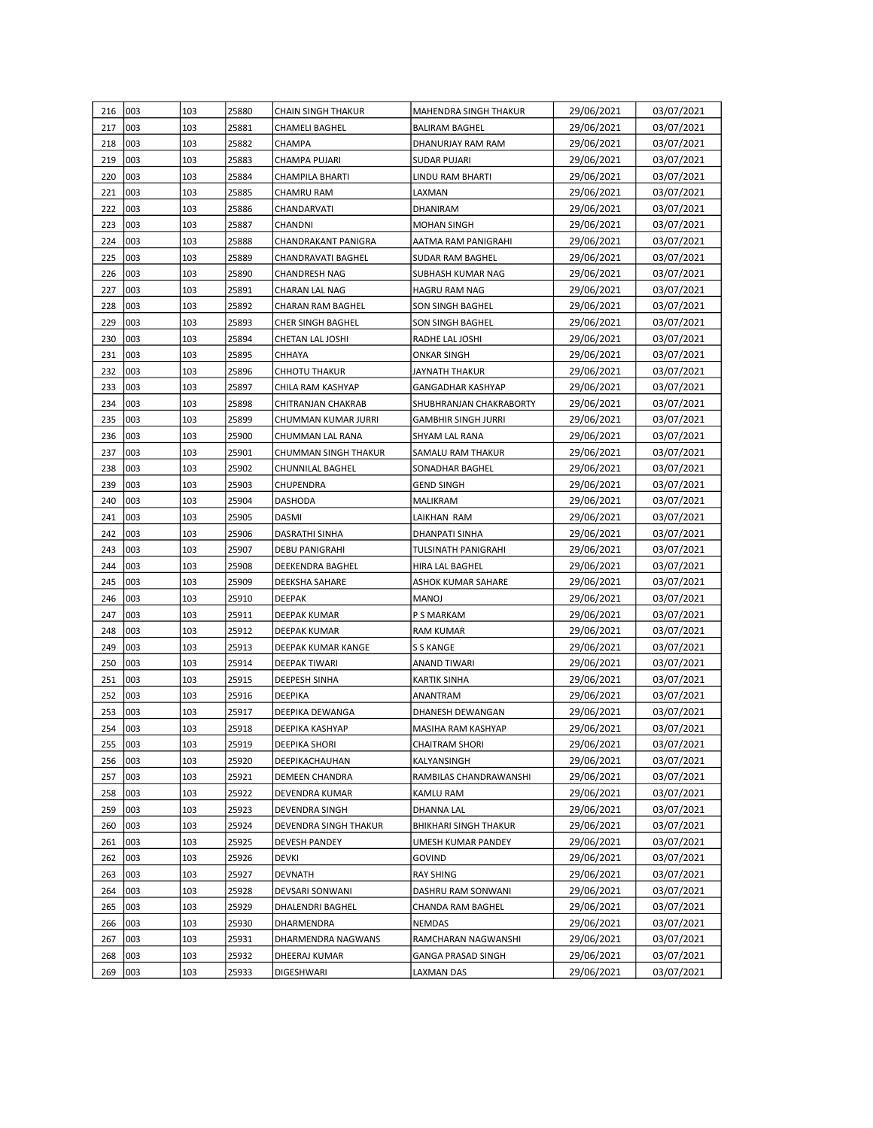| 216 | 003 | 103 | 25880 | CHAIN SINGH THAKUR    | MAHENDRA SINGH THAKUR        | 29/06/2021 | 03/07/2021 |
|-----|-----|-----|-------|-----------------------|------------------------------|------------|------------|
| 217 | 003 | 103 | 25881 | CHAMELI BAGHEL        | <b>BALIRAM BAGHEL</b>        | 29/06/2021 | 03/07/2021 |
| 218 | 003 | 103 | 25882 | CHAMPA                | DHANURJAY RAM RAM            | 29/06/2021 | 03/07/2021 |
| 219 | 003 | 103 | 25883 | CHAMPA PUJARI         | <b>SUDAR PUJARI</b>          | 29/06/2021 | 03/07/2021 |
| 220 | 003 | 103 | 25884 | CHAMPILA BHARTI       | LINDU RAM BHARTI             | 29/06/2021 | 03/07/2021 |
| 221 | 003 | 103 | 25885 | <b>CHAMRU RAM</b>     | LAXMAN                       | 29/06/2021 | 03/07/2021 |
| 222 | 003 | 103 | 25886 | CHANDARVATI           | DHANIRAM                     | 29/06/2021 | 03/07/2021 |
| 223 | 003 | 103 | 25887 | CHANDNI               | <b>MOHAN SINGH</b>           | 29/06/2021 | 03/07/2021 |
| 224 | 003 | 103 | 25888 | CHANDRAKANT PANIGRA   | AATMA RAM PANIGRAHI          | 29/06/2021 | 03/07/2021 |
| 225 | 003 | 103 | 25889 | CHANDRAVATI BAGHEL    | <b>SUDAR RAM BAGHEL</b>      | 29/06/2021 | 03/07/2021 |
| 226 | 003 | 103 | 25890 | CHANDRESH NAG         | <b>SUBHASH KUMAR NAG</b>     | 29/06/2021 | 03/07/2021 |
| 227 | 003 | 103 | 25891 | CHARAN LAL NAG        | HAGRU RAM NAG                | 29/06/2021 | 03/07/2021 |
| 228 | 003 | 103 | 25892 | CHARAN RAM BAGHEL     | SON SINGH BAGHEL             | 29/06/2021 | 03/07/2021 |
| 229 | 003 | 103 | 25893 | CHER SINGH BAGHEL     | SON SINGH BAGHEL             | 29/06/2021 | 03/07/2021 |
| 230 | 003 | 103 | 25894 | CHETAN LAL JOSHI      | RADHE LAL JOSHI              | 29/06/2021 | 03/07/2021 |
| 231 | 003 | 103 | 25895 | CHHAYA                | <b>ONKAR SINGH</b>           | 29/06/2021 | 03/07/2021 |
| 232 | 003 | 103 | 25896 | <b>CHHOTU THAKUR</b>  | JAYNATH THAKUR               | 29/06/2021 | 03/07/2021 |
| 233 | 003 | 103 | 25897 | CHILA RAM KASHYAP     | <b>GANGADHAR KASHYAP</b>     | 29/06/2021 | 03/07/2021 |
| 234 | 003 | 103 | 25898 | CHITRANJAN CHAKRAB    | SHUBHRANJAN CHAKRABORTY      | 29/06/2021 | 03/07/2021 |
| 235 | 003 | 103 | 25899 | CHUMMAN KUMAR JURRI   | <b>GAMBHIR SINGH JURRI</b>   | 29/06/2021 | 03/07/2021 |
| 236 | 003 | 103 | 25900 | CHUMMAN LAL RANA      | <b>SHYAM LAL RANA</b>        | 29/06/2021 | 03/07/2021 |
| 237 | 003 | 103 | 25901 | CHUMMAN SINGH THAKUR  | SAMALU RAM THAKUR            | 29/06/2021 | 03/07/2021 |
| 238 | 003 | 103 | 25902 | CHUNNILAL BAGHEL      | SONADHAR BAGHEL              | 29/06/2021 | 03/07/2021 |
| 239 | 003 | 103 | 25903 | CHUPENDRA             | <b>GEND SINGH</b>            | 29/06/2021 | 03/07/2021 |
| 240 | 003 | 103 | 25904 | DASHODA               | MALIKRAM                     | 29/06/2021 | 03/07/2021 |
| 241 | 003 | 103 | 25905 | DASMI                 | LAIKHAN RAM                  | 29/06/2021 | 03/07/2021 |
| 242 | 003 | 103 | 25906 | DASRATHI SINHA        | DHANPATI SINHA               | 29/06/2021 | 03/07/2021 |
| 243 | 003 | 103 | 25907 | DEBU PANIGRAHI        | TULSINATH PANIGRAHI          | 29/06/2021 | 03/07/2021 |
| 244 | 003 | 103 | 25908 | DEEKENDRA BAGHEL      | HIRA LAL BAGHEL              | 29/06/2021 | 03/07/2021 |
| 245 | 003 | 103 | 25909 | DEEKSHA SAHARE        | ASHOK KUMAR SAHARE           | 29/06/2021 | 03/07/2021 |
| 246 | 003 | 103 | 25910 | <b>DEEPAK</b>         | MANOJ                        | 29/06/2021 | 03/07/2021 |
| 247 | 003 | 103 | 25911 | DEEPAK KUMAR          | P S MARKAM                   | 29/06/2021 | 03/07/2021 |
| 248 | 003 | 103 | 25912 | DEEPAK KUMAR          | RAM KUMAR                    | 29/06/2021 | 03/07/2021 |
| 249 | 003 | 103 | 25913 | DEEPAK KUMAR KANGE    | S S KANGE                    | 29/06/2021 | 03/07/2021 |
| 250 | 003 | 103 | 25914 | DEEPAK TIWARI         | ANAND TIWARI                 | 29/06/2021 | 03/07/2021 |
| 251 | 003 | 103 | 25915 | DEEPESH SINHA         | <b>KARTIK SINHA</b>          | 29/06/2021 | 03/07/2021 |
| 252 | 003 | 103 | 25916 | <b>DEEPIKA</b>        | ANANTRAM                     | 29/06/2021 | 03/07/2021 |
| 253 | 003 | 103 | 25917 | DEEPIKA DEWANGA       | DHANESH DEWANGAN             | 29/06/2021 | 03/07/2021 |
| 254 | 003 | 103 | 25918 | DEEPIKA KASHYAP       | <b>MASIHA RAM KASHYAP</b>    | 29/06/2021 | 03/07/2021 |
| 255 | 003 | 103 | 25919 | <b>DEEPIKA SHORI</b>  | <b>CHAITRAM SHORI</b>        | 29/06/2021 | 03/07/2021 |
| 256 | 003 | 103 | 25920 | DEEPIKACHAUHAN        | KALYANSINGH                  | 29/06/2021 | 03/07/2021 |
| 257 | 003 | 103 | 25921 | DEMEEN CHANDRA        | RAMBILAS CHANDRAWANSHI       | 29/06/2021 | 03/07/2021 |
| 258 | 003 | 103 | 25922 | DEVENDRA KUMAR        | KAMLU RAM                    | 29/06/2021 | 03/07/2021 |
| 259 | 003 | 103 | 25923 | DEVENDRA SINGH        | DHANNA LAL                   | 29/06/2021 | 03/07/2021 |
| 260 | 003 | 103 | 25924 | DEVENDRA SINGH THAKUR | <b>BHIKHARI SINGH THAKUR</b> | 29/06/2021 | 03/07/2021 |
| 261 | 003 | 103 | 25925 | DEVESH PANDEY         | UMESH KUMAR PANDEY           | 29/06/2021 | 03/07/2021 |
| 262 | 003 | 103 | 25926 | DEVKI                 | GOVIND                       | 29/06/2021 | 03/07/2021 |
| 263 | 003 | 103 | 25927 | DEVNATH               | RAY SHING                    | 29/06/2021 | 03/07/2021 |
| 264 | 003 | 103 | 25928 | DEVSARI SONWANI       | DASHRU RAM SONWANI           | 29/06/2021 | 03/07/2021 |
| 265 | 003 | 103 | 25929 | DHALENDRI BAGHEL      | CHANDA RAM BAGHEL            | 29/06/2021 | 03/07/2021 |
| 266 | 003 | 103 | 25930 | DHARMENDRA            | NEMDAS                       | 29/06/2021 | 03/07/2021 |
| 267 | 003 | 103 | 25931 | DHARMENDRA NAGWANS    | RAMCHARAN NAGWANSHI          | 29/06/2021 | 03/07/2021 |
| 268 | 003 | 103 | 25932 | DHEERAJ KUMAR         | <b>GANGA PRASAD SINGH</b>    | 29/06/2021 | 03/07/2021 |
| 269 | 003 | 103 | 25933 | DIGESHWARI            | LAXMAN DAS                   | 29/06/2021 | 03/07/2021 |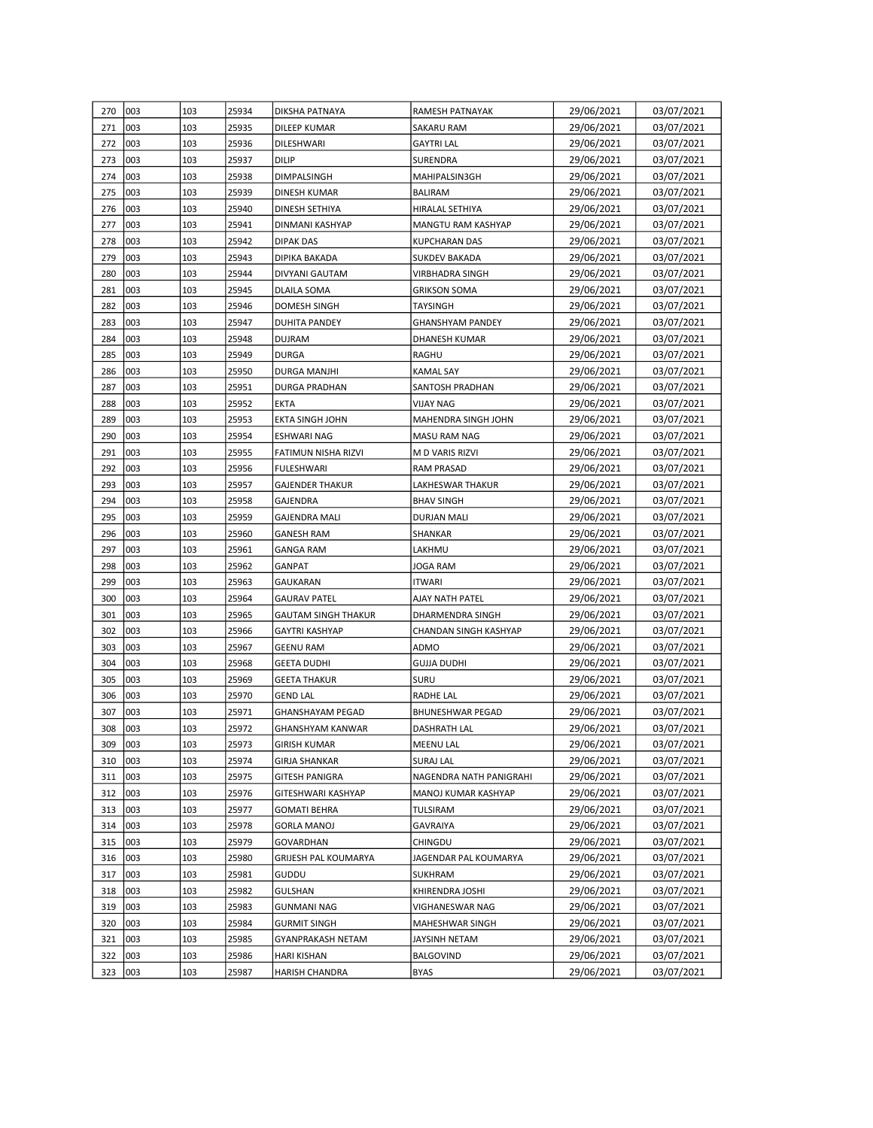| 270 | 003 | 103 | 25934 | DIKSHA PATNAYA             | RAMESH PATNAYAK         | 29/06/2021 | 03/07/2021 |
|-----|-----|-----|-------|----------------------------|-------------------------|------------|------------|
| 271 | 003 | 103 | 25935 | DILEEP KUMAR               | SAKARU RAM              | 29/06/2021 | 03/07/2021 |
| 272 | 003 | 103 | 25936 | DILESHWARI                 | <b>GAYTRI LAL</b>       | 29/06/2021 | 03/07/2021 |
| 273 | 003 | 103 | 25937 | <b>DILIP</b>               | SURENDRA                | 29/06/2021 | 03/07/2021 |
| 274 | 003 | 103 | 25938 | DIMPALSINGH                | MAHIPALSIN3GH           | 29/06/2021 | 03/07/2021 |
| 275 | 003 | 103 | 25939 | DINESH KUMAR               | <b>BALIRAM</b>          | 29/06/2021 | 03/07/2021 |
| 276 | 003 | 103 | 25940 | DINESH SETHIYA             | HIRALAL SETHIYA         | 29/06/2021 | 03/07/2021 |
| 277 | 003 | 103 | 25941 | DINMANI KASHYAP            | MANGTU RAM KASHYAP      | 29/06/2021 | 03/07/2021 |
| 278 | 003 | 103 | 25942 | DIPAK DAS                  | <b>KUPCHARAN DAS</b>    | 29/06/2021 | 03/07/2021 |
| 279 | 003 | 103 | 25943 | DIPIKA BAKADA              | <b>SUKDEV BAKADA</b>    | 29/06/2021 | 03/07/2021 |
| 280 | 003 | 103 | 25944 | DIVYANI GAUTAM             | <b>VIRBHADRA SINGH</b>  | 29/06/2021 | 03/07/2021 |
| 281 | 003 | 103 | 25945 | DLAILA SOMA                | <b>GRIKSON SOMA</b>     | 29/06/2021 | 03/07/2021 |
| 282 | 003 | 103 | 25946 | DOMESH SINGH               | <b>TAYSINGH</b>         | 29/06/2021 | 03/07/2021 |
| 283 | 003 | 103 | 25947 | <b>DUHITA PANDEY</b>       | <b>GHANSHYAM PANDEY</b> | 29/06/2021 | 03/07/2021 |
| 284 | 003 | 103 | 25948 | <b>DUJRAM</b>              | <b>DHANESH KUMAR</b>    | 29/06/2021 | 03/07/2021 |
| 285 | 003 | 103 | 25949 | <b>DURGA</b>               | RAGHU                   | 29/06/2021 | 03/07/2021 |
| 286 | 003 | 103 | 25950 | <b>DURGA MANJHI</b>        | KAMAL SAY               | 29/06/2021 | 03/07/2021 |
| 287 | 003 | 103 | 25951 | DURGA PRADHAN              | SANTOSH PRADHAN         | 29/06/2021 | 03/07/2021 |
| 288 | 003 | 103 | 25952 | <b>EKTA</b>                | <b>VIJAY NAG</b>        | 29/06/2021 | 03/07/2021 |
| 289 | 003 | 103 | 25953 | <b>EKTA SINGH JOHN</b>     | MAHENDRA SINGH JOHN     | 29/06/2021 | 03/07/2021 |
| 290 | 003 | 103 | 25954 | ESHWARI NAG                | MASU RAM NAG            | 29/06/2021 | 03/07/2021 |
| 291 | 003 | 103 | 25955 | FATIMUN NISHA RIZVI        | M D VARIS RIZVI         | 29/06/2021 | 03/07/2021 |
| 292 | 003 | 103 | 25956 | FULESHWARI                 | <b>RAM PRASAD</b>       | 29/06/2021 | 03/07/2021 |
| 293 | 003 | 103 | 25957 | <b>GAJENDER THAKUR</b>     | LAKHESWAR THAKUR        | 29/06/2021 | 03/07/2021 |
| 294 | 003 | 103 | 25958 | GAJENDRA                   | <b>BHAV SINGH</b>       | 29/06/2021 | 03/07/2021 |
| 295 | 003 | 103 | 25959 | <b>GAJENDRA MALI</b>       | <b>DURJAN MALI</b>      | 29/06/2021 | 03/07/2021 |
| 296 | 003 | 103 | 25960 | <b>GANESH RAM</b>          | SHANKAR                 | 29/06/2021 | 03/07/2021 |
| 297 | 003 | 103 | 25961 | GANGA RAM                  | LAKHMU                  | 29/06/2021 | 03/07/2021 |
| 298 | 003 | 103 | 25962 | GANPAT                     | JOGA RAM                | 29/06/2021 | 03/07/2021 |
| 299 | 003 | 103 | 25963 | GAUKARAN                   | <b>ITWARI</b>           | 29/06/2021 | 03/07/2021 |
| 300 | 003 | 103 | 25964 | <b>GAURAV PATEL</b>        | AJAY NATH PATEL         | 29/06/2021 | 03/07/2021 |
| 301 | 003 | 103 | 25965 | <b>GAUTAM SINGH THAKUR</b> | DHARMENDRA SINGH        | 29/06/2021 | 03/07/2021 |
| 302 | 003 | 103 | 25966 | GAYTRI KASHYAP             | CHANDAN SINGH KASHYAP   | 29/06/2021 | 03/07/2021 |
| 303 | 003 | 103 | 25967 | <b>GEENU RAM</b>           | ADMO                    | 29/06/2021 | 03/07/2021 |
| 304 | 003 | 103 | 25968 | <b>GEETA DUDHI</b>         | <b>GUJJA DUDHI</b>      | 29/06/2021 | 03/07/2021 |
| 305 | 003 | 103 | 25969 | <b>GEETA THAKUR</b>        | <b>SURU</b>             | 29/06/2021 | 03/07/2021 |
| 306 | 003 | 103 | 25970 | <b>GEND LAL</b>            | RADHE LAL               | 29/06/2021 | 03/07/2021 |
| 307 | 003 | 103 | 25971 | <b>GHANSHAYAM PEGAD</b>    | <b>BHUNESHWAR PEGAD</b> | 29/06/2021 | 03/07/2021 |
| 308 | 003 | 103 | 25972 | GHANSHYAM KANWAR           | <b>DASHRATH LAL</b>     | 29/06/2021 | 03/07/2021 |
| 309 | 003 | 103 | 25973 | <b>GIRISH KUMAR</b>        | <b>MEENU LAL</b>        | 29/06/2021 | 03/07/2021 |
| 310 | 003 | 103 | 25974 | GIRJA SHANKAR              | <b>SURAJ LAL</b>        | 29/06/2021 | 03/07/2021 |
| 311 | 003 | 103 | 25975 | GITESH PANIGRA             | NAGENDRA NATH PANIGRAHI | 29/06/2021 | 03/07/2021 |
| 312 | 003 | 103 | 25976 | GITESHWARI KASHYAP         | MANOJ KUMAR KASHYAP     | 29/06/2021 | 03/07/2021 |
| 313 | 003 | 103 | 25977 | <b>GOMATI BEHRA</b>        | TULSIRAM                | 29/06/2021 | 03/07/2021 |
| 314 | 003 | 103 | 25978 | <b>GORLA MANOJ</b>         | GAVRAIYA                | 29/06/2021 | 03/07/2021 |
| 315 | 003 | 103 | 25979 | GOVARDHAN                  | CHINGDU                 | 29/06/2021 | 03/07/2021 |
| 316 | 003 | 103 | 25980 | GRIJESH PAL KOUMARYA       | JAGENDAR PAL KOUMARYA   | 29/06/2021 | 03/07/2021 |
| 317 | 003 | 103 | 25981 | GUDDU                      | SUKHRAM                 | 29/06/2021 | 03/07/2021 |
| 318 | 003 | 103 | 25982 | <b>GULSHAN</b>             | KHIRENDRA JOSHI         | 29/06/2021 | 03/07/2021 |
| 319 | 003 | 103 | 25983 | <b>GUNMANI NAG</b>         | VIGHANESWAR NAG         | 29/06/2021 | 03/07/2021 |
| 320 | 003 | 103 | 25984 | GURMIT SINGH               | MAHESHWAR SINGH         | 29/06/2021 | 03/07/2021 |
| 321 | 003 | 103 | 25985 | GYANPRAKASH NETAM          | JAYSINH NETAM           | 29/06/2021 | 03/07/2021 |
| 322 | 003 | 103 | 25986 | HARI KISHAN                | <b>BALGOVIND</b>        | 29/06/2021 | 03/07/2021 |
| 323 | 003 | 103 | 25987 | HARISH CHANDRA             | <b>BYAS</b>             | 29/06/2021 | 03/07/2021 |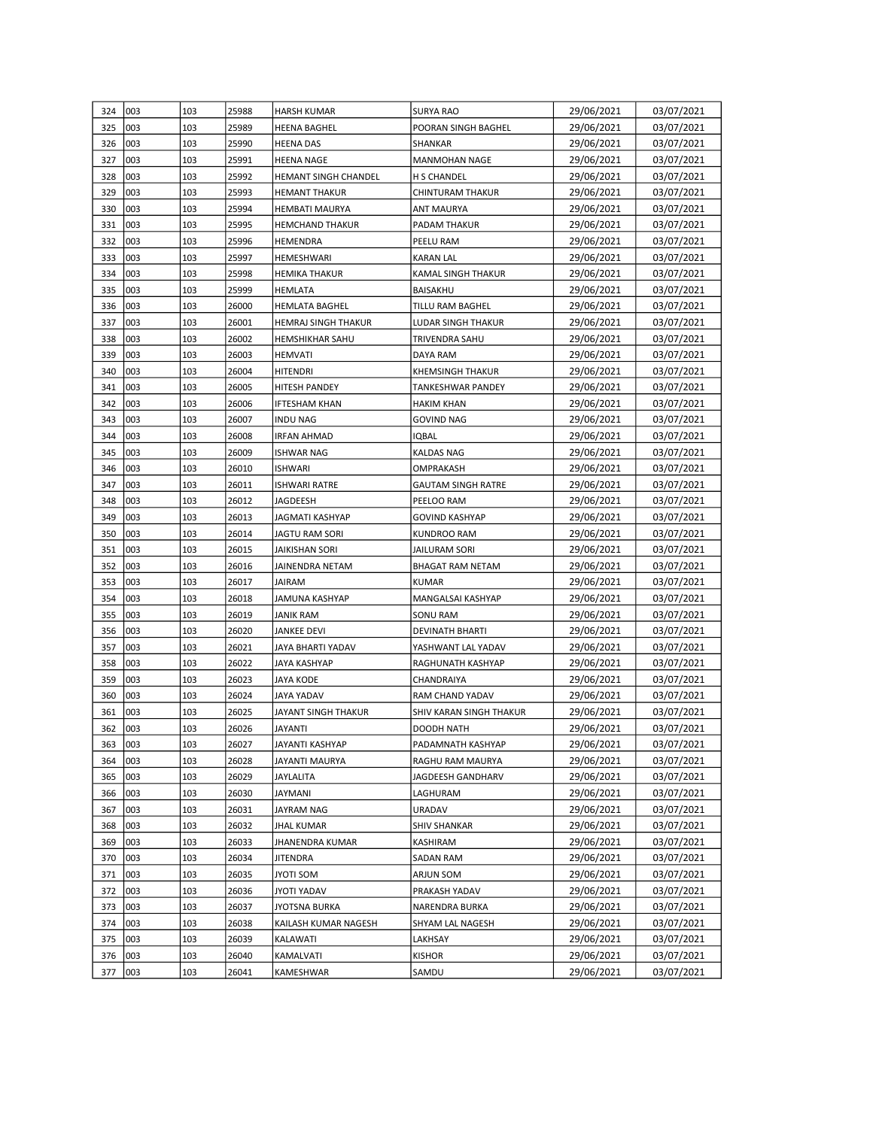| 324 | 1003 | 103 | 25988 | <b>HARSH KUMAR</b>         | <b>SURYA RAO</b>          | 29/06/2021 | 03/07/2021 |
|-----|------|-----|-------|----------------------------|---------------------------|------------|------------|
| 325 | 003  | 103 | 25989 | <b>HEENA BAGHEL</b>        | POORAN SINGH BAGHEL       | 29/06/2021 | 03/07/2021 |
| 326 | 003  | 103 | 25990 | <b>HEENA DAS</b>           | SHANKAR                   | 29/06/2021 | 03/07/2021 |
| 327 | 003  | 103 | 25991 | <b>HEENA NAGE</b>          | <b>MANMOHAN NAGE</b>      | 29/06/2021 | 03/07/2021 |
| 328 | 003  | 103 | 25992 | HEMANT SINGH CHANDEL       | <b>H S CHANDEL</b>        | 29/06/2021 | 03/07/2021 |
| 329 | 003  | 103 | 25993 | <b>HEMANT THAKUR</b>       | CHINTURAM THAKUR          | 29/06/2021 | 03/07/2021 |
| 330 | 003  | 103 | 25994 | HEMBATI MAURYA             | <b>ANT MAURYA</b>         | 29/06/2021 | 03/07/2021 |
| 331 | 003  | 103 | 25995 | <b>HEMCHAND THAKUR</b>     | <b>PADAM THAKUR</b>       | 29/06/2021 | 03/07/2021 |
| 332 | 003  | 103 | 25996 | <b>HEMENDRA</b>            | PEELU RAM                 | 29/06/2021 | 03/07/2021 |
| 333 | 003  | 103 | 25997 | HEMESHWARI                 | <b>KARAN LAL</b>          | 29/06/2021 | 03/07/2021 |
| 334 | 003  | 103 | 25998 | <b>HEMIKA THAKUR</b>       | KAMAL SINGH THAKUR        | 29/06/2021 | 03/07/2021 |
| 335 | 003  | 103 | 25999 | HEMLATA                    | BAISAKHU                  | 29/06/2021 | 03/07/2021 |
| 336 | 003  | 103 | 26000 | <b>HEMLATA BAGHEL</b>      | TILLU RAM BAGHEL          | 29/06/2021 | 03/07/2021 |
| 337 | 003  | 103 | 26001 | <b>HEMRAJ SINGH THAKUR</b> | LUDAR SINGH THAKUR        | 29/06/2021 | 03/07/2021 |
| 338 | 003  | 103 | 26002 | <b>HEMSHIKHAR SAHU</b>     | <b>TRIVENDRA SAHU</b>     | 29/06/2021 | 03/07/2021 |
| 339 | 003  | 103 | 26003 | HEMVATI                    | DAYA RAM                  | 29/06/2021 | 03/07/2021 |
| 340 | 003  | 103 | 26004 | <b>HITENDRI</b>            | <b>KHEMSINGH THAKUR</b>   | 29/06/2021 | 03/07/2021 |
| 341 | 003  | 103 | 26005 | HITESH PANDEY              | TANKESHWAR PANDEY         | 29/06/2021 | 03/07/2021 |
| 342 | 003  | 103 | 26006 | <b>IFTESHAM KHAN</b>       | <b>HAKIM KHAN</b>         | 29/06/2021 | 03/07/2021 |
| 343 | 003  | 103 | 26007 | <b>INDU NAG</b>            | <b>GOVIND NAG</b>         | 29/06/2021 | 03/07/2021 |
| 344 | 003  | 103 | 26008 | <b>IRFAN AHMAD</b>         | IQBAL                     | 29/06/2021 | 03/07/2021 |
| 345 | 003  | 103 | 26009 | <b>ISHWAR NAG</b>          | <b>KALDAS NAG</b>         | 29/06/2021 | 03/07/2021 |
| 346 | 003  | 103 | 26010 | <b>ISHWARI</b>             | OMPRAKASH                 | 29/06/2021 | 03/07/2021 |
| 347 | 003  | 103 | 26011 | <b>ISHWARI RATRE</b>       | <b>GAUTAM SINGH RATRE</b> | 29/06/2021 | 03/07/2021 |
| 348 | 003  | 103 | 26012 | JAGDEESH                   | PEELOO RAM                | 29/06/2021 | 03/07/2021 |
| 349 | 003  | 103 | 26013 | JAGMATI KASHYAP            | <b>GOVIND KASHYAP</b>     | 29/06/2021 | 03/07/2021 |
| 350 | 003  | 103 | 26014 | JAGTU RAM SORI             | <b>KUNDROO RAM</b>        | 29/06/2021 | 03/07/2021 |
| 351 | 003  | 103 | 26015 | <b>JAIKISHAN SORI</b>      | <b>JAILURAM SORI</b>      | 29/06/2021 | 03/07/2021 |
| 352 | 003  | 103 | 26016 | JAINENDRA NETAM            | <b>BHAGAT RAM NETAM</b>   | 29/06/2021 | 03/07/2021 |
| 353 | 003  | 103 | 26017 | JAIRAM                     | KUMAR                     | 29/06/2021 | 03/07/2021 |
| 354 | 003  | 103 | 26018 | JAMUNA KASHYAP             | MANGALSAI KASHYAP         | 29/06/2021 | 03/07/2021 |
| 355 | 003  | 103 | 26019 | <b>JANIK RAM</b>           | SONU RAM                  | 29/06/2021 | 03/07/2021 |
| 356 | 003  | 103 | 26020 | <b>JANKEE DEVI</b>         | <b>DEVINATH BHARTI</b>    | 29/06/2021 | 03/07/2021 |
| 357 | 003  | 103 | 26021 | JAYA BHARTI YADAV          | YASHWANT LAL YADAV        | 29/06/2021 | 03/07/2021 |
| 358 | 003  | 103 | 26022 | JAYA KASHYAP               | <b>RAGHUNATH KASHYAP</b>  | 29/06/2021 | 03/07/2021 |
| 359 | 003  | 103 | 26023 | JAYA KODE                  | CHANDRAIYA                | 29/06/2021 | 03/07/2021 |
| 360 | 003  | 103 | 26024 | JAYA YADAV                 | RAM CHAND YADAV           | 29/06/2021 | 03/07/2021 |
| 361 | 003  | 103 | 26025 | JAYANT SINGH THAKUR        | SHIV KARAN SINGH THAKUR   | 29/06/2021 | 03/07/2021 |
| 362 | 003  | 103 | 26026 | <b>JAYANTI</b>             | DOODH NATH                | 29/06/2021 | 03/07/2021 |
| 363 | 003  | 103 | 26027 | <b>JAYANTI KASHYAP</b>     | PADAMNATH KASHYAP         | 29/06/2021 | 03/07/2021 |
| 364 | 003  | 103 | 26028 | JAYANTI MAURYA             | RAGHU RAM MAURYA          | 29/06/2021 | 03/07/2021 |
| 365 | 003  | 103 | 26029 | JAYLALITA                  | JAGDEESH GANDHARV         | 29/06/2021 | 03/07/2021 |
| 366 | 003  | 103 | 26030 | JAYMANI                    | LAGHURAM                  | 29/06/2021 | 03/07/2021 |
| 367 | 003  | 103 | 26031 | JAYRAM NAG                 | URADAV                    | 29/06/2021 | 03/07/2021 |
| 368 | 003  | 103 | 26032 | <b>JHAL KUMAR</b>          | <b>SHIV SHANKAR</b>       | 29/06/2021 | 03/07/2021 |
| 369 | 003  | 103 | 26033 | JHANENDRA KUMAR            | KASHIRAM                  | 29/06/2021 | 03/07/2021 |
| 370 | 003  | 103 | 26034 | JITENDRA                   | SADAN RAM                 | 29/06/2021 | 03/07/2021 |
| 371 | 003  | 103 | 26035 | JYOTI SOM                  | ARJUN SOM                 | 29/06/2021 | 03/07/2021 |
| 372 | 003  | 103 | 26036 | JYOTI YADAV                | PRAKASH YADAV             | 29/06/2021 | 03/07/2021 |
| 373 | 003  | 103 | 26037 | <b>JYOTSNA BURKA</b>       | NARENDRA BURKA            | 29/06/2021 | 03/07/2021 |
| 374 | 003  | 103 | 26038 | KAILASH KUMAR NAGESH       | SHYAM LAL NAGESH          | 29/06/2021 | 03/07/2021 |
| 375 | 003  | 103 | 26039 | KALAWATI                   | LAKHSAY                   | 29/06/2021 | 03/07/2021 |
| 376 | 003  | 103 | 26040 | KAMALVATI                  | <b>KISHOR</b>             | 29/06/2021 | 03/07/2021 |
| 377 | 003  | 103 | 26041 | KAMESHWAR                  | SAMDU                     | 29/06/2021 | 03/07/2021 |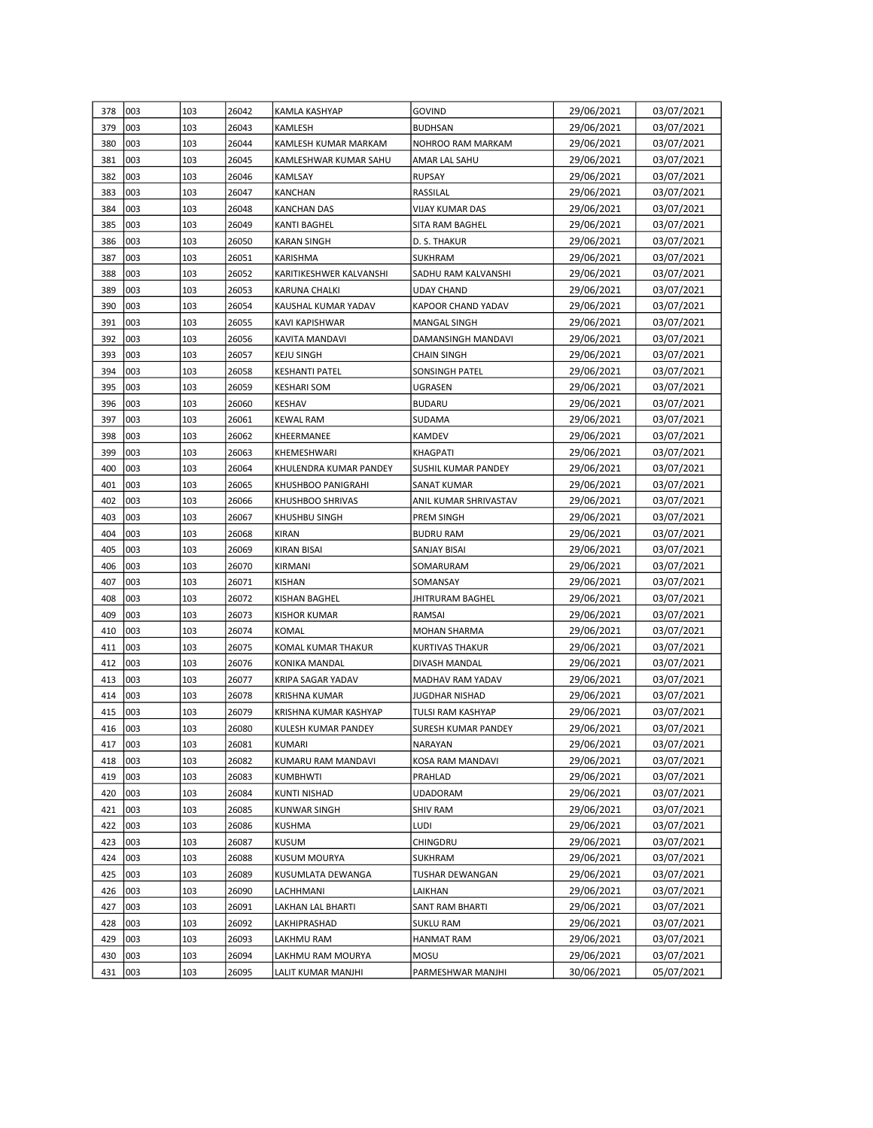| 378 | 003 | 103 | 26042 | KAMLA KASHYAP           | GOVIND                 | 29/06/2021 | 03/07/2021 |
|-----|-----|-----|-------|-------------------------|------------------------|------------|------------|
| 379 | 003 | 103 | 26043 | <b>KAMLESH</b>          | <b>BUDHSAN</b>         | 29/06/2021 | 03/07/2021 |
| 380 | 003 | 103 | 26044 | KAMLESH KUMAR MARKAM    | NOHROO RAM MARKAM      | 29/06/2021 | 03/07/2021 |
| 381 | 003 | 103 | 26045 | KAMLESHWAR KUMAR SAHU   | AMAR LAL SAHU          | 29/06/2021 | 03/07/2021 |
| 382 | 003 | 103 | 26046 | KAMLSAY                 | <b>RUPSAY</b>          | 29/06/2021 | 03/07/2021 |
| 383 | 003 | 103 | 26047 | KANCHAN                 | RASSILAL               | 29/06/2021 | 03/07/2021 |
| 384 | 003 | 103 | 26048 | KANCHAN DAS             | <b>VIJAY KUMAR DAS</b> | 29/06/2021 | 03/07/2021 |
| 385 | 003 | 103 | 26049 | KANTI BAGHEL            | SITA RAM BAGHEL        | 29/06/2021 | 03/07/2021 |
| 386 | 003 | 103 | 26050 | KARAN SINGH             | D. S. THAKUR           | 29/06/2021 | 03/07/2021 |
| 387 | 003 | 103 | 26051 | KARISHMA                | <b>SUKHRAM</b>         | 29/06/2021 | 03/07/2021 |
| 388 | 003 | 103 | 26052 | KARITIKESHWER KALVANSHI | SADHU RAM KALVANSHI    | 29/06/2021 | 03/07/2021 |
| 389 | 003 | 103 | 26053 | KARUNA CHALKI           | UDAY CHAND             | 29/06/2021 | 03/07/2021 |
| 390 | 003 | 103 | 26054 | KAUSHAL KUMAR YADAV     | KAPOOR CHAND YADAV     | 29/06/2021 | 03/07/2021 |
| 391 | 003 | 103 | 26055 | KAVI KAPISHWAR          | <b>MANGAL SINGH</b>    | 29/06/2021 | 03/07/2021 |
| 392 | 003 | 103 | 26056 | KAVITA MANDAVI          | DAMANSINGH MANDAVI     | 29/06/2021 | 03/07/2021 |
| 393 | 003 | 103 | 26057 | <b>KEJU SINGH</b>       | <b>CHAIN SINGH</b>     | 29/06/2021 | 03/07/2021 |
| 394 | 003 | 103 | 26058 | <b>KESHANTI PATEL</b>   | SONSINGH PATEL         | 29/06/2021 | 03/07/2021 |
| 395 | 003 | 103 | 26059 | <b>KESHARI SOM</b>      | UGRASEN                | 29/06/2021 | 03/07/2021 |
| 396 | 003 | 103 | 26060 | KESHAV                  | <b>BUDARU</b>          | 29/06/2021 | 03/07/2021 |
| 397 | 003 | 103 | 26061 | KEWAL RAM               | SUDAMA                 | 29/06/2021 | 03/07/2021 |
| 398 | 003 | 103 | 26062 | KHEERMANEE              | KAMDEV                 | 29/06/2021 | 03/07/2021 |
| 399 | 003 | 103 | 26063 | KHEMESHWARI             | KHAGPATI               | 29/06/2021 | 03/07/2021 |
| 400 | 003 | 103 | 26064 | KHULENDRA KUMAR PANDEY  | SUSHIL KUMAR PANDEY    | 29/06/2021 | 03/07/2021 |
| 401 | 003 | 103 | 26065 | KHUSHBOO PANIGRAHI      | SANAT KUMAR            | 29/06/2021 | 03/07/2021 |
| 402 | 003 | 103 | 26066 | KHUSHBOO SHRIVAS        | ANIL KUMAR SHRIVASTAV  | 29/06/2021 | 03/07/2021 |
| 403 | 003 | 103 | 26067 | KHUSHBU SINGH           | PREM SINGH             | 29/06/2021 | 03/07/2021 |
| 404 | 003 | 103 | 26068 | KIRAN                   | <b>BUDRU RAM</b>       | 29/06/2021 | 03/07/2021 |
| 405 | 003 | 103 | 26069 | KIRAN BISAI             | <b>SANJAY BISAI</b>    | 29/06/2021 | 03/07/2021 |
| 406 | 003 | 103 | 26070 | KIRMANI                 | SOMARURAM              | 29/06/2021 | 03/07/2021 |
| 407 | 003 | 103 | 26071 | <b>KISHAN</b>           | SOMANSAY               | 29/06/2021 | 03/07/2021 |
| 408 | 003 | 103 | 26072 | KISHAN BAGHEL           | JHITRURAM BAGHEL       | 29/06/2021 | 03/07/2021 |
| 409 | 003 | 103 | 26073 | KISHOR KUMAR            | RAMSAI                 | 29/06/2021 | 03/07/2021 |
| 410 | 003 | 103 | 26074 | KOMAL                   | MOHAN SHARMA           | 29/06/2021 | 03/07/2021 |
| 411 | 003 | 103 | 26075 | KOMAL KUMAR THAKUR      | KURTIVAS THAKUR        | 29/06/2021 | 03/07/2021 |
| 412 | 003 | 103 | 26076 | KONIKA MANDAL           | DIVASH MANDAL          | 29/06/2021 | 03/07/2021 |
| 413 | 003 | 103 | 26077 | KRIPA SAGAR YADAV       | MADHAV RAM YADAV       | 29/06/2021 | 03/07/2021 |
| 414 | 003 | 103 | 26078 | KRISHNA KUMAR           | <b>JUGDHAR NISHAD</b>  | 29/06/2021 | 03/07/2021 |
| 415 | 003 | 103 | 26079 | KRISHNA KUMAR KASHYAP   | TULSI RAM KASHYAP      | 29/06/2021 | 03/07/2021 |
| 416 | 003 | 103 | 26080 | KULESH KUMAR PANDEY     | SURESH KUMAR PANDEY    | 29/06/2021 | 03/07/2021 |
| 417 | 003 | 103 | 26081 | KUMARI                  | NARAYAN                | 29/06/2021 | 03/07/2021 |
| 418 | 003 | 103 | 26082 | KUMARU RAM MANDAVI      | KOSA RAM MANDAVI       | 29/06/2021 | 03/07/2021 |
| 419 | 003 | 103 | 26083 | KUMBHWTI                | PRAHLAD                | 29/06/2021 | 03/07/2021 |
| 420 | 003 | 103 | 26084 | KUNTI NISHAD            | <b>UDADORAM</b>        | 29/06/2021 | 03/07/2021 |
| 421 | 003 | 103 | 26085 | <b>KUNWAR SINGH</b>     | <b>SHIV RAM</b>        | 29/06/2021 | 03/07/2021 |
| 422 | 003 | 103 | 26086 | KUSHMA                  | LUDI                   | 29/06/2021 | 03/07/2021 |
| 423 | 003 | 103 | 26087 | <b>KUSUM</b>            | CHINGDRU               | 29/06/2021 | 03/07/2021 |
| 424 | 003 | 103 | 26088 | KUSUM MOURYA            | SUKHRAM                | 29/06/2021 | 03/07/2021 |
| 425 | 003 | 103 | 26089 | KUSUMLATA DEWANGA       | TUSHAR DEWANGAN        | 29/06/2021 | 03/07/2021 |
| 426 | 003 | 103 | 26090 | LACHHMANI               | LAIKHAN                | 29/06/2021 | 03/07/2021 |
| 427 | 003 | 103 | 26091 | LAKHAN LAL BHARTI       | SANT RAM BHARTI        | 29/06/2021 | 03/07/2021 |
| 428 | 003 | 103 | 26092 | LAKHIPRASHAD            | <b>SUKLU RAM</b>       | 29/06/2021 | 03/07/2021 |
| 429 | 003 | 103 | 26093 | LAKHMU RAM              | HANMAT RAM             | 29/06/2021 | 03/07/2021 |
| 430 | 003 | 103 | 26094 | LAKHMU RAM MOURYA       | MOSU                   | 29/06/2021 | 03/07/2021 |
| 431 | 003 | 103 | 26095 | LALIT KUMAR MANJHI      | PARMESHWAR MANJHI      | 30/06/2021 | 05/07/2021 |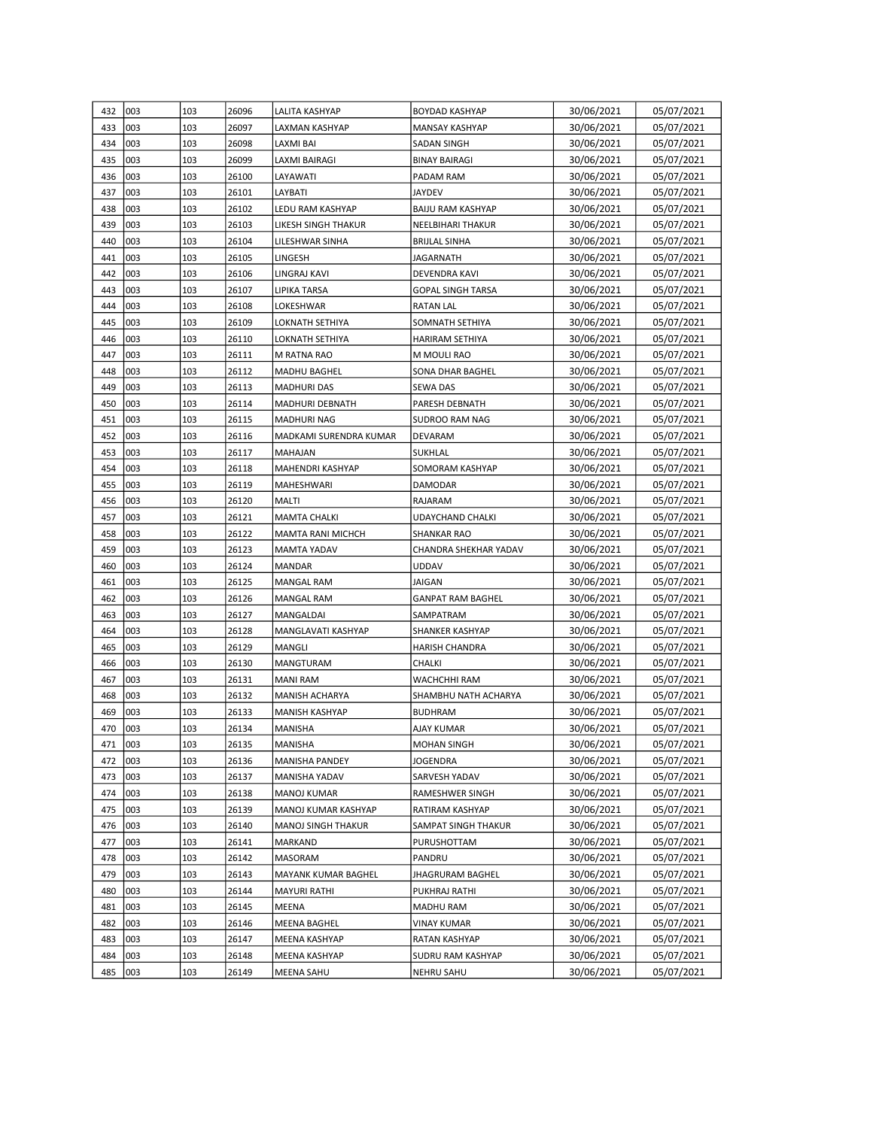| 432 | 003 | 103 | 26096 | LALITA KASHYAP           | <b>BOYDAD KASHYAP</b>    | 30/06/2021 | 05/07/2021 |
|-----|-----|-----|-------|--------------------------|--------------------------|------------|------------|
| 433 | 003 | 103 | 26097 | LAXMAN KASHYAP           | MANSAY KASHYAP           | 30/06/2021 | 05/07/2021 |
| 434 | 003 | 103 | 26098 | LAXMI BAI                | SADAN SINGH              | 30/06/2021 | 05/07/2021 |
| 435 | 003 | 103 | 26099 | LAXMI BAIRAGI            | <b>BINAY BAIRAGI</b>     | 30/06/2021 | 05/07/2021 |
| 436 | 003 | 103 | 26100 | LAYAWATI                 | PADAM RAM                | 30/06/2021 | 05/07/2021 |
| 437 | 003 | 103 | 26101 | LAYBATI                  | <b>JAYDEV</b>            | 30/06/2021 | 05/07/2021 |
| 438 | 003 | 103 | 26102 | LEDU RAM KASHYAP         | <b>BAIJU RAM KASHYAP</b> | 30/06/2021 | 05/07/2021 |
| 439 | 003 | 103 | 26103 | LIKESH SINGH THAKUR      | NEELBIHARI THAKUR        | 30/06/2021 | 05/07/2021 |
| 440 | 003 | 103 | 26104 | LILESHWAR SINHA          | <b>BRIJLAL SINHA</b>     | 30/06/2021 | 05/07/2021 |
| 441 | 003 | 103 | 26105 | LINGESH                  | JAGARNATH                | 30/06/2021 | 05/07/2021 |
| 442 | 003 | 103 | 26106 | LINGRAJ KAVI             | DEVENDRA KAVI            | 30/06/2021 | 05/07/2021 |
| 443 | 003 | 103 | 26107 | LIPIKA TARSA             | <b>GOPAL SINGH TARSA</b> | 30/06/2021 | 05/07/2021 |
| 444 | 003 | 103 | 26108 | LOKESHWAR                | <b>RATAN LAL</b>         | 30/06/2021 | 05/07/2021 |
| 445 | 003 | 103 | 26109 | LOKNATH SETHIYA          | SOMNATH SETHIYA          | 30/06/2021 | 05/07/2021 |
| 446 | 003 | 103 | 26110 | LOKNATH SETHIYA          | HARIRAM SETHIYA          | 30/06/2021 | 05/07/2021 |
| 447 | 003 | 103 | 26111 | M RATNA RAO              | M MOULI RAO              | 30/06/2021 | 05/07/2021 |
| 448 | 003 | 103 | 26112 | MADHU BAGHEL             | SONA DHAR BAGHEL         | 30/06/2021 | 05/07/2021 |
| 449 | 003 | 103 | 26113 | <b>MADHURI DAS</b>       | SEWA DAS                 | 30/06/2021 | 05/07/2021 |
| 450 | 003 | 103 | 26114 | <b>MADHURI DEBNATH</b>   | <b>PARESH DEBNATH</b>    | 30/06/2021 | 05/07/2021 |
| 451 | 003 | 103 | 26115 | <b>MADHURI NAG</b>       | SUDROO RAM NAG           | 30/06/2021 | 05/07/2021 |
| 452 | 003 | 103 | 26116 | MADKAMI SURENDRA KUMAR   | <b>DEVARAM</b>           | 30/06/2021 | 05/07/2021 |
| 453 | 003 | 103 | 26117 | MAHAJAN                  | SUKHLAL                  | 30/06/2021 | 05/07/2021 |
| 454 | 003 | 103 | 26118 | MAHENDRI KASHYAP         | SOMORAM KASHYAP          | 30/06/2021 | 05/07/2021 |
| 455 | 003 | 103 | 26119 | MAHESHWARI               | DAMODAR                  | 30/06/2021 | 05/07/2021 |
| 456 | 003 | 103 | 26120 | MALTI                    | RAJARAM                  | 30/06/2021 | 05/07/2021 |
| 457 | 003 | 103 | 26121 | <b>MAMTA CHALKI</b>      | <b>UDAYCHAND CHALKI</b>  | 30/06/2021 | 05/07/2021 |
| 458 | 003 | 103 | 26122 | <b>MAMTA RANI MICHCH</b> | <b>SHANKAR RAO</b>       | 30/06/2021 | 05/07/2021 |
| 459 | 003 | 103 | 26123 | MAMTA YADAV              | CHANDRA SHEKHAR YADAV    | 30/06/2021 | 05/07/2021 |
| 460 | 003 | 103 | 26124 | <b>MANDAR</b>            | UDDAV                    | 30/06/2021 | 05/07/2021 |
| 461 | 003 | 103 | 26125 | MANGAL RAM               | JAIGAN                   | 30/06/2021 | 05/07/2021 |
| 462 | 003 | 103 | 26126 | MANGAL RAM               | <b>GANPAT RAM BAGHEL</b> | 30/06/2021 | 05/07/2021 |
| 463 | 003 | 103 | 26127 | MANGALDAI                | SAMPATRAM                | 30/06/2021 | 05/07/2021 |
| 464 | 003 | 103 | 26128 | MANGLAVATI KASHYAP       | SHANKER KASHYAP          | 30/06/2021 | 05/07/2021 |
| 465 | 003 | 103 | 26129 | MANGLI                   | HARISH CHANDRA           | 30/06/2021 | 05/07/2021 |
| 466 | 003 | 103 | 26130 | MANGTURAM                | CHALKI                   | 30/06/2021 | 05/07/2021 |
| 467 | 003 | 103 | 26131 | <b>MANI RAM</b>          | WACHCHHI RAM             | 30/06/2021 | 05/07/2021 |
| 468 | 003 | 103 | 26132 | MANISH ACHARYA           | SHAMBHU NATH ACHARYA     | 30/06/2021 | 05/07/2021 |
| 469 | 003 | 103 | 26133 | <b>MANISH KASHYAP</b>    | <b>BUDHRAM</b>           | 30/06/2021 | 05/07/2021 |
| 470 | 003 | 103 | 26134 | MANISHA                  | <b>AJAY KUMAR</b>        | 30/06/2021 | 05/07/2021 |
| 471 | 003 | 103 | 26135 | MANISHA                  | MOHAN SINGH              | 30/06/2021 | 05/07/2021 |
| 472 | 003 | 103 | 26136 | <b>MANISHA PANDEY</b>    | JOGENDRA                 | 30/06/2021 | 05/07/2021 |
| 473 | 003 | 103 | 26137 | MANISHA YADAV            | SARVESH YADAV            | 30/06/2021 | 05/07/2021 |
| 474 | 003 | 103 | 26138 | <b>MANOJ KUMAR</b>       | RAMESHWER SINGH          | 30/06/2021 | 05/07/2021 |
| 475 | 003 | 103 | 26139 | MANOJ KUMAR KASHYAP      | RATIRAM KASHYAP          | 30/06/2021 | 05/07/2021 |
| 476 | 003 | 103 | 26140 | MANOJ SINGH THAKUR       | SAMPAT SINGH THAKUR      | 30/06/2021 | 05/07/2021 |
| 477 | 003 | 103 | 26141 | MARKAND                  | PURUSHOTTAM              | 30/06/2021 | 05/07/2021 |
| 478 | 003 | 103 | 26142 | MASORAM                  | PANDRU                   | 30/06/2021 | 05/07/2021 |
| 479 | 003 | 103 | 26143 | MAYANK KUMAR BAGHEL      | JHAGRURAM BAGHEL         | 30/06/2021 | 05/07/2021 |
| 480 | 003 | 103 | 26144 | MAYURI RATHI             | PUKHRAJ RATHI            | 30/06/2021 | 05/07/2021 |
| 481 | 003 | 103 | 26145 | MEENA                    | MADHU RAM                | 30/06/2021 | 05/07/2021 |
| 482 | 003 | 103 | 26146 | <b>MEENA BAGHEL</b>      | VINAY KUMAR              | 30/06/2021 | 05/07/2021 |
| 483 | 003 | 103 | 26147 | MEENA KASHYAP            | RATAN KASHYAP            | 30/06/2021 | 05/07/2021 |
| 484 | 003 | 103 | 26148 | MEENA KASHYAP            | SUDRU RAM KASHYAP        | 30/06/2021 | 05/07/2021 |
|     |     |     |       |                          |                          |            |            |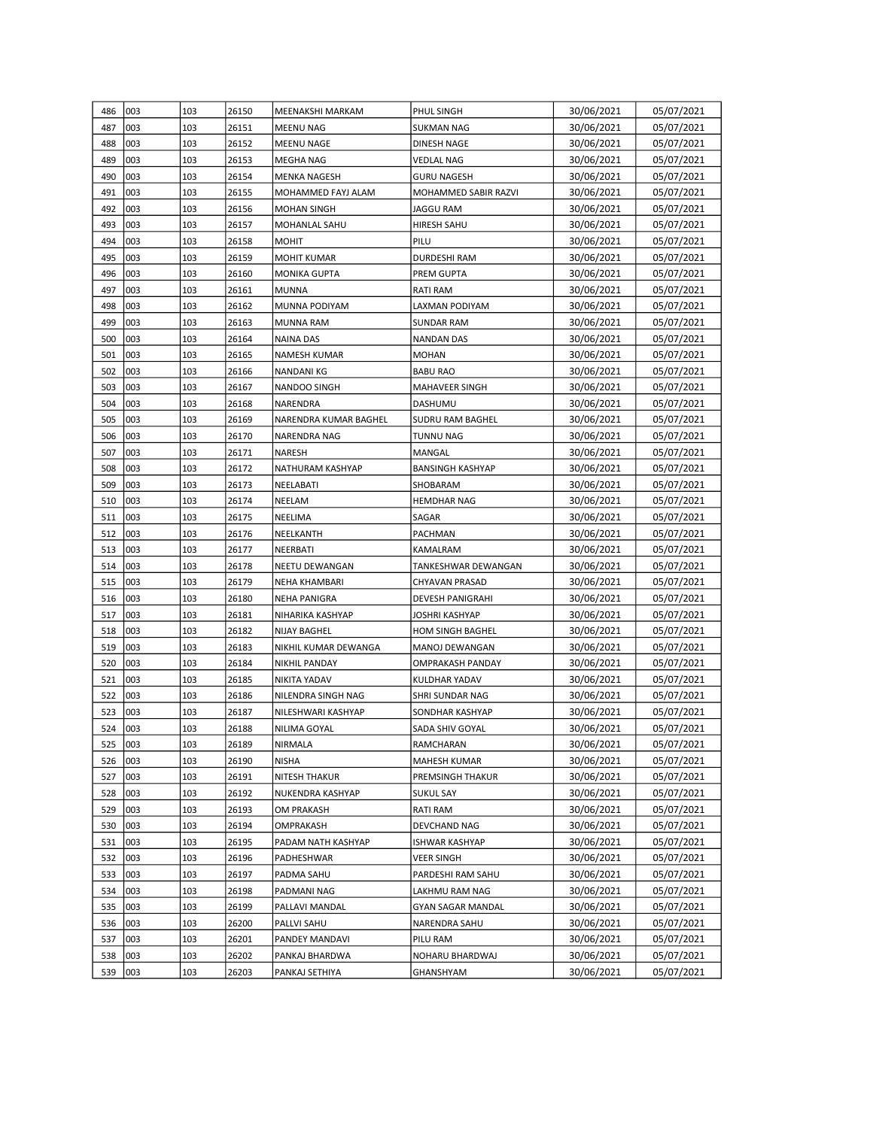| 486       | 003 | 103 | 26150 | MEENAKSHI MARKAM      | PHUL SINGH               | 30/06/2021 | 05/07/2021 |
|-----------|-----|-----|-------|-----------------------|--------------------------|------------|------------|
| 487       | 003 | 103 | 26151 | MEENU NAG             | <b>SUKMAN NAG</b>        | 30/06/2021 | 05/07/2021 |
| 488       | 003 | 103 | 26152 | MEENU NAGE            | <b>DINESH NAGE</b>       | 30/06/2021 | 05/07/2021 |
| 489       | 003 | 103 | 26153 | MEGHA NAG             | <b>VEDLAL NAG</b>        | 30/06/2021 | 05/07/2021 |
| 490       | 003 | 103 | 26154 | <b>MENKA NAGESH</b>   | <b>GURU NAGESH</b>       | 30/06/2021 | 05/07/2021 |
| 491       | 003 | 103 | 26155 | MOHAMMED FAYJ ALAM    | MOHAMMED SABIR RAZVI     | 30/06/2021 | 05/07/2021 |
| 492       | 003 | 103 | 26156 | <b>MOHAN SINGH</b>    | <b>JAGGU RAM</b>         | 30/06/2021 | 05/07/2021 |
| 493       | 003 | 103 | 26157 | MOHANLAL SAHU         | HIRESH SAHU              | 30/06/2021 | 05/07/2021 |
| 494       | 003 | 103 | 26158 | <b>MOHIT</b>          | PILU                     | 30/06/2021 | 05/07/2021 |
| 495       | 003 | 103 | 26159 | <b>MOHIT KUMAR</b>    | DURDESHI RAM             | 30/06/2021 | 05/07/2021 |
| 496       | 003 | 103 | 26160 | MONIKA GUPTA          | PREM GUPTA               | 30/06/2021 | 05/07/2021 |
| 497       | 003 | 103 | 26161 | <b>MUNNA</b>          | RATI RAM                 | 30/06/2021 | 05/07/2021 |
| 498       | 003 | 103 | 26162 | MUNNA PODIYAM         | LAXMAN PODIYAM           | 30/06/2021 | 05/07/2021 |
| 499       | 003 | 103 | 26163 | MUNNA RAM             | <b>SUNDAR RAM</b>        | 30/06/2021 | 05/07/2021 |
| 500       | 003 | 103 | 26164 | NAINA DAS             | <b>NANDAN DAS</b>        | 30/06/2021 | 05/07/2021 |
| 501       | 003 | 103 | 26165 | <b>NAMESH KUMAR</b>   | <b>MOHAN</b>             | 30/06/2021 | 05/07/2021 |
| 502       | 003 | 103 | 26166 | NANDANI KG            | <b>BABU RAO</b>          | 30/06/2021 | 05/07/2021 |
| 503       | 003 | 103 | 26167 | NANDOO SINGH          | <b>MAHAVEER SINGH</b>    | 30/06/2021 | 05/07/2021 |
| 504       | 003 | 103 | 26168 | NARENDRA              | DASHUMU                  | 30/06/2021 | 05/07/2021 |
| 505       | 003 | 103 | 26169 | NARENDRA KUMAR BAGHEL | SUDRU RAM BAGHEL         | 30/06/2021 | 05/07/2021 |
| 506       | 003 | 103 | 26170 | NARENDRA NAG          | TUNNU NAG                | 30/06/2021 | 05/07/2021 |
| 507       | 003 | 103 | 26171 | NARESH                | MANGAL                   | 30/06/2021 | 05/07/2021 |
| 508       | 003 | 103 | 26172 | NATHURAM KASHYAP      | <b>BANSINGH KASHYAP</b>  | 30/06/2021 | 05/07/2021 |
| 509       | 003 | 103 | 26173 | NEELABATI             | SHOBARAM                 | 30/06/2021 | 05/07/2021 |
| 510       | 003 | 103 | 26174 | NEELAM                | <b>HEMDHAR NAG</b>       | 30/06/2021 | 05/07/2021 |
| 511       | 003 | 103 | 26175 | NEELIMA               | SAGAR                    | 30/06/2021 | 05/07/2021 |
| 512       | 003 | 103 | 26176 | NEELKANTH             | PACHMAN                  | 30/06/2021 | 05/07/2021 |
| 513       | 003 | 103 | 26177 | NEERBATI              | KAMALRAM                 | 30/06/2021 | 05/07/2021 |
| 514       | 003 | 103 | 26178 | NEETU DEWANGAN        | TANKESHWAR DEWANGAN      | 30/06/2021 | 05/07/2021 |
| 515       | 003 | 103 | 26179 | NEHA KHAMBARI         | CHYAVAN PRASAD           | 30/06/2021 | 05/07/2021 |
| 516       | 003 | 103 | 26180 | NEHA PANIGRA          | DEVESH PANIGRAHI         | 30/06/2021 | 05/07/2021 |
| 517       | 003 | 103 | 26181 | NIHARIKA KASHYAP      | JOSHRI KASHYAP           | 30/06/2021 | 05/07/2021 |
| 518       | 003 | 103 | 26182 | NIJAY BAGHEL          | HOM SINGH BAGHEL         | 30/06/2021 | 05/07/2021 |
| 519       | 003 | 103 | 26183 | NIKHIL KUMAR DEWANGA  | MANOJ DEWANGAN           | 30/06/2021 | 05/07/2021 |
| 520       | 003 | 103 | 26184 | <b>NIKHIL PANDAY</b>  | <b>OMPRAKASH PANDAY</b>  | 30/06/2021 | 05/07/2021 |
| 521       | 003 | 103 | 26185 | NIKITA YADAV          | KULDHAR YADAV            | 30/06/2021 | 05/07/2021 |
| 522       | 003 | 103 | 26186 | NILENDRA SINGH NAG    | SHRI SUNDAR NAG          | 30/06/2021 | 05/07/2021 |
| 523       | 003 | 103 | 26187 | NILESHWARI KASHYAP    | SONDHAR KASHYAP          | 30/06/2021 | 05/07/2021 |
| 524       | 003 | 103 | 26188 | NILIMA GOYAL          | SADA SHIV GOYAL          | 30/06/2021 | 05/07/2021 |
| 525   003 |     | 103 | 26189 | <b>NIRMALA</b>        | RAMCHARAN                | 30/06/2021 | 05/07/2021 |
| 526       | 003 | 103 | 26190 | NISHA                 | MAHESH KUMAR             | 30/06/2021 | 05/07/2021 |
| 527       | 003 | 103 | 26191 | NITESH THAKUR         | PREMSINGH THAKUR         | 30/06/2021 | 05/07/2021 |
| 528       | 003 | 103 | 26192 | NUKENDRA KASHYAP      | <b>SUKUL SAY</b>         | 30/06/2021 | 05/07/2021 |
| 529       | 003 | 103 | 26193 | OM PRAKASH            | RATI RAM                 | 30/06/2021 | 05/07/2021 |
| 530       | 003 | 103 | 26194 | OMPRAKASH             | DEVCHAND NAG             | 30/06/2021 | 05/07/2021 |
| 531       | 003 | 103 | 26195 | PADAM NATH KASHYAP    | ISHWAR KASHYAP           | 30/06/2021 | 05/07/2021 |
| 532       | 003 | 103 | 26196 | PADHESHWAR            | <b>VEER SINGH</b>        | 30/06/2021 | 05/07/2021 |
| 533       | 003 | 103 | 26197 | PADMA SAHU            | PARDESHI RAM SAHU        | 30/06/2021 | 05/07/2021 |
| 534       | 003 | 103 | 26198 | PADMANI NAG           | LAKHMU RAM NAG           | 30/06/2021 | 05/07/2021 |
| 535       | 003 | 103 | 26199 | PALLAVI MANDAL        | <b>GYAN SAGAR MANDAL</b> | 30/06/2021 | 05/07/2021 |
| 536       | 003 | 103 | 26200 | PALLVI SAHU           | NARENDRA SAHU            | 30/06/2021 | 05/07/2021 |
| 537       | 003 | 103 | 26201 | PANDEY MANDAVI        | PILU RAM                 | 30/06/2021 | 05/07/2021 |
| 538       | 003 | 103 | 26202 | PANKAJ BHARDWA        | NOHARU BHARDWAJ          | 30/06/2021 | 05/07/2021 |
| 539       | 003 | 103 | 26203 | PANKAJ SETHIYA        | GHANSHYAM                | 30/06/2021 | 05/07/2021 |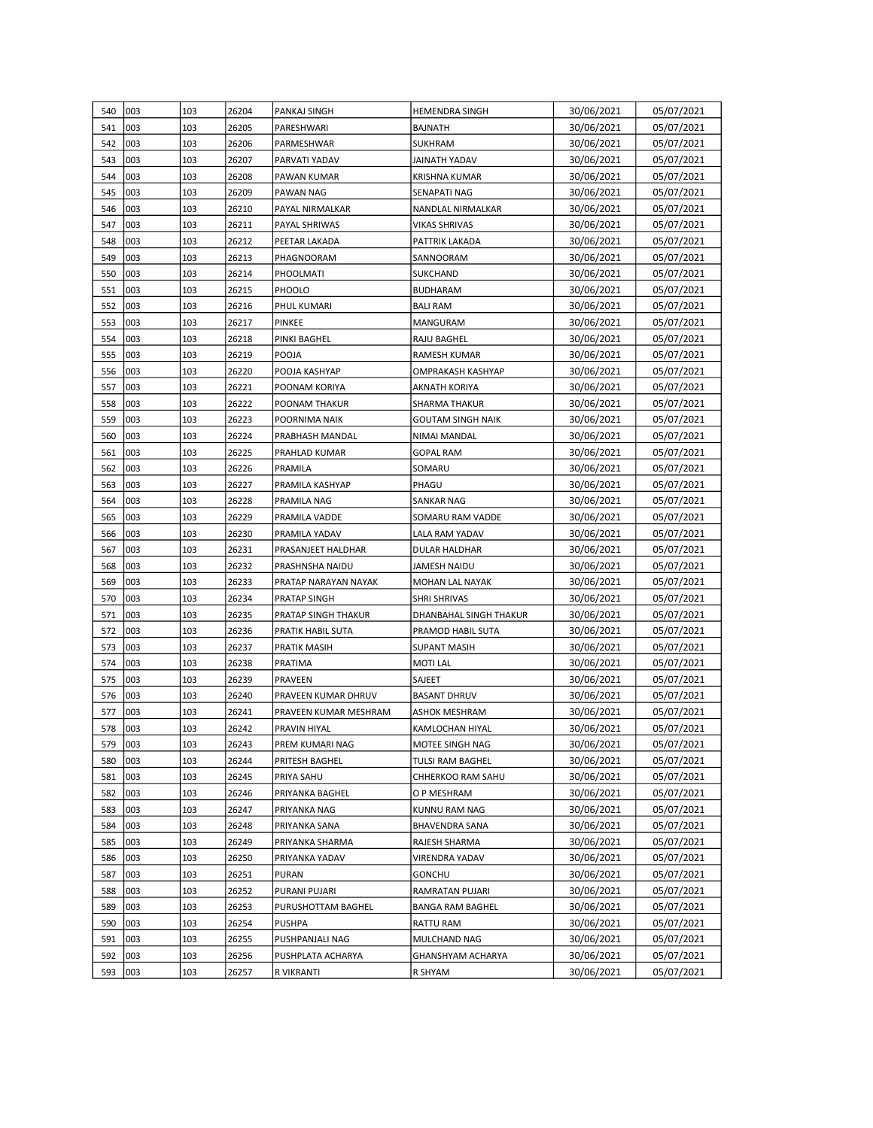| 540 | 003 | 103 | 26204 | PANKAJ SINGH          | <b>HEMENDRA SINGH</b>    | 30/06/2021 | 05/07/2021 |
|-----|-----|-----|-------|-----------------------|--------------------------|------------|------------|
| 541 | 003 | 103 | 26205 | PARESHWARI            | <b>BAJNATH</b>           | 30/06/2021 | 05/07/2021 |
| 542 | 003 | 103 | 26206 | PARMESHWAR            | <b>SUKHRAM</b>           | 30/06/2021 | 05/07/2021 |
| 543 | 003 | 103 | 26207 | PARVATI YADAV         | <b>JAINATH YADAV</b>     | 30/06/2021 | 05/07/2021 |
| 544 | 003 | 103 | 26208 | PAWAN KUMAR           | <b>KRISHNA KUMAR</b>     | 30/06/2021 | 05/07/2021 |
| 545 | 003 | 103 | 26209 | PAWAN NAG             | <b>SENAPATI NAG</b>      | 30/06/2021 | 05/07/2021 |
| 546 | 003 | 103 | 26210 | PAYAL NIRMALKAR       | NANDLAL NIRMALKAR        | 30/06/2021 | 05/07/2021 |
| 547 | 003 | 103 | 26211 | PAYAL SHRIWAS         | <b>VIKAS SHRIVAS</b>     | 30/06/2021 | 05/07/2021 |
| 548 | 003 | 103 | 26212 | PEETAR LAKADA         | PATTRIK LAKADA           | 30/06/2021 | 05/07/2021 |
| 549 | 003 | 103 | 26213 | PHAGNOORAM            | SANNOORAM                | 30/06/2021 | 05/07/2021 |
| 550 | 003 | 103 | 26214 | PHOOLMATI             | <b>SUKCHAND</b>          | 30/06/2021 | 05/07/2021 |
| 551 | 003 | 103 | 26215 | PHOOLO                | <b>BUDHARAM</b>          | 30/06/2021 | 05/07/2021 |
| 552 | 003 | 103 | 26216 | PHUL KUMARI           | <b>BALI RAM</b>          | 30/06/2021 | 05/07/2021 |
| 553 | 003 | 103 | 26217 | PINKEE                | MANGURAM                 | 30/06/2021 | 05/07/2021 |
| 554 | 003 | 103 | 26218 | PINKI BAGHEL          | RAJU BAGHEL              | 30/06/2021 | 05/07/2021 |
| 555 | 003 | 103 | 26219 | POOJA                 | <b>RAMESH KUMAR</b>      | 30/06/2021 | 05/07/2021 |
| 556 | 003 | 103 | 26220 | POOJA KASHYAP         | OMPRAKASH KASHYAP        | 30/06/2021 | 05/07/2021 |
| 557 | 003 | 103 | 26221 | POONAM KORIYA         | AKNATH KORIYA            | 30/06/2021 | 05/07/2021 |
| 558 | 003 | 103 | 26222 | POONAM THAKUR         | <b>SHARMA THAKUR</b>     | 30/06/2021 | 05/07/2021 |
| 559 | 003 | 103 | 26223 | POORNIMA NAIK         | <b>GOUTAM SINGH NAIK</b> | 30/06/2021 | 05/07/2021 |
| 560 | 003 | 103 | 26224 | PRABHASH MANDAL       | NIMAI MANDAL             | 30/06/2021 | 05/07/2021 |
| 561 | 003 | 103 | 26225 | PRAHLAD KUMAR         | <b>GOPAL RAM</b>         | 30/06/2021 | 05/07/2021 |
| 562 | 003 | 103 | 26226 | PRAMILA               | SOMARU                   | 30/06/2021 | 05/07/2021 |
| 563 | 003 | 103 | 26227 | PRAMILA KASHYAP       | PHAGU                    | 30/06/2021 | 05/07/2021 |
| 564 | 003 | 103 | 26228 | PRAMILA NAG           | <b>SANKAR NAG</b>        | 30/06/2021 | 05/07/2021 |
| 565 | 003 | 103 | 26229 | PRAMILA VADDE         | <b>SOMARU RAM VADDE</b>  | 30/06/2021 | 05/07/2021 |
| 566 | 003 | 103 | 26230 | PRAMILA YADAV         | LALA RAM YADAV           | 30/06/2021 | 05/07/2021 |
| 567 | 003 | 103 | 26231 | PRASANJEET HALDHAR    | DULAR HALDHAR            | 30/06/2021 | 05/07/2021 |
| 568 | 003 | 103 | 26232 | PRASHNSHA NAIDU       | <b>JAMESH NAIDU</b>      | 30/06/2021 | 05/07/2021 |
| 569 | 003 | 103 | 26233 | PRATAP NARAYAN NAYAK  | MOHAN LAL NAYAK          | 30/06/2021 | 05/07/2021 |
| 570 | 003 | 103 | 26234 | PRATAP SINGH          | <b>SHRI SHRIVAS</b>      | 30/06/2021 | 05/07/2021 |
| 571 | 003 | 103 | 26235 | PRATAP SINGH THAKUR   | DHANBAHAL SINGH THAKUR   | 30/06/2021 | 05/07/2021 |
| 572 | 003 | 103 | 26236 | PRATIK HABIL SUTA     | PRAMOD HABIL SUTA        | 30/06/2021 | 05/07/2021 |
| 573 | 003 | 103 | 26237 | PRATIK MASIH          | <b>SUPANT MASIH</b>      | 30/06/2021 | 05/07/2021 |
| 574 | 003 | 103 | 26238 | PRATIMA               | <b>MOTI LAL</b>          | 30/06/2021 | 05/07/2021 |
| 575 | 003 | 103 | 26239 | PRAVEEN               | SAJEET                   | 30/06/2021 | 05/07/2021 |
| 576 | 003 | 103 | 26240 | PRAVEEN KUMAR DHRUV   | <b>BASANT DHRUV</b>      | 30/06/2021 | 05/07/2021 |
| 577 | 003 | 103 | 26241 | PRAVEEN KUMAR MESHRAM | <b>ASHOK MESHRAM</b>     | 30/06/2021 | 05/07/2021 |
| 578 | 003 | 103 | 26242 | PRAVIN HIYAL          | KAMLOCHAN HIYAL          | 30/06/2021 | 05/07/2021 |
| 579 | 003 | 103 | 26243 | PREM KUMARI NAG       | MOTEE SINGH NAG          | 30/06/2021 | 05/07/2021 |
| 580 | 003 | 103 | 26244 | PRITESH BAGHEL        | TULSI RAM BAGHEL         | 30/06/2021 | 05/07/2021 |
| 581 | 003 | 103 | 26245 | PRIYA SAHU            | CHHERKOO RAM SAHU        | 30/06/2021 | 05/07/2021 |
| 582 | 003 | 103 | 26246 | PRIYANKA BAGHEL       | O P MESHRAM              | 30/06/2021 | 05/07/2021 |
| 583 | 003 | 103 | 26247 | PRIYANKA NAG          | <b>KUNNU RAM NAG</b>     | 30/06/2021 | 05/07/2021 |
| 584 | 003 | 103 | 26248 | PRIYANKA SANA         | <b>BHAVENDRA SANA</b>    | 30/06/2021 | 05/07/2021 |
| 585 | 003 | 103 | 26249 | PRIYANKA SHARMA       | RAJESH SHARMA            | 30/06/2021 | 05/07/2021 |
| 586 | 003 | 103 | 26250 | PRIYANKA YADAV        | VIRENDRA YADAV           | 30/06/2021 | 05/07/2021 |
| 587 | 003 | 103 | 26251 | PURAN                 | GONCHU                   | 30/06/2021 | 05/07/2021 |
| 588 | 003 | 103 | 26252 | PURANI PUJARI         | RAMRATAN PUJARI          | 30/06/2021 | 05/07/2021 |
| 589 | 003 | 103 | 26253 | PURUSHOTTAM BAGHEL    | <b>BANGA RAM BAGHEL</b>  | 30/06/2021 | 05/07/2021 |
| 590 | 003 | 103 | 26254 | PUSHPA                | RATTU RAM                | 30/06/2021 | 05/07/2021 |
| 591 | 003 | 103 | 26255 | PUSHPANJALI NAG       | MULCHAND NAG             | 30/06/2021 | 05/07/2021 |
| 592 | 003 | 103 | 26256 | PUSHPLATA ACHARYA     | GHANSHYAM ACHARYA        | 30/06/2021 | 05/07/2021 |
| 593 | 003 | 103 | 26257 | R VIKRANTI            | R SHYAM                  | 30/06/2021 | 05/07/2021 |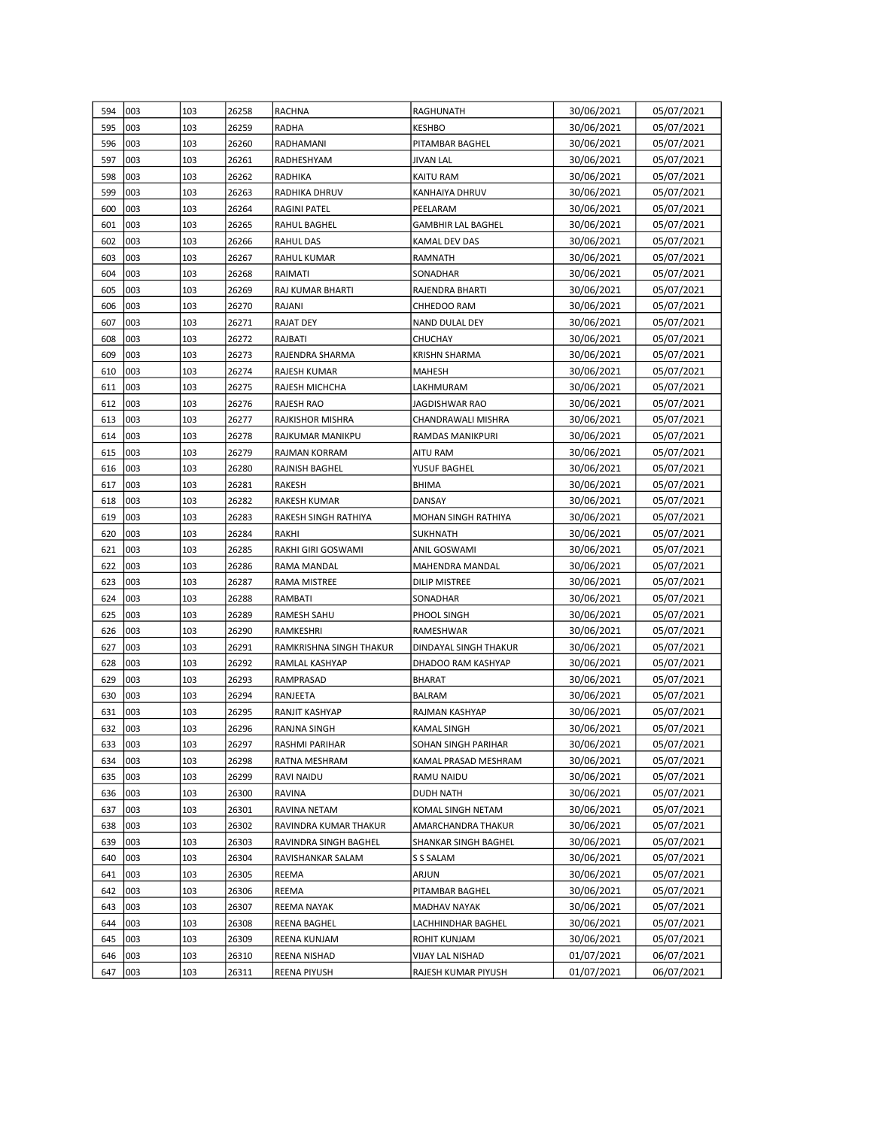| 594 | 003 | 103 | 26258 | RACHNA                  | RAGHUNATH                 | 30/06/2021 | 05/07/2021 |
|-----|-----|-----|-------|-------------------------|---------------------------|------------|------------|
| 595 | 003 | 103 | 26259 | RADHA                   | <b>KESHBO</b>             | 30/06/2021 | 05/07/2021 |
| 596 | 003 | 103 | 26260 | RADHAMANI               | PITAMBAR BAGHEL           | 30/06/2021 | 05/07/2021 |
| 597 | 003 | 103 | 26261 | RADHESHYAM              | <b>JIVAN LAL</b>          | 30/06/2021 | 05/07/2021 |
| 598 | 003 | 103 | 26262 | RADHIKA                 | <b>KAITU RAM</b>          | 30/06/2021 | 05/07/2021 |
| 599 | 003 | 103 | 26263 | RADHIKA DHRUV           | <b>KANHAIYA DHRUV</b>     | 30/06/2021 | 05/07/2021 |
| 600 | 003 | 103 | 26264 | RAGINI PATEL            | PEELARAM                  | 30/06/2021 | 05/07/2021 |
| 601 | 003 | 103 | 26265 | RAHUL BAGHEL            | <b>GAMBHIR LAL BAGHEL</b> | 30/06/2021 | 05/07/2021 |
| 602 | 003 | 103 | 26266 | RAHUL DAS               | KAMAL DEV DAS             | 30/06/2021 | 05/07/2021 |
| 603 | 003 | 103 | 26267 | RAHUL KUMAR             | RAMNATH                   | 30/06/2021 | 05/07/2021 |
| 604 | 003 | 103 | 26268 | RAIMATI                 | SONADHAR                  | 30/06/2021 | 05/07/2021 |
| 605 | 003 | 103 | 26269 | RAJ KUMAR BHARTI        | RAJENDRA BHARTI           | 30/06/2021 | 05/07/2021 |
| 606 | 003 | 103 | 26270 | RAJANI                  | CHHEDOO RAM               | 30/06/2021 | 05/07/2021 |
| 607 | 003 | 103 | 26271 | <b>RAJAT DEY</b>        | NAND DULAL DEY            | 30/06/2021 | 05/07/2021 |
| 608 | 003 | 103 | 26272 | RAJBATI                 | CHUCHAY                   | 30/06/2021 | 05/07/2021 |
| 609 | 003 | 103 | 26273 | RAJENDRA SHARMA         | <b>KRISHN SHARMA</b>      | 30/06/2021 | 05/07/2021 |
| 610 | 003 | 103 | 26274 | RAJESH KUMAR            | MAHESH                    | 30/06/2021 | 05/07/2021 |
| 611 | 003 | 103 | 26275 | RAJESH MICHCHA          | LAKHMURAM                 | 30/06/2021 | 05/07/2021 |
| 612 | 003 | 103 | 26276 | RAJESH RAO              | JAGDISHWAR RAO            | 30/06/2021 | 05/07/2021 |
| 613 | 003 | 103 | 26277 | RAJKISHOR MISHRA        | CHANDRAWALI MISHRA        | 30/06/2021 | 05/07/2021 |
| 614 | 003 | 103 | 26278 | RAJKUMAR MANIKPU        | RAMDAS MANIKPURI          | 30/06/2021 | 05/07/2021 |
| 615 | 003 | 103 | 26279 | RAJMAN KORRAM           | AITU RAM                  | 30/06/2021 | 05/07/2021 |
| 616 | 003 | 103 | 26280 | RAJNISH BAGHEL          | YUSUF BAGHEL              | 30/06/2021 | 05/07/2021 |
| 617 | 003 | 103 | 26281 | RAKESH                  | <b>BHIMA</b>              | 30/06/2021 | 05/07/2021 |
| 618 | 003 | 103 | 26282 | <b>RAKESH KUMAR</b>     | DANSAY                    | 30/06/2021 | 05/07/2021 |
| 619 | 003 | 103 | 26283 | RAKESH SINGH RATHIYA    | MOHAN SINGH RATHIYA       | 30/06/2021 | 05/07/2021 |
| 620 | 003 | 103 | 26284 | RAKHI                   | SUKHNATH                  | 30/06/2021 | 05/07/2021 |
| 621 | 003 | 103 | 26285 | RAKHI GIRI GOSWAMI      | ANIL GOSWAMI              | 30/06/2021 | 05/07/2021 |
| 622 | 003 | 103 | 26286 | RAMA MANDAL             | MAHENDRA MANDAL           | 30/06/2021 | 05/07/2021 |
| 623 | 003 | 103 | 26287 | RAMA MISTREE            | <b>DILIP MISTREE</b>      | 30/06/2021 | 05/07/2021 |
| 624 | 003 | 103 | 26288 | RAMBATI                 | SONADHAR                  | 30/06/2021 | 05/07/2021 |
| 625 | 003 | 103 | 26289 | RAMESH SAHU             | PHOOL SINGH               | 30/06/2021 | 05/07/2021 |
| 626 | 003 | 103 | 26290 | RAMKESHRI               | RAMESHWAR                 | 30/06/2021 | 05/07/2021 |
| 627 | 003 | 103 | 26291 | RAMKRISHNA SINGH THAKUR | DINDAYAL SINGH THAKUR     | 30/06/2021 | 05/07/2021 |
| 628 | 003 | 103 | 26292 | RAMLAL KASHYAP          | DHADOO RAM KASHYAP        | 30/06/2021 | 05/07/2021 |
| 629 | 003 | 103 | 26293 | RAMPRASAD               | BHARAT                    | 30/06/2021 | 05/07/2021 |
| 630 | 003 | 103 | 26294 | RANJEETA                | BALRAM                    | 30/06/2021 | 05/07/2021 |
| 631 | 003 | 103 | 26295 | RANJIT KASHYAP          | RAJMAN KASHYAP            | 30/06/2021 | 05/07/2021 |
| 632 | 003 | 103 | 26296 | RANJNA SINGH            | <b>KAMAL SINGH</b>        | 30/06/2021 | 05/07/2021 |
| 633 | 003 | 103 | 26297 | RASHMI PARIHAR          | SOHAN SINGH PARIHAR       | 30/06/2021 | 05/07/2021 |
| 634 | 003 | 103 | 26298 | RATNA MESHRAM           | KAMAL PRASAD MESHRAM      | 30/06/2021 | 05/07/2021 |
| 635 | 003 | 103 | 26299 | RAVI NAIDU              | RAMU NAIDU                | 30/06/2021 | 05/07/2021 |
| 636 | 003 | 103 | 26300 | RAVINA                  | DUDH NATH                 | 30/06/2021 | 05/07/2021 |
| 637 | 003 | 103 | 26301 | RAVINA NETAM            | KOMAL SINGH NETAM         | 30/06/2021 | 05/07/2021 |
| 638 | 003 | 103 | 26302 | RAVINDRA KUMAR THAKUR   | AMARCHANDRA THAKUR        | 30/06/2021 | 05/07/2021 |
| 639 | 003 | 103 | 26303 | RAVINDRA SINGH BAGHEL   | SHANKAR SINGH BAGHEL      | 30/06/2021 | 05/07/2021 |
| 640 | 003 | 103 | 26304 | RAVISHANKAR SALAM       | S S SALAM                 | 30/06/2021 | 05/07/2021 |
| 641 | 003 | 103 | 26305 | REEMA                   | <b>ARJUN</b>              | 30/06/2021 | 05/07/2021 |
| 642 | 003 | 103 | 26306 | REEMA                   | PITAMBAR BAGHEL           | 30/06/2021 | 05/07/2021 |
| 643 | 003 | 103 | 26307 | REEMA NAYAK             | <b>MADHAV NAYAK</b>       | 30/06/2021 | 05/07/2021 |
| 644 | 003 | 103 | 26308 | REENA BAGHEL            | LACHHINDHAR BAGHEL        | 30/06/2021 | 05/07/2021 |
| 645 | 003 | 103 | 26309 | REENA KUNJAM            | ROHIT KUNJAM              | 30/06/2021 | 05/07/2021 |
| 646 | 003 | 103 | 26310 | REENA NISHAD            | VIJAY LAL NISHAD          | 01/07/2021 | 06/07/2021 |
| 647 | 003 | 103 | 26311 | REENA PIYUSH            | RAJESH KUMAR PIYUSH       | 01/07/2021 | 06/07/2021 |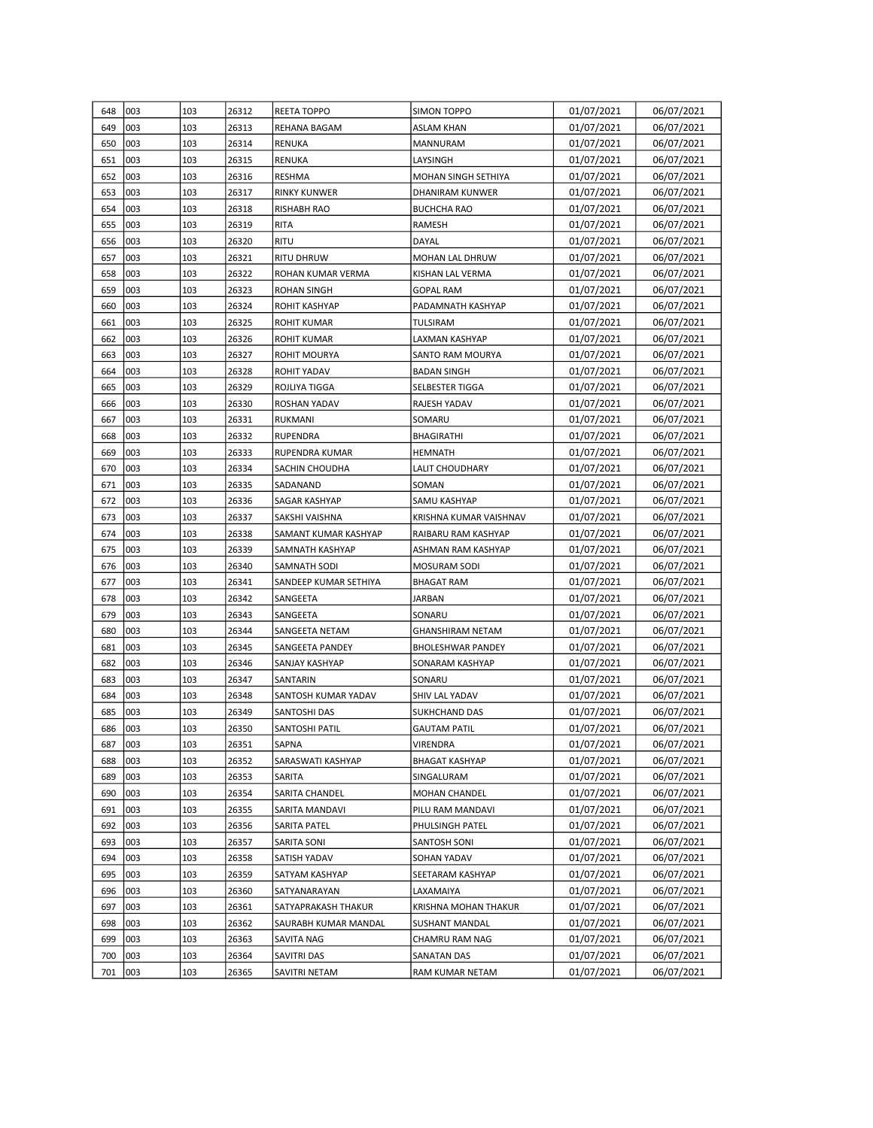| 648 | 003  | 103 | 26312 | <b>REETA TOPPO</b>    | SIMON TOPPO              | 01/07/2021 | 06/07/2021 |
|-----|------|-----|-------|-----------------------|--------------------------|------------|------------|
| 649 | 003  | 103 | 26313 | REHANA BAGAM          | <b>ASLAM KHAN</b>        | 01/07/2021 | 06/07/2021 |
| 650 | 003  | 103 | 26314 | <b>RENUKA</b>         | MANNURAM                 | 01/07/2021 | 06/07/2021 |
| 651 | 003  | 103 | 26315 | <b>RENUKA</b>         | LAYSINGH                 | 01/07/2021 | 06/07/2021 |
| 652 | 003  | 103 | 26316 | RESHMA                | MOHAN SINGH SETHIYA      | 01/07/2021 | 06/07/2021 |
| 653 | 003  | 103 | 26317 | <b>RINKY KUNWER</b>   | DHANIRAM KUNWER          | 01/07/2021 | 06/07/2021 |
| 654 | 003  | 103 | 26318 | RISHABH RAO           | <b>BUCHCHA RAO</b>       | 01/07/2021 | 06/07/2021 |
| 655 | 003  | 103 | 26319 | RITA                  | RAMESH                   | 01/07/2021 | 06/07/2021 |
| 656 | 003  | 103 | 26320 | RITU                  | DAYAL                    | 01/07/2021 | 06/07/2021 |
| 657 | 003  | 103 | 26321 | RITU DHRUW            | <b>MOHAN LAL DHRUW</b>   | 01/07/2021 | 06/07/2021 |
| 658 | 003  | 103 | 26322 | ROHAN KUMAR VERMA     | KISHAN LAL VERMA         | 01/07/2021 | 06/07/2021 |
| 659 | 003  | 103 | 26323 | ROHAN SINGH           | <b>GOPAL RAM</b>         | 01/07/2021 | 06/07/2021 |
| 660 | 003  | 103 | 26324 | ROHIT KASHYAP         | PADAMNATH KASHYAP        | 01/07/2021 | 06/07/2021 |
| 661 | 003  | 103 | 26325 | ROHIT KUMAR           | TULSIRAM                 | 01/07/2021 | 06/07/2021 |
| 662 | 003  | 103 | 26326 | ROHIT KUMAR           | LAXMAN KASHYAP           | 01/07/2021 | 06/07/2021 |
| 663 | 003  | 103 | 26327 | ROHIT MOURYA          | SANTO RAM MOURYA         | 01/07/2021 | 06/07/2021 |
| 664 | 003  | 103 | 26328 | ROHIT YADAV           | <b>BADAN SINGH</b>       | 01/07/2021 | 06/07/2021 |
| 665 | 003  | 103 | 26329 | ROJLIYA TIGGA         | <b>SELBESTER TIGGA</b>   | 01/07/2021 | 06/07/2021 |
| 666 | 003  | 103 | 26330 | ROSHAN YADAV          | <b>RAJESH YADAV</b>      | 01/07/2021 | 06/07/2021 |
| 667 | 003  | 103 | 26331 | <b>RUKMANI</b>        | SOMARU                   | 01/07/2021 | 06/07/2021 |
| 668 | 003  | 103 | 26332 | <b>RUPENDRA</b>       | <b>BHAGIRATHI</b>        | 01/07/2021 | 06/07/2021 |
| 669 | 003  | 103 | 26333 | RUPENDRA KUMAR        | <b>HEMNATH</b>           | 01/07/2021 | 06/07/2021 |
| 670 | 003  | 103 | 26334 | SACHIN CHOUDHA        | <b>LALIT CHOUDHARY</b>   | 01/07/2021 | 06/07/2021 |
| 671 | 003  | 103 | 26335 | SADANAND              | SOMAN                    | 01/07/2021 | 06/07/2021 |
| 672 | 003  | 103 | 26336 | SAGAR KASHYAP         | SAMU KASHYAP             | 01/07/2021 | 06/07/2021 |
| 673 | 1003 | 103 | 26337 | SAKSHI VAISHNA        | KRISHNA KUMAR VAISHNAV   | 01/07/2021 | 06/07/2021 |
| 674 | 003  | 103 | 26338 | SAMANT KUMAR KASHYAP  | RAIBARU RAM KASHYAP      | 01/07/2021 | 06/07/2021 |
| 675 | 003  | 103 | 26339 | SAMNATH KASHYAP       | ASHMAN RAM KASHYAP       | 01/07/2021 | 06/07/2021 |
| 676 | 003  | 103 | 26340 | SAMNATH SODI          | <b>MOSURAM SODI</b>      | 01/07/2021 | 06/07/2021 |
| 677 | 003  | 103 | 26341 | SANDEEP KUMAR SETHIYA | <b>BHAGAT RAM</b>        | 01/07/2021 | 06/07/2021 |
| 678 | 003  | 103 | 26342 | SANGEETA              | JARBAN                   | 01/07/2021 | 06/07/2021 |
| 679 | 003  | 103 | 26343 | SANGEETA              | SONARU                   | 01/07/2021 | 06/07/2021 |
| 680 | 003  | 103 | 26344 | SANGEETA NETAM        | <b>GHANSHIRAM NETAM</b>  | 01/07/2021 | 06/07/2021 |
| 681 | 003  | 103 | 26345 | SANGEETA PANDEY       | <b>BHOLESHWAR PANDEY</b> | 01/07/2021 | 06/07/2021 |
| 682 | 003  | 103 | 26346 | SANJAY KASHYAP        | SONARAM KASHYAP          | 01/07/2021 | 06/07/2021 |
| 683 | 003  | 103 | 26347 | SANTARIN              | SONARU                   | 01/07/2021 | 06/07/2021 |
| 684 | 003  | 103 | 26348 | SANTOSH KUMAR YADAV   | SHIV LAL YADAV           | 01/07/2021 | 06/07/2021 |
| 685 | 003  | 103 | 26349 | SANTOSHI DAS          | <b>SUKHCHAND DAS</b>     | 01/07/2021 | 06/07/2021 |
| 686 | 003  | 103 | 26350 | SANTOSHI PATIL        | <b>GAUTAM PATIL</b>      | 01/07/2021 | 06/07/2021 |
| 687 | 003  | 103 | 26351 | SAPNA                 | VIRENDRA                 | 01/07/2021 | 06/07/2021 |
| 688 | 003  | 103 | 26352 | SARASWATI KASHYAP     | <b>BHAGAT KASHYAP</b>    | 01/07/2021 | 06/07/2021 |
| 689 | 003  | 103 | 26353 | SARITA                | SINGALURAM               | 01/07/2021 | 06/07/2021 |
| 690 | 003  | 103 | 26354 | SARITA CHANDEL        | MOHAN CHANDEL            | 01/07/2021 | 06/07/2021 |
| 691 | 003  | 103 | 26355 | SARITA MANDAVI        | PILU RAM MANDAVI         | 01/07/2021 | 06/07/2021 |
| 692 | 003  | 103 | 26356 | SARITA PATEL          | PHULSINGH PATEL          | 01/07/2021 | 06/07/2021 |
| 693 | 003  | 103 | 26357 | SARITA SONI           | SANTOSH SONI             | 01/07/2021 | 06/07/2021 |
| 694 | 003  | 103 | 26358 | SATISH YADAV          | SOHAN YADAV              | 01/07/2021 | 06/07/2021 |
| 695 | 003  | 103 | 26359 | SATYAM KASHYAP        | SEETARAM KASHYAP         | 01/07/2021 | 06/07/2021 |
| 696 | 003  | 103 | 26360 | SATYANARAYAN          | LAXAMAIYA                | 01/07/2021 | 06/07/2021 |
| 697 | 003  | 103 | 26361 | SATYAPRAKASH THAKUR   | KRISHNA MOHAN THAKUR     | 01/07/2021 | 06/07/2021 |
| 698 | 003  | 103 | 26362 | SAURABH KUMAR MANDAL  | SUSHANT MANDAL           | 01/07/2021 | 06/07/2021 |
| 699 | 003  | 103 | 26363 | SAVITA NAG            | CHAMRU RAM NAG           | 01/07/2021 | 06/07/2021 |
| 700 | 003  | 103 | 26364 | SAVITRI DAS           | <b>SANATAN DAS</b>       | 01/07/2021 | 06/07/2021 |
| 701 | 003  | 103 | 26365 | SAVITRI NETAM         | RAM KUMAR NETAM          | 01/07/2021 | 06/07/2021 |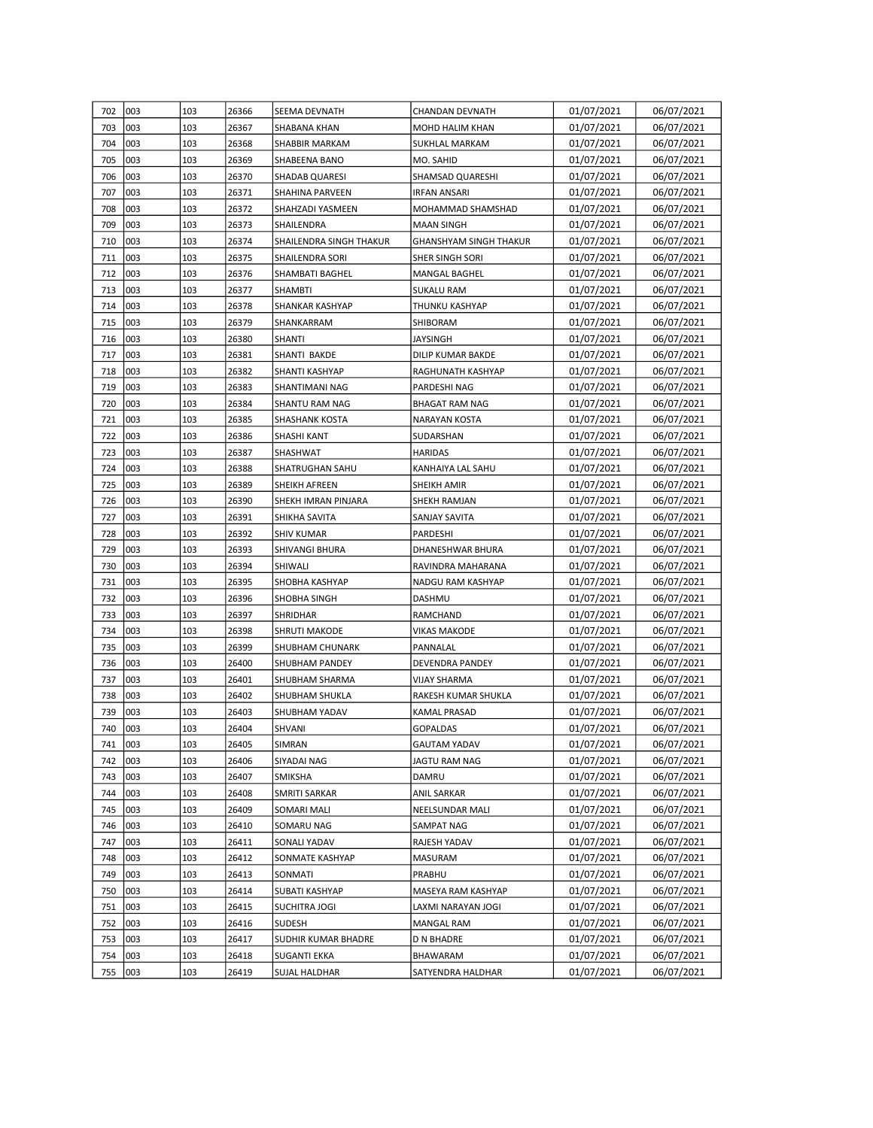| 702 | 003  | 103 | 26366 | SEEMA DEVNATH           | CHANDAN DEVNATH               | 01/07/2021 | 06/07/2021 |
|-----|------|-----|-------|-------------------------|-------------------------------|------------|------------|
| 703 | 003  | 103 | 26367 | SHABANA KHAN            | <b>MOHD HALIM KHAN</b>        | 01/07/2021 | 06/07/2021 |
| 704 | 003  | 103 | 26368 | SHABBIR MARKAM          | SUKHLAL MARKAM                | 01/07/2021 | 06/07/2021 |
| 705 | 003  | 103 | 26369 | SHABEENA BANO           | MO. SAHID                     | 01/07/2021 | 06/07/2021 |
| 706 | 003  | 103 | 26370 | <b>SHADAB QUARESI</b>   | SHAMSAD QUARESHI              | 01/07/2021 | 06/07/2021 |
| 707 | 003  | 103 | 26371 | SHAHINA PARVEEN         | <b>IRFAN ANSARI</b>           | 01/07/2021 | 06/07/2021 |
| 708 | 003  | 103 | 26372 | SHAHZADI YASMEEN        | MOHAMMAD SHAMSHAD             | 01/07/2021 | 06/07/2021 |
| 709 | 003  | 103 | 26373 | SHAILENDRA              | <b>MAAN SINGH</b>             | 01/07/2021 | 06/07/2021 |
| 710 | 003  | 103 | 26374 | SHAILENDRA SINGH THAKUR | <b>GHANSHYAM SINGH THAKUR</b> | 01/07/2021 | 06/07/2021 |
| 711 | 003  | 103 | 26375 | SHAILENDRA SORI         | SHER SINGH SORI               | 01/07/2021 | 06/07/2021 |
| 712 | 003  | 103 | 26376 | SHAMBATI BAGHEL         | MANGAL BAGHEL                 | 01/07/2021 | 06/07/2021 |
| 713 | 003  | 103 | 26377 | SHAMBTI                 | SUKALU RAM                    | 01/07/2021 | 06/07/2021 |
| 714 | 003  | 103 | 26378 | SHANKAR KASHYAP         | THUNKU KASHYAP                | 01/07/2021 | 06/07/2021 |
| 715 | 003  | 103 | 26379 | SHANKARRAM              | SHIBORAM                      | 01/07/2021 | 06/07/2021 |
| 716 | 003  | 103 | 26380 | SHANTI                  | JAYSINGH                      | 01/07/2021 | 06/07/2021 |
| 717 | 003  | 103 | 26381 | SHANTI BAKDE            | DILIP KUMAR BAKDE             | 01/07/2021 | 06/07/2021 |
| 718 | 003  | 103 | 26382 | SHANTI KASHYAP          | RAGHUNATH KASHYAP             | 01/07/2021 | 06/07/2021 |
| 719 | 003  | 103 | 26383 | SHANTIMANI NAG          | PARDESHI NAG                  | 01/07/2021 | 06/07/2021 |
| 720 | 003  | 103 | 26384 | <b>SHANTU RAM NAG</b>   | <b>BHAGAT RAM NAG</b>         | 01/07/2021 | 06/07/2021 |
| 721 | 003  | 103 | 26385 | SHASHANK KOSTA          | <b>NARAYAN KOSTA</b>          | 01/07/2021 | 06/07/2021 |
| 722 | 003  | 103 | 26386 | SHASHI KANT             | SUDARSHAN                     | 01/07/2021 | 06/07/2021 |
| 723 | 1003 | 103 | 26387 | SHASHWAT                | HARIDAS                       | 01/07/2021 | 06/07/2021 |
| 724 | 003  | 103 | 26388 | SHATRUGHAN SAHU         | KANHAIYA LAL SAHU             | 01/07/2021 | 06/07/2021 |
| 725 | 003  | 103 | 26389 | SHEIKH AFREEN           | SHEIKH AMIR                   | 01/07/2021 | 06/07/2021 |
| 726 | 003  | 103 | 26390 | SHEKH IMRAN PINJARA     | SHEKH RAMJAN                  | 01/07/2021 | 06/07/2021 |
| 727 | 003  | 103 | 26391 | SHIKHA SAVITA           | SANJAY SAVITA                 | 01/07/2021 | 06/07/2021 |
| 728 | 003  | 103 | 26392 | <b>SHIV KUMAR</b>       | PARDESHI                      | 01/07/2021 | 06/07/2021 |
| 729 | 003  | 103 | 26393 | SHIVANGI BHURA          | DHANESHWAR BHURA              | 01/07/2021 | 06/07/2021 |
| 730 | 003  | 103 | 26394 | SHIWALI                 | RAVINDRA MAHARANA             | 01/07/2021 | 06/07/2021 |
| 731 | 003  | 103 | 26395 | SHOBHA KASHYAP          | NADGU RAM KASHYAP             | 01/07/2021 | 06/07/2021 |
| 732 | 003  | 103 | 26396 | SHOBHA SINGH            | DASHMU                        | 01/07/2021 | 06/07/2021 |
| 733 | 003  | 103 | 26397 | SHRIDHAR                | RAMCHAND                      | 01/07/2021 | 06/07/2021 |
| 734 | 003  | 103 | 26398 | <b>SHRUTI MAKODE</b>    | VIKAS MAKODE                  | 01/07/2021 | 06/07/2021 |
| 735 | 003  | 103 | 26399 | SHUBHAM CHUNARK         | PANNALAL                      | 01/07/2021 | 06/07/2021 |
| 736 | 003  | 103 | 26400 | SHUBHAM PANDEY          | DEVENDRA PANDEY               | 01/07/2021 | 06/07/2021 |
| 737 | 003  | 103 | 26401 | SHUBHAM SHARMA          | VIJAY SHARMA                  | 01/07/2021 | 06/07/2021 |
| 738 | 003  | 103 | 26402 | SHUBHAM SHUKLA          | RAKESH KUMAR SHUKLA           | 01/07/2021 | 06/07/2021 |
| 739 | 003  | 103 | 26403 | SHUBHAM YADAV           | KAMAL PRASAD                  | 01/07/2021 | 06/07/2021 |
| 740 | 003  | 103 | 26404 | SHVANI                  | <b>GOPALDAS</b>               | 01/07/2021 | 06/07/2021 |
| 741 | 003  | 103 | 26405 | SIMRAN                  | <b>GAUTAM YADAV</b>           | 01/07/2021 | 06/07/2021 |
| 742 | 003  | 103 | 26406 | SIYADAI NAG             | JAGTU RAM NAG                 | 01/07/2021 | 06/07/2021 |
| 743 | 003  | 103 | 26407 | SMIKSHA                 | DAMRU                         | 01/07/2021 | 06/07/2021 |
| 744 | 003  | 103 | 26408 | SMRITI SARKAR           | ANIL SARKAR                   | 01/07/2021 | 06/07/2021 |
| 745 | 003  | 103 | 26409 | <b>SOMARI MALI</b>      | NEELSUNDAR MALI               | 01/07/2021 | 06/07/2021 |
| 746 | 003  | 103 | 26410 | SOMARU NAG              | SAMPAT NAG                    | 01/07/2021 | 06/07/2021 |
| 747 | 003  | 103 | 26411 | SONALI YADAV            | RAJESH YADAV                  | 01/07/2021 | 06/07/2021 |
| 748 | 003  | 103 | 26412 | SONMATE KASHYAP         | MASURAM                       | 01/07/2021 | 06/07/2021 |
| 749 | 003  | 103 | 26413 | SONMATI                 | PRABHU                        | 01/07/2021 | 06/07/2021 |
| 750 | 003  | 103 | 26414 | SUBATI KASHYAP          | MASEYA RAM KASHYAP            | 01/07/2021 | 06/07/2021 |
| 751 | 003  | 103 | 26415 | <b>SUCHITRA JOGI</b>    | LAXMI NARAYAN JOGI            | 01/07/2021 | 06/07/2021 |
| 752 | 003  | 103 | 26416 | SUDESH                  | <b>MANGAL RAM</b>             | 01/07/2021 | 06/07/2021 |
| 753 | 003  | 103 | 26417 | SUDHIR KUMAR BHADRE     | D N BHADRE                    | 01/07/2021 | 06/07/2021 |
| 754 | 003  | 103 | 26418 | SUGANTI EKKA            | BHAWARAM                      | 01/07/2021 | 06/07/2021 |
| 755 | 003  | 103 | 26419 | SUJAL HALDHAR           | SATYENDRA HALDHAR             | 01/07/2021 | 06/07/2021 |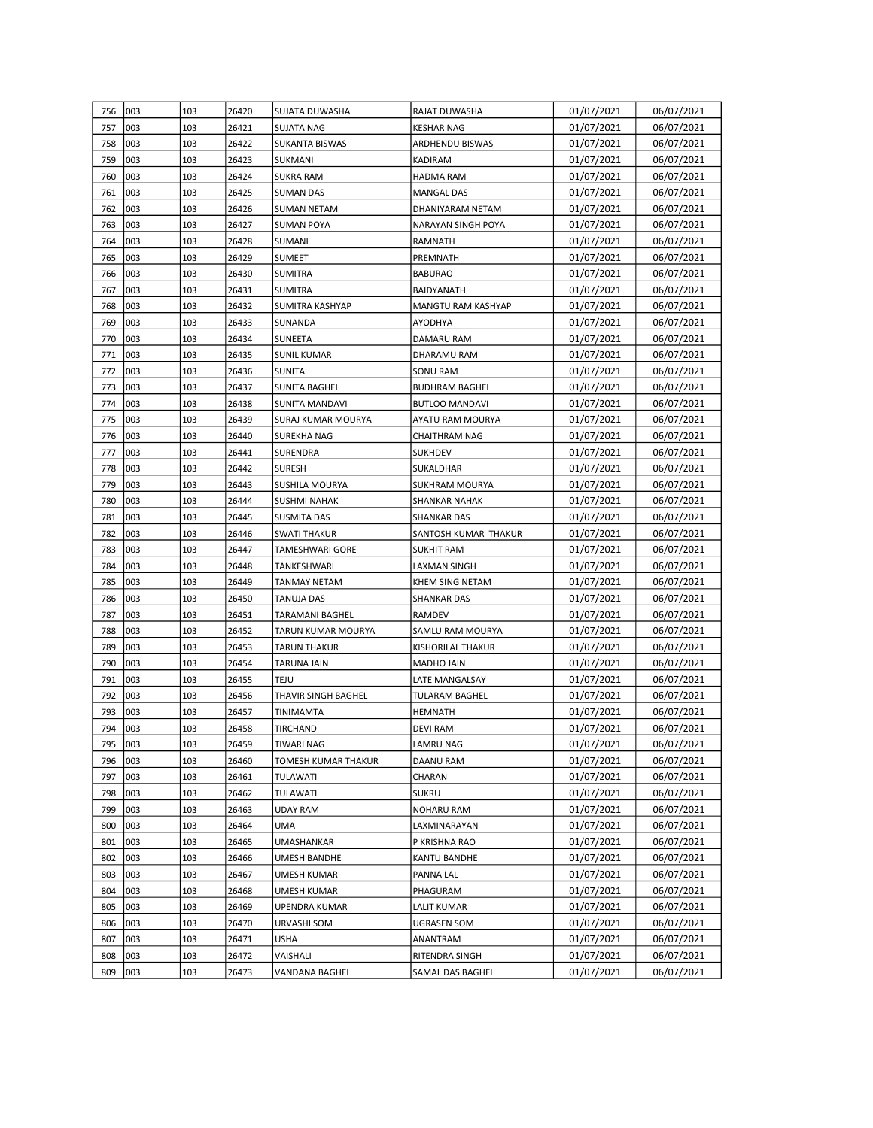| 756 | 003  | 103 | 26420 | SUJATA DUWASHA         | RAJAT DUWASHA         | 01/07/2021 | 06/07/2021 |
|-----|------|-----|-------|------------------------|-----------------------|------------|------------|
| 757 | 003  | 103 | 26421 | SUJATA NAG             | <b>KESHAR NAG</b>     | 01/07/2021 | 06/07/2021 |
| 758 | 003  | 103 | 26422 | SUKANTA BISWAS         | ARDHENDU BISWAS       | 01/07/2021 | 06/07/2021 |
| 759 | 003  | 103 | 26423 | SUKMANI                | KADIRAM               | 01/07/2021 | 06/07/2021 |
| 760 | 003  | 103 | 26424 | <b>SUKRA RAM</b>       | <b>HADMA RAM</b>      | 01/07/2021 | 06/07/2021 |
| 761 | 003  | 103 | 26425 | <b>SUMAN DAS</b>       | <b>MANGAL DAS</b>     | 01/07/2021 | 06/07/2021 |
| 762 | 003  | 103 | 26426 | <b>SUMAN NETAM</b>     | DHANIYARAM NETAM      | 01/07/2021 | 06/07/2021 |
| 763 | 003  | 103 | 26427 | <b>SUMAN POYA</b>      | NARAYAN SINGH POYA    | 01/07/2021 | 06/07/2021 |
| 764 | 003  | 103 | 26428 | SUMANI                 | RAMNATH               | 01/07/2021 | 06/07/2021 |
| 765 | 003  | 103 | 26429 | <b>SUMEET</b>          | PREMNATH              | 01/07/2021 | 06/07/2021 |
| 766 | 003  | 103 | 26430 | SUMITRA                | <b>BABURAO</b>        | 01/07/2021 | 06/07/2021 |
| 767 | 003  | 103 | 26431 | SUMITRA                | BAIDYANATH            | 01/07/2021 | 06/07/2021 |
| 768 | 003  | 103 | 26432 | SUMITRA KASHYAP        | MANGTU RAM KASHYAP    | 01/07/2021 | 06/07/2021 |
| 769 | 003  | 103 | 26433 | SUNANDA                | AYODHYA               | 01/07/2021 | 06/07/2021 |
| 770 | 003  | 103 | 26434 | SUNEETA                | DAMARU RAM            | 01/07/2021 | 06/07/2021 |
| 771 | 003  | 103 | 26435 | <b>SUNIL KUMAR</b>     | DHARAMU RAM           | 01/07/2021 | 06/07/2021 |
| 772 | 003  | 103 | 26436 | SUNITA                 | SONU RAM              | 01/07/2021 | 06/07/2021 |
| 773 | 003  | 103 | 26437 | <b>SUNITA BAGHEL</b>   | <b>BUDHRAM BAGHEL</b> | 01/07/2021 | 06/07/2021 |
| 774 | 003  | 103 | 26438 | SUNITA MANDAVI         | <b>BUTLOO MANDAVI</b> | 01/07/2021 | 06/07/2021 |
| 775 | 003  | 103 | 26439 | SURAJ KUMAR MOURYA     | AYATU RAM MOURYA      | 01/07/2021 | 06/07/2021 |
| 776 | 1003 | 103 | 26440 | SUREKHA NAG            | <b>CHAITHRAM NAG</b>  | 01/07/2021 | 06/07/2021 |
| 777 | 003  | 103 | 26441 | SURENDRA               | <b>SUKHDEV</b>        | 01/07/2021 | 06/07/2021 |
| 778 | 003  | 103 | 26442 | <b>SURESH</b>          | SUKALDHAR             | 01/07/2021 | 06/07/2021 |
| 779 | 003  | 103 | 26443 | SUSHILA MOURYA         | <b>SUKHRAM MOURYA</b> | 01/07/2021 | 06/07/2021 |
| 780 | 003  | 103 | 26444 | <b>SUSHMI NAHAK</b>    | <b>SHANKAR NAHAK</b>  | 01/07/2021 | 06/07/2021 |
| 781 | 003  | 103 | 26445 | SUSMITA DAS            | <b>SHANKAR DAS</b>    | 01/07/2021 | 06/07/2021 |
| 782 | 003  | 103 | 26446 | <b>SWATI THAKUR</b>    | SANTOSH KUMAR THAKUR  | 01/07/2021 | 06/07/2021 |
| 783 | 003  | 103 | 26447 | <b>TAMESHWARI GORE</b> | <b>SUKHIT RAM</b>     | 01/07/2021 | 06/07/2021 |
| 784 | 003  | 103 | 26448 | TANKESHWARI            | LAXMAN SINGH          | 01/07/2021 | 06/07/2021 |
| 785 | 003  | 103 | 26449 | <b>TANMAY NETAM</b>    | KHEM SING NETAM       | 01/07/2021 | 06/07/2021 |
| 786 | 003  | 103 | 26450 | TANUJA DAS             | <b>SHANKAR DAS</b>    | 01/07/2021 | 06/07/2021 |
| 787 | 003  | 103 | 26451 | TARAMANI BAGHEL        | RAMDEV                | 01/07/2021 | 06/07/2021 |
| 788 | 003  | 103 | 26452 | TARUN KUMAR MOURYA     | SAMLU RAM MOURYA      | 01/07/2021 | 06/07/2021 |
| 789 | 003  | 103 | 26453 | <b>TARUN THAKUR</b>    | KISHORILAL THAKUR     | 01/07/2021 | 06/07/2021 |
| 790 | 003  | 103 | 26454 | TARUNA JAIN            | MADHO JAIN            | 01/07/2021 | 06/07/2021 |
| 791 | 003  | 103 | 26455 | TEJU                   | LATE MANGALSAY        | 01/07/2021 | 06/07/2021 |
| 792 | 003  | 103 | 26456 | THAVIR SINGH BAGHEL    | <b>TULARAM BAGHEL</b> | 01/07/2021 | 06/07/2021 |
| 793 | 003  | 103 | 26457 | TINIMAMTA              | HEMNATH               | 01/07/2021 | 06/07/2021 |
| 794 | 003  | 103 | 26458 | TIRCHAND               | <b>DEVI RAM</b>       | 01/07/2021 | 06/07/2021 |
| 795 | 003  | 103 | 26459 | <b>TIWARI NAG</b>      | LAMRU NAG             | 01/07/2021 | 06/07/2021 |
| 796 | 003  | 103 | 26460 | TOMESH KUMAR THAKUR    | DAANU RAM             | 01/07/2021 | 06/07/2021 |
| 797 | 003  | 103 | 26461 | TULAWATI               | CHARAN                | 01/07/2021 | 06/07/2021 |
| 798 | 003  | 103 | 26462 | TULAWATI               | <b>SUKRU</b>          | 01/07/2021 | 06/07/2021 |
| 799 | 003  | 103 | 26463 | <b>UDAY RAM</b>        | <b>NOHARU RAM</b>     | 01/07/2021 | 06/07/2021 |
| 800 | 003  | 103 | 26464 | <b>UMA</b>             | LAXMINARAYAN          | 01/07/2021 | 06/07/2021 |
| 801 | 003  | 103 | 26465 | UMASHANKAR             | P KRISHNA RAO         | 01/07/2021 | 06/07/2021 |
| 802 | 003  | 103 | 26466 | UMESH BANDHE           | <b>KANTU BANDHE</b>   | 01/07/2021 | 06/07/2021 |
| 803 | 003  | 103 | 26467 | UMESH KUMAR            | PANNA LAL             | 01/07/2021 | 06/07/2021 |
| 804 | 003  | 103 | 26468 | UMESH KUMAR            | PHAGURAM              | 01/07/2021 | 06/07/2021 |
| 805 | 003  | 103 | 26469 | UPENDRA KUMAR          | <b>LALIT KUMAR</b>    | 01/07/2021 | 06/07/2021 |
| 806 | 003  | 103 | 26470 | URVASHI SOM            | UGRASEN SOM           | 01/07/2021 | 06/07/2021 |
| 807 | 003  | 103 | 26471 | <b>USHA</b>            | ANANTRAM              | 01/07/2021 | 06/07/2021 |
| 808 | 003  | 103 | 26472 | VAISHALI               | RITENDRA SINGH        | 01/07/2021 | 06/07/2021 |
| 809 | 003  | 103 | 26473 | VANDANA BAGHEL         | SAMAL DAS BAGHEL      | 01/07/2021 | 06/07/2021 |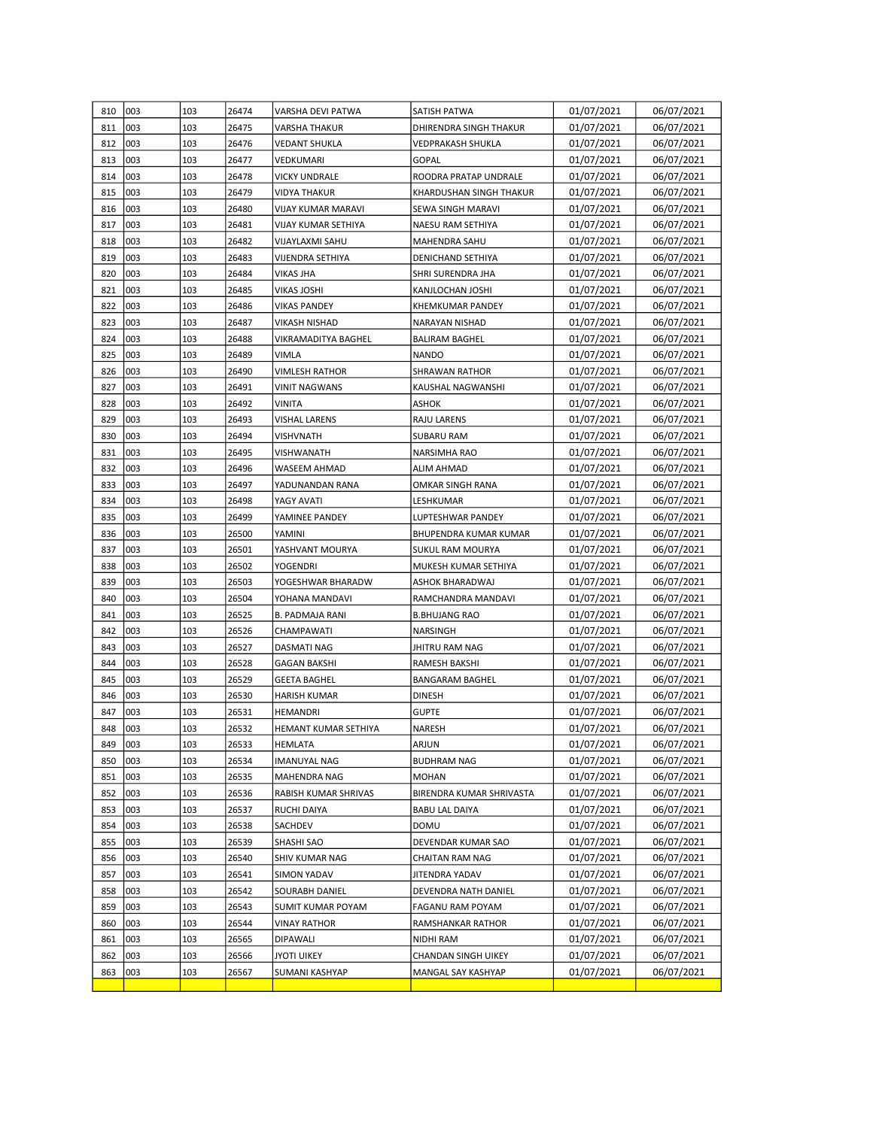| 810 | 003 | 103 | 26474 | VARSHA DEVI PATWA           | SATISH PATWA             | 01/07/2021 | 06/07/2021 |
|-----|-----|-----|-------|-----------------------------|--------------------------|------------|------------|
| 811 | 003 | 103 | 26475 | VARSHA THAKUR               | DHIRENDRA SINGH THAKUR   | 01/07/2021 | 06/07/2021 |
| 812 | 003 | 103 | 26476 | VEDANT SHUKLA               | <b>VEDPRAKASH SHUKLA</b> | 01/07/2021 | 06/07/2021 |
| 813 | 003 | 103 | 26477 | VEDKUMARI                   | <b>GOPAL</b>             | 01/07/2021 | 06/07/2021 |
| 814 | 003 | 103 | 26478 | <b>VICKY UNDRALE</b>        | ROODRA PRATAP UNDRALE    | 01/07/2021 | 06/07/2021 |
| 815 | 003 | 103 | 26479 | VIDYA THAKUR                | KHARDUSHAN SINGH THAKUR  | 01/07/2021 | 06/07/2021 |
| 816 | 003 | 103 | 26480 | VIJAY KUMAR MARAVI          | SEWA SINGH MARAVI        | 01/07/2021 | 06/07/2021 |
| 817 | 003 | 103 | 26481 | VIJAY KUMAR SETHIYA         | <b>NAESU RAM SETHIYA</b> | 01/07/2021 | 06/07/2021 |
| 818 | 003 | 103 | 26482 | VIJAYLAXMI SAHU             | <b>MAHENDRA SAHU</b>     | 01/07/2021 | 06/07/2021 |
| 819 | 003 | 103 | 26483 | VIJENDRA SETHIYA            | <b>DENICHAND SETHIYA</b> | 01/07/2021 | 06/07/2021 |
| 820 | 003 | 103 | 26484 | VIKAS JHA                   | SHRI SURENDRA JHA        | 01/07/2021 | 06/07/2021 |
| 821 | 003 | 103 | 26485 | VIKAS JOSHI                 | KANJLOCHAN JOSHI         | 01/07/2021 | 06/07/2021 |
| 822 | 003 | 103 | 26486 | VIKAS PANDEY                | <b>KHEMKUMAR PANDEY</b>  | 01/07/2021 | 06/07/2021 |
| 823 | 003 | 103 | 26487 | VIKASH NISHAD               | NARAYAN NISHAD           | 01/07/2021 | 06/07/2021 |
| 824 | 003 | 103 | 26488 | VIKRAMADITYA BAGHEL         | <b>BALIRAM BAGHEL</b>    | 01/07/2021 | 06/07/2021 |
| 825 | 003 | 103 | 26489 | VIMLA                       | <b>NANDO</b>             | 01/07/2021 | 06/07/2021 |
| 826 | 003 | 103 | 26490 | VIMLESH RATHOR              | SHRAWAN RATHOR           | 01/07/2021 | 06/07/2021 |
| 827 | 003 | 103 | 26491 | <b>VINIT NAGWANS</b>        | KAUSHAL NAGWANSHI        | 01/07/2021 | 06/07/2021 |
| 828 | 003 | 103 | 26492 | VINITA                      | ASHOK                    | 01/07/2021 | 06/07/2021 |
| 829 | 003 | 103 | 26493 | VISHAL LARENS               | <b>RAJU LARENS</b>       | 01/07/2021 | 06/07/2021 |
| 830 | 003 | 103 | 26494 | VISHVNATH                   | SUBARU RAM               | 01/07/2021 | 06/07/2021 |
| 831 | 003 | 103 | 26495 | VISHWANATH                  | <b>NARSIMHA RAO</b>      | 01/07/2021 | 06/07/2021 |
| 832 | 003 | 103 | 26496 | WASEEM AHMAD                | ALIM AHMAD               | 01/07/2021 | 06/07/2021 |
| 833 | 003 | 103 | 26497 | YADUNANDAN RANA             | OMKAR SINGH RANA         | 01/07/2021 | 06/07/2021 |
| 834 | 003 | 103 | 26498 | YAGY AVATI                  | LESHKUMAR                | 01/07/2021 | 06/07/2021 |
| 835 | 003 | 103 | 26499 | YAMINEE PANDEY              | LUPTESHWAR PANDEY        | 01/07/2021 | 06/07/2021 |
| 836 | 003 | 103 | 26500 | YAMINI                      | BHUPENDRA KUMAR KUMAR    | 01/07/2021 | 06/07/2021 |
| 837 | 003 | 103 | 26501 | YASHVANT MOURYA             | SUKUL RAM MOURYA         | 01/07/2021 | 06/07/2021 |
| 838 | 003 | 103 | 26502 | YOGENDRI                    | MUKESH KUMAR SETHIYA     | 01/07/2021 | 06/07/2021 |
| 839 | 003 | 103 | 26503 | YOGESHWAR BHARADW           | ASHOK BHARADWAJ          | 01/07/2021 | 06/07/2021 |
| 840 | 003 | 103 | 26504 | YOHANA MANDAVI              | RAMCHANDRA MANDAVI       | 01/07/2021 | 06/07/2021 |
| 841 | 003 | 103 | 26525 | <b>B. PADMAJA RANI</b>      | <b>B.BHUJANG RAO</b>     | 01/07/2021 | 06/07/2021 |
| 842 | 003 | 103 | 26526 | CHAMPAWATI                  | NARSINGH                 | 01/07/2021 | 06/07/2021 |
| 843 | 003 | 103 | 26527 | DASMATI NAG                 | JHITRU RAM NAG           | 01/07/2021 | 06/07/2021 |
| 844 | 003 | 103 | 26528 | GAGAN BAKSHI                | RAMESH BAKSHI            | 01/07/2021 | 06/07/2021 |
| 845 | 003 | 103 | 26529 | GEETA BAGHEL                | <b>BANGARAM BAGHEL</b>   | 01/07/2021 | 06/07/2021 |
| 846 | 003 | 103 | 26530 | HARISH KUMAR                | <b>DINESH</b>            | 01/07/2021 | 06/07/2021 |
| 847 | 003 | 103 | 26531 | HEMANDRI                    | <b>GUPTE</b>             | 01/07/2021 | 06/07/2021 |
| 848 | 003 | 103 | 26532 | <b>HEMANT KUMAR SETHIYA</b> | NARESH                   | 01/07/2021 | 06/07/2021 |
| 849 | 003 | 103 | 26533 | <b>HEMLATA</b>              | ARJUN                    | 01/07/2021 | 06/07/2021 |
| 850 | 003 | 103 | 26534 | IMANUYAL NAG                | <b>BUDHRAM NAG</b>       | 01/07/2021 | 06/07/2021 |
| 851 | 003 | 103 | 26535 | MAHENDRA NAG                | <b>MOHAN</b>             | 01/07/2021 | 06/07/2021 |
| 852 | 003 | 103 | 26536 | RABISH KUMAR SHRIVAS        | BIRENDRA KUMAR SHRIVASTA | 01/07/2021 | 06/07/2021 |
| 853 | 003 | 103 | 26537 | RUCHI DAIYA                 | <b>BABU LAL DAIYA</b>    | 01/07/2021 | 06/07/2021 |
| 854 | 003 | 103 | 26538 | SACHDEV                     | <b>DOMU</b>              | 01/07/2021 | 06/07/2021 |
| 855 | 003 | 103 | 26539 | SHASHI SAO                  | DEVENDAR KUMAR SAO       | 01/07/2021 | 06/07/2021 |
| 856 | 003 | 103 | 26540 | SHIV KUMAR NAG              | CHAITAN RAM NAG          | 01/07/2021 | 06/07/2021 |
| 857 | 003 | 103 | 26541 | SIMON YADAV                 | JITENDRA YADAV           | 01/07/2021 | 06/07/2021 |
| 858 | 003 | 103 | 26542 | SOURABH DANIEL              | DEVENDRA NATH DANIEL     | 01/07/2021 | 06/07/2021 |
| 859 | 003 | 103 | 26543 | SUMIT KUMAR POYAM           | FAGANU RAM POYAM         | 01/07/2021 | 06/07/2021 |
| 860 | 003 | 103 | 26544 | <b>VINAY RATHOR</b>         | RAMSHANKAR RATHOR        | 01/07/2021 | 06/07/2021 |
| 861 | 003 | 103 | 26565 | DIPAWALI                    | NIDHI RAM                | 01/07/2021 | 06/07/2021 |
| 862 | 003 | 103 | 26566 | <b>JYOTI UIKEY</b>          | CHANDAN SINGH UIKEY      | 01/07/2021 | 06/07/2021 |
| 863 | 003 | 103 | 26567 | SUMANI KASHYAP              | MANGAL SAY KASHYAP       | 01/07/2021 | 06/07/2021 |
|     |     |     |       |                             |                          |            |            |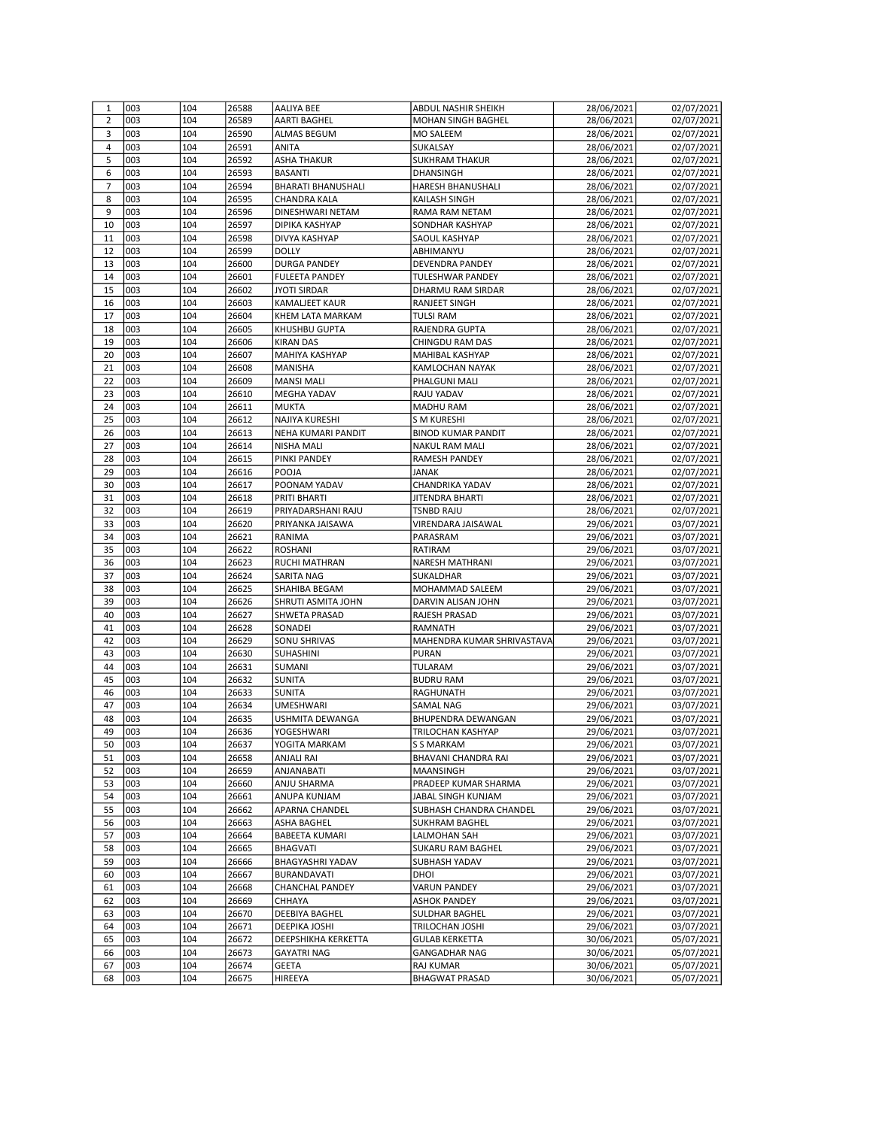| $\mathbf{1}$   | 003        | 104        | 26588          | <b>AALIYA BEE</b>         | <b>ABDUL NASHIR SHEIKH</b>         | 28/06/2021               | 02/07/2021                                                                                                                               |
|----------------|------------|------------|----------------|---------------------------|------------------------------------|--------------------------|------------------------------------------------------------------------------------------------------------------------------------------|
| $\overline{2}$ | 003        | 104        | 26589          | <b>AARTI BAGHEL</b>       | <b>MOHAN SINGH BAGHEL</b>          | 28/06/2021               | 02/07/2021                                                                                                                               |
| 3              | 003        | 104        | 26590          | <b>ALMAS BEGUM</b>        | MO SALEEM                          | 28/06/2021               | 02/07/2021                                                                                                                               |
| 4              | 003        | 104        | 26591          | <b>ANITA</b>              | SUKALSAY                           | 28/06/2021               | 02/07/2021                                                                                                                               |
| 5              | 003        | 104        | 26592          | <b>ASHA THAKUR</b>        | <b>SUKHRAM THAKUR</b>              | 28/06/2021               | 02/07/2021                                                                                                                               |
| 6              | 003        | 104        | 26593          | <b>BASANTI</b>            | DHANSINGH                          | 28/06/2021               | 02/07/2021                                                                                                                               |
| 7              | 003        | 104        | 26594          | <b>BHARATI BHANUSHALI</b> | HARESH BHANUSHALI                  | 28/06/2021               | 02/07/2021                                                                                                                               |
| 8              | 003        | 104        | 26595          | CHANDRA KALA              | KAILASH SINGH                      | 28/06/2021               | 02/07/2021                                                                                                                               |
| 9              | 003        | 104        |                |                           |                                    |                          |                                                                                                                                          |
|                | 003        | 104        | 26596<br>26597 | DINESHWARI NETAM          | RAMA RAM NETAM                     | 28/06/2021               | 02/07/2021                                                                                                                               |
| 10             |            |            |                | DIPIKA KASHYAP            | SONDHAR KASHYAP                    | 28/06/2021               | 02/07/2021                                                                                                                               |
| 11             | 003        | 104        | 26598          | DIVYA KASHYAP             | SAOUL KASHYAP                      | 28/06/2021               | 02/07/2021                                                                                                                               |
| 12             | 003        | 104        | 26599          | <b>DOLLY</b>              | ABHIMANYU                          | 28/06/2021               | 02/07/2021                                                                                                                               |
| 13             | 003        | 104        | 26600          | <b>DURGA PANDEY</b>       | DEVENDRA PANDEY                    | 28/06/2021               | 02/07/2021                                                                                                                               |
| 14             | 003        | 104        | 26601          | <b>FULEETA PANDEY</b>     | <b>TULESHWAR PANDEY</b>            | 28/06/2021               | 02/07/2021                                                                                                                               |
| 15             | 003        | 104        | 26602          | <b>JYOTI SIRDAR</b>       | DHARMU RAM SIRDAR                  | 28/06/2021               | 02/07/2021                                                                                                                               |
| 16             | 003        | 104        | 26603          | KAMALJEET KAUR            | RANJEET SINGH                      | 28/06/2021               | 02/07/2021                                                                                                                               |
| 17             | 003        | 104        | 26604          | KHEM LATA MARKAM          | <b>TULSI RAM</b>                   | 28/06/2021               | 02/07/2021                                                                                                                               |
| 18             | 003        | 104        | 26605          | KHUSHBU GUPTA             | RAJENDRA GUPTA                     | 28/06/2021               | 02/07/2021                                                                                                                               |
| 19             | 003        | 104        | 26606          | <b>KIRAN DAS</b>          | CHINGDU RAM DAS                    | 28/06/2021               | 02/07/2021                                                                                                                               |
| 20             | 003        | 104        | 26607          | MAHIYA KASHYAP            | MAHIBAL KASHYAP                    | 28/06/2021               | 02/07/2021                                                                                                                               |
| 21             | 003        | 104        | 26608          | MANISHA                   | KAMLOCHAN NAYAK                    | 28/06/2021               | 02/07/2021                                                                                                                               |
| 22             | 003        | 104        | 26609          | <b>MANSI MALI</b>         | PHALGUNI MALI                      | 28/06/2021               | 02/07/2021                                                                                                                               |
| 23             | 003        | 104        | 26610          | <b>MEGHA YADAV</b>        | <b>RAJU YADAV</b>                  | 28/06/2021               | 02/07/2021                                                                                                                               |
| 24             | 003        | 104        | 26611          | <b>MUKTA</b>              | MADHU RAM                          | 28/06/2021               | 02/07/2021                                                                                                                               |
| 25             | 003        | 104        | 26612          | NAJIYA KURESHI            | <b>S M KURESHI</b>                 | 28/06/2021               | 02/07/2021                                                                                                                               |
| 26             | 003        | 104        | 26613          | NEHA KUMARI PANDIT        | <b>BINOD KUMAR PANDIT</b>          | 28/06/2021               | 02/07/2021                                                                                                                               |
| 27             | 003        | 104        | 26614          | NISHA MALI                | <b>NAKUL RAM MALI</b>              | 28/06/2021               | 02/07/2021                                                                                                                               |
| 28             | 003        | 104        | 26615          | PINKI PANDEY              | RAMESH PANDEY                      | 28/06/2021               | 02/07/2021                                                                                                                               |
| 29             | 003        | 104        | 26616          | POOJA                     | <b>JANAK</b>                       | 28/06/2021               | 02/07/2021                                                                                                                               |
| 30             | 003        | 104        | 26617          | POONAM YADAV              | CHANDRIKA YADAV                    | 28/06/2021               | 02/07/2021                                                                                                                               |
| 31             | 003        | 104        | 26618          | PRITI BHARTI              | JITENDRA BHARTI                    | 28/06/2021               | 02/07/2021                                                                                                                               |
| 32             | 003        | 104        | 26619          | PRIYADARSHANI RAJU        | TSNBD RAJU                         | 28/06/2021               | 02/07/2021                                                                                                                               |
| 33             | 003        | 104        | 26620          | PRIYANKA JAISAWA          | VIRENDARA JAISAWAL                 |                          | 03/07/2021                                                                                                                               |
|                |            |            |                |                           |                                    | 29/06/2021               |                                                                                                                                          |
| 34             | 003        | 104        | 26621          | RANIMA                    | PARASRAM                           | 29/06/2021               | 03/07/2021                                                                                                                               |
|                |            |            |                |                           |                                    |                          |                                                                                                                                          |
| 35             | 003        | 104        | 26622          | ROSHANI                   | RATIRAM                            | 29/06/2021               |                                                                                                                                          |
| 36             | 003        | 104        | 26623          | RUCHI MATHRAN             | NARESH MATHRANI                    | 29/06/2021               |                                                                                                                                          |
| 37             | 003        | 104        | 26624          | SARITA NAG                | SUKALDHAR                          | 29/06/2021               | 03/07/2021<br>03/07/2021<br>03/07/2021                                                                                                   |
| 38             | 003        | 104        | 26625          | SHAHIBA BEGAM             | MOHAMMAD SALEEM                    | 29/06/2021               |                                                                                                                                          |
| 39             | 003        | 104        | 26626          | SHRUTI ASMITA JOHN        | DARVIN ALISAN JOHN                 | 29/06/2021               |                                                                                                                                          |
| 40             | 003        | 104        | 26627          | SHWETA PRASAD             | RAJESH PRASAD                      | 29/06/2021               |                                                                                                                                          |
| 41             | 003        | 104        | 26628          | SONADEI                   | RAMNATH                            | 29/06/2021               |                                                                                                                                          |
| 42             | 003        | 104        | 26629          | SONU SHRIVAS              | MAHENDRA KUMAR SHRIVASTAVA         | 29/06/2021               |                                                                                                                                          |
| 43             | 003        | 104        | 26630          | SUHASHINI                 | <b>PURAN</b>                       | 29/06/2021               |                                                                                                                                          |
| 44             | 003        | 104        | 26631          | SUMANI                    | TULARAM                            | 29/06/2021               |                                                                                                                                          |
| 45             | 003        | 104        | 26632          | <b>SUNITA</b>             | <b>BUDRU RAM</b>                   | 29/06/2021               |                                                                                                                                          |
| 46             | 003        | 104        | 26633          | <b>SUNITA</b>             | RAGHUNATH                          | 29/06/2021               |                                                                                                                                          |
| 47             | 003        | 104        | 26634          | <b>UMESHWARI</b>          | SAMAL NAG                          | 29/06/2021               | 03/07/2021<br>03/07/2021<br>03/07/2021<br>03/07/2021<br>03/07/2021<br>03/07/2021<br>03/07/2021<br>03/07/2021<br>03/07/2021<br>03/07/2021 |
| 48             | 003        | 104        | 26635          | USHMITA DEWANGA           | <b>BHUPENDRA DEWANGAN</b>          | 29/06/2021               |                                                                                                                                          |
| 49             | 003        | 104        | 26636          | YOGESHWARI                | TRILOCHAN KASHYAP                  | 29/06/2021               | 03/07/2021<br>03/07/2021                                                                                                                 |
| 50             | 003        | 104        | 26637          | YOGITA MARKAM             | S S MARKAM                         | 29/06/2021               | 03/07/2021                                                                                                                               |
| 51             | 003        | 104        | 26658          | ANJALI RAI                | BHAVANI CHANDRA RAI                | 29/06/2021               | 03/07/2021                                                                                                                               |
| 52             | 003        | 104        | 26659          | <b>ANJANABATI</b>         | MAANSINGH                          | 29/06/2021               | 03/07/2021                                                                                                                               |
| 53             | 003        | 104        | 26660          | ANJU SHARMA               | PRADEEP KUMAR SHARMA               | 29/06/2021               | 03/07/2021                                                                                                                               |
|                |            |            |                |                           | JABAL SINGH KUNJAM                 |                          |                                                                                                                                          |
| 54             | 003        | 104        | 26661          | ANUPA KUNJAM              |                                    | 29/06/2021               | 03/07/2021                                                                                                                               |
| 55             | 003        | 104        | 26662          | APARNA CHANDEL            | SUBHASH CHANDRA CHANDEL            | 29/06/2021               | 03/07/2021                                                                                                                               |
| 56             | 003        | 104        | 26663          | ASHA BAGHEL               | SUKHRAM BAGHEL                     | 29/06/2021               | 03/07/2021                                                                                                                               |
| 57             | 003        | 104        | 26664          | BABEETA KUMARI            | LALMOHAN SAH                       | 29/06/2021               | 03/07/2021                                                                                                                               |
| 58             | 003        | 104        | 26665          | BHAGVATI                  | SUKARU RAM BAGHEL                  | 29/06/2021               | 03/07/2021                                                                                                                               |
| 59             | 003        | 104        | 26666          | BHAGYASHRI YADAV          | SUBHASH YADAV                      | 29/06/2021               | 03/07/2021                                                                                                                               |
| 60             | 003        | 104        | 26667          | BURANDAVATI               | DHOI                               | 29/06/2021               | 03/07/2021                                                                                                                               |
| 61             | 003        | 104        | 26668          | <b>CHANCHAL PANDEY</b>    | <b>VARUN PANDEY</b>                | 29/06/2021               | 03/07/2021                                                                                                                               |
| 62             | 003        | 104        | 26669          | CHHAYA                    | <b>ASHOK PANDEY</b>                | 29/06/2021               | 03/07/2021                                                                                                                               |
| 63             | 003        | 104        | 26670          | DEEBIYA BAGHEL            | SULDHAR BAGHEL                     | 29/06/2021               | 03/07/2021                                                                                                                               |
| 64             | 003        | 104        | 26671          | DEEPIKA JOSHI             | TRILOCHAN JOSHI                    | 29/06/2021               | 03/07/2021                                                                                                                               |
| 65             | 003        | 104        | 26672          | DEEPSHIKHA KERKETTA       | <b>GULAB KERKETTA</b>              | 30/06/2021               | 05/07/2021                                                                                                                               |
| 66             | 003        | 104        | 26673          | <b>GAYATRI NAG</b>        | <b>GANGADHAR NAG</b>               | 30/06/2021               |                                                                                                                                          |
| 67<br>68       | 003<br>003 | 104<br>104 | 26674<br>26675 | GEETA<br>HIREEYA          | RAJ KUMAR<br><b>BHAGWAT PRASAD</b> | 30/06/2021<br>30/06/2021 | 05/07/2021<br>05/07/2021<br>05/07/2021                                                                                                   |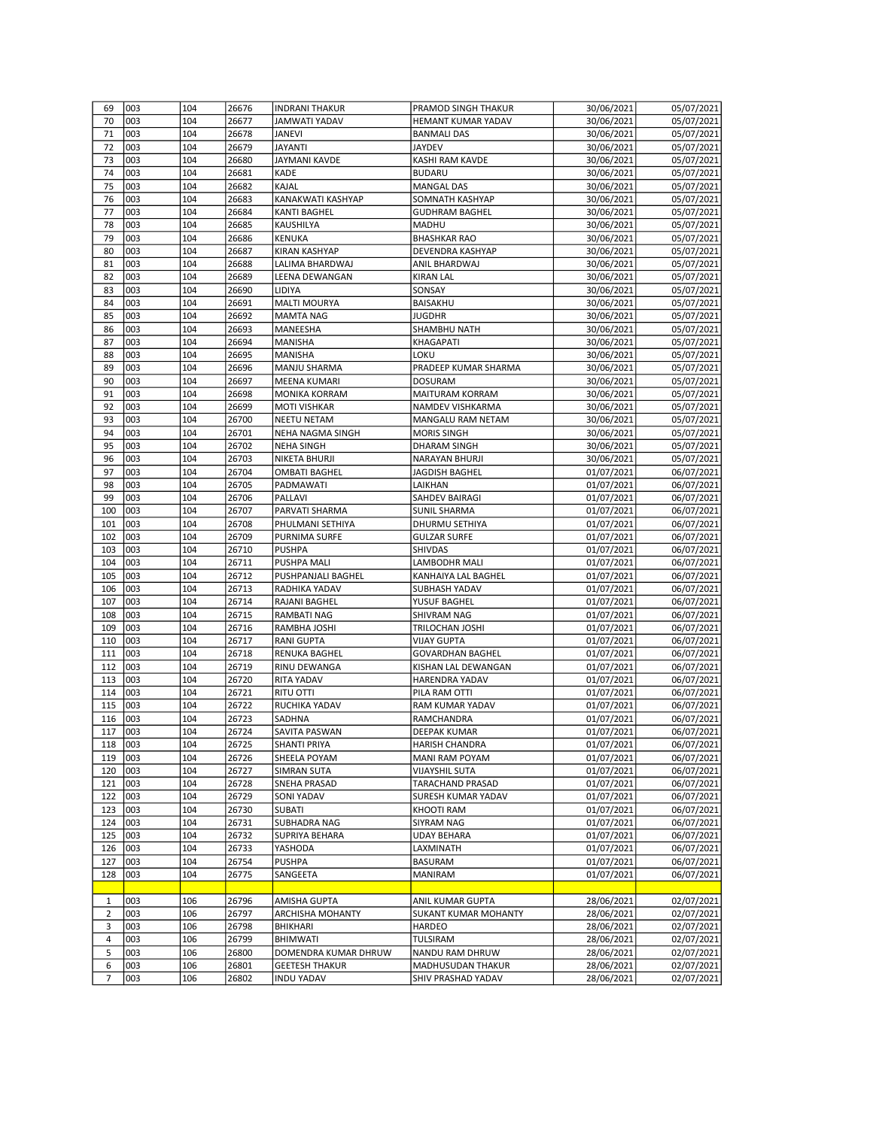| 69             | 003 | 104 | 26676 | <b>INDRANI THAKUR</b>   | PRAMOD SINGH THAKUR     | 30/06/2021 | 05/07/2021 |
|----------------|-----|-----|-------|-------------------------|-------------------------|------------|------------|
| 70             | 003 | 104 | 26677 | JAMWATI YADAV           | HEMANT KUMAR YADAV      | 30/06/2021 | 05/07/2021 |
| 71             | 003 | 104 | 26678 | <b>JANEVI</b>           | <b>BANMALI DAS</b>      | 30/06/2021 | 05/07/2021 |
| 72             | 003 | 104 | 26679 | <b>JAYANTI</b>          | <b>JAYDEV</b>           | 30/06/2021 | 05/07/2021 |
| 73             | 003 | 104 | 26680 | JAYMANI KAVDE           | KASHI RAM KAVDE         | 30/06/2021 | 05/07/2021 |
| 74             | 003 | 104 | 26681 | KADE                    | <b>BUDARU</b>           | 30/06/2021 | 05/07/2021 |
| 75             | 003 | 104 | 26682 | KAJAL                   | <b>MANGAL DAS</b>       | 30/06/2021 | 05/07/2021 |
| 76             | 003 | 104 | 26683 | KANAKWATI KASHYAP       | SOMNATH KASHYAP         | 30/06/2021 | 05/07/2021 |
| 77             | 003 | 104 | 26684 | KANTI BAGHEL            | <b>GUDHRAM BAGHEL</b>   | 30/06/2021 | 05/07/2021 |
| 78             | 003 | 104 | 26685 | KAUSHILYA               | MADHU                   | 30/06/2021 | 05/07/2021 |
| 79             | 003 | 104 | 26686 | KENUKA                  | <b>BHASHKAR RAO</b>     | 30/06/2021 | 05/07/2021 |
| 80             | 003 | 104 | 26687 | KIRAN KASHYAP           | DEVENDRA KASHYAP        | 30/06/2021 | 05/07/2021 |
| 81             | 003 | 104 | 26688 | LALIMA BHARDWAJ         | ANIL BHARDWAJ           | 30/06/2021 | 05/07/2021 |
| 82             | 003 | 104 | 26689 | LEENA DEWANGAN          | <b>KIRAN LAL</b>        | 30/06/2021 | 05/07/2021 |
| 83             | 003 | 104 | 26690 | LIDIYA                  | SONSAY                  | 30/06/2021 | 05/07/2021 |
| 84             | 003 | 104 | 26691 | <b>MALTI MOURYA</b>     | BAISAKHU                | 30/06/2021 | 05/07/2021 |
| 85             | 003 | 104 | 26692 | <b>MAMTA NAG</b>        | <b>JUGDHR</b>           | 30/06/2021 | 05/07/2021 |
| 86             | 003 | 104 | 26693 | MANEESHA                | SHAMBHU NATH            | 30/06/2021 | 05/07/2021 |
| 87             | 003 | 104 | 26694 | MANISHA                 | KHAGAPATI               | 30/06/2021 | 05/07/2021 |
| 88             | 003 | 104 | 26695 | MANISHA                 | LOKU                    | 30/06/2021 | 05/07/2021 |
| 89             | 003 | 104 | 26696 | MANJU SHARMA            | PRADEEP KUMAR SHARMA    | 30/06/2021 | 05/07/2021 |
| 90             | 003 | 104 | 26697 | <b>MEENA KUMARI</b>     | <b>DOSURAM</b>          | 30/06/2021 | 05/07/2021 |
| 91             | 003 | 104 | 26698 | MONIKA KORRAM           | MAITURAM KORRAM         | 30/06/2021 | 05/07/2021 |
| 92             | 003 | 104 | 26699 | <b>MOTI VISHKAR</b>     | NAMDEV VISHKARMA        | 30/06/2021 | 05/07/2021 |
| 93             | 003 | 104 | 26700 | NEETU NETAM             | MANGALU RAM NETAM       | 30/06/2021 | 05/07/2021 |
| 94             | 003 | 104 | 26701 | NEHA NAGMA SINGH        | <b>MORIS SINGH</b>      | 30/06/2021 | 05/07/2021 |
| 95             | 003 | 104 | 26702 | <b>NEHA SINGH</b>       | DHARAM SINGH            | 30/06/2021 | 05/07/2021 |
| 96             | 003 | 104 | 26703 | NIKETA BHURJI           | NARAYAN BHURJI          | 30/06/2021 | 05/07/2021 |
| 97             | 003 | 104 | 26704 | <b>OMBATI BAGHEL</b>    | JAGDISH BAGHEL          | 01/07/2021 | 06/07/2021 |
| 98             | 003 | 104 | 26705 | PADMAWATI               | LAIKHAN                 | 01/07/2021 | 06/07/2021 |
| 99             | 003 | 104 | 26706 | PALLAVI                 | SAHDEV BAIRAGI          | 01/07/2021 | 06/07/2021 |
| 100            | 003 | 104 | 26707 | PARVATI SHARMA          | <b>SUNIL SHARMA</b>     | 01/07/2021 | 06/07/2021 |
| 101            | 003 | 104 | 26708 | PHULMANI SETHIYA        | DHURMU SETHIYA          | 01/07/2021 | 06/07/2021 |
| 102            | 003 | 104 | 26709 | PURNIMA SURFE           | <b>GULZAR SURFE</b>     | 01/07/2021 | 06/07/2021 |
| 103            | 003 | 104 | 26710 | <b>PUSHPA</b>           | SHIVDAS                 | 01/07/2021 | 06/07/2021 |
| 104            | 003 | 104 | 26711 | PUSHPA MALI             | LAMBODHR MALI           | 01/07/2021 | 06/07/2021 |
| 105            | 003 | 104 | 26712 | PUSHPANJALI BAGHEL      | KANHAIYA LAL BAGHEL     | 01/07/2021 | 06/07/2021 |
| 106            | 003 | 104 | 26713 | RADHIKA YADAV           | SUBHASH YADAV           | 01/07/2021 | 06/07/2021 |
| 107            | 003 | 104 | 26714 | RAJANI BAGHEL           | YUSUF BAGHEL            | 01/07/2021 | 06/07/2021 |
| 108            | 003 | 104 | 26715 | RAMBATI NAG             | SHIVRAM NAG             | 01/07/2021 | 06/07/2021 |
| 109            | 003 | 104 | 26716 | RAMBHA JOSHI            | TRILOCHAN JOSHI         | 01/07/2021 | 06/07/2021 |
| 110            | 003 | 104 | 26717 | <b>RANI GUPTA</b>       | <b>VIJAY GUPTA</b>      | 01/07/2021 | 06/07/2021 |
| 111            | 003 | 104 | 26718 | RENUKA BAGHEL           | <b>GOVARDHAN BAGHEL</b> | 01/07/2021 | 06/07/2021 |
| 112            | 003 | 104 | 26719 | RINU DEWANGA            | KISHAN LAL DEWANGAN     | 01/07/2021 | 06/07/2021 |
| 113            | 003 | 104 | 26720 | RITA YADAV              | <b>HARENDRA YADAV</b>   | 01/07/2021 | 06/07/2021 |
| 114            | 003 | 104 | 26721 | RITU OTTI               | PILA RAM OTTI           | 01/07/2021 | 06/07/2021 |
| 115            | 003 | 104 | 26722 | RUCHIKA YADAV           | RAM KUMAR YADAV         | 01/07/2021 | 06/07/2021 |
| 116            | 003 | 104 | 26723 | SADHNA                  | RAMCHANDRA              | 01/07/2021 | 06/07/2021 |
| 117            | 003 | 104 | 26724 | SAVITA PASWAN           | <b>DEEPAK KUMAR</b>     | 01/07/2021 | 06/07/2021 |
| 118            | 003 | 104 | 26725 | <b>SHANTI PRIYA</b>     | HARISH CHANDRA          | 01/07/2021 | 06/07/2021 |
| 119            | 003 | 104 | 26726 | SHEELA POYAM            | MANI RAM POYAM          | 01/07/2021 | 06/07/2021 |
| 120            | 003 | 104 | 26727 | SIMRAN SUTA             | <b>VIJAYSHIL SUTA</b>   | 01/07/2021 | 06/07/2021 |
| 121            | 003 | 104 | 26728 | SNEHA PRASAD            | TARACHAND PRASAD        | 01/07/2021 | 06/07/2021 |
| 122            | 003 | 104 | 26729 | SONI YADAV              | SURESH KUMAR YADAV      | 01/07/2021 | 06/07/2021 |
| 123            | 003 | 104 | 26730 | <b>SUBATI</b>           | KHOOTI RAM              | 01/07/2021 | 06/07/2021 |
| 124            | 003 | 104 | 26731 | SUBHADRA NAG            | SIYRAM NAG              | 01/07/2021 | 06/07/2021 |
| 125            | 003 | 104 | 26732 | SUPRIYA BEHARA          | <b>UDAY BEHARA</b>      | 01/07/2021 | 06/07/2021 |
| 126            | 003 | 104 | 26733 | YASHODA                 | LAXMINATH               | 01/07/2021 | 06/07/2021 |
| 127            | 003 | 104 | 26754 | PUSHPA                  | BASURAM                 | 01/07/2021 | 06/07/2021 |
| 128            | 003 | 104 | 26775 | SANGEETA                | <b>MANIRAM</b>          | 01/07/2021 | 06/07/2021 |
|                |     |     |       |                         |                         |            |            |
| $\mathbf{1}$   | 003 | 106 | 26796 | AMISHA GUPTA            | ANIL KUMAR GUPTA        | 28/06/2021 | 02/07/2021 |
| 2              | 003 | 106 | 26797 | <b>ARCHISHA MOHANTY</b> | SUKANT KUMAR MOHANTY    | 28/06/2021 | 02/07/2021 |
| 3              | 003 | 106 | 26798 | <b>BHIKHARI</b>         | HARDEO                  | 28/06/2021 | 02/07/2021 |
| 4              | 003 | 106 | 26799 | BHIMWATI                | TULSIRAM                | 28/06/2021 | 02/07/2021 |
| 5              | 003 | 106 | 26800 | DOMENDRA KUMAR DHRUW    | NANDU RAM DHRUW         | 28/06/2021 | 02/07/2021 |
| 6              | 003 | 106 | 26801 | <b>GEETESH THAKUR</b>   | MADHUSUDAN THAKUR       | 28/06/2021 | 02/07/2021 |
| $\overline{7}$ | 003 | 106 | 26802 | <b>INDU YADAV</b>       | SHIV PRASHAD YADAV      | 28/06/2021 | 02/07/2021 |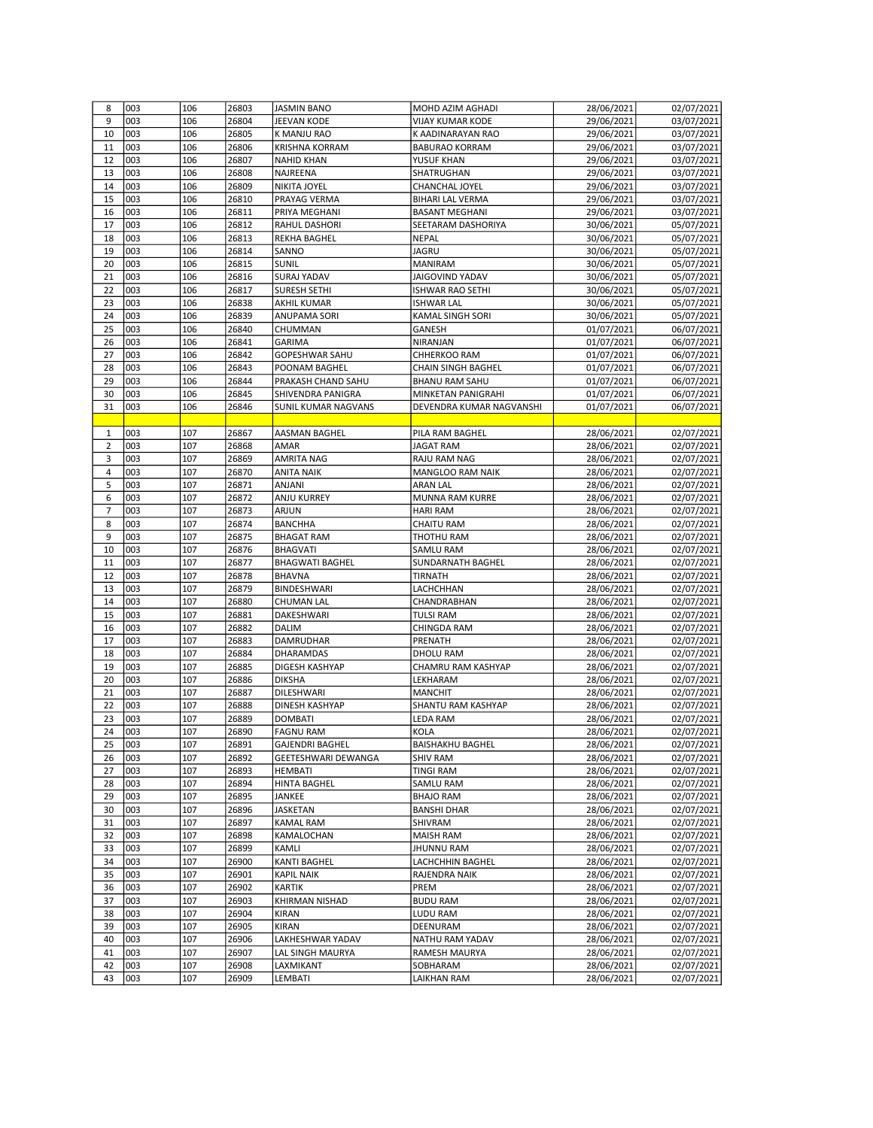| 8  | 003 | 106 | 26803 | <b>JASMIN BANO</b>     | MOHD AZIM AGHADI         | 28/06/2021 | 02/07/2021 |
|----|-----|-----|-------|------------------------|--------------------------|------------|------------|
| 9  | 003 | 106 | 26804 | JEEVAN KODE            | <b>VIJAY KUMAR KODE</b>  | 29/06/2021 | 03/07/2021 |
| 10 | 003 | 106 | 26805 | K MANJU RAO            | K AADINARAYAN RAO        | 29/06/2021 | 03/07/2021 |
| 11 | 003 | 106 | 26806 | <b>KRISHNA KORRAM</b>  | <b>BABURAO KORRAM</b>    | 29/06/2021 | 03/07/2021 |
| 12 | 003 | 106 | 26807 | <b>NAHID KHAN</b>      | YUSUF KHAN               | 29/06/2021 | 03/07/2021 |
| 13 | 003 | 106 | 26808 | NAJREENA               | SHATRUGHAN               | 29/06/2021 | 03/07/2021 |
| 14 | 003 | 106 | 26809 | NIKITA JOYEL           | CHANCHAL JOYEL           | 29/06/2021 | 03/07/2021 |
| 15 | 003 | 106 | 26810 | PRAYAG VERMA           | BIHARI LAL VERMA         | 29/06/2021 | 03/07/2021 |
| 16 | 003 | 106 | 26811 | PRIYA MEGHANI          | <b>BASANT MEGHANI</b>    | 29/06/2021 | 03/07/2021 |
| 17 | 003 | 106 | 26812 | RAHUL DASHORI          | SEETARAM DASHORIYA       | 30/06/2021 | 05/07/2021 |
| 18 | 003 | 106 | 26813 | REKHA BAGHEL           | <b>NEPAL</b>             | 30/06/2021 | 05/07/2021 |
| 19 | 003 | 106 | 26814 | SANNO                  | JAGRU                    | 30/06/2021 | 05/07/2021 |
| 20 | 003 | 106 | 26815 | SUNIL                  | MANIRAM                  | 30/06/2021 | 05/07/2021 |
| 21 | 003 | 106 | 26816 | <b>SURAJ YADAV</b>     | JAIGOVIND YADAV          | 30/06/2021 | 05/07/2021 |
| 22 | 003 | 106 | 26817 | <b>SURESH SETHI</b>    | ISHWAR RAO SETHI         | 30/06/2021 | 05/07/2021 |
| 23 | 003 | 106 | 26838 | AKHIL KUMAR            | <b>ISHWAR LAL</b>        | 30/06/2021 | 05/07/2021 |
| 24 | 003 | 106 | 26839 | ANUPAMA SORI           | KAMAL SINGH SORI         | 30/06/2021 | 05/07/2021 |
| 25 | 003 | 106 | 26840 | CHUMMAN                | GANESH                   | 01/07/2021 | 06/07/2021 |
| 26 | 003 | 106 | 26841 | <b>GARIMA</b>          | NIRANJAN                 | 01/07/2021 | 06/07/2021 |
| 27 | 003 | 106 | 26842 | GOPESHWAR SAHU         | CHHERKOO RAM             | 01/07/2021 | 06/07/2021 |
| 28 | 003 | 106 | 26843 | POONAM BAGHEL          | CHAIN SINGH BAGHEL       | 01/07/2021 | 06/07/2021 |
| 29 | 003 | 106 | 26844 | PRAKASH CHAND SAHU     | BHANU RAM SAHU           | 01/07/2021 | 06/07/2021 |
| 30 | 003 | 106 | 26845 | SHIVENDRA PANIGRA      | MINKETAN PANIGRAHI       | 01/07/2021 | 06/07/2021 |
| 31 | 003 | 106 | 26846 | SUNIL KUMAR NAGVANS    | DEVENDRA KUMAR NAGVANSHI | 01/07/2021 | 06/07/2021 |
|    |     |     |       |                        |                          |            |            |
| 1  | 003 | 107 | 26867 | AASMAN BAGHEL          | PILA RAM BAGHEL          | 28/06/2021 | 02/07/2021 |
| 2  | 003 | 107 | 26868 | AMAR                   | <b>JAGAT RAM</b>         | 28/06/2021 | 02/07/2021 |
| 3  | 003 | 107 | 26869 | AMRITA NAG             | RAJU RAM NAG             | 28/06/2021 | 02/07/2021 |
| 4  | 003 | 107 | 26870 | <b>ANITA NAIK</b>      | MANGLOO RAM NAIK         | 28/06/2021 | 02/07/2021 |
| 5  | 003 | 107 | 26871 | <b>ANJANI</b>          | <b>ARAN LAL</b>          | 28/06/2021 | 02/07/2021 |
| 6  | 003 | 107 | 26872 | <b>ANJU KURREY</b>     | MUNNA RAM KURRE          | 28/06/2021 | 02/07/2021 |
| 7  | 003 | 107 | 26873 | ARJUN                  | HARI RAM                 | 28/06/2021 | 02/07/2021 |
| 8  | 003 | 107 | 26874 | <b>BANCHHA</b>         | CHAITU RAM               | 28/06/2021 | 02/07/2021 |
| 9  | 003 | 107 | 26875 | <b>BHAGAT RAM</b>      | THOTHU RAM               | 28/06/2021 | 02/07/2021 |
| 10 | 003 | 107 | 26876 | BHAGVATI               | SAMLU RAM                | 28/06/2021 | 02/07/2021 |
| 11 | 003 | 107 | 26877 | <b>BHAGWATI BAGHEL</b> | SUNDARNATH BAGHEL        | 28/06/2021 | 02/07/2021 |
| 12 | 003 | 107 | 26878 | <b>BHAVNA</b>          | TIRNATH                  | 28/06/2021 | 02/07/2021 |
| 13 | 003 | 107 | 26879 | BINDESHWARI            | LACHCHHAN                | 28/06/2021 | 02/07/2021 |
| 14 | 003 | 107 | 26880 | CHUMAN LAL             | CHANDRABHAN              | 28/06/2021 | 02/07/2021 |
| 15 | 003 | 107 | 26881 | DAKESHWARI             | TULSI RAM                | 28/06/2021 | 02/07/2021 |
| 16 | 003 | 107 | 26882 | <b>DALIM</b>           | CHINGDA RAM              | 28/06/2021 | 02/07/2021 |
| 17 | 003 | 107 | 26883 | DAMRUDHAR              | PRENATH                  | 28/06/2021 | 02/07/2021 |
| 18 | 003 | 107 | 26884 | <b>DHARAMDAS</b>       | DHOLU RAM                | 28/06/2021 | 02/07/2021 |
| 19 | 003 | 107 | 26885 | DIGESH KASHYAP         | CHAMRU RAM KASHYAP       | 28/06/2021 | 02/07/2021 |
| 20 | 003 | 107 | 26886 | <b>DIKSHA</b>          | LEKHARAM                 | 28/06/2021 | 02/07/2021 |
| 21 | 003 | 107 | 26887 | DILESHWARI             | <b>MANCHIT</b>           | 28/06/2021 | 02/07/2021 |
| 22 | 003 | 107 | 26888 | DINESH KASHYAP         | SHANTU RAM KASHYAP       | 28/06/2021 | 02/07/2021 |
| 23 | 003 | 107 | 26889 | <b>DOMBATI</b>         | LEDA RAM                 | 28/06/2021 | 02/07/2021 |
| 24 | 003 | 107 | 26890 | <b>FAGNU RAM</b>       | KOLA                     | 28/06/2021 | 02/07/2021 |
| 25 | 003 | 107 | 26891 | <b>GAJENDRI BAGHEL</b> | <b>BAISHAKHU BAGHEL</b>  | 28/06/2021 | 02/07/2021 |
| 26 | 003 | 107 | 26892 | GEETESHWARI DEWANGA    | <b>SHIV RAM</b>          | 28/06/2021 | 02/07/2021 |
| 27 | 003 | 107 | 26893 | <b>HEMBATI</b>         | <b>TINGI RAM</b>         | 28/06/2021 | 02/07/2021 |
| 28 | 003 | 107 | 26894 | HINTA BAGHEL           | SAMLU RAM                | 28/06/2021 | 02/07/2021 |
| 29 | 003 | 107 | 26895 | JANKEE                 | <b>BHAJO RAM</b>         | 28/06/2021 | 02/07/2021 |
| 30 | 003 | 107 | 26896 | <b>JASKETAN</b>        | <b>BANSHI DHAR</b>       | 28/06/2021 | 02/07/2021 |
| 31 | 003 | 107 | 26897 | KAMAL RAM              | SHIVRAM                  | 28/06/2021 | 02/07/2021 |
| 32 | 003 | 107 | 26898 | KAMALOCHAN             | MAISH RAM                | 28/06/2021 | 02/07/2021 |
| 33 | 003 | 107 | 26899 | KAMLI                  | <b>JHUNNU RAM</b>        | 28/06/2021 | 02/07/2021 |
| 34 | 003 | 107 | 26900 | KANTI BAGHEL           | LACHCHHIN BAGHEL         | 28/06/2021 | 02/07/2021 |
| 35 | 003 | 107 | 26901 | <b>KAPIL NAIK</b>      | RAJENDRA NAIK            | 28/06/2021 | 02/07/2021 |
| 36 | 003 | 107 | 26902 | KARTIK                 | PREM                     | 28/06/2021 | 02/07/2021 |
| 37 | 003 | 107 | 26903 | KHIRMAN NISHAD         | <b>BUDU RAM</b>          | 28/06/2021 | 02/07/2021 |
| 38 | 003 | 107 | 26904 | KIRAN                  | LUDU RAM                 | 28/06/2021 | 02/07/2021 |
| 39 | 003 | 107 | 26905 | KIRAN                  | DEENURAM                 | 28/06/2021 | 02/07/2021 |
| 40 | 003 | 107 | 26906 | LAKHESHWAR YADAV       | NATHU RAM YADAV          | 28/06/2021 | 02/07/2021 |
| 41 | 003 | 107 | 26907 | LAL SINGH MAURYA       | RAMESH MAURYA            | 28/06/2021 | 02/07/2021 |
| 42 | 003 | 107 | 26908 | LAXMIKANT              | SOBHARAM                 | 28/06/2021 | 02/07/2021 |
| 43 | 003 | 107 | 26909 | LEMBATI                | LAIKHAN RAM              | 28/06/2021 | 02/07/2021 |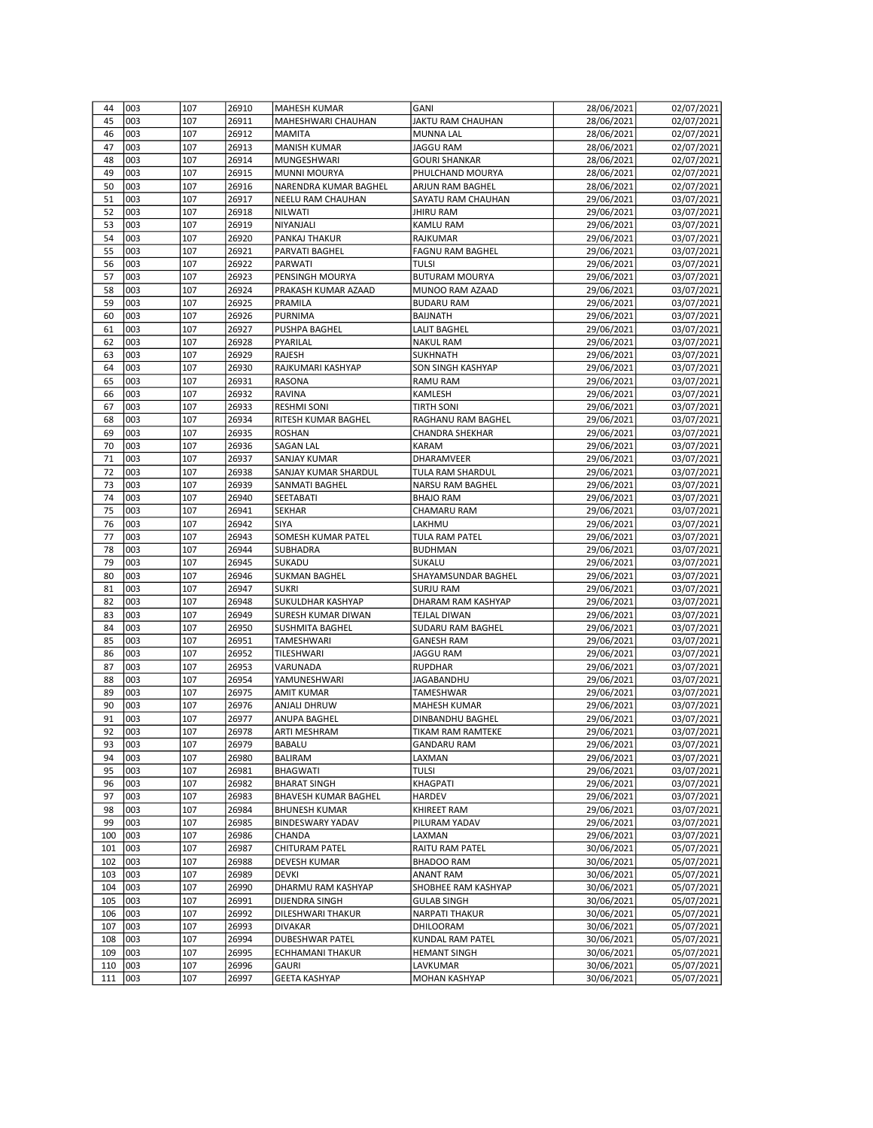| 44  | 003 | 107 | 26910 | <b>MAHESH KUMAR</b>     | GANI                     | 28/06/2021 | 02/07/2021 |
|-----|-----|-----|-------|-------------------------|--------------------------|------------|------------|
| 45  | 003 | 107 | 26911 | MAHESHWARI CHAUHAN      | JAKTU RAM CHAUHAN        | 28/06/2021 | 02/07/2021 |
| 46  | 003 | 107 | 26912 | MAMITA                  | <b>MUNNA LAL</b>         | 28/06/2021 | 02/07/2021 |
| 47  | 003 | 107 | 26913 | <b>MANISH KUMAR</b>     | <b>JAGGU RAM</b>         | 28/06/2021 | 02/07/2021 |
| 48  | 003 | 107 | 26914 | MUNGESHWARI             | <b>GOURI SHANKAR</b>     | 28/06/2021 | 02/07/2021 |
| 49  | 003 | 107 | 26915 | <b>MUNNI MOURYA</b>     | PHULCHAND MOURYA         | 28/06/2021 | 02/07/2021 |
| 50  | 003 | 107 | 26916 |                         | ARJUN RAM BAGHEL         |            |            |
|     |     |     |       | NARENDRA KUMAR BAGHEL   | SAYATU RAM CHAUHAN       | 28/06/2021 | 02/07/2021 |
| 51  | 003 | 107 | 26917 | NEELU RAM CHAUHAN       |                          | 29/06/2021 | 03/07/2021 |
| 52  | 003 | 107 | 26918 | NILWATI                 | <b>JHIRU RAM</b>         | 29/06/2021 | 03/07/2021 |
| 53  | 003 | 107 | 26919 | NIYANJALI               | <b>KAMLU RAM</b>         | 29/06/2021 | 03/07/2021 |
| 54  | 003 | 107 | 26920 | PANKAJ THAKUR           | <b>RAJKUMAR</b>          | 29/06/2021 | 03/07/2021 |
| 55  | 003 | 107 | 26921 | PARVATI BAGHEL          | FAGNU RAM BAGHEL         | 29/06/2021 | 03/07/2021 |
| 56  | 003 | 107 | 26922 | PARWATI                 | <b>TULSI</b>             | 29/06/2021 | 03/07/2021 |
| 57  | 003 | 107 | 26923 | PENSINGH MOURYA         | <b>BUTURAM MOURYA</b>    | 29/06/2021 | 03/07/2021 |
| 58  | 003 | 107 | 26924 | PRAKASH KUMAR AZAAD     | MUNOO RAM AZAAD          | 29/06/2021 | 03/07/2021 |
| 59  | 003 | 107 | 26925 | PRAMILA                 | <b>BUDARU RAM</b>        | 29/06/2021 | 03/07/2021 |
| 60  | 003 | 107 | 26926 | <b>PURNIMA</b>          | BAIJNATH                 | 29/06/2021 | 03/07/2021 |
| 61  | 003 | 107 | 26927 | PUSHPA BAGHEL           | <b>LALIT BAGHEL</b>      | 29/06/2021 | 03/07/2021 |
| 62  | 003 | 107 | 26928 | PYARILAL                | <b>NAKUL RAM</b>         | 29/06/2021 | 03/07/2021 |
| 63  | 003 | 107 | 26929 | RAJESH                  | SUKHNATH                 | 29/06/2021 | 03/07/2021 |
|     | 003 |     |       |                         |                          |            |            |
| 64  |     | 107 | 26930 | RAJKUMARI KASHYAP       | <b>SON SINGH KASHYAP</b> | 29/06/2021 | 03/07/2021 |
| 65  | 003 | 107 | 26931 | RASONA                  | RAMU RAM                 | 29/06/2021 | 03/07/2021 |
| 66  | 003 | 107 | 26932 | RAVINA                  | KAMLESH                  | 29/06/2021 | 03/07/2021 |
| 67  | 003 | 107 | 26933 | <b>RESHMI SONI</b>      | <b>TIRTH SONI</b>        | 29/06/2021 | 03/07/2021 |
| 68  | 003 | 107 | 26934 | RITESH KUMAR BAGHEL     | RAGHANU RAM BAGHEL       | 29/06/2021 | 03/07/2021 |
| 69  | 003 | 107 | 26935 | <b>ROSHAN</b>           | <b>CHANDRA SHEKHAR</b>   | 29/06/2021 | 03/07/2021 |
| 70  | 003 | 107 | 26936 | <b>SAGAN LAL</b>        | <b>KARAM</b>             | 29/06/2021 | 03/07/2021 |
| 71  | 003 | 107 | 26937 | SANJAY KUMAR            | DHARAMVEER               | 29/06/2021 | 03/07/2021 |
| 72  | 003 | 107 | 26938 | SANJAY KUMAR SHARDUL    | TULA RAM SHARDUL         | 29/06/2021 | 03/07/2021 |
| 73  | 003 | 107 | 26939 | SANMATI BAGHEL          | NARSU RAM BAGHEL         | 29/06/2021 | 03/07/2021 |
| 74  | 003 | 107 | 26940 | SEETABATI               | <b>BHAJO RAM</b>         | 29/06/2021 | 03/07/2021 |
| 75  | 003 | 107 | 26941 | <b>SEKHAR</b>           | <b>CHAMARU RAM</b>       | 29/06/2021 | 03/07/2021 |
| 76  | 003 | 107 | 26942 | <b>SIYA</b>             | LAKHMU                   | 29/06/2021 | 03/07/2021 |
| 77  | 003 | 107 | 26943 | SOMESH KUMAR PATEL      | TULA RAM PATEL           | 29/06/2021 | 03/07/2021 |
|     | 003 | 107 | 26944 |                         |                          |            | 03/07/2021 |
| 78  |     |     |       | SUBHADRA                | <b>BUDHMAN</b>           | 29/06/2021 |            |
| 79  | 003 | 107 | 26945 | SUKADU                  | SUKALU                   | 29/06/2021 | 03/07/2021 |
| 80  | 003 | 107 | 26946 | <b>SUKMAN BAGHEL</b>    | SHAYAMSUNDAR BAGHEL      | 29/06/2021 | 03/07/2021 |
| 81  | 003 | 107 | 26947 | <b>SUKRI</b>            | <b>SURJU RAM</b>         | 29/06/2021 | 03/07/2021 |
| 82  | 003 | 107 | 26948 | SUKULDHAR KASHYAP       | DHARAM RAM KASHYAP       | 29/06/2021 | 03/07/2021 |
| 83  | 003 | 107 | 26949 | SURESH KUMAR DIWAN      | TEJLAL DIWAN             | 29/06/2021 | 03/07/2021 |
| 84  | 003 | 107 | 26950 | SUSHMITA BAGHEL         | SUDARU RAM BAGHEL        | 29/06/2021 | 03/07/2021 |
| 85  | 003 | 107 | 26951 | TAMESHWARI              | <b>GANESH RAM</b>        | 29/06/2021 | 03/07/2021 |
| 86  | 003 | 107 | 26952 | TILESHWARI              | <b>JAGGU RAM</b>         | 29/06/2021 | 03/07/2021 |
| 87  | 003 | 107 | 26953 | VARUNADA                | <b>RUPDHAR</b>           | 29/06/2021 | 03/07/2021 |
| 88  | 003 | 107 | 26954 | YAMUNESHWARI            | <b>JAGABANDHU</b>        | 29/06/2021 | 03/07/2021 |
| 89  | 003 | 107 | 26975 | <b>AMIT KUMAR</b>       | TAMESHWAR                | 29/06/2021 | 03/07/2021 |
| 90  | 003 | 107 | 26976 | <b>ANJALI DHRUW</b>     | MAHESH KUMAR             | 29/06/2021 | 03/07/2021 |
| 91  | 003 | 107 | 26977 | ANUPA BAGHEL            | DINBANDHU BAGHEL         | 29/06/2021 | 03/07/2021 |
| 92  | 003 | 107 |       |                         |                          |            |            |
|     |     |     | 26978 | ARTI MESHRAM            | TIKAM RAM RAMTEKE        | 29/06/2021 | 03/07/2021 |
| 93  | 003 | 107 | 26979 | <b>BABALU</b>           | <b>GANDARU RAM</b>       | 29/06/2021 | 03/07/2021 |
| 94  | 003 | 107 | 26980 | <b>BALIRAM</b>          | LAXMAN                   | 29/06/2021 | 03/07/2021 |
| 95  | 003 | 107 | 26981 | <b>BHAGWATI</b>         | <b>TULSI</b>             | 29/06/2021 | 03/07/2021 |
| 96  | 003 | 107 | 26982 | <b>BHARAT SINGH</b>     | KHAGPATI                 | 29/06/2021 | 03/07/2021 |
| 97  | 003 | 107 | 26983 | BHAVESH KUMAR BAGHEL    | <b>HARDEV</b>            | 29/06/2021 | 03/07/2021 |
| 98  | 003 | 107 | 26984 | <b>BHUNESH KUMAR</b>    | KHIREET RAM              | 29/06/2021 | 03/07/2021 |
| 99  | 003 | 107 | 26985 | <b>BINDESWARY YADAV</b> | PILURAM YADAV            | 29/06/2021 | 03/07/2021 |
| 100 | 003 | 107 | 26986 | CHANDA                  | LAXMAN                   | 29/06/2021 | 03/07/2021 |
| 101 | 003 | 107 | 26987 | CHITURAM PATEL          | RAITU RAM PATEL          | 30/06/2021 | 05/07/2021 |
| 102 | 003 | 107 | 26988 | DEVESH KUMAR            | <b>BHADOO RAM</b>        | 30/06/2021 | 05/07/2021 |
| 103 | 003 | 107 | 26989 | DEVKI                   | ANANT RAM                | 30/06/2021 | 05/07/2021 |
| 104 | 003 | 107 | 26990 | DHARMU RAM KASHYAP      | SHOBHEE RAM KASHYAP      | 30/06/2021 | 05/07/2021 |
| 105 | 003 | 107 | 26991 | DIJENDRA SINGH          | <b>GULAB SINGH</b>       | 30/06/2021 | 05/07/2021 |
|     |     |     |       |                         |                          |            |            |
| 106 | 003 | 107 | 26992 | DILESHWARI THAKUR       | NARPATI THAKUR           | 30/06/2021 | 05/07/2021 |
| 107 | 003 | 107 | 26993 | <b>DIVAKAR</b>          | DHILOORAM                | 30/06/2021 | 05/07/2021 |
| 108 | 003 | 107 | 26994 | DUBESHWAR PATEL         | KUNDAL RAM PATEL         | 30/06/2021 | 05/07/2021 |
| 109 | 003 | 107 | 26995 | ECHHAMANI THAKUR        | <b>HEMANT SINGH</b>      | 30/06/2021 | 05/07/2021 |
| 110 | 003 | 107 | 26996 | GAURI                   | LAVKUMAR                 | 30/06/2021 | 05/07/2021 |
| 111 | 003 | 107 | 26997 | GEETA KASHYAP           | MOHAN KASHYAP            | 30/06/2021 | 05/07/2021 |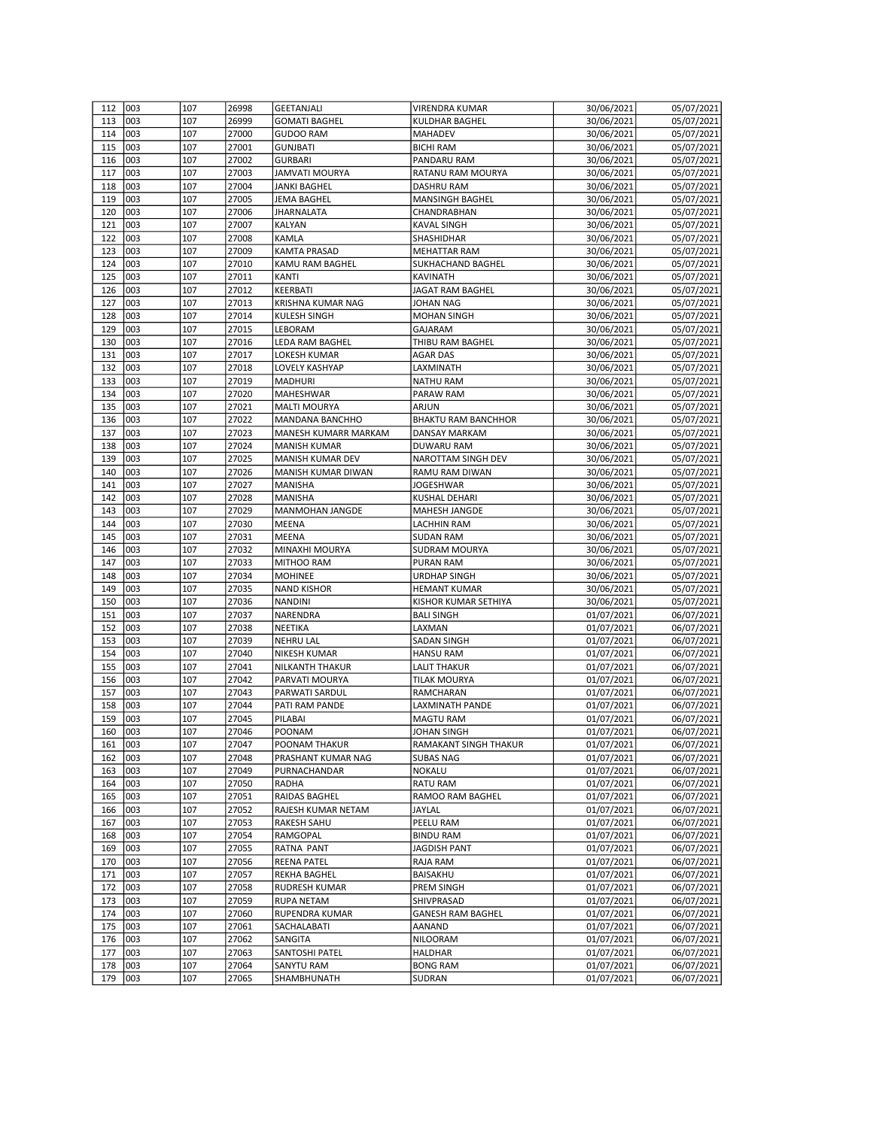| 112   003 |     | 107 | 26998 | GEETANJALI            | VIRENDRA KUMAR             | 30/06/2021 | 05/07/2021 |
|-----------|-----|-----|-------|-----------------------|----------------------------|------------|------------|
| 113       | 003 | 107 | 26999 | <b>GOMATI BAGHEL</b>  | KULDHAR BAGHEL             | 30/06/2021 | 05/07/2021 |
| 114       | 003 | 107 | 27000 | <b>GUDOO RAM</b>      | <b>MAHADEV</b>             | 30/06/2021 | 05/07/2021 |
| 115       | 003 | 107 | 27001 | <b>GUNJBATI</b>       | <b>BICHI RAM</b>           | 30/06/2021 | 05/07/2021 |
| 116       | 003 | 107 | 27002 | <b>GURBARI</b>        | PANDARU RAM                | 30/06/2021 | 05/07/2021 |
| 117       | 003 | 107 | 27003 | <b>JAMVATI MOURYA</b> | RATANU RAM MOURYA          | 30/06/2021 | 05/07/2021 |
| 118       | 003 | 107 | 27004 | JANKI BAGHEL          | <b>DASHRU RAM</b>          | 30/06/2021 | 05/07/2021 |
| 119       | 003 | 107 | 27005 | JEMA BAGHEL           | <b>MANSINGH BAGHEL</b>     | 30/06/2021 | 05/07/2021 |
| 120       | 003 | 107 | 27006 | JHARNALATA            | CHANDRABHAN                | 30/06/2021 | 05/07/2021 |
| 121       | 003 | 107 | 27007 | KALYAN                | KAVAL SINGH                | 30/06/2021 | 05/07/2021 |
| 122       | 003 | 107 | 27008 | KAMLA                 | SHASHIDHAR                 | 30/06/2021 | 05/07/2021 |
| 123       | 003 | 107 | 27009 | KAMTA PRASAD          | <b>MEHATTAR RAM</b>        | 30/06/2021 | 05/07/2021 |
| 124       | 003 | 107 | 27010 | KAMU RAM BAGHEL       | SUKHACHAND BAGHEL          | 30/06/2021 | 05/07/2021 |
| 125       | 003 | 107 | 27011 | KANTI                 | KAVINATH                   | 30/06/2021 | 05/07/2021 |
| 126       | 003 | 107 | 27012 | KEERBATI              | JAGAT RAM BAGHEL           | 30/06/2021 | 05/07/2021 |
| 127       | 003 | 107 | 27013 | KRISHNA KUMAR NAG     | JOHAN NAG                  | 30/06/2021 | 05/07/2021 |
| 128       | 003 | 107 | 27014 | KULESH SINGH          | MOHAN SINGH                | 30/06/2021 | 05/07/2021 |
| 129       | 003 | 107 | 27015 | LEBORAM               | GAJARAM                    | 30/06/2021 | 05/07/2021 |
| 130       | 003 | 107 | 27016 | LEDA RAM BAGHEL       | THIBU RAM BAGHEL           | 30/06/2021 | 05/07/2021 |
| 131       | 003 | 107 | 27017 | LOKESH KUMAR          | <b>AGAR DAS</b>            | 30/06/2021 | 05/07/2021 |
| 132       | 003 | 107 | 27018 | LOVELY KASHYAP        | LAXMINATH                  | 30/06/2021 | 05/07/2021 |
| 133       | 003 | 107 | 27019 | <b>MADHURI</b>        | <b>NATHU RAM</b>           | 30/06/2021 | 05/07/2021 |
| 134       | 003 | 107 | 27020 | <b>MAHESHWAR</b>      | PARAW RAM                  | 30/06/2021 | 05/07/2021 |
| 135       | 003 | 107 | 27021 | <b>MALTI MOURYA</b>   | ARJUN                      | 30/06/2021 | 05/07/2021 |
| 136       | 003 | 107 | 27022 | MANDANA BANCHHO       | <b>BHAKTU RAM BANCHHOR</b> | 30/06/2021 | 05/07/2021 |
| 137       | 003 | 107 | 27023 | MANESH KUMARR MARKAM  | <b>DANSAY MARKAM</b>       | 30/06/2021 | 05/07/2021 |
| 138       | 003 | 107 | 27024 | <b>MANISH KUMAR</b>   | <b>DUWARU RAM</b>          | 30/06/2021 | 05/07/2021 |
| 139       | 003 | 107 | 27025 | MANISH KUMAR DEV      | NAROTTAM SINGH DEV         | 30/06/2021 | 05/07/2021 |
| 140       | 003 | 107 | 27026 | MANISH KUMAR DIWAN    | RAMU RAM DIWAN             | 30/06/2021 | 05/07/2021 |
| 141       | 003 | 107 | 27027 | <b>MANISHA</b>        | <b>JOGESHWAR</b>           | 30/06/2021 | 05/07/2021 |
| 142       | 003 | 107 | 27028 | MANISHA               | <b>KUSHAL DEHARI</b>       | 30/06/2021 | 05/07/2021 |
| 143       | 003 | 107 | 27029 | MANMOHAN JANGDE       | MAHESH JANGDE              | 30/06/2021 | 05/07/2021 |
| 144       | 003 | 107 | 27030 | MEENA                 | <b>LACHHIN RAM</b>         | 30/06/2021 | 05/07/2021 |
| 145       | 003 | 107 | 27031 | <b>MEENA</b>          | <b>SUDAN RAM</b>           | 30/06/2021 | 05/07/2021 |
| 146       | 003 | 107 | 27032 | MINAXHI MOURYA        | SUDRAM MOURYA              | 30/06/2021 | 05/07/2021 |
| 147       | 003 | 107 | 27033 | MITHOO RAM            | PURAN RAM                  | 30/06/2021 | 05/07/2021 |
| 148       | 003 | 107 | 27034 | <b>MOHINEE</b>        | URDHAP SINGH               | 30/06/2021 | 05/07/2021 |
| 149       | 003 | 107 | 27035 | <b>NAND KISHOR</b>    | <b>HEMANT KUMAR</b>        | 30/06/2021 | 05/07/2021 |
| 150       | 003 | 107 | 27036 | <b>NANDINI</b>        | KISHOR KUMAR SETHIYA       | 30/06/2021 | 05/07/2021 |
| 151       | 003 | 107 | 27037 | NARENDRA              | <b>BALI SINGH</b>          | 01/07/2021 | 06/07/2021 |
| 152       | 003 | 107 | 27038 | NEETIKA               | LAXMAN                     | 01/07/2021 | 06/07/2021 |
| 153       | 003 | 107 | 27039 | <b>NEHRU LAL</b>      | SADAN SINGH                | 01/07/2021 | 06/07/2021 |
| 154       | 003 | 107 | 27040 | NIKESH KUMAR          | HANSU RAM                  | 01/07/2021 | 06/07/2021 |
| 155       | 003 | 107 | 27041 | NILKANTH THAKUR       | LALIT THAKUR               | 01/07/2021 | 06/07/2021 |
| 156       | 003 | 107 | 27042 | PARVATI MOURYA        | TILAK MOURYA               | 01/07/2021 | 06/07/2021 |
| 157       | 003 | 107 | 27043 | PARWATI SARDUL        | RAMCHARAN                  | 01/07/2021 | 06/07/2021 |
| 158       | 003 | 107 | 27044 | PATI RAM PANDE        | LAXMINATH PANDE            | 01/07/2021 | 06/07/2021 |
| 159       | 003 | 107 | 27045 | PILABAI               | MAGTU RAM                  | 01/07/2021 | 06/07/2021 |
| 160       | 003 | 107 | 27046 | <b>POONAM</b>         | JOHAN SINGH                | 01/07/2021 | 06/07/2021 |
| 161   003 |     | 107 | 27047 | POONAM THAKUR         | RAMAKANT SINGH THAKUR      | 01/07/2021 | 06/07/2021 |
| 162       | 003 | 107 | 27048 | PRASHANT KUMAR NAG    | <b>SUBAS NAG</b>           | 01/07/2021 | 06/07/2021 |
| 163       | 003 | 107 | 27049 | PURNACHANDAR          | NOKALU                     | 01/07/2021 | 06/07/2021 |
| 164       | 003 | 107 | 27050 | <b>RADHA</b>          | RATU RAM                   | 01/07/2021 | 06/07/2021 |
| 165       | 003 | 107 | 27051 | RAIDAS BAGHEL         | RAMOO RAM BAGHEL           | 01/07/2021 | 06/07/2021 |
| 166       | 003 | 107 | 27052 | RAJESH KUMAR NETAM    | <b>JAYLAL</b>              | 01/07/2021 | 06/07/2021 |
| 167       | 003 | 107 | 27053 | RAKESH SAHU           | PEELU RAM                  | 01/07/2021 | 06/07/2021 |
| 168       | 003 | 107 | 27054 | RAMGOPAL              | <b>BINDU RAM</b>           | 01/07/2021 | 06/07/2021 |
| 169       | 003 | 107 | 27055 | RATNA PANT            | <b>JAGDISH PANT</b>        | 01/07/2021 | 06/07/2021 |
| 170       | 003 | 107 | 27056 | <b>REENA PATEL</b>    | RAJA RAM                   | 01/07/2021 | 06/07/2021 |
| 171       | 003 | 107 | 27057 | REKHA BAGHEL          | BAISAKHU                   | 01/07/2021 | 06/07/2021 |
| 172       | 003 | 107 | 27058 | RUDRESH KUMAR         | PREM SINGH                 | 01/07/2021 | 06/07/2021 |
| 173       | 003 | 107 | 27059 | RUPA NETAM            | SHIVPRASAD                 | 01/07/2021 | 06/07/2021 |
| 174       | 003 | 107 | 27060 | RUPENDRA KUMAR        | GANESH RAM BAGHEL          | 01/07/2021 | 06/07/2021 |
| 175       | 003 | 107 | 27061 | SACHALABATI           | AANAND                     | 01/07/2021 | 06/07/2021 |
| 176       | 003 | 107 | 27062 | SANGITA               | NILOORAM                   | 01/07/2021 | 06/07/2021 |
| 177       | 003 | 107 | 27063 | SANTOSHI PATEL        | HALDHAR                    | 01/07/2021 | 06/07/2021 |
| 178       | 003 | 107 | 27064 | SANYTU RAM            | <b>BONG RAM</b>            | 01/07/2021 | 06/07/2021 |
| 179       | 003 | 107 | 27065 | SHAMBHUNATH           | SUDRAN                     | 01/07/2021 | 06/07/2021 |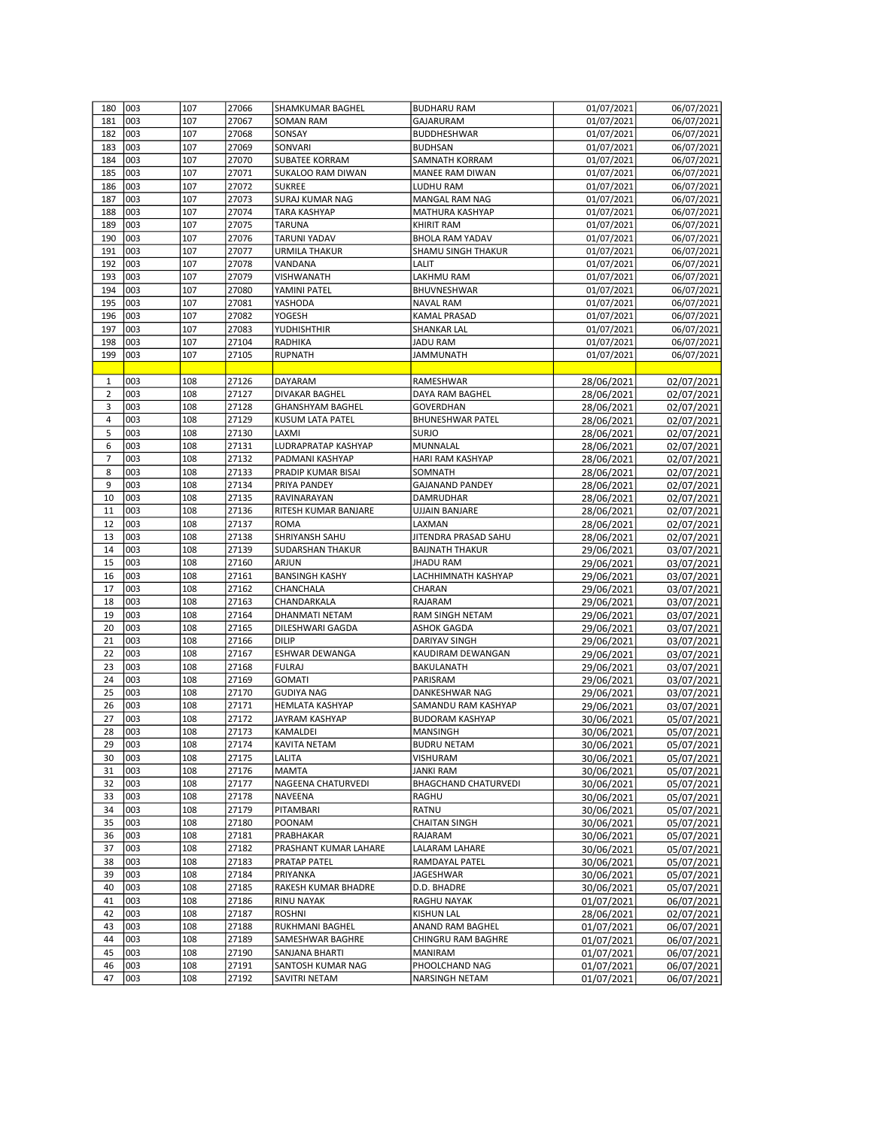| 181<br>003<br>107<br>27067<br><b>SOMAN RAM</b><br>GAJARURAM<br>01/07/2021<br>06/07/2021<br>182<br>003<br>107<br>27068<br>SONSAY<br>BUDDHESHWAR<br>01/07/2021<br>06/07/2021<br>SONVARI<br>003<br>107<br>27069<br><b>BUDHSAN</b><br>01/07/2021<br>06/07/2021<br>183<br>003<br>107<br>27070<br><b>SUBATEE KORRAM</b><br>SAMNATH KORRAM<br>01/07/2021<br>06/07/2021<br>184<br>06/07/2021<br>185<br>003<br>107<br>27071<br>SUKALOO RAM DIWAN<br>MANEE RAM DIWAN<br>01/07/2021<br>003<br>107<br>27072<br><b>SUKREE</b><br>LUDHU RAM<br>01/07/2021<br>06/07/2021<br>186<br>187<br>003<br>107<br>27073<br><b>SURAJ KUMAR NAG</b><br>01/07/2021<br>06/07/2021<br>MANGAL RAM NAG<br>003<br>107<br>27074<br>01/07/2021<br>06/07/2021<br>188<br>TARA KASHYAP<br>MATHURA KASHYAP<br>107<br>27075<br>01/07/2021<br>06/07/2021<br>189<br>003<br>TARUNA<br>KHIRIT RAM<br>003<br>107<br>27076<br><b>BHOLA RAM YADAV</b><br>01/07/2021<br>06/07/2021<br>190<br>TARUNI YADAV<br>003<br>107<br>27077<br>URMILA THAKUR<br>SHAMU SINGH THAKUR<br>01/07/2021<br>06/07/2021<br>191<br>192<br>003<br>107<br>27078<br>VANDANA<br>LALIT<br>01/07/2021<br>06/07/2021<br>003<br>107<br>27079<br>VISHWANATH<br>LAKHMU RAM<br>01/07/2021<br>06/07/2021<br>193<br>01/07/2021<br>06/07/2021<br>194<br>003<br>107<br>27080<br>YAMINI PATEL<br>BHUVNESHWAR<br>27081<br>01/07/2021<br>06/07/2021<br>195<br>003<br>107<br>YASHODA<br><b>NAVAL RAM</b><br>27082<br>01/07/2021<br>06/07/2021<br>196<br>003<br>107<br>YOGESH<br><b>KAMAL PRASAD</b><br>197<br>003<br>107<br>27083<br>YUDHISHTHIR<br>SHANKAR LAL<br>01/07/2021<br>06/07/2021<br>003<br>198<br>107<br>27104<br>RADHIKA<br><b>JADU RAM</b><br>01/07/2021<br>199<br>003<br>107<br>27105<br><b>RUPNATH</b><br>01/07/2021<br>06/07/2021<br><b>JAMMUNATH</b><br>003<br>108<br>$\mathbf{1}$<br>27126<br>DAYARAM<br>RAMESHWAR<br>28/06/2021<br>02/07/2021<br>003<br>27127<br>2<br>108<br>DIVAKAR BAGHEL<br>DAYA RAM BAGHEL<br>28/06/2021<br>3<br>003<br>108<br>27128<br><b>GHANSHYAM BAGHEL</b><br><b>GOVERDHAN</b><br>28/06/2021<br>4<br>003<br>108<br>27129<br>KUSUM LATA PATEL<br><b>BHUNESHWAR PATEL</b><br>28/06/2021<br>5<br>003<br>108<br>27130<br>LAXMI<br><b>SURJO</b><br>28/06/2021<br>6<br>003<br>108<br>27131<br>LUDRAPRATAP KASHYAP<br>MUNNALAL<br>28/06/2021<br>$\overline{7}$<br>003<br>108<br>27132<br>PADMANI KASHYAP<br>HARI RAM KASHYAP<br>28/06/2021<br>8<br>003<br>27133<br>PRADIP KUMAR BISAI<br>SOMNATH<br>108<br>28/06/2021<br>9<br>003<br>108<br>27134<br>PRIYA PANDEY<br><b>GAJANAND PANDEY</b><br>28/06/2021<br>10<br>003<br>108<br>27135<br>RAVINARAYAN<br><b>DAMRUDHAR</b><br>28/06/2021<br>11<br>003<br>108<br>27136<br>RITESH KUMAR BANJARE<br><b>UJJAIN BANJARE</b><br>28/06/2021<br>12<br>003<br>108<br>27137<br>LAXMAN<br><b>ROMA</b><br>28/06/2021<br>003<br>108<br>27138<br>13<br>SHRIYANSH SAHU<br>JITENDRA PRASAD SAHU<br>28/06/2021<br>108<br>27139<br>14<br>003<br>SUDARSHAN THAKUR<br><b>BAIJNATH THAKUR</b><br>29/06/2021<br>003<br>108<br>15<br>27160<br>ARJUN<br><b>JHADU RAM</b><br>29/06/2021<br>003<br>108<br>27161<br>16<br><b>BANSINGH KASHY</b><br>LACHHIMNATH KASHYAP<br>29/06/2021<br>003<br>108<br>27162<br>17<br>CHANCHALA<br>CHARAN<br>29/06/2021<br>003<br>108<br>27163<br>RAJARAM<br>18<br>CHANDARKALA<br>29/06/2021<br>003<br>19<br>108<br>27164<br>DHANMATI NETAM<br>RAM SINGH NETAM<br>29/06/2021<br>003<br>27165<br>20<br>108<br>DILESHWARI GAGDA<br><b>ASHOK GAGDA</b><br>29/06/2021<br>003<br>21<br>108<br>27166<br><b>DILIP</b><br>DARIYAV SINGH<br>29/06/2021<br>22<br>003<br>108<br>27167<br>ESHWAR DEWANGA<br>KAUDIRAM DEWANGAN<br>29/06/2021<br>03/07/2021<br>003<br>23<br>108<br>27168<br><b>FULRAJ</b><br>BAKULANATH<br>29/06/2021<br>003<br>108<br>27169<br>24<br><b>GOMATI</b><br>PARISRAM<br>29/06/2021<br>03/07/2021<br>003<br>27170<br>25<br>108<br><b>GUDIYA NAG</b><br>DANKESHWAR NAG<br>29/06/2021<br>003<br>26<br>108<br>27171<br>HEMLATA KASHYAP<br>SAMANDU RAM KASHYAP<br>29/06/2021<br>003<br>27<br>108<br>27172<br>JAYRAM KASHYAP<br><b>BUDORAM KASHYAP</b><br>30/06/2021<br>28<br>003<br>108<br>27173<br>KAMALDEI<br>MANSINGH<br>30/06/2021<br>29<br>003<br>108<br>27174<br><b>KAVITA NETAM</b><br><b>BUDRU NETAM</b><br>30/06/2021<br>108<br>003<br>27175<br>VISHURAM<br>30<br>LALITA<br>30/06/2021<br>31<br>003<br>108<br>27176<br><b>MAMTA</b><br><b>JANKI RAM</b><br>30/06/2021<br>003<br>108<br>27177<br>NAGEENA CHATURVEDI<br><b>BHAGCHAND CHATURVEDI</b><br>30/06/2021<br>32<br>003<br>27178<br>NAVEENA<br>RAGHU<br>33<br>108<br>30/06/2021<br>003<br>108<br>27179<br>PITAMBARI<br>RATNU<br>34<br>30/06/2021<br>35<br>003<br>108<br>27180<br>POONAM<br><b>CHAITAN SINGH</b><br>30/06/2021<br>003<br>27181<br>108<br>PRABHAKAR<br>RAJARAM<br>36<br>30/06/2021<br>37<br>003<br>108<br>27182<br>PRASHANT KUMAR LAHARE<br>LALARAM LAHARE<br>30/06/2021<br>003<br>108<br>27183<br>30/06/2021<br>38<br>PRATAP PATEL<br>RAMDAYAL PATEL<br>108<br>27184<br>39<br>003<br>PRIYANKA<br>JAGESHWAR<br>30/06/2021<br>003<br>108<br>27185<br>RAKESH KUMAR BHADRE<br>40<br>D.D. BHADRE<br>30/06/2021<br>108<br>41<br>003<br>27186<br>RAGHU NAYAK<br>RINU NAYAK<br>01/07/2021<br>003<br>108<br>27187<br><b>KISHUN LAL</b><br>42<br>ROSHNI<br>28/06/2021<br>43<br>003<br>108<br>27188<br>RUKHMANI BAGHEL<br>ANAND RAM BAGHEL<br>01/07/2021<br>003<br>SAMESHWAR BAGHRE<br>44<br>108<br>27189<br>CHINGRU RAM BAGHRE<br>01/07/2021<br>003<br>27190<br>01/07/2021<br>45<br>108<br>SANJANA BHARTI<br>MANIRAM<br>PHOOLCHAND NAG<br>46<br>003<br>108<br>27191<br>SANTOSH KUMAR NAG<br>01/07/2021<br>47<br>003<br>108<br>27192<br>SAVITRI NETAM<br>NARSINGH NETAM<br>01/07/2021 | 180 | $ 003\rangle$ | 107 | 27066 | SHAMKUMAR BAGHEL | <b>BUDHARU RAM</b> | 01/07/2021 | 06/07/2021 |
|-----------------------------------------------------------------------------------------------------------------------------------------------------------------------------------------------------------------------------------------------------------------------------------------------------------------------------------------------------------------------------------------------------------------------------------------------------------------------------------------------------------------------------------------------------------------------------------------------------------------------------------------------------------------------------------------------------------------------------------------------------------------------------------------------------------------------------------------------------------------------------------------------------------------------------------------------------------------------------------------------------------------------------------------------------------------------------------------------------------------------------------------------------------------------------------------------------------------------------------------------------------------------------------------------------------------------------------------------------------------------------------------------------------------------------------------------------------------------------------------------------------------------------------------------------------------------------------------------------------------------------------------------------------------------------------------------------------------------------------------------------------------------------------------------------------------------------------------------------------------------------------------------------------------------------------------------------------------------------------------------------------------------------------------------------------------------------------------------------------------------------------------------------------------------------------------------------------------------------------------------------------------------------------------------------------------------------------------------------------------------------------------------------------------------------------------------------------------------------------------------------------------------------------------------------------------------------------------------------------------------------------------------------------------------------------------------------------------------------------------------------------------------------------------------------------------------------------------------------------------------------------------------------------------------------------------------------------------------------------------------------------------------------------------------------------------------------------------------------------------------------------------------------------------------------------------------------------------------------------------------------------------------------------------------------------------------------------------------------------------------------------------------------------------------------------------------------------------------------------------------------------------------------------------------------------------------------------------------------------------------------------------------------------------------------------------------------------------------------------------------------------------------------------------------------------------------------------------------------------------------------------------------------------------------------------------------------------------------------------------------------------------------------------------------------------------------------------------------------------------------------------------------------------------------------------------------------------------------------------------------------------------------------------------------------------------------------------------------------------------------------------------------------------------------------------------------------------------------------------------------------------------------------------------------------------------------------------------------------------------------------------------------------------------------------------------------------------------------------------------------------------------------------------------------------------------------------------------------------------------------------------------------------------------------------------------------------------------------------------------------------------------------------------------------------------------------------------------------------------------------------------------------------------------------------------------------------------------------------------------------------------------------------------------------------------------------------------------------------------------------------------------------------------------------------------------------------------------------------------------------------------------------------------------------------------------------------------------------------------------------------------------------------------------|-----|---------------|-----|-------|------------------|--------------------|------------|------------|
|                                                                                                                                                                                                                                                                                                                                                                                                                                                                                                                                                                                                                                                                                                                                                                                                                                                                                                                                                                                                                                                                                                                                                                                                                                                                                                                                                                                                                                                                                                                                                                                                                                                                                                                                                                                                                                                                                                                                                                                                                                                                                                                                                                                                                                                                                                                                                                                                                                                                                                                                                                                                                                                                                                                                                                                                                                                                                                                                                                                                                                                                                                                                                                                                                                                                                                                                                                                                                                                                                                                                                                                                                                                                                                                                                                                                                                                                                                                                                                                                                                                                                                                                                                                                                                                                                                                                                                                                                                                                                                                                                                                                                                                                                                                                                                                                                                                                                                                                                                                                                                                                                                                                                                                                                                                                                                                                                                                                                                                                                                                                                                                                                                                                 |     |               |     |       |                  |                    |            |            |
|                                                                                                                                                                                                                                                                                                                                                                                                                                                                                                                                                                                                                                                                                                                                                                                                                                                                                                                                                                                                                                                                                                                                                                                                                                                                                                                                                                                                                                                                                                                                                                                                                                                                                                                                                                                                                                                                                                                                                                                                                                                                                                                                                                                                                                                                                                                                                                                                                                                                                                                                                                                                                                                                                                                                                                                                                                                                                                                                                                                                                                                                                                                                                                                                                                                                                                                                                                                                                                                                                                                                                                                                                                                                                                                                                                                                                                                                                                                                                                                                                                                                                                                                                                                                                                                                                                                                                                                                                                                                                                                                                                                                                                                                                                                                                                                                                                                                                                                                                                                                                                                                                                                                                                                                                                                                                                                                                                                                                                                                                                                                                                                                                                                                 |     |               |     |       |                  |                    |            |            |
| 06/07/2021<br>02/07/2021<br>02/07/2021<br>02/07/2021<br>02/07/2021<br>02/07/2021<br>02/07/2021<br>02/07/2021<br>02/07/2021<br>02/07/2021<br>02/07/2021<br>02/07/2021<br>02/07/2021<br>03/07/2021<br>03/07/2021<br>03/07/2021<br>03/07/2021<br>03/07/2021<br>03/07/2021<br>03/07/2021<br>03/07/2021<br>03/07/2021<br>03/07/2021<br>03/07/2021<br>05/07/2021<br>05/07/2021<br>05/07/2021<br>05/07/2021<br>05/07/2021<br>05/07/2021<br>05/07/2021<br>05/07/2021<br>05/07/2021<br>05/07/2021<br>05/07/2021<br>05/07/2021<br>05/07/2021<br>05/07/2021<br>06/07/2021<br>02/07/2021<br>06/07/2021<br>06/07/2021<br>06/07/2021<br>06/07/2021<br>06/07/2021                                                                                                                                                                                                                                                                                                                                                                                                                                                                                                                                                                                                                                                                                                                                                                                                                                                                                                                                                                                                                                                                                                                                                                                                                                                                                                                                                                                                                                                                                                                                                                                                                                                                                                                                                                                                                                                                                                                                                                                                                                                                                                                                                                                                                                                                                                                                                                                                                                                                                                                                                                                                                                                                                                                                                                                                                                                                                                                                                                                                                                                                                                                                                                                                                                                                                                                                                                                                                                                                                                                                                                                                                                                                                                                                                                                                                                                                                                                                                                                                                                                                                                                                                                                                                                                                                                                                                                                                                                                                                                                                                                                                                                                                                                                                                                                                                                                                                                                                                                                                              |     |               |     |       |                  |                    |            |            |
|                                                                                                                                                                                                                                                                                                                                                                                                                                                                                                                                                                                                                                                                                                                                                                                                                                                                                                                                                                                                                                                                                                                                                                                                                                                                                                                                                                                                                                                                                                                                                                                                                                                                                                                                                                                                                                                                                                                                                                                                                                                                                                                                                                                                                                                                                                                                                                                                                                                                                                                                                                                                                                                                                                                                                                                                                                                                                                                                                                                                                                                                                                                                                                                                                                                                                                                                                                                                                                                                                                                                                                                                                                                                                                                                                                                                                                                                                                                                                                                                                                                                                                                                                                                                                                                                                                                                                                                                                                                                                                                                                                                                                                                                                                                                                                                                                                                                                                                                                                                                                                                                                                                                                                                                                                                                                                                                                                                                                                                                                                                                                                                                                                                                 |     |               |     |       |                  |                    |            |            |
|                                                                                                                                                                                                                                                                                                                                                                                                                                                                                                                                                                                                                                                                                                                                                                                                                                                                                                                                                                                                                                                                                                                                                                                                                                                                                                                                                                                                                                                                                                                                                                                                                                                                                                                                                                                                                                                                                                                                                                                                                                                                                                                                                                                                                                                                                                                                                                                                                                                                                                                                                                                                                                                                                                                                                                                                                                                                                                                                                                                                                                                                                                                                                                                                                                                                                                                                                                                                                                                                                                                                                                                                                                                                                                                                                                                                                                                                                                                                                                                                                                                                                                                                                                                                                                                                                                                                                                                                                                                                                                                                                                                                                                                                                                                                                                                                                                                                                                                                                                                                                                                                                                                                                                                                                                                                                                                                                                                                                                                                                                                                                                                                                                                                 |     |               |     |       |                  |                    |            |            |
|                                                                                                                                                                                                                                                                                                                                                                                                                                                                                                                                                                                                                                                                                                                                                                                                                                                                                                                                                                                                                                                                                                                                                                                                                                                                                                                                                                                                                                                                                                                                                                                                                                                                                                                                                                                                                                                                                                                                                                                                                                                                                                                                                                                                                                                                                                                                                                                                                                                                                                                                                                                                                                                                                                                                                                                                                                                                                                                                                                                                                                                                                                                                                                                                                                                                                                                                                                                                                                                                                                                                                                                                                                                                                                                                                                                                                                                                                                                                                                                                                                                                                                                                                                                                                                                                                                                                                                                                                                                                                                                                                                                                                                                                                                                                                                                                                                                                                                                                                                                                                                                                                                                                                                                                                                                                                                                                                                                                                                                                                                                                                                                                                                                                 |     |               |     |       |                  |                    |            |            |
|                                                                                                                                                                                                                                                                                                                                                                                                                                                                                                                                                                                                                                                                                                                                                                                                                                                                                                                                                                                                                                                                                                                                                                                                                                                                                                                                                                                                                                                                                                                                                                                                                                                                                                                                                                                                                                                                                                                                                                                                                                                                                                                                                                                                                                                                                                                                                                                                                                                                                                                                                                                                                                                                                                                                                                                                                                                                                                                                                                                                                                                                                                                                                                                                                                                                                                                                                                                                                                                                                                                                                                                                                                                                                                                                                                                                                                                                                                                                                                                                                                                                                                                                                                                                                                                                                                                                                                                                                                                                                                                                                                                                                                                                                                                                                                                                                                                                                                                                                                                                                                                                                                                                                                                                                                                                                                                                                                                                                                                                                                                                                                                                                                                                 |     |               |     |       |                  |                    |            |            |
|                                                                                                                                                                                                                                                                                                                                                                                                                                                                                                                                                                                                                                                                                                                                                                                                                                                                                                                                                                                                                                                                                                                                                                                                                                                                                                                                                                                                                                                                                                                                                                                                                                                                                                                                                                                                                                                                                                                                                                                                                                                                                                                                                                                                                                                                                                                                                                                                                                                                                                                                                                                                                                                                                                                                                                                                                                                                                                                                                                                                                                                                                                                                                                                                                                                                                                                                                                                                                                                                                                                                                                                                                                                                                                                                                                                                                                                                                                                                                                                                                                                                                                                                                                                                                                                                                                                                                                                                                                                                                                                                                                                                                                                                                                                                                                                                                                                                                                                                                                                                                                                                                                                                                                                                                                                                                                                                                                                                                                                                                                                                                                                                                                                                 |     |               |     |       |                  |                    |            |            |
|                                                                                                                                                                                                                                                                                                                                                                                                                                                                                                                                                                                                                                                                                                                                                                                                                                                                                                                                                                                                                                                                                                                                                                                                                                                                                                                                                                                                                                                                                                                                                                                                                                                                                                                                                                                                                                                                                                                                                                                                                                                                                                                                                                                                                                                                                                                                                                                                                                                                                                                                                                                                                                                                                                                                                                                                                                                                                                                                                                                                                                                                                                                                                                                                                                                                                                                                                                                                                                                                                                                                                                                                                                                                                                                                                                                                                                                                                                                                                                                                                                                                                                                                                                                                                                                                                                                                                                                                                                                                                                                                                                                                                                                                                                                                                                                                                                                                                                                                                                                                                                                                                                                                                                                                                                                                                                                                                                                                                                                                                                                                                                                                                                                                 |     |               |     |       |                  |                    |            |            |
|                                                                                                                                                                                                                                                                                                                                                                                                                                                                                                                                                                                                                                                                                                                                                                                                                                                                                                                                                                                                                                                                                                                                                                                                                                                                                                                                                                                                                                                                                                                                                                                                                                                                                                                                                                                                                                                                                                                                                                                                                                                                                                                                                                                                                                                                                                                                                                                                                                                                                                                                                                                                                                                                                                                                                                                                                                                                                                                                                                                                                                                                                                                                                                                                                                                                                                                                                                                                                                                                                                                                                                                                                                                                                                                                                                                                                                                                                                                                                                                                                                                                                                                                                                                                                                                                                                                                                                                                                                                                                                                                                                                                                                                                                                                                                                                                                                                                                                                                                                                                                                                                                                                                                                                                                                                                                                                                                                                                                                                                                                                                                                                                                                                                 |     |               |     |       |                  |                    |            |            |
|                                                                                                                                                                                                                                                                                                                                                                                                                                                                                                                                                                                                                                                                                                                                                                                                                                                                                                                                                                                                                                                                                                                                                                                                                                                                                                                                                                                                                                                                                                                                                                                                                                                                                                                                                                                                                                                                                                                                                                                                                                                                                                                                                                                                                                                                                                                                                                                                                                                                                                                                                                                                                                                                                                                                                                                                                                                                                                                                                                                                                                                                                                                                                                                                                                                                                                                                                                                                                                                                                                                                                                                                                                                                                                                                                                                                                                                                                                                                                                                                                                                                                                                                                                                                                                                                                                                                                                                                                                                                                                                                                                                                                                                                                                                                                                                                                                                                                                                                                                                                                                                                                                                                                                                                                                                                                                                                                                                                                                                                                                                                                                                                                                                                 |     |               |     |       |                  |                    |            |            |
|                                                                                                                                                                                                                                                                                                                                                                                                                                                                                                                                                                                                                                                                                                                                                                                                                                                                                                                                                                                                                                                                                                                                                                                                                                                                                                                                                                                                                                                                                                                                                                                                                                                                                                                                                                                                                                                                                                                                                                                                                                                                                                                                                                                                                                                                                                                                                                                                                                                                                                                                                                                                                                                                                                                                                                                                                                                                                                                                                                                                                                                                                                                                                                                                                                                                                                                                                                                                                                                                                                                                                                                                                                                                                                                                                                                                                                                                                                                                                                                                                                                                                                                                                                                                                                                                                                                                                                                                                                                                                                                                                                                                                                                                                                                                                                                                                                                                                                                                                                                                                                                                                                                                                                                                                                                                                                                                                                                                                                                                                                                                                                                                                                                                 |     |               |     |       |                  |                    |            |            |
|                                                                                                                                                                                                                                                                                                                                                                                                                                                                                                                                                                                                                                                                                                                                                                                                                                                                                                                                                                                                                                                                                                                                                                                                                                                                                                                                                                                                                                                                                                                                                                                                                                                                                                                                                                                                                                                                                                                                                                                                                                                                                                                                                                                                                                                                                                                                                                                                                                                                                                                                                                                                                                                                                                                                                                                                                                                                                                                                                                                                                                                                                                                                                                                                                                                                                                                                                                                                                                                                                                                                                                                                                                                                                                                                                                                                                                                                                                                                                                                                                                                                                                                                                                                                                                                                                                                                                                                                                                                                                                                                                                                                                                                                                                                                                                                                                                                                                                                                                                                                                                                                                                                                                                                                                                                                                                                                                                                                                                                                                                                                                                                                                                                                 |     |               |     |       |                  |                    |            |            |
|                                                                                                                                                                                                                                                                                                                                                                                                                                                                                                                                                                                                                                                                                                                                                                                                                                                                                                                                                                                                                                                                                                                                                                                                                                                                                                                                                                                                                                                                                                                                                                                                                                                                                                                                                                                                                                                                                                                                                                                                                                                                                                                                                                                                                                                                                                                                                                                                                                                                                                                                                                                                                                                                                                                                                                                                                                                                                                                                                                                                                                                                                                                                                                                                                                                                                                                                                                                                                                                                                                                                                                                                                                                                                                                                                                                                                                                                                                                                                                                                                                                                                                                                                                                                                                                                                                                                                                                                                                                                                                                                                                                                                                                                                                                                                                                                                                                                                                                                                                                                                                                                                                                                                                                                                                                                                                                                                                                                                                                                                                                                                                                                                                                                 |     |               |     |       |                  |                    |            |            |
|                                                                                                                                                                                                                                                                                                                                                                                                                                                                                                                                                                                                                                                                                                                                                                                                                                                                                                                                                                                                                                                                                                                                                                                                                                                                                                                                                                                                                                                                                                                                                                                                                                                                                                                                                                                                                                                                                                                                                                                                                                                                                                                                                                                                                                                                                                                                                                                                                                                                                                                                                                                                                                                                                                                                                                                                                                                                                                                                                                                                                                                                                                                                                                                                                                                                                                                                                                                                                                                                                                                                                                                                                                                                                                                                                                                                                                                                                                                                                                                                                                                                                                                                                                                                                                                                                                                                                                                                                                                                                                                                                                                                                                                                                                                                                                                                                                                                                                                                                                                                                                                                                                                                                                                                                                                                                                                                                                                                                                                                                                                                                                                                                                                                 |     |               |     |       |                  |                    |            |            |
|                                                                                                                                                                                                                                                                                                                                                                                                                                                                                                                                                                                                                                                                                                                                                                                                                                                                                                                                                                                                                                                                                                                                                                                                                                                                                                                                                                                                                                                                                                                                                                                                                                                                                                                                                                                                                                                                                                                                                                                                                                                                                                                                                                                                                                                                                                                                                                                                                                                                                                                                                                                                                                                                                                                                                                                                                                                                                                                                                                                                                                                                                                                                                                                                                                                                                                                                                                                                                                                                                                                                                                                                                                                                                                                                                                                                                                                                                                                                                                                                                                                                                                                                                                                                                                                                                                                                                                                                                                                                                                                                                                                                                                                                                                                                                                                                                                                                                                                                                                                                                                                                                                                                                                                                                                                                                                                                                                                                                                                                                                                                                                                                                                                                 |     |               |     |       |                  |                    |            |            |
|                                                                                                                                                                                                                                                                                                                                                                                                                                                                                                                                                                                                                                                                                                                                                                                                                                                                                                                                                                                                                                                                                                                                                                                                                                                                                                                                                                                                                                                                                                                                                                                                                                                                                                                                                                                                                                                                                                                                                                                                                                                                                                                                                                                                                                                                                                                                                                                                                                                                                                                                                                                                                                                                                                                                                                                                                                                                                                                                                                                                                                                                                                                                                                                                                                                                                                                                                                                                                                                                                                                                                                                                                                                                                                                                                                                                                                                                                                                                                                                                                                                                                                                                                                                                                                                                                                                                                                                                                                                                                                                                                                                                                                                                                                                                                                                                                                                                                                                                                                                                                                                                                                                                                                                                                                                                                                                                                                                                                                                                                                                                                                                                                                                                 |     |               |     |       |                  |                    |            |            |
|                                                                                                                                                                                                                                                                                                                                                                                                                                                                                                                                                                                                                                                                                                                                                                                                                                                                                                                                                                                                                                                                                                                                                                                                                                                                                                                                                                                                                                                                                                                                                                                                                                                                                                                                                                                                                                                                                                                                                                                                                                                                                                                                                                                                                                                                                                                                                                                                                                                                                                                                                                                                                                                                                                                                                                                                                                                                                                                                                                                                                                                                                                                                                                                                                                                                                                                                                                                                                                                                                                                                                                                                                                                                                                                                                                                                                                                                                                                                                                                                                                                                                                                                                                                                                                                                                                                                                                                                                                                                                                                                                                                                                                                                                                                                                                                                                                                                                                                                                                                                                                                                                                                                                                                                                                                                                                                                                                                                                                                                                                                                                                                                                                                                 |     |               |     |       |                  |                    |            |            |
|                                                                                                                                                                                                                                                                                                                                                                                                                                                                                                                                                                                                                                                                                                                                                                                                                                                                                                                                                                                                                                                                                                                                                                                                                                                                                                                                                                                                                                                                                                                                                                                                                                                                                                                                                                                                                                                                                                                                                                                                                                                                                                                                                                                                                                                                                                                                                                                                                                                                                                                                                                                                                                                                                                                                                                                                                                                                                                                                                                                                                                                                                                                                                                                                                                                                                                                                                                                                                                                                                                                                                                                                                                                                                                                                                                                                                                                                                                                                                                                                                                                                                                                                                                                                                                                                                                                                                                                                                                                                                                                                                                                                                                                                                                                                                                                                                                                                                                                                                                                                                                                                                                                                                                                                                                                                                                                                                                                                                                                                                                                                                                                                                                                                 |     |               |     |       |                  |                    |            |            |
|                                                                                                                                                                                                                                                                                                                                                                                                                                                                                                                                                                                                                                                                                                                                                                                                                                                                                                                                                                                                                                                                                                                                                                                                                                                                                                                                                                                                                                                                                                                                                                                                                                                                                                                                                                                                                                                                                                                                                                                                                                                                                                                                                                                                                                                                                                                                                                                                                                                                                                                                                                                                                                                                                                                                                                                                                                                                                                                                                                                                                                                                                                                                                                                                                                                                                                                                                                                                                                                                                                                                                                                                                                                                                                                                                                                                                                                                                                                                                                                                                                                                                                                                                                                                                                                                                                                                                                                                                                                                                                                                                                                                                                                                                                                                                                                                                                                                                                                                                                                                                                                                                                                                                                                                                                                                                                                                                                                                                                                                                                                                                                                                                                                                 |     |               |     |       |                  |                    |            |            |
|                                                                                                                                                                                                                                                                                                                                                                                                                                                                                                                                                                                                                                                                                                                                                                                                                                                                                                                                                                                                                                                                                                                                                                                                                                                                                                                                                                                                                                                                                                                                                                                                                                                                                                                                                                                                                                                                                                                                                                                                                                                                                                                                                                                                                                                                                                                                                                                                                                                                                                                                                                                                                                                                                                                                                                                                                                                                                                                                                                                                                                                                                                                                                                                                                                                                                                                                                                                                                                                                                                                                                                                                                                                                                                                                                                                                                                                                                                                                                                                                                                                                                                                                                                                                                                                                                                                                                                                                                                                                                                                                                                                                                                                                                                                                                                                                                                                                                                                                                                                                                                                                                                                                                                                                                                                                                                                                                                                                                                                                                                                                                                                                                                                                 |     |               |     |       |                  |                    |            |            |
|                                                                                                                                                                                                                                                                                                                                                                                                                                                                                                                                                                                                                                                                                                                                                                                                                                                                                                                                                                                                                                                                                                                                                                                                                                                                                                                                                                                                                                                                                                                                                                                                                                                                                                                                                                                                                                                                                                                                                                                                                                                                                                                                                                                                                                                                                                                                                                                                                                                                                                                                                                                                                                                                                                                                                                                                                                                                                                                                                                                                                                                                                                                                                                                                                                                                                                                                                                                                                                                                                                                                                                                                                                                                                                                                                                                                                                                                                                                                                                                                                                                                                                                                                                                                                                                                                                                                                                                                                                                                                                                                                                                                                                                                                                                                                                                                                                                                                                                                                                                                                                                                                                                                                                                                                                                                                                                                                                                                                                                                                                                                                                                                                                                                 |     |               |     |       |                  |                    |            |            |
|                                                                                                                                                                                                                                                                                                                                                                                                                                                                                                                                                                                                                                                                                                                                                                                                                                                                                                                                                                                                                                                                                                                                                                                                                                                                                                                                                                                                                                                                                                                                                                                                                                                                                                                                                                                                                                                                                                                                                                                                                                                                                                                                                                                                                                                                                                                                                                                                                                                                                                                                                                                                                                                                                                                                                                                                                                                                                                                                                                                                                                                                                                                                                                                                                                                                                                                                                                                                                                                                                                                                                                                                                                                                                                                                                                                                                                                                                                                                                                                                                                                                                                                                                                                                                                                                                                                                                                                                                                                                                                                                                                                                                                                                                                                                                                                                                                                                                                                                                                                                                                                                                                                                                                                                                                                                                                                                                                                                                                                                                                                                                                                                                                                                 |     |               |     |       |                  |                    |            |            |
|                                                                                                                                                                                                                                                                                                                                                                                                                                                                                                                                                                                                                                                                                                                                                                                                                                                                                                                                                                                                                                                                                                                                                                                                                                                                                                                                                                                                                                                                                                                                                                                                                                                                                                                                                                                                                                                                                                                                                                                                                                                                                                                                                                                                                                                                                                                                                                                                                                                                                                                                                                                                                                                                                                                                                                                                                                                                                                                                                                                                                                                                                                                                                                                                                                                                                                                                                                                                                                                                                                                                                                                                                                                                                                                                                                                                                                                                                                                                                                                                                                                                                                                                                                                                                                                                                                                                                                                                                                                                                                                                                                                                                                                                                                                                                                                                                                                                                                                                                                                                                                                                                                                                                                                                                                                                                                                                                                                                                                                                                                                                                                                                                                                                 |     |               |     |       |                  |                    |            |            |
|                                                                                                                                                                                                                                                                                                                                                                                                                                                                                                                                                                                                                                                                                                                                                                                                                                                                                                                                                                                                                                                                                                                                                                                                                                                                                                                                                                                                                                                                                                                                                                                                                                                                                                                                                                                                                                                                                                                                                                                                                                                                                                                                                                                                                                                                                                                                                                                                                                                                                                                                                                                                                                                                                                                                                                                                                                                                                                                                                                                                                                                                                                                                                                                                                                                                                                                                                                                                                                                                                                                                                                                                                                                                                                                                                                                                                                                                                                                                                                                                                                                                                                                                                                                                                                                                                                                                                                                                                                                                                                                                                                                                                                                                                                                                                                                                                                                                                                                                                                                                                                                                                                                                                                                                                                                                                                                                                                                                                                                                                                                                                                                                                                                                 |     |               |     |       |                  |                    |            |            |
|                                                                                                                                                                                                                                                                                                                                                                                                                                                                                                                                                                                                                                                                                                                                                                                                                                                                                                                                                                                                                                                                                                                                                                                                                                                                                                                                                                                                                                                                                                                                                                                                                                                                                                                                                                                                                                                                                                                                                                                                                                                                                                                                                                                                                                                                                                                                                                                                                                                                                                                                                                                                                                                                                                                                                                                                                                                                                                                                                                                                                                                                                                                                                                                                                                                                                                                                                                                                                                                                                                                                                                                                                                                                                                                                                                                                                                                                                                                                                                                                                                                                                                                                                                                                                                                                                                                                                                                                                                                                                                                                                                                                                                                                                                                                                                                                                                                                                                                                                                                                                                                                                                                                                                                                                                                                                                                                                                                                                                                                                                                                                                                                                                                                 |     |               |     |       |                  |                    |            |            |
|                                                                                                                                                                                                                                                                                                                                                                                                                                                                                                                                                                                                                                                                                                                                                                                                                                                                                                                                                                                                                                                                                                                                                                                                                                                                                                                                                                                                                                                                                                                                                                                                                                                                                                                                                                                                                                                                                                                                                                                                                                                                                                                                                                                                                                                                                                                                                                                                                                                                                                                                                                                                                                                                                                                                                                                                                                                                                                                                                                                                                                                                                                                                                                                                                                                                                                                                                                                                                                                                                                                                                                                                                                                                                                                                                                                                                                                                                                                                                                                                                                                                                                                                                                                                                                                                                                                                                                                                                                                                                                                                                                                                                                                                                                                                                                                                                                                                                                                                                                                                                                                                                                                                                                                                                                                                                                                                                                                                                                                                                                                                                                                                                                                                 |     |               |     |       |                  |                    |            |            |
|                                                                                                                                                                                                                                                                                                                                                                                                                                                                                                                                                                                                                                                                                                                                                                                                                                                                                                                                                                                                                                                                                                                                                                                                                                                                                                                                                                                                                                                                                                                                                                                                                                                                                                                                                                                                                                                                                                                                                                                                                                                                                                                                                                                                                                                                                                                                                                                                                                                                                                                                                                                                                                                                                                                                                                                                                                                                                                                                                                                                                                                                                                                                                                                                                                                                                                                                                                                                                                                                                                                                                                                                                                                                                                                                                                                                                                                                                                                                                                                                                                                                                                                                                                                                                                                                                                                                                                                                                                                                                                                                                                                                                                                                                                                                                                                                                                                                                                                                                                                                                                                                                                                                                                                                                                                                                                                                                                                                                                                                                                                                                                                                                                                                 |     |               |     |       |                  |                    |            |            |
|                                                                                                                                                                                                                                                                                                                                                                                                                                                                                                                                                                                                                                                                                                                                                                                                                                                                                                                                                                                                                                                                                                                                                                                                                                                                                                                                                                                                                                                                                                                                                                                                                                                                                                                                                                                                                                                                                                                                                                                                                                                                                                                                                                                                                                                                                                                                                                                                                                                                                                                                                                                                                                                                                                                                                                                                                                                                                                                                                                                                                                                                                                                                                                                                                                                                                                                                                                                                                                                                                                                                                                                                                                                                                                                                                                                                                                                                                                                                                                                                                                                                                                                                                                                                                                                                                                                                                                                                                                                                                                                                                                                                                                                                                                                                                                                                                                                                                                                                                                                                                                                                                                                                                                                                                                                                                                                                                                                                                                                                                                                                                                                                                                                                 |     |               |     |       |                  |                    |            |            |
|                                                                                                                                                                                                                                                                                                                                                                                                                                                                                                                                                                                                                                                                                                                                                                                                                                                                                                                                                                                                                                                                                                                                                                                                                                                                                                                                                                                                                                                                                                                                                                                                                                                                                                                                                                                                                                                                                                                                                                                                                                                                                                                                                                                                                                                                                                                                                                                                                                                                                                                                                                                                                                                                                                                                                                                                                                                                                                                                                                                                                                                                                                                                                                                                                                                                                                                                                                                                                                                                                                                                                                                                                                                                                                                                                                                                                                                                                                                                                                                                                                                                                                                                                                                                                                                                                                                                                                                                                                                                                                                                                                                                                                                                                                                                                                                                                                                                                                                                                                                                                                                                                                                                                                                                                                                                                                                                                                                                                                                                                                                                                                                                                                                                 |     |               |     |       |                  |                    |            |            |
|                                                                                                                                                                                                                                                                                                                                                                                                                                                                                                                                                                                                                                                                                                                                                                                                                                                                                                                                                                                                                                                                                                                                                                                                                                                                                                                                                                                                                                                                                                                                                                                                                                                                                                                                                                                                                                                                                                                                                                                                                                                                                                                                                                                                                                                                                                                                                                                                                                                                                                                                                                                                                                                                                                                                                                                                                                                                                                                                                                                                                                                                                                                                                                                                                                                                                                                                                                                                                                                                                                                                                                                                                                                                                                                                                                                                                                                                                                                                                                                                                                                                                                                                                                                                                                                                                                                                                                                                                                                                                                                                                                                                                                                                                                                                                                                                                                                                                                                                                                                                                                                                                                                                                                                                                                                                                                                                                                                                                                                                                                                                                                                                                                                                 |     |               |     |       |                  |                    |            |            |
|                                                                                                                                                                                                                                                                                                                                                                                                                                                                                                                                                                                                                                                                                                                                                                                                                                                                                                                                                                                                                                                                                                                                                                                                                                                                                                                                                                                                                                                                                                                                                                                                                                                                                                                                                                                                                                                                                                                                                                                                                                                                                                                                                                                                                                                                                                                                                                                                                                                                                                                                                                                                                                                                                                                                                                                                                                                                                                                                                                                                                                                                                                                                                                                                                                                                                                                                                                                                                                                                                                                                                                                                                                                                                                                                                                                                                                                                                                                                                                                                                                                                                                                                                                                                                                                                                                                                                                                                                                                                                                                                                                                                                                                                                                                                                                                                                                                                                                                                                                                                                                                                                                                                                                                                                                                                                                                                                                                                                                                                                                                                                                                                                                                                 |     |               |     |       |                  |                    |            |            |
|                                                                                                                                                                                                                                                                                                                                                                                                                                                                                                                                                                                                                                                                                                                                                                                                                                                                                                                                                                                                                                                                                                                                                                                                                                                                                                                                                                                                                                                                                                                                                                                                                                                                                                                                                                                                                                                                                                                                                                                                                                                                                                                                                                                                                                                                                                                                                                                                                                                                                                                                                                                                                                                                                                                                                                                                                                                                                                                                                                                                                                                                                                                                                                                                                                                                                                                                                                                                                                                                                                                                                                                                                                                                                                                                                                                                                                                                                                                                                                                                                                                                                                                                                                                                                                                                                                                                                                                                                                                                                                                                                                                                                                                                                                                                                                                                                                                                                                                                                                                                                                                                                                                                                                                                                                                                                                                                                                                                                                                                                                                                                                                                                                                                 |     |               |     |       |                  |                    |            |            |
|                                                                                                                                                                                                                                                                                                                                                                                                                                                                                                                                                                                                                                                                                                                                                                                                                                                                                                                                                                                                                                                                                                                                                                                                                                                                                                                                                                                                                                                                                                                                                                                                                                                                                                                                                                                                                                                                                                                                                                                                                                                                                                                                                                                                                                                                                                                                                                                                                                                                                                                                                                                                                                                                                                                                                                                                                                                                                                                                                                                                                                                                                                                                                                                                                                                                                                                                                                                                                                                                                                                                                                                                                                                                                                                                                                                                                                                                                                                                                                                                                                                                                                                                                                                                                                                                                                                                                                                                                                                                                                                                                                                                                                                                                                                                                                                                                                                                                                                                                                                                                                                                                                                                                                                                                                                                                                                                                                                                                                                                                                                                                                                                                                                                 |     |               |     |       |                  |                    |            |            |
|                                                                                                                                                                                                                                                                                                                                                                                                                                                                                                                                                                                                                                                                                                                                                                                                                                                                                                                                                                                                                                                                                                                                                                                                                                                                                                                                                                                                                                                                                                                                                                                                                                                                                                                                                                                                                                                                                                                                                                                                                                                                                                                                                                                                                                                                                                                                                                                                                                                                                                                                                                                                                                                                                                                                                                                                                                                                                                                                                                                                                                                                                                                                                                                                                                                                                                                                                                                                                                                                                                                                                                                                                                                                                                                                                                                                                                                                                                                                                                                                                                                                                                                                                                                                                                                                                                                                                                                                                                                                                                                                                                                                                                                                                                                                                                                                                                                                                                                                                                                                                                                                                                                                                                                                                                                                                                                                                                                                                                                                                                                                                                                                                                                                 |     |               |     |       |                  |                    |            |            |
|                                                                                                                                                                                                                                                                                                                                                                                                                                                                                                                                                                                                                                                                                                                                                                                                                                                                                                                                                                                                                                                                                                                                                                                                                                                                                                                                                                                                                                                                                                                                                                                                                                                                                                                                                                                                                                                                                                                                                                                                                                                                                                                                                                                                                                                                                                                                                                                                                                                                                                                                                                                                                                                                                                                                                                                                                                                                                                                                                                                                                                                                                                                                                                                                                                                                                                                                                                                                                                                                                                                                                                                                                                                                                                                                                                                                                                                                                                                                                                                                                                                                                                                                                                                                                                                                                                                                                                                                                                                                                                                                                                                                                                                                                                                                                                                                                                                                                                                                                                                                                                                                                                                                                                                                                                                                                                                                                                                                                                                                                                                                                                                                                                                                 |     |               |     |       |                  |                    |            |            |
|                                                                                                                                                                                                                                                                                                                                                                                                                                                                                                                                                                                                                                                                                                                                                                                                                                                                                                                                                                                                                                                                                                                                                                                                                                                                                                                                                                                                                                                                                                                                                                                                                                                                                                                                                                                                                                                                                                                                                                                                                                                                                                                                                                                                                                                                                                                                                                                                                                                                                                                                                                                                                                                                                                                                                                                                                                                                                                                                                                                                                                                                                                                                                                                                                                                                                                                                                                                                                                                                                                                                                                                                                                                                                                                                                                                                                                                                                                                                                                                                                                                                                                                                                                                                                                                                                                                                                                                                                                                                                                                                                                                                                                                                                                                                                                                                                                                                                                                                                                                                                                                                                                                                                                                                                                                                                                                                                                                                                                                                                                                                                                                                                                                                 |     |               |     |       |                  |                    |            |            |
|                                                                                                                                                                                                                                                                                                                                                                                                                                                                                                                                                                                                                                                                                                                                                                                                                                                                                                                                                                                                                                                                                                                                                                                                                                                                                                                                                                                                                                                                                                                                                                                                                                                                                                                                                                                                                                                                                                                                                                                                                                                                                                                                                                                                                                                                                                                                                                                                                                                                                                                                                                                                                                                                                                                                                                                                                                                                                                                                                                                                                                                                                                                                                                                                                                                                                                                                                                                                                                                                                                                                                                                                                                                                                                                                                                                                                                                                                                                                                                                                                                                                                                                                                                                                                                                                                                                                                                                                                                                                                                                                                                                                                                                                                                                                                                                                                                                                                                                                                                                                                                                                                                                                                                                                                                                                                                                                                                                                                                                                                                                                                                                                                                                                 |     |               |     |       |                  |                    |            |            |
|                                                                                                                                                                                                                                                                                                                                                                                                                                                                                                                                                                                                                                                                                                                                                                                                                                                                                                                                                                                                                                                                                                                                                                                                                                                                                                                                                                                                                                                                                                                                                                                                                                                                                                                                                                                                                                                                                                                                                                                                                                                                                                                                                                                                                                                                                                                                                                                                                                                                                                                                                                                                                                                                                                                                                                                                                                                                                                                                                                                                                                                                                                                                                                                                                                                                                                                                                                                                                                                                                                                                                                                                                                                                                                                                                                                                                                                                                                                                                                                                                                                                                                                                                                                                                                                                                                                                                                                                                                                                                                                                                                                                                                                                                                                                                                                                                                                                                                                                                                                                                                                                                                                                                                                                                                                                                                                                                                                                                                                                                                                                                                                                                                                                 |     |               |     |       |                  |                    |            |            |
|                                                                                                                                                                                                                                                                                                                                                                                                                                                                                                                                                                                                                                                                                                                                                                                                                                                                                                                                                                                                                                                                                                                                                                                                                                                                                                                                                                                                                                                                                                                                                                                                                                                                                                                                                                                                                                                                                                                                                                                                                                                                                                                                                                                                                                                                                                                                                                                                                                                                                                                                                                                                                                                                                                                                                                                                                                                                                                                                                                                                                                                                                                                                                                                                                                                                                                                                                                                                                                                                                                                                                                                                                                                                                                                                                                                                                                                                                                                                                                                                                                                                                                                                                                                                                                                                                                                                                                                                                                                                                                                                                                                                                                                                                                                                                                                                                                                                                                                                                                                                                                                                                                                                                                                                                                                                                                                                                                                                                                                                                                                                                                                                                                                                 |     |               |     |       |                  |                    |            |            |
|                                                                                                                                                                                                                                                                                                                                                                                                                                                                                                                                                                                                                                                                                                                                                                                                                                                                                                                                                                                                                                                                                                                                                                                                                                                                                                                                                                                                                                                                                                                                                                                                                                                                                                                                                                                                                                                                                                                                                                                                                                                                                                                                                                                                                                                                                                                                                                                                                                                                                                                                                                                                                                                                                                                                                                                                                                                                                                                                                                                                                                                                                                                                                                                                                                                                                                                                                                                                                                                                                                                                                                                                                                                                                                                                                                                                                                                                                                                                                                                                                                                                                                                                                                                                                                                                                                                                                                                                                                                                                                                                                                                                                                                                                                                                                                                                                                                                                                                                                                                                                                                                                                                                                                                                                                                                                                                                                                                                                                                                                                                                                                                                                                                                 |     |               |     |       |                  |                    |            |            |
|                                                                                                                                                                                                                                                                                                                                                                                                                                                                                                                                                                                                                                                                                                                                                                                                                                                                                                                                                                                                                                                                                                                                                                                                                                                                                                                                                                                                                                                                                                                                                                                                                                                                                                                                                                                                                                                                                                                                                                                                                                                                                                                                                                                                                                                                                                                                                                                                                                                                                                                                                                                                                                                                                                                                                                                                                                                                                                                                                                                                                                                                                                                                                                                                                                                                                                                                                                                                                                                                                                                                                                                                                                                                                                                                                                                                                                                                                                                                                                                                                                                                                                                                                                                                                                                                                                                                                                                                                                                                                                                                                                                                                                                                                                                                                                                                                                                                                                                                                                                                                                                                                                                                                                                                                                                                                                                                                                                                                                                                                                                                                                                                                                                                 |     |               |     |       |                  |                    |            |            |
|                                                                                                                                                                                                                                                                                                                                                                                                                                                                                                                                                                                                                                                                                                                                                                                                                                                                                                                                                                                                                                                                                                                                                                                                                                                                                                                                                                                                                                                                                                                                                                                                                                                                                                                                                                                                                                                                                                                                                                                                                                                                                                                                                                                                                                                                                                                                                                                                                                                                                                                                                                                                                                                                                                                                                                                                                                                                                                                                                                                                                                                                                                                                                                                                                                                                                                                                                                                                                                                                                                                                                                                                                                                                                                                                                                                                                                                                                                                                                                                                                                                                                                                                                                                                                                                                                                                                                                                                                                                                                                                                                                                                                                                                                                                                                                                                                                                                                                                                                                                                                                                                                                                                                                                                                                                                                                                                                                                                                                                                                                                                                                                                                                                                 |     |               |     |       |                  |                    |            |            |
|                                                                                                                                                                                                                                                                                                                                                                                                                                                                                                                                                                                                                                                                                                                                                                                                                                                                                                                                                                                                                                                                                                                                                                                                                                                                                                                                                                                                                                                                                                                                                                                                                                                                                                                                                                                                                                                                                                                                                                                                                                                                                                                                                                                                                                                                                                                                                                                                                                                                                                                                                                                                                                                                                                                                                                                                                                                                                                                                                                                                                                                                                                                                                                                                                                                                                                                                                                                                                                                                                                                                                                                                                                                                                                                                                                                                                                                                                                                                                                                                                                                                                                                                                                                                                                                                                                                                                                                                                                                                                                                                                                                                                                                                                                                                                                                                                                                                                                                                                                                                                                                                                                                                                                                                                                                                                                                                                                                                                                                                                                                                                                                                                                                                 |     |               |     |       |                  |                    |            |            |
|                                                                                                                                                                                                                                                                                                                                                                                                                                                                                                                                                                                                                                                                                                                                                                                                                                                                                                                                                                                                                                                                                                                                                                                                                                                                                                                                                                                                                                                                                                                                                                                                                                                                                                                                                                                                                                                                                                                                                                                                                                                                                                                                                                                                                                                                                                                                                                                                                                                                                                                                                                                                                                                                                                                                                                                                                                                                                                                                                                                                                                                                                                                                                                                                                                                                                                                                                                                                                                                                                                                                                                                                                                                                                                                                                                                                                                                                                                                                                                                                                                                                                                                                                                                                                                                                                                                                                                                                                                                                                                                                                                                                                                                                                                                                                                                                                                                                                                                                                                                                                                                                                                                                                                                                                                                                                                                                                                                                                                                                                                                                                                                                                                                                 |     |               |     |       |                  |                    |            |            |
|                                                                                                                                                                                                                                                                                                                                                                                                                                                                                                                                                                                                                                                                                                                                                                                                                                                                                                                                                                                                                                                                                                                                                                                                                                                                                                                                                                                                                                                                                                                                                                                                                                                                                                                                                                                                                                                                                                                                                                                                                                                                                                                                                                                                                                                                                                                                                                                                                                                                                                                                                                                                                                                                                                                                                                                                                                                                                                                                                                                                                                                                                                                                                                                                                                                                                                                                                                                                                                                                                                                                                                                                                                                                                                                                                                                                                                                                                                                                                                                                                                                                                                                                                                                                                                                                                                                                                                                                                                                                                                                                                                                                                                                                                                                                                                                                                                                                                                                                                                                                                                                                                                                                                                                                                                                                                                                                                                                                                                                                                                                                                                                                                                                                 |     |               |     |       |                  |                    |            |            |
|                                                                                                                                                                                                                                                                                                                                                                                                                                                                                                                                                                                                                                                                                                                                                                                                                                                                                                                                                                                                                                                                                                                                                                                                                                                                                                                                                                                                                                                                                                                                                                                                                                                                                                                                                                                                                                                                                                                                                                                                                                                                                                                                                                                                                                                                                                                                                                                                                                                                                                                                                                                                                                                                                                                                                                                                                                                                                                                                                                                                                                                                                                                                                                                                                                                                                                                                                                                                                                                                                                                                                                                                                                                                                                                                                                                                                                                                                                                                                                                                                                                                                                                                                                                                                                                                                                                                                                                                                                                                                                                                                                                                                                                                                                                                                                                                                                                                                                                                                                                                                                                                                                                                                                                                                                                                                                                                                                                                                                                                                                                                                                                                                                                                 |     |               |     |       |                  |                    |            |            |
|                                                                                                                                                                                                                                                                                                                                                                                                                                                                                                                                                                                                                                                                                                                                                                                                                                                                                                                                                                                                                                                                                                                                                                                                                                                                                                                                                                                                                                                                                                                                                                                                                                                                                                                                                                                                                                                                                                                                                                                                                                                                                                                                                                                                                                                                                                                                                                                                                                                                                                                                                                                                                                                                                                                                                                                                                                                                                                                                                                                                                                                                                                                                                                                                                                                                                                                                                                                                                                                                                                                                                                                                                                                                                                                                                                                                                                                                                                                                                                                                                                                                                                                                                                                                                                                                                                                                                                                                                                                                                                                                                                                                                                                                                                                                                                                                                                                                                                                                                                                                                                                                                                                                                                                                                                                                                                                                                                                                                                                                                                                                                                                                                                                                 |     |               |     |       |                  |                    |            |            |
|                                                                                                                                                                                                                                                                                                                                                                                                                                                                                                                                                                                                                                                                                                                                                                                                                                                                                                                                                                                                                                                                                                                                                                                                                                                                                                                                                                                                                                                                                                                                                                                                                                                                                                                                                                                                                                                                                                                                                                                                                                                                                                                                                                                                                                                                                                                                                                                                                                                                                                                                                                                                                                                                                                                                                                                                                                                                                                                                                                                                                                                                                                                                                                                                                                                                                                                                                                                                                                                                                                                                                                                                                                                                                                                                                                                                                                                                                                                                                                                                                                                                                                                                                                                                                                                                                                                                                                                                                                                                                                                                                                                                                                                                                                                                                                                                                                                                                                                                                                                                                                                                                                                                                                                                                                                                                                                                                                                                                                                                                                                                                                                                                                                                 |     |               |     |       |                  |                    |            |            |
|                                                                                                                                                                                                                                                                                                                                                                                                                                                                                                                                                                                                                                                                                                                                                                                                                                                                                                                                                                                                                                                                                                                                                                                                                                                                                                                                                                                                                                                                                                                                                                                                                                                                                                                                                                                                                                                                                                                                                                                                                                                                                                                                                                                                                                                                                                                                                                                                                                                                                                                                                                                                                                                                                                                                                                                                                                                                                                                                                                                                                                                                                                                                                                                                                                                                                                                                                                                                                                                                                                                                                                                                                                                                                                                                                                                                                                                                                                                                                                                                                                                                                                                                                                                                                                                                                                                                                                                                                                                                                                                                                                                                                                                                                                                                                                                                                                                                                                                                                                                                                                                                                                                                                                                                                                                                                                                                                                                                                                                                                                                                                                                                                                                                 |     |               |     |       |                  |                    |            |            |
|                                                                                                                                                                                                                                                                                                                                                                                                                                                                                                                                                                                                                                                                                                                                                                                                                                                                                                                                                                                                                                                                                                                                                                                                                                                                                                                                                                                                                                                                                                                                                                                                                                                                                                                                                                                                                                                                                                                                                                                                                                                                                                                                                                                                                                                                                                                                                                                                                                                                                                                                                                                                                                                                                                                                                                                                                                                                                                                                                                                                                                                                                                                                                                                                                                                                                                                                                                                                                                                                                                                                                                                                                                                                                                                                                                                                                                                                                                                                                                                                                                                                                                                                                                                                                                                                                                                                                                                                                                                                                                                                                                                                                                                                                                                                                                                                                                                                                                                                                                                                                                                                                                                                                                                                                                                                                                                                                                                                                                                                                                                                                                                                                                                                 |     |               |     |       |                  |                    |            |            |
|                                                                                                                                                                                                                                                                                                                                                                                                                                                                                                                                                                                                                                                                                                                                                                                                                                                                                                                                                                                                                                                                                                                                                                                                                                                                                                                                                                                                                                                                                                                                                                                                                                                                                                                                                                                                                                                                                                                                                                                                                                                                                                                                                                                                                                                                                                                                                                                                                                                                                                                                                                                                                                                                                                                                                                                                                                                                                                                                                                                                                                                                                                                                                                                                                                                                                                                                                                                                                                                                                                                                                                                                                                                                                                                                                                                                                                                                                                                                                                                                                                                                                                                                                                                                                                                                                                                                                                                                                                                                                                                                                                                                                                                                                                                                                                                                                                                                                                                                                                                                                                                                                                                                                                                                                                                                                                                                                                                                                                                                                                                                                                                                                                                                 |     |               |     |       |                  |                    |            |            |
|                                                                                                                                                                                                                                                                                                                                                                                                                                                                                                                                                                                                                                                                                                                                                                                                                                                                                                                                                                                                                                                                                                                                                                                                                                                                                                                                                                                                                                                                                                                                                                                                                                                                                                                                                                                                                                                                                                                                                                                                                                                                                                                                                                                                                                                                                                                                                                                                                                                                                                                                                                                                                                                                                                                                                                                                                                                                                                                                                                                                                                                                                                                                                                                                                                                                                                                                                                                                                                                                                                                                                                                                                                                                                                                                                                                                                                                                                                                                                                                                                                                                                                                                                                                                                                                                                                                                                                                                                                                                                                                                                                                                                                                                                                                                                                                                                                                                                                                                                                                                                                                                                                                                                                                                                                                                                                                                                                                                                                                                                                                                                                                                                                                                 |     |               |     |       |                  |                    |            |            |
|                                                                                                                                                                                                                                                                                                                                                                                                                                                                                                                                                                                                                                                                                                                                                                                                                                                                                                                                                                                                                                                                                                                                                                                                                                                                                                                                                                                                                                                                                                                                                                                                                                                                                                                                                                                                                                                                                                                                                                                                                                                                                                                                                                                                                                                                                                                                                                                                                                                                                                                                                                                                                                                                                                                                                                                                                                                                                                                                                                                                                                                                                                                                                                                                                                                                                                                                                                                                                                                                                                                                                                                                                                                                                                                                                                                                                                                                                                                                                                                                                                                                                                                                                                                                                                                                                                                                                                                                                                                                                                                                                                                                                                                                                                                                                                                                                                                                                                                                                                                                                                                                                                                                                                                                                                                                                                                                                                                                                                                                                                                                                                                                                                                                 |     |               |     |       |                  |                    |            |            |
|                                                                                                                                                                                                                                                                                                                                                                                                                                                                                                                                                                                                                                                                                                                                                                                                                                                                                                                                                                                                                                                                                                                                                                                                                                                                                                                                                                                                                                                                                                                                                                                                                                                                                                                                                                                                                                                                                                                                                                                                                                                                                                                                                                                                                                                                                                                                                                                                                                                                                                                                                                                                                                                                                                                                                                                                                                                                                                                                                                                                                                                                                                                                                                                                                                                                                                                                                                                                                                                                                                                                                                                                                                                                                                                                                                                                                                                                                                                                                                                                                                                                                                                                                                                                                                                                                                                                                                                                                                                                                                                                                                                                                                                                                                                                                                                                                                                                                                                                                                                                                                                                                                                                                                                                                                                                                                                                                                                                                                                                                                                                                                                                                                                                 |     |               |     |       |                  |                    |            |            |
|                                                                                                                                                                                                                                                                                                                                                                                                                                                                                                                                                                                                                                                                                                                                                                                                                                                                                                                                                                                                                                                                                                                                                                                                                                                                                                                                                                                                                                                                                                                                                                                                                                                                                                                                                                                                                                                                                                                                                                                                                                                                                                                                                                                                                                                                                                                                                                                                                                                                                                                                                                                                                                                                                                                                                                                                                                                                                                                                                                                                                                                                                                                                                                                                                                                                                                                                                                                                                                                                                                                                                                                                                                                                                                                                                                                                                                                                                                                                                                                                                                                                                                                                                                                                                                                                                                                                                                                                                                                                                                                                                                                                                                                                                                                                                                                                                                                                                                                                                                                                                                                                                                                                                                                                                                                                                                                                                                                                                                                                                                                                                                                                                                                                 |     |               |     |       |                  |                    |            |            |
|                                                                                                                                                                                                                                                                                                                                                                                                                                                                                                                                                                                                                                                                                                                                                                                                                                                                                                                                                                                                                                                                                                                                                                                                                                                                                                                                                                                                                                                                                                                                                                                                                                                                                                                                                                                                                                                                                                                                                                                                                                                                                                                                                                                                                                                                                                                                                                                                                                                                                                                                                                                                                                                                                                                                                                                                                                                                                                                                                                                                                                                                                                                                                                                                                                                                                                                                                                                                                                                                                                                                                                                                                                                                                                                                                                                                                                                                                                                                                                                                                                                                                                                                                                                                                                                                                                                                                                                                                                                                                                                                                                                                                                                                                                                                                                                                                                                                                                                                                                                                                                                                                                                                                                                                                                                                                                                                                                                                                                                                                                                                                                                                                                                                 |     |               |     |       |                  |                    |            |            |
|                                                                                                                                                                                                                                                                                                                                                                                                                                                                                                                                                                                                                                                                                                                                                                                                                                                                                                                                                                                                                                                                                                                                                                                                                                                                                                                                                                                                                                                                                                                                                                                                                                                                                                                                                                                                                                                                                                                                                                                                                                                                                                                                                                                                                                                                                                                                                                                                                                                                                                                                                                                                                                                                                                                                                                                                                                                                                                                                                                                                                                                                                                                                                                                                                                                                                                                                                                                                                                                                                                                                                                                                                                                                                                                                                                                                                                                                                                                                                                                                                                                                                                                                                                                                                                                                                                                                                                                                                                                                                                                                                                                                                                                                                                                                                                                                                                                                                                                                                                                                                                                                                                                                                                                                                                                                                                                                                                                                                                                                                                                                                                                                                                                                 |     |               |     |       |                  |                    |            |            |
|                                                                                                                                                                                                                                                                                                                                                                                                                                                                                                                                                                                                                                                                                                                                                                                                                                                                                                                                                                                                                                                                                                                                                                                                                                                                                                                                                                                                                                                                                                                                                                                                                                                                                                                                                                                                                                                                                                                                                                                                                                                                                                                                                                                                                                                                                                                                                                                                                                                                                                                                                                                                                                                                                                                                                                                                                                                                                                                                                                                                                                                                                                                                                                                                                                                                                                                                                                                                                                                                                                                                                                                                                                                                                                                                                                                                                                                                                                                                                                                                                                                                                                                                                                                                                                                                                                                                                                                                                                                                                                                                                                                                                                                                                                                                                                                                                                                                                                                                                                                                                                                                                                                                                                                                                                                                                                                                                                                                                                                                                                                                                                                                                                                                 |     |               |     |       |                  |                    |            |            |
|                                                                                                                                                                                                                                                                                                                                                                                                                                                                                                                                                                                                                                                                                                                                                                                                                                                                                                                                                                                                                                                                                                                                                                                                                                                                                                                                                                                                                                                                                                                                                                                                                                                                                                                                                                                                                                                                                                                                                                                                                                                                                                                                                                                                                                                                                                                                                                                                                                                                                                                                                                                                                                                                                                                                                                                                                                                                                                                                                                                                                                                                                                                                                                                                                                                                                                                                                                                                                                                                                                                                                                                                                                                                                                                                                                                                                                                                                                                                                                                                                                                                                                                                                                                                                                                                                                                                                                                                                                                                                                                                                                                                                                                                                                                                                                                                                                                                                                                                                                                                                                                                                                                                                                                                                                                                                                                                                                                                                                                                                                                                                                                                                                                                 |     |               |     |       |                  |                    |            |            |
|                                                                                                                                                                                                                                                                                                                                                                                                                                                                                                                                                                                                                                                                                                                                                                                                                                                                                                                                                                                                                                                                                                                                                                                                                                                                                                                                                                                                                                                                                                                                                                                                                                                                                                                                                                                                                                                                                                                                                                                                                                                                                                                                                                                                                                                                                                                                                                                                                                                                                                                                                                                                                                                                                                                                                                                                                                                                                                                                                                                                                                                                                                                                                                                                                                                                                                                                                                                                                                                                                                                                                                                                                                                                                                                                                                                                                                                                                                                                                                                                                                                                                                                                                                                                                                                                                                                                                                                                                                                                                                                                                                                                                                                                                                                                                                                                                                                                                                                                                                                                                                                                                                                                                                                                                                                                                                                                                                                                                                                                                                                                                                                                                                                                 |     |               |     |       |                  |                    |            |            |
|                                                                                                                                                                                                                                                                                                                                                                                                                                                                                                                                                                                                                                                                                                                                                                                                                                                                                                                                                                                                                                                                                                                                                                                                                                                                                                                                                                                                                                                                                                                                                                                                                                                                                                                                                                                                                                                                                                                                                                                                                                                                                                                                                                                                                                                                                                                                                                                                                                                                                                                                                                                                                                                                                                                                                                                                                                                                                                                                                                                                                                                                                                                                                                                                                                                                                                                                                                                                                                                                                                                                                                                                                                                                                                                                                                                                                                                                                                                                                                                                                                                                                                                                                                                                                                                                                                                                                                                                                                                                                                                                                                                                                                                                                                                                                                                                                                                                                                                                                                                                                                                                                                                                                                                                                                                                                                                                                                                                                                                                                                                                                                                                                                                                 |     |               |     |       |                  |                    |            |            |
|                                                                                                                                                                                                                                                                                                                                                                                                                                                                                                                                                                                                                                                                                                                                                                                                                                                                                                                                                                                                                                                                                                                                                                                                                                                                                                                                                                                                                                                                                                                                                                                                                                                                                                                                                                                                                                                                                                                                                                                                                                                                                                                                                                                                                                                                                                                                                                                                                                                                                                                                                                                                                                                                                                                                                                                                                                                                                                                                                                                                                                                                                                                                                                                                                                                                                                                                                                                                                                                                                                                                                                                                                                                                                                                                                                                                                                                                                                                                                                                                                                                                                                                                                                                                                                                                                                                                                                                                                                                                                                                                                                                                                                                                                                                                                                                                                                                                                                                                                                                                                                                                                                                                                                                                                                                                                                                                                                                                                                                                                                                                                                                                                                                                 |     |               |     |       |                  |                    |            |            |
|                                                                                                                                                                                                                                                                                                                                                                                                                                                                                                                                                                                                                                                                                                                                                                                                                                                                                                                                                                                                                                                                                                                                                                                                                                                                                                                                                                                                                                                                                                                                                                                                                                                                                                                                                                                                                                                                                                                                                                                                                                                                                                                                                                                                                                                                                                                                                                                                                                                                                                                                                                                                                                                                                                                                                                                                                                                                                                                                                                                                                                                                                                                                                                                                                                                                                                                                                                                                                                                                                                                                                                                                                                                                                                                                                                                                                                                                                                                                                                                                                                                                                                                                                                                                                                                                                                                                                                                                                                                                                                                                                                                                                                                                                                                                                                                                                                                                                                                                                                                                                                                                                                                                                                                                                                                                                                                                                                                                                                                                                                                                                                                                                                                                 |     |               |     |       |                  |                    |            |            |
|                                                                                                                                                                                                                                                                                                                                                                                                                                                                                                                                                                                                                                                                                                                                                                                                                                                                                                                                                                                                                                                                                                                                                                                                                                                                                                                                                                                                                                                                                                                                                                                                                                                                                                                                                                                                                                                                                                                                                                                                                                                                                                                                                                                                                                                                                                                                                                                                                                                                                                                                                                                                                                                                                                                                                                                                                                                                                                                                                                                                                                                                                                                                                                                                                                                                                                                                                                                                                                                                                                                                                                                                                                                                                                                                                                                                                                                                                                                                                                                                                                                                                                                                                                                                                                                                                                                                                                                                                                                                                                                                                                                                                                                                                                                                                                                                                                                                                                                                                                                                                                                                                                                                                                                                                                                                                                                                                                                                                                                                                                                                                                                                                                                                 |     |               |     |       |                  |                    |            |            |
|                                                                                                                                                                                                                                                                                                                                                                                                                                                                                                                                                                                                                                                                                                                                                                                                                                                                                                                                                                                                                                                                                                                                                                                                                                                                                                                                                                                                                                                                                                                                                                                                                                                                                                                                                                                                                                                                                                                                                                                                                                                                                                                                                                                                                                                                                                                                                                                                                                                                                                                                                                                                                                                                                                                                                                                                                                                                                                                                                                                                                                                                                                                                                                                                                                                                                                                                                                                                                                                                                                                                                                                                                                                                                                                                                                                                                                                                                                                                                                                                                                                                                                                                                                                                                                                                                                                                                                                                                                                                                                                                                                                                                                                                                                                                                                                                                                                                                                                                                                                                                                                                                                                                                                                                                                                                                                                                                                                                                                                                                                                                                                                                                                                                 |     |               |     |       |                  |                    |            |            |
|                                                                                                                                                                                                                                                                                                                                                                                                                                                                                                                                                                                                                                                                                                                                                                                                                                                                                                                                                                                                                                                                                                                                                                                                                                                                                                                                                                                                                                                                                                                                                                                                                                                                                                                                                                                                                                                                                                                                                                                                                                                                                                                                                                                                                                                                                                                                                                                                                                                                                                                                                                                                                                                                                                                                                                                                                                                                                                                                                                                                                                                                                                                                                                                                                                                                                                                                                                                                                                                                                                                                                                                                                                                                                                                                                                                                                                                                                                                                                                                                                                                                                                                                                                                                                                                                                                                                                                                                                                                                                                                                                                                                                                                                                                                                                                                                                                                                                                                                                                                                                                                                                                                                                                                                                                                                                                                                                                                                                                                                                                                                                                                                                                                                 |     |               |     |       |                  |                    |            |            |
|                                                                                                                                                                                                                                                                                                                                                                                                                                                                                                                                                                                                                                                                                                                                                                                                                                                                                                                                                                                                                                                                                                                                                                                                                                                                                                                                                                                                                                                                                                                                                                                                                                                                                                                                                                                                                                                                                                                                                                                                                                                                                                                                                                                                                                                                                                                                                                                                                                                                                                                                                                                                                                                                                                                                                                                                                                                                                                                                                                                                                                                                                                                                                                                                                                                                                                                                                                                                                                                                                                                                                                                                                                                                                                                                                                                                                                                                                                                                                                                                                                                                                                                                                                                                                                                                                                                                                                                                                                                                                                                                                                                                                                                                                                                                                                                                                                                                                                                                                                                                                                                                                                                                                                                                                                                                                                                                                                                                                                                                                                                                                                                                                                                                 |     |               |     |       |                  |                    |            |            |
|                                                                                                                                                                                                                                                                                                                                                                                                                                                                                                                                                                                                                                                                                                                                                                                                                                                                                                                                                                                                                                                                                                                                                                                                                                                                                                                                                                                                                                                                                                                                                                                                                                                                                                                                                                                                                                                                                                                                                                                                                                                                                                                                                                                                                                                                                                                                                                                                                                                                                                                                                                                                                                                                                                                                                                                                                                                                                                                                                                                                                                                                                                                                                                                                                                                                                                                                                                                                                                                                                                                                                                                                                                                                                                                                                                                                                                                                                                                                                                                                                                                                                                                                                                                                                                                                                                                                                                                                                                                                                                                                                                                                                                                                                                                                                                                                                                                                                                                                                                                                                                                                                                                                                                                                                                                                                                                                                                                                                                                                                                                                                                                                                                                                 |     |               |     |       |                  |                    |            |            |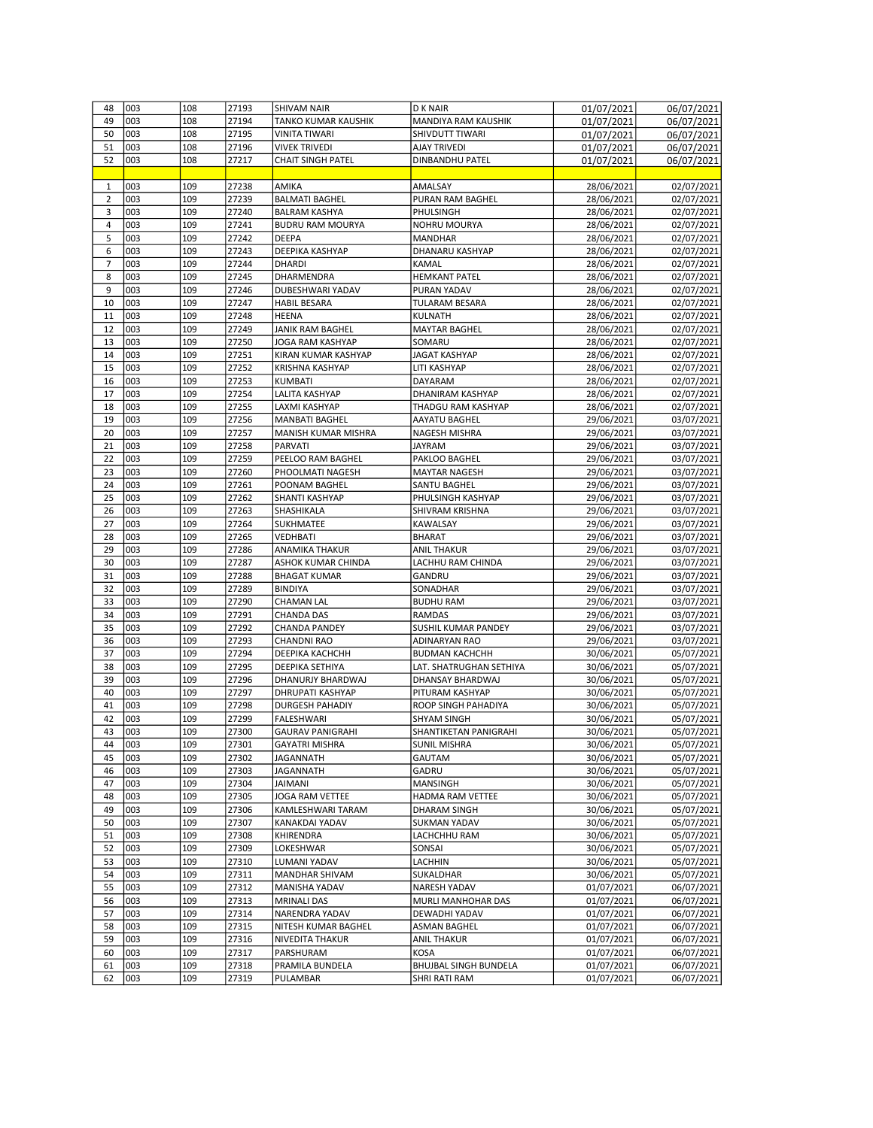| 48             | 003 | 108 | 27193 | <b>SHIVAM NAIR</b>            | <b>DK NAIR</b>          | 01/07/2021 | 06/07/2021 |
|----------------|-----|-----|-------|-------------------------------|-------------------------|------------|------------|
| 49             | 003 | 108 | 27194 | <b>TANKO KUMAR KAUSHIK</b>    | MANDIYA RAM KAUSHIK     | 01/07/2021 | 06/07/2021 |
| 50             | 003 | 108 | 27195 | VINITA TIWARI                 | SHIVDUTT TIWARI         | 01/07/2021 | 06/07/2021 |
| 51             | 003 | 108 | 27196 | <b>VIVEK TRIVEDI</b>          | <b>AJAY TRIVEDI</b>     | 01/07/2021 | 06/07/2021 |
| 52             | 003 | 108 | 27217 | CHAIT SINGH PATEL             | DINBANDHU PATEL         | 01/07/2021 | 06/07/2021 |
|                |     |     |       |                               |                         |            |            |
| 1              | 003 | 109 | 27238 | AMIKA                         | AMALSAY                 | 28/06/2021 | 02/07/2021 |
| $\overline{2}$ | 003 | 109 | 27239 | <b>BALMATI BAGHEL</b>         | PURAN RAM BAGHEL        | 28/06/2021 | 02/07/2021 |
| 3              | 003 | 109 | 27240 | <b>BALRAM KASHYA</b>          | PHULSINGH               | 28/06/2021 | 02/07/2021 |
| 4              | 003 | 109 | 27241 | <b>BUDRU RAM MOURYA</b>       | NOHRU MOURYA            | 28/06/2021 | 02/07/2021 |
| 5              | 003 | 109 | 27242 | <b>DEEPA</b>                  | <b>MANDHAR</b>          | 28/06/2021 | 02/07/2021 |
| 6              | 003 | 109 | 27243 | DEEPIKA KASHYAP               | DHANARU KASHYAP         | 28/06/2021 | 02/07/2021 |
| 7              | 003 | 109 | 27244 | DHARDI                        | KAMAL                   | 28/06/2021 | 02/07/2021 |
| 8              | 003 | 109 | 27245 | DHARMENDRA                    | <b>HEMKANT PATEL</b>    | 28/06/2021 | 02/07/2021 |
| 9              | 003 | 109 | 27246 | DUBESHWARI YADAV              | PURAN YADAV             | 28/06/2021 | 02/07/2021 |
| 10             | 003 | 109 | 27247 | <b>HABIL BESARA</b>           | <b>TULARAM BESARA</b>   | 28/06/2021 | 02/07/2021 |
| 11             | 003 | 109 | 27248 | <b>HEENA</b>                  | <b>KULNATH</b>          | 28/06/2021 | 02/07/2021 |
| 12             | 003 | 109 | 27249 | JANIK RAM BAGHEL              | <b>MAYTAR BAGHEL</b>    | 28/06/2021 | 02/07/2021 |
| 13             | 003 | 109 | 27250 | JOGA RAM KASHYAP              | SOMARU                  | 28/06/2021 | 02/07/2021 |
| 14             | 003 | 109 | 27251 | KIRAN KUMAR KASHYAP           | JAGAT KASHYAP           | 28/06/2021 | 02/07/2021 |
| 15             | 003 | 109 | 27252 | KRISHNA KASHYAP               | LITI KASHYAP            | 28/06/2021 | 02/07/2021 |
| 16             | 003 | 109 | 27253 | KUMBATI                       | DAYARAM                 | 28/06/2021 | 02/07/2021 |
| 17             | 003 | 109 | 27254 | LALITA KASHYAP                | DHANIRAM KASHYAP        | 28/06/2021 | 02/07/2021 |
| 18             | 003 | 109 | 27255 | LAXMI KASHYAP                 | THADGU RAM KASHYAP      | 28/06/2021 | 02/07/2021 |
| 19             | 003 | 109 | 27256 | <b>MANBATI BAGHEL</b>         | AAYATU BAGHEL           | 29/06/2021 | 03/07/2021 |
| 20             | 003 | 109 | 27257 | MANISH KUMAR MISHRA           | NAGESH MISHRA           | 29/06/2021 | 03/07/2021 |
| 21             | 003 | 109 | 27258 | <b>PARVATI</b>                | <b>JAYRAM</b>           | 29/06/2021 | 03/07/2021 |
| 22             | 003 | 109 | 27259 | PEELOO RAM BAGHEL             | PAKLOO BAGHEL           | 29/06/2021 | 03/07/2021 |
| 23             | 003 | 109 | 27260 | PHOOLMATI NAGESH              | <b>MAYTAR NAGESH</b>    | 29/06/2021 | 03/07/2021 |
| 24             | 003 | 109 | 27261 | POONAM BAGHEL                 | SANTU BAGHEL            | 29/06/2021 | 03/07/2021 |
| 25             | 003 | 109 | 27262 | SHANTI KASHYAP                | PHULSINGH KASHYAP       | 29/06/2021 | 03/07/2021 |
| 26             | 003 | 109 | 27263 | SHASHIKALA                    | SHIVRAM KRISHNA         | 29/06/2021 | 03/07/2021 |
| 27             | 003 | 109 | 27264 | SUKHMATEE                     | KAWALSAY                | 29/06/2021 | 03/07/2021 |
| 28             | 003 | 109 | 27265 | VEDHBATI                      | <b>BHARAT</b>           | 29/06/2021 | 03/07/2021 |
| 29             | 003 | 109 | 27286 | ANAMIKA THAKUR                | <b>ANIL THAKUR</b>      | 29/06/2021 | 03/07/2021 |
| 30             | 003 | 109 | 27287 | ASHOK KUMAR CHINDA            | LACHHU RAM CHINDA       | 29/06/2021 | 03/07/2021 |
| 31             | 003 | 109 | 27288 | <b>BHAGAT KUMAR</b>           | GANDRU                  | 29/06/2021 | 03/07/2021 |
| 32             | 003 | 109 | 27289 | <b>BINDIYA</b>                | SONADHAR                | 29/06/2021 | 03/07/2021 |
| 33             | 003 | 109 | 27290 | <b>CHAMAN LAL</b>             | <b>BUDHU RAM</b>        | 29/06/2021 | 03/07/2021 |
| 34             | 003 | 109 | 27291 | <b>CHANDA DAS</b>             | RAMDAS                  | 29/06/2021 | 03/07/2021 |
| 35             | 003 | 109 | 27292 | <b>CHANDA PANDEY</b>          | SUSHIL KUMAR PANDEY     | 29/06/2021 | 03/07/2021 |
| 36             | 003 | 109 | 27293 | CHANDNI RAO                   | ADINARYAN RAO           | 29/06/2021 | 03/07/2021 |
| 37             | 003 | 109 | 27294 | <b><i>DEEPIKA KACHCHH</i></b> | <b>BUDMAN KACHCHH</b>   | 30/06/2021 | 05/07/2021 |
| 38             | 003 | 109 | 27295 | DEEPIKA SETHIYA               | LAT. SHATRUGHAN SETHIYA | 30/06/2021 | 05/07/2021 |
| 39             | 003 | 109 | 27296 | DHANURJY BHARDWAJ             | DHANSAY BHARDWAJ        | 30/06/2021 | 05/07/2021 |
| 40             | 003 | 109 | 27297 | DHRUPATI KASHYAP              | PITURAM KASHYAP         | 30/06/2021 | 05/07/2021 |
| 41             | 003 | 109 | 27298 | <b>DURGESH PAHADIY</b>        | ROOP SINGH PAHADIYA     | 30/06/2021 | 05/07/2021 |
| 42             | 003 | 109 | 27299 | FALESHWARI                    | <b>SHYAM SINGH</b>      | 30/06/2021 | 05/07/2021 |
| 43             | 003 | 109 | 27300 | <b>GAURAV PANIGRAHI</b>       | SHANTIKETAN PANIGRAHI   | 30/06/2021 | 05/07/2021 |
| 44             | 003 | 109 | 27301 | <b>GAYATRI MISHRA</b>         | <b>SUNIL MISHRA</b>     | 30/06/2021 | 05/07/2021 |
| 45             | 003 | 109 | 27302 | JAGANNATH                     | <b>GAUTAM</b>           | 30/06/2021 | 05/07/2021 |
| 46             | 003 | 109 | 27303 | JAGANNATH                     | GADRU                   | 30/06/2021 | 05/07/2021 |
| 47             | 003 | 109 | 27304 | <b>JAIMANI</b>                | MANSINGH                | 30/06/2021 | 05/07/2021 |
| 48             | 003 | 109 | 27305 | JOGA RAM VETTEE               | HADMA RAM VETTEE        | 30/06/2021 | 05/07/2021 |
| 49             | 003 | 109 | 27306 | KAMLESHWARI TARAM             | DHARAM SINGH            | 30/06/2021 | 05/07/2021 |
| 50             | 003 | 109 | 27307 | KANAKDAI YADAV                | <b>SUKMAN YADAV</b>     | 30/06/2021 | 05/07/2021 |
| 51             | 003 | 109 | 27308 | KHIRENDRA                     | LACHCHHU RAM            | 30/06/2021 | 05/07/2021 |
| 52             | 003 | 109 | 27309 | LOKESHWAR                     | SONSAI                  | 30/06/2021 | 05/07/2021 |
| 53             | 003 | 109 | 27310 | LUMANI YADAV                  | LACHHIN                 | 30/06/2021 | 05/07/2021 |
| 54             | 003 | 109 | 27311 | MANDHAR SHIVAM                | SUKALDHAR               | 30/06/2021 | 05/07/2021 |
| 55             | 003 | 109 | 27312 | MANISHA YADAV                 | NARESH YADAV            | 01/07/2021 | 06/07/2021 |
| 56             | 003 | 109 | 27313 | <b>MRINALI DAS</b>            | MURLI MANHOHAR DAS      | 01/07/2021 | 06/07/2021 |
| 57             | 003 | 109 | 27314 | NARENDRA YADAV                | DEWADHI YADAV           | 01/07/2021 | 06/07/2021 |
| 58             | 003 | 109 | 27315 | NITESH KUMAR BAGHEL           | ASMAN BAGHEL            | 01/07/2021 | 06/07/2021 |
| 59             | 003 | 109 | 27316 | NIVEDITA THAKUR               | <b>ANIL THAKUR</b>      | 01/07/2021 | 06/07/2021 |
| 60             | 003 | 109 | 27317 | PARSHURAM                     | <b>KOSA</b>             | 01/07/2021 | 06/07/2021 |
| 61             | 003 | 109 | 27318 | PRAMILA BUNDELA               | BHUJBAL SINGH BUNDELA   | 01/07/2021 | 06/07/2021 |
| 62             | 003 | 109 | 27319 | PULAMBAR                      | SHRI RATI RAM           | 01/07/2021 | 06/07/2021 |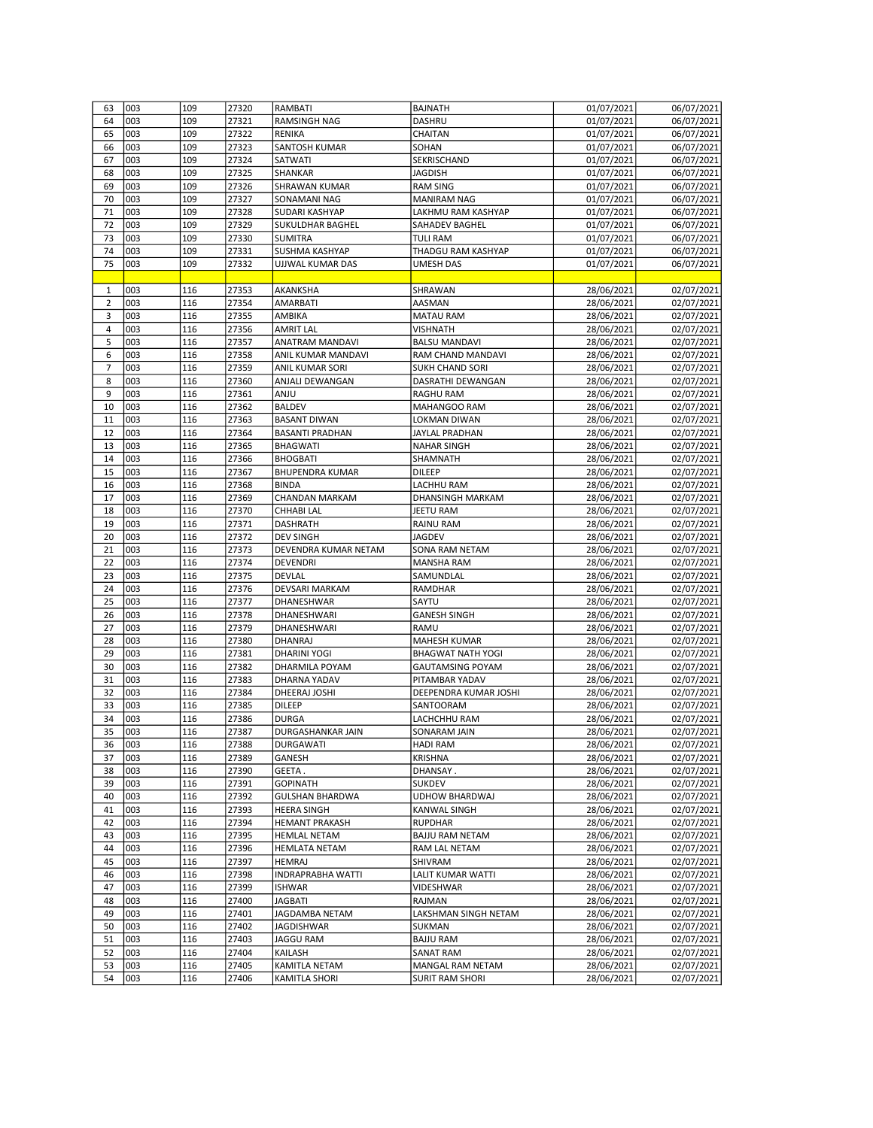| 63             | 003 | 109 | 27320 | RAMBATI                | <b>BAJNATH</b>          | 01/07/2021 | 06/07/2021 |
|----------------|-----|-----|-------|------------------------|-------------------------|------------|------------|
| 64             | 003 | 109 | 27321 | RAMSINGH NAG           | DASHRU                  | 01/07/2021 | 06/07/2021 |
| 65             | 003 | 109 | 27322 | RENIKA                 | CHAITAN                 | 01/07/2021 | 06/07/2021 |
| 66             | 003 | 109 | 27323 | SANTOSH KUMAR          | SOHAN                   | 01/07/2021 | 06/07/2021 |
| 67             | 003 | 109 | 27324 | SATWATI                | SEKRISCHAND             | 01/07/2021 | 06/07/2021 |
| 68             | 003 | 109 | 27325 | SHANKAR                | JAGDISH                 | 01/07/2021 | 06/07/2021 |
| 69             | 003 | 109 | 27326 | SHRAWAN KUMAR          | <b>RAM SING</b>         | 01/07/2021 | 06/07/2021 |
| 70             | 003 | 109 | 27327 | SONAMANI NAG           | <b>MANIRAM NAG</b>      | 01/07/2021 | 06/07/2021 |
| 71             | 003 | 109 | 27328 | SUDARI KASHYAP         | LAKHMU RAM KASHYAP      | 01/07/2021 | 06/07/2021 |
| 72             | 003 | 109 | 27329 |                        | SAHADEV BAGHEL          | 01/07/2021 | 06/07/2021 |
|                | 003 | 109 |       | SUKULDHAR BAGHEL       |                         |            |            |
| 73             |     |     | 27330 | <b>SUMITRA</b>         | TULI RAM                | 01/07/2021 | 06/07/2021 |
| 74             | 003 | 109 | 27331 | SUSHMA KASHYAP         | THADGU RAM KASHYAP      | 01/07/2021 | 06/07/2021 |
| 75             | 003 | 109 | 27332 | UJJWAL KUMAR DAS       | UMESH DAS               | 01/07/2021 | 06/07/2021 |
|                |     |     |       |                        |                         |            |            |
| $\mathbf{1}$   | 003 | 116 | 27353 | AKANKSHA               | SHRAWAN                 | 28/06/2021 | 02/07/2021 |
| $\overline{2}$ | 003 | 116 | 27354 | AMARBATI               | AASMAN                  | 28/06/2021 | 02/07/2021 |
| 3              | 003 | 116 | 27355 | AMBIKA                 | <b>MATAU RAM</b>        | 28/06/2021 | 02/07/2021 |
| 4              | 003 | 116 | 27356 | <b>AMRIT LAL</b>       | VISHNATH                | 28/06/2021 | 02/07/2021 |
| 5              | 003 | 116 | 27357 | ANATRAM MANDAVI        | <b>BALSU MANDAVI</b>    | 28/06/2021 | 02/07/2021 |
| 6              | 003 | 116 | 27358 | ANIL KUMAR MANDAVI     | RAM CHAND MANDAVI       | 28/06/2021 | 02/07/2021 |
| $\overline{7}$ | 003 | 116 | 27359 | ANIL KUMAR SORI        | SUKH CHAND SORI         | 28/06/2021 | 02/07/2021 |
| 8              | 003 | 116 | 27360 | ANJALI DEWANGAN        | DASRATHI DEWANGAN       | 28/06/2021 | 02/07/2021 |
| 9              | 003 | 116 | 27361 | ANJU                   | RAGHU RAM               | 28/06/2021 | 02/07/2021 |
| 10             | 003 | 116 | 27362 | <b>BALDEV</b>          | MAHANGOO RAM            | 28/06/2021 | 02/07/2021 |
| 11             | 003 | 116 | 27363 | <b>BASANT DIWAN</b>    | LOKMAN DIWAN            | 28/06/2021 | 02/07/2021 |
| 12             | 003 | 116 | 27364 | <b>BASANTI PRADHAN</b> | JAYLAL PRADHAN          | 28/06/2021 | 02/07/2021 |
| 13             | 003 | 116 | 27365 | <b>BHAGWATI</b>        | <b>NAHAR SINGH</b>      | 28/06/2021 | 02/07/2021 |
| 14             | 003 | 116 | 27366 | BHOGBATI               | SHAMNATH                | 28/06/2021 | 02/07/2021 |
| 15             | 003 | 116 | 27367 | <b>BHUPENDRA KUMAR</b> | <b>DILEEP</b>           | 28/06/2021 | 02/07/2021 |
| 16             | 003 | 116 | 27368 | <b>BINDA</b>           | LACHHU RAM              | 28/06/2021 | 02/07/2021 |
|                |     |     |       |                        |                         |            |            |
| 17             | 003 | 116 | 27369 | CHANDAN MARKAM         | DHANSINGH MARKAM        | 28/06/2021 | 02/07/2021 |
| 18             | 003 | 116 | 27370 | CHHABI LAL             | JEETU RAM               | 28/06/2021 | 02/07/2021 |
| 19             | 003 | 116 | 27371 | DASHRATH               | RAINU RAM               | 28/06/2021 | 02/07/2021 |
| 20             | 003 | 116 | 27372 | <b>DEV SINGH</b>       | JAGDEV                  | 28/06/2021 | 02/07/2021 |
| 21             | 003 | 116 | 27373 | DEVENDRA KUMAR NETAM   | SONA RAM NETAM          | 28/06/2021 | 02/07/2021 |
| 22             | 003 | 116 | 27374 | DEVENDRI               | <b>MANSHA RAM</b>       | 28/06/2021 | 02/07/2021 |
| 23             | 003 | 116 | 27375 | <b>DEVLAL</b>          | SAMUNDLAL               | 28/06/2021 | 02/07/2021 |
| 24             | 003 | 116 | 27376 | DEVSARI MARKAM         | RAMDHAR                 | 28/06/2021 | 02/07/2021 |
| 25             | 003 | 116 | 27377 | DHANESHWAR             | SAYTU                   | 28/06/2021 | 02/07/2021 |
| 26             | 003 | 116 | 27378 | DHANESHWARI            | <b>GANESH SINGH</b>     | 28/06/2021 | 02/07/2021 |
| 27             | 003 | 116 | 27379 | DHANESHWARI            | RAMU                    | 28/06/2021 | 02/07/2021 |
| 28             | 003 | 116 | 27380 | DHANRAJ                | <b>MAHESH KUMAR</b>     | 28/06/2021 | 02/07/2021 |
| 29             | 003 | 116 | 27381 | DHARINI YOGI           | BHAGWAT NATH YOGI       | 28/06/2021 | 02/07/2021 |
| 30             | 003 | 116 | 27382 | DHARMILA POYAM         | <b>GAUTAMSING POYAM</b> | 28/06/2021 | 02/07/2021 |
| 31             | 003 | 116 | 27383 | DHARNA YADAV           | PITAMBAR YADAV          | 28/06/2021 | 02/07/2021 |
| 32             | 003 | 116 | 27384 | DHEERAJ JOSHI          | DEEPENDRA KUMAR JOSHI   | 28/06/2021 | 02/07/2021 |
| 33             | 003 | 116 | 27385 | <b>DILEEP</b>          | SANTOORAM               | 28/06/2021 | 02/07/2021 |
| 34             | 003 | 116 | 27386 | <b>DURGA</b>           | LACHCHHU RAM            | 28/06/2021 | 02/07/2021 |
| 35             | 003 | 116 | 27387 | DURGASHANKAR JAIN      | SONARAM JAIN            | 28/06/2021 | 02/07/2021 |
| 36             | 003 | 116 | 27388 | <b>DURGAWATI</b>       | <b>HADI RAM</b>         | 28/06/2021 | 02/07/2021 |
| 37             | 003 | 116 | 27389 | GANESH                 | KRISHNA                 | 28/06/2021 | 02/07/2021 |
| 38             | 003 | 116 | 27390 | GEETA.                 | DHANSAY.                | 28/06/2021 | 02/07/2021 |
| 39             | 003 | 116 | 27391 | <b>GOPINATH</b>        | <b>SUKDEV</b>           | 28/06/2021 | 02/07/2021 |
| 40             | 003 | 116 | 27392 | <b>GULSHAN BHARDWA</b> | <b>UDHOW BHARDWAJ</b>   | 28/06/2021 | 02/07/2021 |
|                | 003 |     |       |                        |                         |            |            |
| 41             |     | 116 | 27393 | HEERA SINGH            | KANWAL SINGH            | 28/06/2021 | 02/07/2021 |
| 42             | 003 | 116 | 27394 | HEMANT PRAKASH         | RUPDHAR                 | 28/06/2021 | 02/07/2021 |
| 43             | 003 | 116 | 27395 | <b>HEMLAL NETAM</b>    | <b>BAJJU RAM NETAM</b>  | 28/06/2021 | 02/07/2021 |
| 44             | 003 | 116 | 27396 | HEMLATA NETAM          | RAM LAL NETAM           | 28/06/2021 | 02/07/2021 |
| 45             | 003 | 116 | 27397 | HEMRAJ                 | SHIVRAM                 | 28/06/2021 | 02/07/2021 |
| 46             | 003 | 116 | 27398 | INDRAPRABHA WATTI      | LALIT KUMAR WATTI       | 28/06/2021 | 02/07/2021 |
| 47             | 003 | 116 | 27399 | ISHWAR                 | VIDESHWAR               | 28/06/2021 | 02/07/2021 |
| 48             | 003 | 116 | 27400 | <b>JAGBATI</b>         | RAJMAN                  | 28/06/2021 | 02/07/2021 |
| 49             | 003 | 116 | 27401 | JAGDAMBA NETAM         | LAKSHMAN SINGH NETAM    | 28/06/2021 | 02/07/2021 |
| 50             | 003 | 116 | 27402 | <b>JAGDISHWAR</b>      | SUKMAN                  | 28/06/2021 | 02/07/2021 |
| 51             | 003 | 116 | 27403 | JAGGU RAM              | <b>BAJJU RAM</b>        | 28/06/2021 | 02/07/2021 |
| 52             | 003 | 116 | 27404 | KAILASH                | SANAT RAM               | 28/06/2021 | 02/07/2021 |
| 53             | 003 | 116 | 27405 | KAMITLA NETAM          | MANGAL RAM NETAM        | 28/06/2021 | 02/07/2021 |
| 54             | 003 | 116 | 27406 | KAMITLA SHORI          | <b>SURIT RAM SHORI</b>  | 28/06/2021 | 02/07/2021 |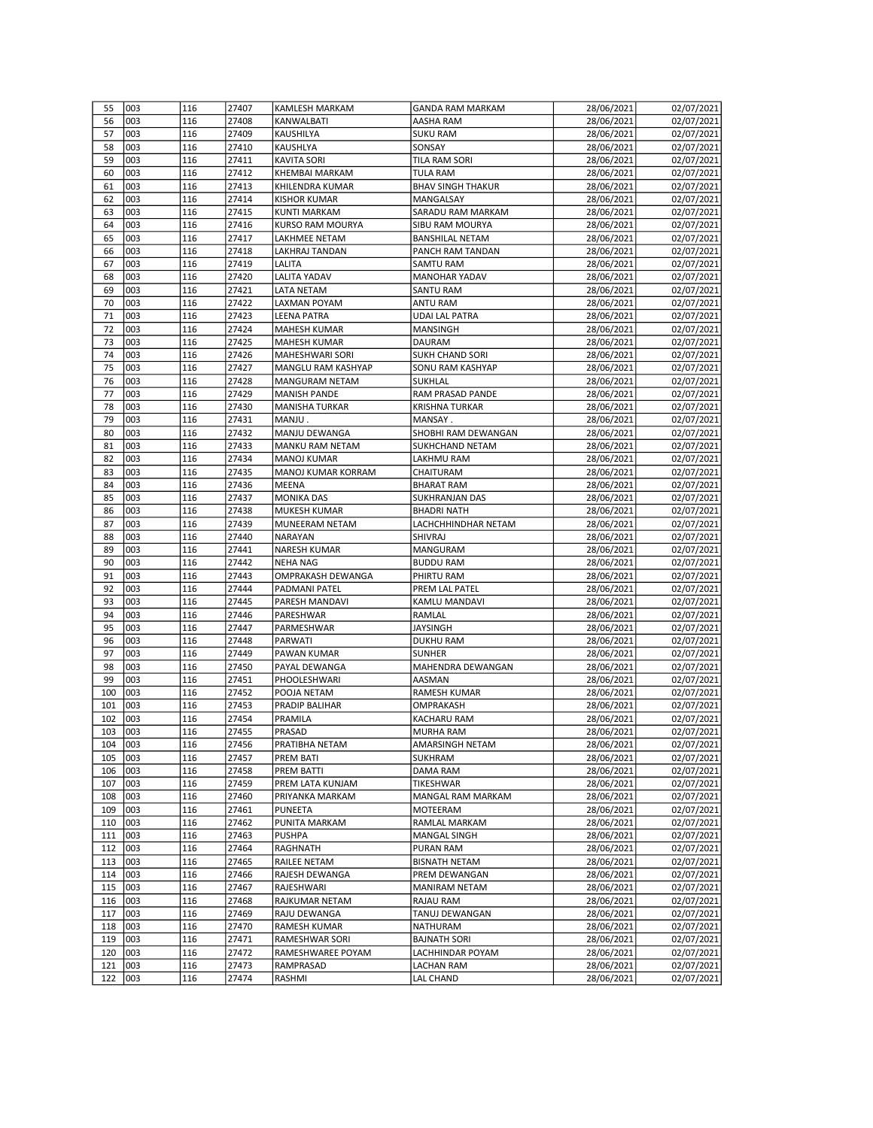| 55  | 003 | 116 | 27407          | KAMLESH MARKAM        | <b>GANDA RAM MARKAM</b>                    | 28/06/2021 | 02/07/2021 |
|-----|-----|-----|----------------|-----------------------|--------------------------------------------|------------|------------|
| 56  | 003 | 116 | 27408          | KANWALBATI            | AASHA RAM                                  | 28/06/2021 | 02/07/2021 |
| 57  | 003 | 116 | 27409          | KAUSHILYA             | <b>SUKU RAM</b>                            | 28/06/2021 | 02/07/2021 |
| 58  | 003 | 116 | 27410          | KAUSHLYA              | SONSAY                                     | 28/06/2021 | 02/07/2021 |
| 59  | 003 | 116 | 27411          | KAVITA SORI           | TILA RAM SORI                              | 28/06/2021 | 02/07/2021 |
| 60  | 003 | 116 | 27412          | KHEMBAI MARKAM        | TULA RAM                                   | 28/06/2021 | 02/07/2021 |
| 61  | 003 | 116 | 27413          | KHILENDRA KUMAR       | <b>BHAV SINGH THAKUR</b>                   | 28/06/2021 | 02/07/2021 |
| 62  | 003 | 116 | 27414          | <b>KISHOR KUMAR</b>   | MANGALSAY                                  | 28/06/2021 | 02/07/2021 |
| 63  | 003 | 116 | 27415          | KUNTI MARKAM          | SARADU RAM MARKAM                          | 28/06/2021 | 02/07/2021 |
| 64  | 003 | 116 | 27416          | KURSO RAM MOURYA      | SIBU RAM MOURYA                            | 28/06/2021 | 02/07/2021 |
|     | 003 |     |                |                       |                                            |            |            |
| 65  |     | 116 | 27417          | LAKHMEE NETAM         | <b>BANSHILAL NETAM</b><br>PANCH RAM TANDAN | 28/06/2021 | 02/07/2021 |
| 66  | 003 | 116 | 27418          | LAKHRAJ TANDAN        |                                            | 28/06/2021 | 02/07/2021 |
| 67  | 003 | 116 | 27419          | LALITA                | SAMTU RAM                                  | 28/06/2021 | 02/07/2021 |
| 68  | 003 | 116 | 27420          | LALITA YADAV          | MANOHAR YADAV                              | 28/06/2021 | 02/07/2021 |
| 69  | 003 | 116 | 27421          | LATA NETAM            | <b>SANTU RAM</b>                           | 28/06/2021 | 02/07/2021 |
| 70  | 003 | 116 | 27422          | LAXMAN POYAM          | ANTU RAM                                   | 28/06/2021 | 02/07/2021 |
| 71  | 003 | 116 | 27423          | LEENA PATRA           | UDAI LAL PATRA                             | 28/06/2021 | 02/07/2021 |
| 72  | 003 | 116 | 27424          | MAHESH KUMAR          | MANSINGH                                   | 28/06/2021 | 02/07/2021 |
| 73  | 003 | 116 | 27425          | MAHESH KUMAR          | DAURAM                                     | 28/06/2021 | 02/07/2021 |
| 74  | 003 | 116 | 27426          | MAHESHWARI SORI       | SUKH CHAND SORI                            | 28/06/2021 | 02/07/2021 |
| 75  | 003 | 116 | 27427          | MANGLU RAM KASHYAP    | SONU RAM KASHYAP                           | 28/06/2021 | 02/07/2021 |
| 76  | 003 | 116 | 27428          | MANGURAM NETAM        | SUKHLAL                                    | 28/06/2021 | 02/07/2021 |
| 77  | 003 | 116 | 27429          | <b>MANISH PANDE</b>   | RAM PRASAD PANDE                           | 28/06/2021 | 02/07/2021 |
| 78  | 003 | 116 | 27430          | <b>MANISHA TURKAR</b> | <b>KRISHNA TURKAR</b>                      | 28/06/2021 | 02/07/2021 |
| 79  | 003 | 116 | 27431          | MANJU.                | MANSAY.                                    | 28/06/2021 | 02/07/2021 |
| 80  | 003 | 116 | 27432          | MANJU DEWANGA         | SHOBHI RAM DEWANGAN                        | 28/06/2021 | 02/07/2021 |
| 81  | 003 | 116 | 27433          | MANKU RAM NETAM       | SUKHCHAND NETAM                            | 28/06/2021 | 02/07/2021 |
| 82  | 003 | 116 | 27434          | MANOJ KUMAR           | LAKHMU RAM                                 | 28/06/2021 | 02/07/2021 |
| 83  | 003 | 116 | 27435          | MANOJ KUMAR KORRAM    | CHAITURAM                                  | 28/06/2021 | 02/07/2021 |
| 84  | 003 | 116 | 27436          | <b>MEENA</b>          | <b>BHARAT RAM</b>                          | 28/06/2021 | 02/07/2021 |
| 85  | 003 | 116 | 27437          | <b>MONIKA DAS</b>     | SUKHRANJAN DAS                             | 28/06/2021 | 02/07/2021 |
| 86  | 003 | 116 | 27438          | MUKESH KUMAR          | <b>BHADRI NATH</b>                         | 28/06/2021 | 02/07/2021 |
| 87  | 003 | 116 | 27439          | MUNEERAM NETAM        | LACHCHHINDHAR NETAM                        | 28/06/2021 | 02/07/2021 |
|     | 003 |     |                |                       |                                            |            |            |
| 88  |     | 116 | 27440          | NARAYAN               | SHIVRAJ                                    | 28/06/2021 | 02/07/2021 |
| 89  | 003 | 116 | 27441          | NARESH KUMAR          | MANGURAM                                   | 28/06/2021 | 02/07/2021 |
| 90  | 003 | 116 | 27442          | NEHA NAG              | <b>BUDDU RAM</b>                           | 28/06/2021 | 02/07/2021 |
| 91  | 003 | 116 | 27443          | OMPRAKASH DEWANGA     | PHIRTU RAM                                 | 28/06/2021 | 02/07/2021 |
| 92  | 003 | 116 | 27444          | PADMANI PATEL         | PREM LAL PATEL                             | 28/06/2021 | 02/07/2021 |
| 93  | 003 | 116 | 27445          | PARESH MANDAVI        | KAMLU MANDAVI                              | 28/06/2021 | 02/07/2021 |
| 94  | 003 | 116 | 27446          | PARESHWAR             | RAMLAL                                     | 28/06/2021 | 02/07/2021 |
| 95  | 003 | 116 | 27447          | PARMESHWAR            | JAYSINGH                                   | 28/06/2021 | 02/07/2021 |
| 96  | 003 | 116 | 27448          | PARWATI               | <b>DUKHU RAM</b>                           | 28/06/2021 | 02/07/2021 |
| 97  | 003 | 116 | 27449          | PAWAN KUMAR           | <b>SUNHER</b>                              | 28/06/2021 | 02/07/2021 |
| 98  | 003 | 116 | 27450          | PAYAL DEWANGA         | MAHENDRA DEWANGAN                          | 28/06/2021 | 02/07/2021 |
| 99  | 003 | 116 | 27451          | PHOOLESHWARI          | AASMAN                                     | 28/06/2021 | 02/07/2021 |
| 100 | 003 | 116 | 27452          | POOJA NETAM           | RAMESH KUMAR                               | 28/06/2021 | 02/07/2021 |
| 101 | 003 | 116 | 27453          | PRADIP BALIHAR        | OMPRAKASH                                  | 28/06/2021 | 02/07/2021 |
| 102 | 003 | 116 | 27454          | PRAMILA               | KACHARU RAM                                | 28/06/2021 | 02/07/2021 |
| 103 | 003 | 116 | 27455          | PRASAD                | <b>MURHA RAM</b>                           | 28/06/2021 | 02/07/2021 |
| 104 | 003 | 116 | 27456          | PRATIBHA NETAM        | AMARSINGH NETAM                            | 28/06/2021 | 02/07/2021 |
| 105 | 003 | 116 | 27457          | PREM BATI             | SUKHRAM                                    | 28/06/2021 | 02/07/2021 |
| 106 | 003 | 116 | 27458          | PREM BATTI            | DAMA RAM                                   | 28/06/2021 | 02/07/2021 |
| 107 | 003 | 116 | 27459          | PREM LATA KUNJAM      | TIKESHWAR                                  | 28/06/2021 | 02/07/2021 |
| 108 | 003 | 116 | 27460          | PRIYANKA MARKAM       | MANGAL RAM MARKAM                          | 28/06/2021 | 02/07/2021 |
| 109 | 003 | 116 | 27461          | PUNEETA               | MOTEERAM                                   | 28/06/2021 | 02/07/2021 |
| 110 | 003 | 116 | 27462          | PUNITA MARKAM         | RAMLAL MARKAM                              | 28/06/2021 | 02/07/2021 |
| 111 | 003 | 116 | 27463          | PUSHPA                | MANGAL SINGH                               | 28/06/2021 | 02/07/2021 |
| 112 | 003 | 116 | 27464          | RAGHNATH              | PURAN RAM                                  | 28/06/2021 | 02/07/2021 |
| 113 | 003 | 116 | 27465          | RAILEE NETAM          | <b>BISNATH NETAM</b>                       | 28/06/2021 | 02/07/2021 |
| 114 | 003 | 116 | 27466          | RAJESH DEWANGA        | PREM DEWANGAN                              | 28/06/2021 | 02/07/2021 |
| 115 | 003 | 116 | 27467          | RAJESHWARI            | <b>MANIRAM NETAM</b>                       | 28/06/2021 | 02/07/2021 |
| 116 | 003 | 116 | 27468          | RAJKUMAR NETAM        | RAJAU RAM                                  | 28/06/2021 | 02/07/2021 |
|     |     |     |                |                       |                                            |            |            |
| 117 | 003 | 116 | 27469<br>27470 | RAJU DEWANGA          | TANUJ DEWANGAN                             | 28/06/2021 | 02/07/2021 |
| 118 | 003 | 116 |                | RAMESH KUMAR          | NATHURAM                                   | 28/06/2021 | 02/07/2021 |
| 119 | 003 | 116 | 27471          | RAMESHWAR SORI        | <b>BAJNATH SORI</b>                        | 28/06/2021 | 02/07/2021 |
| 120 | 003 | 116 | 27472          | RAMESHWAREE POYAM     | LACHHINDAR POYAM                           | 28/06/2021 | 02/07/2021 |
| 121 | 003 | 116 | 27473          | RAMPRASAD             | LACHAN RAM                                 | 28/06/2021 | 02/07/2021 |
| 122 | 003 | 116 | 27474          | RASHMI                | LAL CHAND                                  | 28/06/2021 | 02/07/2021 |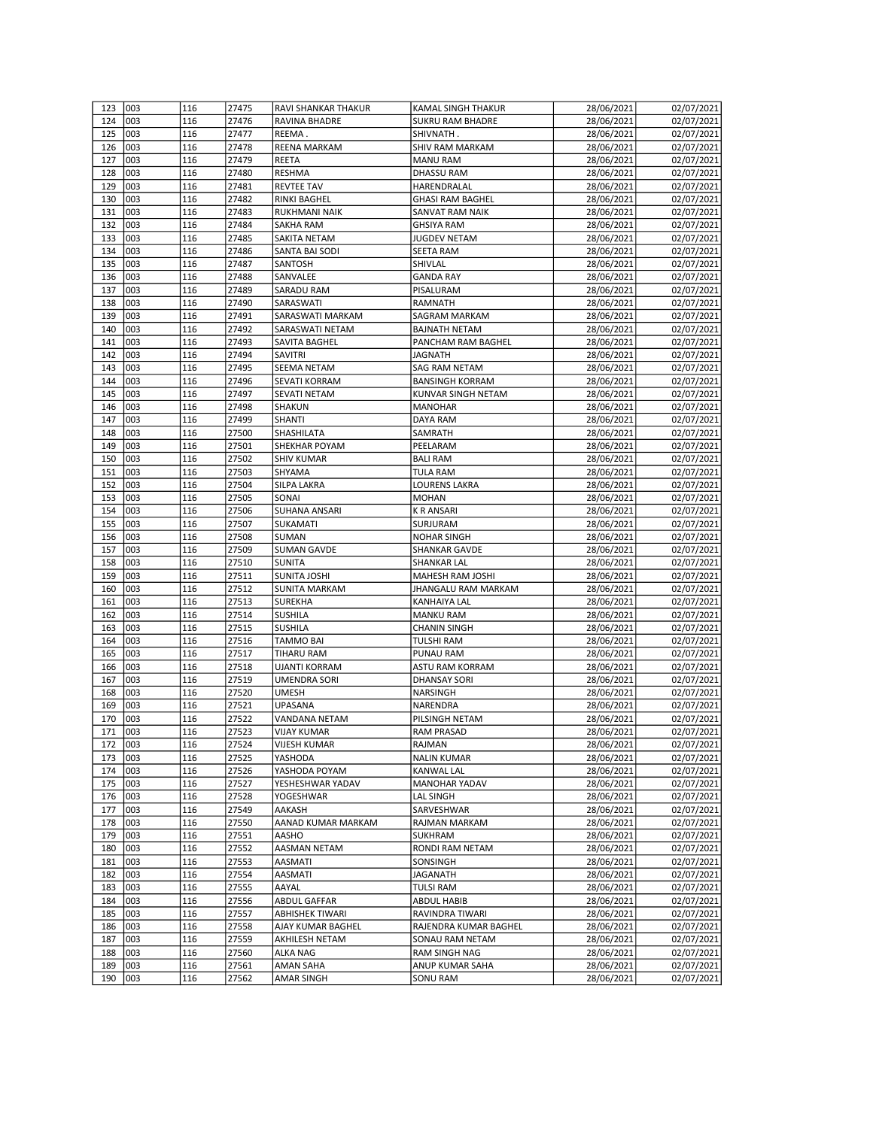| 123 | 003           | 116 | 27475 | RAVI SHANKAR THAKUR    | KAMAL SINGH THAKUR         | 28/06/2021 | 02/07/2021 |
|-----|---------------|-----|-------|------------------------|----------------------------|------------|------------|
| 124 | 003           | 116 | 27476 | RAVINA BHADRE          | <b>SUKRU RAM BHADRE</b>    | 28/06/2021 | 02/07/2021 |
| 125 | 003           | 116 | 27477 | REEMA.                 | SHIVNATH.                  | 28/06/2021 | 02/07/2021 |
| 126 | 003           | 116 | 27478 | REENA MARKAM           | SHIV RAM MARKAM            | 28/06/2021 | 02/07/2021 |
| 127 | 003           | 116 | 27479 | REETA                  | MANU RAM                   | 28/06/2021 | 02/07/2021 |
| 128 | 003           | 116 | 27480 | RESHMA                 | DHASSU RAM                 | 28/06/2021 | 02/07/2021 |
| 129 | 003           | 116 | 27481 | <b>REVTEE TAV</b>      | HARENDRALAL                | 28/06/2021 | 02/07/2021 |
| 130 | 003           | 116 | 27482 | RINKI BAGHEL           | <b>GHASI RAM BAGHEL</b>    | 28/06/2021 | 02/07/2021 |
| 131 | 003           | 116 | 27483 | RUKHMANI NAIK          | SANVAT RAM NAIK            | 28/06/2021 | 02/07/2021 |
| 132 | 003           | 116 | 27484 | SAKHA RAM              | <b>GHSIYA RAM</b>          | 28/06/2021 | 02/07/2021 |
| 133 | 003           | 116 | 27485 | SAKITA NETAM           | <b>JUGDEV NETAM</b>        | 28/06/2021 | 02/07/2021 |
| 134 | 003           | 116 | 27486 | SANTA BAI SODI         | SEETA RAM                  | 28/06/2021 | 02/07/2021 |
| 135 | 003           | 116 | 27487 | SANTOSH                | SHIVLAL                    | 28/06/2021 | 02/07/2021 |
| 136 | 003           | 116 | 27488 | SANVALEE               | <b>GANDA RAY</b>           | 28/06/2021 | 02/07/2021 |
| 137 | 003           | 116 | 27489 | SARADU RAM             | PISALURAM                  | 28/06/2021 | 02/07/2021 |
| 138 | 003           | 116 | 27490 | SARASWATI              | RAMNATH                    | 28/06/2021 | 02/07/2021 |
| 139 | 003           | 116 | 27491 | SARASWATI MARKAM       | SAGRAM MARKAM              | 28/06/2021 | 02/07/2021 |
| 140 | 003           | 116 | 27492 | SARASWATI NETAM        | <b>BAJNATH NETAM</b>       | 28/06/2021 | 02/07/2021 |
| 141 | 003           | 116 | 27493 | SAVITA BAGHEL          | PANCHAM RAM BAGHEL         | 28/06/2021 | 02/07/2021 |
| 142 | 003           | 116 | 27494 | SAVITRI                | JAGNATH                    | 28/06/2021 | 02/07/2021 |
| 143 | 003           | 116 | 27495 | SEEMA NETAM            | SAG RAM NETAM              | 28/06/2021 | 02/07/2021 |
| 144 | 003           | 116 | 27496 | SEVATI KORRAM          | <b>BANSINGH KORRAM</b>     | 28/06/2021 | 02/07/2021 |
| 145 | 003           | 116 | 27497 | <b>SEVATI NETAM</b>    | KUNVAR SINGH NETAM         | 28/06/2021 | 02/07/2021 |
| 146 | 003           | 116 | 27498 | SHAKUN                 | <b>MANOHAR</b>             | 28/06/2021 | 02/07/2021 |
| 147 | 003           | 116 | 27499 | SHANTI                 | DAYA RAM                   | 28/06/2021 | 02/07/2021 |
| 148 | 003           | 116 | 27500 | SHASHILATA             | SAMRATH                    | 28/06/2021 | 02/07/2021 |
| 149 | 003           | 116 | 27501 | SHEKHAR POYAM          | PEELARAM                   | 28/06/2021 | 02/07/2021 |
| 150 | 003           | 116 | 27502 | <b>SHIV KUMAR</b>      | <b>BALI RAM</b>            | 28/06/2021 | 02/07/2021 |
| 151 | 003           | 116 | 27503 | SHYAMA                 | TULA RAM                   | 28/06/2021 | 02/07/2021 |
| 152 | 003           | 116 | 27504 | SILPA LAKRA            | LOURENS LAKRA              | 28/06/2021 | 02/07/2021 |
| 153 | 003           | 116 | 27505 | SONAI                  | MOHAN                      | 28/06/2021 | 02/07/2021 |
| 154 | 003           | 116 | 27506 | SUHANA ANSARI          | K R ANSARI                 | 28/06/2021 | 02/07/2021 |
| 155 | 003           | 116 | 27507 | SUKAMATI               | SURJURAM                   | 28/06/2021 | 02/07/2021 |
| 156 | 003           | 116 | 27508 | SUMAN                  | <b>NOHAR SINGH</b>         | 28/06/2021 | 02/07/2021 |
| 157 | 003           | 116 | 27509 | <b>SUMAN GAVDE</b>     | SHANKAR GAVDE              | 28/06/2021 | 02/07/2021 |
| 158 | 003           | 116 | 27510 | <b>SUNITA</b>          | SHANKAR LAL                | 28/06/2021 | 02/07/2021 |
| 159 | 003           | 116 | 27511 | SUNITA JOSHI           | MAHESH RAM JOSHI           | 28/06/2021 | 02/07/2021 |
| 160 | 003           | 116 | 27512 | <b>SUNITA MARKAM</b>   | <b>JHANGALU RAM MARKAM</b> | 28/06/2021 | 02/07/2021 |
| 161 | 003           | 116 | 27513 | <b>SUREKHA</b>         | <b>KANHAIYA LAL</b>        | 28/06/2021 | 02/07/2021 |
| 162 | 003           | 116 | 27514 | <b>SUSHILA</b>         | <b>MANKU RAM</b>           | 28/06/2021 | 02/07/2021 |
| 163 | 003           | 116 | 27515 | <b>SUSHILA</b>         | <b>CHANIN SINGH</b>        | 28/06/2021 | 02/07/2021 |
| 164 | 003           | 116 | 27516 | <b>TAMMO BAI</b>       | TULSHI RAM                 | 28/06/2021 | 02/07/2021 |
| 165 | 003           | 116 | 27517 | TIHARU RAM             | PUNAU RAM                  | 28/06/2021 | 02/07/2021 |
| 166 | 003           | 116 | 27518 | <b>UJANTI KORRAM</b>   | ASTU RAM KORRAM            | 28/06/2021 | 02/07/2021 |
| 167 | 003           | 116 | 27519 | <b>UMENDRA SORI</b>    | <b>DHANSAY SORI</b>        | 28/06/2021 | 02/07/2021 |
| 168 | 003           | 116 | 27520 | <b>UMESH</b>           | NARSINGH                   | 28/06/2021 | 02/07/2021 |
| 169 | 003           | 116 | 27521 | UPASANA                | NARENDRA                   | 28/06/2021 | 02/07/2021 |
| 170 | 003           | 116 | 27522 | VANDANA NETAM          | PILSINGH NETAM             | 28/06/2021 | 02/07/2021 |
| 171 | 003           | 116 | 27523 | <b>VIJAY KUMAR</b>     | <b>RAM PRASAD</b>          | 28/06/2021 | 02/07/2021 |
| 172 | $ 003\rangle$ | 116 | 27524 | <b>VIJESH KUMAR</b>    | RAJMAN                     | 28/06/2021 | 02/07/2021 |
| 173 | 003           | 116 | 27525 | YASHODA                | <b>NALIN KUMAR</b>         | 28/06/2021 | 02/07/2021 |
| 174 | 003           | 116 | 27526 | YASHODA POYAM          | KANWAL LAL                 | 28/06/2021 | 02/07/2021 |
| 175 | 003           | 116 | 27527 | YESHESHWAR YADAV       | MANOHAR YADAV              | 28/06/2021 | 02/07/2021 |
| 176 | 003           | 116 | 27528 | YOGESHWAR              | LAL SINGH                  | 28/06/2021 | 02/07/2021 |
| 177 | 003           | 116 | 27549 | AAKASH                 | SARVESHWAR                 | 28/06/2021 | 02/07/2021 |
| 178 | 003           | 116 | 27550 | AANAD KUMAR MARKAM     | RAJMAN MARKAM              | 28/06/2021 | 02/07/2021 |
| 179 | 003           | 116 | 27551 | AASHO                  | SUKHRAM                    | 28/06/2021 | 02/07/2021 |
| 180 | 003           | 116 | 27552 | AASMAN NETAM           | RONDI RAM NETAM            | 28/06/2021 | 02/07/2021 |
| 181 | 003           | 116 | 27553 | AASMATI                | SONSINGH                   | 28/06/2021 | 02/07/2021 |
| 182 | 003           | 116 | 27554 | AASMATI                | JAGANATH                   | 28/06/2021 | 02/07/2021 |
| 183 | 003           | 116 | 27555 | AAYAL                  | TULSI RAM                  | 28/06/2021 | 02/07/2021 |
| 184 | 003           | 116 | 27556 | <b>ABDUL GAFFAR</b>    | <b>ABDUL HABIB</b>         | 28/06/2021 | 02/07/2021 |
| 185 | 003           | 116 | 27557 | <b>ABHISHEK TIWARI</b> | RAVINDRA TIWARI            | 28/06/2021 | 02/07/2021 |
| 186 | 003           | 116 | 27558 | AJAY KUMAR BAGHEL      | RAJENDRA KUMAR BAGHEL      | 28/06/2021 | 02/07/2021 |
| 187 | 003           | 116 | 27559 | AKHILESH NETAM         | SONAU RAM NETAM            | 28/06/2021 | 02/07/2021 |
| 188 | 003           | 116 | 27560 | ALKA NAG               | RAM SINGH NAG              | 28/06/2021 | 02/07/2021 |
| 189 | 003           | 116 | 27561 | AMAN SAHA              | ANUP KUMAR SAHA            | 28/06/2021 | 02/07/2021 |
| 190 | 003           | 116 | 27562 | AMAR SINGH             | SONU RAM                   | 28/06/2021 | 02/07/2021 |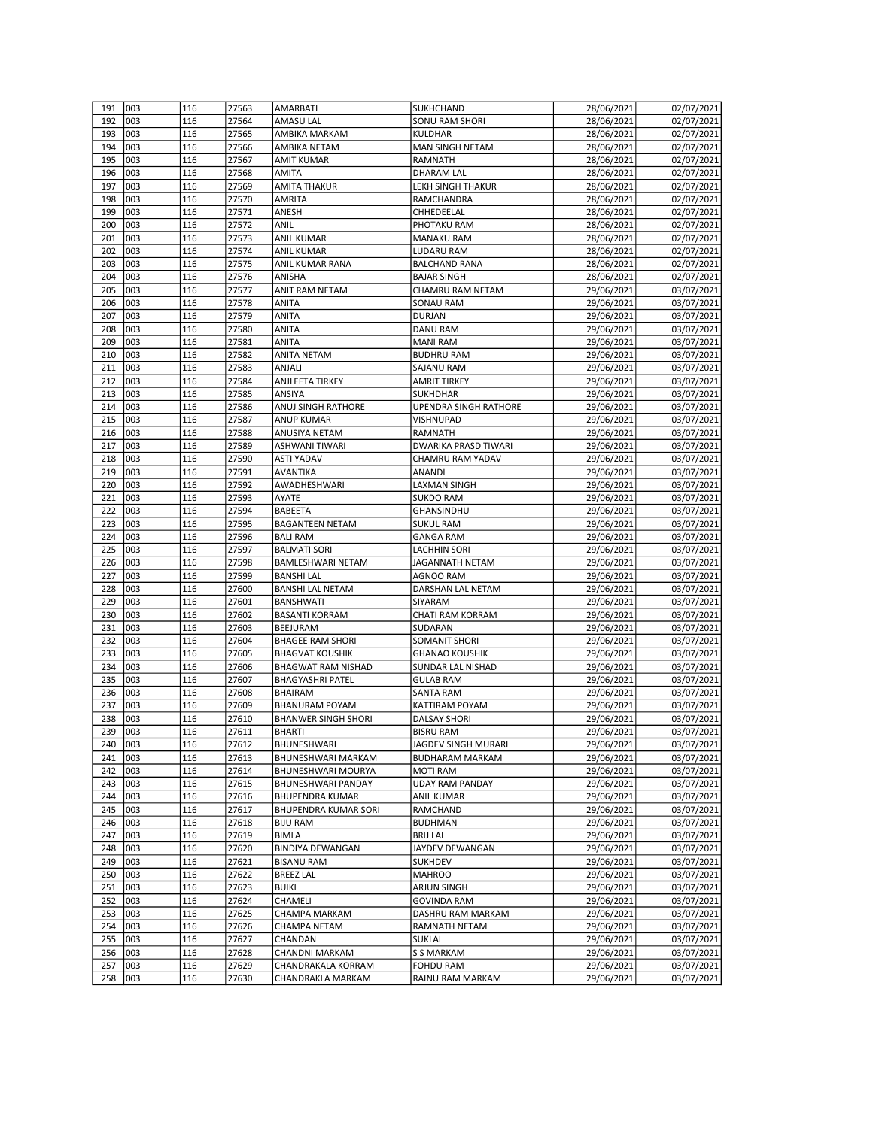| 191 | $ 003\rangle$ | 116 | 27563 | AMARBATI                   | SUKHCHAND                    | 28/06/2021 | 02/07/2021 |
|-----|---------------|-----|-------|----------------------------|------------------------------|------------|------------|
| 192 | 003           | 116 | 27564 | AMASU LAL                  | SONU RAM SHORI               | 28/06/2021 | 02/07/2021 |
| 193 | 003           | 116 | 27565 | AMBIKA MARKAM              | KULDHAR                      | 28/06/2021 | 02/07/2021 |
| 194 | 003           | 116 | 27566 | AMBIKA NETAM               | MAN SINGH NETAM              | 28/06/2021 | 02/07/2021 |
| 195 | 003           | 116 | 27567 | <b>AMIT KUMAR</b>          | <b>RAMNATH</b>               | 28/06/2021 | 02/07/2021 |
| 196 | 003           | 116 | 27568 | AMITA                      | DHARAM LAL                   | 28/06/2021 | 02/07/2021 |
| 197 | 003           | 116 | 27569 | AMITA THAKUR               | LEKH SINGH THAKUR            | 28/06/2021 | 02/07/2021 |
| 198 | 003           | 116 | 27570 | AMRITA                     | RAMCHANDRA                   | 28/06/2021 | 02/07/2021 |
| 199 | 003           | 116 | 27571 | ANESH                      | CHHEDEELAL                   | 28/06/2021 | 02/07/2021 |
| 200 | 003           | 116 | 27572 | ANIL                       | PHOTAKU RAM                  | 28/06/2021 | 02/07/2021 |
| 201 | 003           | 116 | 27573 | ANIL KUMAR                 | <b>MANAKU RAM</b>            | 28/06/2021 | 02/07/2021 |
| 202 | 003           | 116 | 27574 | <b>ANIL KUMAR</b>          | LUDARU RAM                   | 28/06/2021 | 02/07/2021 |
| 203 | 003           | 116 | 27575 | ANIL KUMAR RANA            | <b>BALCHAND RANA</b>         | 28/06/2021 | 02/07/2021 |
| 204 | 003           | 116 | 27576 | ANISHA                     | <b>BAJAR SINGH</b>           | 28/06/2021 | 02/07/2021 |
| 205 | 003           | 116 | 27577 | ANIT RAM NETAM             | CHAMRU RAM NETAM             | 29/06/2021 | 03/07/2021 |
| 206 | 003           | 116 | 27578 | ANITA                      | SONAU RAM                    | 29/06/2021 | 03/07/2021 |
| 207 | 003           | 116 | 27579 | ANITA                      | <b>DURJAN</b>                | 29/06/2021 | 03/07/2021 |
| 208 | 003           | 116 | 27580 | ANITA                      | <b>DANU RAM</b>              | 29/06/2021 | 03/07/2021 |
| 209 | 003           | 116 | 27581 | ANITA                      | <b>MANI RAM</b>              | 29/06/2021 | 03/07/2021 |
| 210 | 003           | 116 | 27582 | ANITA NETAM                | <b>BUDHRU RAM</b>            | 29/06/2021 | 03/07/2021 |
| 211 | 003           | 116 | 27583 | ANJALI                     | SAJANU RAM                   | 29/06/2021 | 03/07/2021 |
| 212 | 003           | 116 | 27584 | ANJLEETA TIRKEY            | <b>AMRIT TIRKEY</b>          | 29/06/2021 | 03/07/2021 |
| 213 | 003           | 116 | 27585 | <b>ANSIYA</b>              | <b>SUKHDHAR</b>              | 29/06/2021 | 03/07/2021 |
| 214 | 003           | 116 | 27586 | ANUJ SINGH RATHORE         | <b>UPENDRA SINGH RATHORE</b> | 29/06/2021 | 03/07/2021 |
| 215 | 003           | 116 | 27587 | <b>ANUP KUMAR</b>          | VISHNUPAD                    | 29/06/2021 | 03/07/2021 |
| 216 | 003           | 116 | 27588 | ANUSIYA NETAM              | RAMNATH                      | 29/06/2021 | 03/07/2021 |
| 217 | 003           | 116 | 27589 | <b>ASHWANI TIWARI</b>      | DWARIKA PRASD TIWARI         | 29/06/2021 | 03/07/2021 |
| 218 | 003           | 116 | 27590 | <b>ASTI YADAV</b>          | CHAMRU RAM YADAV             | 29/06/2021 | 03/07/2021 |
| 219 | 003           | 116 | 27591 | AVANTIKA                   | <b>ANANDI</b>                | 29/06/2021 | 03/07/2021 |
| 220 | 003           | 116 | 27592 | AWADHESHWARI               | LAXMAN SINGH                 | 29/06/2021 | 03/07/2021 |
| 221 | 003           | 116 | 27593 | AYATE                      | <b>SUKDO RAM</b>             | 29/06/2021 | 03/07/2021 |
| 222 | 003           | 116 | 27594 | BABEETA                    | GHANSINDHU                   | 29/06/2021 | 03/07/2021 |
| 223 | 003           | 116 | 27595 | <b>BAGANTEEN NETAM</b>     | <b>SUKUL RAM</b>             | 29/06/2021 | 03/07/2021 |
| 224 | 003           | 116 | 27596 | <b>BALI RAM</b>            | <b>GANGA RAM</b>             | 29/06/2021 | 03/07/2021 |
| 225 | 003           | 116 | 27597 | <b>BALMATI SORI</b>        | <b>LACHHIN SORI</b>          | 29/06/2021 | 03/07/2021 |
| 226 | 003           | 116 | 27598 | BAMLESHWARI NETAM          | <b>JAGANNATH NETAM</b>       | 29/06/2021 | 03/07/2021 |
| 227 | 003           | 116 | 27599 | <b>BANSHI LAL</b>          | AGNOO RAM                    | 29/06/2021 | 03/07/2021 |
| 228 | 003           | 116 | 27600 | <b>BANSHI LAL NETAM</b>    | DARSHAN LAL NETAM            | 29/06/2021 | 03/07/2021 |
| 229 | 003           | 116 | 27601 | BANSHWATI                  | SIYARAM                      | 29/06/2021 | 03/07/2021 |
| 230 | 003           | 116 | 27602 | <b>BASANTI KORRAM</b>      | CHATI RAM KORRAM             | 29/06/2021 | 03/07/2021 |
| 231 | 003           | 116 | 27603 | BEEJURAM                   | SUDARAN                      | 29/06/2021 | 03/07/2021 |
| 232 | 003           | 116 | 27604 | <b>BHAGEE RAM SHORI</b>    | SOMANIT SHORI                | 29/06/2021 | 03/07/2021 |
| 233 | 003           | 116 | 27605 | <b>BHAGVAT KOUSHIK</b>     | <b>GHANAO KOUSHIK</b>        | 29/06/2021 | 03/07/2021 |
| 234 | 003           | 116 | 27606 | BHAGWAT RAM NISHAD         | SUNDAR LAL NISHAD            | 29/06/2021 | 03/07/2021 |
| 235 | 003           | 116 | 27607 | <b>BHAGYASHRI PATEL</b>    | <b>GULAB RAM</b>             | 29/06/2021 | 03/07/2021 |
| 236 | 003           | 116 | 27608 | <b>BHAIRAM</b>             | <b>SANTA RAM</b>             | 29/06/2021 | 03/07/2021 |
| 237 | 003           | 116 | 27609 | BHANURAM POYAM             | KATTIRAM POYAM               | 29/06/2021 | 03/07/2021 |
| 238 | 003           | 116 | 27610 | <b>BHANWER SINGH SHORI</b> | <b>DALSAY SHORI</b>          | 29/06/2021 | 03/07/2021 |
| 239 | 003           | 116 | 27611 | <b>BHARTI</b>              | <b>BISRU RAM</b>             | 29/06/2021 | 03/07/2021 |
| 240 | 003           | 116 | 27612 | <b>BHUNESHWARI</b>         | JAGDEV SINGH MURARI          | 29/06/2021 | 03/07/2021 |
| 241 | 003           | 116 | 27613 | BHUNESHWARI MARKAM         | BUDHARAM MARKAM              | 29/06/2021 | 03/07/2021 |
| 242 | 003           | 116 | 27614 | BHUNESHWARI MOURYA         | <b>MOTI RAM</b>              | 29/06/2021 | 03/07/2021 |
| 243 | 003           | 116 | 27615 | BHUNESHWARI PANDAY         | <b>UDAY RAM PANDAY</b>       | 29/06/2021 | 03/07/2021 |
| 244 | 003           | 116 | 27616 | <b>BHUPENDRA KUMAR</b>     | <b>ANIL KUMAR</b>            | 29/06/2021 | 03/07/2021 |
| 245 | 003           | 116 | 27617 | BHUPENDRA KUMAR SORI       | RAMCHAND                     | 29/06/2021 | 03/07/2021 |
| 246 | 003           | 116 | 27618 | <b>BIJU RAM</b>            | <b>BUDHMAN</b>               | 29/06/2021 | 03/07/2021 |
| 247 | 003           | 116 | 27619 | <b>BIMLA</b>               | <b>BRIJ LAL</b>              | 29/06/2021 | 03/07/2021 |
| 248 | 003           | 116 | 27620 | <b>BINDIYA DEWANGAN</b>    | JAYDEV DEWANGAN              | 29/06/2021 | 03/07/2021 |
| 249 | 003           | 116 | 27621 | <b>BISANU RAM</b>          | <b>SUKHDEV</b>               | 29/06/2021 | 03/07/2021 |
| 250 | 003           | 116 | 27622 | <b>BREEZ LAL</b>           | <b>MAHROO</b>                | 29/06/2021 | 03/07/2021 |
| 251 | 003           | 116 | 27623 | <b>BUIKI</b>               | ARJUN SINGH                  | 29/06/2021 | 03/07/2021 |
| 252 | 003           | 116 | 27624 | CHAMELI                    | <b>GOVINDA RAM</b>           | 29/06/2021 | 03/07/2021 |
| 253 | 003           | 116 | 27625 | CHAMPA MARKAM              | DASHRU RAM MARKAM            | 29/06/2021 | 03/07/2021 |
| 254 | 003           | 116 | 27626 | CHAMPA NETAM               | RAMNATH NETAM                | 29/06/2021 | 03/07/2021 |
| 255 | 003           | 116 | 27627 | CHANDAN                    | SUKLAL                       | 29/06/2021 | 03/07/2021 |
| 256 | 003           | 116 | 27628 | CHANDNI MARKAM             | S S MARKAM                   | 29/06/2021 | 03/07/2021 |
| 257 | 003           | 116 | 27629 | CHANDRAKALA KORRAM         | FOHDU RAM                    | 29/06/2021 | 03/07/2021 |
| 258 | 003           | 116 | 27630 | CHANDRAKLA MARKAM          | RAINU RAM MARKAM             | 29/06/2021 | 03/07/2021 |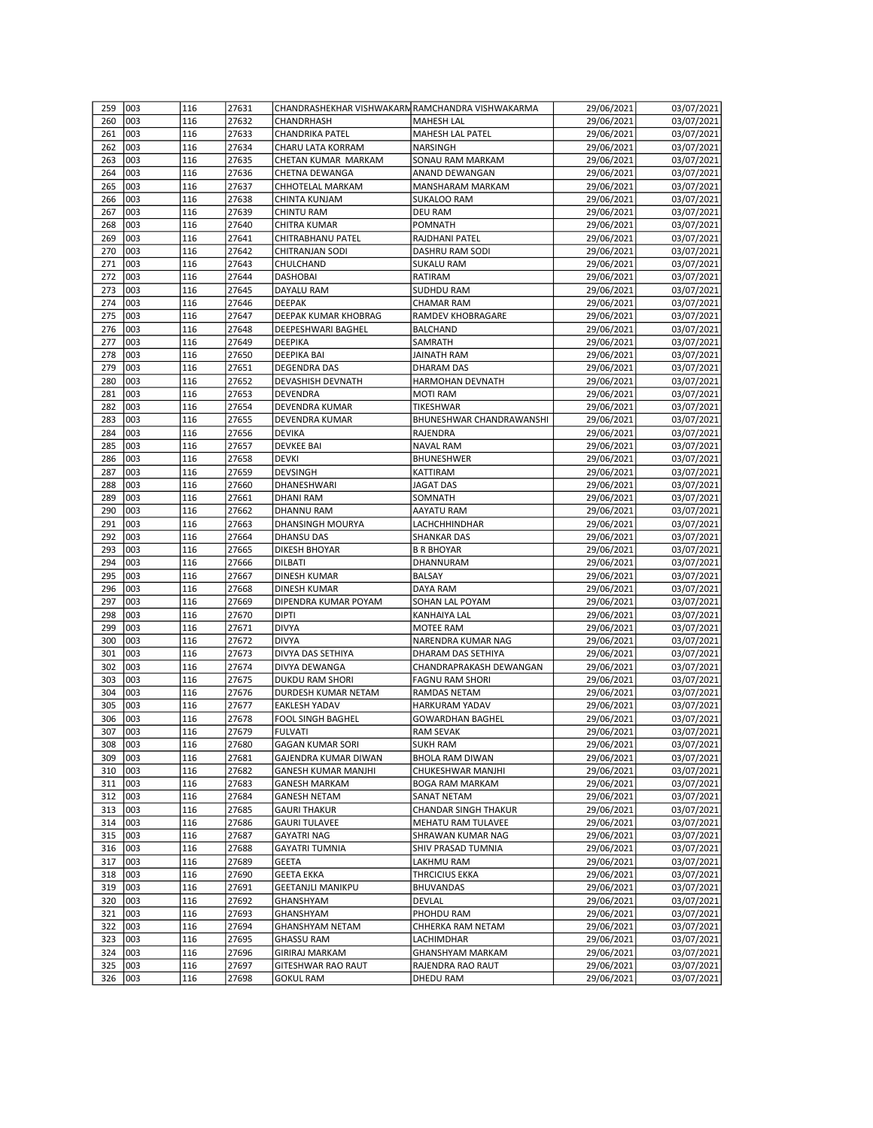| 259        | 003 | 116        | 27631 | CHANDRASHEKHAR VISHWAKARM RAMCHANDRA VISHWAKARMA |                          | 29/06/2021 | 03/07/2021 |
|------------|-----|------------|-------|--------------------------------------------------|--------------------------|------------|------------|
| 260        | 003 | 116        | 27632 | CHANDRHASH                                       | MAHESH LAL               | 29/06/2021 | 03/07/2021 |
| 261        | 003 | 116        | 27633 | CHANDRIKA PATEL                                  | MAHESH LAL PATEL         | 29/06/2021 | 03/07/2021 |
| 262        | 003 | 116        | 27634 | CHARU LATA KORRAM                                | NARSINGH                 | 29/06/2021 | 03/07/2021 |
| 263        | 003 | 116        | 27635 | CHETAN KUMAR MARKAM                              | SONAU RAM MARKAM         | 29/06/2021 | 03/07/2021 |
| 264        | 003 | 116        | 27636 | CHETNA DEWANGA                                   | ANAND DEWANGAN           | 29/06/2021 | 03/07/2021 |
| 265        | 003 | 116        | 27637 | CHHOTELAL MARKAM                                 | MANSHARAM MARKAM         | 29/06/2021 | 03/07/2021 |
| 266        | 003 | 116        | 27638 | CHINTA KUNJAM                                    | SUKALOO RAM              | 29/06/2021 | 03/07/2021 |
| 267        | 003 | 116        | 27639 | CHINTU RAM                                       | DEU RAM                  | 29/06/2021 | 03/07/2021 |
| 268        | 003 | 116        | 27640 | CHITRA KUMAR                                     | POMNATH                  | 29/06/2021 | 03/07/2021 |
| 269        | 003 | 116        | 27641 | CHITRABHANU PATEL                                | RAJDHANI PATEL           | 29/06/2021 | 03/07/2021 |
| 270        | 003 | 116        | 27642 | CHITRANJAN SODI                                  | DASHRU RAM SODI          | 29/06/2021 | 03/07/2021 |
| 271        | 003 | 116        | 27643 | CHULCHAND                                        | <b>SUKALU RAM</b>        | 29/06/2021 | 03/07/2021 |
| 272        | 003 | 116        | 27644 | <b>DASHOBAI</b>                                  | RATIRAM                  | 29/06/2021 | 03/07/2021 |
| 273        | 003 | 116        | 27645 | DAYALU RAM                                       | <b>SUDHDU RAM</b>        | 29/06/2021 | 03/07/2021 |
| 274        | 003 | 116        | 27646 | <b>DEEPAK</b>                                    | <b>CHAMAR RAM</b>        | 29/06/2021 | 03/07/2021 |
| 275        | 003 | 116        | 27647 | DEEPAK KUMAR KHOBRAG                             | RAMDEV KHOBRAGARE        | 29/06/2021 | 03/07/2021 |
| 276        | 003 | 116        | 27648 | DEEPESHWARI BAGHEL                               | <b>BALCHAND</b>          | 29/06/2021 | 03/07/2021 |
| 277        | 003 | 116        | 27649 | DEEPIKA                                          | SAMRATH                  | 29/06/2021 | 03/07/2021 |
| 278        | 003 | 116        | 27650 | DEEPIKA BAI                                      | <b>JAINATH RAM</b>       | 29/06/2021 | 03/07/2021 |
| 279        | 003 | 116        | 27651 | <b>DEGENDRA DAS</b>                              | <b>DHARAM DAS</b>        | 29/06/2021 | 03/07/2021 |
| 280        | 003 | 116        | 27652 | DEVASHISH DEVNATH                                | HARMOHAN DEVNATH         | 29/06/2021 | 03/07/2021 |
| 281        | 003 | 116        | 27653 | DEVENDRA                                         | <b>MOTI RAM</b>          | 29/06/2021 | 03/07/2021 |
| 282        | 003 | 116        | 27654 | DEVENDRA KUMAR                                   | TIKESHWAR                | 29/06/2021 | 03/07/2021 |
| 283        | 003 | 116        | 27655 | DEVENDRA KUMAR                                   | BHUNESHWAR CHANDRAWANSHI | 29/06/2021 | 03/07/2021 |
| 284        | 003 | 116        | 27656 | <b>DEVIKA</b>                                    | RAJENDRA                 | 29/06/2021 | 03/07/2021 |
| 285        | 003 | 116        | 27657 | <b>DEVKEE BAI</b>                                | <b>NAVAL RAM</b>         | 29/06/2021 | 03/07/2021 |
| 286        | 003 | 116        | 27658 | DEVKI                                            | <b>BHUNESHWER</b>        | 29/06/2021 | 03/07/2021 |
| 287        | 003 | 116        | 27659 | <b>DEVSINGH</b>                                  | KATTIRAM                 | 29/06/2021 | 03/07/2021 |
| 288        | 003 | 116        | 27660 | DHANESHWARI                                      | <b>JAGAT DAS</b>         | 29/06/2021 | 03/07/2021 |
| 289        | 003 | 116        | 27661 | DHANI RAM                                        | SOMNATH                  | 29/06/2021 | 03/07/2021 |
| 290        | 003 | 116        | 27662 | DHANNU RAM                                       | AAYATU RAM               | 29/06/2021 | 03/07/2021 |
| 291        | 003 | 116        | 27663 | DHANSINGH MOURYA                                 | LACHCHHINDHAR            | 29/06/2021 | 03/07/2021 |
| 292        | 003 | 116        | 27664 | <b>DHANSU DAS</b>                                | <b>SHANKAR DAS</b>       | 29/06/2021 | 03/07/2021 |
| 293        | 003 | 116        | 27665 | DIKESH BHOYAR                                    | <b>B R BHOYAR</b>        | 29/06/2021 | 03/07/2021 |
| 294        | 003 | 116        | 27666 | DILBATI                                          | DHANNURAM                | 29/06/2021 | 03/07/2021 |
| 295        | 003 | 116        | 27667 | <b>DINESH KUMAR</b>                              | BALSAY                   | 29/06/2021 | 03/07/2021 |
| 296        | 003 | 116        | 27668 | <b>DINESH KUMAR</b>                              | DAYA RAM                 | 29/06/2021 | 03/07/2021 |
| 297        | 003 | 116        | 27669 | DIPENDRA KUMAR POYAM                             | SOHAN LAL POYAM          | 29/06/2021 | 03/07/2021 |
| 298        | 003 | 116        | 27670 | <b>DIPTI</b>                                     | <b>KANHAIYA LAL</b>      | 29/06/2021 | 03/07/2021 |
| 299        | 003 | 116        | 27671 | <b>DIVYA</b>                                     | MOTEE RAM                | 29/06/2021 | 03/07/2021 |
| 300        | 003 | 116        | 27672 | <b>DIVYA</b>                                     | NARENDRA KUMAR NAG       | 29/06/2021 | 03/07/2021 |
| 301        | 003 | 116        | 27673 | DIVYA DAS SETHIYA                                | DHARAM DAS SETHIYA       | 29/06/2021 | 03/07/2021 |
| 302        | 003 | 116        | 27674 | DIVYA DEWANGA                                    | CHANDRAPRAKASH DEWANGAN  | 29/06/2021 | 03/07/2021 |
| 303        | 003 | 116        | 27675 | <b>DUKDU RAM SHORI</b>                           | <b>FAGNU RAM SHORI</b>   | 29/06/2021 | 03/07/2021 |
| 304        | 003 | 116        | 27676 | DURDESH KUMAR NETAM                              | RAMDAS NETAM             | 29/06/2021 | 03/07/2021 |
| 305        | 003 | 116        | 27677 | EAKLESH YADAV                                    | HARKURAM YADAV           | 29/06/2021 | 03/07/2021 |
| 306        | 003 | 116        | 27678 | FOOL SINGH BAGHEL                                | <b>GOWARDHAN BAGHEL</b>  | 29/06/2021 | 03/07/2021 |
| 307        | 003 | 116        | 27679 | <b>FULVATI</b>                                   | <b>RAM SEVAK</b>         | 29/06/2021 | 03/07/2021 |
| 308        | 003 | 116        | 27680 | <b>GAGAN KUMAR SORI</b>                          | <b>SUKH RAM</b>          | 29/06/2021 | 03/07/2021 |
| 309        | 003 | 116        | 27681 | GAJENDRA KUMAR DIWAN                             | BHOLA RAM DIWAN          | 29/06/2021 | 03/07/2021 |
| 310        | 003 | 116        | 27682 | GANESH KUMAR MANJHI                              | CHUKESHWAR MANJHI        | 29/06/2021 | 03/07/2021 |
| 311        | 003 | 116        | 27683 | <b>GANESH MARKAM</b>                             | <b>BOGA RAM MARKAM</b>   | 29/06/2021 | 03/07/2021 |
| 312        | 003 | 116        | 27684 | <b>GANESH NETAM</b>                              | SANAT NETAM              | 29/06/2021 | 03/07/2021 |
| 313        | 003 | 116        | 27685 | <b>GAURI THAKUR</b>                              | CHANDAR SINGH THAKUR     | 29/06/2021 | 03/07/2021 |
| 314        | 003 | 116        | 27686 | GAURI TULAVEE                                    | MEHATU RAM TULAVEE       | 29/06/2021 | 03/07/2021 |
| 315        | 003 | 116        | 27687 | GAYATRI NAG                                      | SHRAWAN KUMAR NAG        | 29/06/2021 | 03/07/2021 |
| 316        | 003 | 116        | 27688 | GAYATRI TUMNIA                                   | SHIV PRASAD TUMNIA       | 29/06/2021 | 03/07/2021 |
| 317        | 003 | 116        | 27689 | GEETA                                            | LAKHMU RAM               | 29/06/2021 | 03/07/2021 |
| 318        | 003 | 116        | 27690 | <b>GEETA EKKA</b>                                | <b>THRCICIUS EKKA</b>    | 29/06/2021 | 03/07/2021 |
| 319        | 003 | 116        | 27691 | <b>GEETANJLI MANIKPU</b>                         | <b>BHUVANDAS</b>         | 29/06/2021 | 03/07/2021 |
| 320        | 003 | 116        | 27692 | GHANSHYAM                                        | DEVLAL                   | 29/06/2021 | 03/07/2021 |
|            | 003 |            | 27693 | GHANSHYAM                                        | PHOHDU RAM               | 29/06/2021 | 03/07/2021 |
| 321<br>322 | 003 | 116<br>116 | 27694 | GHANSHYAM NETAM                                  | CHHERKA RAM NETAM        | 29/06/2021 | 03/07/2021 |
| 323        | 003 | 116        | 27695 | <b>GHASSU RAM</b>                                | LACHIMDHAR               | 29/06/2021 | 03/07/2021 |
|            | 003 |            |       |                                                  |                          |            |            |
| 324        |     | 116        | 27696 | <b>GIRIRAJ MARKAM</b>                            | GHANSHYAM MARKAM         | 29/06/2021 | 03/07/2021 |
| 325        | 003 | 116        | 27697 | GITESHWAR RAO RAUT                               | RAJENDRA RAO RAUT        | 29/06/2021 | 03/07/2021 |
| 326        | 003 | 116        | 27698 | <b>GOKUL RAM</b>                                 | DHEDU RAM                | 29/06/2021 | 03/07/2021 |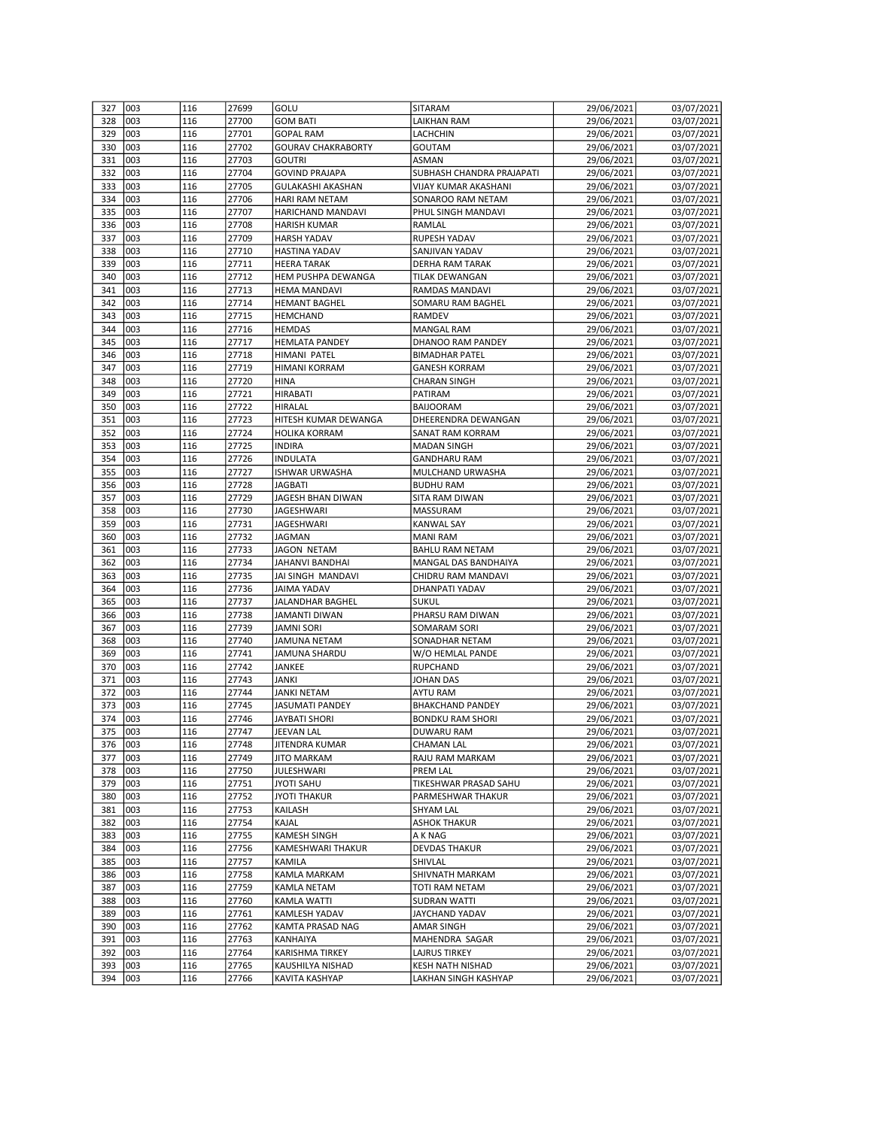| 327 | 003 | 116 | 27699 | GOLU                      | SITARAM                   | 29/06/2021 | 03/07/2021 |
|-----|-----|-----|-------|---------------------------|---------------------------|------------|------------|
| 328 | 003 | 116 | 27700 | <b>GOM BATI</b>           | <b>LAIKHAN RAM</b>        | 29/06/2021 | 03/07/2021 |
| 329 | 003 | 116 | 27701 | <b>GOPAL RAM</b>          | LACHCHIN                  | 29/06/2021 | 03/07/2021 |
| 330 | 003 | 116 | 27702 | <b>GOURAV CHAKRABORTY</b> | GOUTAM                    | 29/06/2021 | 03/07/2021 |
| 331 | 003 | 116 | 27703 | <b>GOUTRI</b>             | ASMAN                     | 29/06/2021 | 03/07/2021 |
| 332 | 003 | 116 | 27704 | <b>GOVIND PRAJAPA</b>     | SUBHASH CHANDRA PRAJAPATI | 29/06/2021 | 03/07/2021 |
| 333 | 003 | 116 | 27705 | GULAKASHI AKASHAN         | VIJAY KUMAR AKASHANI      | 29/06/2021 | 03/07/2021 |
| 334 | 003 | 116 | 27706 | HARI RAM NETAM            | SONAROO RAM NETAM         | 29/06/2021 | 03/07/2021 |
| 335 | 003 | 116 | 27707 | HARICHAND MANDAVI         | PHUL SINGH MANDAVI        | 29/06/2021 | 03/07/2021 |
| 336 | 003 | 116 | 27708 | <b>HARISH KUMAR</b>       | RAMLAL                    | 29/06/2021 | 03/07/2021 |
| 337 | 003 | 116 | 27709 | <b>HARSH YADAV</b>        | RUPESH YADAV              | 29/06/2021 | 03/07/2021 |
| 338 | 003 | 116 | 27710 | HASTINA YADAV             | SANJIVAN YADAV            | 29/06/2021 | 03/07/2021 |
| 339 | 003 | 116 | 27711 | <b>HEERA TARAK</b>        | DERHA RAM TARAK           | 29/06/2021 | 03/07/2021 |
| 340 | 003 | 116 | 27712 | HEM PUSHPA DEWANGA        | <b>TILAK DEWANGAN</b>     | 29/06/2021 | 03/07/2021 |
| 341 | 003 | 116 | 27713 | <b>HEMA MANDAVI</b>       | RAMDAS MANDAVI            | 29/06/2021 | 03/07/2021 |
| 342 | 003 | 116 | 27714 | <b>HEMANT BAGHEL</b>      | SOMARU RAM BAGHEL         | 29/06/2021 | 03/07/2021 |
| 343 | 003 | 116 | 27715 | <b>HEMCHAND</b>           | RAMDEV                    | 29/06/2021 | 03/07/2021 |
| 344 | 003 | 116 | 27716 | <b>HEMDAS</b>             | <b>MANGAL RAM</b>         | 29/06/2021 | 03/07/2021 |
| 345 | 003 | 116 | 27717 | <b>HEMLATA PANDEY</b>     | DHANOO RAM PANDEY         | 29/06/2021 | 03/07/2021 |
| 346 | 003 | 116 | 27718 | HIMANI PATEL              | <b>BIMADHAR PATEL</b>     | 29/06/2021 | 03/07/2021 |
| 347 | 003 | 116 | 27719 | HIMANI KORRAM             | <b>GANESH KORRAM</b>      | 29/06/2021 | 03/07/2021 |
| 348 | 003 | 116 | 27720 | <b>HINA</b>               | <b>CHARAN SINGH</b>       | 29/06/2021 | 03/07/2021 |
| 349 | 003 | 116 | 27721 | <b>HIRABATI</b>           | PATIRAM                   | 29/06/2021 | 03/07/2021 |
| 350 | 003 | 116 | 27722 | <b>HIRALAL</b>            | <b>BAIJOORAM</b>          | 29/06/2021 | 03/07/2021 |
| 351 | 003 | 116 | 27723 | HITESH KUMAR DEWANGA      | DHEERENDRA DEWANGAN       | 29/06/2021 | 03/07/2021 |
| 352 | 003 | 116 | 27724 | <b>HOLIKA KORRAM</b>      | SANAT RAM KORRAM          | 29/06/2021 | 03/07/2021 |
| 353 | 003 | 116 | 27725 | <b>INDIRA</b>             | <b>MADAN SINGH</b>        | 29/06/2021 | 03/07/2021 |
| 354 | 003 | 116 | 27726 | INDULATA                  | <b>GANDHARU RAM</b>       | 29/06/2021 | 03/07/2021 |
| 355 | 003 | 116 | 27727 | <b>ISHWAR URWASHA</b>     | MULCHAND URWASHA          | 29/06/2021 | 03/07/2021 |
| 356 | 003 | 116 | 27728 | <b>JAGBATI</b>            | <b>BUDHU RAM</b>          | 29/06/2021 | 03/07/2021 |
| 357 | 003 | 116 | 27729 | JAGESH BHAN DIWAN         | SITA RAM DIWAN            | 29/06/2021 | 03/07/2021 |
| 358 | 003 | 116 | 27730 | JAGESHWARI                | MASSURAM                  | 29/06/2021 | 03/07/2021 |
| 359 | 003 | 116 | 27731 | JAGESHWARI                | <b>KANWAL SAY</b>         | 29/06/2021 | 03/07/2021 |
| 360 | 003 | 116 | 27732 | JAGMAN                    | <b>MANI RAM</b>           | 29/06/2021 | 03/07/2021 |
| 361 | 003 | 116 | 27733 | JAGON NETAM               | <b>BAHLU RAM NETAM</b>    | 29/06/2021 | 03/07/2021 |
| 362 | 003 | 116 | 27734 | JAHANVI BANDHAI           | MANGAL DAS BANDHAIYA      | 29/06/2021 | 03/07/2021 |
| 363 | 003 | 116 | 27735 | JAI SINGH MANDAVI         | CHIDRU RAM MANDAVI        | 29/06/2021 | 03/07/2021 |
| 364 | 003 | 116 | 27736 | JAIMA YADAV               | DHANPATI YADAV            | 29/06/2021 | 03/07/2021 |
| 365 | 003 | 116 | 27737 | JALANDHAR BAGHEL          | <b>SUKUL</b>              | 29/06/2021 | 03/07/2021 |
| 366 | 003 | 116 | 27738 | <b>JAMANTI DIWAN</b>      | PHARSU RAM DIWAN          | 29/06/2021 | 03/07/2021 |
| 367 | 003 | 116 | 27739 | JAMNI SORI                | SOMARAM SORI              | 29/06/2021 | 03/07/2021 |
| 368 | 003 | 116 | 27740 | JAMUNA NETAM              | SONADHAR NETAM            | 29/06/2021 | 03/07/2021 |
| 369 | 003 | 116 | 27741 | JAMUNA SHARDU             | W/O HEMLAL PANDE          | 29/06/2021 | 03/07/2021 |
| 370 | 003 | 116 | 27742 | JANKEE                    | <b>RUPCHAND</b>           | 29/06/2021 | 03/07/2021 |
| 371 | 003 | 116 | 27743 | JANKI                     | <b>JOHAN DAS</b>          | 29/06/2021 | 03/07/2021 |
| 372 | 003 | 116 | 27744 | <b>JANKI NETAM</b>        | AYTU RAM                  | 29/06/2021 | 03/07/2021 |
| 373 | 003 | 116 | 27745 | <b>JASUMATI PANDEY</b>    | <b>BHAKCHAND PANDEY</b>   | 29/06/2021 | 03/07/2021 |
| 374 | 003 | 116 | 27746 | <b>JAYBATI SHORI</b>      | <b>BONDKU RAM SHORI</b>   | 29/06/2021 | 03/07/2021 |
| 375 | 003 | 116 | 27747 | <b>JEEVAN LAL</b>         | <b>DUWARU RAM</b>         | 29/06/2021 | 03/07/2021 |
| 376 | 003 | 116 | 27748 | <b>JITENDRA KUMAR</b>     | <b>CHAMAN LAL</b>         | 29/06/2021 | 03/07/2021 |
| 377 | 003 | 116 | 27749 | <b>JITO MARKAM</b>        | RAJU RAM MARKAM           | 29/06/2021 | 03/07/2021 |
| 378 | 003 | 116 | 27750 | JULESHWARI                | PREM LAL                  | 29/06/2021 | 03/07/2021 |
| 379 | 003 | 116 | 27751 | JYOTI SAHU                | TIKESHWAR PRASAD SAHU     | 29/06/2021 | 03/07/2021 |
| 380 | 003 | 116 | 27752 | <b>JYOTI THAKUR</b>       | PARMESHWAR THAKUR         | 29/06/2021 | 03/07/2021 |
| 381 | 003 | 116 | 27753 | KAILASH                   | <b>SHYAM LAL</b>          | 29/06/2021 | 03/07/2021 |
| 382 | 003 | 116 | 27754 | KAJAL                     | <b>ASHOK THAKUR</b>       | 29/06/2021 | 03/07/2021 |
| 383 | 003 | 116 | 27755 | KAMESH SINGH              | A K NAG                   | 29/06/2021 | 03/07/2021 |
| 384 | 003 | 116 | 27756 | KAMESHWARI THAKUR         | <b>DEVDAS THAKUR</b>      | 29/06/2021 | 03/07/2021 |
| 385 | 003 | 116 | 27757 | KAMILA                    | SHIVLAL                   | 29/06/2021 | 03/07/2021 |
| 386 | 003 | 116 | 27758 | KAMLA MARKAM              | SHIVNATH MARKAM           | 29/06/2021 | 03/07/2021 |
| 387 | 003 | 116 | 27759 | KAMLA NETAM               | TOTI RAM NETAM            | 29/06/2021 | 03/07/2021 |
| 388 | 003 | 116 | 27760 | KAMLA WATTI               | SUDRAN WATTI              | 29/06/2021 | 03/07/2021 |
| 389 | 003 | 116 | 27761 | KAMLESH YADAV             | JAYCHAND YADAV            | 29/06/2021 | 03/07/2021 |
| 390 | 003 | 116 | 27762 | KAMTA PRASAD NAG          | <b>AMAR SINGH</b>         | 29/06/2021 | 03/07/2021 |
| 391 | 003 | 116 | 27763 | KANHAIYA                  | MAHENDRA SAGAR            | 29/06/2021 | 03/07/2021 |
| 392 | 003 | 116 | 27764 | KARISHMA TIRKEY           | <b>LAJRUS TIRKEY</b>      | 29/06/2021 | 03/07/2021 |
| 393 | 003 | 116 | 27765 | KAUSHILYA NISHAD          | KESH NATH NISHAD          | 29/06/2021 | 03/07/2021 |
| 394 | 003 | 116 | 27766 | KAVITA KASHYAP            | LAKHAN SINGH KASHYAP      | 29/06/2021 | 03/07/2021 |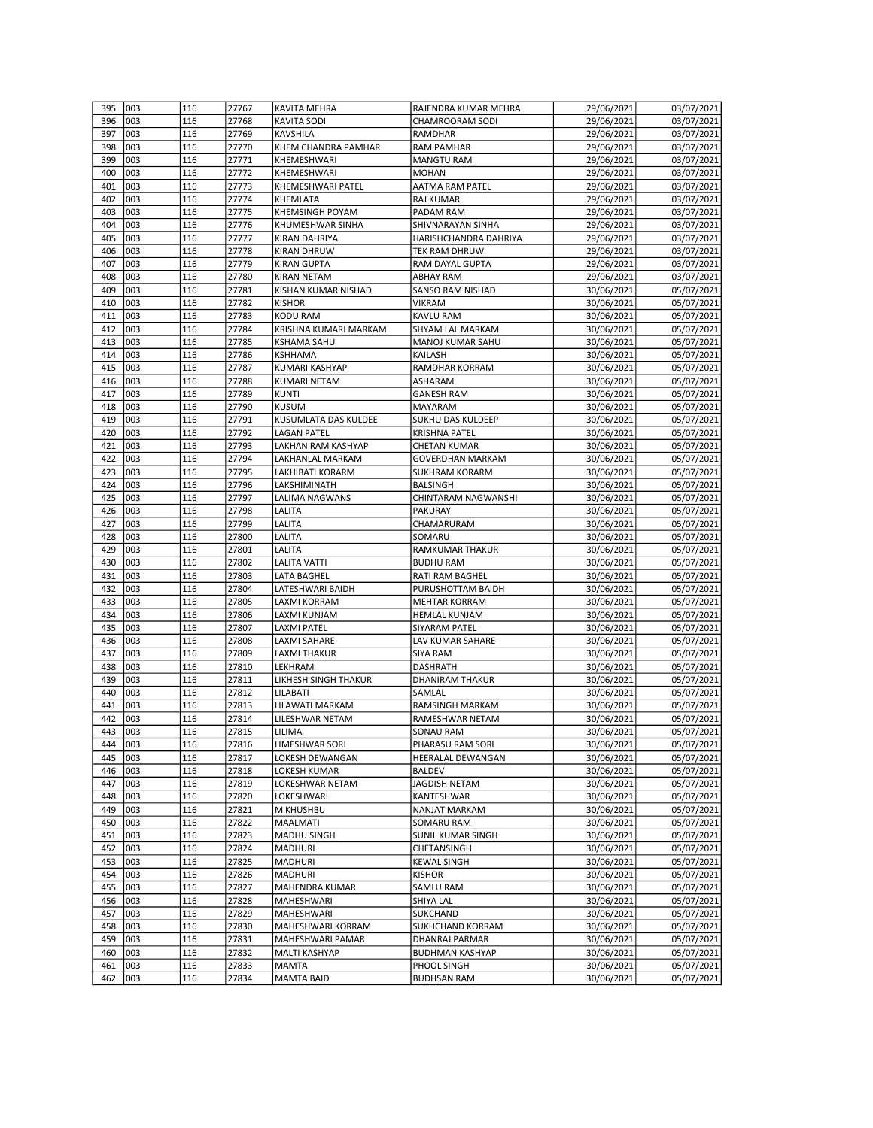| 395 | 003 | 116        | 27767          | <b>KAVITA MEHRA</b>   | RAJENDRA KUMAR MEHRA            | 29/06/2021               | 03/07/2021               |
|-----|-----|------------|----------------|-----------------------|---------------------------------|--------------------------|--------------------------|
| 396 | 003 | 116        | 27768          | <b>KAVITA SODI</b>    | <b>CHAMROORAM SODI</b>          | 29/06/2021               | 03/07/2021               |
| 397 | 003 | 116        | 27769          | KAVSHILA              | RAMDHAR                         | 29/06/2021               | 03/07/2021               |
| 398 | 003 | 116        | 27770          | KHEM CHANDRA PAMHAR   | <b>RAM PAMHAR</b>               | 29/06/2021               | 03/07/2021               |
| 399 | 003 | 116        | 27771          | KHEMESHWARI           | <b>MANGTU RAM</b>               | 29/06/2021               | 03/07/2021               |
| 400 | 003 | 116        | 27772          | KHEMESHWARI           | MOHAN                           | 29/06/2021               | 03/07/2021               |
| 401 | 003 | 116        | 27773          | KHEMESHWARI PATEL     | AATMA RAM PATEL                 | 29/06/2021               | 03/07/2021               |
| 402 | 003 | 116        | 27774          | KHEMLATA              | RAJ KUMAR                       | 29/06/2021               | 03/07/2021               |
| 403 | 003 | 116        | 27775          | KHEMSINGH POYAM       | PADAM RAM                       | 29/06/2021               | 03/07/2021               |
| 404 | 003 | 116        | 27776          | KHUMESHWAR SINHA      | SHIVNARAYAN SINHA               |                          | 03/07/2021               |
| 405 | 003 |            |                |                       |                                 | 29/06/2021               |                          |
|     |     | 116        | 27777<br>27778 | KIRAN DAHRIYA         | HARISHCHANDRA DAHRIYA           | 29/06/2021               | 03/07/2021               |
| 406 | 003 | 116        |                | <b>KIRAN DHRUW</b>    | TEK RAM DHRUW                   | 29/06/2021               | 03/07/2021               |
| 407 | 003 | 116        | 27779          | KIRAN GUPTA           | RAM DAYAL GUPTA                 | 29/06/2021               | 03/07/2021               |
| 408 | 003 | 116        | 27780          | <b>KIRAN NETAM</b>    | ABHAY RAM                       | 29/06/2021               | 03/07/2021               |
| 409 | 003 | 116        | 27781          | KISHAN KUMAR NISHAD   | SANSO RAM NISHAD                | 30/06/2021               | 05/07/2021               |
| 410 | 003 | 116        | 27782          | <b>KISHOR</b>         | VIKRAM                          | 30/06/2021               | 05/07/2021               |
| 411 | 003 | 116        | 27783          | KODU RAM              | KAVLU RAM                       | 30/06/2021               | 05/07/2021               |
| 412 | 003 | 116        | 27784          | KRISHNA KUMARI MARKAM | SHYAM LAL MARKAM                | 30/06/2021               | 05/07/2021               |
| 413 | 003 | 116        | 27785          | <b>KSHAMA SAHU</b>    | MANOJ KUMAR SAHU                | 30/06/2021               | 05/07/2021               |
| 414 | 003 | 116        | 27786          | <b>KSHHAMA</b>        | KAILASH                         | 30/06/2021               | 05/07/2021               |
| 415 | 003 | 116        | 27787          | KUMARI KASHYAP        | RAMDHAR KORRAM                  | 30/06/2021               | 05/07/2021               |
| 416 | 003 | 116        | 27788          | <b>KUMARI NETAM</b>   | ASHARAM                         | 30/06/2021               | 05/07/2021               |
| 417 | 003 | 116        | 27789          | <b>KUNTI</b>          | <b>GANESH RAM</b>               | 30/06/2021               | 05/07/2021               |
| 418 | 003 | 116        | 27790          | <b>KUSUM</b>          | MAYARAM                         | 30/06/2021               | 05/07/2021               |
| 419 | 003 | 116        | 27791          | KUSUMLATA DAS KULDEE  | SUKHU DAS KULDEEP               | 30/06/2021               | 05/07/2021               |
| 420 | 003 | 116        | 27792          | LAGAN PATEL           | <b>KRISHNA PATEL</b>            | 30/06/2021               | 05/07/2021               |
| 421 | 003 | 116        | 27793          | LAKHAN RAM KASHYAP    | <b>CHETAN KUMAR</b>             | 30/06/2021               | 05/07/2021               |
| 422 | 003 | 116        | 27794          | LAKHANLAL MARKAM      | GOVERDHAN MARKAM                | 30/06/2021               | 05/07/2021               |
| 423 | 003 | 116        | 27795          | LAKHIBATI KORARM      | <b>SUKHRAM KORARM</b>           | 30/06/2021               | 05/07/2021               |
| 424 | 003 | 116        | 27796          | LAKSHIMINATH          | BALSINGH                        | 30/06/2021               | 05/07/2021               |
| 425 | 003 | 116        | 27797          | <b>LALIMA NAGWANS</b> | CHINTARAM NAGWANSHI             |                          | 05/07/2021               |
|     |     |            |                |                       |                                 | 30/06/2021               |                          |
| 426 | 003 | 116        | 27798          | LALITA                | PAKURAY                         | 30/06/2021               | 05/07/2021               |
| 427 | 003 | 116        | 27799          | LALITA                | CHAMARURAM                      | 30/06/2021               | 05/07/2021               |
| 428 | 003 | 116        | 27800          | LALITA                | SOMARU                          | 30/06/2021               | 05/07/2021               |
| 429 | 003 | 116        | 27801          | LALITA                | RAMKUMAR THAKUR                 | 30/06/2021               | 05/07/2021               |
| 430 | 003 | 116        | 27802          | <b>LALITA VATTI</b>   | <b>BUDHU RAM</b>                | 30/06/2021               | 05/07/2021               |
| 431 | 003 | 116        | 27803          | LATA BAGHEL           | RATI RAM BAGHEL                 | 30/06/2021               | 05/07/2021               |
| 432 | 003 | 116        | 27804          | LATESHWARI BAIDH      | PURUSHOTTAM BAIDH               | 30/06/2021               | 05/07/2021               |
| 433 | 003 | 116        | 27805          | LAXMI KORRAM          | <b>MEHTAR KORRAM</b>            | 30/06/2021               | 05/07/2021               |
| 434 | 003 | 116        | 27806          | LAXMI KUNJAM          | HEMLAL KUNJAM                   | 30/06/2021               | 05/07/2021               |
| 435 | 003 | 116        | 27807          | LAXMI PATEL           | SIYARAM PATEL                   | 30/06/2021               | 05/07/2021               |
| 436 | 003 | 116        | 27808          | LAXMI SAHARE          | LAV KUMAR SAHARE                | 30/06/2021               | 05/07/2021               |
| 437 | 003 | 116        | 27809          | LAXMI THAKUR          | SIYA RAM                        | 30/06/2021               | 05/07/2021               |
| 438 | 003 | 116        | 27810          | LEKHRAM               | DASHRATH                        | 30/06/2021               | 05/07/2021               |
| 439 | 003 | 116        | 27811          | LIKHESH SINGH THAKUR  | <b>DHANIRAM THAKUR</b>          | 30/06/2021               | 05/07/2021               |
| 440 | 003 | 116        | 27812          | LILABATI              | SAMLAL                          | 30/06/2021               | 05/07/2021               |
| 441 | 003 | 116        | 27813          | LILAWATI MARKAM       | RAMSINGH MARKAM                 | 30/06/2021               | 05/07/2021               |
| 442 | 003 | 116        | 27814          | LILESHWAR NETAM       | RAMESHWAR NETAM                 | 30/06/2021               | 05/07/2021               |
| 443 | 003 | 116        | 27815          | LILIMA                | SONAU RAM                       | 30/06/2021               | 05/07/2021               |
| 444 | 003 | 116        | 27816          | LIMESHWAR SORI        | PHARASU RAM SORI                | 30/06/2021               | 05/07/2021               |
| 445 | 003 | 116        | 27817          | LOKESH DEWANGAN       | HEERALAL DEWANGAN               | 30/06/2021               | 05/07/2021               |
| 446 | 003 | 116        | 27818          | LOKESH KUMAR          | <b>BALDEV</b>                   | 30/06/2021               | 05/07/2021               |
| 447 | 003 | 116        | 27819          | LOKESHWAR NETAM       | <b>JAGDISH NETAM</b>            | 30/06/2021               | 05/07/2021               |
| 448 | 003 | 116        | 27820          | LOKESHWARI            | KANTESHWAR                      | 30/06/2021               | 05/07/2021               |
| 449 | 003 | 116        | 27821          | M KHUSHBU             | NANJAT MARKAM                   | 30/06/2021               | 05/07/2021               |
|     |     |            |                |                       |                                 |                          |                          |
| 450 | 003 | 116<br>116 | 27822          | MAALMATI              | SOMARU RAM<br>SUNIL KUMAR SINGH | 30/06/2021<br>30/06/2021 | 05/07/2021<br>05/07/2021 |
| 451 | 003 | 116        | 27823          | MADHU SINGH           |                                 |                          |                          |
| 452 | 003 |            | 27824          | MADHURI               | CHETANSINGH                     | 30/06/2021               | 05/07/2021               |
| 453 | 003 | 116        | 27825          | MADHURI               | <b>KEWAL SINGH</b>              | 30/06/2021               | 05/07/2021               |
| 454 | 003 | 116        | 27826          | MADHURI               | <b>KISHOR</b>                   | 30/06/2021               | 05/07/2021               |
| 455 | 003 | 116        | 27827          | MAHENDRA KUMAR        | SAMLU RAM                       | 30/06/2021               | 05/07/2021               |
| 456 | 003 | 116        | 27828          | MAHESHWARI            | SHIYA LAL                       | 30/06/2021               | 05/07/2021               |
| 457 | 003 | 116        | 27829          | MAHESHWARI            | SUKCHAND                        | 30/06/2021               | 05/07/2021               |
| 458 | 003 | 116        | 27830          | MAHESHWARI KORRAM     | SUKHCHAND KORRAM                | 30/06/2021               | 05/07/2021               |
| 459 | 003 | 116        | 27831          | MAHESHWARI PAMAR      | DHANRAJ PARMAR                  | 30/06/2021               | 05/07/2021               |
| 460 | 003 | 116        | 27832          | MALTI KASHYAP         | <b>BUDHMAN KASHYAP</b>          | 30/06/2021               | 05/07/2021               |
| 461 | 003 | 116        | 27833          | MAMTA                 | PHOOL SINGH                     | 30/06/2021               | 05/07/2021               |
| 462 | 003 | 116        | 27834          | <b>MAMTA BAID</b>     | <b>BUDHSAN RAM</b>              | 30/06/2021               | 05/07/2021               |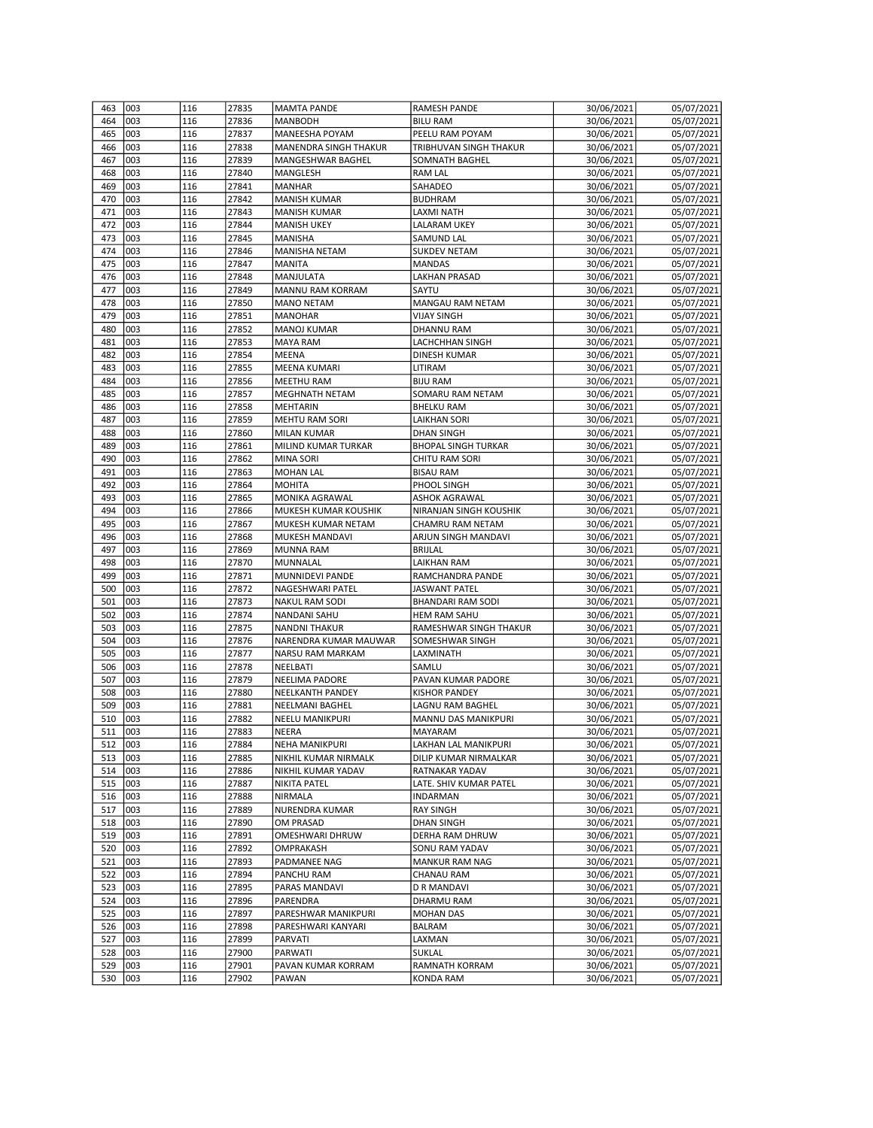| 463        | 003           | 116        | 27835          | <b>MAMTA PANDE</b>          | <b>RAMESH PANDE</b>                | 30/06/2021               | 05/07/2021               |
|------------|---------------|------------|----------------|-----------------------------|------------------------------------|--------------------------|--------------------------|
| 464        | 003           | 116        | 27836          | <b>MANBODH</b>              | <b>BILU RAM</b>                    | 30/06/2021               | 05/07/2021               |
| 465        | 003           | 116        | 27837          | MANEESHA POYAM              | PEELU RAM POYAM                    | 30/06/2021               | 05/07/2021               |
| 466        | 003           | 116        | 27838          | MANENDRA SINGH THAKUR       | TRIBHUVAN SINGH THAKUR             | 30/06/2021               | 05/07/2021               |
| 467        | 003           | 116        | 27839          | MANGESHWAR BAGHEL           | SOMNATH BAGHEL                     | 30/06/2021               | 05/07/2021               |
| 468        | 003           | 116        | 27840          | MANGLESH                    | <b>RAM LAL</b>                     | 30/06/2021               | 05/07/2021               |
| 469        | 003           | 116        | 27841          | <b>MANHAR</b>               | SAHADEO                            | 30/06/2021               | 05/07/2021               |
| 470        | 003           | 116        | 27842          | <b>MANISH KUMAR</b>         | <b>BUDHRAM</b>                     | 30/06/2021               | 05/07/2021               |
| 471        | 003           |            |                |                             |                                    |                          |                          |
|            |               | 116        | 27843<br>27844 | <b>MANISH KUMAR</b>         | LAXMI NATH                         | 30/06/2021               | 05/07/2021               |
| 472        | 003           | 116        |                | <b>MANISH UKEY</b>          | LALARAM UKEY                       | 30/06/2021               | 05/07/2021               |
| 473        | 003           | 116        | 27845<br>27846 | MANISHA                     | SAMUND LAL                         | 30/06/2021               | 05/07/2021               |
| 474        | 003           | 116        |                | MANISHA NETAM               | <b>SUKDEV NETAM</b>                | 30/06/2021               | 05/07/2021               |
| 475        | 003           | 116        | 27847          | <b>MANITA</b>               | <b>MANDAS</b>                      | 30/06/2021               | 05/07/2021               |
| 476        | 003           | 116        | 27848          | MANJULATA                   | <b>LAKHAN PRASAD</b>               | 30/06/2021               | 05/07/2021               |
| 477        | 003           | 116        | 27849          | MANNU RAM KORRAM            | SAYTU                              | 30/06/2021               | 05/07/2021               |
| 478        | 003           | 116        | 27850          | <b>MANO NETAM</b>           | MANGAU RAM NETAM                   | 30/06/2021               | 05/07/2021               |
| 479        | 003           | 116        | 27851          | <b>MANOHAR</b>              | <b>VIJAY SINGH</b>                 | 30/06/2021               | 05/07/2021               |
| 480        | 003           | 116        | 27852          | <b>MANOJ KUMAR</b>          | DHANNU RAM                         | 30/06/2021               | 05/07/2021               |
| 481        | 003           | 116        | 27853          | <b>MAYA RAM</b>             | LACHCHHAN SINGH                    | 30/06/2021               | 05/07/2021               |
| 482        | 003           | 116        | 27854          | <b>MEENA</b>                | <b>DINESH KUMAR</b>                | 30/06/2021               | 05/07/2021               |
| 483        | 003           | 116        | 27855          | <b>MEENA KUMARI</b>         | LITIRAM                            | 30/06/2021               | 05/07/2021               |
| 484        | 003           | 116        | 27856          | MEETHU RAM                  | <b>BIJU RAM</b>                    | 30/06/2021               | 05/07/2021               |
| 485        | 003           | 116        | 27857          | MEGHNATH NETAM              | SOMARU RAM NETAM                   | 30/06/2021               | 05/07/2021               |
| 486        | 003           | 116        | 27858          | <b>MEHTARIN</b>             | <b>BHELKU RAM</b>                  | 30/06/2021               | 05/07/2021               |
| 487        | 003           | 116        | 27859          | MEHTU RAM SORI              | <b>LAIKHAN SORI</b>                | 30/06/2021               | 05/07/2021               |
|            | 003           | 116        |                | <b>MILAN KUMAR</b>          |                                    |                          |                          |
| 488        |               |            | 27860          |                             | <b>DHAN SINGH</b>                  | 30/06/2021               | 05/07/2021               |
| 489        | 003           | 116        | 27861          | MILIND KUMAR TURKAR         | <b>BHOPAL SINGH TURKAR</b>         | 30/06/2021               | 05/07/2021               |
| 490        | 003           | 116        | 27862          | MINA SORI                   | CHITU RAM SORI                     | 30/06/2021               | 05/07/2021               |
| 491        | 003           | 116        | 27863          | <b>MOHAN LAL</b>            | <b>BISAU RAM</b>                   | 30/06/2021               | 05/07/2021               |
| 492        | 003           | 116        | 27864          | <b>MOHITA</b>               | PHOOL SINGH                        | 30/06/2021               | 05/07/2021               |
| 493        | 003           | 116        | 27865          | MONIKA AGRAWAL              | <b>ASHOK AGRAWAL</b>               | 30/06/2021               | 05/07/2021               |
| 494        | 003           | 116        | 27866          | MUKESH KUMAR KOUSHIK        | NIRANJAN SINGH KOUSHIK             | 30/06/2021               | 05/07/2021               |
| 495        | 003           | 116        | 27867          | MUKESH KUMAR NETAM          | CHAMRU RAM NETAM                   | 30/06/2021               | 05/07/2021               |
| 496        | 003           | 116        | 27868          | MUKESH MANDAVI              | ARJUN SINGH MANDAVI                | 30/06/2021               | 05/07/2021               |
|            |               |            |                |                             |                                    |                          |                          |
| 497        | 003           | 116        | 27869          | MUNNA RAM                   | <b>BRIJLAL</b>                     | 30/06/2021               | 05/07/2021               |
| 498        | 003           | 116        | 27870          | MUNNALAL                    | LAIKHAN RAM                        | 30/06/2021               | 05/07/2021               |
| 499        | 003           | 116        | 27871          | MUNNIDEVI PANDE             | RAMCHANDRA PANDE                   |                          |                          |
|            |               |            |                |                             |                                    | 30/06/2021               | 05/07/2021               |
| 500        | 003           | 116        | 27872          | NAGESHWARI PATEL            | <b>JASWANT PATEL</b>               | 30/06/2021               | 05/07/2021               |
| 501        | 003           | 116        | 27873          | <b>NAKUL RAM SODI</b>       | BHANDARI RAM SODI                  | 30/06/2021               | 05/07/2021               |
| 502        | 003           | 116        | 27874          | NANDANI SAHU                | HEM RAM SAHU                       | 30/06/2021               | 05/07/2021               |
| 503        | 003           | 116        | 27875          | <b>NANDNI THAKUR</b>        | RAMESHWAR SINGH THAKUR             | 30/06/2021               | 05/07/2021               |
| 504        | 003           | 116        | 27876          | NARENDRA KUMAR MAUWAR       | SOMESHWAR SINGH                    | 30/06/2021               | 05/07/2021               |
| 505        | 003           | 116        | 27877          | NARSU RAM MARKAM            | LAXMINATH                          | 30/06/2021               | 05/07/2021               |
| 506        | 003           | 116        | 27878          | NEELBATI                    | SAMLU                              | 30/06/2021               | 05/07/2021               |
| 507        | 003           | 116        | 27879          | NEELIMA PADORE              | PAVAN KUMAR PADORE                 | 30/06/2021               | 05/07/2021               |
| 508        | 003           | 116        | 27880          | NEELKANTH PANDEY            | <b>KISHOR PANDEY</b>               | 30/06/2021               | 05/07/2021               |
| 509        | 003           | 116        | 27881          | NEELMANI BAGHEL             | LAGNU RAM BAGHEL                   | 30/06/2021               | 05/07/2021               |
| 510        | 003           | 116        | 27882          | <b>NEELU MANIKPURI</b>      | <b>MANNU DAS MANIKPURI</b>         | 30/06/2021               | 05/07/2021               |
| 511        | 003           | 116        | 27883          | NEERA                       | MAYARAM                            | 30/06/2021               | 05/07/2021               |
| 512        | $ 003\rangle$ | 116        | 27884          | <b>NEHA MANIKPURI</b>       | LAKHAN LAL MANIKPURI               | 30/06/2021               | 05/07/2021               |
| 513        | 003           | 116        | 27885          | NIKHIL KUMAR NIRMALK        | DILIP KUMAR NIRMALKAR              | 30/06/2021               | 05/07/2021               |
| 514        | 003           | 116        | 27886          | NIKHIL KUMAR YADAV          | RATNAKAR YADAV                     | 30/06/2021               | 05/07/2021               |
| 515        | 003           | 116        | 27887          | NIKITA PATEL                | LATE. SHIV KUMAR PATEL             | 30/06/2021               | 05/07/2021               |
| 516        | 003           | 116        | 27888          | NIRMALA                     | <b>INDARMAN</b>                    | 30/06/2021               | 05/07/2021               |
| 517        | 003           | 116        | 27889          | NURENDRA KUMAR              | <b>RAY SINGH</b>                   | 30/06/2021               | 05/07/2021               |
| 518        | 003           | 116        | 27890          | OM PRASAD                   | <b>DHAN SINGH</b>                  | 30/06/2021               | 05/07/2021               |
| 519        | 003           | 116        | 27891          | OMESHWARI DHRUW             | DERHA RAM DHRUW                    | 30/06/2021               | 05/07/2021               |
| 520        | 003           | 116        | 27892          | OMPRAKASH                   | SONU RAM YADAV                     |                          |                          |
|            |               |            |                |                             |                                    | 30/06/2021               | 05/07/2021               |
| 521        | 003           | 116        | 27893          | PADMANEE NAG                | MANKUR RAM NAG                     | 30/06/2021               | 05/07/2021               |
| 522        | 003           | 116        | 27894          | PANCHU RAM                  | CHANAU RAM                         | 30/06/2021               | 05/07/2021               |
| 523        | 003           | 116        | 27895          | PARAS MANDAVI               | D R MANDAVI                        | 30/06/2021               | 05/07/2021               |
| 524        | 003           | 116        | 27896          | PARENDRA                    | DHARMU RAM                         | 30/06/2021               | 05/07/2021               |
| 525        | 003           | 116        | 27897          | PARESHWAR MANIKPURI         | MOHAN DAS                          | 30/06/2021               | 05/07/2021               |
| 526        | 003           | 116        | 27898          | PARESHWARI KANYARI          | <b>BALRAM</b>                      | 30/06/2021               | 05/07/2021               |
| 527        | 003           | 116        | 27899          | PARVATI                     | LAXMAN                             | 30/06/2021               | 05/07/2021               |
| 528        | 003           | 116        | 27900          | PARWATI                     | <b>SUKLAL</b>                      | 30/06/2021               | 05/07/2021               |
| 529<br>530 | 003<br>003    | 116<br>116 | 27901<br>27902 | PAVAN KUMAR KORRAM<br>PAWAN | RAMNATH KORRAM<br><b>KONDA RAM</b> | 30/06/2021<br>30/06/2021 | 05/07/2021<br>05/07/2021 |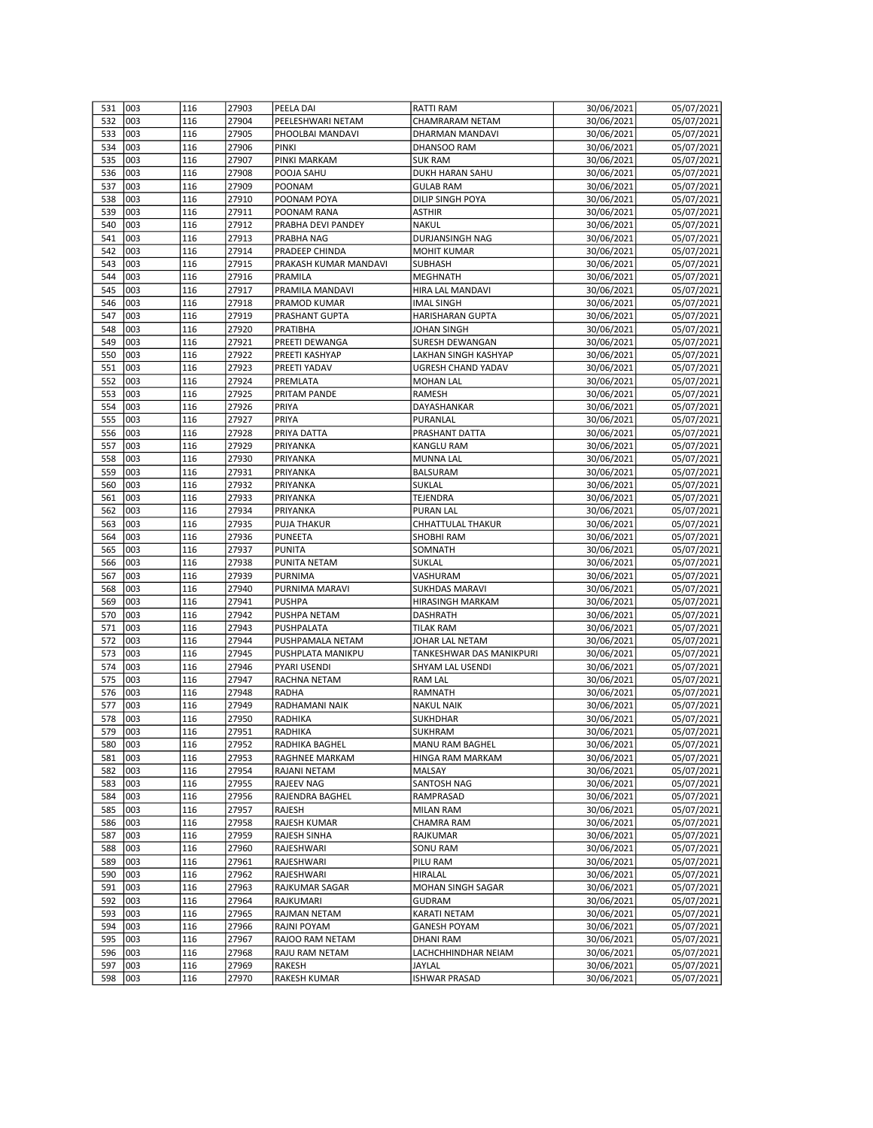| 531 | 003 | 116 | 27903 | PEELA DAI             | RATTI RAM                | 30/06/2021 | 05/07/2021 |
|-----|-----|-----|-------|-----------------------|--------------------------|------------|------------|
| 532 | 003 | 116 | 27904 | PEELESHWARI NETAM     | CHAMRARAM NETAM          | 30/06/2021 | 05/07/2021 |
| 533 | 003 | 116 | 27905 | PHOOLBAI MANDAVI      | DHARMAN MANDAVI          | 30/06/2021 | 05/07/2021 |
| 534 | 003 | 116 | 27906 | PINKI                 | DHANSOO RAM              | 30/06/2021 | 05/07/2021 |
| 535 | 003 | 116 | 27907 | PINKI MARKAM          | <b>SUK RAM</b>           | 30/06/2021 | 05/07/2021 |
| 536 | 003 | 116 | 27908 | POOJA SAHU            | DUKH HARAN SAHU          | 30/06/2021 | 05/07/2021 |
| 537 | 003 | 116 | 27909 | POONAM                | <b>GULAB RAM</b>         | 30/06/2021 | 05/07/2021 |
| 538 | 003 | 116 | 27910 | POONAM POYA           | <b>DILIP SINGH POYA</b>  | 30/06/2021 | 05/07/2021 |
| 539 | 003 | 116 | 27911 | POONAM RANA           | ASTHIR                   | 30/06/2021 | 05/07/2021 |
| 540 | 003 | 116 | 27912 | PRABHA DEVI PANDEY    | <b>NAKUL</b>             | 30/06/2021 | 05/07/2021 |
| 541 | 003 | 116 | 27913 | PRABHA NAG            | DURJANSINGH NAG          | 30/06/2021 | 05/07/2021 |
| 542 | 003 | 116 | 27914 | PRADEEP CHINDA        | <b>MOHIT KUMAR</b>       | 30/06/2021 | 05/07/2021 |
| 543 | 003 | 116 | 27915 | PRAKASH KUMAR MANDAVI | SUBHASH                  | 30/06/2021 | 05/07/2021 |
| 544 | 003 | 116 | 27916 | PRAMILA               | MEGHNATH                 | 30/06/2021 | 05/07/2021 |
| 545 | 003 | 116 | 27917 | PRAMILA MANDAVI       | HIRA LAL MANDAVI         | 30/06/2021 | 05/07/2021 |
| 546 | 003 | 116 | 27918 | PRAMOD KUMAR          | <b>IMAL SINGH</b>        | 30/06/2021 | 05/07/2021 |
| 547 | 003 | 116 | 27919 | PRASHANT GUPTA        | HARISHARAN GUPTA         | 30/06/2021 | 05/07/2021 |
| 548 | 003 | 116 | 27920 | PRATIBHA              | JOHAN SINGH              | 30/06/2021 | 05/07/2021 |
| 549 | 003 | 116 | 27921 | PREETI DEWANGA        | SURESH DEWANGAN          | 30/06/2021 | 05/07/2021 |
| 550 | 003 | 116 | 27922 | PREETI KASHYAP        | LAKHAN SINGH KASHYAP     | 30/06/2021 | 05/07/2021 |
| 551 | 003 | 116 | 27923 | PREETI YADAV          | UGRESH CHAND YADAV       | 30/06/2021 | 05/07/2021 |
| 552 | 003 | 116 | 27924 | PREMLATA              | <b>MOHAN LAL</b>         | 30/06/2021 | 05/07/2021 |
| 553 | 003 | 116 | 27925 | PRITAM PANDE          | RAMESH                   | 30/06/2021 | 05/07/2021 |
| 554 | 003 | 116 | 27926 | PRIYA                 | DAYASHANKAR              | 30/06/2021 | 05/07/2021 |
| 555 | 003 | 116 | 27927 | PRIYA                 | PURANLAL                 | 30/06/2021 | 05/07/2021 |
| 556 | 003 | 116 | 27928 | PRIYA DATTA           | PRASHANT DATTA           | 30/06/2021 | 05/07/2021 |
| 557 | 003 | 116 | 27929 | PRIYANKA              | <b>KANGLU RAM</b>        | 30/06/2021 | 05/07/2021 |
| 558 | 003 | 116 | 27930 | PRIYANKA              | MUNNA LAL                | 30/06/2021 | 05/07/2021 |
| 559 | 003 | 116 | 27931 | PRIYANKA              | <b>BALSURAM</b>          | 30/06/2021 | 05/07/2021 |
| 560 | 003 | 116 | 27932 | PRIYANKA              | SUKLAL                   | 30/06/2021 | 05/07/2021 |
| 561 | 003 | 116 | 27933 | PRIYANKA              | TEJENDRA                 | 30/06/2021 | 05/07/2021 |
| 562 | 003 | 116 | 27934 | PRIYANKA              | PURAN LAL                | 30/06/2021 | 05/07/2021 |
| 563 | 003 | 116 | 27935 | PUJA THAKUR           | CHHATTULAL THAKUR        | 30/06/2021 | 05/07/2021 |
| 564 | 003 | 116 | 27936 | PUNEETA               | SHOBHI RAM               | 30/06/2021 | 05/07/2021 |
| 565 | 003 | 116 | 27937 | <b>PUNITA</b>         | SOMNATH                  | 30/06/2021 | 05/07/2021 |
| 566 | 003 | 116 | 27938 | PUNITA NETAM          | SUKLAL                   | 30/06/2021 | 05/07/2021 |
| 567 | 003 | 116 | 27939 | PURNIMA               | VASHURAM                 | 30/06/2021 | 05/07/2021 |
| 568 | 003 | 116 | 27940 | PURNIMA MARAVI        | SUKHDAS MARAVI           | 30/06/2021 | 05/07/2021 |
| 569 | 003 | 116 | 27941 | <b>PUSHPA</b>         | HIRASINGH MARKAM         | 30/06/2021 | 05/07/2021 |
| 570 | 003 | 116 | 27942 | PUSHPA NETAM          | DASHRATH                 | 30/06/2021 | 05/07/2021 |
| 571 | 003 | 116 | 27943 | PUSHPALATA            | <b>TILAK RAM</b>         | 30/06/2021 | 05/07/2021 |
| 572 | 003 | 116 | 27944 | PUSHPAMALA NETAM      | JOHAR LAL NETAM          | 30/06/2021 | 05/07/2021 |
| 573 | 003 | 116 | 27945 | PUSHPLATA MANIKPU     | TANKESHWAR DAS MANIKPURI | 30/06/2021 | 05/07/2021 |
| 574 | 003 | 116 | 27946 | PYARI USENDI          | SHYAM LAL USENDI         | 30/06/2021 | 05/07/2021 |
| 575 | 003 | 116 | 27947 | RACHNA NETAM          | <b>RAM LAL</b>           | 30/06/2021 | 05/07/2021 |
| 576 | 003 | 116 | 27948 | <b>RADHA</b>          | RAMNATH                  | 30/06/2021 | 05/07/2021 |
| 577 | 003 | 116 | 27949 | RADHAMANI NAIK        | <b>NAKUL NAIK</b>        | 30/06/2021 | 05/07/2021 |
| 578 | 003 | 116 | 27950 | RADHIKA               | <b>SUKHDHAR</b>          | 30/06/2021 | 05/07/2021 |
| 579 | 003 | 116 | 27951 | <b>RADHIKA</b>        | SUKHRAM                  | 30/06/2021 | 05/07/2021 |
| 580 | 003 | 116 | 27952 | RADHIKA BAGHEL        | MANU RAM BAGHEL          | 30/06/2021 | 05/07/2021 |
| 581 | 003 | 116 | 27953 | RAGHNEE MARKAM        | HINGA RAM MARKAM         | 30/06/2021 | 05/07/2021 |
| 582 | 003 | 116 | 27954 | RAJANI NETAM          | <b>MALSAY</b>            | 30/06/2021 | 05/07/2021 |
| 583 | 003 | 116 | 27955 | RAJEEV NAG            | SANTOSH NAG              | 30/06/2021 | 05/07/2021 |
| 584 | 003 | 116 | 27956 | RAJENDRA BAGHEL       | RAMPRASAD                | 30/06/2021 | 05/07/2021 |
| 585 | 003 | 116 | 27957 | RAJESH                | MILAN RAM                | 30/06/2021 | 05/07/2021 |
| 586 | 003 | 116 | 27958 | RAJESH KUMAR          | CHAMRA RAM               | 30/06/2021 | 05/07/2021 |
| 587 | 003 | 116 | 27959 | RAJESH SINHA          | RAJKUMAR                 | 30/06/2021 | 05/07/2021 |
| 588 | 003 | 116 | 27960 | RAJESHWARI            | SONU RAM                 | 30/06/2021 | 05/07/2021 |
| 589 | 003 | 116 | 27961 | RAJESHWARI            | PILU RAM                 | 30/06/2021 | 05/07/2021 |
| 590 | 003 | 116 | 27962 | RAJESHWARI            | HIRALAL                  | 30/06/2021 | 05/07/2021 |
| 591 | 003 | 116 | 27963 | RAJKUMAR SAGAR        | MOHAN SINGH SAGAR        | 30/06/2021 | 05/07/2021 |
| 592 | 003 | 116 | 27964 | RAJKUMARI             | GUDRAM                   | 30/06/2021 | 05/07/2021 |
| 593 | 003 | 116 | 27965 | RAJMAN NETAM          | KARATI NETAM             | 30/06/2021 | 05/07/2021 |
| 594 | 003 | 116 | 27966 | RAJNI POYAM           | <b>GANESH POYAM</b>      | 30/06/2021 | 05/07/2021 |
| 595 | 003 | 116 | 27967 | RAJOO RAM NETAM       | DHANI RAM                | 30/06/2021 | 05/07/2021 |
| 596 | 003 | 116 | 27968 | RAJU RAM NETAM        | LACHCHHINDHAR NEIAM      | 30/06/2021 | 05/07/2021 |
| 597 | 003 | 116 | 27969 | RAKESH                | JAYLAL                   | 30/06/2021 | 05/07/2021 |
| 598 | 003 | 116 | 27970 | RAKESH KUMAR          | <b>ISHWAR PRASAD</b>     | 30/06/2021 | 05/07/2021 |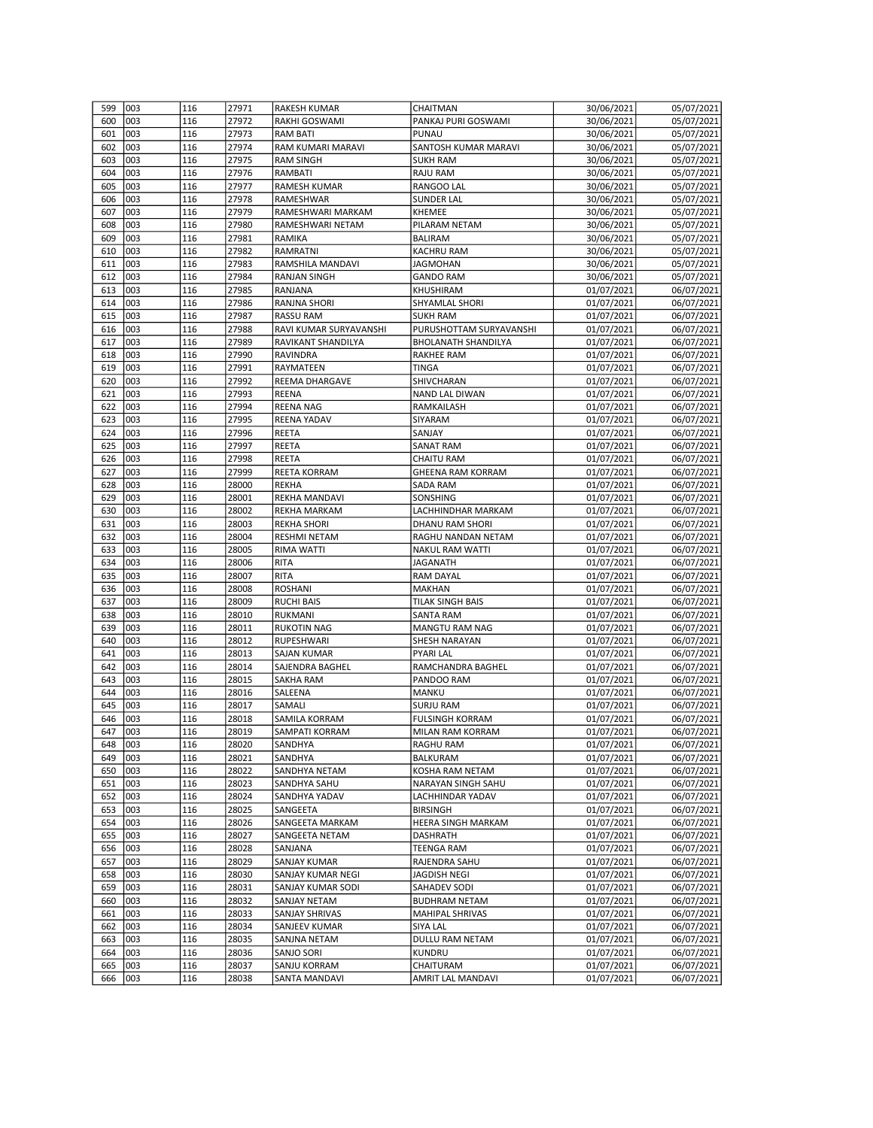| 599        | 003        | 116        | 27971          | <b>RAKESH KUMAR</b>           | CHAITMAN                       | 30/06/2021               | 05/07/2021                                           |
|------------|------------|------------|----------------|-------------------------------|--------------------------------|--------------------------|------------------------------------------------------|
| 600        | 003        | 116        | 27972          | RAKHI GOSWAMI                 | PANKAJ PURI GOSWAMI            | 30/06/2021               | 05/07/2021                                           |
| 601        | 003        | 116        | 27973          | RAM BATI                      | PUNAU                          | 30/06/2021               | 05/07/2021                                           |
| 602        | 003        | 116        | 27974          | RAM KUMARI MARAVI             | SANTOSH KUMAR MARAVI           | 30/06/2021               | 05/07/2021                                           |
| 603        | 003        | 116        | 27975          | RAM SINGH                     | SUKH RAM                       | 30/06/2021               | 05/07/2021                                           |
| 604        | 003        | 116        | 27976          | RAMBATI                       | RAJU RAM                       | 30/06/2021               | 05/07/2021                                           |
| 605        | 003        | 116        | 27977          | <b>RAMESH KUMAR</b>           | RANGOO LAL                     | 30/06/2021               | 05/07/2021                                           |
| 606        | 003        | 116        | 27978          | RAMESHWAR                     | <b>SUNDER LAL</b>              | 30/06/2021               | 05/07/2021                                           |
| 607        | 003        | 116        | 27979          | RAMESHWARI MARKAM             | KHEMEE                         | 30/06/2021               | 05/07/2021                                           |
| 608        | 003        | 116        | 27980          | RAMESHWARI NETAM              | PILARAM NETAM                  | 30/06/2021               | 05/07/2021                                           |
| 609        | 003        | 116        | 27981          | RAMIKA                        | BALIRAM                        | 30/06/2021               | 05/07/2021                                           |
| 610        | 003        | 116        | 27982          | RAMRATNI                      | KACHRU RAM                     | 30/06/2021               | 05/07/2021                                           |
|            |            |            |                |                               |                                |                          |                                                      |
| 611        | 003        | 116        | 27983          | RAMSHILA MANDAVI              | <b>JAGMOHAN</b>                | 30/06/2021               | 05/07/2021                                           |
| 612        | 003        | 116        | 27984          | <b>RANJAN SINGH</b>           | <b>GANDO RAM</b>               | 30/06/2021               | 05/07/2021                                           |
| 613        | 003        | 116        | 27985          | RANJANA                       | KHUSHIRAM                      | 01/07/2021               | 06/07/2021                                           |
| 614        | 003        | 116        | 27986          | RANJNA SHORI                  | SHYAMLAL SHORI                 | 01/07/2021               | 06/07/2021                                           |
| 615        | 003        | 116        | 27987          | RASSU RAM                     | <b>SUKH RAM</b>                | 01/07/2021               | 06/07/2021                                           |
| 616        | 003        | 116        | 27988          | RAVI KUMAR SURYAVANSHI        | PURUSHOTTAM SURYAVANSHI        | 01/07/2021               | 06/07/2021                                           |
| 617        | 003        | 116        | 27989          | RAVIKANT SHANDILYA            | BHOLANATH SHANDILYA            | 01/07/2021               | 06/07/2021                                           |
| 618        | 003        | 116        | 27990          | RAVINDRA                      | RAKHEE RAM                     | 01/07/2021               | 06/07/2021                                           |
| 619        | 003        | 116        | 27991          | RAYMATEEN                     | <b>TINGA</b>                   | 01/07/2021               | 06/07/2021                                           |
| 620        | 003        | 116        | 27992          | REEMA DHARGAVE                | SHIVCHARAN                     | 01/07/2021               | 06/07/2021                                           |
| 621        | 003        | 116        | 27993          | <b>REENA</b>                  | NAND LAL DIWAN                 | 01/07/2021               | 06/07/2021                                           |
| 622        | 003        | 116        | 27994          | <b>REENA NAG</b>              | RAMKAILASH                     | 01/07/2021               | 06/07/2021                                           |
| 623        | 003        | 116        | 27995          | REENA YADAV                   | SIYARAM                        | 01/07/2021               | 06/07/2021                                           |
| 624        | 003        | 116        | 27996          | REETA                         | SANJAY                         | 01/07/2021               | 06/07/2021                                           |
| 625        | 003        | 116        | 27997          | REETA                         | SANAT RAM                      | 01/07/2021               | 06/07/2021                                           |
| 626        | 003        | 116        | 27998          | REETA                         | CHAITU RAM                     | 01/07/2021               | 06/07/2021                                           |
| 627        | 003        | 116        | 27999          | REETA KORRAM                  | GHEENA RAM KORRAM              | 01/07/2021               | 06/07/2021                                           |
| 628        | 003        | 116        | 28000          | <b>REKHA</b>                  | SADA RAM                       | 01/07/2021               | 06/07/2021                                           |
| 629        | 003        | 116        | 28001          | REKHA MANDAVI                 | SONSHING                       | 01/07/2021               | 06/07/2021                                           |
| 630        | 003        | 116        | 28002          | REKHA MARKAM                  | LACHHINDHAR MARKAM             | 01/07/2021               | 06/07/2021                                           |
| 631        | 003        | 116        | 28003          | <b>REKHA SHORI</b>            | DHANU RAM SHORI                | 01/07/2021               | 06/07/2021                                           |
|            |            |            |                |                               |                                |                          |                                                      |
| 632        | 003        | 116        | 28004          | RESHMI NETAM                  | RAGHU NANDAN NETAM             | 01/07/2021               | 06/07/2021                                           |
|            |            |            |                |                               |                                |                          |                                                      |
| 633        | 003        | 116        | 28005          | RIMA WATTI                    | NAKUL RAM WATTI                | 01/07/2021               | 06/07/2021                                           |
| 634        | 003        | 116        | 28006          | RITA                          | JAGANATH                       | 01/07/2021               | 06/07/2021                                           |
| 635        | 003        | 116        | 28007          | RITA                          | RAM DAYAL                      | 01/07/2021               | 06/07/2021                                           |
| 636        | 003        | 116        | 28008          | <b>ROSHANI</b>                | <b>MAKHAN</b>                  | 01/07/2021               | 06/07/2021                                           |
| 637        | 003        | 116        | 28009          | <b>RUCHI BAIS</b>             | TILAK SINGH BAIS               | 01/07/2021               | 06/07/2021                                           |
| 638        | 003        | 116        | 28010          | <b>RUKMANI</b>                | <b>SANTA RAM</b>               | 01/07/2021               | 06/07/2021                                           |
| 639        | 003        | 116        | 28011          | <b>RUKOTIN NAG</b>            | MANGTU RAM NAG                 | 01/07/2021               | 06/07/2021                                           |
| 640        | 003        | 116        | 28012          | RUPESHWARI                    | SHESH NARAYAN                  | 01/07/2021               | 06/07/2021                                           |
| 641        | 003        | 116        | 28013          | SAJAN KUMAR                   | <b>PYARI LAL</b>               | 01/07/2021               | 06/07/2021                                           |
| 642        | 003        | 116        | 28014          | SAJENDRA BAGHEL               | RAMCHANDRA BAGHEL              | 01/07/2021               | 06/07/2021                                           |
| 643        | 003        | 116        | 28015          | <b>SAKHA RAM</b>              | PANDOO RAM                     | 01/07/2021               | 06/07/2021                                           |
| 644        | 003        | 116        | 28016          | SALEENA                       | MANKU                          | 01/07/2021               | 06/07/2021                                           |
| 645        | 003        | 116        | 28017          | SAMALI                        | <b>SURJU RAM</b>               | 01/07/2021               | 06/07/2021                                           |
| 646        | 003        | 116        | 28018          | <b>SAMILA KORRAM</b>          | <b>FULSINGH KORRAM</b>         | 01/07/2021               | 06/07/2021                                           |
| 647        | 003        | 116        | 28019          | SAMPATI KORRAM                | MILAN RAM KORRAM               | 01/07/2021               | 06/07/2021                                           |
| 648        | 003        | 116        | 28020          | SANDHYA                       | RAGHU RAM                      | 01/07/2021               | 06/07/2021                                           |
| 649        | 003        | 116        | 28021          | SANDHYA                       | BALKURAM                       | 01/07/2021               | 06/07/2021                                           |
| 650        | 003        | 116        | 28022          | SANDHYA NETAM                 | KOSHA RAM NETAM                | 01/07/2021               | 06/07/2021                                           |
|            |            |            |                |                               |                                |                          |                                                      |
| 651        | 003        | 116        | 28023          | SANDHYA SAHU                  | NARAYAN SINGH SAHU             | 01/07/2021               | 06/07/2021                                           |
| 652        | 003        | 116        | 28024          | SANDHYA YADAV                 | LACHHINDAR YADAV               | 01/07/2021               | 06/07/2021                                           |
| 653        | 003        | 116        | 28025          | SANGEETA                      | <b>BIRSINGH</b>                | 01/07/2021               | 06/07/2021                                           |
| 654        | 003        | 116        | 28026          | SANGEETA MARKAM               | HEERA SINGH MARKAM             | 01/07/2021               | 06/07/2021                                           |
| 655        | 003        | 116        | 28027          | SANGEETA NETAM                | <b>DASHRATH</b>                | 01/07/2021               | 06/07/2021                                           |
| 656        | 003        | 116        | 28028          | SANJANA                       | TEENGA RAM                     | 01/07/2021               | 06/07/2021                                           |
| 657        | 003        | 116        | 28029          | SANJAY KUMAR                  | RAJENDRA SAHU                  | 01/07/2021               | 06/07/2021                                           |
| 658        | 003        | 116        | 28030          | SANJAY KUMAR NEGI             | JAGDISH NEGI                   | 01/07/2021               | 06/07/2021                                           |
| 659        | 003        | 116        | 28031          | SANJAY KUMAR SODI             | SAHADEV SODI                   | 01/07/2021               | 06/07/2021                                           |
| 660        | 003        | 116        | 28032          | SANJAY NETAM                  | <b>BUDHRAM NETAM</b>           | 01/07/2021               | 06/07/2021                                           |
| 661        | 003        | 116        | 28033          | <b>SANJAY SHRIVAS</b>         | MAHIPAL SHRIVAS                | 01/07/2021               | 06/07/2021                                           |
| 662        | 003        | 116        | 28034          | SANJEEV KUMAR                 | SIYA LAL                       | 01/07/2021               | 06/07/2021                                           |
| 663        | 003        | 116        | 28035          | SANJNA NETAM                  | DULLU RAM NETAM                | 01/07/2021               |                                                      |
| 664        | 003        | 116        | 28036          | SANJO SORI                    | KUNDRU                         | 01/07/2021               |                                                      |
| 665<br>666 | 003<br>003 | 116<br>116 | 28037<br>28038 | SANJU KORRAM<br>SANTA MANDAVI | CHAITURAM<br>AMRIT LAL MANDAVI | 01/07/2021<br>01/07/2021 | 06/07/2021<br>06/07/2021<br>06/07/2021<br>06/07/2021 |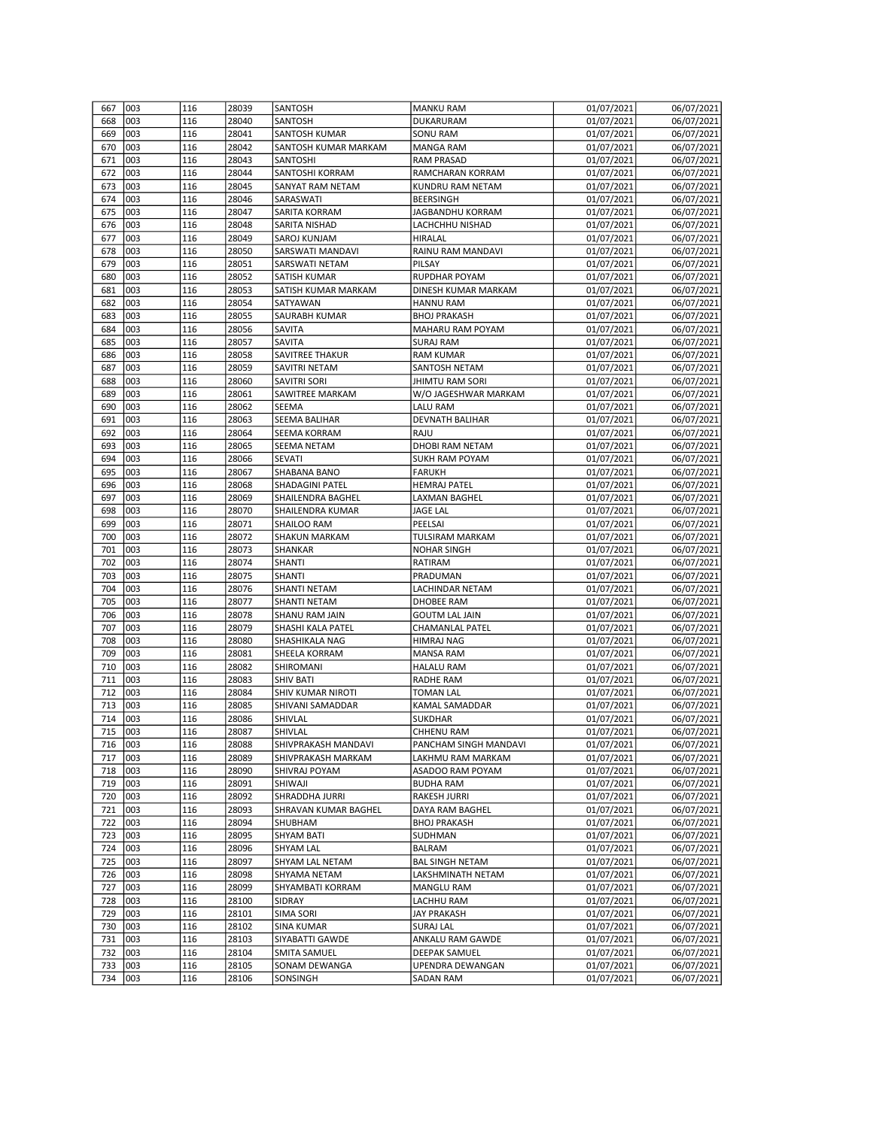| 667       | 003 | 116 | 28039 | SANTOSH              | <b>MANKU RAM</b>       | 01/07/2021               | 06/07/2021 |
|-----------|-----|-----|-------|----------------------|------------------------|--------------------------|------------|
| 668       | 003 | 116 | 28040 | SANTOSH              | DUKARURAM              | 01/07/2021               | 06/07/2021 |
| 669       | 003 | 116 | 28041 | SANTOSH KUMAR        | SONU RAM               | 01/07/2021               | 06/07/2021 |
| 670       | 003 | 116 | 28042 | SANTOSH KUMAR MARKAM | <b>MANGA RAM</b>       | 01/07/2021               | 06/07/2021 |
| 671       | 003 | 116 | 28043 | SANTOSHI             | <b>RAM PRASAD</b>      | 01/07/2021               | 06/07/2021 |
| 672       | 003 | 116 | 28044 | SANTOSHI KORRAM      | RAMCHARAN KORRAM       | 01/07/2021               | 06/07/2021 |
| 673       | 003 | 116 | 28045 | SANYAT RAM NETAM     | KUNDRU RAM NETAM       | 01/07/2021               | 06/07/2021 |
| 674       | 003 | 116 | 28046 | SARASWATI            | <b>BEERSINGH</b>       | 01/07/2021               | 06/07/2021 |
| 675       | 003 | 116 | 28047 | SARITA KORRAM        | JAGBANDHU KORRAM       | 01/07/2021               | 06/07/2021 |
| 676       | 003 | 116 | 28048 | SARITA NISHAD        | LACHCHHU NISHAD        | 01/07/2021               | 06/07/2021 |
| 677       | 003 | 116 | 28049 | SAROJ KUNJAM         | HIRALAL                | 01/07/2021               | 06/07/2021 |
| 678       | 003 | 116 | 28050 | SARSWATI MANDAVI     | RAINU RAM MANDAVI      | 01/07/2021               | 06/07/2021 |
| 679       | 003 | 116 | 28051 | SARSWATI NETAM       | PILSAY                 | 01/07/2021               | 06/07/2021 |
| 680       | 003 | 116 | 28052 | SATISH KUMAR         | RUPDHAR POYAM          | 01/07/2021               | 06/07/2021 |
| 681       | 003 | 116 | 28053 | SATISH KUMAR MARKAM  | DINESH KUMAR MARKAM    | 01/07/2021               | 06/07/2021 |
|           | 003 | 116 | 28054 |                      |                        |                          |            |
| 682       |     |     |       | SATYAWAN             | <b>HANNU RAM</b>       | 01/07/2021               | 06/07/2021 |
| 683       | 003 | 116 | 28055 | SAURABH KUMAR        | <b>BHOJ PRAKASH</b>    | 01/07/2021               | 06/07/2021 |
| 684       | 003 | 116 | 28056 | SAVITA               | MAHARU RAM POYAM       | 01/07/2021               | 06/07/2021 |
| 685       | 003 | 116 | 28057 | SAVITA               | <b>SURAJ RAM</b>       | 01/07/2021               | 06/07/2021 |
| 686       | 003 | 116 | 28058 | SAVITREE THAKUR      | <b>RAM KUMAR</b>       | 01/07/2021               | 06/07/2021 |
| 687       | 003 | 116 | 28059 | SAVITRI NETAM        | SANTOSH NETAM          | 01/07/2021               | 06/07/2021 |
| 688       | 003 | 116 | 28060 | <b>SAVITRI SORI</b>  | <b>JHIMTU RAM SORI</b> | 01/07/2021               | 06/07/2021 |
| 689       | 003 | 116 | 28061 | SAWITREE MARKAM      | W/O JAGESHWAR MARKAM   | 01/07/2021               | 06/07/2021 |
| 690       | 003 | 116 | 28062 | SEEMA                | <b>LALU RAM</b>        | 01/07/2021               | 06/07/2021 |
| 691       | 003 | 116 | 28063 | SEEMA BALIHAR        | <b>DEVNATH BALIHAR</b> | 01/07/2021               | 06/07/2021 |
| 692       | 003 | 116 | 28064 | SEEMA KORRAM         | RAJU                   | 01/07/2021               | 06/07/2021 |
| 693       | 003 | 116 | 28065 | SEEMA NETAM          | DHOBI RAM NETAM        | 01/07/2021               | 06/07/2021 |
| 694       | 003 | 116 | 28066 | <b>SEVATI</b>        | SUKH RAM POYAM         | 01/07/2021               | 06/07/2021 |
| 695       | 003 | 116 | 28067 | SHABANA BANO         | <b>FARUKH</b>          | 01/07/2021               | 06/07/2021 |
| 696       | 003 | 116 | 28068 | SHADAGINI PATEL      | <b>HEMRAJ PATEL</b>    | 01/07/2021               | 06/07/2021 |
| 697       | 003 | 116 | 28069 | SHAILENDRA BAGHEL    | <b>LAXMAN BAGHEL</b>   | 01/07/2021               | 06/07/2021 |
| 698       | 003 | 116 | 28070 | SHAILENDRA KUMAR     | <b>JAGE LAL</b>        | 01/07/2021               | 06/07/2021 |
| 699       | 003 | 116 | 28071 | SHAILOO RAM          | PEELSAI                | 01/07/2021               | 06/07/2021 |
| 700       | 003 | 116 | 28072 | <b>SHAKUN MARKAM</b> | TULSIRAM MARKAM        | 01/07/2021               | 06/07/2021 |
| 701       | 003 | 116 | 28073 | SHANKAR              | <b>NOHAR SINGH</b>     | 01/07/2021               | 06/07/2021 |
| 702       | 003 | 116 | 28074 | SHANTI               | RATIRAM                | 01/07/2021               | 06/07/2021 |
| 703       | 003 | 116 | 28075 | SHANTI               | PRADUMAN               | 01/07/2021               | 06/07/2021 |
| 704       | 003 | 116 | 28076 | SHANTI NETAM         | LACHINDAR NETAM        | 01/07/2021               | 06/07/2021 |
| 705       | 003 | 116 | 28077 | SHANTI NETAM         | <b>DHOBEE RAM</b>      | 01/07/2021               | 06/07/2021 |
| 706       | 003 | 116 | 28078 | SHANU RAM JAIN       | <b>GOUTM LAL JAIN</b>  | 01/07/2021               | 06/07/2021 |
| 707       | 003 | 116 | 28079 | SHASHI KALA PATEL    | CHAMANLAL PATEL        | 01/07/2021               | 06/07/2021 |
| 708       | 003 | 116 | 28080 | SHASHIKALA NAG       | HIMRAJ NAG             | 01/07/2021               | 06/07/2021 |
| 709       | 003 | 116 | 28081 | SHEELA KORRAM        | <b>MANSA RAM</b>       | 01/07/2021               | 06/07/2021 |
| 710       | 003 | 116 | 28082 | SHIROMANI            | <b>HALALU RAM</b>      | 01/07/2021               | 06/07/2021 |
| 711       | 003 | 116 | 28083 | SHIV BATI            | RADHE RAM              | 01/07/2021               | 06/07/2021 |
| 712       | 003 |     | 28084 |                      |                        |                          |            |
|           |     | 116 |       | SHIV KUMAR NIROTI    | <b>TOMAN LAL</b>       | 01/07/2021               | 06/07/2021 |
| 713       | 003 | 116 | 28085 | SHIVANI SAMADDAR     | KAMAL SAMADDAR         | 01/07/2021               | 06/07/2021 |
| 714       | 003 | 116 | 28086 | SHIVLAL              | <b>SUKDHAR</b>         | 01/07/2021<br>01/07/2021 | 06/07/2021 |
| 715       | 003 | 116 | 28087 | SHIVLAL              | CHHENU RAM             |                          | 06/07/2021 |
| 716   003 |     | 116 | 28088 | SHIVPRAKASH MANDAVI  | PANCHAM SINGH MANDAVI  | 01/07/2021               | 06/07/2021 |
| 717       | 003 | 116 | 28089 | SHIVPRAKASH MARKAM   | LAKHMU RAM MARKAM      | 01/07/2021               | 06/07/2021 |
| 718       | 003 | 116 | 28090 | SHIVRAJ POYAM        | ASADOO RAM POYAM       | 01/07/2021               | 06/07/2021 |
| 719       | 003 | 116 | 28091 | SHIWAJI              | <b>BUDHA RAM</b>       | 01/07/2021               | 06/07/2021 |
| 720       | 003 | 116 |       | SHRADDHA JURRI       | RAKESH JURRI           |                          | 06/07/2021 |
|           |     |     | 28092 |                      |                        | 01/07/2021               |            |
| 721       | 003 | 116 | 28093 | SHRAVAN KUMAR BAGHEL | DAYA RAM BAGHEL        | 01/07/2021               | 06/07/2021 |
| 722       | 003 | 116 | 28094 | SHUBHAM              | <b>BHOJ PRAKASH</b>    | 01/07/2021               | 06/07/2021 |
| 723       | 003 | 116 | 28095 | SHYAM BATI           | <b>SUDHMAN</b>         | 01/07/2021               | 06/07/2021 |
| 724       | 003 | 116 | 28096 | SHYAM LAL            | <b>BALRAM</b>          | 01/07/2021               | 06/07/2021 |
| 725       | 003 | 116 | 28097 | SHYAM LAL NETAM      | <b>BAL SINGH NETAM</b> | 01/07/2021               | 06/07/2021 |
| 726       | 003 | 116 | 28098 | SHYAMA NETAM         | LAKSHMINATH NETAM      | 01/07/2021               | 06/07/2021 |
| 727       | 003 | 116 | 28099 | SHYAMBATI KORRAM     | MANGLU RAM             | 01/07/2021               | 06/07/2021 |
| 728       | 003 | 116 | 28100 | SIDRAY               | LACHHU RAM             | 01/07/2021               | 06/07/2021 |
| 729       | 003 | 116 | 28101 | SIMA SORI            | JAY PRAKASH            | 01/07/2021               | 06/07/2021 |
| 730       | 003 | 116 | 28102 | <b>SINA KUMAR</b>    | <b>SURAJ LAL</b>       | 01/07/2021               | 06/07/2021 |
| 731       | 003 | 116 | 28103 | SIYABATTI GAWDE      | ANKALU RAM GAWDE       | 01/07/2021               | 06/07/2021 |
| 732       | 003 | 116 | 28104 | SMITA SAMUEL         | DEEPAK SAMUEL          | 01/07/2021               | 06/07/2021 |
| 733       | 003 | 116 | 28105 | SONAM DEWANGA        | UPENDRA DEWANGAN       | 01/07/2021               | 06/07/2021 |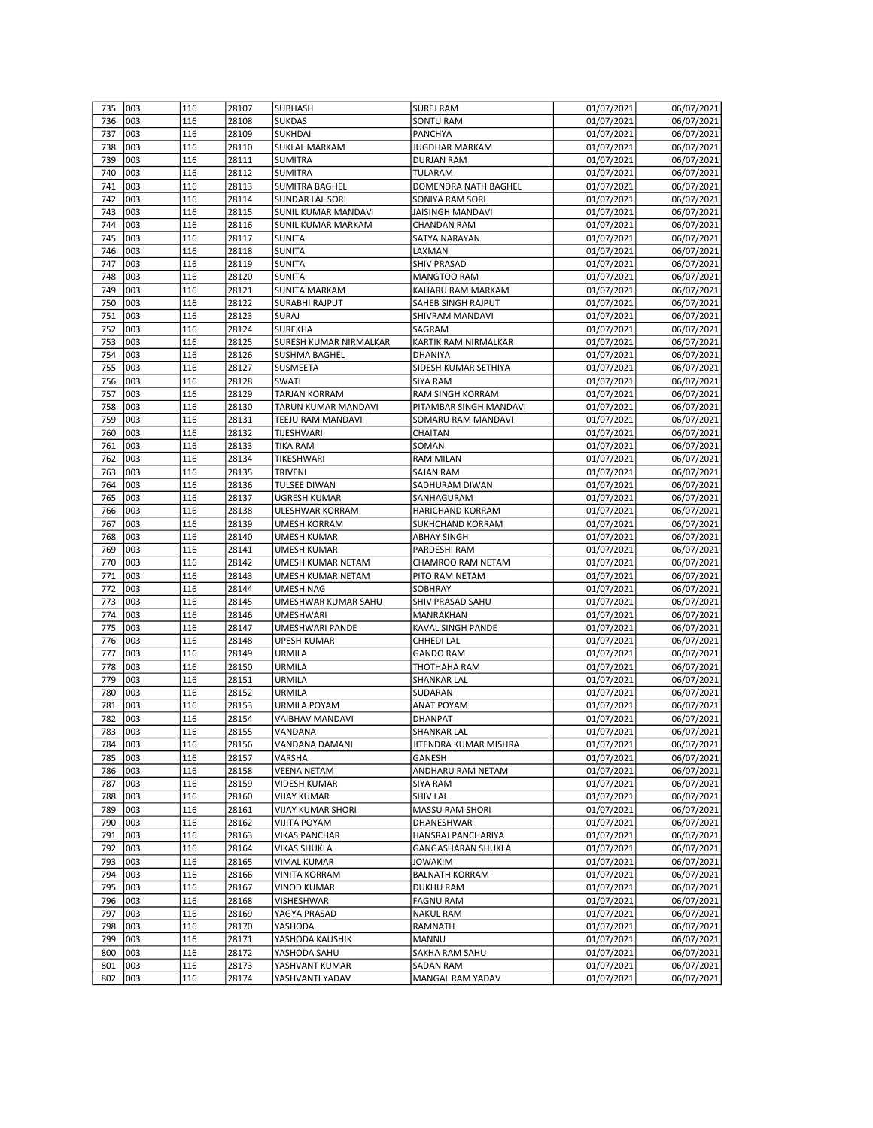| 735 | 003 | 116 | 28107 | SUBHASH                | <b>SUREJ RAM</b>                     | 01/07/2021 | 06/07/2021 |
|-----|-----|-----|-------|------------------------|--------------------------------------|------------|------------|
| 736 | 003 | 116 | 28108 | <b>SUKDAS</b>          | <b>SONTU RAM</b>                     | 01/07/2021 | 06/07/2021 |
| 737 | 003 | 116 | 28109 | SUKHDAI                | PANCHYA                              | 01/07/2021 | 06/07/2021 |
| 738 | 003 | 116 | 28110 | <b>SUKLAL MARKAM</b>   | <b>JUGDHAR MARKAM</b>                | 01/07/2021 | 06/07/2021 |
| 739 | 003 | 116 | 28111 | <b>SUMITRA</b>         | <b>DURJAN RAM</b>                    | 01/07/2021 | 06/07/2021 |
| 740 | 003 | 116 | 28112 | <b>SUMITRA</b>         | TULARAM                              | 01/07/2021 | 06/07/2021 |
| 741 | 003 | 116 | 28113 | <b>SUMITRA BAGHEL</b>  | DOMENDRA NATH BAGHEL                 | 01/07/2021 | 06/07/2021 |
| 742 | 003 | 116 | 28114 | SUNDAR LAL SORI        | SONIYA RAM SORI                      | 01/07/2021 | 06/07/2021 |
| 743 | 003 | 116 | 28115 | SUNIL KUMAR MANDAVI    | JAISINGH MANDAVI                     | 01/07/2021 | 06/07/2021 |
| 744 | 003 | 116 | 28116 | SUNIL KUMAR MARKAM     | CHANDAN RAM                          | 01/07/2021 | 06/07/2021 |
| 745 | 003 | 116 | 28117 | <b>SUNITA</b>          | SATYA NARAYAN                        | 01/07/2021 | 06/07/2021 |
|     |     |     |       |                        | LAXMAN                               |            |            |
| 746 | 003 | 116 | 28118 | <b>SUNITA</b>          |                                      | 01/07/2021 | 06/07/2021 |
| 747 | 003 | 116 | 28119 | SUNITA                 | SHIV PRASAD                          | 01/07/2021 | 06/07/2021 |
| 748 | 003 | 116 | 28120 | <b>SUNITA</b>          | MANGTOO RAM                          | 01/07/2021 | 06/07/2021 |
| 749 | 003 | 116 | 28121 | <b>SUNITA MARKAM</b>   | KAHARU RAM MARKAM                    | 01/07/2021 | 06/07/2021 |
| 750 | 003 | 116 | 28122 | <b>SURABHI RAJPUT</b>  | SAHEB SINGH RAJPUT                   | 01/07/2021 | 06/07/2021 |
| 751 | 003 | 116 | 28123 | SURAJ                  | SHIVRAM MANDAVI                      | 01/07/2021 | 06/07/2021 |
| 752 | 003 | 116 | 28124 | <b>SUREKHA</b>         | SAGRAM                               | 01/07/2021 | 06/07/2021 |
| 753 | 003 | 116 | 28125 | SURESH KUMAR NIRMALKAR | KARTIK RAM NIRMALKAR                 | 01/07/2021 | 06/07/2021 |
| 754 | 003 | 116 | 28126 | <b>SUSHMA BAGHEL</b>   | DHANIYA                              | 01/07/2021 | 06/07/2021 |
| 755 | 003 | 116 | 28127 | SUSMEETA               | SIDESH KUMAR SETHIYA                 | 01/07/2021 | 06/07/2021 |
| 756 | 003 | 116 | 28128 | SWATI                  | <b>SIYA RAM</b>                      | 01/07/2021 | 06/07/2021 |
| 757 | 003 | 116 | 28129 | <b>TARJAN KORRAM</b>   | RAM SINGH KORRAM                     | 01/07/2021 | 06/07/2021 |
| 758 | 003 | 116 | 28130 | TARUN KUMAR MANDAVI    | PITAMBAR SINGH MANDAVI               | 01/07/2021 | 06/07/2021 |
| 759 | 003 | 116 | 28131 | TEEJU RAM MANDAVI      | SOMARU RAM MANDAVI                   | 01/07/2021 | 06/07/2021 |
| 760 | 003 | 116 | 28132 | TIJESHWARI             | CHAITAN                              | 01/07/2021 | 06/07/2021 |
| 761 | 003 | 116 | 28133 | <b>TIKA RAM</b>        | SOMAN                                | 01/07/2021 | 06/07/2021 |
| 762 | 003 | 116 | 28134 | TIKESHWARI             |                                      |            |            |
|     |     |     |       |                        | RAM MILAN                            | 01/07/2021 | 06/07/2021 |
| 763 | 003 | 116 | 28135 | <b>TRIVENI</b>         | SAJAN RAM                            | 01/07/2021 | 06/07/2021 |
| 764 | 003 | 116 | 28136 | TULSEE DIWAN           | SADHURAM DIWAN                       | 01/07/2021 | 06/07/2021 |
| 765 | 003 | 116 | 28137 | UGRESH KUMAR           | SANHAGURAM                           | 01/07/2021 | 06/07/2021 |
| 766 | 003 | 116 | 28138 | ULESHWAR KORRAM        | HARICHAND KORRAM                     | 01/07/2021 | 06/07/2021 |
| 767 | 003 | 116 | 28139 | <b>UMESH KORRAM</b>    | SUKHCHAND KORRAM                     | 01/07/2021 | 06/07/2021 |
| 768 | 003 | 116 | 28140 | UMESH KUMAR            | ABHAY SINGH                          | 01/07/2021 | 06/07/2021 |
| 769 | 003 | 116 | 28141 | UMESH KUMAR            | PARDESHI RAM                         | 01/07/2021 | 06/07/2021 |
| 770 | 003 | 116 | 28142 | UMESH KUMAR NETAM      | CHAMROO RAM NETAM                    | 01/07/2021 | 06/07/2021 |
| 771 | 003 | 116 | 28143 | UMESH KUMAR NETAM      | PITO RAM NETAM                       | 01/07/2021 | 06/07/2021 |
| 772 | 003 | 116 | 28144 | UMESH NAG              | SOBHRAY                              | 01/07/2021 | 06/07/2021 |
| 773 | 003 | 116 | 28145 | UMESHWAR KUMAR SAHU    | SHIV PRASAD SAHU                     | 01/07/2021 | 06/07/2021 |
| 774 | 003 | 116 | 28146 | <b>UMESHWARI</b>       | MANRAKHAN                            | 01/07/2021 | 06/07/2021 |
| 775 | 003 | 116 | 28147 | UMESHWARI PANDE        | KAVAL SINGH PANDE                    | 01/07/2021 | 06/07/2021 |
| 776 | 003 | 116 | 28148 | <b>UPESH KUMAR</b>     | CHHEDI LAL                           | 01/07/2021 | 06/07/2021 |
| 777 | 003 | 116 | 28149 | <b>URMILA</b>          | <b>GANDO RAM</b>                     | 01/07/2021 | 06/07/2021 |
| 778 | 003 | 116 | 28150 | URMILA                 | THOTHAHA RAM                         | 01/07/2021 | 06/07/2021 |
| 779 | 003 | 116 | 28151 | <b>URMILA</b>          | SHANKAR LAL                          | 01/07/2021 | 06/07/2021 |
| 780 | 003 | 116 | 28152 | <b>URMILA</b>          | SUDARAN                              | 01/07/2021 | 06/07/2021 |
| 781 | 003 | 116 | 28153 | URMILA POYAM           | ANAT POYAM                           | 01/07/2021 | 06/07/2021 |
| 782 | 003 | 116 |       |                        |                                      |            | 06/07/2021 |
|     | 003 | 116 | 28154 | VAIBHAV MANDAVI        | <b>DHANPAT</b><br><b>SHANKAR LAL</b> | 01/07/2021 | 06/07/2021 |
| 783 |     |     | 28155 | VANDANA                |                                      | 01/07/2021 |            |
| 784 | 003 | 116 | 28156 | VANDANA DAMANI         | JITENDRA KUMAR MISHRA                | 01/07/2021 | 06/07/2021 |
| 785 | 003 | 116 | 28157 | VARSHA                 | GANESH                               | 01/07/2021 | 06/07/2021 |
| 786 | 003 | 116 | 28158 | <b>VEENA NETAM</b>     | ANDHARU RAM NETAM                    | 01/07/2021 | 06/07/2021 |
| 787 | 003 | 116 | 28159 | <b>VIDESH KUMAR</b>    | <b>SIYA RAM</b>                      | 01/07/2021 | 06/07/2021 |
| 788 | 003 | 116 | 28160 | <b>VIJAY KUMAR</b>     | <b>SHIV LAL</b>                      | 01/07/2021 | 06/07/2021 |
| 789 | 003 | 116 | 28161 | VIJAY KUMAR SHORI      | MASSU RAM SHORI                      | 01/07/2021 | 06/07/2021 |
| 790 | 003 | 116 | 28162 | VIJITA POYAM           | DHANESHWAR                           | 01/07/2021 | 06/07/2021 |
| 791 | 003 | 116 | 28163 | <b>VIKAS PANCHAR</b>   | HANSRAJ PANCHARIYA                   | 01/07/2021 | 06/07/2021 |
| 792 | 003 | 116 | 28164 | VIKAS SHUKLA           | <b>GANGASHARAN SHUKLA</b>            | 01/07/2021 | 06/07/2021 |
| 793 | 003 | 116 | 28165 | <b>VIMAL KUMAR</b>     | JOWAKIM                              | 01/07/2021 | 06/07/2021 |
| 794 | 003 | 116 | 28166 | VINITA KORRAM          | <b>BALNATH KORRAM</b>                | 01/07/2021 | 06/07/2021 |
| 795 | 003 | 116 | 28167 | VINOD KUMAR            | DUKHU RAM                            | 01/07/2021 | 06/07/2021 |
| 796 | 003 | 116 | 28168 | VISHESHWAR             | <b>FAGNU RAM</b>                     | 01/07/2021 | 06/07/2021 |
| 797 | 003 | 116 | 28169 | YAGYA PRASAD           | <b>NAKUL RAM</b>                     | 01/07/2021 | 06/07/2021 |
| 798 | 003 | 116 | 28170 | YASHODA                | RAMNATH                              | 01/07/2021 | 06/07/2021 |
| 799 | 003 | 116 | 28171 | YASHODA KAUSHIK        | MANNU                                | 01/07/2021 | 06/07/2021 |
| 800 | 003 | 116 | 28172 | YASHODA SAHU           | SAKHA RAM SAHU                       | 01/07/2021 | 06/07/2021 |
| 801 | 003 | 116 | 28173 | YASHVANT KUMAR         | SADAN RAM                            | 01/07/2021 | 06/07/2021 |
| 802 | 003 |     | 28174 | YASHVANTI YADAV        | MANGAL RAM YADAV                     | 01/07/2021 | 06/07/2021 |
|     |     | 116 |       |                        |                                      |            |            |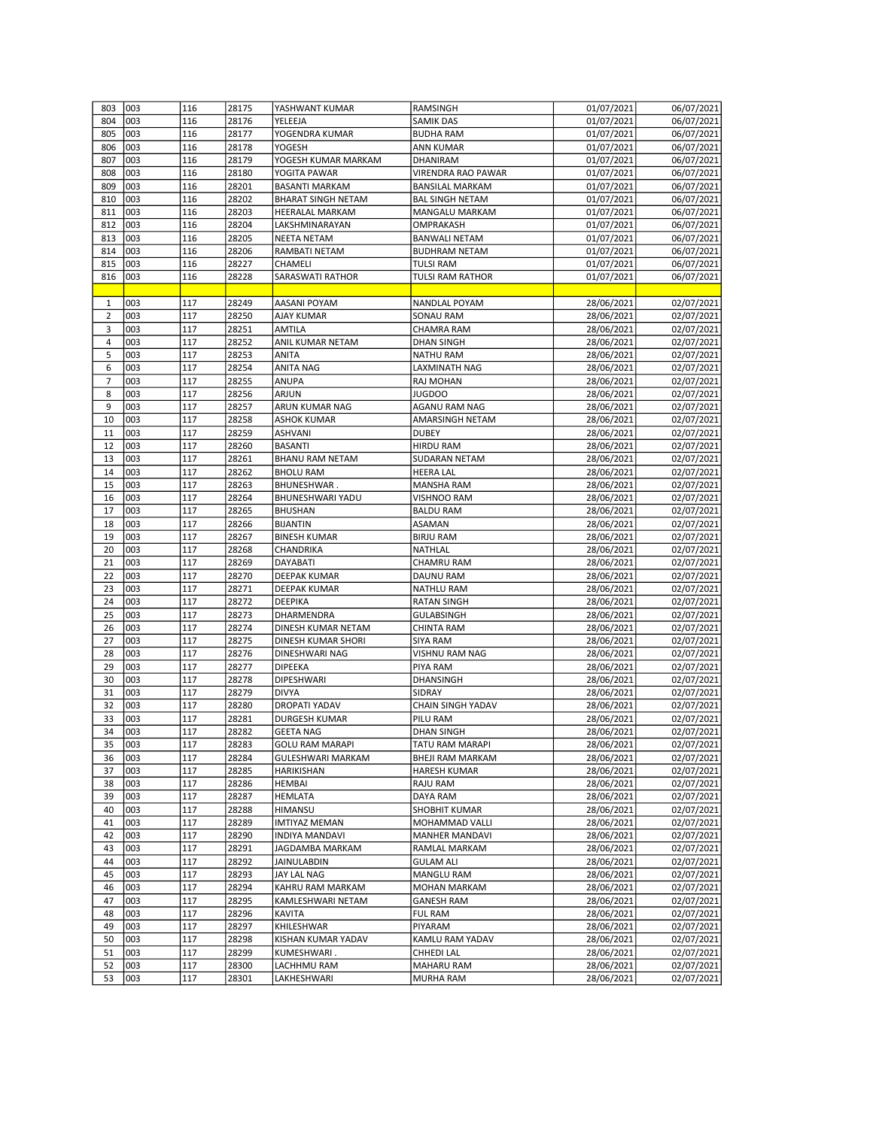| 803            | 003 | 116 | 28175 | YASHWANT KUMAR            | RAMSINGH               | 01/07/2021 | 06/07/2021 |
|----------------|-----|-----|-------|---------------------------|------------------------|------------|------------|
| 804            | 003 | 116 | 28176 | YELEEJA                   | <b>SAMIK DAS</b>       | 01/07/2021 | 06/07/2021 |
| 805            | 003 | 116 | 28177 | YOGENDRA KUMAR            | <b>BUDHA RAM</b>       | 01/07/2021 | 06/07/2021 |
| 806            | 003 | 116 | 28178 | YOGESH                    | <b>ANN KUMAR</b>       | 01/07/2021 | 06/07/2021 |
| 807            | 003 | 116 | 28179 | YOGESH KUMAR MARKAM       | DHANIRAM               | 01/07/2021 | 06/07/2021 |
| 808            | 003 | 116 | 28180 | YOGITA PAWAR              | VIRENDRA RAO PAWAR     | 01/07/2021 | 06/07/2021 |
| 809            | 003 | 116 | 28201 | <b>BASANTI MARKAM</b>     | <b>BANSILAL MARKAM</b> | 01/07/2021 | 06/07/2021 |
| 810            | 003 | 116 | 28202 | <b>BHARAT SINGH NETAM</b> | <b>BAL SINGH NETAM</b> | 01/07/2021 | 06/07/2021 |
| 811            | 003 | 116 | 28203 | HEERALAL MARKAM           | MANGALU MARKAM         | 01/07/2021 | 06/07/2021 |
| 812            | 003 | 116 | 28204 | LAKSHMINARAYAN            | OMPRAKASH              | 01/07/2021 | 06/07/2021 |
| 813            | 003 | 116 | 28205 | <b>NEETA NETAM</b>        | <b>BANWALI NETAM</b>   | 01/07/2021 | 06/07/2021 |
| 814            | 003 | 116 | 28206 | RAMBATI NETAM             | <b>BUDHRAM NETAM</b>   | 01/07/2021 | 06/07/2021 |
| 815            | 003 | 116 | 28227 | CHAMELI                   | <b>TULSI RAM</b>       | 01/07/2021 | 06/07/2021 |
| 816            | 003 | 116 | 28228 | SARASWATI RATHOR          | TULSI RAM RATHOR       | 01/07/2021 | 06/07/2021 |
|                |     |     |       |                           |                        |            |            |
|                |     |     |       |                           | NANDLAL POYAM          |            |            |
| $\mathbf{1}$   | 003 | 117 | 28249 | AASANI POYAM              |                        | 28/06/2021 | 02/07/2021 |
| 2              | 003 | 117 | 28250 | AJAY KUMAR                | SONAU RAM              | 28/06/2021 | 02/07/2021 |
| 3              | 003 | 117 | 28251 | AMTILA                    | CHAMRA RAM             | 28/06/2021 | 02/07/2021 |
| 4              | 003 | 117 | 28252 | ANIL KUMAR NETAM          | <b>DHAN SINGH</b>      | 28/06/2021 | 02/07/2021 |
| 5              | 003 | 117 | 28253 | ANITA                     | NATHU RAM              | 28/06/2021 | 02/07/2021 |
| 6              | 003 | 117 | 28254 | <b>ANITA NAG</b>          | LAXMINATH NAG          | 28/06/2021 | 02/07/2021 |
| $\overline{7}$ | 003 | 117 | 28255 | ANUPA                     | RAJ MOHAN              | 28/06/2021 | 02/07/2021 |
| 8              | 003 | 117 | 28256 | ARJUN                     | <b>JUGDOO</b>          | 28/06/2021 | 02/07/2021 |
| 9              | 003 | 117 | 28257 | ARUN KUMAR NAG            | AGANU RAM NAG          | 28/06/2021 | 02/07/2021 |
| 10             | 003 | 117 | 28258 | <b>ASHOK KUMAR</b>        | AMARSINGH NETAM        | 28/06/2021 | 02/07/2021 |
| 11             | 003 | 117 | 28259 | <b>ASHVANI</b>            | <b>DUBEY</b>           | 28/06/2021 | 02/07/2021 |
| 12             | 003 | 117 | 28260 | <b>BASANTI</b>            | <b>HIRDU RAM</b>       | 28/06/2021 | 02/07/2021 |
| 13             | 003 | 117 | 28261 | BHANU RAM NETAM           | SUDARAN NETAM          | 28/06/2021 | 02/07/2021 |
| 14             | 003 | 117 | 28262 | <b>BHOLU RAM</b>          | <b>HEERA LAL</b>       | 28/06/2021 | 02/07/2021 |
| 15             | 003 | 117 | 28263 | BHUNESHWAR.               | <b>MANSHA RAM</b>      | 28/06/2021 | 02/07/2021 |
| 16             | 003 | 117 | 28264 | BHUNESHWARI YADU          | VISHNOO RAM            | 28/06/2021 | 02/07/2021 |
| 17             | 003 | 117 | 28265 | <b>BHUSHAN</b>            | <b>BALDU RAM</b>       | 28/06/2021 | 02/07/2021 |
| 18             | 003 | 117 | 28266 | <b>BIJANTIN</b>           | <b>ASAMAN</b>          | 28/06/2021 | 02/07/2021 |
| 19             | 003 | 117 | 28267 | <b>BINESH KUMAR</b>       | <b>BIRJU RAM</b>       | 28/06/2021 | 02/07/2021 |
| 20             | 003 | 117 | 28268 | CHANDRIKA                 | NATHLAL                | 28/06/2021 | 02/07/2021 |
| 21             | 003 | 117 | 28269 | DAYABATI                  | CHAMRU RAM             | 28/06/2021 | 02/07/2021 |
| 22             | 003 | 117 | 28270 | DEEPAK KUMAR              | <b>DAUNU RAM</b>       | 28/06/2021 | 02/07/2021 |
| 23             | 003 | 117 | 28271 | DEEPAK KUMAR              | <b>NATHLU RAM</b>      | 28/06/2021 | 02/07/2021 |
| 24             | 003 | 117 | 28272 | DEEPIKA                   | <b>RATAN SINGH</b>     | 28/06/2021 | 02/07/2021 |
| 25             | 003 | 117 | 28273 | DHARMENDRA                | GULABSINGH             | 28/06/2021 | 02/07/2021 |
| 26             | 003 | 117 | 28274 | DINESH KUMAR NETAM        | <b>CHINTA RAM</b>      |            | 02/07/2021 |
|                | 003 | 117 |       |                           |                        | 28/06/2021 |            |
| 27             |     |     | 28275 | DINESH KUMAR SHORI        | SIYA RAM               | 28/06/2021 | 02/07/2021 |
| 28             | 003 | 117 | 28276 | DINESHWARI NAG            | VISHNU RAM NAG         | 28/06/2021 | 02/07/2021 |
| 29             | 003 | 117 | 28277 | <b>DIPEEKA</b>            | PIYA RAM               | 28/06/2021 | 02/07/2021 |
| 30             | 003 | 117 | 28278 | DIPESHWARI                | DHANSINGH              | 28/06/2021 | 02/07/2021 |
| 31             | 003 | 117 | 28279 | <b>DIVYA</b>              | SIDRAY                 | 28/06/2021 | 02/07/2021 |
| 32             | 003 | 117 | 28280 | DROPATI YADAV             | CHAIN SINGH YADAV      | 28/06/2021 | 02/07/2021 |
| 33             | 003 | 117 | 28281 | DURGESH KUMAR             | PILU RAM               | 28/06/2021 | 02/07/2021 |
| 34             | 003 | 117 | 28282 | <b>GEETA NAG</b>          | <b>DHAN SINGH</b>      | 28/06/2021 | 02/07/2021 |
| 35             | 003 | 117 | 28283 | <b>GOLU RAM MARAPI</b>    | TATU RAM MARAPI        | 28/06/2021 | 02/07/2021 |
| 36             | 003 | 117 | 28284 | <b>GULESHWARI MARKAM</b>  | BHEJI RAM MARKAM       | 28/06/2021 | 02/07/2021 |
| 37             | 003 | 117 | 28285 | <b>HARIKISHAN</b>         | <b>HARESH KUMAR</b>    | 28/06/2021 | 02/07/2021 |
| 38             | 003 | 117 | 28286 | <b>HEMBAI</b>             | RAJU RAM               | 28/06/2021 | 02/07/2021 |
| 39             | 003 | 117 | 28287 | <b>HEMLATA</b>            | DAYA RAM               | 28/06/2021 | 02/07/2021 |
| 40             | 003 | 117 | 28288 | HIMANSU                   | SHOBHIT KUMAR          | 28/06/2021 | 02/07/2021 |
| 41             | 003 | 117 | 28289 | <b>IMTIYAZ MEMAN</b>      | MOHAMMAD VALLI         | 28/06/2021 | 02/07/2021 |
| 42             | 003 | 117 | 28290 | <b>INDIYA MANDAVI</b>     | <b>MANHER MANDAVI</b>  | 28/06/2021 | 02/07/2021 |
| 43             | 003 | 117 | 28291 | JAGDAMBA MARKAM           | RAMLAL MARKAM          | 28/06/2021 | 02/07/2021 |
| 44             | 003 | 117 | 28292 | <b>JAINULABDIN</b>        | <b>GULAM ALI</b>       | 28/06/2021 | 02/07/2021 |
| 45             | 003 | 117 | 28293 | JAY LAL NAG               | <b>MANGLU RAM</b>      | 28/06/2021 | 02/07/2021 |
| 46             | 003 | 117 | 28294 | KAHRU RAM MARKAM          | MOHAN MARKAM           | 28/06/2021 | 02/07/2021 |
| 47             | 003 | 117 | 28295 | KAMLESHWARI NETAM         | <b>GANESH RAM</b>      | 28/06/2021 | 02/07/2021 |
| 48             | 003 | 117 | 28296 | KAVITA                    | <b>FUL RAM</b>         | 28/06/2021 | 02/07/2021 |
| 49             | 003 | 117 | 28297 | KHILESHWAR                | PIYARAM                | 28/06/2021 | 02/07/2021 |
| 50             | 003 | 117 | 28298 | KISHAN KUMAR YADAV        | KAMLU RAM YADAV        | 28/06/2021 | 02/07/2021 |
| 51             | 003 | 117 | 28299 | KUMESHWARI.               | CHHEDI LAL             | 28/06/2021 | 02/07/2021 |
| 52             | 003 | 117 | 28300 | LACHHMU RAM               | MAHARU RAM             | 28/06/2021 | 02/07/2021 |
| 53             | 003 | 117 | 28301 | LAKHESHWARI               | MURHA RAM              | 28/06/2021 | 02/07/2021 |
|                |     |     |       |                           |                        |            |            |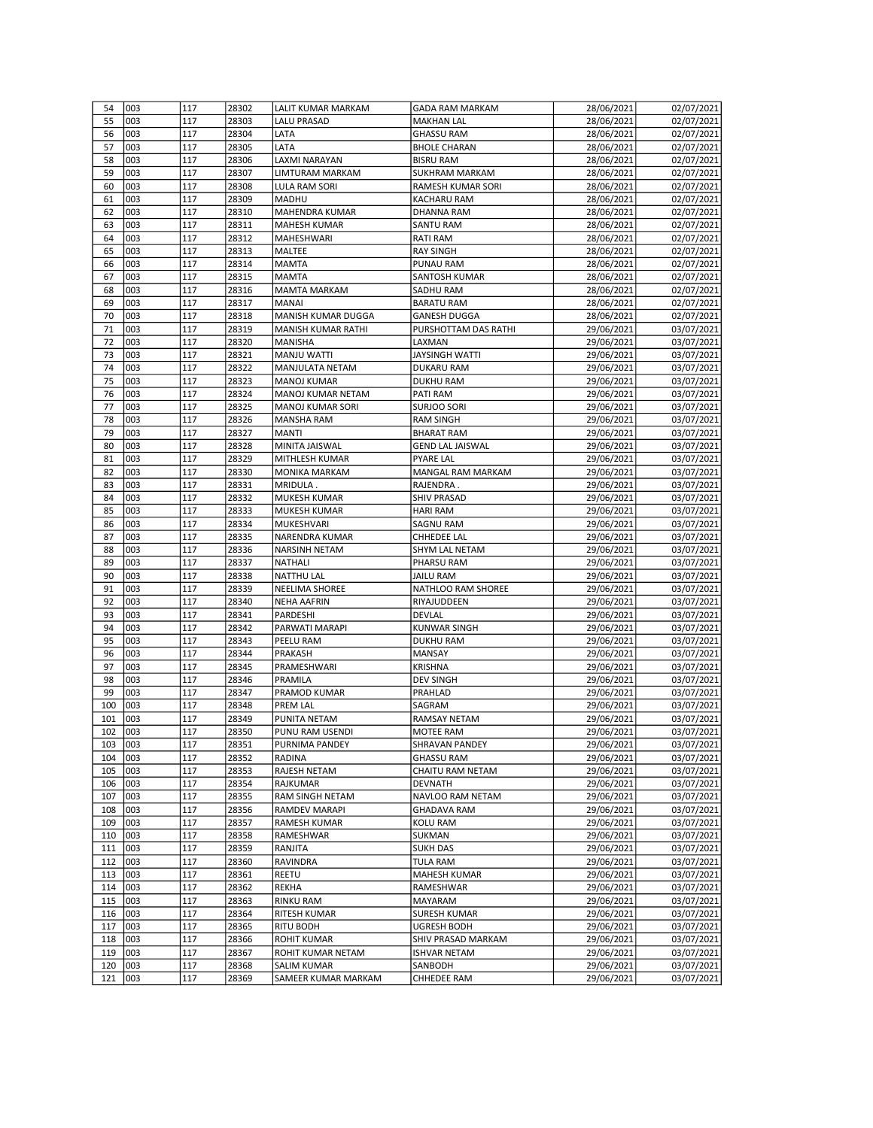| 54  | 003 | 117 | 28302 | LALIT KUMAR MARKAM        | <b>GADA RAM MARKAM</b>  | 28/06/2021 | 02/07/2021 |
|-----|-----|-----|-------|---------------------------|-------------------------|------------|------------|
| 55  | 003 | 117 | 28303 | <b>LALU PRASAD</b>        | <b>MAKHAN LAL</b>       | 28/06/2021 | 02/07/2021 |
| 56  | 003 | 117 | 28304 | LATA                      | <b>GHASSU RAM</b>       | 28/06/2021 | 02/07/2021 |
| 57  | 003 | 117 | 28305 | LATA                      | <b>BHOLE CHARAN</b>     | 28/06/2021 | 02/07/2021 |
| 58  | 003 | 117 | 28306 | LAXMI NARAYAN             | <b>BISRU RAM</b>        | 28/06/2021 | 02/07/2021 |
| 59  | 003 | 117 | 28307 | LIMTURAM MARKAM           | SUKHRAM MARKAM          | 28/06/2021 | 02/07/2021 |
| 60  | 003 | 117 | 28308 | LULA RAM SORI             | RAMESH KUMAR SORI       | 28/06/2021 | 02/07/2021 |
| 61  | 003 | 117 | 28309 | MADHU                     | <b>KACHARU RAM</b>      | 28/06/2021 | 02/07/2021 |
| 62  | 003 | 117 | 28310 | MAHENDRA KUMAR            | DHANNA RAM              | 28/06/2021 | 02/07/2021 |
| 63  | 003 | 117 | 28311 | MAHESH KUMAR              | SANTU RAM               | 28/06/2021 | 02/07/2021 |
| 64  | 003 | 117 | 28312 | MAHESHWARI                | RATI RAM                | 28/06/2021 | 02/07/2021 |
| 65  | 003 | 117 | 28313 | MALTEE                    | <b>RAY SINGH</b>        | 28/06/2021 | 02/07/2021 |
|     | 003 | 117 |       |                           |                         |            |            |
| 66  |     |     | 28314 | MAMTA                     | PUNAU RAM               | 28/06/2021 | 02/07/2021 |
| 67  | 003 | 117 | 28315 | MAMTA                     | SANTOSH KUMAR           | 28/06/2021 | 02/07/2021 |
| 68  | 003 | 117 | 28316 | <b>MAMTA MARKAM</b>       | SADHU RAM               | 28/06/2021 | 02/07/2021 |
| 69  | 003 | 117 | 28317 | <b>MANAI</b>              | <b>BARATU RAM</b>       | 28/06/2021 | 02/07/2021 |
| 70  | 003 | 117 | 28318 | MANISH KUMAR DUGGA        | <b>GANESH DUGGA</b>     | 28/06/2021 | 02/07/2021 |
| 71  | 003 | 117 | 28319 | MANISH KUMAR RATHI        | PURSHOTTAM DAS RATHI    | 29/06/2021 | 03/07/2021 |
| 72  | 003 | 117 | 28320 | <b>MANISHA</b>            | LAXMAN                  | 29/06/2021 | 03/07/2021 |
| 73  | 003 | 117 | 28321 | MANJU WATTI               | JAYSINGH WATTI          | 29/06/2021 | 03/07/2021 |
| 74  | 003 | 117 | 28322 | MANJULATA NETAM           | <b>DUKARU RAM</b>       | 29/06/2021 | 03/07/2021 |
| 75  | 003 | 117 | 28323 | <b>MANOJ KUMAR</b>        | <b>DUKHU RAM</b>        | 29/06/2021 | 03/07/2021 |
| 76  | 003 | 117 | 28324 | MANOJ KUMAR NETAM         | PATI RAM                | 29/06/2021 | 03/07/2021 |
| 77  | 003 | 117 | 28325 | <b>MANOJ KUMAR SORI</b>   | <b>SURJOO SORI</b>      | 29/06/2021 | 03/07/2021 |
| 78  | 003 | 117 | 28326 | <b>MANSHA RAM</b>         | <b>RAM SINGH</b>        | 29/06/2021 | 03/07/2021 |
| 79  | 003 | 117 | 28327 | <b>MANTI</b>              | <b>BHARAT RAM</b>       | 29/06/2021 | 03/07/2021 |
| 80  | 003 | 117 | 28328 | MINITA JAISWAL            | <b>GEND LAL JAISWAL</b> | 29/06/2021 | 03/07/2021 |
| 81  | 003 | 117 | 28329 | MITHLESH KUMAR            | <b>PYARE LAL</b>        | 29/06/2021 | 03/07/2021 |
| 82  | 003 | 117 | 28330 | MONIKA MARKAM             | MANGAL RAM MARKAM       | 29/06/2021 | 03/07/2021 |
| 83  | 003 | 117 | 28331 | MRIDULA.                  | RAJENDRA.               | 29/06/2021 | 03/07/2021 |
| 84  | 003 | 117 | 28332 | MUKESH KUMAR              | <b>SHIV PRASAD</b>      | 29/06/2021 | 03/07/2021 |
| 85  | 003 | 117 | 28333 | MUKESH KUMAR              | <b>HARI RAM</b>         | 29/06/2021 | 03/07/2021 |
| 86  | 003 | 117 | 28334 | MUKESHVARI                | SAGNU RAM               | 29/06/2021 | 03/07/2021 |
| 87  | 003 | 117 | 28335 | NARENDRA KUMAR            | CHHEDEE LAL             | 29/06/2021 | 03/07/2021 |
| 88  | 003 | 117 | 28336 | NARSINH NETAM             | SHYM LAL NETAM          | 29/06/2021 | 03/07/2021 |
| 89  | 003 | 117 | 28337 | NATHALI                   | PHARSU RAM              | 29/06/2021 | 03/07/2021 |
| 90  | 003 | 117 | 28338 | NATTHU LAL                | <b>JAILU RAM</b>        | 29/06/2021 | 03/07/2021 |
|     |     |     |       |                           |                         |            |            |
| 91  | 003 | 117 | 28339 | NEELIMA SHOREE            | NATHLOO RAM SHOREE      | 29/06/2021 | 03/07/2021 |
| 92  | 003 | 117 | 28340 | <b>NEHA AAFRIN</b>        | RIYAJUDDEEN             | 29/06/2021 | 03/07/2021 |
| 93  | 003 | 117 | 28341 | PARDESHI                  | <b>DEVLAL</b>           | 29/06/2021 | 03/07/2021 |
| 94  | 003 | 117 | 28342 | PARWATI MARAPI            | <b>KUNWAR SINGH</b>     | 29/06/2021 | 03/07/2021 |
| 95  | 003 | 117 | 28343 | PEELU RAM                 | <b>DUKHU RAM</b>        | 29/06/2021 | 03/07/2021 |
| 96  | 003 | 117 | 28344 | PRAKASH                   | MANSAY                  | 29/06/2021 | 03/07/2021 |
| 97  | 003 | 117 | 28345 | PRAMESHWARI               | <b>KRISHNA</b>          | 29/06/2021 | 03/07/2021 |
| 98  | 003 | 117 | 28346 | PRAMILA                   | <b>DEV SINGH</b>        | 29/06/2021 | 03/07/2021 |
| 99  | 003 | 117 | 28347 | PRAMOD KUMAR              | PRAHLAD                 | 29/06/2021 | 03/07/2021 |
| 100 | 003 | 117 | 28348 | PREM LAL                  | SAGRAM                  | 29/06/2021 | 03/07/2021 |
| 101 | 003 | 117 | 28349 | PUNITA NETAM              | RAMSAY NETAM            | 29/06/2021 | 03/07/2021 |
| 102 | 003 | 117 | 28350 | PUNU RAM USENDI           | MOTEE RAM               | 29/06/2021 | 03/07/2021 |
| 103 | 003 | 117 | 28351 | PURNIMA PANDEY            | <b>SHRAVAN PANDEY</b>   | 29/06/2021 | 03/07/2021 |
| 104 | 003 | 117 | 28352 | RADINA                    | <b>GHASSU RAM</b>       | 29/06/2021 | 03/07/2021 |
| 105 | 003 | 117 | 28353 | RAJESH NETAM              | CHAITU RAM NETAM        | 29/06/2021 | 03/07/2021 |
| 106 | 003 | 117 | 28354 | <b>RAJKUMAR</b>           | <b>DEVNATH</b>          | 29/06/2021 | 03/07/2021 |
| 107 | 003 | 117 | 28355 | RAM SINGH NETAM           | NAVLOO RAM NETAM        | 29/06/2021 | 03/07/2021 |
| 108 | 003 | 117 | 28356 | RAMDEV MARAPI             | <b>GHADAVA RAM</b>      | 29/06/2021 | 03/07/2021 |
| 109 | 003 | 117 | 28357 | RAMESH KUMAR              | KOLU RAM                | 29/06/2021 | 03/07/2021 |
| 110 | 003 | 117 | 28358 | RAMESHWAR                 | SUKMAN                  | 29/06/2021 | 03/07/2021 |
| 111 | 003 | 117 | 28359 | RANJITA                   | <b>SUKH DAS</b>         | 29/06/2021 | 03/07/2021 |
| 112 | 003 | 117 | 28360 | RAVINDRA                  | <b>TULA RAM</b>         | 29/06/2021 | 03/07/2021 |
| 113 | 003 | 117 | 28361 | REETU                     | <b>MAHESH KUMAR</b>     | 29/06/2021 | 03/07/2021 |
| 114 | 003 | 117 | 28362 | REKHA                     | RAMESHWAR               | 29/06/2021 | 03/07/2021 |
| 115 | 003 | 117 | 28363 | RINKU RAM                 | MAYARAM                 | 29/06/2021 | 03/07/2021 |
| 116 | 003 | 117 | 28364 |                           | <b>SURESH KUMAR</b>     | 29/06/2021 | 03/07/2021 |
|     | 003 |     | 28365 | RITESH KUMAR<br>RITU BODH |                         |            |            |
| 117 |     | 117 |       |                           | UGRESH BODH             | 29/06/2021 | 03/07/2021 |
| 118 | 003 | 117 | 28366 | ROHIT KUMAR               | SHIV PRASAD MARKAM      | 29/06/2021 | 03/07/2021 |
| 119 | 003 | 117 | 28367 | ROHIT KUMAR NETAM         | <b>ISHVAR NETAM</b>     | 29/06/2021 | 03/07/2021 |
| 120 | 003 | 117 | 28368 | SALIM KUMAR               | SANBODH                 | 29/06/2021 | 03/07/2021 |
| 121 | 003 | 117 | 28369 | SAMEER KUMAR MARKAM       | CHHEDEE RAM             | 29/06/2021 | 03/07/2021 |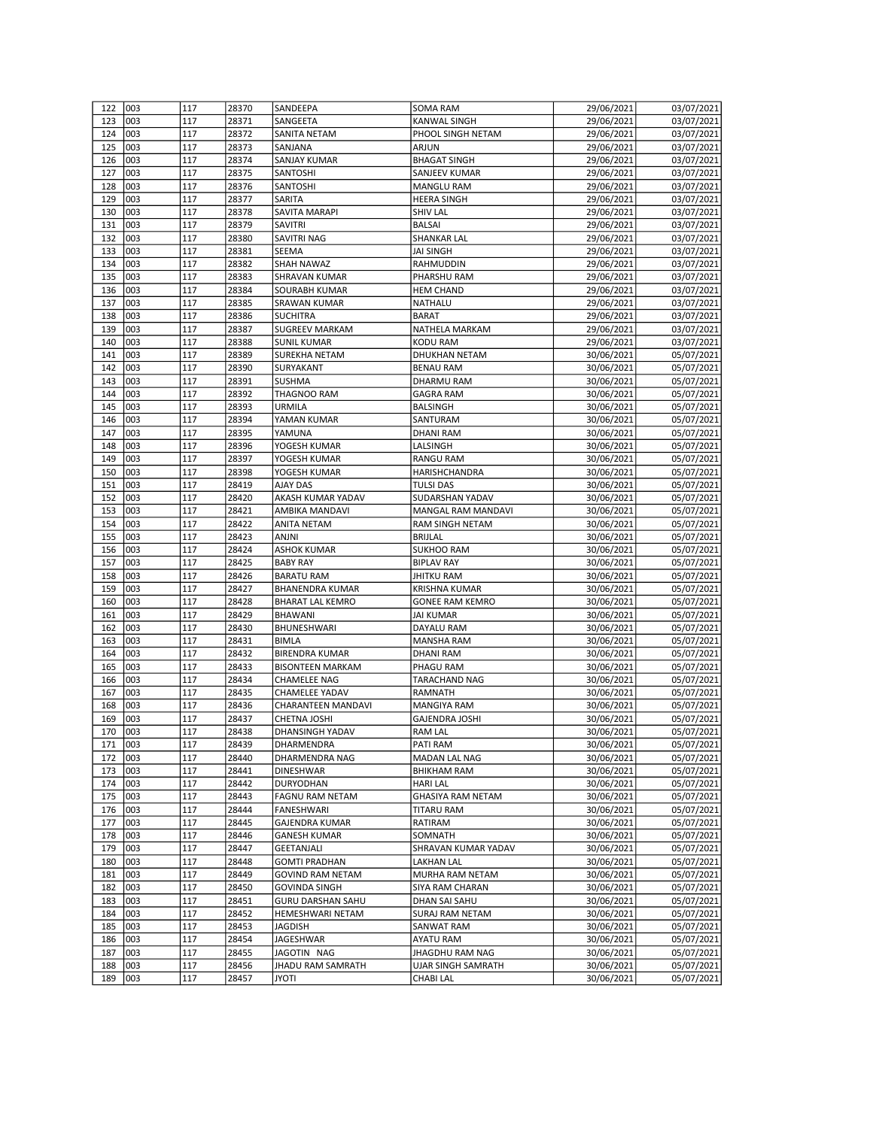| 122 | 003 | 117 | 28370 | SANDEEPA                 | SOMA RAM                 | 29/06/2021 | 03/07/2021 |
|-----|-----|-----|-------|--------------------------|--------------------------|------------|------------|
| 123 | 003 | 117 | 28371 | SANGEETA                 | <b>KANWAL SINGH</b>      | 29/06/2021 | 03/07/2021 |
| 124 | 003 | 117 | 28372 | SANITA NETAM             | PHOOL SINGH NETAM        | 29/06/2021 | 03/07/2021 |
| 125 | 003 | 117 | 28373 | SANJANA                  | ARJUN                    | 29/06/2021 | 03/07/2021 |
| 126 | 003 | 117 | 28374 | SANJAY KUMAR             | <b>BHAGAT SINGH</b>      | 29/06/2021 | 03/07/2021 |
| 127 | 003 | 117 | 28375 | SANTOSHI                 | SANJEEV KUMAR            | 29/06/2021 | 03/07/2021 |
| 128 | 003 | 117 | 28376 | SANTOSHI                 | MANGLU RAM               | 29/06/2021 | 03/07/2021 |
| 129 | 003 | 117 | 28377 | SARITA                   | <b>HEERA SINGH</b>       | 29/06/2021 | 03/07/2021 |
| 130 | 003 | 117 | 28378 | SAVITA MARAPI            | <b>SHIV LAL</b>          | 29/06/2021 | 03/07/2021 |
| 131 | 003 | 117 | 28379 | SAVITRI                  | <b>BALSAI</b>            | 29/06/2021 | 03/07/2021 |
| 132 | 003 | 117 | 28380 | SAVITRI NAG              | SHANKAR LAL              | 29/06/2021 | 03/07/2021 |
| 133 | 003 | 117 | 28381 | SEEMA                    | <b>JAI SINGH</b>         | 29/06/2021 | 03/07/2021 |
| 134 | 003 | 117 | 28382 | SHAH NAWAZ               | RAHMUDDIN                | 29/06/2021 | 03/07/2021 |
| 135 | 003 | 117 | 28383 | SHRAVAN KUMAR            | PHARSHU RAM              | 29/06/2021 | 03/07/2021 |
| 136 | 003 | 117 | 28384 | SOURABH KUMAR            | <b>HEM CHAND</b>         | 29/06/2021 | 03/07/2021 |
| 137 | 003 | 117 | 28385 | <b>SRAWAN KUMAR</b>      | NATHALU                  | 29/06/2021 | 03/07/2021 |
| 138 | 003 | 117 | 28386 | <b>SUCHITRA</b>          | <b>BARAT</b>             | 29/06/2021 | 03/07/2021 |
| 139 | 003 | 117 | 28387 | <b>SUGREEV MARKAM</b>    | NATHELA MARKAM           | 29/06/2021 | 03/07/2021 |
| 140 | 003 | 117 | 28388 | <b>SUNIL KUMAR</b>       | KODU RAM                 | 29/06/2021 | 03/07/2021 |
| 141 | 003 | 117 | 28389 | <b>SUREKHA NETAM</b>     | DHUKHAN NETAM            | 30/06/2021 | 05/07/2021 |
| 142 | 003 | 117 | 28390 | SURYAKANT                | <b>BENAU RAM</b>         | 30/06/2021 | 05/07/2021 |
| 143 | 003 | 117 | 28391 | SUSHMA                   | DHARMU RAM               | 30/06/2021 | 05/07/2021 |
| 144 | 003 | 117 | 28392 | THAGNOO RAM              | <b>GAGRA RAM</b>         | 30/06/2021 | 05/07/2021 |
| 145 | 003 | 117 | 28393 | URMILA                   | <b>BALSINGH</b>          | 30/06/2021 | 05/07/2021 |
| 146 | 003 | 117 | 28394 | YAMAN KUMAR              | SANTURAM                 | 30/06/2021 | 05/07/2021 |
| 147 | 003 | 117 | 28395 | YAMUNA                   | <b>DHANI RAM</b>         | 30/06/2021 | 05/07/2021 |
| 148 | 003 | 117 | 28396 | YOGESH KUMAR             | LALSINGH                 | 30/06/2021 | 05/07/2021 |
| 149 | 003 | 117 | 28397 | YOGESH KUMAR             | <b>RANGU RAM</b>         | 30/06/2021 | 05/07/2021 |
| 150 | 003 | 117 | 28398 | YOGESH KUMAR             | HARISHCHANDRA            | 30/06/2021 | 05/07/2021 |
| 151 | 003 | 117 | 28419 | AJAY DAS                 | <b>TULSI DAS</b>         | 30/06/2021 | 05/07/2021 |
| 152 | 003 | 117 | 28420 | AKASH KUMAR YADAV        | SUDARSHAN YADAV          | 30/06/2021 | 05/07/2021 |
| 153 | 003 | 117 | 28421 | AMBIKA MANDAVI           | MANGAL RAM MANDAVI       | 30/06/2021 | 05/07/2021 |
| 154 | 003 | 117 | 28422 | ANITA NETAM              | RAM SINGH NETAM          | 30/06/2021 | 05/07/2021 |
| 155 | 003 | 117 | 28423 | ANJNI                    | <b>BRIJLAL</b>           | 30/06/2021 | 05/07/2021 |
| 156 | 003 | 117 | 28424 | ASHOK KUMAR              | <b>SUKHOO RAM</b>        | 30/06/2021 | 05/07/2021 |
| 157 | 003 | 117 | 28425 | <b>BABY RAY</b>          | <b>BIPLAV RAY</b>        | 30/06/2021 | 05/07/2021 |
| 158 | 003 | 117 | 28426 | <b>BARATU RAM</b>        | <b>JHITKU RAM</b>        | 30/06/2021 | 05/07/2021 |
| 159 | 003 | 117 | 28427 | BHANENDRA KUMAR          | <b>KRISHNA KUMAR</b>     | 30/06/2021 | 05/07/2021 |
| 160 | 003 | 117 | 28428 | <b>BHARAT LAL KEMRO</b>  | <b>GONEE RAM KEMRO</b>   | 30/06/2021 | 05/07/2021 |
| 161 | 003 | 117 | 28429 | BHAWANI                  | <b>JAI KUMAR</b>         | 30/06/2021 | 05/07/2021 |
| 162 | 003 | 117 | 28430 | BHUNESHWARI              | DAYALU RAM               | 30/06/2021 | 05/07/2021 |
| 163 | 003 | 117 | 28431 | <b>BIMLA</b>             | <b>MANSHA RAM</b>        | 30/06/2021 | 05/07/2021 |
| 164 | 003 | 117 | 28432 | <b>BIRENDRA KUMAR</b>    | <b>DHANI RAM</b>         | 30/06/2021 | 05/07/2021 |
| 165 | 003 | 117 | 28433 | <b>BISONTEEN MARKAM</b>  | PHAGU RAM                | 30/06/2021 | 05/07/2021 |
| 166 | 003 | 117 | 28434 | CHAMELEE NAG             | <b>TARACHAND NAG</b>     | 30/06/2021 | 05/07/2021 |
| 167 | 003 | 117 | 28435 | CHAMELEE YADAV           | RAMNATH                  | 30/06/2021 | 05/07/2021 |
| 168 | 003 | 117 | 28436 | CHARANTEEN MANDAVI       | MANGIYA RAM              | 30/06/2021 | 05/07/2021 |
| 169 | 003 | 117 | 28437 | CHETNA JOSHI             | <b>GAJENDRA JOSHI</b>    | 30/06/2021 | 05/07/2021 |
| 170 | 003 | 117 | 28438 | DHANSINGH YADAV          | <b>RAM LAL</b>           | 30/06/2021 | 05/07/2021 |
| 171 | 003 | 117 | 28439 | DHARMENDRA               | PATI RAM                 | 30/06/2021 | 05/07/2021 |
| 172 | 003 | 117 | 28440 | DHARMENDRA NAG           | MADAN LAL NAG            | 30/06/2021 | 05/07/2021 |
| 173 | 003 | 117 | 28441 | DINESHWAR                | <b>BHIKHAM RAM</b>       | 30/06/2021 | 05/07/2021 |
| 174 | 003 | 117 | 28442 | <b>DURYODHAN</b>         | <b>HARI LAL</b>          | 30/06/2021 | 05/07/2021 |
| 175 | 003 | 117 | 28443 | <b>FAGNU RAM NETAM</b>   | <b>GHASIYA RAM NETAM</b> | 30/06/2021 | 05/07/2021 |
| 176 | 003 | 117 | 28444 | FANESHWARI               | <b>TITARU RAM</b>        | 30/06/2021 | 05/07/2021 |
| 177 | 003 | 117 | 28445 | <b>GAJENDRA KUMAR</b>    | RATIRAM                  | 30/06/2021 | 05/07/2021 |
| 178 | 003 | 117 | 28446 | GANESH KUMAR             | SOMNATH                  | 30/06/2021 | 05/07/2021 |
| 179 | 003 | 117 | 28447 | GEETANJALI               | SHRAVAN KUMAR YADAV      | 30/06/2021 | 05/07/2021 |
| 180 | 003 | 117 | 28448 | <b>GOMTI PRADHAN</b>     | <b>LAKHAN LAL</b>        | 30/06/2021 | 05/07/2021 |
| 181 | 003 | 117 | 28449 | <b>GOVIND RAM NETAM</b>  | MURHA RAM NETAM          | 30/06/2021 | 05/07/2021 |
| 182 | 003 | 117 | 28450 | <b>GOVINDA SINGH</b>     | SIYA RAM CHARAN          | 30/06/2021 | 05/07/2021 |
| 183 | 003 | 117 | 28451 | <b>GURU DARSHAN SAHU</b> | DHAN SAI SAHU            | 30/06/2021 | 05/07/2021 |
| 184 | 003 | 117 | 28452 | HEMESHWARI NETAM         | <b>SURAJ RAM NETAM</b>   | 30/06/2021 | 05/07/2021 |
| 185 | 003 | 117 | 28453 | JAGDISH                  | SANWAT RAM               | 30/06/2021 | 05/07/2021 |
| 186 | 003 | 117 | 28454 | JAGESHWAR                | AYATU RAM                | 30/06/2021 | 05/07/2021 |
| 187 | 003 | 117 | 28455 | JAGOTIN NAG              | JHAGDHU RAM NAG          | 30/06/2021 | 05/07/2021 |
| 188 | 003 | 117 | 28456 | JHADU RAM SAMRATH        | UJAR SINGH SAMRATH       | 30/06/2021 | 05/07/2021 |
| 189 | 003 | 117 | 28457 | <b>ITOYL</b>             | <b>CHABI LAL</b>         | 30/06/2021 | 05/07/2021 |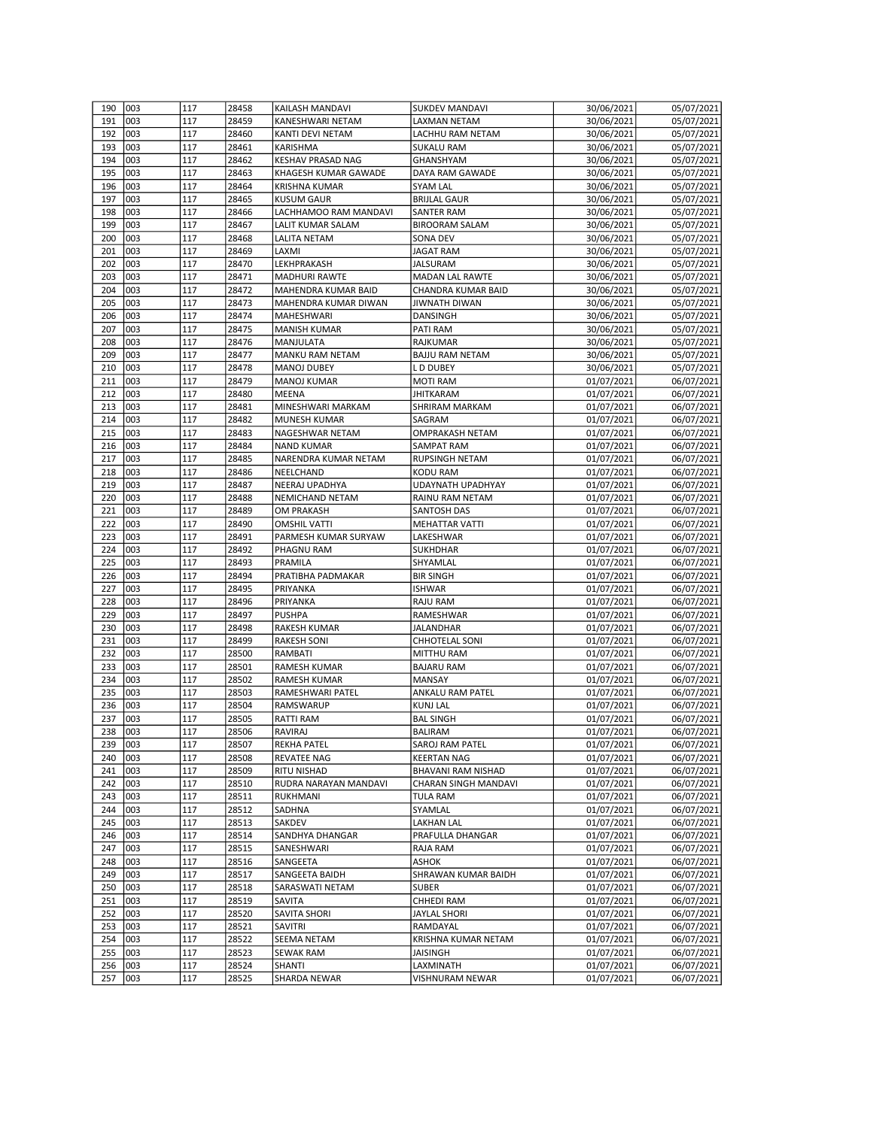| 190       | 003 | 117 | 28458 | KAILASH MANDAVI       | <b>SUKDEV MANDAVI</b>  | 30/06/2021 | 05/07/2021 |
|-----------|-----|-----|-------|-----------------------|------------------------|------------|------------|
| 191       | 003 | 117 | 28459 | KANESHWARI NETAM      | <b>LAXMAN NETAM</b>    | 30/06/2021 | 05/07/2021 |
| 192       | 003 | 117 | 28460 | KANTI DEVI NETAM      | LACHHU RAM NETAM       | 30/06/2021 | 05/07/2021 |
| 193       | 003 | 117 | 28461 | KARISHMA              | <b>SUKALU RAM</b>      | 30/06/2021 | 05/07/2021 |
| 194       | 003 | 117 | 28462 | KESHAV PRASAD NAG     | GHANSHYAM              | 30/06/2021 | 05/07/2021 |
| 195       | 003 | 117 | 28463 | KHAGESH KUMAR GAWADE  | DAYA RAM GAWADE        | 30/06/2021 | 05/07/2021 |
| 196       | 003 | 117 | 28464 | <b>KRISHNA KUMAR</b>  | <b>SYAM LAL</b>        | 30/06/2021 | 05/07/2021 |
| 197       | 003 | 117 | 28465 | <b>KUSUM GAUR</b>     | <b>BRIJLAL GAUR</b>    | 30/06/2021 | 05/07/2021 |
| 198       | 003 | 117 | 28466 | LACHHAMOO RAM MANDAVI | SANTER RAM             | 30/06/2021 | 05/07/2021 |
| 199       | 003 | 117 | 28467 | LALIT KUMAR SALAM     | <b>BIROORAM SALAM</b>  | 30/06/2021 | 05/07/2021 |
| 200       | 003 | 117 | 28468 | LALITA NETAM          | SONA DEV               | 30/06/2021 | 05/07/2021 |
| 201       | 003 | 117 | 28469 | LAXMI                 | <b>JAGAT RAM</b>       | 30/06/2021 | 05/07/2021 |
| 202       | 003 | 117 | 28470 | LEKHPRAKASH           | <b>JALSURAM</b>        | 30/06/2021 | 05/07/2021 |
| 203       | 003 | 117 | 28471 | MADHURI RAWTE         | MADAN LAL RAWTE        | 30/06/2021 | 05/07/2021 |
| 204       | 003 | 117 | 28472 | MAHENDRA KUMAR BAID   | CHANDRA KUMAR BAID     | 30/06/2021 | 05/07/2021 |
| 205       | 003 | 117 | 28473 | MAHENDRA KUMAR DIWAN  | <b>JIWNATH DIWAN</b>   | 30/06/2021 | 05/07/2021 |
| 206       | 003 | 117 | 28474 | MAHESHWARI            | DANSINGH               | 30/06/2021 | 05/07/2021 |
| 207       | 003 | 117 | 28475 | <b>MANISH KUMAR</b>   | PATI RAM               | 30/06/2021 | 05/07/2021 |
| 208       | 003 | 117 | 28476 | MANJULATA             | <b>RAJKUMAR</b>        | 30/06/2021 | 05/07/2021 |
| 209       | 003 | 117 | 28477 | MANKU RAM NETAM       | <b>BAJJU RAM NETAM</b> | 30/06/2021 | 05/07/2021 |
| 210       | 003 | 117 | 28478 | <b>MANOJ DUBEY</b>    | LD DUBEY               | 30/06/2021 | 05/07/2021 |
| 211       | 003 | 117 | 28479 | <b>MANOJ KUMAR</b>    | <b>MOTI RAM</b>        | 01/07/2021 | 06/07/2021 |
| 212       | 003 | 117 | 28480 | <b>MEENA</b>          | <b>JHITKARAM</b>       | 01/07/2021 | 06/07/2021 |
| 213       | 003 | 117 | 28481 | MINESHWARI MARKAM     | SHRIRAM MARKAM         | 01/07/2021 | 06/07/2021 |
| 214       | 003 | 117 | 28482 | MUNESH KUMAR          | SAGRAM                 | 01/07/2021 | 06/07/2021 |
| 215       | 003 | 117 | 28483 | NAGESHWAR NETAM       | OMPRAKASH NETAM        | 01/07/2021 | 06/07/2021 |
| 216       | 003 | 117 | 28484 | <b>NAND KUMAR</b>     | SAMPAT RAM             | 01/07/2021 | 06/07/2021 |
| 217       | 003 | 117 | 28485 | NARENDRA KUMAR NETAM  | RUPSINGH NETAM         | 01/07/2021 | 06/07/2021 |
| 218       | 003 | 117 | 28486 | NEELCHAND             | <b>KODU RAM</b>        | 01/07/2021 | 06/07/2021 |
| 219       | 003 | 117 | 28487 | NEERAJ UPADHYA        | UDAYNATH UPADHYAY      | 01/07/2021 | 06/07/2021 |
| 220       | 003 | 117 | 28488 | NEMICHAND NETAM       | RAINU RAM NETAM        | 01/07/2021 | 06/07/2021 |
| 221       | 003 | 117 | 28489 | OM PRAKASH            | SANTOSH DAS            | 01/07/2021 | 06/07/2021 |
| 222       | 003 | 117 | 28490 | OMSHIL VATTI          | <b>MEHATTAR VATTI</b>  | 01/07/2021 | 06/07/2021 |
| 223       | 003 | 117 | 28491 | PARMESH KUMAR SURYAW  | LAKESHWAR              | 01/07/2021 | 06/07/2021 |
| 224       | 003 | 117 | 28492 | PHAGNU RAM            | <b>SUKHDHAR</b>        | 01/07/2021 | 06/07/2021 |
| 225       | 003 | 117 | 28493 | PRAMILA               | SHYAMLAL               | 01/07/2021 | 06/07/2021 |
| 226       | 003 | 117 | 28494 | PRATIBHA PADMAKAR     | <b>BIR SINGH</b>       | 01/07/2021 | 06/07/2021 |
| 227       | 003 | 117 | 28495 | PRIYANKA              | <b>ISHWAR</b>          | 01/07/2021 | 06/07/2021 |
| 228       | 003 | 117 | 28496 | PRIYANKA              | RAJU RAM               | 01/07/2021 | 06/07/2021 |
| 229       | 003 | 117 | 28497 | <b>PUSHPA</b>         | RAMESHWAR              | 01/07/2021 | 06/07/2021 |
| 230       | 003 | 117 | 28498 | RAKESH KUMAR          | <b>JALANDHAR</b>       | 01/07/2021 | 06/07/2021 |
| 231       | 003 | 117 | 28499 | <b>RAKESH SONI</b>    | CHHOTELAL SONI         | 01/07/2021 | 06/07/2021 |
| 232       | 003 | 117 | 28500 | RAMBATI               | MITTHU RAM             | 01/07/2021 | 06/07/2021 |
| 233       | 003 | 117 | 28501 | <b>RAMESH KUMAR</b>   | <b>BAJARU RAM</b>      | 01/07/2021 | 06/07/2021 |
| 234       | 003 | 117 | 28502 | <b>RAMESH KUMAR</b>   | MANSAY                 | 01/07/2021 | 06/07/2021 |
| 235       | 003 | 117 | 28503 | RAMESHWARI PATEL      | ANKALU RAM PATEL       | 01/07/2021 | 06/07/2021 |
| 236       | 003 | 117 | 28504 | RAMSWARUP             | <b>KUNJ LAL</b>        | 01/07/2021 | 06/07/2021 |
| 237       | 003 | 117 | 28505 | RATTI RAM             | <b>BAL SINGH</b>       | 01/07/2021 | 06/07/2021 |
| 238       | 003 | 117 | 28506 | RAVIRAJ               | <b>BALIRAM</b>         | 01/07/2021 | 06/07/2021 |
| 239   003 |     | 117 | 28507 | <b>REKHA PATEL</b>    | SAROJ RAM PATEL        | 01/07/2021 | 06/07/2021 |
| 240       | 003 | 117 | 28508 | <b>REVATEE NAG</b>    | <b>KEERTAN NAG</b>     | 01/07/2021 | 06/07/2021 |
| 241       | 003 | 117 | 28509 | RITU NISHAD           | BHAVANI RAM NISHAD     | 01/07/2021 | 06/07/2021 |
| 242       | 003 | 117 | 28510 | RUDRA NARAYAN MANDAVI | CHARAN SINGH MANDAVI   | 01/07/2021 | 06/07/2021 |
| 243       | 003 | 117 | 28511 | RUKHMANI              | <b>TULA RAM</b>        | 01/07/2021 | 06/07/2021 |
| 244       | 003 | 117 | 28512 | SADHNA                | SYAMLAL                | 01/07/2021 | 06/07/2021 |
| 245       | 003 | 117 | 28513 | SAKDEV                | <b>LAKHAN LAL</b>      | 01/07/2021 | 06/07/2021 |
| 246       | 003 | 117 | 28514 | SANDHYA DHANGAR       | PRAFULLA DHANGAR       | 01/07/2021 | 06/07/2021 |
| 247       | 003 | 117 | 28515 | SANESHWARI            | RAJA RAM               | 01/07/2021 | 06/07/2021 |
| 248       | 003 | 117 | 28516 | SANGEETA              | ASHOK                  | 01/07/2021 | 06/07/2021 |
| 249       | 003 | 117 | 28517 | SANGEETA BAIDH        | SHRAWAN KUMAR BAIDH    | 01/07/2021 | 06/07/2021 |
| 250       | 003 | 117 | 28518 | SARASWATI NETAM       | <b>SUBER</b>           | 01/07/2021 | 06/07/2021 |
| 251       | 003 | 117 | 28519 | SAVITA                | CHHEDI RAM             | 01/07/2021 | 06/07/2021 |
| 252       | 003 | 117 | 28520 | SAVITA SHORI          | JAYLAL SHORI           | 01/07/2021 | 06/07/2021 |
| 253       | 003 | 117 | 28521 | SAVITRI               | RAMDAYAL               | 01/07/2021 | 06/07/2021 |
| 254       | 003 | 117 | 28522 | SEEMA NETAM           | KRISHNA KUMAR NETAM    | 01/07/2021 | 06/07/2021 |
| 255       | 003 | 117 | 28523 | <b>SEWAK RAM</b>      | JAISINGH               | 01/07/2021 | 06/07/2021 |
| 256       | 003 | 117 | 28524 | SHANTI                | LAXMINATH              | 01/07/2021 | 06/07/2021 |
| 257       | 003 | 117 | 28525 | SHARDA NEWAR          | VISHNURAM NEWAR        | 01/07/2021 | 06/07/2021 |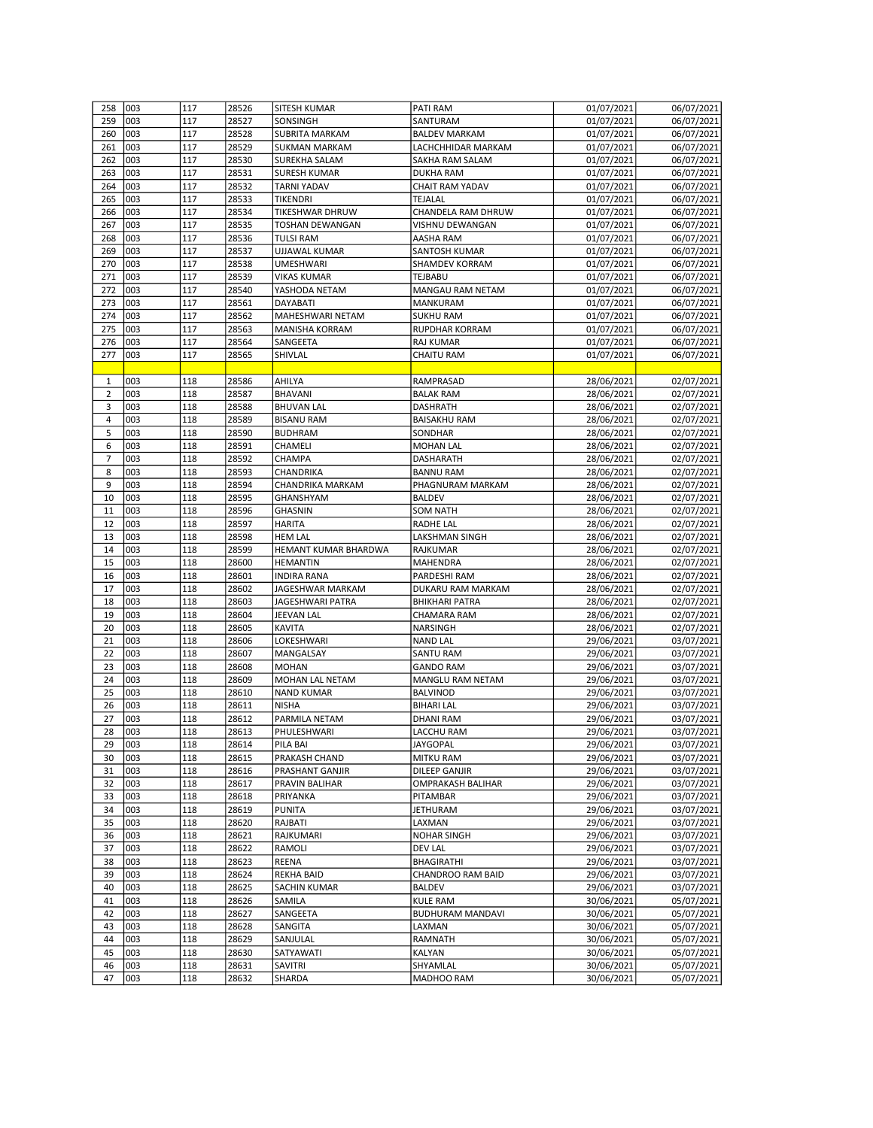| 258            | 003 | 117 | 28526 | SITESH KUMAR                     | PATI RAM                     | 01/07/2021               | 06/07/2021               |
|----------------|-----|-----|-------|----------------------------------|------------------------------|--------------------------|--------------------------|
| 259            | 003 | 117 | 28527 | SONSINGH                         | SANTURAM                     | 01/07/2021               | 06/07/2021               |
| 260            | 003 | 117 | 28528 | SUBRITA MARKAM                   | <b>BALDEV MARKAM</b>         | 01/07/2021               | 06/07/2021               |
| 261            | 003 | 117 | 28529 | <b>SUKMAN MARKAM</b>             | LACHCHHIDAR MARKAM           | 01/07/2021               | 06/07/2021               |
| 262            | 003 | 117 | 28530 | SUREKHA SALAM                    | SAKHA RAM SALAM              | 01/07/2021               | 06/07/2021               |
| 263            | 003 | 117 | 28531 | <b>SURESH KUMAR</b>              | <b>DUKHA RAM</b>             | 01/07/2021               | 06/07/2021               |
| 264            | 003 | 117 | 28532 | <b>TARNI YADAV</b>               | CHAIT RAM YADAV              | 01/07/2021               | 06/07/2021               |
| 265            | 003 | 117 | 28533 | <b>TIKENDRI</b>                  | <b>TEJALAL</b>               | 01/07/2021               | 06/07/2021               |
| 266            | 003 | 117 | 28534 | TIKESHWAR DHRUW                  | CHANDELA RAM DHRUW           | 01/07/2021               | 06/07/2021               |
| 267            | 003 | 117 | 28535 | <b>TOSHAN DEWANGAN</b>           | VISHNU DEWANGAN              | 01/07/2021               | 06/07/2021               |
| 268            | 003 | 117 | 28536 | <b>TULSI RAM</b>                 | AASHA RAM                    | 01/07/2021               | 06/07/2021               |
| 269            | 003 | 117 | 28537 | UJJAWAL KUMAR                    | SANTOSH KUMAR                | 01/07/2021               | 06/07/2021               |
| 270            | 003 | 117 | 28538 | UMESHWARI                        | SHAMDEV KORRAM               | 01/07/2021               | 06/07/2021               |
| 271            | 003 | 117 | 28539 | VIKAS KUMAR                      | TEJBABU                      | 01/07/2021               | 06/07/2021               |
| 272            | 003 | 117 | 28540 | YASHODA NETAM                    | MANGAU RAM NETAM             | 01/07/2021               | 06/07/2021               |
| 273            | 003 | 117 | 28561 |                                  |                              |                          | 06/07/2021               |
|                | 003 | 117 |       | DAYABATI                         | MANKURAM                     | 01/07/2021               |                          |
| 274            |     |     | 28562 | MAHESHWARI NETAM                 | <b>SUKHU RAM</b>             | 01/07/2021               | 06/07/2021               |
| 275            | 003 | 117 | 28563 | MANISHA KORRAM                   | RUPDHAR KORRAM               | 01/07/2021               | 06/07/2021               |
| 276            | 003 | 117 | 28564 | SANGEETA                         | RAJ KUMAR                    | 01/07/2021               | 06/07/2021               |
| 277            | 003 | 117 | 28565 | SHIVLAL                          | <b>CHAITU RAM</b>            | 01/07/2021               | 06/07/2021               |
|                |     |     |       |                                  |                              |                          |                          |
| $\mathbf{1}$   | 003 | 118 | 28586 | AHILYA                           | RAMPRASAD                    | 28/06/2021               | 02/07/2021               |
| $\overline{2}$ | 003 | 118 | 28587 | BHAVANI                          | <b>BALAK RAM</b>             | 28/06/2021               | 02/07/2021               |
| 3              | 003 | 118 | 28588 | <b>BHUVAN LAL</b>                | DASHRATH                     | 28/06/2021               | 02/07/2021               |
| 4              | 003 | 118 | 28589 | <b>BISANU RAM</b>                | <b>BAISAKHU RAM</b>          | 28/06/2021               | 02/07/2021               |
| 5              | 003 | 118 | 28590 | <b>BUDHRAM</b>                   | SONDHAR                      | 28/06/2021               | 02/07/2021               |
| 6              | 003 | 118 | 28591 | CHAMELI                          | <b>MOHAN LAL</b>             | 28/06/2021               | 02/07/2021               |
| $\overline{7}$ | 003 | 118 | 28592 | CHAMPA                           | DASHARATH                    | 28/06/2021               | 02/07/2021               |
| 8              | 003 | 118 | 28593 | CHANDRIKA                        | <b>BANNU RAM</b>             | 28/06/2021               | 02/07/2021               |
| 9              | 003 | 118 | 28594 | CHANDRIKA MARKAM                 | PHAGNURAM MARKAM             | 28/06/2021               | 02/07/2021               |
| 10             | 003 | 118 | 28595 | GHANSHYAM                        | <b>BALDEV</b>                | 28/06/2021               | 02/07/2021               |
| 11             | 003 | 118 | 28596 | GHASNIN                          | <b>SOM NATH</b>              | 28/06/2021               | 02/07/2021               |
| 12             | 003 | 118 | 28597 | <b>HARITA</b>                    | RADHE LAL                    | 28/06/2021               | 02/07/2021               |
| 13             | 003 | 118 | 28598 | <b>HEM LAL</b>                   | LAKSHMAN SINGH               | 28/06/2021               | 02/07/2021               |
| 14             | 003 | 118 | 28599 | HEMANT KUMAR BHARDWA             | RAJKUMAR                     | 28/06/2021               | 02/07/2021               |
| 15             | 003 | 118 | 28600 | <b>HEMANTIN</b>                  | <b>MAHENDRA</b>              | 28/06/2021               | 02/07/2021               |
| 16             | 003 | 118 | 28601 | <b>INDIRA RANA</b>               | PARDESHI RAM                 | 28/06/2021               | 02/07/2021               |
| 17             | 003 | 118 | 28602 | JAGESHWAR MARKAM                 | DUKARU RAM MARKAM            | 28/06/2021               | 02/07/2021               |
| 18             | 003 | 118 | 28603 | JAGESHWARI PATRA                 | <b>BHIKHARI PATRA</b>        | 28/06/2021               | 02/07/2021               |
| 19             | 003 | 118 | 28604 | JEEVAN LAL                       | CHAMARA RAM                  | 28/06/2021               | 02/07/2021               |
| 20             | 003 | 118 | 28605 | KAVITA                           | NARSINGH                     | 28/06/2021               | 02/07/2021               |
| 21             | 003 | 118 | 28606 | LOKESHWARI                       | <b>NAND LAL</b>              | 29/06/2021               | 03/07/2021               |
| 22             | 003 | 118 | 28607 | MANGALSAY                        | SANTU RAM                    | 29/06/2021               | 03/07/2021               |
| 23             | 003 | 118 | 28608 | MOHAN                            | <b>GANDO RAM</b>             | 29/06/2021               | 03/07/2021               |
| 24             | 003 | 118 | 28609 | MOHAN LAL NETAM                  | MANGLU RAM NETAM             | 29/06/2021               | 03/07/2021               |
| 25             | 003 | 118 | 28610 | <b>NAND KUMAR</b>                | <b>BALVINOD</b>              | 29/06/2021               | 03/07/2021               |
| 26             | 003 | 118 | 28611 | <b>NISHA</b>                     | <b>BIHARI LAL</b>            | 29/06/2021               | 03/07/2021               |
| 27             | 003 | 118 | 28612 | PARMILA NETAM                    | <b>DHANI RAM</b>             | 29/06/2021               | 03/07/2021               |
| 28             | 003 | 118 | 28613 | PHULESHWARI                      | LACCHU RAM                   | 29/06/2021               | 03/07/2021               |
| 29             | 003 | 118 | 28614 | PILA BAI                         |                              |                          |                          |
| 30             | 003 | 118 | 28615 |                                  | <b>JAYGOPAL</b><br>MITKU RAM | 29/06/2021<br>29/06/2021 | 03/07/2021<br>03/07/2021 |
|                | 003 | 118 | 28616 | PRAKASH CHAND<br>PRASHANT GANJIR | <b>DILEEP GANJIR</b>         |                          |                          |
| 31             |     |     |       |                                  |                              | 29/06/2021               | 03/07/2021               |
| 32             | 003 | 118 | 28617 | PRAVIN BALIHAR                   | OMPRAKASH BALIHAR            | 29/06/2021               | 03/07/2021               |
| 33             | 003 | 118 | 28618 | PRIYANKA                         | PITAMBAR                     | 29/06/2021               | 03/07/2021               |
| 34             | 003 | 118 | 28619 | <b>PUNITA</b>                    | <b>JETHURAM</b>              | 29/06/2021               | 03/07/2021               |
| 35             | 003 | 118 | 28620 | RAJBATI                          | LAXMAN                       | 29/06/2021               | 03/07/2021               |
| 36             | 003 | 118 | 28621 | RAJKUMARI                        | <b>NOHAR SINGH</b>           | 29/06/2021               | 03/07/2021               |
| 37             | 003 | 118 | 28622 | RAMOLI                           | <b>DEV LAL</b>               | 29/06/2021               | 03/07/2021               |
| 38             | 003 | 118 | 28623 | REENA                            | BHAGIRATHI                   | 29/06/2021               | 03/07/2021               |
| 39             | 003 | 118 | 28624 | <b>REKHA BAID</b>                | CHANDROO RAM BAID            | 29/06/2021               | 03/07/2021               |
| 40             | 003 | 118 | 28625 | SACHIN KUMAR                     | <b>BALDEV</b>                | 29/06/2021               | 03/07/2021               |
| 41             |     | 118 | 28626 | SAMILA                           | <b>KULE RAM</b>              | 30/06/2021               | 05/07/2021               |
|                | 003 |     |       |                                  |                              |                          |                          |
| 42             | 003 | 118 | 28627 | SANGEETA                         | <b>BUDHURAM MANDAVI</b>      | 30/06/2021               | 05/07/2021               |
| 43             | 003 | 118 | 28628 | SANGITA                          | LAXMAN                       | 30/06/2021               | 05/07/2021               |
| 44             | 003 | 118 | 28629 | SANJULAL                         | RAMNATH                      | 30/06/2021               | 05/07/2021               |
| 45             | 003 | 118 | 28630 | SATYAWATI                        | KALYAN                       | 30/06/2021               | 05/07/2021               |
| 46             | 003 | 118 | 28631 | SAVITRI                          | SHYAMLAL                     | 30/06/2021               | 05/07/2021               |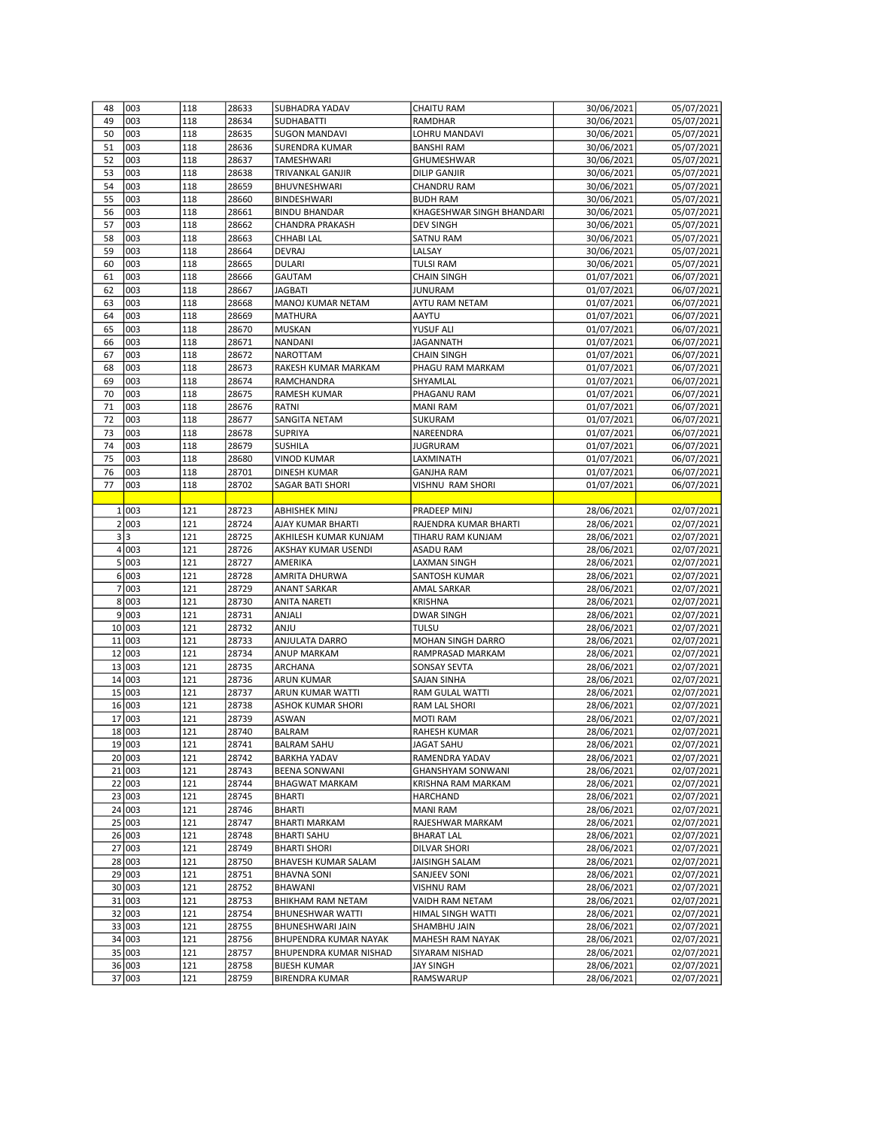| 48       | 003        | 118 | 28633 | SUBHADRA YADAV          | <b>CHAITU RAM</b>         | 30/06/2021 | 05/07/2021 |
|----------|------------|-----|-------|-------------------------|---------------------------|------------|------------|
| 49       | 003        | 118 | 28634 | <b>SUDHABATTI</b>       | RAMDHAR                   | 30/06/2021 | 05/07/2021 |
| 50       | 003        | 118 | 28635 | <b>SUGON MANDAVI</b>    | LOHRU MANDAVI             | 30/06/2021 | 05/07/2021 |
| 51       | 003        | 118 | 28636 | <b>SURENDRA KUMAR</b>   | <b>BANSHI RAM</b>         | 30/06/2021 | 05/07/2021 |
| 52       | 003        | 118 | 28637 | TAMESHWARI              | GHUMESHWAR                | 30/06/2021 | 05/07/2021 |
| 53       | 003        | 118 | 28638 | <b>TRIVANKAL GANJIR</b> | <b>DILIP GANJIR</b>       | 30/06/2021 | 05/07/2021 |
| 54       | 003        | 118 | 28659 | BHUVNESHWARI            | CHANDRU RAM               | 30/06/2021 | 05/07/2021 |
| 55       | 003        | 118 | 28660 | BINDESHWARI             | <b>BUDH RAM</b>           | 30/06/2021 | 05/07/2021 |
| 56       | 003        | 118 | 28661 | <b>BINDU BHANDAR</b>    | KHAGESHWAR SINGH BHANDARI | 30/06/2021 | 05/07/2021 |
| 57       | 003        | 118 | 28662 | CHANDRA PRAKASH         | <b>DEV SINGH</b>          | 30/06/2021 | 05/07/2021 |
| 58       | 003        | 118 | 28663 | CHHABI LAL              | SATNU RAM                 | 30/06/2021 | 05/07/2021 |
| 59       | 003        | 118 | 28664 | <b>DEVRAJ</b>           | LALSAY                    | 30/06/2021 | 05/07/2021 |
| 60       | 003        | 118 | 28665 | <b>DULARI</b>           | <b>TULSI RAM</b>          | 30/06/2021 | 05/07/2021 |
| 61       | 003        | 118 | 28666 | GAUTAM                  | <b>CHAIN SINGH</b>        | 01/07/2021 | 06/07/2021 |
| 62       | 003        | 118 | 28667 | <b>JAGBATI</b>          | <b>JUNURAM</b>            | 01/07/2021 | 06/07/2021 |
|          |            | 118 |       |                         |                           |            |            |
| 63<br>64 | 003<br>003 |     | 28668 | MANOJ KUMAR NETAM       | AYTU RAM NETAM            | 01/07/2021 | 06/07/2021 |
|          |            | 118 | 28669 | <b>MATHURA</b>          | AAYTU                     | 01/07/2021 | 06/07/2021 |
| 65       | 003        | 118 | 28670 | <b>MUSKAN</b>           | YUSUF ALI                 | 01/07/2021 | 06/07/2021 |
| 66       | 003        | 118 | 28671 | <b>NANDANI</b>          | JAGANNATH                 | 01/07/2021 | 06/07/2021 |
| 67       | 003        | 118 | 28672 | NAROTTAM                | <b>CHAIN SINGH</b>        | 01/07/2021 | 06/07/2021 |
| 68       | 003        | 118 | 28673 | RAKESH KUMAR MARKAM     | PHAGU RAM MARKAM          | 01/07/2021 | 06/07/2021 |
| 69       | 003        | 118 | 28674 | RAMCHANDRA              | SHYAMLAL                  | 01/07/2021 | 06/07/2021 |
| 70       | 003        | 118 | 28675 | <b>RAMESH KUMAR</b>     | PHAGANU RAM               | 01/07/2021 | 06/07/2021 |
| 71       | 003        | 118 | 28676 | RATNI                   | <b>MANI RAM</b>           | 01/07/2021 | 06/07/2021 |
| 72       | 003        | 118 | 28677 | SANGITA NETAM           | SUKURAM                   | 01/07/2021 | 06/07/2021 |
| 73       | 003        | 118 | 28678 | SUPRIYA                 | NAREENDRA                 | 01/07/2021 | 06/07/2021 |
| 74       | 003        | 118 | 28679 | <b>SUSHILA</b>          | <b>JUGRURAM</b>           | 01/07/2021 | 06/07/2021 |
| 75       | 003        | 118 | 28680 | <b>VINOD KUMAR</b>      | LAXMINATH                 | 01/07/2021 | 06/07/2021 |
| 76       | 003        | 118 | 28701 | <b>DINESH KUMAR</b>     | <b>GANJHA RAM</b>         | 01/07/2021 | 06/07/2021 |
| 77       | 003        | 118 | 28702 | <b>SAGAR BATI SHORI</b> | VISHNU RAM SHORI          | 01/07/2021 | 06/07/2021 |
|          |            |     |       |                         |                           |            |            |
|          | 1 003      | 121 | 28723 | <b>ABHISHEK MINJ</b>    | PRADEEP MINJ              | 28/06/2021 | 02/07/2021 |
|          | 2 003      | 121 | 28724 | AJAY KUMAR BHARTI       | RAJENDRA KUMAR BHARTI     | 28/06/2021 | 02/07/2021 |
|          | 3 3        | 121 | 28725 | AKHILESH KUMAR KUNJAM   | TIHARU RAM KUNJAM         | 28/06/2021 | 02/07/2021 |
|          | 4 003      | 121 | 28726 | AKSHAY KUMAR USENDI     | <b>ASADU RAM</b>          | 28/06/2021 | 02/07/2021 |
|          | 5 003      | 121 | 28727 | AMERIKA                 | LAXMAN SINGH              | 28/06/2021 | 02/07/2021 |
|          | 6 003      | 121 | 28728 | AMRITA DHURWA           | SANTOSH KUMAR             | 28/06/2021 | 02/07/2021 |
|          | 7 003      | 121 | 28729 | ANANT SARKAR            | <b>AMAL SARKAR</b>        | 28/06/2021 | 02/07/2021 |
|          | 8 003      | 121 | 28730 | <b>ANITA NARETI</b>     | <b>KRISHNA</b>            | 28/06/2021 | 02/07/2021 |
|          | 9 003      | 121 | 28731 | ANJALI                  | <b>DWAR SINGH</b>         | 28/06/2021 | 02/07/2021 |
|          | 10 003     | 121 | 28732 | ANJU                    | <b>TULSU</b>              | 28/06/2021 | 02/07/2021 |
|          | 11 003     | 121 | 28733 | ANJULATA DARRO          | MOHAN SINGH DARRO         | 28/06/2021 | 02/07/2021 |
|          | 12 003     | 121 | 28734 | <b>ANUP MARKAM</b>      | RAMPRASAD MARKAM          | 28/06/2021 | 02/07/2021 |
|          | 13 003     | 121 | 28735 | ARCHANA                 | SONSAY SEVTA              | 28/06/2021 | 02/07/2021 |
|          | 14 003     | 121 | 28736 | <b>ARUN KUMAR</b>       | SAJAN SINHA               | 28/06/2021 | 02/07/2021 |
|          | 15 003     | 121 | 28737 | ARUN KUMAR WATTI        | RAM GULAL WATTI           | 28/06/2021 | 02/07/2021 |
|          | 16 003     | 121 | 28738 | ASHOK KUMAR SHORI       | RAM LAL SHORI             | 28/06/2021 | 02/07/2021 |
|          | 17 003     | 121 | 28739 | ASWAN                   | MOTI RAM                  | 28/06/2021 | 02/07/2021 |
|          | 18 003     | 121 | 28740 | <b>BALRAM</b>           | RAHESH KUMAR              | 28/06/2021 | 02/07/2021 |
|          | 19 003     | 121 | 28741 | <b>BALRAM SAHU</b>      | <b>JAGAT SAHU</b>         | 28/06/2021 | 02/07/2021 |
|          | 20 003     | 121 | 28742 | <b>BARKHA YADAV</b>     | RAMENDRA YADAV            | 28/06/2021 | 02/07/2021 |
|          | 21 003     | 121 | 28743 | <b>BEENA SONWANI</b>    | <b>GHANSHYAM SONWANI</b>  | 28/06/2021 | 02/07/2021 |
|          | 22 003     | 121 | 28744 | <b>BHAGWAT MARKAM</b>   | KRISHNA RAM MARKAM        | 28/06/2021 | 02/07/2021 |
|          | 23 003     | 121 | 28745 | <b>BHARTI</b>           | HARCHAND                  | 28/06/2021 | 02/07/2021 |
|          | 24 003     | 121 | 28746 | <b>BHARTI</b>           | <b>MANI RAM</b>           | 28/06/2021 | 02/07/2021 |
|          | 25 003     |     | 28747 |                         | RAJESHWAR MARKAM          | 28/06/2021 | 02/07/2021 |
|          |            | 121 | 28748 | <b>BHARTI MARKAM</b>    |                           |            |            |
|          | 26 003     | 121 |       | <b>BHARTI SAHU</b>      | <b>BHARAT LAL</b>         | 28/06/2021 | 02/07/2021 |
|          | 27 003     | 121 | 28749 | <b>BHARTI SHORI</b>     | DILVAR SHORI              | 28/06/2021 | 02/07/2021 |
|          | 28 003     | 121 | 28750 | BHAVESH KUMAR SALAM     | JAISINGH SALAM            | 28/06/2021 | 02/07/2021 |
|          | 29 003     | 121 | 28751 | <b>BHAVNA SONI</b>      | SANJEEV SONI              | 28/06/2021 | 02/07/2021 |
|          | 30 003     | 121 | 28752 | BHAWANI                 | VISHNU RAM                | 28/06/2021 | 02/07/2021 |
|          | 31 003     | 121 | 28753 | BHIKHAM RAM NETAM       | VAIDH RAM NETAM           | 28/06/2021 | 02/07/2021 |
|          | 32 003     | 121 | 28754 | BHUNESHWAR WATTI        | HIMAL SINGH WATTI         | 28/06/2021 | 02/07/2021 |
|          | 33 003     | 121 | 28755 | BHUNESHWARI JAIN        | SHAMBHU JAIN              | 28/06/2021 | 02/07/2021 |
|          | 34 003     | 121 | 28756 | BHUPENDRA KUMAR NAYAK   | MAHESH RAM NAYAK          | 28/06/2021 | 02/07/2021 |
|          | 35 003     | 121 | 28757 | BHUPENDRA KUMAR NISHAD  | SIYARAM NISHAD            | 28/06/2021 | 02/07/2021 |
|          | 36 003     | 121 | 28758 | <b>BIJESH KUMAR</b>     | JAY SINGH                 | 28/06/2021 | 02/07/2021 |
|          | 37 003     | 121 | 28759 | <b>BIRENDRA KUMAR</b>   | RAMSWARUP                 | 28/06/2021 | 02/07/2021 |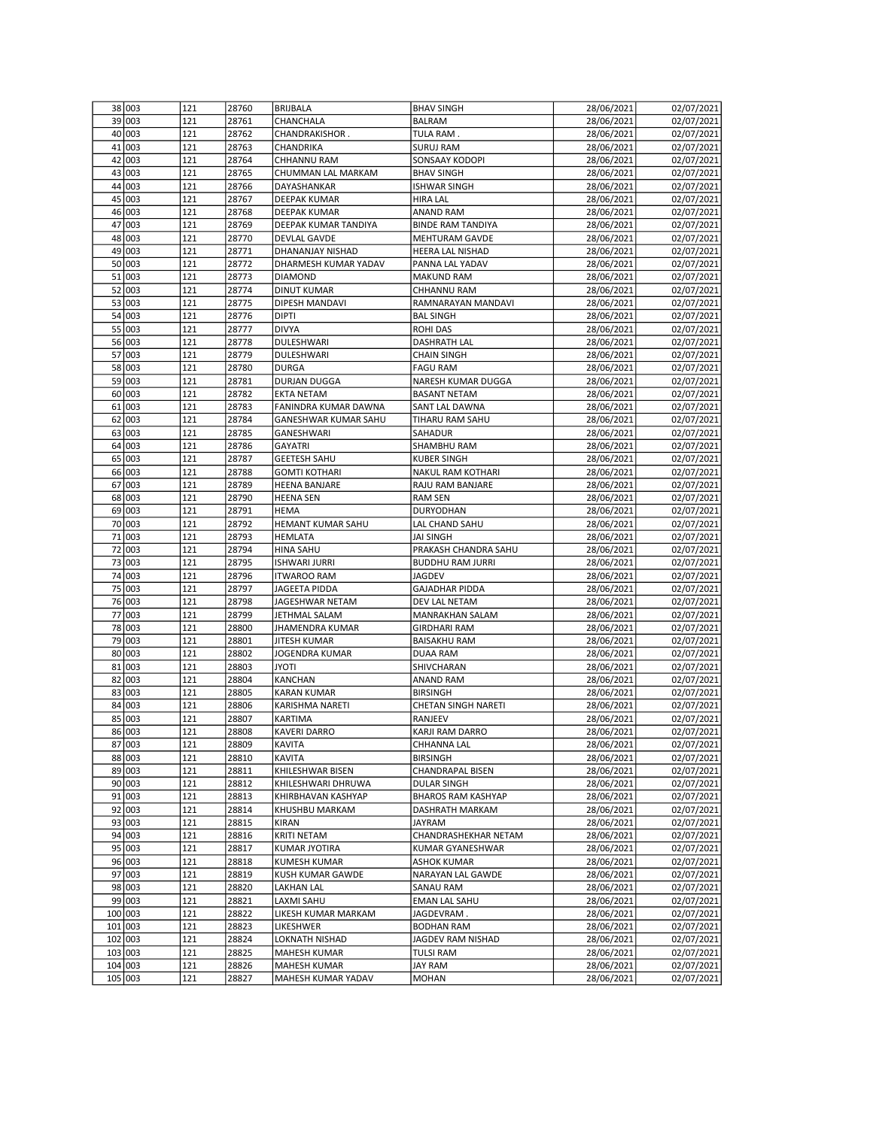|    | 38 003  | 121 | 28760 | <b>BRIJBALA</b>        | <b>BHAV SINGH</b>         | 28/06/2021 | 02/07/2021 |
|----|---------|-----|-------|------------------------|---------------------------|------------|------------|
|    | 39 003  | 121 | 28761 | CHANCHALA              | <b>BALRAM</b>             | 28/06/2021 | 02/07/2021 |
|    | 40 003  | 121 | 28762 | CHANDRAKISHOR          | TULA RAM.                 | 28/06/2021 | 02/07/2021 |
|    | 41 003  | 121 | 28763 | CHANDRIKA              | <b>SURUJ RAM</b>          | 28/06/2021 | 02/07/2021 |
|    | 42 003  | 121 | 28764 | CHHANNU RAM            | SONSAAY KODOPI            | 28/06/2021 | 02/07/2021 |
|    | 43 003  | 121 | 28765 | CHUMMAN LAL MARKAM     | <b>BHAV SINGH</b>         | 28/06/2021 | 02/07/2021 |
|    | 44 003  | 121 | 28766 | DAYASHANKAR            | <b>ISHWAR SINGH</b>       | 28/06/2021 | 02/07/2021 |
| 45 | 003     | 121 | 28767 | DEEPAK KUMAR           | <b>HIRA LAL</b>           |            | 02/07/2021 |
|    |         |     |       |                        |                           | 28/06/2021 |            |
|    | 46 003  | 121 | 28768 | DEEPAK KUMAR           | ANAND RAM                 | 28/06/2021 | 02/07/2021 |
| 47 | 003     | 121 | 28769 | DEEPAK KUMAR TANDIYA   | <b>BINDE RAM TANDIYA</b>  | 28/06/2021 | 02/07/2021 |
|    | 48 003  | 121 | 28770 | DEVLAL GAVDE           | MEHTURAM GAVDE            | 28/06/2021 | 02/07/2021 |
|    | 49 003  | 121 | 28771 | DHANANJAY NISHAD       | HEERA LAL NISHAD          | 28/06/2021 | 02/07/2021 |
|    | 50 003  | 121 | 28772 | DHARMESH KUMAR YADAV   | PANNA LAL YADAV           | 28/06/2021 | 02/07/2021 |
|    | 51 003  | 121 | 28773 | <b>DIAMOND</b>         | <b>MAKUND RAM</b>         | 28/06/2021 | 02/07/2021 |
|    | 52 003  | 121 | 28774 | <b>DINUT KUMAR</b>     | CHHANNU RAM               | 28/06/2021 | 02/07/2021 |
|    | 53 003  | 121 | 28775 | DIPESH MANDAVI         | RAMNARAYAN MANDAVI        | 28/06/2021 | 02/07/2021 |
|    | 54 003  | 121 | 28776 | DIPTI                  | <b>BAL SINGH</b>          | 28/06/2021 | 02/07/2021 |
|    | 55 003  | 121 | 28777 | <b>DIVYA</b>           | ROHI DAS                  | 28/06/2021 | 02/07/2021 |
|    | 56 003  | 121 | 28778 | DULESHWARI             | DASHRATH LAL              | 28/06/2021 | 02/07/2021 |
|    | 57 003  | 121 | 28779 | DULESHWARI             | <b>CHAIN SINGH</b>        | 28/06/2021 | 02/07/2021 |
|    | 58 003  | 121 | 28780 | <b>DURGA</b>           | <b>FAGU RAM</b>           | 28/06/2021 | 02/07/2021 |
|    |         |     |       |                        |                           |            |            |
|    | 59 003  | 121 | 28781 | DURJAN DUGGA           | NARESH KUMAR DUGGA        | 28/06/2021 | 02/07/2021 |
|    | 60 003  | 121 | 28782 | <b>EKTA NETAM</b>      | <b>BASANT NETAM</b>       | 28/06/2021 | 02/07/2021 |
|    | 61 003  | 121 | 28783 | FANINDRA KUMAR DAWNA   | SANT LAL DAWNA            | 28/06/2021 | 02/07/2021 |
|    | 62 003  | 121 | 28784 | GANESHWAR KUMAR SAHU   | TIHARU RAM SAHU           | 28/06/2021 | 02/07/2021 |
|    | 63 003  | 121 | 28785 | GANESHWARI             | SAHADUR                   | 28/06/2021 | 02/07/2021 |
|    | 64 003  | 121 | 28786 | <b>GAYATRI</b>         | SHAMBHU RAM               | 28/06/2021 | 02/07/2021 |
|    | 65 003  | 121 | 28787 | <b>GEETESH SAHU</b>    | KUBER SINGH               | 28/06/2021 | 02/07/2021 |
|    | 66 003  | 121 | 28788 | <b>GOMTI KOTHARI</b>   | NAKUL RAM KOTHARI         | 28/06/2021 | 02/07/2021 |
|    | 67 003  | 121 | 28789 | <b>HEENA BANJARE</b>   | RAJU RAM BANJARE          | 28/06/2021 | 02/07/2021 |
|    | 68 003  | 121 | 28790 | <b>HEENA SEN</b>       | <b>RAM SEN</b>            | 28/06/2021 | 02/07/2021 |
|    | 69 003  | 121 | 28791 | <b>HEMA</b>            | <b>DURYODHAN</b>          | 28/06/2021 | 02/07/2021 |
|    | 70 003  | 121 | 28792 | HEMANT KUMAR SAHU      | LAL CHAND SAHU            | 28/06/2021 | 02/07/2021 |
|    | 71 003  | 121 | 28793 | HEMLATA                | JAI SINGH                 | 28/06/2021 | 02/07/2021 |
|    | 72 003  | 121 | 28794 | <b>HINA SAHU</b>       | PRAKASH CHANDRA SAHU      |            | 02/07/2021 |
|    |         |     |       |                        |                           | 28/06/2021 |            |
|    | 73 003  | 121 | 28795 | <b>ISHWARI JURRI</b>   | <b>BUDDHU RAM JURRI</b>   | 28/06/2021 | 02/07/2021 |
|    | 74 003  | 121 | 28796 | <b>ITWAROO RAM</b>     | JAGDEV                    | 28/06/2021 | 02/07/2021 |
|    | 75 003  | 121 | 28797 | JAGEETA PIDDA          | GAJADHAR PIDDA            | 28/06/2021 | 02/07/2021 |
|    | 76 003  | 121 | 28798 | JAGESHWAR NETAM        | DEV LAL NETAM             | 28/06/2021 | 02/07/2021 |
|    | 77 003  | 121 | 28799 | JETHMAL SALAM          | MANRAKHAN SALAM           | 28/06/2021 | 02/07/2021 |
|    | 78 003  | 121 | 28800 | <b>JHAMENDRA KUMAR</b> | GIRDHARI RAM              | 28/06/2021 | 02/07/2021 |
|    | 79 003  | 121 | 28801 | JITESH KUMAR           | <b>BAISAKHU RAM</b>       | 28/06/2021 | 02/07/2021 |
|    | 80 003  | 121 | 28802 | JOGENDRA KUMAR         | <b>DUAA RAM</b>           | 28/06/2021 | 02/07/2021 |
|    | 81 003  | 121 | 28803 | <b>ITOYL</b>           | SHIVCHARAN                | 28/06/2021 | 02/07/2021 |
|    | 82 003  | 121 | 28804 | KANCHAN                | ANAND RAM                 | 28/06/2021 | 02/07/2021 |
|    | 83 003  | 121 | 28805 | <b>KARAN KUMAR</b>     | <b>BIRSINGH</b>           | 28/06/2021 | 02/07/2021 |
|    | 84 003  | 121 | 28806 | KARISHMA NARETI        | CHETAN SINGH NARETI       | 28/06/2021 | 02/07/2021 |
|    | 85 003  | 121 | 28807 | KARTIMA                | RANJEEV                   | 28/06/2021 | 02/07/2021 |
|    | 86 003  | 121 | 28808 | <b>KAVERI DARRO</b>    | KARJI RAM DARRO           | 28/06/2021 | 02/07/2021 |
|    |         |     |       |                        |                           |            |            |
|    | 87 003  | 121 | 28809 | KAVITA                 | <b>CHHANNA LAL</b>        | 28/06/2021 | 02/07/2021 |
|    | 88 003  | 121 | 28810 | <b>KAVITA</b>          | <b>BIRSINGH</b>           | 28/06/2021 | 02/07/2021 |
|    | 89 003  | 121 | 28811 | KHILESHWAR BISEN       | <b>CHANDRAPAL BISEN</b>   | 28/06/2021 | 02/07/2021 |
|    | 90 003  | 121 | 28812 | KHILESHWARI DHRUWA     | <b>DULAR SINGH</b>        | 28/06/2021 | 02/07/2021 |
|    | 91 003  | 121 | 28813 | KHIRBHAVAN KASHYAP     | <b>BHAROS RAM KASHYAP</b> | 28/06/2021 | 02/07/2021 |
|    | 92 003  | 121 | 28814 | KHUSHBU MARKAM         | DASHRATH MARKAM           | 28/06/2021 | 02/07/2021 |
|    | 93 003  | 121 | 28815 | <b>KIRAN</b>           | <b>JAYRAM</b>             | 28/06/2021 | 02/07/2021 |
|    | 94 003  | 121 | 28816 | KRITI NETAM            | CHANDRASHEKHAR NETAM      | 28/06/2021 | 02/07/2021 |
|    | 95 003  | 121 | 28817 | KUMAR JYOTIRA          | KUMAR GYANESHWAR          | 28/06/2021 | 02/07/2021 |
|    | 96 003  | 121 | 28818 | KUMESH KUMAR           | ASHOK KUMAR               | 28/06/2021 | 02/07/2021 |
|    | 97 003  | 121 | 28819 | KUSH KUMAR GAWDE       | NARAYAN LAL GAWDE         | 28/06/2021 | 02/07/2021 |
|    | 98 003  | 121 | 28820 | LAKHAN LAL             | SANAU RAM                 | 28/06/2021 | 02/07/2021 |
|    | 99 003  | 121 | 28821 | LAXMI SAHU             | EMAN LAL SAHU             | 28/06/2021 | 02/07/2021 |
|    | 100 003 | 121 | 28822 | LIKESH KUMAR MARKAM    | JAGDEVRAM.                | 28/06/2021 | 02/07/2021 |
|    |         |     |       |                        |                           |            |            |
|    | 101 003 | 121 | 28823 | LIKESHWER              | <b>BODHAN RAM</b>         | 28/06/2021 | 02/07/2021 |
|    | 102 003 | 121 | 28824 | LOKNATH NISHAD         | JAGDEV RAM NISHAD         | 28/06/2021 | 02/07/2021 |
|    | 103 003 | 121 | 28825 | MAHESH KUMAR           | TULSI RAM                 | 28/06/2021 | 02/07/2021 |
|    | 104 003 | 121 | 28826 | MAHESH KUMAR           | JAY RAM                   | 28/06/2021 | 02/07/2021 |
|    | 105 003 | 121 | 28827 | MAHESH KUMAR YADAV     | MOHAN                     | 28/06/2021 | 02/07/2021 |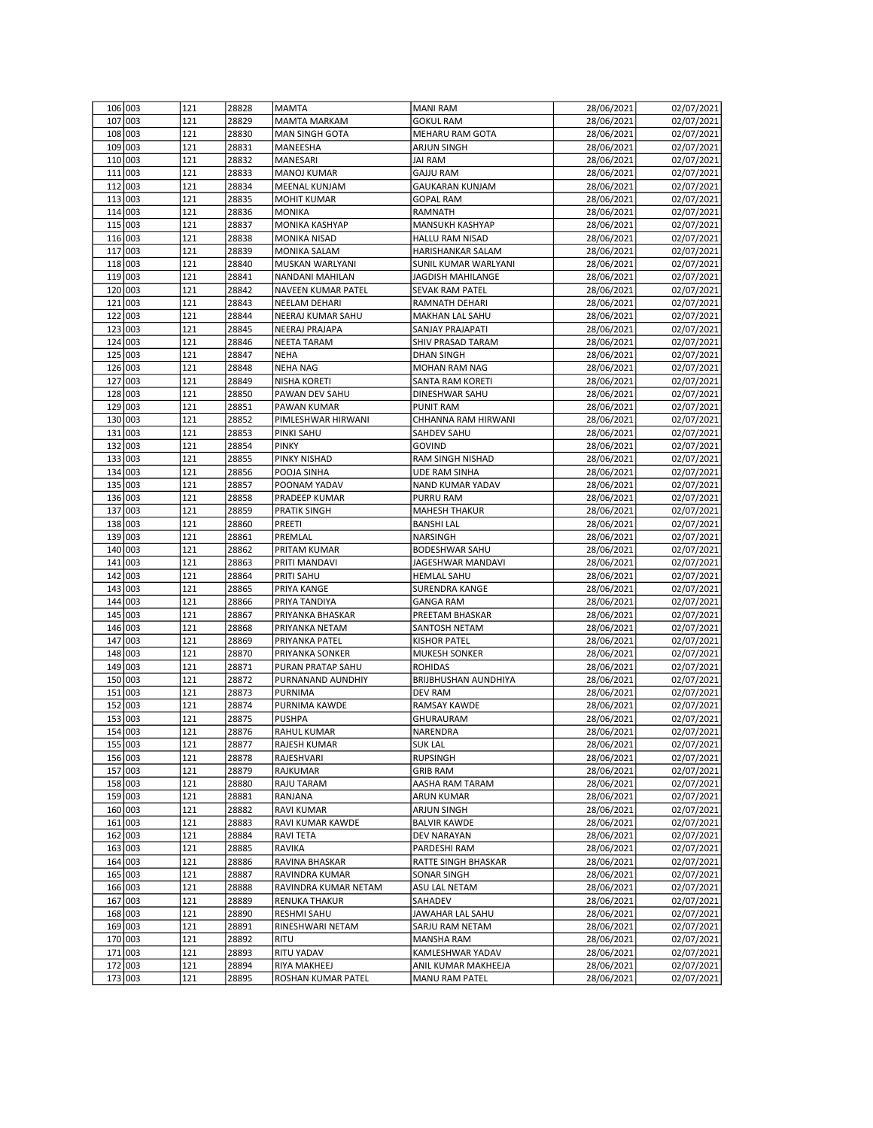| 106 003 | 121 | 28828 | MAMTA                     | <b>MANI RAM</b>          | 28/06/2021 | 02/07/2021 |
|---------|-----|-------|---------------------------|--------------------------|------------|------------|
| 107 003 | 121 | 28829 | <b>MAMTA MARKAM</b>       | <b>GOKUL RAM</b>         | 28/06/2021 | 02/07/2021 |
| 108 003 | 121 | 28830 | MAN SINGH GOTA            | MEHARU RAM GOTA          | 28/06/2021 | 02/07/2021 |
| 109 003 | 121 | 28831 | MANEESHA                  | ARJUN SINGH              | 28/06/2021 | 02/07/2021 |
| 110 003 | 121 | 28832 | MANESARI                  | <b>JAI RAM</b>           | 28/06/2021 | 02/07/2021 |
| 111 003 | 121 | 28833 | <b>MANOJ KUMAR</b>        | <b>GAJJU RAM</b>         |            | 02/07/2021 |
|         |     |       |                           |                          | 28/06/2021 |            |
| 112 003 | 121 | 28834 | MEENAL KUNJAM             | <b>GAUKARAN KUNJAM</b>   | 28/06/2021 | 02/07/2021 |
| 113 003 | 121 | 28835 | <b>MOHIT KUMAR</b>        | <b>GOPAL RAM</b>         | 28/06/2021 | 02/07/2021 |
| 114 003 | 121 | 28836 | <b>MONIKA</b>             | RAMNATH                  | 28/06/2021 | 02/07/2021 |
| 115 003 | 121 | 28837 | MONIKA KASHYAP            | MANSUKH KASHYAP          | 28/06/2021 | 02/07/2021 |
| 116 003 | 121 | 28838 | MONIKA NISAD              | HALLU RAM NISAD          | 28/06/2021 | 02/07/2021 |
| 117 003 | 121 | 28839 | MONIKA SALAM              | HARISHANKAR SALAM        | 28/06/2021 | 02/07/2021 |
| 118 003 | 121 | 28840 | MUSKAN WARLYANI           | SUNIL KUMAR WARLYANI     | 28/06/2021 | 02/07/2021 |
| 119 003 | 121 | 28841 | <b>NANDANI MAHILAN</b>    | <b>JAGDISH MAHILANGE</b> | 28/06/2021 | 02/07/2021 |
| 120 003 | 121 | 28842 | <b>NAVEEN KUMAR PATEL</b> | SEVAK RAM PATEL          | 28/06/2021 | 02/07/2021 |
|         |     |       |                           |                          |            |            |
| 121 003 | 121 | 28843 | NEELAM DEHARI             | RAMNATH DEHARI           | 28/06/2021 | 02/07/2021 |
| 122 003 | 121 | 28844 | NEERAJ KUMAR SAHU         | MAKHAN LAL SAHU          | 28/06/2021 | 02/07/2021 |
| 123 003 | 121 | 28845 | NEERAJ PRAJAPA            | SANJAY PRAJAPATI         | 28/06/2021 | 02/07/2021 |
| 124 003 | 121 | 28846 | NEETA TARAM               | SHIV PRASAD TARAM        | 28/06/2021 | 02/07/2021 |
| 125 003 | 121 | 28847 | NEHA                      | <b>DHAN SINGH</b>        | 28/06/2021 | 02/07/2021 |
| 126 003 | 121 | 28848 | <b>NEHA NAG</b>           | MOHAN RAM NAG            | 28/06/2021 | 02/07/2021 |
| 127 003 | 121 | 28849 | NISHA KORETI              | SANTA RAM KORETI         | 28/06/2021 | 02/07/2021 |
| 128 003 | 121 | 28850 | PAWAN DEV SAHU            | DINESHWAR SAHU           | 28/06/2021 | 02/07/2021 |
| 129 003 | 121 | 28851 | PAWAN KUMAR               | PUNIT RAM                | 28/06/2021 | 02/07/2021 |
|         |     |       |                           |                          |            |            |
| 130 003 | 121 | 28852 | PIMLESHWAR HIRWANI        | CHHANNA RAM HIRWANI      | 28/06/2021 | 02/07/2021 |
| 131 003 | 121 | 28853 | PINKI SAHU                | SAHDEV SAHU              | 28/06/2021 | 02/07/2021 |
| 132 003 | 121 | 28854 | PINKY                     | <b>GOVIND</b>            | 28/06/2021 | 02/07/2021 |
| 133 003 | 121 | 28855 | PINKY NISHAD              | RAM SINGH NISHAD         | 28/06/2021 | 02/07/2021 |
| 134 003 | 121 | 28856 | POOJA SINHA               | UDE RAM SINHA            | 28/06/2021 | 02/07/2021 |
| 135 003 | 121 | 28857 | POONAM YADAV              | NAND KUMAR YADAV         | 28/06/2021 | 02/07/2021 |
| 136 003 | 121 | 28858 | PRADEEP KUMAR             | <b>PURRU RAM</b>         | 28/06/2021 | 02/07/2021 |
| 137 003 | 121 | 28859 | PRATIK SINGH              | <b>MAHESH THAKUR</b>     | 28/06/2021 | 02/07/2021 |
| 138 003 | 121 | 28860 | PREETI                    | <b>BANSHI LAL</b>        | 28/06/2021 | 02/07/2021 |
|         |     |       |                           |                          |            |            |
| 139 003 | 121 | 28861 | PREMLAL                   | NARSINGH                 | 28/06/2021 | 02/07/2021 |
| 140 003 | 121 | 28862 | PRITAM KUMAR              | <b>BODESHWAR SAHU</b>    | 28/06/2021 | 02/07/2021 |
| 141 003 | 121 | 28863 | PRITI MANDAVI             | JAGESHWAR MANDAVI        | 28/06/2021 | 02/07/2021 |
| 142 003 | 121 | 28864 | PRITI SAHU                | HEMLAL SAHU              | 28/06/2021 | 02/07/2021 |
| 143 003 | 121 | 28865 | PRIYA KANGE               | SURENDRA KANGE           | 28/06/2021 | 02/07/2021 |
| 144 003 | 121 | 28866 | PRIYA TANDIYA             | <b>GANGA RAM</b>         | 28/06/2021 | 02/07/2021 |
| 145 003 | 121 | 28867 | PRIYANKA BHASKAR          | PREETAM BHASKAR          | 28/06/2021 | 02/07/2021 |
| 146 003 | 121 | 28868 | PRIYANKA NETAM            | SANTOSH NETAM            | 28/06/2021 | 02/07/2021 |
| 147 003 | 121 | 28869 | PRIYANKA PATEL            | <b>KISHOR PATEL</b>      | 28/06/2021 | 02/07/2021 |
| 148 003 | 121 | 28870 |                           |                          |            |            |
|         |     |       | PRIYANKA SONKER           | MUKESH SONKER            | 28/06/2021 | 02/07/2021 |
| 149 003 | 121 | 28871 | PURAN PRATAP SAHU         | <b>ROHIDAS</b>           | 28/06/2021 | 02/07/2021 |
| 150 003 | 121 | 28872 | PURNANAND AUNDHIY         | BRIJBHUSHAN AUNDHIYA     | 28/06/2021 | 02/07/2021 |
| 151 003 | 121 | 28873 | PURNIMA                   | <b>DEV RAM</b>           | 28/06/2021 | 02/07/2021 |
| 152 003 | 121 | 28874 | PURNIMA KAWDE             | RAMSAY KAWDE             | 28/06/2021 | 02/07/2021 |
| 153 003 | 121 | 28875 | <b>PUSHPA</b>             | GHURAURAM                | 28/06/2021 | 02/07/2021 |
| 154 003 | 121 | 28876 | RAHUL KUMAR               | NARENDRA                 | 28/06/2021 | 02/07/2021 |
| 155 003 | 121 | 28877 | RAJESH KUMAR              | <b>SUK LAL</b>           | 28/06/2021 | 02/07/2021 |
| 156 003 | 121 | 28878 | RAJESHVARI                | <b>RUPSINGH</b>          | 28/06/2021 | 02/07/2021 |
| 157 003 | 121 | 28879 | RAJKUMAR                  | <b>GRIB RAM</b>          | 28/06/2021 | 02/07/2021 |
|         |     |       |                           |                          |            |            |
| 158 003 | 121 | 28880 | RAJU TARAM                | AASHA RAM TARAM          | 28/06/2021 | 02/07/2021 |
| 159 003 | 121 | 28881 | RANJANA                   | <b>ARUN KUMAR</b>        | 28/06/2021 | 02/07/2021 |
| 160 003 | 121 | 28882 | RAVI KUMAR                | ARJUN SINGH              | 28/06/2021 | 02/07/2021 |
| 161 003 | 121 | 28883 | RAVI KUMAR KAWDE          | <b>BALVIR KAWDE</b>      | 28/06/2021 | 02/07/2021 |
| 162 003 | 121 | 28884 | RAVI TETA                 | DEV NARAYAN              | 28/06/2021 | 02/07/2021 |
| 163 003 | 121 | 28885 | RAVIKA                    | PARDESHI RAM             | 28/06/2021 | 02/07/2021 |
| 164 003 | 121 | 28886 | RAVINA BHASKAR            | RATTE SINGH BHASKAR      | 28/06/2021 | 02/07/2021 |
| 165 003 | 121 | 28887 | RAVINDRA KUMAR            | SONAR SINGH              | 28/06/2021 | 02/07/2021 |
| 166 003 | 121 | 28888 | RAVINDRA KUMAR NETAM      | ASU LAL NETAM            | 28/06/2021 | 02/07/2021 |
|         |     |       | RENUKA THAKUR             |                          |            |            |
| 167 003 | 121 | 28889 |                           | SAHADEV                  | 28/06/2021 | 02/07/2021 |
| 168 003 | 121 | 28890 | RESHMI SAHU               | JAWAHAR LAL SAHU         | 28/06/2021 | 02/07/2021 |
| 169 003 | 121 | 28891 | RINESHWARI NETAM          | SARJU RAM NETAM          | 28/06/2021 | 02/07/2021 |
| 170 003 | 121 | 28892 | RITU                      | MANSHA RAM               | 28/06/2021 | 02/07/2021 |
| 171 003 | 121 | 28893 | RITU YADAV                | KAMLESHWAR YADAV         | 28/06/2021 | 02/07/2021 |
| 172 003 | 121 | 28894 | RIYA MAKHEEJ              | ANIL KUMAR MAKHEEJA      | 28/06/2021 | 02/07/2021 |
| 173 003 | 121 | 28895 | ROSHAN KUMAR PATEL        | MANU RAM PATEL           | 28/06/2021 | 02/07/2021 |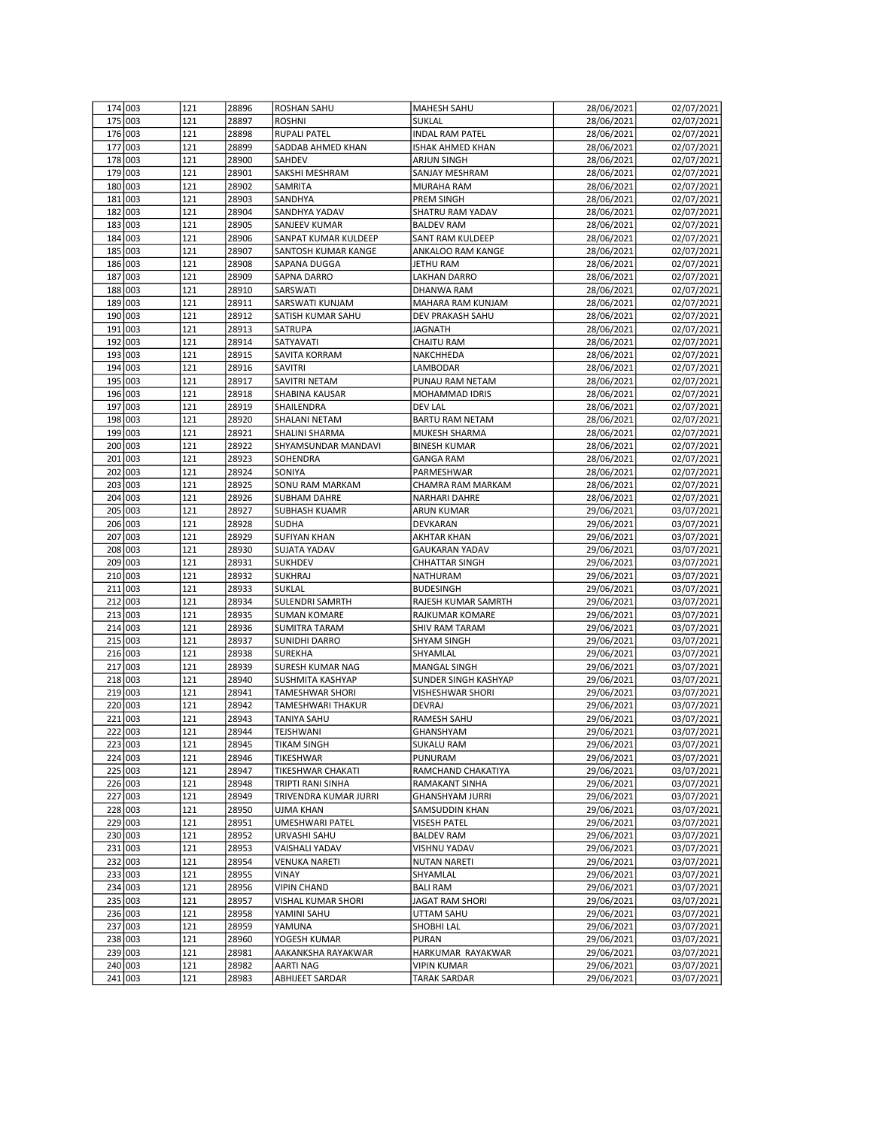| 174 003 | 121 | 28896 | <b>ROSHAN SAHU</b>    | MAHESH SAHU             | 28/06/2021 | 02/07/2021 |
|---------|-----|-------|-----------------------|-------------------------|------------|------------|
| 175 003 | 121 | 28897 | <b>ROSHNI</b>         | SUKLAL                  | 28/06/2021 | 02/07/2021 |
| 176 003 | 121 | 28898 | <b>RUPALI PATEL</b>   | <b>INDAL RAM PATEL</b>  | 28/06/2021 | 02/07/2021 |
| 177 003 | 121 | 28899 | SADDAB AHMED KHAN     | <b>ISHAK AHMED KHAN</b> | 28/06/2021 | 02/07/2021 |
| 178 003 | 121 | 28900 | SAHDEV                | ARJUN SINGH             | 28/06/2021 | 02/07/2021 |
| 179 003 | 121 | 28901 | SAKSHI MESHRAM        | SANJAY MESHRAM          | 28/06/2021 | 02/07/2021 |
| 180 003 | 121 | 28902 | SAMRITA               | MURAHA RAM              |            | 02/07/2021 |
|         |     |       |                       |                         | 28/06/2021 |            |
| 181 003 | 121 | 28903 | SANDHYA               | PREM SINGH              | 28/06/2021 | 02/07/2021 |
| 182 003 | 121 | 28904 | SANDHYA YADAV         | SHATRU RAM YADAV        | 28/06/2021 | 02/07/2021 |
| 183 003 | 121 | 28905 | SANJEEV KUMAR         | <b>BALDEV RAM</b>       | 28/06/2021 | 02/07/2021 |
| 184 003 | 121 | 28906 | SANPAT KUMAR KULDEEP  | SANT RAM KULDEEP        | 28/06/2021 | 02/07/2021 |
| 185 003 | 121 | 28907 | SANTOSH KUMAR KANGE   | ANKALOO RAM KANGE       | 28/06/2021 | 02/07/2021 |
| 186 003 | 121 | 28908 | SAPANA DUGGA          | JETHU RAM               | 28/06/2021 | 02/07/2021 |
| 187 003 | 121 | 28909 | SAPNA DARRO           | <b>LAKHAN DARRO</b>     | 28/06/2021 | 02/07/2021 |
| 188 003 | 121 | 28910 | SARSWATI              | DHANWA RAM              | 28/06/2021 | 02/07/2021 |
| 189 003 | 121 | 28911 | SARSWATI KUNJAM       | MAHARA RAM KUNJAM       | 28/06/2021 | 02/07/2021 |
| 190 003 | 121 | 28912 | SATISH KUMAR SAHU     | DEV PRAKASH SAHU        | 28/06/2021 | 02/07/2021 |
| 191 003 | 121 | 28913 | SATRUPA               | <b>JAGNATH</b>          | 28/06/2021 | 02/07/2021 |
| 192 003 | 121 | 28914 | SATYAVATI             | <b>CHAITU RAM</b>       | 28/06/2021 | 02/07/2021 |
| 193 003 | 121 | 28915 | SAVITA KORRAM         | NAKCHHEDA               | 28/06/2021 | 02/07/2021 |
| 194 003 | 121 |       |                       |                         |            |            |
|         |     | 28916 | <b>SAVITRI</b>        | LAMBODAR                | 28/06/2021 | 02/07/2021 |
| 195 003 | 121 | 28917 | SAVITRI NETAM         | PUNAU RAM NETAM         | 28/06/2021 | 02/07/2021 |
| 196 003 | 121 | 28918 | <b>SHABINA KAUSAR</b> | MOHAMMAD IDRIS          | 28/06/2021 | 02/07/2021 |
| 197 003 | 121 | 28919 | SHAILENDRA            | <b>DEV LAL</b>          | 28/06/2021 | 02/07/2021 |
| 198 003 | 121 | 28920 | SHALANI NETAM         | <b>BARTU RAM NETAM</b>  | 28/06/2021 | 02/07/2021 |
| 199 003 | 121 | 28921 | SHALINI SHARMA        | MUKESH SHARMA           | 28/06/2021 | 02/07/2021 |
| 200 003 | 121 | 28922 | SHYAMSUNDAR MANDAVI   | <b>BINESH KUMAR</b>     | 28/06/2021 | 02/07/2021 |
| 201 003 | 121 | 28923 | SOHENDRA              | <b>GANGA RAM</b>        | 28/06/2021 | 02/07/2021 |
| 202 003 | 121 | 28924 | SONIYA                | PARMESHWAR              | 28/06/2021 | 02/07/2021 |
| 203 003 | 121 | 28925 | SONU RAM MARKAM       | CHAMRA RAM MARKAM       | 28/06/2021 | 02/07/2021 |
| 204 003 | 121 | 28926 | <b>SUBHAM DAHRE</b>   | <b>NARHARI DAHRE</b>    | 28/06/2021 | 02/07/2021 |
| 205 003 | 121 | 28927 | SUBHASH KUAMR         | <b>ARUN KUMAR</b>       | 29/06/2021 | 03/07/2021 |
| 206 003 | 121 | 28928 | <b>SUDHA</b>          | DEVKARAN                | 29/06/2021 | 03/07/2021 |
| 207 003 | 121 | 28929 | <b>SUFIYAN KHAN</b>   |                         |            | 03/07/2021 |
|         |     |       |                       | AKHTAR KHAN             | 29/06/2021 |            |
| 208 003 | 121 | 28930 | SUJATA YADAV          | <b>GAUKARAN YADAV</b>   | 29/06/2021 | 03/07/2021 |
| 209 003 | 121 | 28931 | <b>SUKHDEV</b>        | <b>CHHATTAR SINGH</b>   | 29/06/2021 | 03/07/2021 |
| 210 003 | 121 | 28932 | SUKHRAJ               | NATHURAM                | 29/06/2021 | 03/07/2021 |
| 211 003 | 121 | 28933 | SUKLAL                | <b>BUDESINGH</b>        | 29/06/2021 | 03/07/2021 |
| 212 003 | 121 | 28934 | SULENDRI SAMRTH       | RAJESH KUMAR SAMRTH     | 29/06/2021 | 03/07/2021 |
| 213 003 | 121 | 28935 | <b>SUMAN KOMARE</b>   | RAJKUMAR KOMARE         | 29/06/2021 | 03/07/2021 |
| 214 003 | 121 | 28936 | <b>SUMITRA TARAM</b>  | SHIV RAM TARAM          | 29/06/2021 | 03/07/2021 |
| 215 003 | 121 | 28937 | <b>SUNIDHI DARRO</b>  | <b>SHYAM SINGH</b>      | 29/06/2021 | 03/07/2021 |
| 216 003 | 121 | 28938 | <b>SUREKHA</b>        | SHYAMLAL                | 29/06/2021 | 03/07/2021 |
| 217 003 | 121 | 28939 | SURESH KUMAR NAG      | MANGAL SINGH            | 29/06/2021 | 03/07/2021 |
| 218 003 | 121 | 28940 | SUSHMITA KASHYAP      | SUNDER SINGH KASHYAP    | 29/06/2021 | 03/07/2021 |
| 219 003 | 121 | 28941 | TAMESHWAR SHORI       | <b>VISHESHWAR SHORI</b> | 29/06/2021 | 03/07/2021 |
| 220 003 | 121 | 28942 | TAMESHWARI THAKUR     | <b>DEVRAJ</b>           | 29/06/2021 | 03/07/2021 |
| 221 003 | 121 | 28943 | <b>TANIYA SAHU</b>    | RAMESH SAHU             | 29/06/2021 | 03/07/2021 |
|         | 121 | 28944 | TEJSHWANI             | GHANSHYAM               |            |            |
| 222 003 |     |       |                       |                         | 29/06/2021 | 03/07/2021 |
| 223 003 | 121 | 28945 | <b>TIKAM SINGH</b>    | <b>SUKALU RAM</b>       | 29/06/2021 | 03/07/2021 |
| 224 003 | 121 | 28946 | TIKESHWAR             | PUNURAM                 | 29/06/2021 | 03/07/2021 |
| 225 003 | 121 | 28947 | TIKESHWAR CHAKATI     | RAMCHAND CHAKATIYA      | 29/06/2021 | 03/07/2021 |
| 226 003 | 121 | 28948 | TRIPTI RANI SINHA     | RAMAKANT SINHA          | 29/06/2021 | 03/07/2021 |
| 227 003 | 121 | 28949 | TRIVENDRA KUMAR JURRI | <b>GHANSHYAM JURRI</b>  | 29/06/2021 | 03/07/2021 |
| 228 003 | 121 | 28950 | UJMA KHAN             | SAMSUDDIN KHAN          | 29/06/2021 | 03/07/2021 |
| 229 003 | 121 | 28951 | UMESHWARI PATEL       | <b>VISESH PATEL</b>     | 29/06/2021 | 03/07/2021 |
| 230 003 | 121 | 28952 | URVASHI SAHU          | <b>BALDEV RAM</b>       | 29/06/2021 | 03/07/2021 |
| 231 003 | 121 | 28953 | VAISHALI YADAV        | VISHNU YADAV            | 29/06/2021 | 03/07/2021 |
| 232 003 | 121 | 28954 | VENUKA NARETI         | <b>NUTAN NARETI</b>     | 29/06/2021 | 03/07/2021 |
| 233 003 | 121 | 28955 | VINAY                 | SHYAMLAL                | 29/06/2021 | 03/07/2021 |
| 234 003 | 121 | 28956 | <b>VIPIN CHAND</b>    | <b>BALI RAM</b>         | 29/06/2021 | 03/07/2021 |
| 235 003 | 121 | 28957 | VISHAL KUMAR SHORI    | <b>JAGAT RAM SHORI</b>  | 29/06/2021 |            |
|         |     |       |                       |                         |            | 03/07/2021 |
| 236 003 | 121 | 28958 | YAMINI SAHU           | UTTAM SAHU              | 29/06/2021 | 03/07/2021 |
| 237 003 | 121 | 28959 | YAMUNA                | SHOBHI LAL              | 29/06/2021 | 03/07/2021 |
| 238 003 | 121 | 28960 | YOGESH KUMAR          | <b>PURAN</b>            | 29/06/2021 | 03/07/2021 |
| 239 003 | 121 | 28981 | AAKANKSHA RAYAKWAR    | HARKUMAR RAYAKWAR       | 29/06/2021 | 03/07/2021 |
| 240 003 | 121 | 28982 | AARTI NAG             | <b>VIPIN KUMAR</b>      | 29/06/2021 | 03/07/2021 |
| 241 003 | 121 | 28983 | ABHIJEET SARDAR       | <b>TARAK SARDAR</b>     | 29/06/2021 | 03/07/2021 |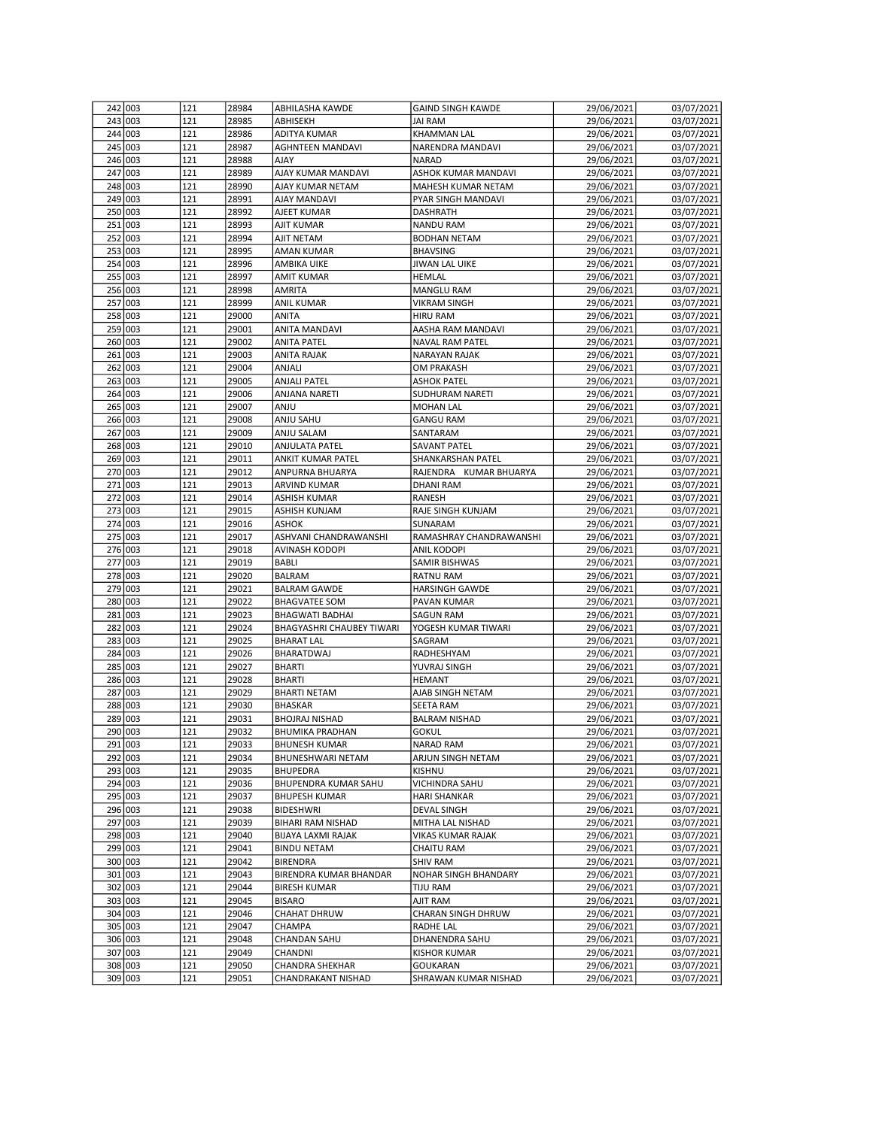| 242 003            | 121        | 28984          | ABHILASHA KAWDE                              | <b>GAIND SINGH KAWDE</b>         | 29/06/2021               | 03/07/2021               |
|--------------------|------------|----------------|----------------------------------------------|----------------------------------|--------------------------|--------------------------|
| 243 003            | 121        | 28985          | ABHISEKH                                     | <b>JAI RAM</b>                   | 29/06/2021               | 03/07/2021               |
| 244 003            | 121        | 28986          | ADITYA KUMAR                                 | KHAMMAN LAL                      | 29/06/2021               | 03/07/2021               |
| 245 003            | 121        | 28987          | <b>AGHNTEEN MANDAVI</b>                      | NARENDRA MANDAVI                 | 29/06/2021               | 03/07/2021               |
| 246 003            | 121        | 28988          | <b>AJAY</b>                                  | NARAD                            | 29/06/2021               | 03/07/2021               |
| 247 003            | 121        | 28989          | AJAY KUMAR MANDAVI                           | ASHOK KUMAR MANDAVI              | 29/06/2021               | 03/07/2021               |
| 248 003            | 121        | 28990          | AJAY KUMAR NETAM                             | MAHESH KUMAR NETAM               | 29/06/2021               | 03/07/2021               |
| 249 003            | 121        | 28991          |                                              |                                  | 29/06/2021               |                          |
|                    |            |                | <b>AJAY MANDAVI</b>                          | PYAR SINGH MANDAVI               |                          | 03/07/2021               |
| 250 003            | 121        | 28992          | AJEET KUMAR                                  | DASHRATH                         | 29/06/2021               | 03/07/2021               |
| 251 003            | 121        | 28993          | AJIT KUMAR                                   | <b>NANDU RAM</b>                 | 29/06/2021               | 03/07/2021               |
| 252 003            | 121        | 28994          | AJIT NETAM                                   | <b>BODHAN NETAM</b>              | 29/06/2021               | 03/07/2021               |
| 253 003            | 121        | 28995          | AMAN KUMAR                                   | <b>BHAVSING</b>                  | 29/06/2021               | 03/07/2021               |
| 254 003            | 121        | 28996          | AMBIKA UIKE                                  | JIWAN LAL UIKE                   | 29/06/2021               | 03/07/2021               |
| 255 003            | 121        | 28997          | <b>AMIT KUMAR</b>                            | <b>HEMLAL</b>                    | 29/06/2021               | 03/07/2021               |
| 256 003            | 121        | 28998          | AMRITA                                       | MANGLU RAM                       | 29/06/2021               | 03/07/2021               |
| 257 003            | 121        | 28999          | ANIL KUMAR                                   | <b>VIKRAM SINGH</b>              | 29/06/2021               | 03/07/2021               |
| 258 003            | 121        | 29000          | ANITA                                        | <b>HIRU RAM</b>                  | 29/06/2021               | 03/07/2021               |
| 259 003            | 121        | 29001          | ANITA MANDAVI                                | AASHA RAM MANDAVI                | 29/06/2021               | 03/07/2021               |
| 260 003            | 121        | 29002          | <b>ANITA PATEL</b>                           | NAVAL RAM PATEL                  | 29/06/2021               | 03/07/2021               |
| 261 003            | 121        | 29003          | <b>ANITA RAJAK</b>                           | NARAYAN RAJAK                    | 29/06/2021               | 03/07/2021               |
| 262 003            | 121        | 29004          | ANJALI                                       | OM PRAKASH                       | 29/06/2021               | 03/07/2021               |
|                    |            |                |                                              |                                  |                          |                          |
| 263 003            | 121        | 29005          | <b>ANJALI PATEL</b>                          | <b>ASHOK PATEL</b>               | 29/06/2021               | 03/07/2021               |
| 264 003            | 121        | 29006          | <b>ANJANA NARETI</b>                         | SUDHURAM NARETI                  | 29/06/2021               | 03/07/2021               |
| 265 003            | 121        | 29007          | UlMA                                         | <b>MOHAN LAL</b>                 | 29/06/2021               | 03/07/2021               |
| 266 003            | 121        | 29008          | ANJU SAHU                                    | <b>GANGU RAM</b>                 | 29/06/2021               | 03/07/2021               |
| 267 003            | 121        | 29009          | ANJU SALAM                                   | SANTARAM                         | 29/06/2021               | 03/07/2021               |
| 268 003            | 121        | 29010          | ANJULATA PATEL                               | <b>SAVANT PATEL</b>              | 29/06/2021               | 03/07/2021               |
| 269 003            | 121        | 29011          | ANKIT KUMAR PATEL                            | SHANKARSHAN PATEL                | 29/06/2021               | 03/07/2021               |
| 270 003            | 121        | 29012          | ANPURNA BHUARYA                              | RAJENDRA KUMAR BHUARYA           | 29/06/2021               | 03/07/2021               |
| 271 003            | 121        | 29013          | ARVIND KUMAR                                 | <b>DHANI RAM</b>                 | 29/06/2021               | 03/07/2021               |
| 272 003            | 121        | 29014          | ASHISH KUMAR                                 | <b>RANESH</b>                    | 29/06/2021               | 03/07/2021               |
| 273 003            | 121        | 29015          | ASHISH KUNJAM                                | RAJE SINGH KUNJAM                | 29/06/2021               | 03/07/2021               |
| 274 003            | 121        | 29016          | ASHOK                                        | SUNARAM                          | 29/06/2021               | 03/07/2021               |
| 275 003            | 121        | 29017          | ASHVANI CHANDRAWANSHI                        | RAMASHRAY CHANDRAWANSHI          | 29/06/2021               | 03/07/2021               |
|                    |            |                |                                              |                                  |                          |                          |
|                    |            |                |                                              |                                  |                          |                          |
| 276 003            | 121        | 29018          | AVINASH KODOPI                               | ANIL KODOPI                      | 29/06/2021               | 03/07/2021               |
| 277 003            | 121        | 29019          | <b>BABLI</b>                                 | SAMIR BISHWAS                    | 29/06/2021               | 03/07/2021               |
| 278 003            | 121        | 29020          | <b>BALRAM</b>                                | RATNU RAM                        | 29/06/2021               | 03/07/2021               |
| 279 003            | 121        | 29021          | <b>BALRAM GAWDE</b>                          | <b>HARSINGH GAWDE</b>            | 29/06/2021               | 03/07/2021               |
| 280 003            | 121        | 29022          | <b>BHAGVATEE SOM</b>                         | PAVAN KUMAR                      | 29/06/2021               | 03/07/2021               |
| 281 003            | 121        | 29023          | <b>BHAGWATI BADHAI</b>                       | <b>SAGUN RAM</b>                 | 29/06/2021               | 03/07/2021               |
| 282 003            | 121        | 29024          | BHAGYASHRI CHAUBEY TIWARI                    | YOGESH KUMAR TIWARI              | 29/06/2021               | 03/07/2021               |
| 283 003            | 121        | 29025          | <b>BHARAT LAL</b>                            | SAGRAM                           | 29/06/2021               | 03/07/2021               |
| 284 003            | 121        | 29026          | BHARATDWAJ                                   | RADHESHYAM                       | 29/06/2021               | 03/07/2021               |
| 285 003            | 121        | 29027          | <b>BHARTI</b>                                | YUVRAJ SINGH                     | 29/06/2021               | 03/07/2021               |
| 286 003            | 121        | 29028          | <b>BHARTI</b>                                | <b>HEMANT</b>                    | 29/06/2021               | 03/07/2021               |
| 287 003            | 121        | 29029          | <b>BHARTI NETAM</b>                          | AJAB SINGH NETAM                 |                          | 03/07/2021               |
| 288 003            |            |                | <b>BHASKAR</b>                               |                                  | 29/06/2021               |                          |
| 289 003            | 121        | 29030          |                                              | SEETA RAM                        | 29/06/2021               | 03/07/2021               |
|                    | 121        | 29031          | <b>BHOJRAJ NISHAD</b>                        | <b>BALRAM NISHAD</b>             | 29/06/2021               | 03/07/2021               |
| 290 003            | 121        | 29032          | <b>BHUMIKA PRADHAN</b>                       | <b>GOKUL</b>                     | 29/06/2021               | 03/07/2021               |
| 291 003            | 121        | 29033          | <b>BHUNESH KUMAR</b>                         | NARAD RAM                        | 29/06/2021               | 03/07/2021               |
| 292 003            | 121        | 29034          | BHUNESHWARI NETAM                            | ARJUN SINGH NETAM                | 29/06/2021               | 03/07/2021               |
| 293 003            | 121        | 29035          | <b>BHUPEDRA</b>                              | <b>KISHNU</b>                    | 29/06/2021               | 03/07/2021               |
| 294 003            | 121        | 29036          | BHUPENDRA KUMAR SAHU                         | VICHINDRA SAHU                   | 29/06/2021               | 03/07/2021               |
| 295 003            | 121        | 29037          | <b>BHUPESH KUMAR</b>                         | <b>HARI SHANKAR</b>              | 29/06/2021               | 03/07/2021               |
| 296 003            | 121        | 29038          | <b>BIDESHWRI</b>                             | <b>DEVAL SINGH</b>               | 29/06/2021               | 03/07/2021               |
| 297 003            | 121        | 29039          | BIHARI RAM NISHAD                            | MITHA LAL NISHAD                 | 29/06/2021               | 03/07/2021               |
| 298 003            | 121        | 29040          | BIJAYA LAXMI RAJAK                           | VIKAS KUMAR RAJAK                | 29/06/2021               | 03/07/2021               |
| 299 003            | 121        | 29041          | <b>BINDU NETAM</b>                           | CHAITU RAM                       | 29/06/2021               | 03/07/2021               |
| 300 003            | 121        | 29042          | <b>BIRENDRA</b>                              | <b>SHIV RAM</b>                  | 29/06/2021               | 03/07/2021               |
| 301 003            | 121        | 29043          |                                              |                                  |                          |                          |
|                    |            | 29044          | BIRENDRA KUMAR BHANDAR                       | NOHAR SINGH BHANDARY             | 29/06/2021               | 03/07/2021               |
| 302 003            | 121        |                | <b>BIRESH KUMAR</b>                          | TIJU RAM                         | 29/06/2021               | 03/07/2021               |
| 303 003            | 121        | 29045          | <b>BISARO</b>                                | AJIT RAM                         | 29/06/2021               | 03/07/2021               |
| 304 003            | 121        | 29046          | <b>CHAHAT DHRUW</b>                          | CHARAN SINGH DHRUW               | 29/06/2021               | 03/07/2021               |
| 305 003            | 121        | 29047          | CHAMPA                                       | <b>RADHE LAL</b>                 | 29/06/2021               | 03/07/2021               |
| 306 003            | 121        | 29048          | CHANDAN SAHU                                 | DHANENDRA SAHU                   | 29/06/2021               | 03/07/2021               |
| 307 003            | 121        | 29049          | CHANDNI                                      | <b>KISHOR KUMAR</b>              | 29/06/2021               | 03/07/2021               |
| 308 003<br>309 003 | 121<br>121 | 29050<br>29051 | <b>CHANDRA SHEKHAR</b><br>CHANDRAKANT NISHAD | GOUKARAN<br>SHRAWAN KUMAR NISHAD | 29/06/2021<br>29/06/2021 | 03/07/2021<br>03/07/2021 |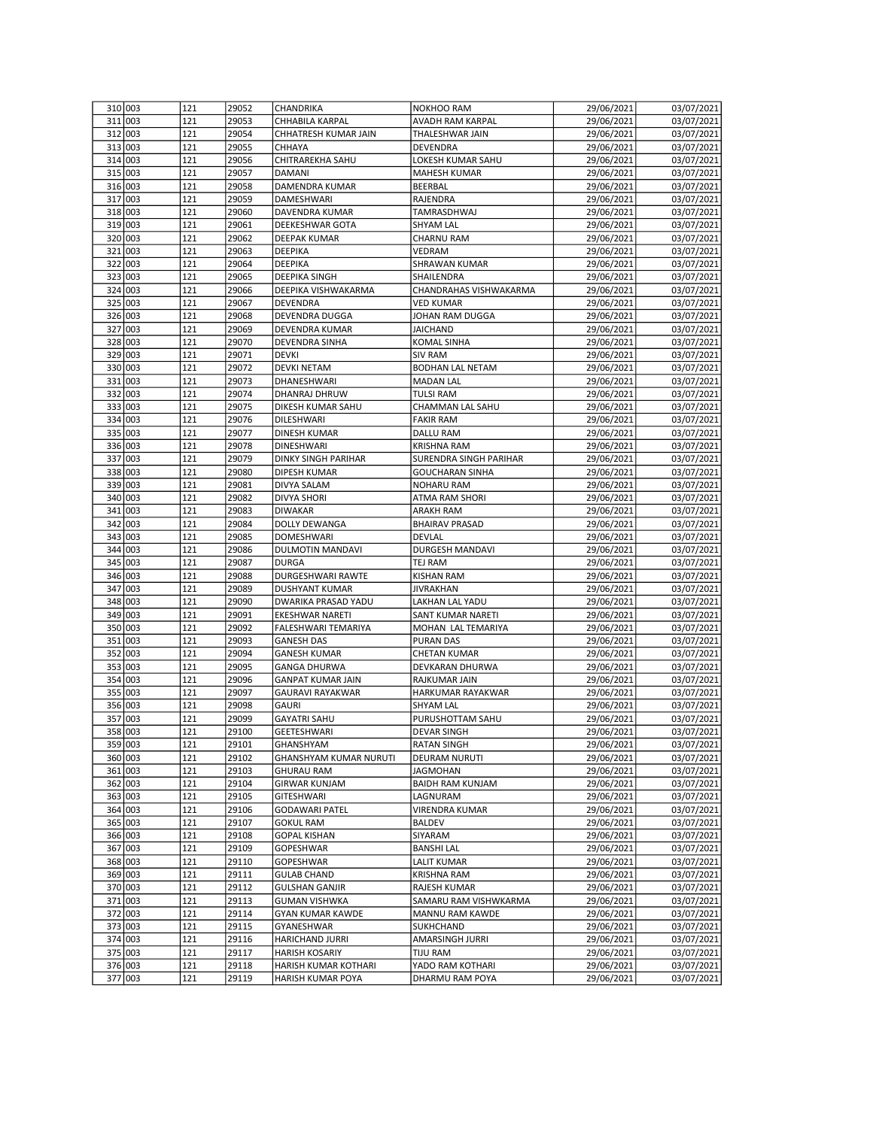| 310 003 | 121 | 29052 | CHANDRIKA                  | <b>NOKHOO RAM</b>       | 29/06/2021 | 03/07/2021 |
|---------|-----|-------|----------------------------|-------------------------|------------|------------|
| 311 003 | 121 | 29053 | CHHABILA KARPAL            | AVADH RAM KARPAL        | 29/06/2021 | 03/07/2021 |
| 312 003 | 121 | 29054 | CHHATRESH KUMAR JAIN       | THALESHWAR JAIN         | 29/06/2021 | 03/07/2021 |
| 313 003 | 121 | 29055 | CHHAYA                     | <b>DEVENDRA</b>         | 29/06/2021 | 03/07/2021 |
| 314 003 | 121 | 29056 | CHITRAREKHA SAHU           | LOKESH KUMAR SAHU       | 29/06/2021 | 03/07/2021 |
| 315 003 | 121 | 29057 | <b>DAMANI</b>              | <b>MAHESH KUMAR</b>     | 29/06/2021 | 03/07/2021 |
| 316 003 | 121 | 29058 | DAMENDRA KUMAR             | BEERBAL                 | 29/06/2021 | 03/07/2021 |
| 317 003 | 121 | 29059 | DAMESHWARI                 | RAJENDRA                | 29/06/2021 | 03/07/2021 |
| 318 003 | 121 | 29060 | DAVENDRA KUMAR             | TAMRASDHWAJ             | 29/06/2021 | 03/07/2021 |
| 319 003 | 121 | 29061 | DEEKESHWAR GOTA            | SHYAM LAL               | 29/06/2021 | 03/07/2021 |
| 320 003 | 121 | 29062 | DEEPAK KUMAR               | CHARNU RAM              | 29/06/2021 | 03/07/2021 |
| 321 003 | 121 | 29063 | <b>DEEPIKA</b>             | VEDRAM                  | 29/06/2021 | 03/07/2021 |
| 322 003 | 121 | 29064 | <b>DEEPIKA</b>             | SHRAWAN KUMAR           | 29/06/2021 | 03/07/2021 |
| 323 003 | 121 | 29065 | <b>DEEPIKA SINGH</b>       | SHAILENDRA              | 29/06/2021 | 03/07/2021 |
| 324 003 | 121 | 29066 | DEEPIKA VISHWAKARMA        | CHANDRAHAS VISHWAKARMA  | 29/06/2021 | 03/07/2021 |
| 325 003 | 121 | 29067 | DEVENDRA                   | VED KUMAR               | 29/06/2021 | 03/07/2021 |
| 326 003 | 121 | 29068 | DEVENDRA DUGGA             | JOHAN RAM DUGGA         | 29/06/2021 | 03/07/2021 |
| 327 003 | 121 | 29069 | DEVENDRA KUMAR             | <b>JAICHAND</b>         | 29/06/2021 | 03/07/2021 |
| 328 003 | 121 | 29070 | DEVENDRA SINHA             | KOMAL SINHA             | 29/06/2021 | 03/07/2021 |
| 329 003 | 121 | 29071 | <b>DEVKI</b>               | <b>SIV RAM</b>          | 29/06/2021 | 03/07/2021 |
| 330 003 | 121 | 29072 | <b>DEVKI NETAM</b>         | <b>BODHAN LAL NETAM</b> | 29/06/2021 | 03/07/2021 |
| 331 003 | 121 | 29073 | DHANESHWARI                | <b>MADAN LAL</b>        | 29/06/2021 | 03/07/2021 |
| 332 003 | 121 | 29074 | DHANRAJ DHRUW              | TULSI RAM               | 29/06/2021 | 03/07/2021 |
| 333 003 | 121 | 29075 | DIKESH KUMAR SAHU          | CHAMMAN LAL SAHU        | 29/06/2021 | 03/07/2021 |
| 334 003 | 121 | 29076 | DILESHWARI                 | <b>FAKIR RAM</b>        | 29/06/2021 | 03/07/2021 |
| 335 003 | 121 | 29077 | <b>DINESH KUMAR</b>        | DALLU RAM               | 29/06/2021 | 03/07/2021 |
| 336 003 | 121 | 29078 | DINESHWARI                 | <b>KRISHNA RAM</b>      | 29/06/2021 | 03/07/2021 |
| 337 003 | 121 | 29079 | <b>DINKY SINGH PARIHAR</b> | SURENDRA SINGH PARIHAR  | 29/06/2021 | 03/07/2021 |
| 338 003 | 121 | 29080 | DIPESH KUMAR               | <b>GOUCHARAN SINHA</b>  | 29/06/2021 | 03/07/2021 |
| 339 003 | 121 | 29081 | DIVYA SALAM                | <b>NOHARU RAM</b>       | 29/06/2021 | 03/07/2021 |
| 340 003 | 121 | 29082 | <b>DIVYA SHORI</b>         | <b>ATMA RAM SHORI</b>   | 29/06/2021 | 03/07/2021 |
| 341 003 | 121 | 29083 | <b>DIWAKAR</b>             | <b>ARAKH RAM</b>        | 29/06/2021 | 03/07/2021 |
| 342 003 | 121 | 29084 | DOLLY DEWANGA              | <b>BHAIRAV PRASAD</b>   | 29/06/2021 | 03/07/2021 |
| 343 003 | 121 | 29085 | DOMESHWARI                 | DEVLAL                  | 29/06/2021 | 03/07/2021 |
| 344 003 | 121 | 29086 | DULMOTIN MANDAVI           | DURGESH MANDAVI         | 29/06/2021 | 03/07/2021 |
| 345 003 | 121 | 29087 | <b>DURGA</b>               | TEJ RAM                 | 29/06/2021 | 03/07/2021 |
| 346 003 | 121 | 29088 | DURGESHWARI RAWTE          | KISHAN RAM              | 29/06/2021 | 03/07/2021 |
| 347 003 | 121 | 29089 | <b>DUSHYANT KUMAR</b>      | <b>JIVRAKHAN</b>        | 29/06/2021 | 03/07/2021 |
| 348 003 | 121 | 29090 | DWARIKA PRASAD YADU        | LAKHAN LAL YADU         | 29/06/2021 | 03/07/2021 |
| 349 003 | 121 | 29091 | EKESHWAR NARETI            | SANT KUMAR NARETI       | 29/06/2021 | 03/07/2021 |
| 350 003 | 121 | 29092 | FALESHWARI TEMARIYA        | MOHAN LAL TEMARIYA      | 29/06/2021 | 03/07/2021 |
| 351 003 | 121 | 29093 | <b>GANESH DAS</b>          | PURAN DAS               | 29/06/2021 | 03/07/2021 |
| 352 003 | 121 | 29094 | <b>GANESH KUMAR</b>        | <b>CHETAN KUMAR</b>     | 29/06/2021 | 03/07/2021 |
| 353 003 | 121 | 29095 | <b>GANGA DHURWA</b>        | DEVKARAN DHURWA         | 29/06/2021 | 03/07/2021 |
| 354 003 | 121 | 29096 | <b>GANPAT KUMAR JAIN</b>   | RAJKUMAR JAIN           | 29/06/2021 | 03/07/2021 |
| 355 003 | 121 | 29097 | <b>GAURAVI RAYAKWAR</b>    | HARKUMAR RAYAKWAR       | 29/06/2021 | 03/07/2021 |
| 356 003 | 121 | 29098 | <b>GAURI</b>               | SHYAM LAL               | 29/06/2021 | 03/07/2021 |
| 357 003 | 121 | 29099 | <b>GAYATRI SAHU</b>        | PURUSHOTTAM SAHU        | 29/06/2021 | 03/07/2021 |
| 358 003 | 121 | 29100 | GEETESHWARI                | <b>DEVAR SINGH</b>      | 29/06/2021 | 03/07/2021 |
| 359 003 | 121 | 29101 | <b>GHANSHYAM</b>           | <b>RATAN SINGH</b>      | 29/06/2021 | 03/07/2021 |
| 360 003 | 121 | 29102 | GHANSHYAM KUMAR NURUTI     | DEURAM NURUTI           | 29/06/2021 | 03/07/2021 |
| 361 003 | 121 | 29103 | <b>GHURAU RAM</b>          | <b>JAGMOHAN</b>         | 29/06/2021 | 03/07/2021 |
| 362 003 | 121 | 29104 | <b>GIRWAR KUNJAM</b>       | <b>BAIDH RAM KUNJAM</b> | 29/06/2021 | 03/07/2021 |
| 363 003 | 121 | 29105 | <b>GITESHWARI</b>          | LAGNURAM                | 29/06/2021 | 03/07/2021 |
| 364 003 | 121 | 29106 | <b>GODAWARI PATEL</b>      | VIRENDRA KUMAR          | 29/06/2021 | 03/07/2021 |
| 365 003 | 121 | 29107 | <b>GOKUL RAM</b>           | <b>BALDEV</b>           | 29/06/2021 | 03/07/2021 |
| 366 003 | 121 | 29108 | <b>GOPAL KISHAN</b>        | SIYARAM                 | 29/06/2021 | 03/07/2021 |
| 367 003 | 121 | 29109 | GOPESHWAR                  | <b>BANSHI LAL</b>       | 29/06/2021 | 03/07/2021 |
| 368 003 | 121 | 29110 | GOPESHWAR                  | LALIT KUMAR             | 29/06/2021 | 03/07/2021 |
| 369 003 | 121 | 29111 | <b>GULAB CHAND</b>         | KRISHNA RAM             | 29/06/2021 | 03/07/2021 |
| 370 003 | 121 | 29112 | <b>GULSHAN GANJIR</b>      | RAJESH KUMAR            | 29/06/2021 | 03/07/2021 |
| 371 003 | 121 | 29113 | <b>GUMAN VISHWKA</b>       | SAMARU RAM VISHWKARMA   | 29/06/2021 | 03/07/2021 |
| 372 003 | 121 | 29114 | <b>GYAN KUMAR KAWDE</b>    | MANNU RAM KAWDE         | 29/06/2021 | 03/07/2021 |
| 373 003 | 121 | 29115 | GYANESHWAR                 | SUKHCHAND               | 29/06/2021 | 03/07/2021 |
| 374 003 | 121 | 29116 | HARICHAND JURRI            | AMARSINGH JURRI         | 29/06/2021 | 03/07/2021 |
| 375 003 | 121 | 29117 | HARISH KOSARIY             | TIJU RAM                | 29/06/2021 | 03/07/2021 |
| 376 003 | 121 | 29118 | HARISH KUMAR KOTHARI       | YADO RAM KOTHARI        | 29/06/2021 | 03/07/2021 |
| 377 003 | 121 | 29119 | HARISH KUMAR POYA          | DHARMU RAM POYA         | 29/06/2021 | 03/07/2021 |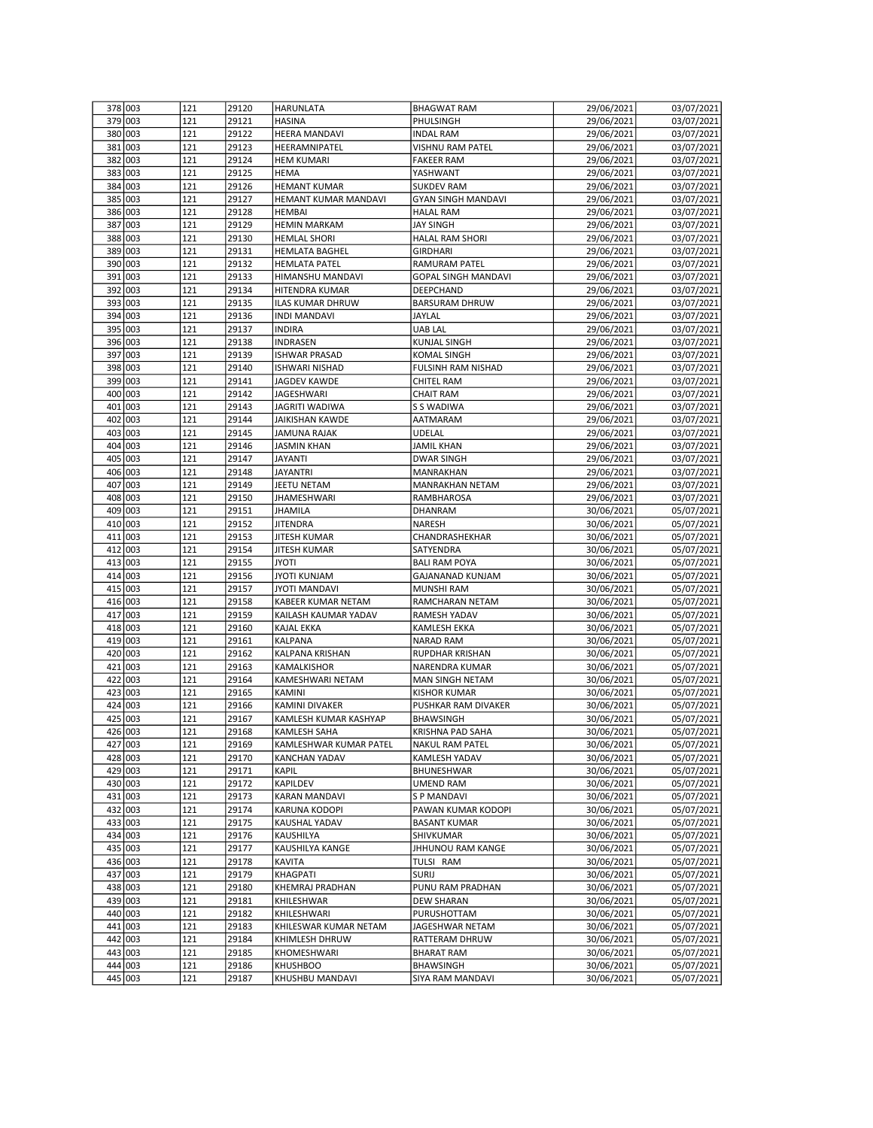| 378 003 | 121 | 29120 | <b>HARUNLATA</b>        | <b>BHAGWAT RAM</b>         | 29/06/2021 | 03/07/2021 |
|---------|-----|-------|-------------------------|----------------------------|------------|------------|
| 379 003 | 121 | 29121 | <b>HASINA</b>           | PHULSINGH                  | 29/06/2021 | 03/07/2021 |
| 380 003 | 121 | 29122 | HEERA MANDAVI           | <b>INDAL RAM</b>           | 29/06/2021 | 03/07/2021 |
| 381 003 | 121 | 29123 | HEERAMNIPATEL           | VISHNU RAM PATEL           | 29/06/2021 | 03/07/2021 |
| 382 003 | 121 | 29124 | <b>HEM KUMARI</b>       | <b>FAKEER RAM</b>          | 29/06/2021 | 03/07/2021 |
| 383 003 | 121 | 29125 | HEMA                    | YASHWANT                   | 29/06/2021 | 03/07/2021 |
| 384 003 | 121 | 29126 | <b>HEMANT KUMAR</b>     | <b>SUKDEV RAM</b>          | 29/06/2021 | 03/07/2021 |
| 385 003 | 121 | 29127 | HEMANT KUMAR MANDAVI    | <b>GYAN SINGH MANDAVI</b>  | 29/06/2021 | 03/07/2021 |
| 386 003 | 121 | 29128 | HEMBAI                  | <b>HALAL RAM</b>           | 29/06/2021 | 03/07/2021 |
| 387 003 | 121 | 29129 | <b>HEMIN MARKAM</b>     | <b>JAY SINGH</b>           | 29/06/2021 | 03/07/2021 |
| 388 003 | 121 | 29130 | <b>HEMLAL SHORI</b>     | <b>HALAL RAM SHORI</b>     | 29/06/2021 | 03/07/2021 |
| 389 003 | 121 | 29131 | <b>HEMLATA BAGHEL</b>   | <b>GIRDHARI</b>            | 29/06/2021 | 03/07/2021 |
|         |     |       |                         |                            |            |            |
| 390 003 | 121 | 29132 | HEMLATA PATEL           | RAMURAM PATEL              | 29/06/2021 | 03/07/2021 |
| 391 003 | 121 | 29133 | HIMANSHU MANDAVI        | <b>GOPAL SINGH MANDAVI</b> | 29/06/2021 | 03/07/2021 |
| 392 003 | 121 | 29134 | HITENDRA KUMAR          | DEEPCHAND                  | 29/06/2021 | 03/07/2021 |
| 393 003 | 121 | 29135 | <b>ILAS KUMAR DHRUW</b> | <b>BARSURAM DHRUW</b>      | 29/06/2021 | 03/07/2021 |
| 394 003 | 121 | 29136 | <b>INDI MANDAVI</b>     | JAYLAL                     | 29/06/2021 | 03/07/2021 |
| 395 003 | 121 | 29137 | <b>INDIRA</b>           | UAB LAL                    | 29/06/2021 | 03/07/2021 |
| 396 003 | 121 | 29138 | INDRASEN                | <b>KUNJAL SINGH</b>        | 29/06/2021 | 03/07/2021 |
| 397 003 | 121 | 29139 | <b>ISHWAR PRASAD</b>    | <b>KOMAL SINGH</b>         | 29/06/2021 | 03/07/2021 |
| 398 003 | 121 | 29140 | <b>ISHWARI NISHAD</b>   | FULSINH RAM NISHAD         | 29/06/2021 | 03/07/2021 |
| 399 003 | 121 | 29141 | JAGDEV KAWDE            | <b>CHITEL RAM</b>          | 29/06/2021 | 03/07/2021 |
| 400 003 | 121 | 29142 | JAGESHWARI              | <b>CHAIT RAM</b>           | 29/06/2021 | 03/07/2021 |
| 401 003 | 121 | 29143 | <b>JAGRITI WADIWA</b>   | S S WADIWA                 | 29/06/2021 | 03/07/2021 |
| 402 003 | 121 | 29144 | JAIKISHAN KAWDE         | AATMARAM                   | 29/06/2021 | 03/07/2021 |
| 403 003 | 121 | 29145 | <b>JAMUNA RAJAK</b>     | UDELAL                     | 29/06/2021 | 03/07/2021 |
| 404 003 | 121 | 29146 | <b>JASMIN KHAN</b>      | <b>JAMIL KHAN</b>          | 29/06/2021 | 03/07/2021 |
| 405 003 | 121 | 29147 | <b>JAYANTI</b>          | <b>DWAR SINGH</b>          | 29/06/2021 | 03/07/2021 |
| 406 003 | 121 | 29148 | <b>JAYANTRI</b>         | MANRAKHAN                  | 29/06/2021 | 03/07/2021 |
| 407 003 | 121 | 29149 | JEETU NETAM             | <b>MANRAKHAN NETAM</b>     | 29/06/2021 | 03/07/2021 |
| 408 003 | 121 | 29150 | <b>JHAMESHWARI</b>      | RAMBHAROSA                 | 29/06/2021 | 03/07/2021 |
| 409 003 | 121 | 29151 | JHAMILA                 | <b>DHANRAM</b>             | 30/06/2021 | 05/07/2021 |
| 410 003 | 121 | 29152 | <b>JITENDRA</b>         | NARESH                     | 30/06/2021 | 05/07/2021 |
| 411 003 | 121 | 29153 | <b>JITESH KUMAR</b>     | CHANDRASHEKHAR             | 30/06/2021 | 05/07/2021 |
| 412 003 | 121 | 29154 | <b>JITESH KUMAR</b>     | SATYENDRA                  | 30/06/2021 | 05/07/2021 |
| 413 003 | 121 | 29155 | JYOTI                   | <b>BALI RAM POYA</b>       | 30/06/2021 | 05/07/2021 |
| 414 003 | 121 | 29156 | <b>JYOTI KUNJAM</b>     | GAJANANAD KUNJAM           | 30/06/2021 | 05/07/2021 |
|         |     |       |                         |                            |            |            |
| 415 003 | 121 | 29157 | JYOTI MANDAVI           | MUNSHI RAM                 | 30/06/2021 | 05/07/2021 |
| 416 003 | 121 | 29158 | KABEER KUMAR NETAM      | RAMCHARAN NETAM            | 30/06/2021 | 05/07/2021 |
| 417 003 | 121 | 29159 | KAILASH KAUMAR YADAV    | RAMESH YADAV               | 30/06/2021 | 05/07/2021 |
| 418 003 | 121 | 29160 | KAJAL EKKA              | KAMLESH EKKA               | 30/06/2021 | 05/07/2021 |
| 419 003 | 121 | 29161 | KALPANA                 | NARAD RAM                  | 30/06/2021 | 05/07/2021 |
| 420 003 | 121 | 29162 | KALPANA KRISHAN         | RUPDHAR KRISHAN            | 30/06/2021 | 05/07/2021 |
| 421 003 | 121 | 29163 | KAMALKISHOR             | NARENDRA KUMAR             | 30/06/2021 | 05/07/2021 |
| 422 003 | 121 | 29164 | KAMESHWARI NETAM        | MAN SINGH NETAM            | 30/06/2021 | 05/07/2021 |
| 423 003 | 121 | 29165 | KAMINI                  | <b>KISHOR KUMAR</b>        | 30/06/2021 | 05/07/2021 |
| 424 003 | 121 | 29166 | KAMINI DIVAKER          | PUSHKAR RAM DIVAKER        | 30/06/2021 | 05/07/2021 |
| 425 003 | 121 | 29167 | KAMLESH KUMAR KASHYAP   | BHAWSINGH                  | 30/06/2021 | 05/07/2021 |
| 426 003 | 121 | 29168 | <b>KAMLESH SAHA</b>     | <b>KRISHNA PAD SAHA</b>    | 30/06/2021 | 05/07/2021 |
| 427 003 | 121 | 29169 | KAMLESHWAR KUMAR PATEL  | <b>NAKUL RAM PATEL</b>     | 30/06/2021 | 05/07/2021 |
| 428 003 | 121 | 29170 | KANCHAN YADAV           | KAMLESH YADAV              | 30/06/2021 | 05/07/2021 |
| 429 003 | 121 | 29171 | KAPIL                   | BHUNESHWAR                 | 30/06/2021 | 05/07/2021 |
| 430 003 | 121 | 29172 | <b>KAPILDEV</b>         | UMEND RAM                  | 30/06/2021 | 05/07/2021 |
| 431 003 | 121 | 29173 | <b>KARAN MANDAVI</b>    | <b>SP MANDAVI</b>          | 30/06/2021 | 05/07/2021 |
| 432 003 | 121 | 29174 | KARUNA KODOPI           | PAWAN KUMAR KODOPI         | 30/06/2021 | 05/07/2021 |
| 433 003 | 121 | 29175 | KAUSHAL YADAV           | <b>BASANT KUMAR</b>        | 30/06/2021 | 05/07/2021 |
| 434 003 | 121 | 29176 | KAUSHILYA               | SHIVKUMAR                  | 30/06/2021 | 05/07/2021 |
| 435 003 | 121 | 29177 | KAUSHILYA KANGE         | <b>JHHUNOU RAM KANGE</b>   | 30/06/2021 | 05/07/2021 |
| 436 003 | 121 | 29178 | KAVITA                  | TULSI RAM                  | 30/06/2021 | 05/07/2021 |
| 437 003 | 121 | 29179 | KHAGPATI                | SURIJ                      | 30/06/2021 | 05/07/2021 |
| 438 003 | 121 | 29180 | KHEMRAJ PRADHAN         | PUNU RAM PRADHAN           | 30/06/2021 | 05/07/2021 |
| 439 003 | 121 | 29181 | KHILESHWAR              | <b>DEW SHARAN</b>          | 30/06/2021 | 05/07/2021 |
| 440 003 | 121 | 29182 | KHILESHWARI             | PURUSHOTTAM                | 30/06/2021 | 05/07/2021 |
| 441 003 | 121 | 29183 | KHILESWAR KUMAR NETAM   | JAGESHWAR NETAM            | 30/06/2021 | 05/07/2021 |
| 442 003 | 121 | 29184 | KHIMLESH DHRUW          | RATTERAM DHRUW             | 30/06/2021 | 05/07/2021 |
|         |     |       |                         |                            |            |            |
| 443 003 | 121 | 29185 | KHOMESHWARI             | <b>BHARAT RAM</b>          | 30/06/2021 | 05/07/2021 |
| 444 003 | 121 | 29186 | <b>KHUSHBOO</b>         | <b>BHAWSINGH</b>           | 30/06/2021 | 05/07/2021 |
| 445 003 | 121 | 29187 | KHUSHBU MANDAVI         | SIYA RAM MANDAVI           | 30/06/2021 | 05/07/2021 |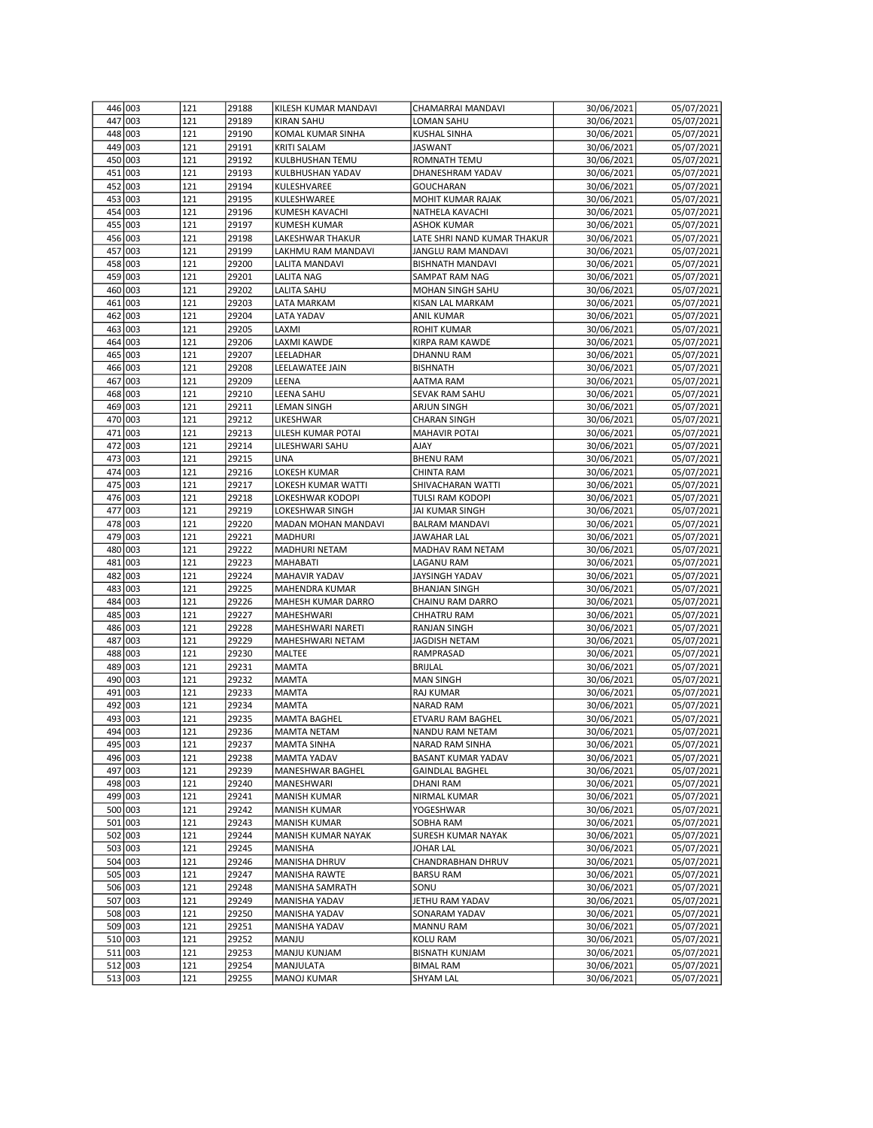| 446 003 | 121 | 29188 | KILESH KUMAR MANDAVI | CHAMARRAI MANDAVI           | 30/06/2021 | 05/07/2021 |
|---------|-----|-------|----------------------|-----------------------------|------------|------------|
| 447 003 | 121 | 29189 | <b>KIRAN SAHU</b>    | LOMAN SAHU                  | 30/06/2021 | 05/07/2021 |
| 448 003 | 121 | 29190 | KOMAL KUMAR SINHA    | <b>KUSHAL SINHA</b>         | 30/06/2021 | 05/07/2021 |
| 449 003 | 121 | 29191 | <b>KRITI SALAM</b>   | <b>JASWANT</b>              | 30/06/2021 | 05/07/2021 |
| 450 003 | 121 | 29192 | KULBHUSHAN TEMU      | ROMNATH TEMU                | 30/06/2021 | 05/07/2021 |
| 451 003 | 121 | 29193 | KULBHUSHAN YADAV     | DHANESHRAM YADAV            | 30/06/2021 | 05/07/2021 |
| 452 003 | 121 | 29194 | KULESHVAREE          | <b>GOUCHARAN</b>            | 30/06/2021 | 05/07/2021 |
| 453 003 | 121 | 29195 | KULESHWAREE          | MOHIT KUMAR RAJAK           | 30/06/2021 | 05/07/2021 |
| 454 003 | 121 | 29196 | KUMESH KAVACHI       | NATHELA KAVACHI             | 30/06/2021 | 05/07/2021 |
| 455 003 | 121 | 29197 | <b>KUMESH KUMAR</b>  | <b>ASHOK KUMAR</b>          | 30/06/2021 | 05/07/2021 |
| 456 003 | 121 | 29198 | LAKESHWAR THAKUR     | LATE SHRI NAND KUMAR THAKUR | 30/06/2021 | 05/07/2021 |
| 457 003 | 121 | 29199 |                      |                             |            |            |
|         |     |       | LAKHMU RAM MANDAVI   | JANGLU RAM MANDAVI          | 30/06/2021 | 05/07/2021 |
| 458 003 | 121 | 29200 | LALITA MANDAVI       | <b>BISHNATH MANDAVI</b>     | 30/06/2021 | 05/07/2021 |
| 459 003 | 121 | 29201 | <b>LALITA NAG</b>    | SAMPAT RAM NAG              | 30/06/2021 | 05/07/2021 |
| 460 003 | 121 | 29202 | LALITA SAHU          | MOHAN SINGH SAHU            | 30/06/2021 | 05/07/2021 |
| 461 003 | 121 | 29203 | LATA MARKAM          | KISAN LAL MARKAM            | 30/06/2021 | 05/07/2021 |
| 462 003 | 121 | 29204 | <b>LATA YADAV</b>    | ANIL KUMAR                  | 30/06/2021 | 05/07/2021 |
| 463 003 | 121 | 29205 | LAXMI                | <b>ROHIT KUMAR</b>          | 30/06/2021 | 05/07/2021 |
| 464 003 | 121 | 29206 | LAXMI KAWDE          | KIRPA RAM KAWDE             | 30/06/2021 | 05/07/2021 |
| 465 003 | 121 | 29207 | LEELADHAR            | DHANNU RAM                  | 30/06/2021 | 05/07/2021 |
| 466 003 | 121 | 29208 | LEELAWATEE JAIN      | <b>BISHNATH</b>             | 30/06/2021 | 05/07/2021 |
| 467 003 | 121 | 29209 | LEENA                | AATMA RAM                   | 30/06/2021 | 05/07/2021 |
| 468 003 | 121 | 29210 | LEENA SAHU           | SEVAK RAM SAHU              | 30/06/2021 | 05/07/2021 |
| 469 003 | 121 | 29211 | <b>LEMAN SINGH</b>   | <b>ARJUN SINGH</b>          | 30/06/2021 | 05/07/2021 |
| 470 003 | 121 | 29212 | LIKESHWAR            | <b>CHARAN SINGH</b>         | 30/06/2021 | 05/07/2021 |
| 471 003 | 121 | 29213 | LILESH KUMAR POTAI   | <b>MAHAVIR POTAI</b>        | 30/06/2021 | 05/07/2021 |
| 472 003 | 121 | 29214 | LILESHWARI SAHU      | <b>AJAY</b>                 | 30/06/2021 | 05/07/2021 |
| 473 003 | 121 | 29215 | LINA                 | <b>BHENU RAM</b>            | 30/06/2021 | 05/07/2021 |
| 474 003 |     | 29216 | LOKESH KUMAR         | <b>CHINTA RAM</b>           |            | 05/07/2021 |
|         | 121 |       | LOKESH KUMAR WATTI   |                             | 30/06/2021 |            |
| 475 003 | 121 | 29217 |                      | SHIVACHARAN WATTI           | 30/06/2021 | 05/07/2021 |
| 476 003 | 121 | 29218 | LOKESHWAR KODOPI     | TULSI RAM KODOPI            | 30/06/2021 | 05/07/2021 |
| 477 003 | 121 | 29219 | LOKESHWAR SINGH      | JAI KUMAR SINGH             | 30/06/2021 | 05/07/2021 |
| 478 003 | 121 | 29220 | MADAN MOHAN MANDAVI  | <b>BALRAM MANDAVI</b>       | 30/06/2021 | 05/07/2021 |
| 479 003 | 121 | 29221 | MADHURI              | JAWAHAR LAL                 | 30/06/2021 | 05/07/2021 |
| 480 003 | 121 | 29222 | <b>MADHURI NETAM</b> | MADHAV RAM NETAM            | 30/06/2021 | 05/07/2021 |
| 481 003 | 121 | 29223 | MAHABATI             | LAGANU RAM                  | 30/06/2021 | 05/07/2021 |
| 482 003 | 121 | 29224 | MAHAVIR YADAV        | JAYSINGH YADAV              | 30/06/2021 | 05/07/2021 |
| 483 003 | 121 | 29225 | MAHENDRA KUMAR       | <b>BHANJAN SINGH</b>        | 30/06/2021 | 05/07/2021 |
| 484 003 | 121 | 29226 | MAHESH KUMAR DARRO   | CHAINU RAM DARRO            | 30/06/2021 | 05/07/2021 |
| 485 003 | 121 | 29227 | MAHESHWARI           | CHHATRU RAM                 | 30/06/2021 | 05/07/2021 |
| 486 003 | 121 | 29228 | MAHESHWARI NARETI    | RANJAN SINGH                | 30/06/2021 | 05/07/2021 |
| 487 003 | 121 | 29229 | MAHESHWARI NETAM     | <b>JAGDISH NETAM</b>        | 30/06/2021 | 05/07/2021 |
| 488 003 | 121 | 29230 | MALTEE               | RAMPRASAD                   | 30/06/2021 | 05/07/2021 |
| 489 003 | 121 | 29231 | <b>MAMTA</b>         | <b>BRIJLAL</b>              | 30/06/2021 | 05/07/2021 |
| 490 003 | 121 | 29232 | <b>MAMTA</b>         | <b>MAN SINGH</b>            | 30/06/2021 | 05/07/2021 |
| 491 003 | 121 | 29233 | <b>MAMTA</b>         | RAJ KUMAR                   | 30/06/2021 | 05/07/2021 |
| 492 003 | 121 | 29234 | <b>MAMTA</b>         | <b>NARAD RAM</b>            | 30/06/2021 | 05/07/2021 |
| 493 003 | 121 | 29235 | <b>MAMTA BAGHEL</b>  | ETVARU RAM BAGHEL           | 30/06/2021 | 05/07/2021 |
| 494 003 | 121 | 29236 | <b>MAMTA NETAM</b>   | NANDU RAM NETAM             | 30/06/2021 | 05/07/2021 |
| 495 003 |     |       |                      |                             |            |            |
|         | 121 | 29237 | MAMTA SINHA          | NARAD RAM SINHA             | 30/06/2021 | 05/07/2021 |
| 496 003 | 121 | 29238 | MAMTA YADAV          | BASANT KUMAR YADAV          | 30/06/2021 | 05/07/2021 |
| 497 003 | 121 | 29239 | MANESHWAR BAGHEL     | <b>GAINDLAL BAGHEL</b>      | 30/06/2021 | 05/07/2021 |
| 498 003 | 121 | 29240 | MANESHWARI           | <b>DHANI RAM</b>            | 30/06/2021 | 05/07/2021 |
| 499 003 | 121 | 29241 | <b>MANISH KUMAR</b>  | NIRMAL KUMAR                | 30/06/2021 | 05/07/2021 |
| 500 003 | 121 | 29242 | <b>MANISH KUMAR</b>  | YOGESHWAR                   | 30/06/2021 | 05/07/2021 |
| 501 003 | 121 | 29243 | <b>MANISH KUMAR</b>  | SOBHA RAM                   | 30/06/2021 | 05/07/2021 |
| 502 003 | 121 | 29244 | MANISH KUMAR NAYAK   | SURESH KUMAR NAYAK          | 30/06/2021 | 05/07/2021 |
| 503 003 | 121 | 29245 | MANISHA              | JOHAR LAL                   | 30/06/2021 | 05/07/2021 |
| 504 003 | 121 | 29246 | MANISHA DHRUV        | CHANDRABHAN DHRUV           | 30/06/2021 | 05/07/2021 |
| 505 003 | 121 | 29247 | <b>MANISHA RAWTE</b> | <b>BARSU RAM</b>            | 30/06/2021 | 05/07/2021 |
| 506 003 | 121 | 29248 | MANISHA SAMRATH      | SONU                        | 30/06/2021 | 05/07/2021 |
| 507 003 | 121 | 29249 | MANISHA YADAV        | JETHU RAM YADAV             | 30/06/2021 | 05/07/2021 |
| 508 003 | 121 | 29250 | MANISHA YADAV        | SONARAM YADAV               | 30/06/2021 | 05/07/2021 |
| 509 003 | 121 | 29251 | MANISHA YADAV        | MANNU RAM                   | 30/06/2021 | 05/07/2021 |
| 510 003 | 121 | 29252 | MANJU                | KOLU RAM                    | 30/06/2021 | 05/07/2021 |
| 511 003 | 121 | 29253 | MANJU KUNJAM         | <b>BISNATH KUNJAM</b>       | 30/06/2021 | 05/07/2021 |
| 512 003 | 121 | 29254 | MANJULATA            | <b>BIMAL RAM</b>            | 30/06/2021 | 05/07/2021 |
| 513 003 | 121 | 29255 | <b>MANOJ KUMAR</b>   | SHYAM LAL                   | 30/06/2021 | 05/07/2021 |
|         |     |       |                      |                             |            |            |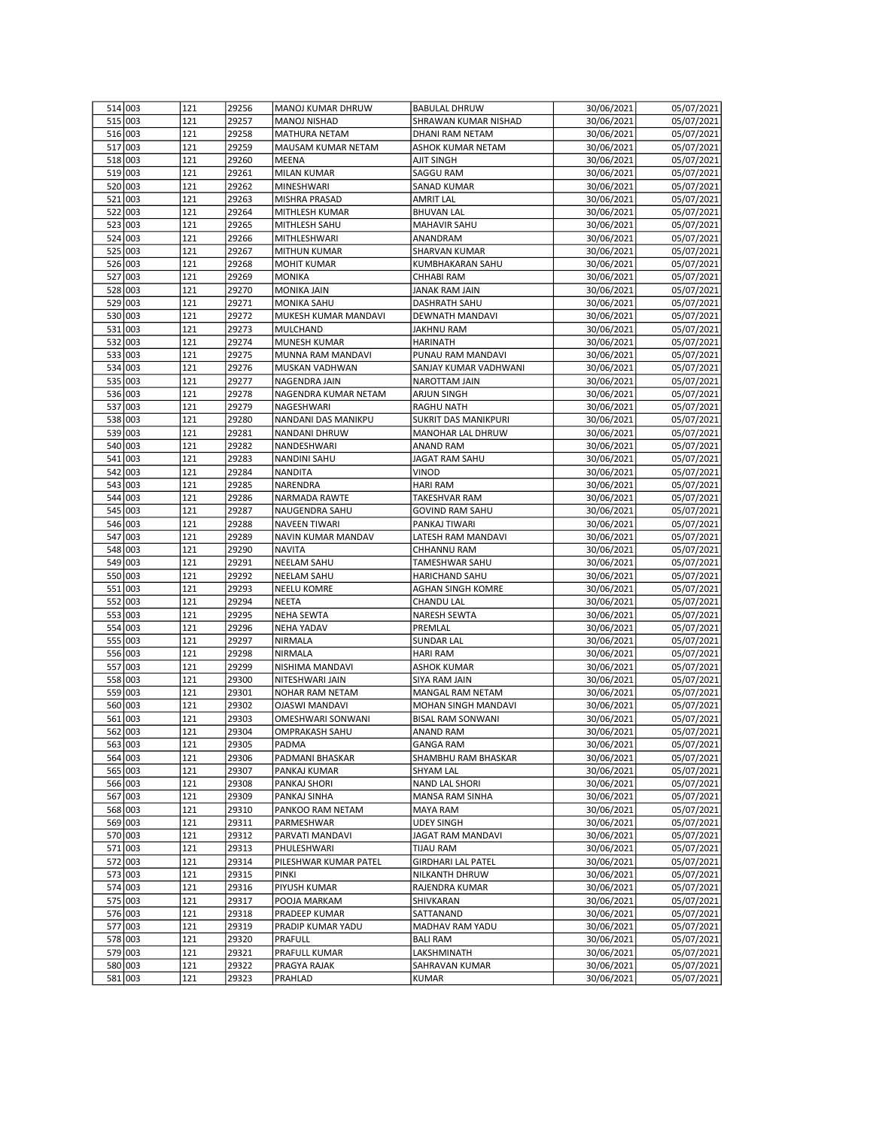| 514 003 | 121 | 29256 | MANOJ KUMAR DHRUW     | <b>BABULAL DHRUW</b>      | 30/06/2021 | 05/07/2021 |
|---------|-----|-------|-----------------------|---------------------------|------------|------------|
| 515 003 | 121 | 29257 | MANOJ NISHAD          | SHRAWAN KUMAR NISHAD      | 30/06/2021 | 05/07/2021 |
| 516 003 | 121 | 29258 | MATHURA NETAM         | DHANI RAM NETAM           | 30/06/2021 | 05/07/2021 |
| 517 003 | 121 | 29259 | MAUSAM KUMAR NETAM    | ASHOK KUMAR NETAM         | 30/06/2021 | 05/07/2021 |
| 518 003 | 121 | 29260 | <b>MEENA</b>          | AJIT SINGH                | 30/06/2021 | 05/07/2021 |
| 519 003 | 121 | 29261 | <b>MILAN KUMAR</b>    | SAGGU RAM                 | 30/06/2021 | 05/07/2021 |
| 520 003 | 121 | 29262 | MINESHWARI            | <b>SANAD KUMAR</b>        | 30/06/2021 | 05/07/2021 |
| 521 003 | 121 | 29263 | MISHRA PRASAD         | <b>AMRIT LAL</b>          | 30/06/2021 | 05/07/2021 |
| 522 003 | 121 | 29264 | MITHLESH KUMAR        | <b>BHUVAN LAL</b>         | 30/06/2021 | 05/07/2021 |
| 523 003 | 121 | 29265 | MITHLESH SAHU         | MAHAVIR SAHU              | 30/06/2021 | 05/07/2021 |
| 524 003 | 121 | 29266 | MITHLESHWARI          | ANANDRAM                  | 30/06/2021 | 05/07/2021 |
| 525 003 | 121 | 29267 | <b>MITHUN KUMAR</b>   | <b>SHARVAN KUMAR</b>      | 30/06/2021 | 05/07/2021 |
| 526 003 | 121 | 29268 | <b>MOHIT KUMAR</b>    | KUMBHAKARAN SAHU          | 30/06/2021 | 05/07/2021 |
| 527 003 | 121 | 29269 | <b>MONIKA</b>         | CHHABI RAM                | 30/06/2021 | 05/07/2021 |
| 528 003 | 121 | 29270 | <b>MONIKA JAIN</b>    | JANAK RAM JAIN            | 30/06/2021 | 05/07/2021 |
| 529 003 | 121 | 29271 | <b>MONIKA SAHU</b>    | <b>DASHRATH SAHU</b>      | 30/06/2021 | 05/07/2021 |
| 530 003 | 121 | 29272 | MUKESH KUMAR MANDAVI  | DEWNATH MANDAVI           | 30/06/2021 | 05/07/2021 |
| 531 003 | 121 | 29273 | MULCHAND              | <b>JAKHNU RAM</b>         | 30/06/2021 | 05/07/2021 |
| 532 003 | 121 | 29274 | MUNESH KUMAR          | <b>HARINATH</b>           | 30/06/2021 | 05/07/2021 |
| 533 003 | 121 | 29275 | MUNNA RAM MANDAVI     | PUNAU RAM MANDAVI         | 30/06/2021 | 05/07/2021 |
| 534 003 | 121 | 29276 | MUSKAN VADHWAN        | SANJAY KUMAR VADHWANI     | 30/06/2021 | 05/07/2021 |
| 535 003 | 121 | 29277 | NAGENDRA JAIN         | NAROTTAM JAIN             | 30/06/2021 | 05/07/2021 |
| 536 003 | 121 | 29278 | NAGENDRA KUMAR NETAM  | ARJUN SINGH               | 30/06/2021 | 05/07/2021 |
| 537 003 | 121 | 29279 | NAGESHWARI            | <b>RAGHU NATH</b>         | 30/06/2021 | 05/07/2021 |
| 538 003 | 121 | 29280 | NANDANI DAS MANIKPU   | SUKRIT DAS MANIKPURI      | 30/06/2021 | 05/07/2021 |
| 539 003 | 121 | 29281 | NANDANI DHRUW         | MANOHAR LAL DHRUW         | 30/06/2021 | 05/07/2021 |
| 540 003 | 121 | 29282 | NANDESHWARI           | ANAND RAM                 | 30/06/2021 | 05/07/2021 |
| 541 003 | 121 |       | <b>NANDINI SAHU</b>   |                           | 30/06/2021 |            |
|         |     | 29283 |                       | JAGAT RAM SAHU            |            | 05/07/2021 |
| 542 003 | 121 | 29284 | NANDITA               | VINOD                     | 30/06/2021 | 05/07/2021 |
| 543 003 | 121 | 29285 | NARENDRA              | <b>HARI RAM</b>           | 30/06/2021 | 05/07/2021 |
| 544 003 | 121 | 29286 | NARMADA RAWTE         | TAKESHVAR RAM             | 30/06/2021 | 05/07/2021 |
| 545 003 | 121 | 29287 | NAUGENDRA SAHU        | <b>GOVIND RAM SAHU</b>    | 30/06/2021 | 05/07/2021 |
| 546 003 | 121 | 29288 | NAVEEN TIWARI         | PANKAJ TIWARI             | 30/06/2021 | 05/07/2021 |
| 547 003 | 121 | 29289 | NAVIN KUMAR MANDAV    | LATESH RAM MANDAVI        | 30/06/2021 | 05/07/2021 |
| 548 003 | 121 | 29290 | NAVITA                | CHHANNU RAM               | 30/06/2021 | 05/07/2021 |
| 549 003 | 121 | 29291 | NEELAM SAHU           | TAMESHWAR SAHU            | 30/06/2021 | 05/07/2021 |
| 550 003 | 121 | 29292 | NEELAM SAHU           | HARICHAND SAHU            | 30/06/2021 | 05/07/2021 |
| 551 003 | 121 | 29293 | NEELU KOMRE           | AGHAN SINGH KOMRE         | 30/06/2021 | 05/07/2021 |
| 552 003 | 121 | 29294 | <b>NEETA</b>          | CHANDU LAL                | 30/06/2021 | 05/07/2021 |
| 553 003 | 121 | 29295 | <b>NEHA SEWTA</b>     | NARESH SEWTA              | 30/06/2021 | 05/07/2021 |
| 554 003 | 121 | 29296 | <b>NEHA YADAV</b>     | PREMLAL                   | 30/06/2021 | 05/07/2021 |
| 555 003 | 121 | 29297 | NIRMALA               | <b>SUNDAR LAL</b>         | 30/06/2021 | 05/07/2021 |
| 556 003 | 121 | 29298 | <b>NIRMALA</b>        | <b>HARI RAM</b>           | 30/06/2021 | 05/07/2021 |
| 557 003 | 121 | 29299 | NISHIMA MANDAVI       | <b>ASHOK KUMAR</b>        | 30/06/2021 | 05/07/2021 |
| 558 003 | 121 | 29300 | NITESHWARI JAIN       | SIYA RAM JAIN             | 30/06/2021 | 05/07/2021 |
| 559 003 | 121 | 29301 | NOHAR RAM NETAM       | MANGAL RAM NETAM          | 30/06/2021 | 05/07/2021 |
| 560 003 | 121 | 29302 | <b>OJASWI MANDAVI</b> | MOHAN SINGH MANDAVI       | 30/06/2021 | 05/07/2021 |
| 561 003 | 121 | 29303 | OMESHWARI SONWANI     | <b>BISAL RAM SONWANI</b>  | 30/06/2021 | 05/07/2021 |
| 562 003 | 121 | 29304 | OMPRAKASH SAHU        | ANAND RAM                 | 30/06/2021 | 05/07/2021 |
| 563 003 | 121 | 29305 | PADMA                 | <b>GANGA RAM</b>          | 30/06/2021 | 05/07/2021 |
| 564 003 | 121 | 29306 | PADMANI BHASKAR       | SHAMBHU RAM BHASKAR       | 30/06/2021 | 05/07/2021 |
| 565 003 | 121 | 29307 | PANKAJ KUMAR          | <b>SHYAM LAL</b>          | 30/06/2021 | 05/07/2021 |
| 566 003 | 121 | 29308 | PANKAJ SHORI          | NAND LAL SHORI            | 30/06/2021 | 05/07/2021 |
| 567 003 | 121 | 29309 | PANKAJ SINHA          | MANSA RAM SINHA           | 30/06/2021 | 05/07/2021 |
| 568 003 | 121 | 29310 | PANKOO RAM NETAM      | <b>MAYA RAM</b>           | 30/06/2021 | 05/07/2021 |
| 569 003 | 121 | 29311 | PARMESHWAR            | <b>UDEY SINGH</b>         | 30/06/2021 | 05/07/2021 |
| 570 003 | 121 | 29312 | PARVATI MANDAVI       | JAGAT RAM MANDAVI         | 30/06/2021 | 05/07/2021 |
| 571 003 | 121 | 29313 | PHULESHWARI           | <b>TIJAU RAM</b>          | 30/06/2021 | 05/07/2021 |
| 572 003 | 121 | 29314 | PILESHWAR KUMAR PATEL | <b>GIRDHARI LAL PATEL</b> | 30/06/2021 | 05/07/2021 |
| 573 003 | 121 | 29315 | <b>PINKI</b>          | NILKANTH DHRUW            | 30/06/2021 | 05/07/2021 |
| 574 003 | 121 | 29316 | PIYUSH KUMAR          | RAJENDRA KUMAR            | 30/06/2021 | 05/07/2021 |
| 575 003 | 121 | 29317 | POOJA MARKAM          | SHIVKARAN                 | 30/06/2021 | 05/07/2021 |
| 576 003 | 121 | 29318 | PRADEEP KUMAR         | SATTANAND                 | 30/06/2021 | 05/07/2021 |
| 577 003 | 121 | 29319 | PRADIP KUMAR YADU     | MADHAV RAM YADU           | 30/06/2021 | 05/07/2021 |
| 578 003 | 121 | 29320 | PRAFULL               | <b>BALI RAM</b>           | 30/06/2021 | 05/07/2021 |
| 579 003 | 121 | 29321 | PRAFULL KUMAR         | LAKSHMINATH               | 30/06/2021 | 05/07/2021 |
| 580 003 | 121 | 29322 | PRAGYA RAJAK          | SAHRAVAN KUMAR            | 30/06/2021 | 05/07/2021 |
| 581 003 | 121 | 29323 | PRAHLAD               | <b>KUMAR</b>              | 30/06/2021 | 05/07/2021 |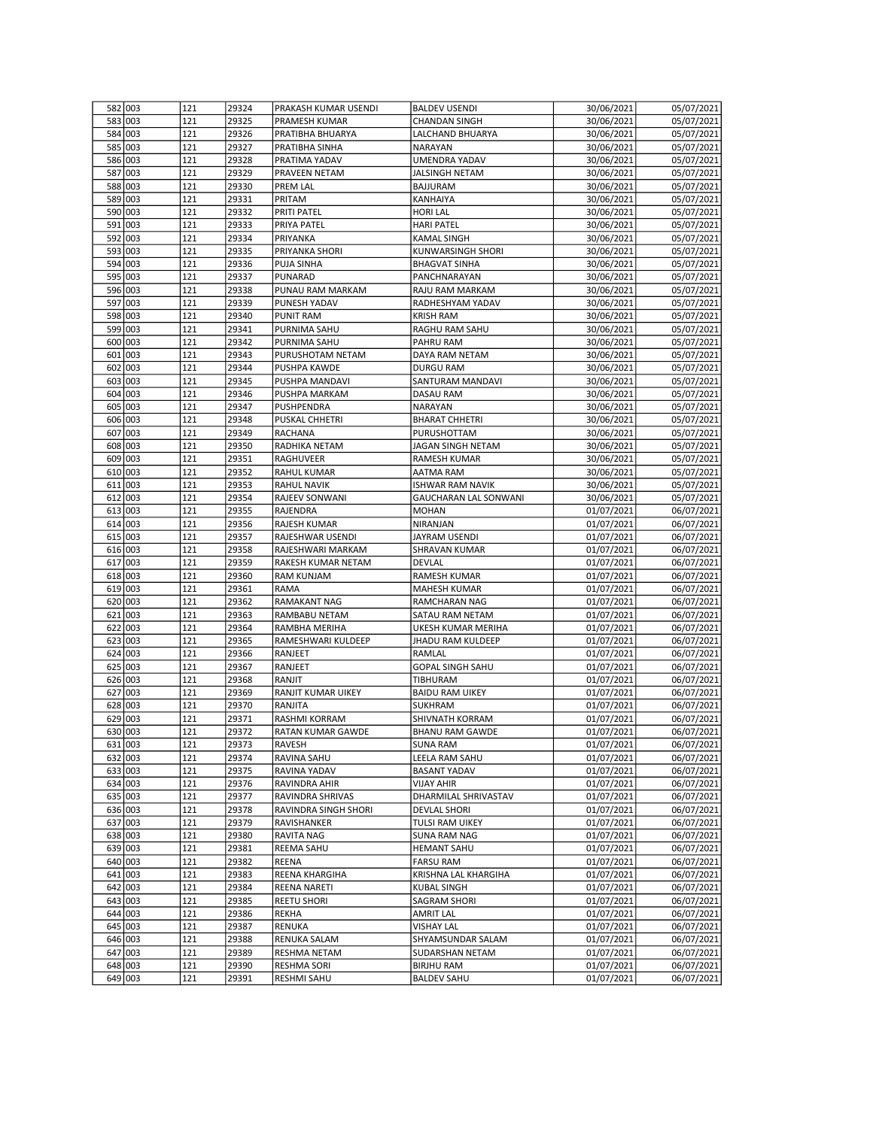|     | 582 003 | 121 | 29324 | PRAKASH KUMAR USENDI | <b>BALDEV USENDI</b>     | 30/06/2021 | 05/07/2021 |
|-----|---------|-----|-------|----------------------|--------------------------|------------|------------|
|     | 583 003 | 121 | 29325 | PRAMESH KUMAR        | CHANDAN SINGH            | 30/06/2021 | 05/07/2021 |
|     | 584 003 | 121 | 29326 | PRATIBHA BHUARYA     | LALCHAND BHUARYA         | 30/06/2021 | 05/07/2021 |
|     | 585 003 | 121 | 29327 | PRATIBHA SINHA       | NARAYAN                  | 30/06/2021 | 05/07/2021 |
|     | 586 003 | 121 | 29328 | PRATIMA YADAV        | UMENDRA YADAV            | 30/06/2021 | 05/07/2021 |
|     | 587 003 | 121 | 29329 | PRAVEEN NETAM        | JALSINGH NETAM           | 30/06/2021 | 05/07/2021 |
|     | 588 003 | 121 | 29330 | PREM LAL             | BAJJURAM                 | 30/06/2021 | 05/07/2021 |
|     | 589 003 | 121 | 29331 | PRITAM               | KANHAIYA                 | 30/06/2021 | 05/07/2021 |
|     | 590 003 | 121 | 29332 | PRITI PATEL          | HORI LAL                 | 30/06/2021 | 05/07/2021 |
|     | 591 003 | 121 | 29333 | PRIYA PATEL          | HARI PATEL               | 30/06/2021 | 05/07/2021 |
|     | 592 003 | 121 | 29334 | PRIYANKA             | KAMAL SINGH              | 30/06/2021 | 05/07/2021 |
|     | 593 003 | 121 | 29335 | PRIYANKA SHORI       | <b>KUNWARSINGH SHORI</b> | 30/06/2021 | 05/07/2021 |
|     | 594 003 | 121 | 29336 | PUJA SINHA           | <b>BHAGVAT SINHA</b>     | 30/06/2021 | 05/07/2021 |
|     | 595 003 | 121 | 29337 | PUNARAD              | PANCHNARAYAN             | 30/06/2021 | 05/07/2021 |
|     | 596 003 | 121 | 29338 | PUNAU RAM MARKAM     | RAJU RAM MARKAM          | 30/06/2021 | 05/07/2021 |
|     | 597 003 | 121 | 29339 | PUNESH YADAV         | RADHESHYAM YADAV         | 30/06/2021 | 05/07/2021 |
|     | 598 003 | 121 | 29340 | <b>PUNIT RAM</b>     | <b>KRISH RAM</b>         | 30/06/2021 | 05/07/2021 |
|     | 599 003 | 121 | 29341 | PURNIMA SAHU         | RAGHU RAM SAHU           | 30/06/2021 | 05/07/2021 |
|     | 600 003 | 121 | 29342 | PURNIMA SAHU         | PAHRU RAM                | 30/06/2021 | 05/07/2021 |
|     | 601 003 | 121 | 29343 | PURUSHOTAM NETAM     | DAYA RAM NETAM           | 30/06/2021 | 05/07/2021 |
|     | 602 003 | 121 | 29344 | PUSHPA KAWDE         | <b>DURGU RAM</b>         | 30/06/2021 | 05/07/2021 |
|     | 603 003 | 121 | 29345 | PUSHPA MANDAVI       | SANTURAM MANDAVI         | 30/06/2021 | 05/07/2021 |
|     | 604 003 | 121 | 29346 | PUSHPA MARKAM        | DASAU RAM                | 30/06/2021 | 05/07/2021 |
|     | 605 003 | 121 | 29347 | PUSHPENDRA           | NARAYAN                  | 30/06/2021 | 05/07/2021 |
|     | 606 003 | 121 | 29348 | PUSKAL CHHETRI       | <b>BHARAT CHHETRI</b>    | 30/06/2021 | 05/07/2021 |
|     | 607 003 | 121 | 29349 | RACHANA              | PURUSHOTTAM              | 30/06/2021 | 05/07/2021 |
|     | 608 003 | 121 | 29350 | RADHIKA NETAM        | JAGAN SINGH NETAM        | 30/06/2021 | 05/07/2021 |
|     | 609 003 | 121 | 29351 | RAGHUVEER            | RAMESH KUMAR             | 30/06/2021 | 05/07/2021 |
|     | 610 003 | 121 | 29352 | RAHUL KUMAR          | AATMA RAM                | 30/06/2021 | 05/07/2021 |
|     | 611 003 | 121 | 29353 | RAHUL NAVIK          | <b>ISHWAR RAM NAVIK</b>  | 30/06/2021 | 05/07/2021 |
|     | 612 003 | 121 | 29354 | RAJEEV SONWANI       | GAUCHARAN LAL SONWANI    | 30/06/2021 | 05/07/2021 |
|     | 613 003 | 121 | 29355 | RAJENDRA             | MOHAN                    | 01/07/2021 | 06/07/2021 |
|     | 614 003 | 121 | 29356 | RAJESH KUMAR         | NIRANJAN                 | 01/07/2021 | 06/07/2021 |
|     | 615 003 | 121 | 29357 | RAJESHWAR USENDI     | JAYRAM USENDI            | 01/07/2021 | 06/07/2021 |
|     | 616 003 | 121 | 29358 | RAJESHWARI MARKAM    | SHRAVAN KUMAR            | 01/07/2021 | 06/07/2021 |
|     | 617 003 | 121 | 29359 | RAKESH KUMAR NETAM   | DEVLAL                   | 01/07/2021 | 06/07/2021 |
|     | 618 003 | 121 | 29360 | RAM KUNJAM           | RAMESH KUMAR             | 01/07/2021 | 06/07/2021 |
|     | 619 003 | 121 | 29361 | RAMA                 | MAHESH KUMAR             | 01/07/2021 | 06/07/2021 |
|     | 620 003 | 121 | 29362 | RAMAKANT NAG         | RAMCHARAN NAG            | 01/07/2021 | 06/07/2021 |
|     | 621 003 | 121 | 29363 | RAMBABU NETAM        | SATAU RAM NETAM          | 01/07/2021 | 06/07/2021 |
|     | 622 003 | 121 | 29364 | RAMBHA MERIHA        | UKESH KUMAR MERIHA       | 01/07/2021 | 06/07/2021 |
|     | 623 003 | 121 | 29365 | RAMESHWARI KULDEEP   | JHADU RAM KULDEEP        | 01/07/2021 | 06/07/2021 |
|     | 624 003 | 121 | 29366 | RANJEET              | RAMLAL                   | 01/07/2021 | 06/07/2021 |
|     | 625 003 | 121 | 29367 | RANJEET              | <b>GOPAL SINGH SAHU</b>  | 01/07/2021 | 06/07/2021 |
|     | 626 003 | 121 | 29368 | RANJIT               | TIBHURAM                 | 01/07/2021 | 06/07/2021 |
|     | 627 003 | 121 | 29369 | RANJIT KUMAR UIKEY   | <b>BAIDU RAM UIKEY</b>   | 01/07/2021 | 06/07/2021 |
|     | 628 003 | 121 | 29370 | RANJITA              | SUKHRAM                  | 01/07/2021 | 06/07/2021 |
| 629 | 003     | 121 | 29371 | RASHMI KORRAM        | SHIVNATH KORRAM          | 01/07/2021 | 06/07/2021 |
|     | 630 003 | 121 | 29372 | RATAN KUMAR GAWDE    | <b>BHANU RAM GAWDE</b>   | 01/07/2021 | 06/07/2021 |
|     | 631 003 | 121 | 29373 | RAVESH               | SUNA RAM                 | 01/07/2021 | 06/07/2021 |
|     | 632 003 | 121 | 29374 | RAVINA SAHU          | LEELA RAM SAHU           | 01/07/2021 | 06/07/2021 |
|     | 633 003 | 121 | 29375 | RAVINA YADAV         | <b>BASANT YADAV</b>      | 01/07/2021 | 06/07/2021 |
|     | 634 003 | 121 | 29376 | RAVINDRA AHIR        | VIJAY AHIR               | 01/07/2021 | 06/07/2021 |
|     | 635 003 | 121 | 29377 | RAVINDRA SHRIVAS     | DHARMILAL SHRIVASTAV     | 01/07/2021 | 06/07/2021 |
|     | 636 003 | 121 | 29378 | RAVINDRA SINGH SHORI | DEVLAL SHORI             | 01/07/2021 | 06/07/2021 |
|     | 637 003 | 121 | 29379 | RAVISHANKER          | <b>TULSI RAM UIKEY</b>   | 01/07/2021 | 06/07/2021 |
|     | 638 003 | 121 | 29380 | RAVITA NAG           | <b>SUNA RAM NAG</b>      | 01/07/2021 | 06/07/2021 |
|     | 639 003 | 121 | 29381 | REEMA SAHU           | <b>HEMANT SAHU</b>       | 01/07/2021 | 06/07/2021 |
|     | 640 003 | 121 | 29382 | REENA                | <b>FARSU RAM</b>         | 01/07/2021 | 06/07/2021 |
|     | 641 003 | 121 | 29383 | REENA KHARGIHA       | KRISHNA LAL KHARGIHA     | 01/07/2021 | 06/07/2021 |
|     | 642 003 | 121 | 29384 | REENA NARETI         | KUBAL SINGH              | 01/07/2021 | 06/07/2021 |
|     | 643 003 | 121 | 29385 | <b>REETU SHORI</b>   | SAGRAM SHORI             | 01/07/2021 | 06/07/2021 |
|     | 644 003 | 121 | 29386 | REKHA                | AMRIT LAL                | 01/07/2021 | 06/07/2021 |
|     | 645 003 | 121 | 29387 | RENUKA               | VISHAY LAL               | 01/07/2021 | 06/07/2021 |
|     | 646 003 | 121 | 29388 | RENUKA SALAM         | SHYAMSUNDAR SALAM        | 01/07/2021 | 06/07/2021 |
|     | 647 003 | 121 | 29389 | RESHMA NETAM         | SUDARSHAN NETAM          | 01/07/2021 | 06/07/2021 |
|     | 648 003 | 121 | 29390 | RESHMA SORI          | <b>BIRJHU RAM</b>        | 01/07/2021 | 06/07/2021 |
|     | 649 003 | 121 | 29391 | RESHMI SAHU          | <b>BALDEV SAHU</b>       | 01/07/2021 | 06/07/2021 |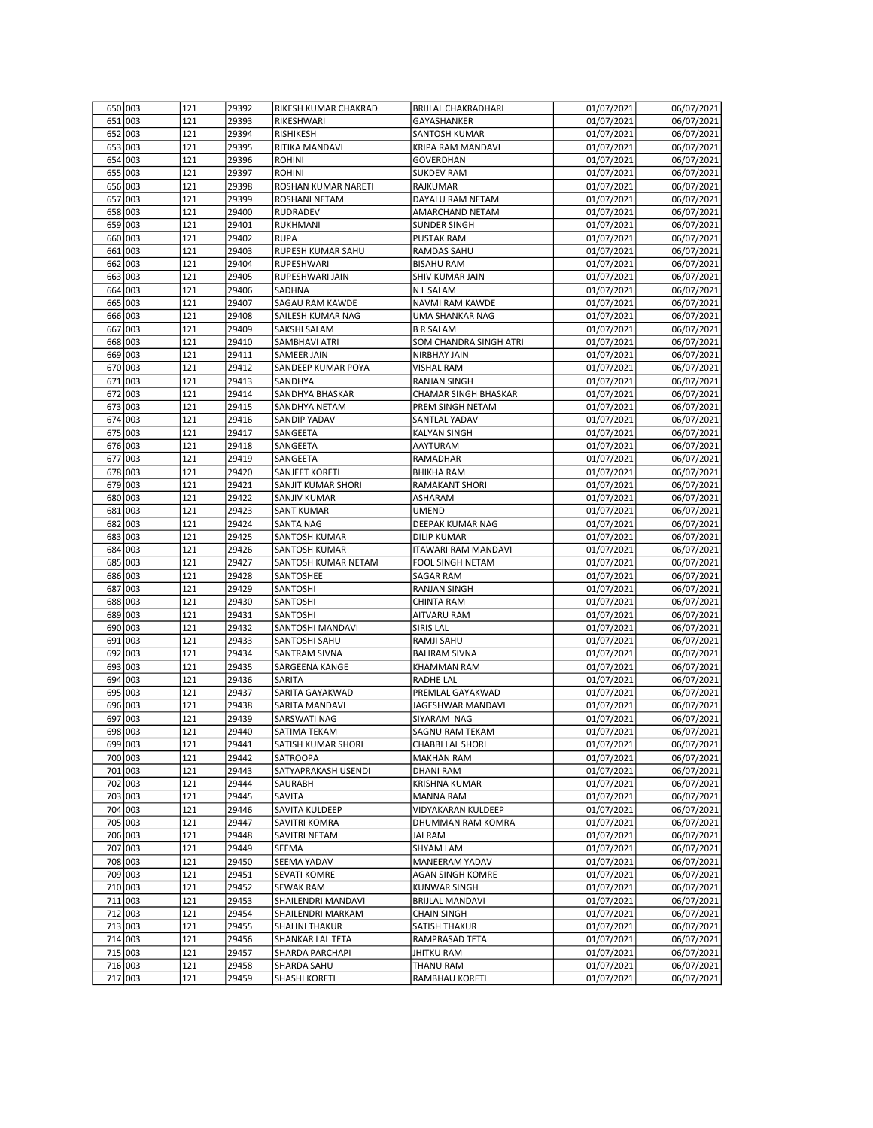| 650 003            | 121 | 29392 | RIKESH KUMAR CHAKRAD | BRIJLAL CHAKRADHARI        | 01/07/2021 | 06/07/2021 |
|--------------------|-----|-------|----------------------|----------------------------|------------|------------|
| 651 003            | 121 | 29393 | RIKESHWARI           | GAYASHANKER                | 01/07/2021 | 06/07/2021 |
| 652 003            | 121 | 29394 | RISHIKESH            | SANTOSH KUMAR              | 01/07/2021 | 06/07/2021 |
| 653 003            | 121 | 29395 | RITIKA MANDAVI       | KRIPA RAM MANDAVI          | 01/07/2021 | 06/07/2021 |
| 654 003            | 121 | 29396 | <b>ROHINI</b>        | GOVERDHAN                  | 01/07/2021 | 06/07/2021 |
| 655 003            | 121 | 29397 | <b>ROHINI</b>        | <b>SUKDEV RAM</b>          | 01/07/2021 | 06/07/2021 |
| 656 003            | 121 | 29398 | ROSHAN KUMAR NARETI  | RAJKUMAR                   | 01/07/2021 | 06/07/2021 |
| 657 003            | 121 | 29399 | ROSHANI NETAM        | DAYALU RAM NETAM           | 01/07/2021 | 06/07/2021 |
| 658 003            | 121 | 29400 | <b>RUDRADEV</b>      | AMARCHAND NETAM            | 01/07/2021 | 06/07/2021 |
| 659 003            | 121 | 29401 | RUKHMANI             | <b>SUNDER SINGH</b>        | 01/07/2021 | 06/07/2021 |
| 660 003            | 121 | 29402 | <b>RUPA</b>          | <b>PUSTAK RAM</b>          | 01/07/2021 | 06/07/2021 |
| 661 003            | 121 | 29403 | RUPESH KUMAR SAHU    | RAMDAS SAHU                | 01/07/2021 | 06/07/2021 |
| 662 003            | 121 | 29404 | RUPESHWARI           | <b>BISAHU RAM</b>          | 01/07/2021 | 06/07/2021 |
|                    |     | 29405 |                      | SHIV KUMAR JAIN            |            |            |
| 663 003<br>664 003 | 121 |       | RUPESHWARI JAIN      |                            | 01/07/2021 | 06/07/2021 |
|                    | 121 | 29406 | SADHNA               | N L SALAM                  | 01/07/2021 | 06/07/2021 |
| 665 003            | 121 | 29407 | SAGAU RAM KAWDE      | NAVMI RAM KAWDE            | 01/07/2021 | 06/07/2021 |
| 666 003            | 121 | 29408 | SAILESH KUMAR NAG    | UMA SHANKAR NAG            | 01/07/2021 | 06/07/2021 |
| 667 003            | 121 | 29409 | SAKSHI SALAM         | <b>B R SALAM</b>           | 01/07/2021 | 06/07/2021 |
| 668 003            | 121 | 29410 | SAMBHAVI ATRI        | SOM CHANDRA SINGH ATRI     | 01/07/2021 | 06/07/2021 |
| 669 003            | 121 | 29411 | SAMEER JAIN          | NIRBHAY JAIN               | 01/07/2021 | 06/07/2021 |
| 670 003            | 121 | 29412 | SANDEEP KUMAR POYA   | VISHAL RAM                 | 01/07/2021 | 06/07/2021 |
| 671 003            | 121 | 29413 | SANDHYA              | RANJAN SINGH               | 01/07/2021 | 06/07/2021 |
| 672 003            | 121 | 29414 | SANDHYA BHASKAR      | CHAMAR SINGH BHASKAR       | 01/07/2021 | 06/07/2021 |
| 673 003            | 121 | 29415 | SANDHYA NETAM        | PREM SINGH NETAM           | 01/07/2021 | 06/07/2021 |
| 674 003            | 121 | 29416 | SANDIP YADAV         | SANTLAL YADAV              | 01/07/2021 | 06/07/2021 |
| 675 003            | 121 | 29417 | SANGEETA             | <b>KALYAN SINGH</b>        | 01/07/2021 | 06/07/2021 |
| 676 003            | 121 | 29418 | SANGEETA             | AAYTURAM                   | 01/07/2021 | 06/07/2021 |
| 677 003            | 121 | 29419 | SANGEETA             | <b>RAMADHAR</b>            | 01/07/2021 | 06/07/2021 |
| 678 003            | 121 | 29420 | SANJEET KORETI       | <b>BHIKHA RAM</b>          | 01/07/2021 | 06/07/2021 |
| 679 003            | 121 | 29421 | SANJIT KUMAR SHORI   | RAMAKANT SHORI             | 01/07/2021 | 06/07/2021 |
| 680 003            | 121 | 29422 | SANJIV KUMAR         | ASHARAM                    | 01/07/2021 | 06/07/2021 |
| 681 003            | 121 | 29423 | <b>SANT KUMAR</b>    | UMEND                      | 01/07/2021 | 06/07/2021 |
| 682 003            | 121 | 29424 | SANTA NAG            | DEEPAK KUMAR NAG           | 01/07/2021 | 06/07/2021 |
| 683 003            | 121 | 29425 | SANTOSH KUMAR        | DILIP KUMAR                | 01/07/2021 | 06/07/2021 |
| 684 003            | 121 | 29426 | SANTOSH KUMAR        | <b>ITAWARI RAM MANDAVI</b> | 01/07/2021 | 06/07/2021 |
| 685 003            | 121 | 29427 | SANTOSH KUMAR NETAM  | FOOL SINGH NETAM           | 01/07/2021 | 06/07/2021 |
| 686 003            | 121 | 29428 | SANTOSHEE            | SAGAR RAM                  | 01/07/2021 | 06/07/2021 |
|                    |     |       |                      |                            |            |            |
| 687 003            | 121 | 29429 | SANTOSHI             | RANJAN SINGH               | 01/07/2021 | 06/07/2021 |
| 688 003            | 121 | 29430 | SANTOSHI             | CHINTA RAM                 | 01/07/2021 | 06/07/2021 |
| 689 003            | 121 | 29431 | SANTOSHI             | AITVARU RAM                | 01/07/2021 | 06/07/2021 |
| 690 003            | 121 | 29432 | SANTOSHI MANDAVI     | SIRIS LAL                  | 01/07/2021 | 06/07/2021 |
| 691 003            | 121 | 29433 | SANTOSHI SAHU        | RAMJI SAHU                 | 01/07/2021 | 06/07/2021 |
| 692 003            | 121 | 29434 | <b>SANTRAM SIVNA</b> | <b>BALIRAM SIVNA</b>       | 01/07/2021 | 06/07/2021 |
| 693 003            | 121 | 29435 | SARGEENA KANGE       | KHAMMAN RAM                | 01/07/2021 | 06/07/2021 |
| 694 003            | 121 | 29436 | SARITA               | RADHE LAL                  | 01/07/2021 | 06/07/2021 |
| 695 003            | 121 | 29437 | SARITA GAYAKWAD      | PREMLAL GAYAKWAD           | 01/07/2021 | 06/07/2021 |
| 696 003            | 121 | 29438 | SARITA MANDAVI       | JAGESHWAR MANDAVI          | 01/07/2021 | 06/07/2021 |
| 697 003            | 121 | 29439 | SARSWATI NAG         | SIYARAM NAG                | 01/07/2021 | 06/07/2021 |
| 698 003            | 121 | 29440 | SATIMA TEKAM         | SAGNU RAM TEKAM            | 01/07/2021 | 06/07/2021 |
| 699 003            | 121 | 29441 | SATISH KUMAR SHORI   | <b>CHABBI LAL SHORI</b>    | 01/07/2021 | 06/07/2021 |
| 700 003            | 121 | 29442 | SATROOPA             | <b>MAKHAN RAM</b>          | 01/07/2021 | 06/07/2021 |
| 701 003            | 121 | 29443 | SATYAPRAKASH USENDI  | DHANI RAM                  | 01/07/2021 | 06/07/2021 |
| 702 003            | 121 | 29444 | SAURABH              | KRISHNA KUMAR              | 01/07/2021 | 06/07/2021 |
| 703 003            | 121 | 29445 | SAVITA               | <b>MANNA RAM</b>           | 01/07/2021 | 06/07/2021 |
| 704 003            | 121 | 29446 | SAVITA KULDEEP       | VIDYAKARAN KULDEEP         | 01/07/2021 | 06/07/2021 |
| 705 003            | 121 | 29447 | SAVITRI KOMRA        | DHUMMAN RAM KOMRA          | 01/07/2021 | 06/07/2021 |
| 706 003            | 121 | 29448 | SAVITRI NETAM        | <b>JAI RAM</b>             | 01/07/2021 | 06/07/2021 |
| 707 003            | 121 | 29449 | SEEMA                | SHYAM LAM                  | 01/07/2021 | 06/07/2021 |
| 708 003            | 121 | 29450 | SEEMA YADAV          | MANEERAM YADAV             | 01/07/2021 | 06/07/2021 |
| 709 003            | 121 | 29451 | SEVATI KOMRE         | AGAN SINGH KOMRE           | 01/07/2021 | 06/07/2021 |
| 710 003            | 121 | 29452 | SEWAK RAM            | KUNWAR SINGH               | 01/07/2021 | 06/07/2021 |
| 711 003            | 121 | 29453 | SHAILENDRI MANDAVI   | <b>BRIJLAL MANDAVI</b>     | 01/07/2021 | 06/07/2021 |
| 712 003            | 121 | 29454 | SHAILENDRI MARKAM    | CHAIN SINGH                | 01/07/2021 | 06/07/2021 |
| 713 003            | 121 | 29455 | SHALINI THAKUR       | SATISH THAKUR              | 01/07/2021 | 06/07/2021 |
| 714 003            | 121 | 29456 |                      | RAMPRASAD TETA             | 01/07/2021 |            |
|                    |     |       | SHANKAR LAL TETA     |                            |            | 06/07/2021 |
| 715 003            | 121 | 29457 | SHARDA PARCHAPI      | JHITKU RAM                 | 01/07/2021 | 06/07/2021 |
| 716 003            | 121 | 29458 | SHARDA SAHU          | THANU RAM                  | 01/07/2021 | 06/07/2021 |
| 717 003            | 121 | 29459 | SHASHI KORETI        | RAMBHAU KORETI             | 01/07/2021 | 06/07/2021 |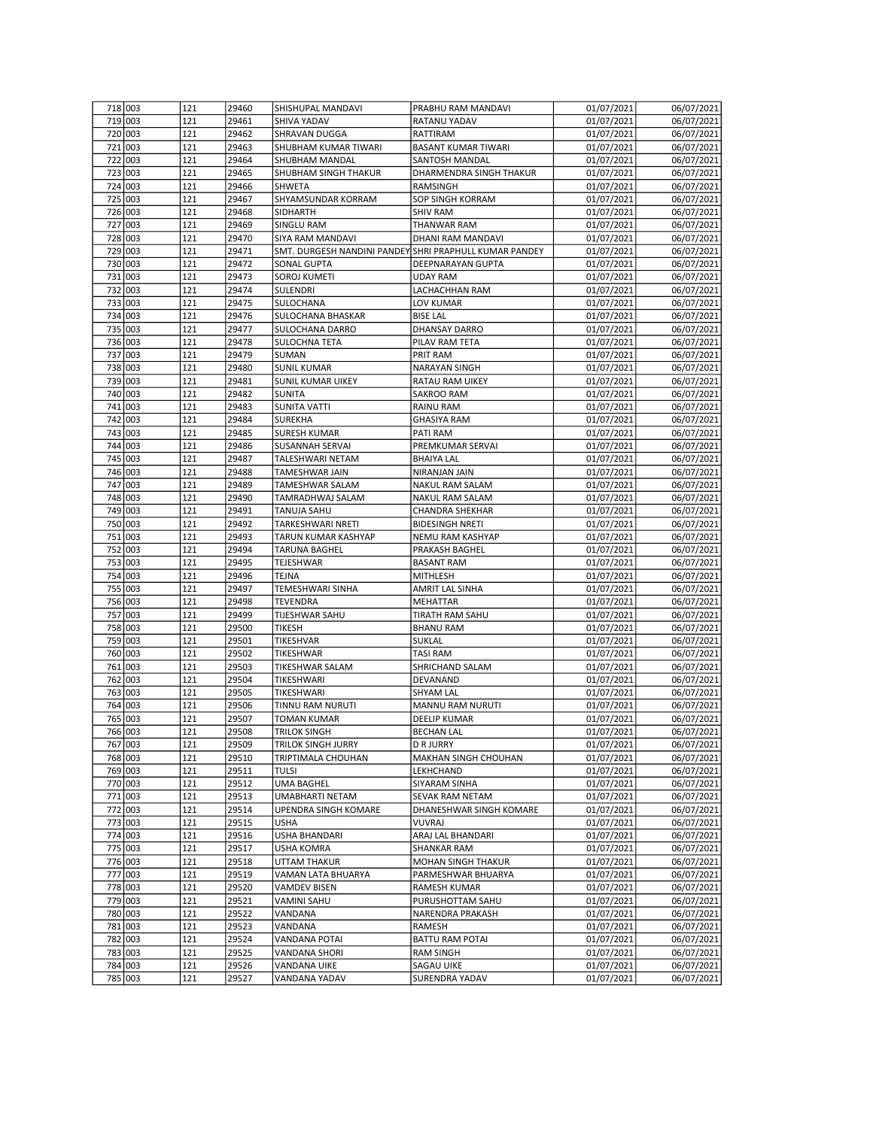|         | 718 003            | 121        | 29460          | SHISHUPAL MANDAVI                                      | PRABHU RAM MANDAVI           | 01/07/2021               | 06/07/2021               |
|---------|--------------------|------------|----------------|--------------------------------------------------------|------------------------------|--------------------------|--------------------------|
|         | 719 003            | 121        | 29461          | SHIVA YADAV                                            | RATANU YADAV                 | 01/07/2021               | 06/07/2021               |
|         | 720 003            | 121        | 29462          | SHRAVAN DUGGA                                          | RATTIRAM                     | 01/07/2021               | 06/07/2021               |
|         | 721 003            | 121        | 29463          | SHUBHAM KUMAR TIWARI                                   | <b>BASANT KUMAR TIWARI</b>   | 01/07/2021               | 06/07/2021               |
|         | 722 003            | 121        | 29464          | SHUBHAM MANDAL                                         | SANTOSH MANDAL               | 01/07/2021               | 06/07/2021               |
|         | 723 003            | 121        | 29465          | SHUBHAM SINGH THAKUR                                   | DHARMENDRA SINGH THAKUR      | 01/07/2021               | 06/07/2021               |
|         |                    |            |                |                                                        |                              |                          |                          |
|         | 724 003            | 121        | 29466          | SHWETA                                                 | RAMSINGH                     | 01/07/2021               | 06/07/2021               |
|         | 725 003            | 121        | 29467          | SHYAMSUNDAR KORRAM                                     | SOP SINGH KORRAM             | 01/07/2021               | 06/07/2021               |
| 726 003 |                    | 121        | 29468          | SIDHARTH                                               | <b>SHIV RAM</b>              | 01/07/2021               | 06/07/2021               |
| 727 003 |                    | 121        | 29469          | SINGLU RAM                                             | THANWAR RAM                  | 01/07/2021               | 06/07/2021               |
| 728 003 |                    | 121        | 29470          | SIYA RAM MANDAVI                                       | DHANI RAM MANDAVI            | 01/07/2021               | 06/07/2021               |
| 729 003 |                    | 121        | 29471          | SMT. DURGESH NANDINI PANDEY SHRI PRAPHULL KUMAR PANDEY |                              | 01/07/2021               | 06/07/2021               |
| 730 003 |                    | 121        | 29472          | SONAL GUPTA                                            | DEEPNARAYAN GUPTA            | 01/07/2021               | 06/07/2021               |
|         | 731 003            | 121        | 29473          | SOROJ KUMETI                                           | <b>UDAY RAM</b>              | 01/07/2021               | 06/07/2021               |
| 732 003 |                    | 121        | 29474          | <b>SULENDRI</b>                                        | LACHACHHAN RAM               | 01/07/2021               | 06/07/2021               |
| 733 003 |                    | 121        | 29475          | SULOCHANA                                              | LOV KUMAR                    | 01/07/2021               | 06/07/2021               |
|         |                    |            |                |                                                        |                              |                          |                          |
| 734 003 |                    | 121        | 29476          | SULOCHANA BHASKAR                                      | <b>BISE LAL</b>              | 01/07/2021               | 06/07/2021               |
| 735 003 |                    | 121        | 29477          | SULOCHANA DARRO                                        | DHANSAY DARRO                | 01/07/2021               | 06/07/2021               |
| 736 003 |                    | 121        | 29478          | SULOCHNA TETA                                          | PILAV RAM TETA               | 01/07/2021               | 06/07/2021               |
| 737 003 |                    | 121        | 29479          | SUMAN                                                  | PRIT RAM                     | 01/07/2021               | 06/07/2021               |
|         | 738 003            | 121        | 29480          | <b>SUNIL KUMAR</b>                                     | <b>NARAYAN SINGH</b>         | 01/07/2021               | 06/07/2021               |
| 739 003 |                    | 121        | 29481          | <b>SUNIL KUMAR UIKEY</b>                               | RATAU RAM UIKEY              | 01/07/2021               | 06/07/2021               |
|         | 740 003            | 121        | 29482          | <b>SUNITA</b>                                          | <b>SAKROO RAM</b>            | 01/07/2021               | 06/07/2021               |
|         | 741 003            | 121        | 29483          | <b>SUNITA VATTI</b>                                    | <b>RAINU RAM</b>             | 01/07/2021               | 06/07/2021               |
|         | 742 003            | 121        | 29484          | <b>SUREKHA</b>                                         | <b>GHASIYA RAM</b>           | 01/07/2021               | 06/07/2021               |
|         |                    |            |                |                                                        |                              |                          |                          |
|         | 743 003            | 121        | 29485          | <b>SURESH KUMAR</b>                                    | PATI RAM                     | 01/07/2021               | 06/07/2021               |
|         | 744 003            | 121        | 29486          | SUSANNAH SERVAI                                        | PREMKUMAR SERVAI             | 01/07/2021               | 06/07/2021               |
|         | 745 003            | 121        | 29487          | TALESHWARI NETAM                                       | <b>BHAIYA LAL</b>            | 01/07/2021               | 06/07/2021               |
|         | 746 003            | 121        | 29488          | TAMESHWAR JAIN                                         | NIRANJAN JAIN                | 01/07/2021               | 06/07/2021               |
|         | 747 003            | 121        | 29489          | TAMESHWAR SALAM                                        | NAKUL RAM SALAM              | 01/07/2021               | 06/07/2021               |
|         | 748 003            | 121        | 29490          | TAMRADHWAJ SALAM                                       | NAKUL RAM SALAM              | 01/07/2021               | 06/07/2021               |
|         | 749 003            | 121        | 29491          | TANUJA SAHU                                            | <b>CHANDRA SHEKHAR</b>       | 01/07/2021               | 06/07/2021               |
|         | 750 003            | 121        | 29492          | TARKESHWARI NRETI                                      | <b>BIDESINGH NRETI</b>       | 01/07/2021               | 06/07/2021               |
| 751 003 |                    | 121        | 29493          | TARUN KUMAR KASHYAP                                    | NEMU RAM KASHYAP             | 01/07/2021               | 06/07/2021               |
|         | 752 003            | 121        | 29494          | TARUNA BAGHEL                                          | PRAKASH BAGHEL               | 01/07/2021               | 06/07/2021               |
|         |                    |            |                |                                                        |                              |                          |                          |
|         |                    |            |                |                                                        |                              |                          |                          |
| 753 003 |                    | 121        | 29495          | TEJESHWAR                                              | <b>BASANT RAM</b>            | 01/07/2021               | 06/07/2021               |
|         | 754 003            | 121        | 29496          | TEJNA                                                  | MITHLESH                     | 01/07/2021               | 06/07/2021               |
|         | 755 003            | 121        | 29497          | TEMESHWARI SINHA                                       | AMRIT LAL SINHA              | 01/07/2021               | 06/07/2021               |
|         | 756 003            | 121        | 29498          | <b>TEVENDRA</b>                                        | MEHATTAR                     | 01/07/2021               | 06/07/2021               |
| 757 003 |                    | 121        | 29499          | TIJESHWAR SAHU                                         | TIRATH RAM SAHU              | 01/07/2021               | 06/07/2021               |
| 758 003 |                    | 121        | 29500          | <b>TIKESH</b>                                          | <b>BHANU RAM</b>             | 01/07/2021               | 06/07/2021               |
| 759 003 |                    | 121        | 29501          | TIKESHVAR                                              | SUKLAL                       |                          |                          |
|         |                    |            |                |                                                        |                              | 01/07/2021               | 06/07/2021               |
| 760 003 |                    | 121        | 29502          | TIKESHWAR                                              | <b>TASI RAM</b>              | 01/07/2021               | 06/07/2021               |
| 761 003 |                    | 121        | 29503          | TIKESHWAR SALAM                                        | SHRICHAND SALAM              | 01/07/2021               | 06/07/2021               |
| 762 003 |                    | 121        | 29504          | TIKESHWARI                                             | DEVANAND                     | 01/07/2021               | 06/07/2021               |
|         | 763 003            | 121        | 29505          | TIKESHWARI                                             | <b>SHYAM LAL</b>             | 01/07/2021               | 06/07/2021               |
| 764 003 |                    | 121        | 29506          | TINNU RAM NURUTI                                       | MANNU RAM NURUTI             | 01/07/2021               | 06/07/2021               |
|         | 765 003            | 121        | 29507          | <b>TOMAN KUMAR</b>                                     | <b>DEELIP KUMAR</b>          | 01/07/2021               | 06/07/2021               |
|         | 766 003            | 121        | 29508          | <b>TRILOK SINGH</b>                                    | <b>BECHAN LAL</b>            | 01/07/2021               | 06/07/2021               |
|         | 767 003            | 121        | 29509          | <b>TRILOK SINGH JURRY</b>                              | D R JURRY                    | 01/07/2021               | 06/07/2021               |
|         | 768 003            | 121        | 29510          | TRIPTIMALA CHOUHAN                                     | MAKHAN SINGH CHOUHAN         | 01/07/2021               | 06/07/2021               |
|         | 769 003            | 121        | 29511          | TULSI                                                  | LEKHCHAND                    | 01/07/2021               | 06/07/2021               |
|         | 770 003            | 121        | 29512          | UMA BAGHEL                                             | SIYARAM SINHA                | 01/07/2021               |                          |
|         |                    |            |                |                                                        |                              |                          | 06/07/2021               |
|         | 771 003            | 121        | 29513          | UMABHARTI NETAM                                        | SEVAK RAM NETAM              | 01/07/2021               | 06/07/2021               |
|         | 772 003            | 121        | 29514          | UPENDRA SINGH KOMARE                                   | DHANESHWAR SINGH KOMARE      | 01/07/2021               | 06/07/2021               |
|         | 773 003            | 121        | 29515          | USHA                                                   | VUVRAJ                       | 01/07/2021               | 06/07/2021               |
|         | 774 003            | 121        | 29516          | USHA BHANDARI                                          | ARAJ LAL BHANDARI            | 01/07/2021               | 06/07/2021               |
|         | 775 003            | 121        | 29517          | USHA KOMRA                                             | SHANKAR RAM                  | 01/07/2021               | 06/07/2021               |
|         | 776 003            | 121        | 29518          | UTTAM THAKUR                                           | MOHAN SINGH THAKUR           | 01/07/2021               | 06/07/2021               |
|         | 777 003            | 121        | 29519          | VAMAN LATA BHUARYA                                     | PARMESHWAR BHUARYA           | 01/07/2021               | 06/07/2021               |
|         | 778 003            | 121        | 29520          | VAMDEV BISEN                                           | RAMESH KUMAR                 | 01/07/2021               | 06/07/2021               |
|         | 779 003            | 121        | 29521          | VAMINI SAHU                                            | PURUSHOTTAM SAHU             | 01/07/2021               | 06/07/2021               |
|         | 780 003            |            |                | VANDANA                                                | NARENDRA PRAKASH             |                          |                          |
|         |                    | 121        | 29522          |                                                        |                              | 01/07/2021               | 06/07/2021               |
|         | 781 003            | 121        | 29523          | VANDANA                                                | RAMESH                       | 01/07/2021               | 06/07/2021               |
|         | 782 003            | 121        | 29524          | VANDANA POTAI                                          | <b>BATTU RAM POTAI</b>       | 01/07/2021               | 06/07/2021               |
|         | 783 003            | 121        | 29525          | VANDANA SHORI                                          | RAM SINGH                    | 01/07/2021               | 06/07/2021               |
|         | 784 003<br>785 003 | 121<br>121 | 29526<br>29527 | VANDANA UIKE<br>VANDANA YADAV                          | SAGAU UIKE<br>SURENDRA YADAV | 01/07/2021<br>01/07/2021 | 06/07/2021<br>06/07/2021 |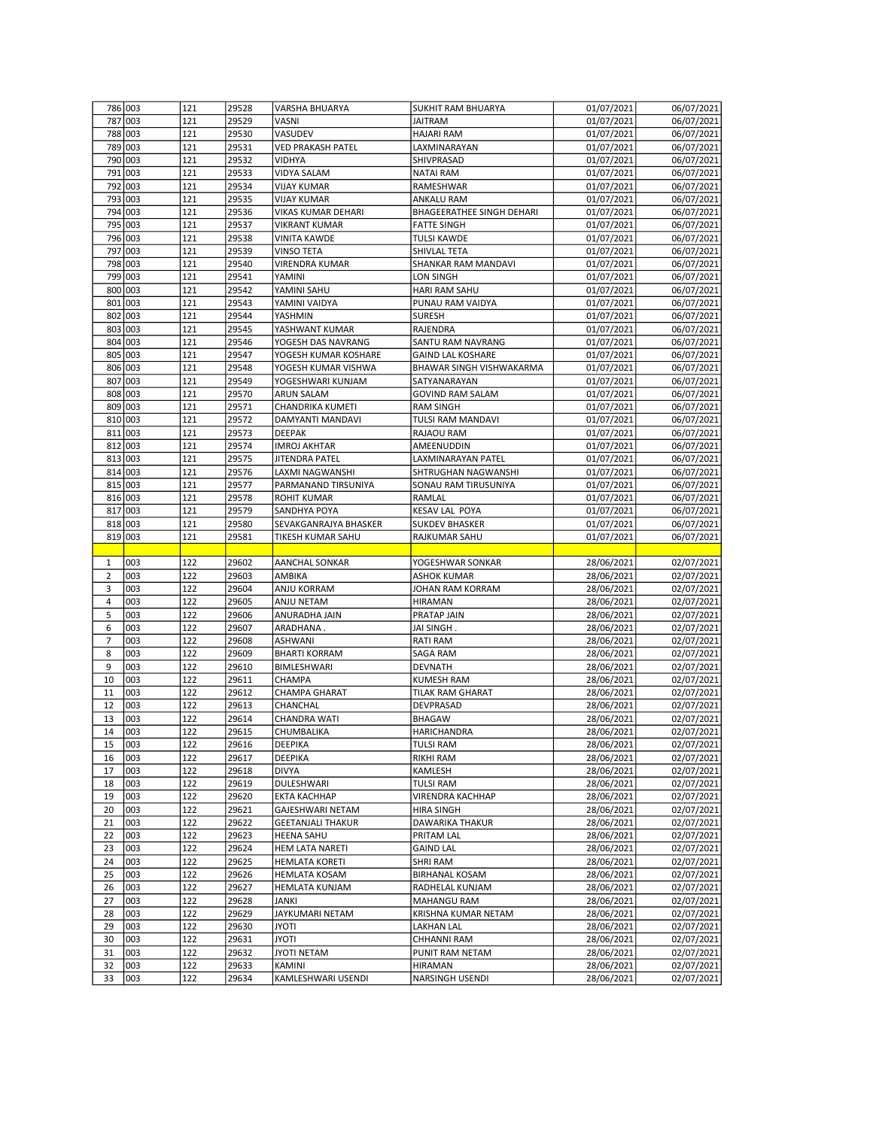|                | 786 003 | 121 | 29528 | VARSHA BHUARYA           | SUKHIT RAM BHUARYA        | 01/07/2021 | 06/07/2021 |
|----------------|---------|-----|-------|--------------------------|---------------------------|------------|------------|
|                | 787 003 | 121 | 29529 | VASNI                    | <b>JAITRAM</b>            | 01/07/2021 | 06/07/2021 |
|                | 788 003 | 121 | 29530 | VASUDEV                  | HAJARI RAM                | 01/07/2021 | 06/07/2021 |
|                | 789 003 | 121 | 29531 | <b>VED PRAKASH PATEL</b> | LAXMINARAYAN              | 01/07/2021 | 06/07/2021 |
|                | 790 003 | 121 | 29532 | VIDHYA                   | SHIVPRASAD                | 01/07/2021 | 06/07/2021 |
|                | 791 003 | 121 | 29533 | VIDYA SALAM              | NATAI RAM                 | 01/07/2021 | 06/07/2021 |
|                | 792 003 | 121 | 29534 | VIJAY KUMAR              | RAMESHWAR                 | 01/07/2021 | 06/07/2021 |
|                | 793 003 | 121 | 29535 | VIJAY KUMAR              | <b>ANKALU RAM</b>         | 01/07/2021 | 06/07/2021 |
|                | 794 003 | 121 | 29536 | VIKAS KUMAR DEHARI       | BHAGEERATHEE SINGH DEHARI | 01/07/2021 | 06/07/2021 |
|                | 795 003 | 121 | 29537 | <b>VIKRANT KUMAR</b>     | <b>FATTE SINGH</b>        | 01/07/2021 | 06/07/2021 |
|                | 796 003 | 121 | 29538 | VINITA KAWDE             | <b>TULSI KAWDE</b>        | 01/07/2021 | 06/07/2021 |
|                | 797 003 | 121 | 29539 | VINSO TETA               | SHIVLAL TETA              | 01/07/2021 | 06/07/2021 |
|                | 798 003 | 121 | 29540 | VIRENDRA KUMAR           | SHANKAR RAM MANDAVI       | 01/07/2021 | 06/07/2021 |
|                | 799 003 | 121 | 29541 | YAMINI                   | LON SINGH                 | 01/07/2021 | 06/07/2021 |
|                | 800 003 | 121 | 29542 | YAMINI SAHU              | HARI RAM SAHU             | 01/07/2021 | 06/07/2021 |
|                | 801 003 | 121 | 29543 | YAMINI VAIDYA            | PUNAU RAM VAIDYA          | 01/07/2021 | 06/07/2021 |
|                | 802 003 | 121 | 29544 | YASHMIN                  | SURESH                    | 01/07/2021 | 06/07/2021 |
|                | 803 003 | 121 | 29545 | YASHWANT KUMAR           | RAJENDRA                  | 01/07/2021 | 06/07/2021 |
|                | 804 003 | 121 | 29546 | YOGESH DAS NAVRANG       | SANTU RAM NAVRANG         | 01/07/2021 | 06/07/2021 |
|                | 805 003 | 121 | 29547 | YOGESH KUMAR KOSHARE     | <b>GAIND LAL KOSHARE</b>  | 01/07/2021 | 06/07/2021 |
|                | 806 003 | 121 | 29548 | YOGESH KUMAR VISHWA      | BHAWAR SINGH VISHWAKARMA  | 01/07/2021 | 06/07/2021 |
|                | 807 003 | 121 | 29549 | YOGESHWARI KUNJAM        | SATYANARAYAN              | 01/07/2021 | 06/07/2021 |
|                | 808 003 | 121 | 29570 | ARUN SALAM               | <b>GOVIND RAM SALAM</b>   | 01/07/2021 | 06/07/2021 |
|                | 809 003 | 121 | 29571 | CHANDRIKA KUMETI         | RAM SINGH                 | 01/07/2021 | 06/07/2021 |
|                | 810 003 | 121 | 29572 | DAMYANTI MANDAVI         | TULSI RAM MANDAVI         | 01/07/2021 | 06/07/2021 |
|                | 811 003 | 121 | 29573 | <b>DEEPAK</b>            | RAJAOU RAM                | 01/07/2021 | 06/07/2021 |
|                | 812 003 | 121 | 29574 | <b>IMROJ AKHTAR</b>      | AMEENUDDIN                | 01/07/2021 | 06/07/2021 |
|                | 813 003 | 121 | 29575 | JITENDRA PATEL           | LAXMINARAYAN PATEL        | 01/07/2021 | 06/07/2021 |
|                | 814 003 | 121 | 29576 | LAXMI NAGWANSHI          | SHTRUGHAN NAGWANSHI       | 01/07/2021 | 06/07/2021 |
|                | 815 003 | 121 | 29577 | PARMANAND TIRSUNIYA      | SONAU RAM TIRUSUNIYA      | 01/07/2021 | 06/07/2021 |
|                | 816 003 | 121 | 29578 | ROHIT KUMAR              | RAMLAL                    | 01/07/2021 | 06/07/2021 |
|                | 817 003 | 121 | 29579 | SANDHYA POYA             | KESAV LAL POYA            | 01/07/2021 | 06/07/2021 |
|                | 818 003 | 121 | 29580 | SEVAKGANRAJYA BHASKER    | <b>SUKDEV BHASKER</b>     | 01/07/2021 | 06/07/2021 |
|                | 819 003 | 121 | 29581 | TIKESH KUMAR SAHU        | RAJKUMAR SAHU             | 01/07/2021 | 06/07/2021 |
|                |         |     |       |                          |                           |            |            |
|                |         |     |       |                          |                           |            |            |
| $\mathbf{1}$   | 003     | 122 | 29602 | AANCHAL SONKAR           | YOGESHWAR SONKAR          | 28/06/2021 | 02/07/2021 |
| $\overline{2}$ | 003     | 122 | 29603 | AMBIKA                   | ASHOK KUMAR               | 28/06/2021 | 02/07/2021 |
| 3              | 003     | 122 | 29604 | ANJU KORRAM              | JOHAN RAM KORRAM          | 28/06/2021 | 02/07/2021 |
| 4              | 003     | 122 | 29605 | ANJU NETAM               | HIRAMAN                   | 28/06/2021 | 02/07/2021 |
| 5              | 003     | 122 | 29606 | ANURADHA JAIN            | PRATAP JAIN               | 28/06/2021 | 02/07/2021 |
| 6              | 003     | 122 | 29607 | ARADHANA.                | JAI SINGH.                | 28/06/2021 | 02/07/2021 |
| 7              | 003     | 122 | 29608 | ASHWANI                  | RATI RAM                  | 28/06/2021 | 02/07/2021 |
| 8              | 003     | 122 | 29609 | <b>BHARTI KORRAM</b>     | SAGA RAM                  | 28/06/2021 | 02/07/2021 |
| 9              | 003     | 122 | 29610 | BIMLESHWARI              | <b>DEVNATH</b>            | 28/06/2021 | 02/07/2021 |
| 10             | 003     | 122 | 29611 | CHAMPA                   | <b>KUMESH RAM</b>         | 28/06/2021 | 02/07/2021 |
| 11             | 003     | 122 | 29612 | <b>CHAMPA GHARAT</b>     | <b>TILAK RAM GHARAT</b>   | 28/06/2021 | 02/07/2021 |
| 12             | 003     | 122 | 29613 | CHANCHAL                 | DEVPRASAD                 | 28/06/2021 | 02/07/2021 |
| 13             | 003     | 122 | 29614 | CHANDRA WATI             | <b>BHAGAW</b>             | 28/06/2021 | 02/07/2021 |
| 14             | 003     | 122 | 29615 | CHUMBALIKA               | HARICHANDRA               | 28/06/2021 | 02/07/2021 |
| 15             | 003     | 122 | 29616 | <b>DEEPIKA</b>           | <b>TULSI RAM</b>          | 28/06/2021 | 02/07/2021 |
| 16             | 003     | 122 | 29617 | DEEPIKA                  | RIKHI RAM                 | 28/06/2021 | 02/07/2021 |
| 17             | 003     | 122 | 29618 | <b>DIVYA</b>             | KAMLESH                   | 28/06/2021 | 02/07/2021 |
| 18             | 003     | 122 | 29619 | DULESHWARI               | <b>TULSI RAM</b>          | 28/06/2021 | 02/07/2021 |
| 19             | 003     | 122 | 29620 | <b>EKTA KACHHAP</b>      | <b>VIRENDRA KACHHAP</b>   | 28/06/2021 | 02/07/2021 |
| 20             | 003     | 122 | 29621 | GAJESHWARI NETAM         | HIRA SINGH                | 28/06/2021 | 02/07/2021 |
| 21             | 003     | 122 | 29622 | <b>GEETANJALI THAKUR</b> | DAWARIKA THAKUR           | 28/06/2021 | 02/07/2021 |
| 22             | 003     | 122 | 29623 | <b>HEENA SAHU</b>        | PRITAM LAL                | 28/06/2021 | 02/07/2021 |
| 23             | 003     | 122 | 29624 | <b>HEM LATA NARETI</b>   | <b>GAIND LAL</b>          | 28/06/2021 | 02/07/2021 |
| 24             | 003     | 122 | 29625 | <b>HEMLATA KORETI</b>    | SHRI RAM                  | 28/06/2021 | 02/07/2021 |
| 25             | 003     | 122 | 29626 | <b>HEMLATA KOSAM</b>     | <b>BIRHANAL KOSAM</b>     | 28/06/2021 | 02/07/2021 |
| 26             | 003     | 122 | 29627 | HEMLATA KUNJAM           | RADHELAL KUNJAM           | 28/06/2021 | 02/07/2021 |
| 27             | 003     | 122 | 29628 | JANKI                    | MAHANGU RAM               | 28/06/2021 | 02/07/2021 |
| 28             | 003     | 122 | 29629 | JAYKUMARI NETAM          | KRISHNA KUMAR NETAM       | 28/06/2021 | 02/07/2021 |
| 29             | 003     | 122 | 29630 | <b>ITOYL</b>             | LAKHAN LAL                | 28/06/2021 | 02/07/2021 |
| 30             | 003     | 122 | 29631 | <b>ITOYL</b>             | CHHANNI RAM               | 28/06/2021 | 02/07/2021 |
| 31             | 003     | 122 | 29632 | JYOTI NETAM              | PUNIT RAM NETAM           | 28/06/2021 | 02/07/2021 |
| 32             | 003     | 122 | 29633 | KAMINI                   | HIRAMAN                   | 28/06/2021 | 02/07/2021 |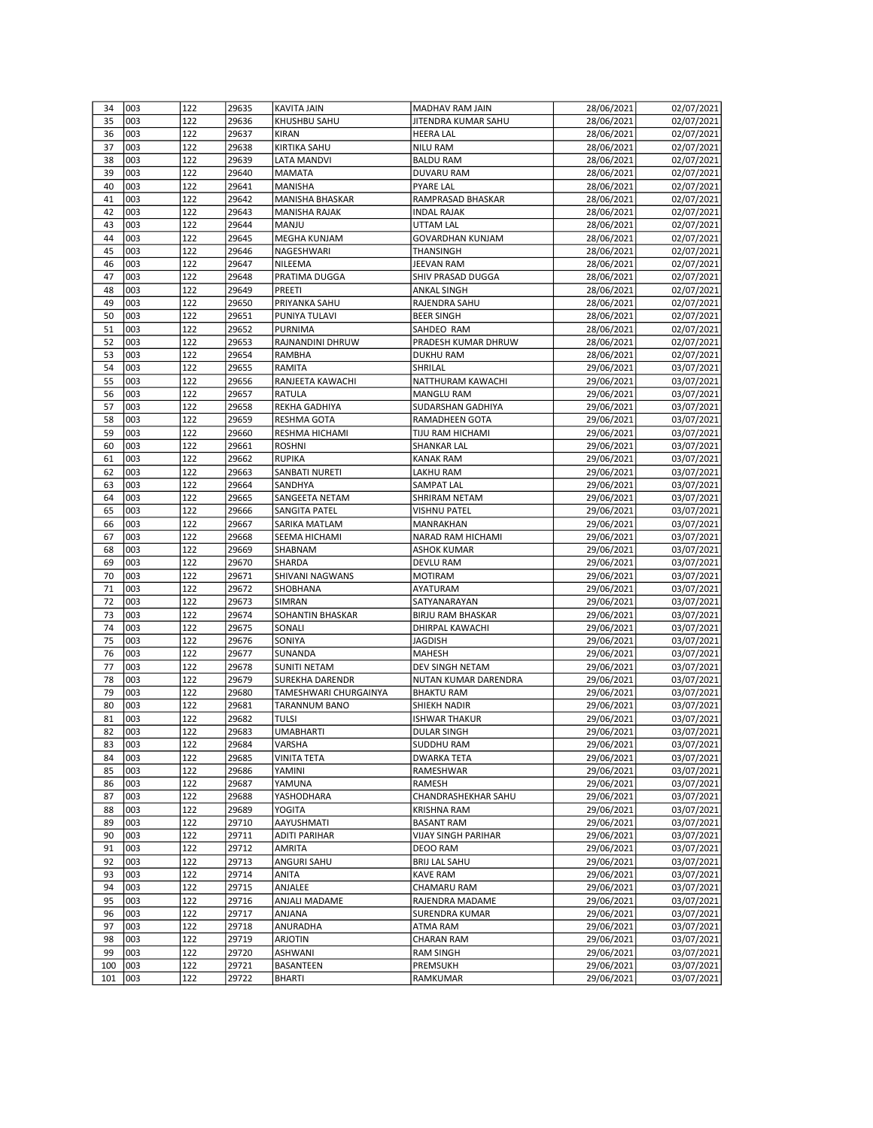| 34  | 003 | 122 | 29635 | <b>KAVITA JAIN</b>     | MADHAV RAM JAIN            | 28/06/2021 | 02/07/2021 |
|-----|-----|-----|-------|------------------------|----------------------------|------------|------------|
| 35  | 003 | 122 | 29636 | KHUSHBU SAHU           | JITENDRA KUMAR SAHU        | 28/06/2021 | 02/07/2021 |
| 36  | 003 | 122 | 29637 | KIRAN                  | <b>HEERA LAL</b>           | 28/06/2021 | 02/07/2021 |
| 37  | 003 | 122 | 29638 | <b>KIRTIKA SAHU</b>    | NILU RAM                   | 28/06/2021 | 02/07/2021 |
| 38  | 003 | 122 | 29639 | LATA MANDVI            | <b>BALDU RAM</b>           | 28/06/2021 | 02/07/2021 |
| 39  | 003 | 122 | 29640 | <b>MAMATA</b>          | DUVARU RAM                 | 28/06/2021 | 02/07/2021 |
|     |     |     |       |                        |                            |            |            |
| 40  | 003 | 122 | 29641 | MANISHA                | <b>PYARE LAL</b>           | 28/06/2021 | 02/07/2021 |
| 41  | 003 | 122 | 29642 | MANISHA BHASKAR        | RAMPRASAD BHASKAR          | 28/06/2021 | 02/07/2021 |
| 42  | 003 | 122 | 29643 | <b>MANISHA RAJAK</b>   | <b>INDAL RAJAK</b>         | 28/06/2021 | 02/07/2021 |
| 43  | 003 | 122 | 29644 | MANJU                  | <b>UTTAM LAL</b>           | 28/06/2021 | 02/07/2021 |
| 44  | 003 | 122 | 29645 | MEGHA KUNJAM           | <b>GOVARDHAN KUNJAM</b>    | 28/06/2021 | 02/07/2021 |
| 45  | 003 | 122 | 29646 | NAGESHWARI             | THANSINGH                  | 28/06/2021 | 02/07/2021 |
| 46  | 003 | 122 | 29647 | NILEEMA                | JEEVAN RAM                 | 28/06/2021 | 02/07/2021 |
| 47  | 003 | 122 | 29648 | PRATIMA DUGGA          | SHIV PRASAD DUGGA          | 28/06/2021 | 02/07/2021 |
| 48  | 003 | 122 | 29649 | PREETI                 | <b>ANKAL SINGH</b>         | 28/06/2021 | 02/07/2021 |
| 49  | 003 | 122 | 29650 | PRIYANKA SAHU          | RAJENDRA SAHU              | 28/06/2021 | 02/07/2021 |
| 50  | 003 | 122 | 29651 | PUNIYA TULAVI          | <b>BEER SINGH</b>          | 28/06/2021 | 02/07/2021 |
| 51  | 003 | 122 | 29652 | PURNIMA                | SAHDEO RAM                 | 28/06/2021 | 02/07/2021 |
| 52  | 003 | 122 | 29653 | RAJNANDINI DHRUW       | PRADESH KUMAR DHRUW        | 28/06/2021 | 02/07/2021 |
|     | 003 | 122 | 29654 |                        |                            |            |            |
| 53  |     |     |       | RAMBHA                 | <b>DUKHU RAM</b>           | 28/06/2021 | 02/07/2021 |
| 54  | 003 | 122 | 29655 | RAMITA                 | SHRILAL                    | 29/06/2021 | 03/07/2021 |
| 55  | 003 | 122 | 29656 | RANJEETA KAWACHI       | NATTHURAM KAWACHI          | 29/06/2021 | 03/07/2021 |
| 56  | 003 | 122 | 29657 | RATULA                 | MANGLU RAM                 | 29/06/2021 | 03/07/2021 |
| 57  | 003 | 122 | 29658 | REKHA GADHIYA          | SUDARSHAN GADHIYA          | 29/06/2021 | 03/07/2021 |
| 58  | 003 | 122 | 29659 | RESHMA GOTA            | RAMADHEEN GOTA             | 29/06/2021 | 03/07/2021 |
| 59  | 003 | 122 | 29660 | RESHMA HICHAMI         | TIJU RAM HICHAMI           | 29/06/2021 | 03/07/2021 |
| 60  | 003 | 122 | 29661 | <b>ROSHNI</b>          | <b>SHANKAR LAL</b>         | 29/06/2021 | 03/07/2021 |
| 61  | 003 | 122 | 29662 | <b>RUPIKA</b>          | <b>KANAK RAM</b>           | 29/06/2021 | 03/07/2021 |
| 62  | 003 | 122 | 29663 | <b>SANBATI NURETI</b>  | LAKHU RAM                  | 29/06/2021 | 03/07/2021 |
| 63  | 003 | 122 | 29664 | SANDHYA                | SAMPAT LAL                 | 29/06/2021 | 03/07/2021 |
| 64  | 003 | 122 | 29665 | SANGEETA NETAM         | SHRIRAM NETAM              | 29/06/2021 | 03/07/2021 |
| 65  | 003 | 122 | 29666 | SANGITA PATEL          | <b>VISHNU PATEL</b>        | 29/06/2021 | 03/07/2021 |
|     | 003 | 122 |       |                        |                            | 29/06/2021 |            |
| 66  |     |     | 29667 | SARIKA MATLAM          | MANRAKHAN                  |            | 03/07/2021 |
| 67  | 003 | 122 | 29668 | SEEMA HICHAMI          | NARAD RAM HICHAMI          | 29/06/2021 | 03/07/2021 |
| 68  | 003 | 122 | 29669 | SHABNAM                | <b>ASHOK KUMAR</b>         | 29/06/2021 | 03/07/2021 |
| 69  | 003 | 122 | 29670 | SHARDA                 | DEVLU RAM                  | 29/06/2021 | 03/07/2021 |
| 70  | 003 | 122 | 29671 | SHIVANI NAGWANS        | <b>MOTIRAM</b>             | 29/06/2021 | 03/07/2021 |
| 71  | 003 | 122 | 29672 | SHOBHANA               | AYATURAM                   | 29/06/2021 | 03/07/2021 |
| 72  | 003 | 122 | 29673 | SIMRAN                 | SATYANARAYAN               | 29/06/2021 | 03/07/2021 |
| 73  | 003 | 122 | 29674 | SOHANTIN BHASKAR       | <b>BIRJU RAM BHASKAR</b>   | 29/06/2021 | 03/07/2021 |
| 74  | 003 | 122 | 29675 | SONALI                 | DHIRPAL KAWACHI            | 29/06/2021 | 03/07/2021 |
| 75  | 003 | 122 | 29676 | SONIYA                 | <b>JAGDISH</b>             | 29/06/2021 | 03/07/2021 |
| 76  | 003 | 122 | 29677 | SUNANDA                | MAHESH                     | 29/06/2021 | 03/07/2021 |
| 77  | 003 | 122 | 29678 | <b>SUNITI NETAM</b>    | DEV SINGH NETAM            | 29/06/2021 | 03/07/2021 |
| 78  | 003 | 122 | 29679 | <b>SUREKHA DARENDR</b> | NUTAN KUMAR DARENDRA       | 29/06/2021 | 03/07/2021 |
| 79  | 003 | 122 | 29680 | TAMESHWARI CHURGAINYA  | <b>BHAKTU RAM</b>          | 29/06/2021 | 03/07/2021 |
|     |     |     |       |                        |                            |            |            |
| 80  | 003 | 122 | 29681 | TARANNUM BANO          | SHIEKH NADIR               | 29/06/2021 | 03/07/2021 |
| 81  | 003 | 122 | 29682 | <b>TULSI</b>           | <b>ISHWAR THAKUR</b>       | 29/06/2021 | 03/07/2021 |
| 82  | 003 | 122 | 29683 | <b>UMABHARTI</b>       | <b>DULAR SINGH</b>         | 29/06/2021 | 03/07/2021 |
| 83  | 003 | 122 | 29684 | VARSHA                 | <b>SUDDHU RAM</b>          | 29/06/2021 | 03/07/2021 |
| 84  | 003 | 122 | 29685 | VINITA TETA            | <b>DWARKA TETA</b>         | 29/06/2021 | 03/07/2021 |
| 85  | 003 | 122 | 29686 | YAMINI                 | RAMESHWAR                  | 29/06/2021 | 03/07/2021 |
| 86  | 003 | 122 | 29687 | YAMUNA                 | RAMESH                     | 29/06/2021 | 03/07/2021 |
| 87  | 003 | 122 | 29688 | YASHODHARA             | CHANDRASHEKHAR SAHU        | 29/06/2021 | 03/07/2021 |
| 88  | 003 | 122 | 29689 | YOGITA                 | <b>KRISHNA RAM</b>         | 29/06/2021 | 03/07/2021 |
| 89  | 003 | 122 | 29710 | AAYUSHMATI             | <b>BASANT RAM</b>          | 29/06/2021 | 03/07/2021 |
| 90  | 003 | 122 | 29711 | <b>ADITI PARIHAR</b>   | <b>VIJAY SINGH PARIHAR</b> | 29/06/2021 | 03/07/2021 |
| 91  | 003 | 122 | 29712 | AMRITA                 | DEOO RAM                   | 29/06/2021 | 03/07/2021 |
| 92  | 003 | 122 | 29713 | ANGURI SAHU            | <b>BRIJ LAL SAHU</b>       | 29/06/2021 | 03/07/2021 |
|     |     |     |       |                        |                            |            |            |
| 93  | 003 | 122 | 29714 | ANITA                  | <b>KAVE RAM</b>            | 29/06/2021 | 03/07/2021 |
| 94  | 003 | 122 | 29715 | ANJALEE                | CHAMARU RAM                | 29/06/2021 | 03/07/2021 |
| 95  | 003 | 122 | 29716 | ANJALI MADAME          | RAJENDRA MADAME            | 29/06/2021 | 03/07/2021 |
| 96  | 003 | 122 | 29717 | ANJANA                 | SURENDRA KUMAR             | 29/06/2021 | 03/07/2021 |
| 97  | 003 | 122 | 29718 | ANURADHA               | ATMA RAM                   | 29/06/2021 | 03/07/2021 |
| 98  | 003 | 122 | 29719 | ARJOTIN                | <b>CHARAN RAM</b>          | 29/06/2021 | 03/07/2021 |
| 99  | 003 | 122 | 29720 | ASHWANI                | <b>RAM SINGH</b>           | 29/06/2021 | 03/07/2021 |
| 100 | 003 | 122 | 29721 | BASANTEEN              | PREMSUKH                   | 29/06/2021 | 03/07/2021 |
|     | 003 | 122 | 29722 | <b>BHARTI</b>          | RAMKUMAR                   | 29/06/2021 | 03/07/2021 |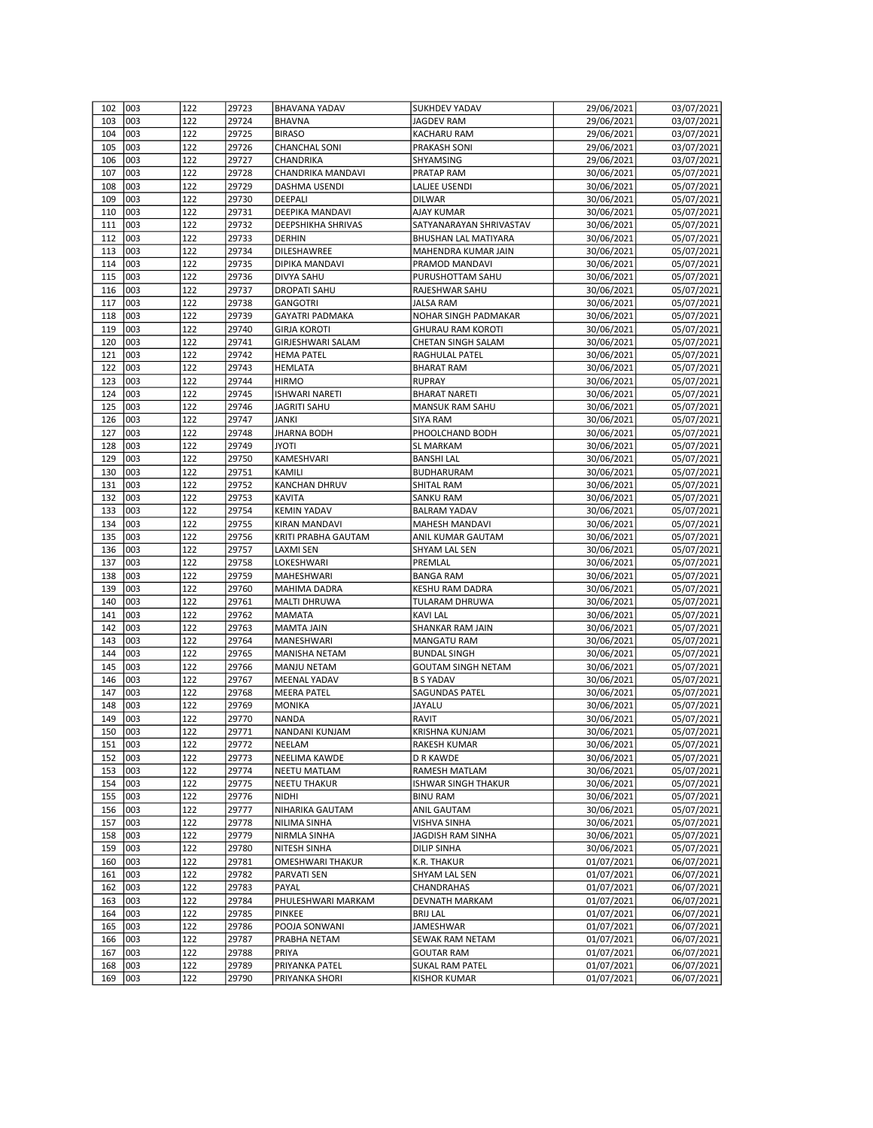| 102 | $ 003\rangle$ | 122 | 29723 | <b>BHAVANA YADAV</b>   | <b>SUKHDEV YADAV</b>       | 29/06/2021 | 03/07/2021 |
|-----|---------------|-----|-------|------------------------|----------------------------|------------|------------|
| 103 | 003           | 122 | 29724 | <b>BHAVNA</b>          | <b>JAGDEV RAM</b>          | 29/06/2021 | 03/07/2021 |
| 104 | 003           | 122 | 29725 | <b>BIRASO</b>          | KACHARU RAM                | 29/06/2021 | 03/07/2021 |
| 105 | 003           | 122 | 29726 | <b>CHANCHAL SONI</b>   | PRAKASH SONI               | 29/06/2021 | 03/07/2021 |
| 106 | 003           | 122 | 29727 | CHANDRIKA              | SHYAMSING                  | 29/06/2021 | 03/07/2021 |
| 107 | 003           | 122 | 29728 | CHANDRIKA MANDAVI      | PRATAP RAM                 | 30/06/2021 | 05/07/2021 |
| 108 | 003           | 122 | 29729 | DASHMA USENDI          | LALJEE USENDI              | 30/06/2021 | 05/07/2021 |
| 109 | 003           | 122 | 29730 | DEEPALI                | <b>DILWAR</b>              | 30/06/2021 | 05/07/2021 |
| 110 | 003           | 122 | 29731 | DEEPIKA MANDAVI        | <b>AJAY KUMAR</b>          | 30/06/2021 | 05/07/2021 |
| 111 | 003           | 122 | 29732 | DEEPSHIKHA SHRIVAS     | SATYANARAYAN SHRIVASTAV    |            | 05/07/2021 |
| 112 | 003           | 122 |       |                        |                            | 30/06/2021 |            |
|     |               |     | 29733 | <b>DERHIN</b>          | BHUSHAN LAL MATIYARA       | 30/06/2021 | 05/07/2021 |
| 113 | 003           | 122 | 29734 | DILESHAWREE            | MAHENDRA KUMAR JAIN        | 30/06/2021 | 05/07/2021 |
| 114 | 003           | 122 | 29735 | DIPIKA MANDAVI         | PRAMOD MANDAVI             | 30/06/2021 | 05/07/2021 |
| 115 | 003           | 122 | 29736 | DIVYA SAHU             | PURUSHOTTAM SAHU           | 30/06/2021 | 05/07/2021 |
| 116 | 003           | 122 | 29737 | <b>DROPATI SAHU</b>    | RAJESHWAR SAHU             | 30/06/2021 | 05/07/2021 |
| 117 | 003           | 122 | 29738 | GANGOTRI               | <b>JALSA RAM</b>           | 30/06/2021 | 05/07/2021 |
| 118 | 003           | 122 | 29739 | <b>GAYATRI PADMAKA</b> | NOHAR SINGH PADMAKAR       | 30/06/2021 | 05/07/2021 |
| 119 | 003           | 122 | 29740 | <b>GIRJA KOROTI</b>    | <b>GHURAU RAM KOROTI</b>   | 30/06/2021 | 05/07/2021 |
| 120 | 003           | 122 | 29741 | GIRJESHWARI SALAM      | CHETAN SINGH SALAM         | 30/06/2021 | 05/07/2021 |
| 121 | 003           | 122 | 29742 | <b>HEMA PATEL</b>      | RAGHULAL PATEL             | 30/06/2021 | 05/07/2021 |
| 122 | 003           | 122 | 29743 | <b>HEMLATA</b>         | <b>BHARAT RAM</b>          | 30/06/2021 | 05/07/2021 |
| 123 | 003           | 122 | 29744 | <b>HIRMO</b>           | <b>RUPRAY</b>              | 30/06/2021 | 05/07/2021 |
| 124 | 003           | 122 | 29745 | <b>ISHWARI NARETI</b>  | <b>BHARAT NARETI</b>       | 30/06/2021 | 05/07/2021 |
| 125 | 003           | 122 | 29746 | <b>JAGRITI SAHU</b>    | MANSUK RAM SAHU            | 30/06/2021 | 05/07/2021 |
| 126 | 003           | 122 | 29747 | JANKI                  | <b>SIYA RAM</b>            | 30/06/2021 | 05/07/2021 |
| 127 | 003           | 122 | 29748 | <b>JHARNA BODH</b>     | PHOOLCHAND BODH            | 30/06/2021 | 05/07/2021 |
| 128 | 003           | 122 | 29749 | <b>ITOYL</b>           | <b>SL MARKAM</b>           | 30/06/2021 | 05/07/2021 |
| 129 | 003           | 122 | 29750 | KAMESHVARI             | <b>BANSHI LAL</b>          | 30/06/2021 | 05/07/2021 |
| 130 | 003           | 122 | 29751 | KAMILI                 | BUDHARURAM                 | 30/06/2021 | 05/07/2021 |
| 131 | 003           | 122 | 29752 | KANCHAN DHRUV          | SHITAL RAM                 | 30/06/2021 | 05/07/2021 |
| 132 | 003           | 122 | 29753 | KAVITA                 | SANKU RAM                  |            | 05/07/2021 |
|     | 003           |     |       |                        | <b>BALRAM YADAV</b>        | 30/06/2021 | 05/07/2021 |
| 133 |               | 122 | 29754 | <b>KEMIN YADAV</b>     |                            | 30/06/2021 |            |
| 134 | 003           | 122 | 29755 | <b>KIRAN MANDAVI</b>   | MAHESH MANDAVI             | 30/06/2021 | 05/07/2021 |
| 135 | 003           | 122 | 29756 | KRITI PRABHA GAUTAM    | ANIL KUMAR GAUTAM          | 30/06/2021 | 05/07/2021 |
| 136 | 003           | 122 | 29757 | LAXMI SEN              | SHYAM LAL SEN              | 30/06/2021 | 05/07/2021 |
| 137 | 003           | 122 | 29758 | LOKESHWARI             | PREMLAL                    | 30/06/2021 | 05/07/2021 |
| 138 | 003           | 122 | 29759 | MAHESHWARI             | <b>BANGA RAM</b>           | 30/06/2021 | 05/07/2021 |
| 139 | 003           | 122 | 29760 | MAHIMA DADRA           | KESHU RAM DADRA            | 30/06/2021 | 05/07/2021 |
| 140 | 003           | 122 | 29761 | MALTI DHRUWA           | TULARAM DHRUWA             | 30/06/2021 | 05/07/2021 |
| 141 | 003           | 122 | 29762 | <b>MAMATA</b>          | <b>KAVI LAL</b>            | 30/06/2021 | 05/07/2021 |
| 142 | 003           | 122 | 29763 | <b>MAMTA JAIN</b>      | SHANKAR RAM JAIN           | 30/06/2021 | 05/07/2021 |
| 143 | 003           | 122 | 29764 | MANESHWARI             | MANGATU RAM                | 30/06/2021 | 05/07/2021 |
| 144 | 003           | 122 | 29765 | <b>MANISHA NETAM</b>   | <b>BUNDAL SINGH</b>        | 30/06/2021 | 05/07/2021 |
| 145 | 003           | 122 | 29766 | MANJU NETAM            | <b>GOUTAM SINGH NETAM</b>  | 30/06/2021 | 05/07/2021 |
| 146 | 003           | 122 | 29767 | MEENAL YADAV           | <b>B S YADAV</b>           | 30/06/2021 | 05/07/2021 |
| 147 | 003           | 122 | 29768 | <b>MEERA PATEL</b>     | SAGUNDAS PATEL             | 30/06/2021 | 05/07/2021 |
| 148 | 003           | 122 | 29769 | <b>MONIKA</b>          | JAYALU                     | 30/06/2021 | 05/07/2021 |
| 149 | 003           | 122 | 29770 | <b>NANDA</b>           | RAVIT                      | 30/06/2021 | 05/07/2021 |
| 150 | 003           | 122 | 29771 | NANDANI KUNJAM         | <b>KRISHNA KUNJAM</b>      | 30/06/2021 | 05/07/2021 |
| 151 | 003           | 122 | 29772 | NEELAM                 | RAKESH KUMAR               | 30/06/2021 | 05/07/2021 |
| 152 | 003           | 122 | 29773 | NEELIMA KAWDE          | D R KAWDE                  | 30/06/2021 | 05/07/2021 |
| 153 | 003           | 122 | 29774 | NEETU MATLAM           | RAMESH MATLAM              | 30/06/2021 | 05/07/2021 |
| 154 | 003           | 122 | 29775 | <b>NEETU THAKUR</b>    | <b>ISHWAR SINGH THAKUR</b> | 30/06/2021 | 05/07/2021 |
| 155 | 003           | 122 | 29776 | NIDHI                  | <b>BINU RAM</b>            | 30/06/2021 | 05/07/2021 |
| 156 | 003           | 122 | 29777 | NIHARIKA GAUTAM        | ANIL GAUTAM                | 30/06/2021 | 05/07/2021 |
| 157 | 003           | 122 | 29778 | NILIMA SINHA           | VISHVA SINHA               | 30/06/2021 | 05/07/2021 |
| 158 | 003           | 122 | 29779 | NIRMLA SINHA           | JAGDISH RAM SINHA          | 30/06/2021 | 05/07/2021 |
|     |               |     |       |                        |                            |            |            |
| 159 | 003           | 122 | 29780 | NITESH SINHA           | <b>DILIP SINHA</b>         | 30/06/2021 | 05/07/2021 |
| 160 | 003           | 122 | 29781 | OMESHWARI THAKUR       | <b>K.R. THAKUR</b>         | 01/07/2021 | 06/07/2021 |
| 161 | 003           | 122 | 29782 | PARVATI SEN            | SHYAM LAL SEN              | 01/07/2021 | 06/07/2021 |
| 162 | 003           | 122 | 29783 | PAYAL                  | CHANDRAHAS                 | 01/07/2021 | 06/07/2021 |
| 163 | 003           | 122 | 29784 | PHULESHWARI MARKAM     | DEVNATH MARKAM             | 01/07/2021 | 06/07/2021 |
| 164 | 003           | 122 | 29785 | PINKEE                 | <b>BRIJ LAL</b>            | 01/07/2021 | 06/07/2021 |
| 165 | 003           | 122 | 29786 | POOJA SONWANI          | <b>JAMESHWAR</b>           | 01/07/2021 | 06/07/2021 |
| 166 | 003           | 122 | 29787 | PRABHA NETAM           | SEWAK RAM NETAM            | 01/07/2021 | 06/07/2021 |
| 167 | 003           | 122 | 29788 | PRIYA                  | <b>GOUTAR RAM</b>          | 01/07/2021 | 06/07/2021 |
| 168 | 003           | 122 | 29789 | PRIYANKA PATEL         | <b>SUKAL RAM PATEL</b>     | 01/07/2021 | 06/07/2021 |
| 169 | 003           | 122 | 29790 | PRIYANKA SHORI         | <b>KISHOR KUMAR</b>        | 01/07/2021 | 06/07/2021 |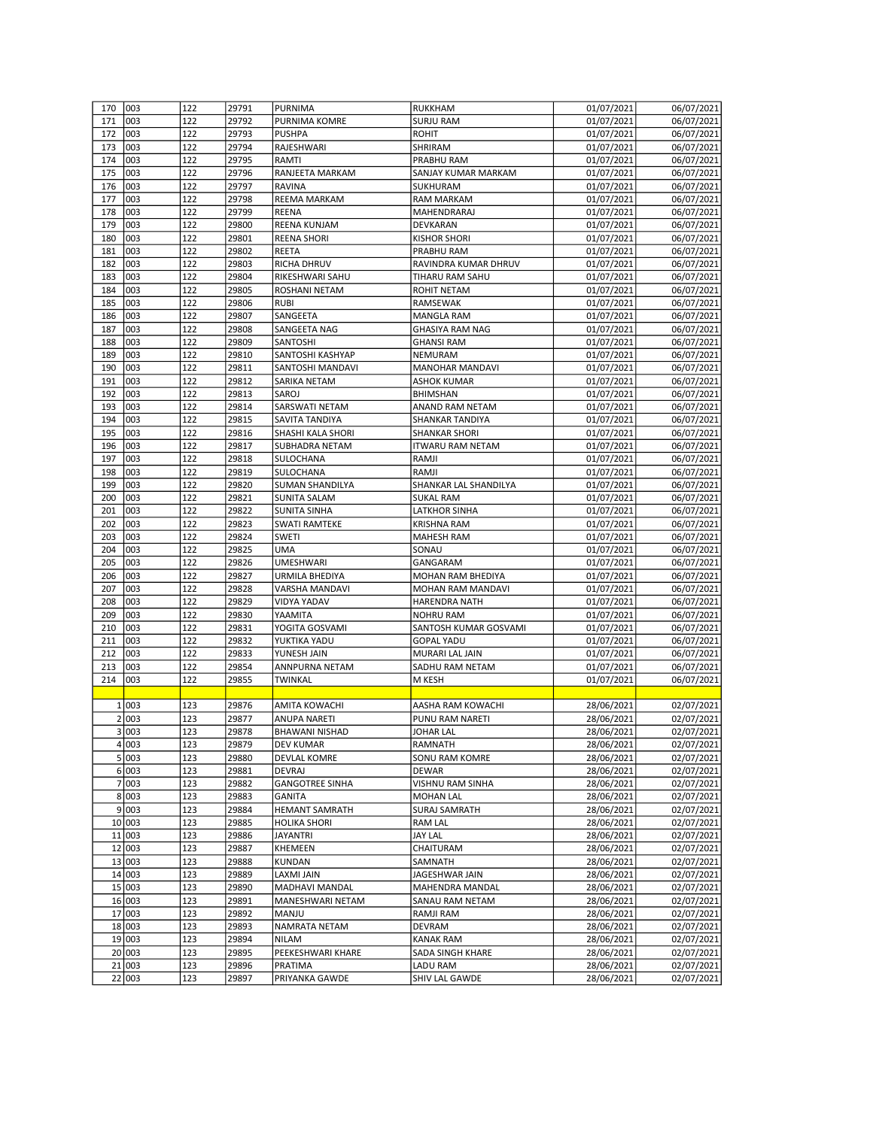| 170 | 003    | 122 | 29791 | PURNIMA                | <b>RUKKHAM</b>          | 01/07/2021 | 06/07/2021 |
|-----|--------|-----|-------|------------------------|-------------------------|------------|------------|
| 171 | 003    | 122 | 29792 | PURNIMA KOMRE          | <b>SURJU RAM</b>        | 01/07/2021 | 06/07/2021 |
| 172 | 003    | 122 | 29793 | <b>PUSHPA</b>          | <b>ROHIT</b>            | 01/07/2021 | 06/07/2021 |
| 173 | 003    | 122 | 29794 | RAJESHWARI             | SHRIRAM                 | 01/07/2021 | 06/07/2021 |
| 174 | 003    | 122 | 29795 | RAMTI                  | PRABHU RAM              | 01/07/2021 | 06/07/2021 |
| 175 | 003    | 122 | 29796 | RANJEETA MARKAM        | SANJAY KUMAR MARKAM     | 01/07/2021 | 06/07/2021 |
| 176 | 003    | 122 | 29797 | RAVINA                 | SUKHURAM                | 01/07/2021 | 06/07/2021 |
| 177 | 003    | 122 | 29798 | REEMA MARKAM           | <b>RAM MARKAM</b>       | 01/07/2021 | 06/07/2021 |
|     |        |     |       | <b>REENA</b>           |                         |            |            |
| 178 | 003    | 122 | 29799 |                        | MAHENDRARAJ             | 01/07/2021 | 06/07/2021 |
| 179 | 003    | 122 | 29800 | REENA KUNJAM           | DEVKARAN                | 01/07/2021 | 06/07/2021 |
| 180 | 003    | 122 | 29801 | <b>REENA SHORI</b>     | <b>KISHOR SHORI</b>     | 01/07/2021 | 06/07/2021 |
| 181 | 003    | 122 | 29802 | <b>REETA</b>           | PRABHU RAM              | 01/07/2021 | 06/07/2021 |
| 182 | 003    | 122 | 29803 | RICHA DHRUV            | RAVINDRA KUMAR DHRUV    | 01/07/2021 | 06/07/2021 |
| 183 | 003    | 122 | 29804 | RIKESHWARI SAHU        | TIHARU RAM SAHU         | 01/07/2021 | 06/07/2021 |
| 184 | 003    | 122 | 29805 | ROSHANI NETAM          | ROHIT NETAM             | 01/07/2021 | 06/07/2021 |
| 185 | 003    | 122 | 29806 | <b>RUBI</b>            | RAMSEWAK                | 01/07/2021 | 06/07/2021 |
| 186 | 003    | 122 | 29807 | SANGEETA               | <b>MANGLA RAM</b>       | 01/07/2021 | 06/07/2021 |
| 187 | 003    | 122 | 29808 | SANGEETA NAG           | <b>GHASIYA RAM NAG</b>  | 01/07/2021 | 06/07/2021 |
| 188 | 003    | 122 | 29809 | SANTOSHI               | <b>GHANSI RAM</b>       | 01/07/2021 | 06/07/2021 |
| 189 | 003    | 122 | 29810 | SANTOSHI KASHYAP       | NEMURAM                 | 01/07/2021 | 06/07/2021 |
| 190 | 003    | 122 | 29811 | SANTOSHI MANDAVI       | <b>MANOHAR MANDAVI</b>  | 01/07/2021 | 06/07/2021 |
| 191 | 003    | 122 | 29812 |                        |                         |            |            |
|     |        |     |       | SARIKA NETAM           | <b>ASHOK KUMAR</b>      | 01/07/2021 | 06/07/2021 |
| 192 | 003    | 122 | 29813 | SAROJ                  | BHIMSHAN                | 01/07/2021 | 06/07/2021 |
| 193 | 003    | 122 | 29814 | SARSWATI NETAM         | ANAND RAM NETAM         | 01/07/2021 | 06/07/2021 |
| 194 | 003    | 122 | 29815 | SAVITA TANDIYA         | SHANKAR TANDIYA         | 01/07/2021 | 06/07/2021 |
| 195 | 003    | 122 | 29816 | SHASHI KALA SHORI      | <b>SHANKAR SHORI</b>    | 01/07/2021 | 06/07/2021 |
| 196 | 003    | 122 | 29817 | <b>SUBHADRA NETAM</b>  | <b>ITWARU RAM NETAM</b> | 01/07/2021 | 06/07/2021 |
| 197 | 003    | 122 | 29818 | SULOCHANA              | RAMJI                   | 01/07/2021 | 06/07/2021 |
| 198 | 003    | 122 | 29819 | SULOCHANA              | RAMJI                   | 01/07/2021 | 06/07/2021 |
| 199 | 003    | 122 | 29820 | <b>SUMAN SHANDILYA</b> | SHANKAR LAL SHANDILYA   | 01/07/2021 | 06/07/2021 |
| 200 | 003    | 122 | 29821 | <b>SUNITA SALAM</b>    | <b>SUKAL RAM</b>        | 01/07/2021 | 06/07/2021 |
| 201 | 003    | 122 | 29822 | <b>SUNITA SINHA</b>    | LATKHOR SINHA           | 01/07/2021 | 06/07/2021 |
| 202 | 003    | 122 | 29823 | <b>SWATI RAMTEKE</b>   | <b>KRISHNA RAM</b>      | 01/07/2021 | 06/07/2021 |
| 203 | 003    | 122 | 29824 | SWETI                  | <b>MAHESH RAM</b>       | 01/07/2021 | 06/07/2021 |
| 204 | 003    | 122 | 29825 | <b>UMA</b>             | SONAU                   | 01/07/2021 | 06/07/2021 |
| 205 | 003    | 122 | 29826 | UMESHWARI              | GANGARAM                |            |            |
|     |        |     |       |                        |                         | 01/07/2021 | 06/07/2021 |
| 206 | 003    | 122 | 29827 | URMILA BHEDIYA         | MOHAN RAM BHEDIYA       | 01/07/2021 | 06/07/2021 |
| 207 | 003    | 122 | 29828 | VARSHA MANDAVI         | MOHAN RAM MANDAVI       | 01/07/2021 | 06/07/2021 |
| 208 | 003    | 122 | 29829 | VIDYA YADAV            | HARENDRA NATH           | 01/07/2021 | 06/07/2021 |
| 209 | 003    | 122 | 29830 | YAAMITA                | <b>NOHRU RAM</b>        | 01/07/2021 | 06/07/2021 |
| 210 | 003    | 122 | 29831 | YOGITA GOSVAMI         | SANTOSH KUMAR GOSVAMI   | 01/07/2021 | 06/07/2021 |
| 211 | 003    | 122 | 29832 | YUKTIKA YADU           | <b>GOPAL YADU</b>       | 01/07/2021 | 06/07/2021 |
| 212 | 003    | 122 | 29833 | YUNESH JAIN            | MURARI LAL JAIN         | 01/07/2021 | 06/07/2021 |
| 213 | 003    | 122 | 29854 | ANNPURNA NETAM         | SADHU RAM NETAM         | 01/07/2021 | 06/07/2021 |
| 214 | 003    | 122 | 29855 | TWINKAL                | M KESH                  | 01/07/2021 | 06/07/2021 |
|     |        |     |       |                        |                         |            |            |
|     | 1 003  | 123 | 29876 | AMITA KOWACHI          | AASHA RAM KOWACHI       | 28/06/2021 | 02/07/2021 |
|     | 2 003  | 123 | 29877 | ANUPA NARETI           | PUNU RAM NARETI         | 28/06/2021 | 02/07/2021 |
|     | 3 003  | 123 | 29878 | <b>BHAWANI NISHAD</b>  | <b>JOHAR LAL</b>        | 28/06/2021 | 02/07/2021 |
|     |        |     |       |                        |                         |            |            |
|     | 4 003  | 123 | 29879 | DEV KUMAR              | RAMNATH                 | 28/06/2021 | 02/07/2021 |
|     | 5 003  | 123 | 29880 | DEVLAL KOMRE           | SONU RAM KOMRE          | 28/06/2021 | 02/07/2021 |
|     | 6 003  | 123 | 29881 | DEVRAJ                 | <b>DEWAR</b>            | 28/06/2021 | 02/07/2021 |
|     | 7 003  | 123 | 29882 | <b>GANGOTREE SINHA</b> | VISHNU RAM SINHA        | 28/06/2021 | 02/07/2021 |
|     | 8 003  | 123 | 29883 | <b>GANITA</b>          | <b>MOHAN LAL</b>        | 28/06/2021 | 02/07/2021 |
|     | 9 003  | 123 | 29884 | <b>HEMANT SAMRATH</b>  | <b>SURAJ SAMRATH</b>    | 28/06/2021 | 02/07/2021 |
|     | 10 003 | 123 | 29885 | <b>HOLIKA SHORI</b>    | <b>RAM LAL</b>          | 28/06/2021 | 02/07/2021 |
|     | 11 003 | 123 | 29886 | <b>JAYANTRI</b>        | <b>JAY LAL</b>          | 28/06/2021 | 02/07/2021 |
|     | 12 003 | 123 | 29887 | KHEMEEN                | CHAITURAM               | 28/06/2021 | 02/07/2021 |
|     | 13 003 | 123 | 29888 | KUNDAN                 | SAMNATH                 | 28/06/2021 | 02/07/2021 |
|     | 14 003 | 123 | 29889 | LAXMI JAIN             | JAGESHWAR JAIN          | 28/06/2021 | 02/07/2021 |
|     | 15 003 | 123 | 29890 | MADHAVI MANDAL         | MAHENDRA MANDAL         | 28/06/2021 | 02/07/2021 |
|     | 16 003 | 123 | 29891 | MANESHWARI NETAM       | SANAU RAM NETAM         | 28/06/2021 | 02/07/2021 |
|     |        |     |       |                        | RAMJI RAM               |            |            |
|     | 17 003 | 123 | 29892 | MANJU                  |                         | 28/06/2021 | 02/07/2021 |
|     | 18 003 | 123 | 29893 | NAMRATA NETAM          | DEVRAM                  | 28/06/2021 | 02/07/2021 |
|     | 19 003 | 123 | 29894 | NILAM                  | <b>KANAK RAM</b>        | 28/06/2021 | 02/07/2021 |
|     | 20 003 | 123 | 29895 | PEEKESHWARI KHARE      | SADA SINGH KHARE        | 28/06/2021 | 02/07/2021 |
|     | 21 003 | 123 | 29896 | PRATIMA                | LADU RAM                | 28/06/2021 | 02/07/2021 |
|     | 22 003 | 123 | 29897 | PRIYANKA GAWDE         | SHIV LAL GAWDE          | 28/06/2021 | 02/07/2021 |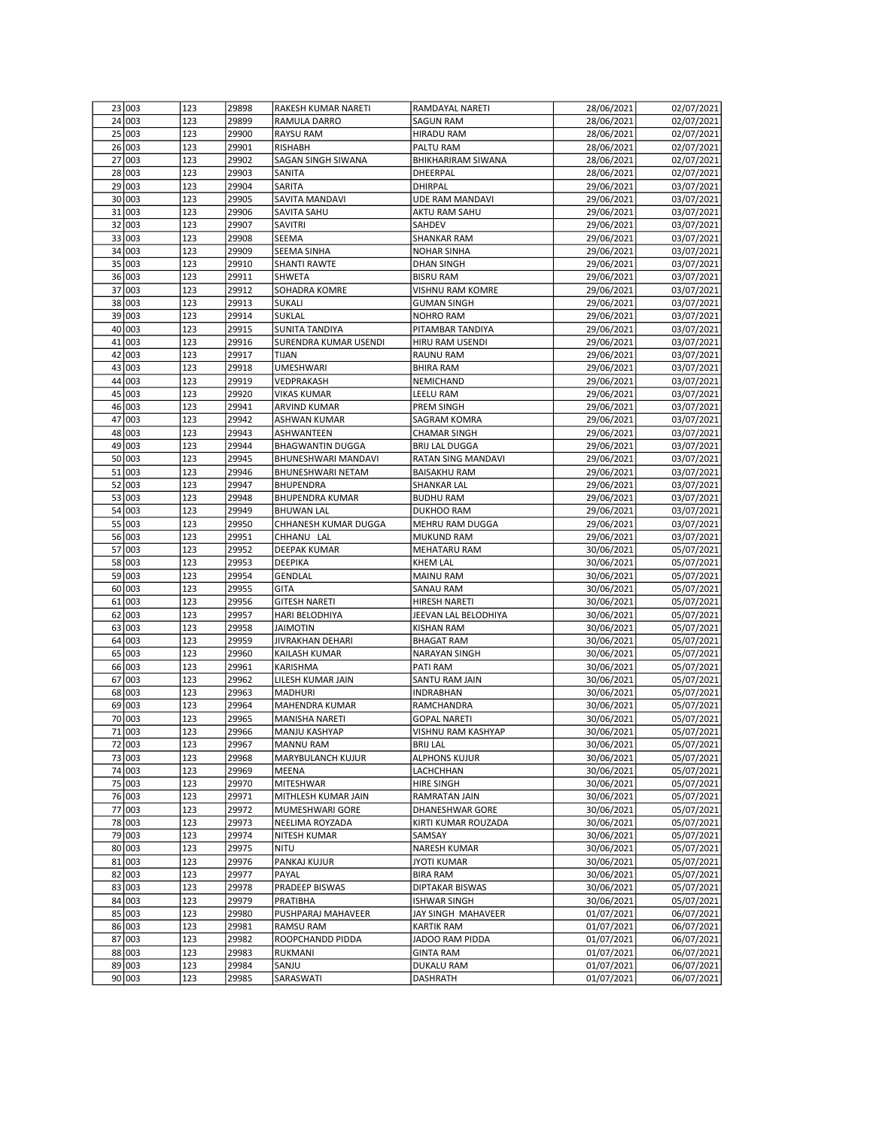| 23 003 | 123 | 29898 | RAKESH KUMAR NARETI                     | RAMDAYAL NARETI                   | 28/06/2021               | 02/07/2021 |
|--------|-----|-------|-----------------------------------------|-----------------------------------|--------------------------|------------|
| 24 003 | 123 | 29899 | RAMULA DARRO                            | <b>SAGUN RAM</b>                  | 28/06/2021               | 02/07/2021 |
| 25 003 | 123 | 29900 | RAYSU RAM                               | HIRADU RAM                        | 28/06/2021               | 02/07/2021 |
| 26 003 | 123 | 29901 | <b>RISHABH</b>                          | PALTU RAM                         | 28/06/2021               | 02/07/2021 |
| 27 003 | 123 | 29902 | SAGAN SINGH SIWANA                      | BHIKHARIRAM SIWANA                | 28/06/2021               | 02/07/2021 |
| 28 003 | 123 | 29903 | SANITA                                  | DHEERPAL                          | 28/06/2021               | 02/07/2021 |
| 29 003 | 123 | 29904 | SARITA                                  | DHIRPAL                           | 29/06/2021               | 03/07/2021 |
| 30 003 | 123 | 29905 | SAVITA MANDAVI                          | UDE RAM MANDAVI                   | 29/06/2021               | 03/07/2021 |
| 31 003 | 123 | 29906 | SAVITA SAHU                             | AKTU RAM SAHU                     | 29/06/2021               | 03/07/2021 |
| 32 003 | 123 | 29907 | SAVITRI                                 | SAHDEV                            | 29/06/2021               | 03/07/2021 |
| 33 003 | 123 | 29908 | SEEMA                                   | <b>SHANKAR RAM</b>                | 29/06/2021               | 03/07/2021 |
| 34 003 | 123 | 29909 | SEEMA SINHA                             | <b>NOHAR SINHA</b>                | 29/06/2021               | 03/07/2021 |
| 35 003 | 123 | 29910 | <b>SHANTI RAWTE</b>                     |                                   |                          |            |
| 36 003 |     | 29911 |                                         | DHAN SINGH                        | 29/06/2021               | 03/07/2021 |
|        | 123 |       | SHWETA<br>SOHADRA KOMRE                 | <b>BISRU RAM</b>                  | 29/06/2021               | 03/07/2021 |
| 37 003 | 123 | 29912 |                                         | VISHNU RAM KOMRE                  | 29/06/2021               | 03/07/2021 |
| 38 003 | 123 | 29913 | <b>SUKALI</b>                           | <b>GUMAN SINGH</b>                | 29/06/2021               | 03/07/2021 |
| 39 003 | 123 | 29914 | <b>SUKLAL</b>                           | <b>NOHRO RAM</b>                  | 29/06/2021               | 03/07/2021 |
| 40 003 | 123 | 29915 | SUNITA TANDIYA                          | PITAMBAR TANDIYA                  | 29/06/2021               | 03/07/2021 |
| 41 003 | 123 | 29916 | SURENDRA KUMAR USENDI                   | HIRU RAM USENDI                   | 29/06/2021               | 03/07/2021 |
| 42 003 | 123 | 29917 | <b>TIJAN</b>                            | RAUNU RAM                         | 29/06/2021               | 03/07/2021 |
| 43 003 | 123 | 29918 | <b>UMESHWARI</b>                        | <b>BHIRA RAM</b>                  | 29/06/2021               | 03/07/2021 |
| 44 003 | 123 | 29919 | VEDPRAKASH                              | NEMICHAND                         | 29/06/2021               | 03/07/2021 |
| 45 003 | 123 | 29920 | <b>VIKAS KUMAR</b>                      | LEELU RAM                         | 29/06/2021               | 03/07/2021 |
| 46 003 | 123 | 29941 | ARVIND KUMAR                            | PREM SINGH                        | 29/06/2021               | 03/07/2021 |
| 47 003 | 123 | 29942 | <b>ASHWAN KUMAR</b>                     | SAGRAM KOMRA                      | 29/06/2021               | 03/07/2021 |
| 48 003 | 123 | 29943 | <b>ASHWANTEEN</b>                       | <b>CHAMAR SINGH</b>               | 29/06/2021               | 03/07/2021 |
| 49 003 | 123 | 29944 | <b>BHAGWANTIN DUGGA</b>                 | <b>BRIJ LAL DUGGA</b>             | 29/06/2021               | 03/07/2021 |
| 50 003 | 123 | 29945 | BHUNESHWARI MANDAVI                     | RATAN SING MANDAVI                | 29/06/2021               | 03/07/2021 |
| 51 003 | 123 | 29946 | BHUNESHWARI NETAM                       | <b>BAISAKHU RAM</b>               | 29/06/2021               | 03/07/2021 |
| 52 003 | 123 | 29947 | BHUPENDRA                               | SHANKAR LAL                       | 29/06/2021               | 03/07/2021 |
| 53 003 | 123 | 29948 | BHUPENDRA KUMAR                         | <b>BUDHU RAM</b>                  | 29/06/2021               | 03/07/2021 |
| 54 003 | 123 | 29949 | BHUWAN LAL                              | DUKHOO RAM                        | 29/06/2021               | 03/07/2021 |
| 55 003 | 123 | 29950 | CHHANESH KUMAR DUGGA                    | MEHRU RAM DUGGA                   | 29/06/2021               | 03/07/2021 |
| 56 003 | 123 | 29951 | CHHANU LAL                              | MUKUND RAM                        | 29/06/2021               | 03/07/2021 |
| 57 003 | 123 | 29952 | DEEPAK KUMAR                            | MEHATARU RAM                      | 30/06/2021               | 05/07/2021 |
| 58 003 | 123 | 29953 | <b>DEEPIKA</b>                          | KHEM LAL                          | 30/06/2021               | 05/07/2021 |
| 59 003 | 123 | 29954 | <b>GENDLAL</b>                          | <b>MAINU RAM</b>                  | 30/06/2021               | 05/07/2021 |
| 60 003 | 123 | 29955 | GITA                                    | SANAU RAM                         | 30/06/2021               | 05/07/2021 |
| 61 003 | 123 | 29956 | <b>GITESH NARETI</b>                    | HIRESH NARETI                     | 30/06/2021               | 05/07/2021 |
| 62 003 | 123 | 29957 | HARI BELODHIYA                          | JEEVAN LAL BELODHIYA              | 30/06/2021               | 05/07/2021 |
| 63 003 | 123 | 29958 | <b>JAIMOTIN</b>                         | <b>KISHAN RAM</b>                 | 30/06/2021               | 05/07/2021 |
| 64 003 | 123 | 29959 | JIVRAKHAN DEHARI                        | <b>BHAGAT RAM</b>                 | 30/06/2021               | 05/07/2021 |
| 65 003 | 123 | 29960 | KAILASH KUMAR                           | NARAYAN SINGH                     | 30/06/2021               | 05/07/2021 |
| 66 003 | 123 | 29961 | KARISHMA                                | PATI RAM                          | 30/06/2021               | 05/07/2021 |
| 67 003 | 123 | 29962 | LILESH KUMAR JAIN                       | SANTU RAM JAIN                    | 30/06/2021               | 05/07/2021 |
| 68 003 | 123 | 29963 | <b>MADHURI</b>                          | <b>INDRABHAN</b>                  | 30/06/2021               | 05/07/2021 |
| 69 003 | 123 | 29964 |                                         |                                   |                          | 05/07/2021 |
| 70 003 | 123 | 29965 | MAHENDRA KUMAR<br><b>MANISHA NARETI</b> | RAMCHANDRA<br><b>GOPAL NARETI</b> | 30/06/2021<br>30/06/2021 | 05/07/2021 |
| 71 003 | 123 | 29966 | MANJU KASHYAP                           | VISHNU RAM KASHYAP                | 30/06/2021               | 05/07/2021 |
|        |     |       |                                         | <b>BRIJ LAL</b>                   |                          |            |
| 72 003 | 123 | 29967 | <b>MANNU RAM</b>                        |                                   | 30/06/2021               | 05/07/2021 |
| 73 003 | 123 | 29968 | MARYBULANCH KUJUR                       | <b>ALPHONS KUJUR</b>              | 30/06/2021               | 05/07/2021 |
| 74 003 | 123 | 29969 | <b>MEENA</b>                            | LACHCHHAN                         | 30/06/2021               | 05/07/2021 |
| 75 003 | 123 | 29970 | MITESHWAR                               | HIRE SINGH                        | 30/06/2021               | 05/07/2021 |
| 76 003 | 123 | 29971 | MITHLESH KUMAR JAIN                     | RAMRATAN JAIN                     | 30/06/2021               | 05/07/2021 |
| 77 003 | 123 | 29972 | MUMESHWARI GORE                         | DHANESHWAR GORE                   | 30/06/2021               | 05/07/2021 |
| 78 003 | 123 | 29973 | NEELIMA ROYZADA                         | KIRTI KUMAR ROUZADA               | 30/06/2021               | 05/07/2021 |
| 79 003 | 123 | 29974 | NITESH KUMAR                            | SAMSAY                            | 30/06/2021               | 05/07/2021 |
| 80 003 | 123 | 29975 | <b>NITU</b>                             | NARESH KUMAR                      | 30/06/2021               | 05/07/2021 |
| 81 003 | 123 | 29976 | PANKAJ KUJUR                            | JYOTI KUMAR                       | 30/06/2021               | 05/07/2021 |
| 82 003 | 123 | 29977 | PAYAL                                   | <b>BIRA RAM</b>                   | 30/06/2021               | 05/07/2021 |
| 83 003 | 123 | 29978 | PRADEEP BISWAS                          | DIPTAKAR BISWAS                   | 30/06/2021               | 05/07/2021 |
| 84 003 | 123 | 29979 | PRATIBHA                                | ISHWAR SINGH                      | 30/06/2021               | 05/07/2021 |
| 85 003 | 123 | 29980 | PUSHPARAJ MAHAVEER                      | JAY SINGH MAHAVEER                | 01/07/2021               | 06/07/2021 |
| 86 003 | 123 | 29981 | RAMSU RAM                               | KARTIK RAM                        | 01/07/2021               | 06/07/2021 |
| 87 003 | 123 | 29982 | ROOPCHANDD PIDDA                        | JADOO RAM PIDDA                   | 01/07/2021               | 06/07/2021 |
| 88 003 | 123 | 29983 | RUKMANI                                 | <b>GINTA RAM</b>                  | 01/07/2021               | 06/07/2021 |
| 89 003 | 123 | 29984 | SANJU                                   | <b>DUKALU RAM</b>                 | 01/07/2021               | 06/07/2021 |
| 90 003 | 123 | 29985 | SARASWATI                               | DASHRATH                          | 01/07/2021               | 06/07/2021 |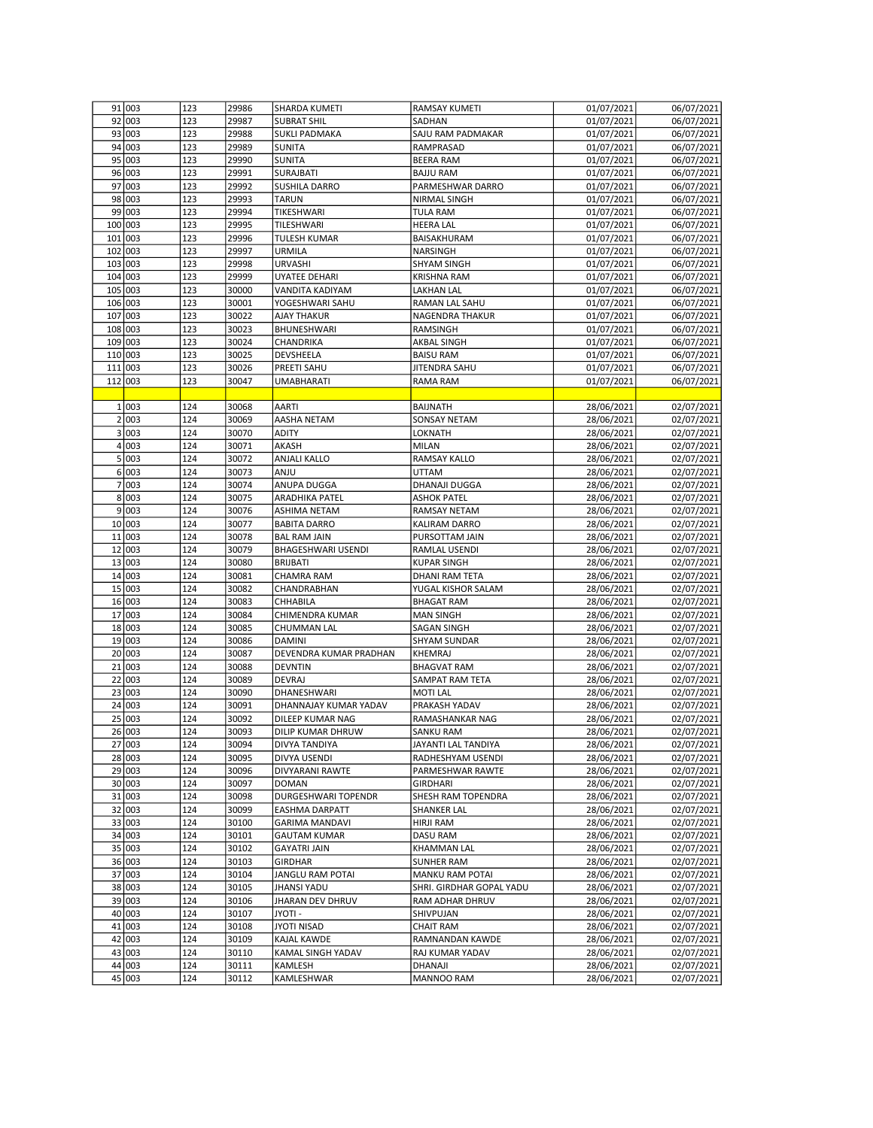| 91 003  | 123 | 29986 | <b>SHARDA KUMETI</b>   | RAMSAY KUMETI            | 01/07/2021 | 06/07/2021 |
|---------|-----|-------|------------------------|--------------------------|------------|------------|
| 92 003  | 123 | 29987 | <b>SUBRAT SHIL</b>     | SADHAN                   | 01/07/2021 | 06/07/2021 |
| 93 003  | 123 | 29988 | <b>SUKLI PADMAKA</b>   | SAJU RAM PADMAKAR        | 01/07/2021 | 06/07/2021 |
| 94 003  | 123 | 29989 | SUNITA                 | RAMPRASAD                | 01/07/2021 | 06/07/2021 |
| 95 003  | 123 | 29990 | <b>SUNITA</b>          | <b>BEERA RAM</b>         | 01/07/2021 | 06/07/2021 |
| 96 003  | 123 | 29991 | SURAJBATI              | <b>BAJJU RAM</b>         | 01/07/2021 | 06/07/2021 |
| 97 003  | 123 | 29992 | <b>SUSHILA DARRO</b>   | PARMESHWAR DARRO         | 01/07/2021 | 06/07/2021 |
| 98 003  | 123 | 29993 | <b>TARUN</b>           | NIRMAL SINGH             | 01/07/2021 | 06/07/2021 |
| 99 003  | 123 | 29994 | TIKESHWARI             | TULA RAM                 | 01/07/2021 | 06/07/2021 |
| 100 003 | 123 | 29995 | TILESHWARI             | <b>HEERA LAL</b>         | 01/07/2021 | 06/07/2021 |
| 101 003 | 123 | 29996 | TULESH KUMAR           | BAISAKHURAM              | 01/07/2021 | 06/07/2021 |
| 102 003 | 123 | 29997 | URMILA                 | NARSINGH                 | 01/07/2021 | 06/07/2021 |
| 103 003 | 123 | 29998 | <b>URVASHI</b>         | <b>SHYAM SINGH</b>       | 01/07/2021 | 06/07/2021 |
| 104 003 | 123 | 29999 | UYATEE DEHARI          | <b>KRISHNA RAM</b>       | 01/07/2021 | 06/07/2021 |
| 105 003 | 123 | 30000 | VANDITA KADIYAM        | LAKHAN LAL               | 01/07/2021 | 06/07/2021 |
| 106 003 | 123 | 30001 | YOGESHWARI SAHU        | RAMAN LAL SAHU           | 01/07/2021 | 06/07/2021 |
| 107 003 | 123 | 30022 | <b>AJAY THAKUR</b>     | NAGENDRA THAKUR          | 01/07/2021 | 06/07/2021 |
| 108 003 | 123 | 30023 | BHUNESHWARI            | RAMSINGH                 | 01/07/2021 | 06/07/2021 |
| 109 003 | 123 | 30024 | CHANDRIKA              | AKBAL SINGH              | 01/07/2021 | 06/07/2021 |
| 110 003 | 123 | 30025 | DEVSHEELA              | <b>BAISU RAM</b>         | 01/07/2021 | 06/07/2021 |
| 111 003 | 123 | 30026 | PREETI SAHU            | JITENDRA SAHU            | 01/07/2021 | 06/07/2021 |
| 112 003 | 123 | 30047 | <b>UMABHARATI</b>      | RAMA RAM                 | 01/07/2021 | 06/07/2021 |
|         |     |       |                        |                          |            |            |
| 1 003   | 124 | 30068 | AARTI                  | BAIJNATH                 | 28/06/2021 | 02/07/2021 |
| 2 003   | 124 | 30069 | AASHA NETAM            | <b>SONSAY NETAM</b>      | 28/06/2021 | 02/07/2021 |
| 3 003   | 124 | 30070 | <b>ADITY</b>           | LOKNATH                  | 28/06/2021 | 02/07/2021 |
| 4 003   | 124 | 30071 | <b>AKASH</b>           | <b>MILAN</b>             | 28/06/2021 | 02/07/2021 |
| 5 003   | 124 | 30072 | <b>ANJALI KALLO</b>    | <b>RAMSAY KALLO</b>      | 28/06/2021 | 02/07/2021 |
| 6 003   | 124 | 30073 | <b>ANJU</b>            | UTTAM                    | 28/06/2021 | 02/07/2021 |
| 7 003   | 124 | 30074 | ANUPA DUGGA            | DHANAJI DUGGA            | 28/06/2021 | 02/07/2021 |
| 8 003   | 124 | 30075 | ARADHIKA PATEL         | <b>ASHOK PATEL</b>       | 28/06/2021 | 02/07/2021 |
| 9 003   | 124 | 30076 | ASHIMA NETAM           | RAMSAY NETAM             | 28/06/2021 | 02/07/2021 |
| 10 003  | 124 | 30077 | <b>BABITA DARRO</b>    | KALIRAM DARRO            | 28/06/2021 | 02/07/2021 |
| 11 003  | 124 | 30078 | <b>BAL RAM JAIN</b>    | PURSOTTAM JAIN           | 28/06/2021 | 02/07/2021 |
| 12 003  | 124 | 30079 | BHAGESHWARI USENDI     | RAMLAL USENDI            | 28/06/2021 | 02/07/2021 |
| 13 003  | 124 | 30080 | <b>BRIJBATI</b>        | <b>KUPAR SINGH</b>       | 28/06/2021 | 02/07/2021 |
| 14 003  | 124 | 30081 | CHAMRA RAM             | DHANI RAM TETA           | 28/06/2021 | 02/07/2021 |
| 15 003  | 124 | 30082 | CHANDRABHAN            | YUGAL KISHOR SALAM       | 28/06/2021 | 02/07/2021 |
| 16 003  | 124 | 30083 | CHHABILA               | <b>BHAGAT RAM</b>        | 28/06/2021 | 02/07/2021 |
| 17 003  | 124 | 30084 | CHIMENDRA KUMAR        | <b>MAN SINGH</b>         | 28/06/2021 | 02/07/2021 |
| 18 003  | 124 | 30085 | CHUMMAN LAL            | SAGAN SINGH              | 28/06/2021 | 02/07/2021 |
| 19 003  | 124 | 30086 | DAMINI                 | <b>SHYAM SUNDAR</b>      | 28/06/2021 | 02/07/2021 |
| 20 003  | 124 | 30087 | DEVENDRA KUMAR PRADHAN | KHEMRAJ                  | 28/06/2021 | 02/07/2021 |
| 21 003  | 124 | 30088 | <b>DEVNTIN</b>         | <b>BHAGVAT RAM</b>       | 28/06/2021 | 02/07/2021 |
| 22 003  | 124 | 30089 | <b>DEVRAJ</b>          | SAMPAT RAM TETA          | 28/06/2021 | 02/07/2021 |
| 23 003  | 124 | 30090 | DHANESHWARI            | <b>MOTI LAL</b>          | 28/06/2021 | 02/07/2021 |
| 24 003  | 124 | 30091 | DHANNAJAY KUMAR YADAV  | PRAKASH YADAV            | 28/06/2021 | 02/07/2021 |
| 25 003  | 124 | 30092 | DILEEP KUMAR NAG       | RAMASHANKAR NAG          | 28/06/2021 | 02/07/2021 |
| 26 003  | 124 | 30093 | DILIP KUMAR DHRUW      | SANKU RAM                | 28/06/2021 | 02/07/2021 |
| 27 003  | 124 | 30094 | <b>DIVYA TANDIYA</b>   | JAYANTI LAL TANDIYA      | 28/06/2021 | 02/07/2021 |
| 28 003  | 124 | 30095 | DIVYA USENDI           | RADHESHYAM USENDI        | 28/06/2021 | 02/07/2021 |
| 29 003  | 124 | 30096 | DIVYARANI RAWTE        | PARMESHWAR RAWTE         | 28/06/2021 | 02/07/2021 |
| 30 003  | 124 | 30097 | <b>DOMAN</b>           | <b>GIRDHARI</b>          | 28/06/2021 | 02/07/2021 |
| 31 003  | 124 | 30098 | DURGESHWARI TOPENDR    | SHESH RAM TOPENDRA       | 28/06/2021 | 02/07/2021 |
| 32 003  | 124 | 30099 | EASHMA DARPATT         | <b>SHANKER LAL</b>       | 28/06/2021 | 02/07/2021 |
| 33 003  | 124 | 30100 | <b>GARIMA MANDAVI</b>  | HIRJI RAM                | 28/06/2021 | 02/07/2021 |
| 34 003  | 124 | 30101 | <b>GAUTAM KUMAR</b>    | DASU RAM                 | 28/06/2021 | 02/07/2021 |
| 35 003  | 124 | 30102 | <b>GAYATRI JAIN</b>    | KHAMMAN LAL              | 28/06/2021 | 02/07/2021 |
| 36 003  | 124 | 30103 | GIRDHAR                | SUNHER RAM               | 28/06/2021 | 02/07/2021 |
| 37 003  | 124 | 30104 | JANGLU RAM POTAI       | MANKU RAM POTAI          | 28/06/2021 | 02/07/2021 |
| 38 003  | 124 | 30105 | JHANSI YADU            | SHRI. GIRDHAR GOPAL YADU | 28/06/2021 | 02/07/2021 |
| 39 003  | 124 | 30106 | JHARAN DEV DHRUV       | RAM ADHAR DHRUV          | 28/06/2021 | 02/07/2021 |
| 40 003  | 124 | 30107 | <b>JYOTI -</b>         | SHIVPUJAN                | 28/06/2021 | 02/07/2021 |
| 41 003  | 124 | 30108 | <b>JYOTI NISAD</b>     | CHAIT RAM                | 28/06/2021 | 02/07/2021 |
| 42 003  | 124 | 30109 | KAJAL KAWDE            | RAMNANDAN KAWDE          | 28/06/2021 | 02/07/2021 |
| 43 003  | 124 | 30110 | KAMAL SINGH YADAV      | RAJ KUMAR YADAV          | 28/06/2021 | 02/07/2021 |
| 44 003  | 124 |       | KAMLESH                | DHANAJI                  |            |            |
|         |     | 30111 |                        |                          | 28/06/2021 | 02/07/2021 |
| 45 003  | 124 | 30112 | KAMLESHWAR             | MANNOO RAM               | 28/06/2021 | 02/07/2021 |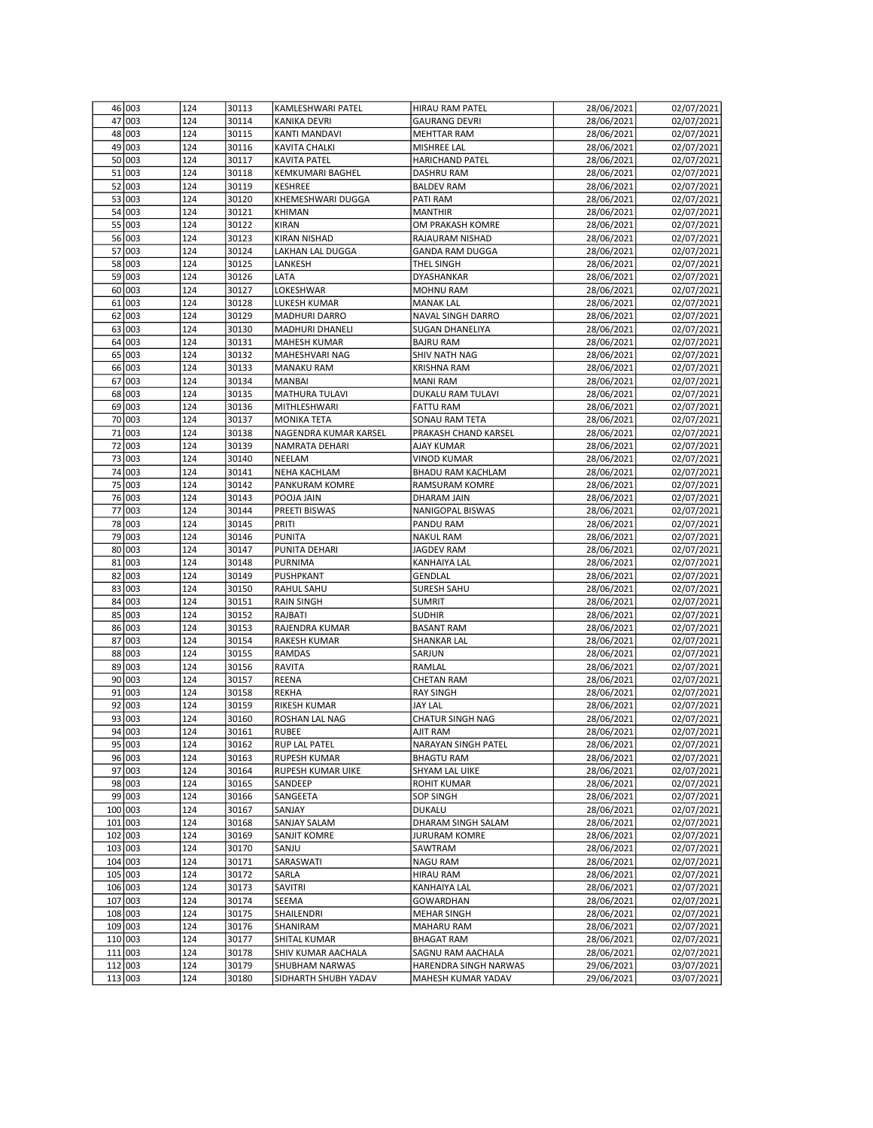| 46 003  | 124 | 30113 | KAMLESHWARI PATEL     | HIRAU RAM PATEL        | 28/06/2021 | 02/07/2021 |
|---------|-----|-------|-----------------------|------------------------|------------|------------|
| 47 003  | 124 | 30114 | <b>KANIKA DEVRI</b>   | <b>GAURANG DEVRI</b>   | 28/06/2021 | 02/07/2021 |
| 48 003  | 124 | 30115 | KANTI MANDAVI         | <b>MEHTTAR RAM</b>     | 28/06/2021 | 02/07/2021 |
| 49 003  | 124 | 30116 | KAVITA CHALKI         | MISHREE LAL            | 28/06/2021 | 02/07/2021 |
| 50 003  | 124 | 30117 | <b>KAVITA PATEL</b>   | <b>HARICHAND PATEL</b> | 28/06/2021 | 02/07/2021 |
| 51 003  | 124 | 30118 | KEMKUMARI BAGHEL      | <b>DASHRU RAM</b>      | 28/06/2021 | 02/07/2021 |
| 52 003  | 124 | 30119 | <b>KESHREE</b>        | <b>BALDEV RAM</b>      | 28/06/2021 | 02/07/2021 |
| 53 003  | 124 | 30120 | KHEMESHWARI DUGGA     | PATI RAM               | 28/06/2021 | 02/07/2021 |
| 54 003  | 124 | 30121 | KHIMAN                | MANTHIR                | 28/06/2021 | 02/07/2021 |
| 55 003  | 124 | 30122 | <b>KIRAN</b>          | OM PRAKASH KOMRE       | 28/06/2021 | 02/07/2021 |
| 56 003  | 124 | 30123 | KIRAN NISHAD          | RAJAURAM NISHAD        | 28/06/2021 | 02/07/2021 |
| 57 003  | 124 | 30124 | LAKHAN LAL DUGGA      | GANDA RAM DUGGA        | 28/06/2021 | 02/07/2021 |
| 58 003  | 124 | 30125 | LANKESH               | THEL SINGH             | 28/06/2021 | 02/07/2021 |
| 59 003  | 124 | 30126 | LATA                  | <b>DYASHANKAR</b>      | 28/06/2021 | 02/07/2021 |
| 60 003  | 124 | 30127 | LOKESHWAR             | MOHNU RAM              | 28/06/2021 | 02/07/2021 |
| 61 003  | 124 | 30128 | LUKESH KUMAR          | MANAK LAL              | 28/06/2021 | 02/07/2021 |
| 62 003  | 124 | 30129 | MADHURI DARRO         | NAVAL SINGH DARRO      | 28/06/2021 | 02/07/2021 |
| 63 003  | 124 | 30130 | MADHURI DHANELI       | <b>SUGAN DHANELIYA</b> | 28/06/2021 | 02/07/2021 |
| 64 003  | 124 | 30131 | <b>MAHESH KUMAR</b>   | <b>BAJRU RAM</b>       | 28/06/2021 | 02/07/2021 |
| 65 003  | 124 | 30132 | MAHESHVARI NAG        | SHIV NATH NAG          | 28/06/2021 | 02/07/2021 |
| 66 003  | 124 | 30133 | MANAKU RAM            | <b>KRISHNA RAM</b>     | 28/06/2021 | 02/07/2021 |
| 67 003  | 124 | 30134 | MANBAI                | <b>MANI RAM</b>        | 28/06/2021 | 02/07/2021 |
| 68 003  | 124 | 30135 | MATHURA TULAVI        | DUKALU RAM TULAVI      | 28/06/2021 | 02/07/2021 |
| 69 003  | 124 | 30136 | MITHLESHWARI          | <b>FATTU RAM</b>       | 28/06/2021 | 02/07/2021 |
| 70 003  | 124 | 30137 | <b>MONIKA TETA</b>    | SONAU RAM TETA         | 28/06/2021 | 02/07/2021 |
| 71 003  | 124 | 30138 | NAGENDRA KUMAR KARSEL | PRAKASH CHAND KARSEL   | 28/06/2021 | 02/07/2021 |
| 72 003  | 124 | 30139 | NAMRATA DEHARI        | <b>AJAY KUMAR</b>      | 28/06/2021 | 02/07/2021 |
| 73 003  | 124 | 30140 | NEELAM                | <b>VINOD KUMAR</b>     | 28/06/2021 | 02/07/2021 |
| 74 003  | 124 | 30141 | NEHA KACHLAM          | BHADU RAM KACHLAM      | 28/06/2021 | 02/07/2021 |
| 75 003  | 124 | 30142 | PANKURAM KOMRE        | RAMSURAM KOMRE         | 28/06/2021 | 02/07/2021 |
| 76 003  | 124 | 30143 | POOJA JAIN            | DHARAM JAIN            | 28/06/2021 | 02/07/2021 |
| 77 003  | 124 | 30144 | PREETI BISWAS         | NANIGOPAL BISWAS       | 28/06/2021 | 02/07/2021 |
| 78 003  | 124 | 30145 | PRITI                 | PANDU RAM              | 28/06/2021 | 02/07/2021 |
| 79 003  | 124 | 30146 | <b>PUNITA</b>         | <b>NAKUL RAM</b>       | 28/06/2021 | 02/07/2021 |
| 80 003  | 124 | 30147 | PUNITA DEHARI         | JAGDEV RAM             | 28/06/2021 | 02/07/2021 |
| 81 003  | 124 | 30148 | PURNIMA               | KANHAIYA LAL           | 28/06/2021 | 02/07/2021 |
| 82 003  | 124 | 30149 | PUSHPKANT             | GENDLAL                | 28/06/2021 | 02/07/2021 |
| 83 003  | 124 | 30150 | RAHUL SAHU            | <b>SURESH SAHU</b>     | 28/06/2021 | 02/07/2021 |
| 84 003  | 124 | 30151 | <b>RAIN SINGH</b>     | <b>SUMRIT</b>          | 28/06/2021 | 02/07/2021 |
| 85 003  | 124 | 30152 | RAJBATI               | <b>SUDHIR</b>          | 28/06/2021 | 02/07/2021 |
| 86 003  | 124 | 30153 | RAJENDRA KUMAR        | <b>BASANT RAM</b>      | 28/06/2021 | 02/07/2021 |
| 87 003  | 124 | 30154 | RAKESH KUMAR          | SHANKAR LAL            | 28/06/2021 | 02/07/2021 |
| 88 003  | 124 | 30155 | <b>RAMDAS</b>         | SARJUN                 | 28/06/2021 | 02/07/2021 |
| 89 003  | 124 | 30156 | <b>RAVITA</b>         | RAMLAL                 | 28/06/2021 | 02/07/2021 |
| 90 003  | 124 | 30157 | REENA                 | <b>CHETAN RAM</b>      | 28/06/2021 | 02/07/2021 |
| 91 003  | 124 | 30158 | <b>REKHA</b>          | <b>RAY SINGH</b>       | 28/06/2021 | 02/07/2021 |
| 92 003  | 124 | 30159 | RIKESH KUMAR          | <b>JAY LAL</b>         | 28/06/2021 | 02/07/2021 |
| 93 003  | 124 | 30160 | ROSHAN LAL NAG        | CHATUR SINGH NAG       | 28/06/2021 | 02/07/2021 |
| 94 003  | 124 | 30161 | <b>RUBEE</b>          | AJIT RAM               | 28/06/2021 | 02/07/2021 |
| 95 003  | 124 | 30162 | <b>RUP LAL PATEL</b>  | NARAYAN SINGH PATEL    | 28/06/2021 | 02/07/2021 |
| 96 003  | 124 | 30163 | <b>RUPESH KUMAR</b>   | <b>BHAGTU RAM</b>      | 28/06/2021 | 02/07/2021 |
| 97 003  | 124 | 30164 | RUPESH KUMAR UIKE     | SHYAM LAL UIKE         | 28/06/2021 | 02/07/2021 |
| 98 003  | 124 | 30165 | SANDEEP               | <b>ROHIT KUMAR</b>     | 28/06/2021 | 02/07/2021 |
| 99 003  | 124 | 30166 | SANGEETA              | <b>SOP SINGH</b>       | 28/06/2021 | 02/07/2021 |
| 100 003 | 124 | 30167 | SANJAY                | <b>DUKALU</b>          | 28/06/2021 | 02/07/2021 |
| 101 003 | 124 | 30168 | <b>SANJAY SALAM</b>   | DHARAM SINGH SALAM     | 28/06/2021 | 02/07/2021 |
| 102 003 | 124 | 30169 | SANJIT KOMRE          | <b>JURURAM KOMRE</b>   | 28/06/2021 | 02/07/2021 |
| 103 003 | 124 | 30170 | SANJU                 | SAWTRAM                | 28/06/2021 | 02/07/2021 |
| 104 003 | 124 | 30171 | SARASWATI             | NAGU RAM               | 28/06/2021 | 02/07/2021 |
| 105 003 | 124 | 30172 | SARLA                 | HIRAU RAM              | 28/06/2021 | 02/07/2021 |
| 106 003 | 124 | 30173 | <b>SAVITRI</b>        | KANHAIYA LAL           | 28/06/2021 | 02/07/2021 |
| 107 003 | 124 | 30174 | SEEMA                 | GOWARDHAN              | 28/06/2021 | 02/07/2021 |
| 108 003 | 124 | 30175 | SHAILENDRI            | <b>MEHAR SINGH</b>     | 28/06/2021 | 02/07/2021 |
| 109 003 | 124 | 30176 | SHANIRAM              | MAHARU RAM             | 28/06/2021 | 02/07/2021 |
| 110 003 | 124 | 30177 | SHITAL KUMAR          | BHAGAT RAM             | 28/06/2021 | 02/07/2021 |
| 111 003 | 124 | 30178 | SHIV KUMAR AACHALA    | SAGNU RAM AACHALA      | 28/06/2021 | 02/07/2021 |
| 112 003 | 124 | 30179 | SHUBHAM NARWAS        | HARENDRA SINGH NARWAS  | 29/06/2021 | 03/07/2021 |
| 113 003 | 124 | 30180 | SIDHARTH SHUBH YADAV  | MAHESH KUMAR YADAV     | 29/06/2021 | 03/07/2021 |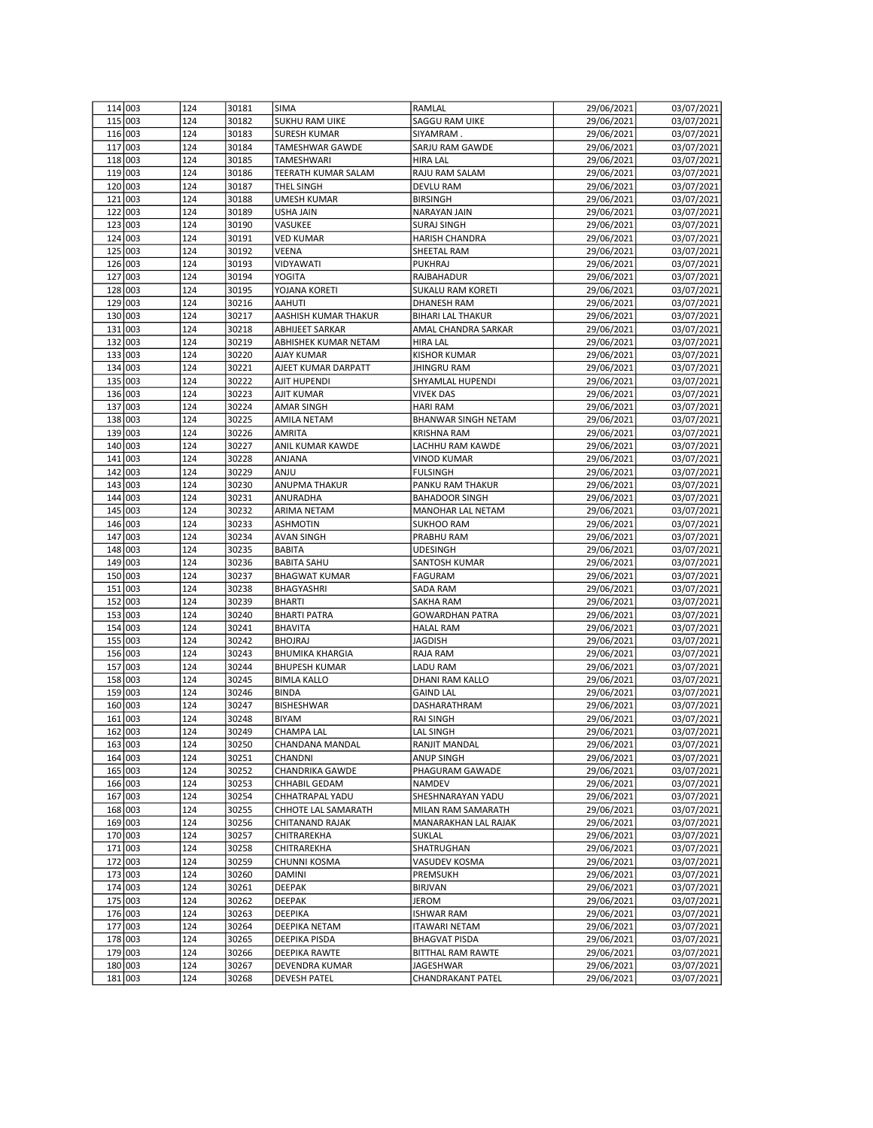| 114 003 | 124 | 30181 | SIMA                   | RAMLAL                   | 29/06/2021 | 03/07/2021 |
|---------|-----|-------|------------------------|--------------------------|------------|------------|
| 115 003 | 124 | 30182 | <b>SUKHU RAM UIKE</b>  | SAGGU RAM UIKE           | 29/06/2021 | 03/07/2021 |
| 116 003 | 124 | 30183 | <b>SURESH KUMAR</b>    | SIYAMRAM.                | 29/06/2021 | 03/07/2021 |
| 117 003 | 124 | 30184 | TAMESHWAR GAWDE        | SARJU RAM GAWDE          | 29/06/2021 | 03/07/2021 |
| 118 003 | 124 | 30185 | TAMESHWARI             | <b>HIRA LAL</b>          | 29/06/2021 | 03/07/2021 |
| 119 003 | 124 | 30186 | TEERATH KUMAR SALAM    | RAJU RAM SALAM           | 29/06/2021 | 03/07/2021 |
| 120 003 | 124 | 30187 | THEL SINGH             | DEVLU RAM                | 29/06/2021 | 03/07/2021 |
| 121 003 | 124 | 30188 | UMESH KUMAR            | <b>BIRSINGH</b>          | 29/06/2021 | 03/07/2021 |
| 122 003 | 124 | 30189 | USHA JAIN              | NARAYAN JAIN             | 29/06/2021 | 03/07/2021 |
| 123 003 | 124 | 30190 | VASUKEE                | <b>SURAJ SINGH</b>       | 29/06/2021 | 03/07/2021 |
| 124 003 | 124 | 30191 | VED KUMAR              | <b>HARISH CHANDRA</b>    | 29/06/2021 | 03/07/2021 |
| 125 003 | 124 | 30192 | VEENA                  | SHEETAL RAM              | 29/06/2021 | 03/07/2021 |
| 126 003 | 124 | 30193 | VIDYAWATI              | PUKHRAJ                  | 29/06/2021 | 03/07/2021 |
| 127 003 | 124 | 30194 | YOGITA                 | RAJBAHADUR               | 29/06/2021 | 03/07/2021 |
| 128 003 | 124 | 30195 | YOJANA KORETI          | SUKALU RAM KORETI        | 29/06/2021 | 03/07/2021 |
| 129 003 | 124 | 30216 | AAHUTI                 | <b>DHANESH RAM</b>       | 29/06/2021 | 03/07/2021 |
| 130 003 | 124 | 30217 | AASHISH KUMAR THAKUR   | <b>BIHARI LAL THAKUR</b> | 29/06/2021 | 03/07/2021 |
| 131 003 | 124 | 30218 | ABHIJEET SARKAR        | AMAL CHANDRA SARKAR      | 29/06/2021 | 03/07/2021 |
| 132 003 | 124 | 30219 | ABHISHEK KUMAR NETAM   | HIRA LAL                 | 29/06/2021 | 03/07/2021 |
| 133 003 | 124 | 30220 | AJAY KUMAR             | <b>KISHOR KUMAR</b>      | 29/06/2021 | 03/07/2021 |
| 134 003 | 124 | 30221 | AJEET KUMAR DARPATT    | <b>JHINGRU RAM</b>       | 29/06/2021 | 03/07/2021 |
| 135 003 | 124 | 30222 | AJIT HUPENDI           | SHYAMLAL HUPENDI         | 29/06/2021 | 03/07/2021 |
| 136 003 | 124 | 30223 | <b>AJIT KUMAR</b>      | <b>VIVEK DAS</b>         | 29/06/2021 | 03/07/2021 |
| 137 003 | 124 | 30224 | <b>AMAR SINGH</b>      | <b>HARI RAM</b>          | 29/06/2021 | 03/07/2021 |
| 138 003 | 124 | 30225 | <b>AMILA NETAM</b>     | BHANWAR SINGH NETAM      | 29/06/2021 | 03/07/2021 |
| 139 003 | 124 | 30226 | <b>AMRITA</b>          | <b>KRISHNA RAM</b>       | 29/06/2021 | 03/07/2021 |
| 140 003 | 124 | 30227 | ANIL KUMAR KAWDE       | LACHHU RAM KAWDE         | 29/06/2021 | 03/07/2021 |
| 141 003 | 124 | 30228 | ANJANA                 | <b>VINOD KUMAR</b>       | 29/06/2021 | 03/07/2021 |
| 142 003 | 124 | 30229 | <b>ANJU</b>            | <b>FULSINGH</b>          | 29/06/2021 | 03/07/2021 |
| 143 003 | 124 | 30230 | <b>ANUPMA THAKUR</b>   | PANKU RAM THAKUR         | 29/06/2021 | 03/07/2021 |
| 144 003 | 124 | 30231 | ANURADHA               | <b>BAHADOOR SINGH</b>    | 29/06/2021 | 03/07/2021 |
| 145 003 | 124 | 30232 | ARIMA NETAM            | MANOHAR LAL NETAM        | 29/06/2021 | 03/07/2021 |
| 146 003 | 124 | 30233 | ASHMOTIN               | <b>SUKHOO RAM</b>        | 29/06/2021 | 03/07/2021 |
| 147 003 | 124 | 30234 | AVAN SINGH             | PRABHU RAM               | 29/06/2021 | 03/07/2021 |
| 148 003 | 124 | 30235 | <b>BABITA</b>          | <b>UDESINGH</b>          | 29/06/2021 | 03/07/2021 |
| 149 003 | 124 | 30236 | <b>BABITA SAHU</b>     | SANTOSH KUMAR            | 29/06/2021 | 03/07/2021 |
| 150 003 | 124 | 30237 | <b>BHAGWAT KUMAR</b>   | FAGURAM                  | 29/06/2021 | 03/07/2021 |
| 151 003 | 124 | 30238 | BHAGYASHRI             | SADA RAM                 | 29/06/2021 | 03/07/2021 |
| 152 003 | 124 | 30239 | <b>BHARTI</b>          | <b>SAKHA RAM</b>         | 29/06/2021 | 03/07/2021 |
| 153 003 | 124 | 30240 | <b>BHARTI PATRA</b>    | <b>GOWARDHAN PATRA</b>   | 29/06/2021 | 03/07/2021 |
| 154 003 | 124 | 30241 | <b>BHAVITA</b>         | <b>HALAL RAM</b>         | 29/06/2021 | 03/07/2021 |
| 155 003 | 124 | 30242 | <b>BHOJRAJ</b>         | JAGDISH                  | 29/06/2021 | 03/07/2021 |
| 156 003 | 124 | 30243 | <b>BHUMIKA KHARGIA</b> | <b>RAJA RAM</b>          | 29/06/2021 | 03/07/2021 |
| 157 003 | 124 | 30244 | <b>BHUPESH KUMAR</b>   | LADU RAM                 | 29/06/2021 | 03/07/2021 |
| 158 003 | 124 | 30245 | <b>BIMLA KALLO</b>     | DHANI RAM KALLO          | 29/06/2021 | 03/07/2021 |
| 159 003 | 124 | 30246 | <b>BINDA</b>           | <b>GAIND LAL</b>         | 29/06/2021 | 03/07/2021 |
| 160 003 | 124 | 30247 | <b>BISHESHWAR</b>      | DASHARATHRAM             | 29/06/2021 | 03/07/2021 |
| 161 003 | 124 | 30248 | <b>BIYAM</b>           | <b>RAI SINGH</b>         | 29/06/2021 | 03/07/2021 |
| 162 003 | 124 | 30249 | <b>CHAMPA LAL</b>      | <b>LAL SINGH</b>         | 29/06/2021 | 03/07/2021 |
| 163 003 | 124 | 30250 | CHANDANA MANDAL        | RANJIT MANDAL            | 29/06/2021 | 03/07/2021 |
| 164 003 | 124 | 30251 | CHANDNI                | <b>ANUP SINGH</b>        | 29/06/2021 | 03/07/2021 |
| 165 003 | 124 | 30252 | CHANDRIKA GAWDE        | PHAGURAM GAWADE          | 29/06/2021 | 03/07/2021 |
| 166 003 | 124 | 30253 | CHHABIL GEDAM          | NAMDEV                   | 29/06/2021 | 03/07/2021 |
| 167 003 | 124 | 30254 | CHHATRAPAL YADU        | SHESHNARAYAN YADU        | 29/06/2021 | 03/07/2021 |
| 168 003 | 124 | 30255 | CHHOTE LAL SAMARATH    | MILAN RAM SAMARATH       | 29/06/2021 | 03/07/2021 |
| 169 003 | 124 | 30256 | CHITANAND RAJAK        | MANARAKHAN LAL RAJAK     | 29/06/2021 | 03/07/2021 |
| 170 003 | 124 | 30257 | CHITRAREKHA            | SUKLAL                   | 29/06/2021 | 03/07/2021 |
| 171 003 | 124 | 30258 | CHITRAREKHA            | SHATRUGHAN               | 29/06/2021 | 03/07/2021 |
| 172 003 | 124 | 30259 | CHUNNI KOSMA           | VASUDEV KOSMA            | 29/06/2021 | 03/07/2021 |
| 173 003 | 124 | 30260 | DAMINI                 | PREMSUKH                 | 29/06/2021 | 03/07/2021 |
| 174 003 | 124 | 30261 | DEEPAK                 | <b>BIRJVAN</b>           | 29/06/2021 | 03/07/2021 |
| 175 003 | 124 | 30262 | DEEPAK                 | JEROM                    | 29/06/2021 | 03/07/2021 |
| 176 003 | 124 | 30263 | DEEPIKA                | <b>ISHWAR RAM</b>        | 29/06/2021 | 03/07/2021 |
| 177 003 | 124 | 30264 | DEEPIKA NETAM          | <b>ITAWARI NETAM</b>     | 29/06/2021 | 03/07/2021 |
| 178 003 | 124 | 30265 | DEEPIKA PISDA          | <b>BHAGVAT PISDA</b>     | 29/06/2021 | 03/07/2021 |
| 179 003 | 124 | 30266 | DEEPIKA RAWTE          | BITTHAL RAM RAWTE        | 29/06/2021 | 03/07/2021 |
| 180 003 | 124 | 30267 | DEVENDRA KUMAR         | JAGESHWAR                | 29/06/2021 | 03/07/2021 |
| 181 003 | 124 | 30268 | <b>DEVESH PATEL</b>    | CHANDRAKANT PATEL        | 29/06/2021 | 03/07/2021 |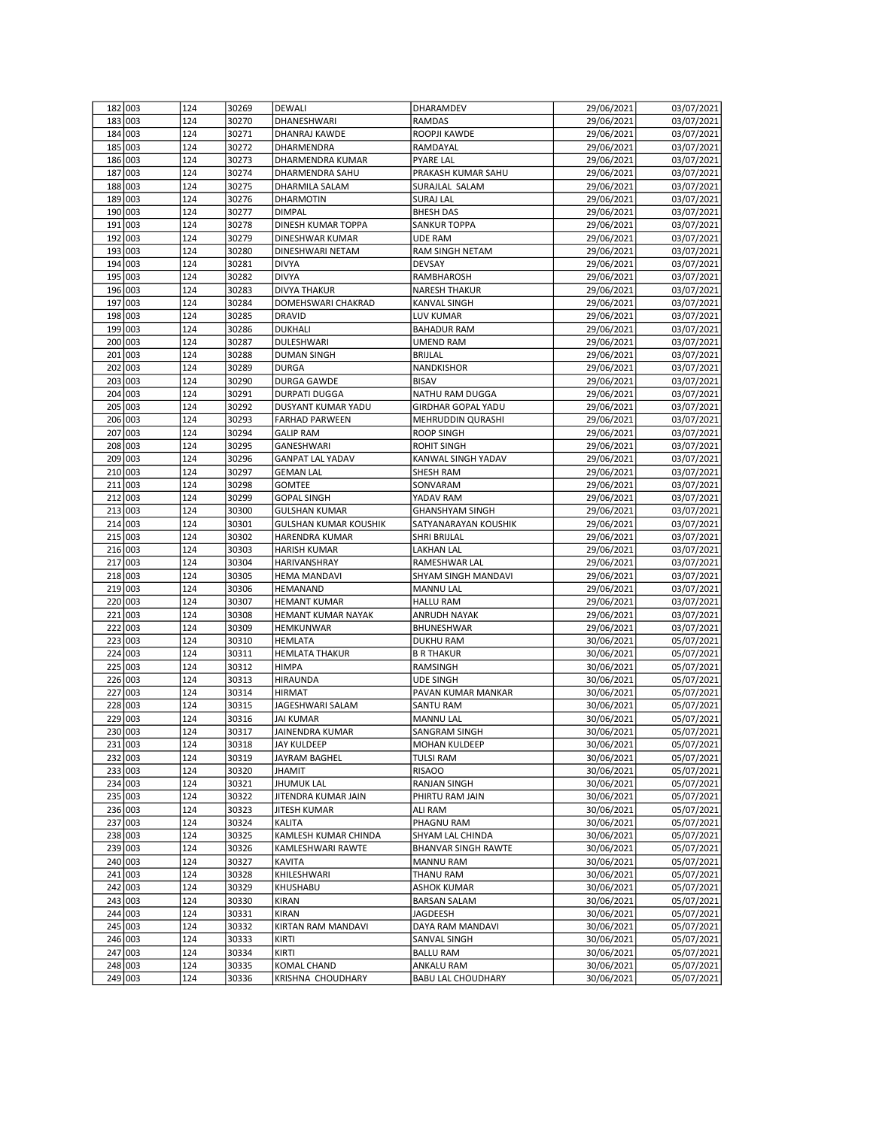| 182 003            | 124              | 30269          | <b>DEWALI</b>                | DHARAMDEV                  | 29/06/2021 | 03/07/2021 |
|--------------------|------------------|----------------|------------------------------|----------------------------|------------|------------|
| 183 003            | 124              | 30270          | DHANESHWARI                  | <b>RAMDAS</b>              | 29/06/2021 | 03/07/2021 |
| 184 003            | 124              | 30271          | DHANRAJ KAWDE                | ROOPJI KAWDE               | 29/06/2021 | 03/07/2021 |
| 185 003            | 124              | 30272          | DHARMENDRA                   | RAMDAYAL                   | 29/06/2021 | 03/07/2021 |
| 186 003            | 124              | 30273          | DHARMENDRA KUMAR             | <b>PYARE LAL</b>           | 29/06/2021 | 03/07/2021 |
| 187 003            | 124              | 30274          | DHARMENDRA SAHU              | PRAKASH KUMAR SAHU         | 29/06/2021 | 03/07/2021 |
| 188 003            | 124              | 30275          | DHARMILA SALAM               | SURAJLAL SALAM             | 29/06/2021 | 03/07/2021 |
| 189 003            | 124              | 30276          | <b>DHARMOTIN</b>             | <b>SURAJ LAL</b>           | 29/06/2021 | 03/07/2021 |
| 190 003            | 124              | 30277          | <b>DIMPAL</b>                | <b>BHESH DAS</b>           | 29/06/2021 | 03/07/2021 |
| 191 003            | 124              | 30278          | DINESH KUMAR TOPPA           | <b>SANKUR TOPPA</b>        | 29/06/2021 | 03/07/2021 |
| 192 003            | 124              | 30279          | DINESHWAR KUMAR              | <b>UDE RAM</b>             | 29/06/2021 | 03/07/2021 |
| 193 003            | 124              | 30280          | DINESHWARI NETAM             | RAM SINGH NETAM            | 29/06/2021 | 03/07/2021 |
| 194 003            | 124              | 30281          | <b>DIVYA</b>                 | DEVSAY                     | 29/06/2021 | 03/07/2021 |
| 195 003            | 124              | 30282          | <b>DIVYA</b>                 | RAMBHAROSH                 | 29/06/2021 | 03/07/2021 |
| 196 003            | 124              | 30283          | <b>DIVYA THAKUR</b>          | <b>NARESH THAKUR</b>       | 29/06/2021 | 03/07/2021 |
| 197 003            | 124              | 30284          | DOMEHSWARI CHAKRAD           | <b>KANVAL SINGH</b>        | 29/06/2021 | 03/07/2021 |
| 198 003            | 124              | 30285          | DRAVID                       | LUV KUMAR                  | 29/06/2021 | 03/07/2021 |
| 199 003            | 124              | 30286          | <b>DUKHALI</b>               | <b>BAHADUR RAM</b>         |            |            |
|                    |                  |                |                              |                            | 29/06/2021 | 03/07/2021 |
| 200 003            | 124              | 30287          | DULESHWARI                   | <b>UMEND RAM</b>           | 29/06/2021 | 03/07/2021 |
| 201 003            | 124              | 30288          | <b>DUMAN SINGH</b>           | <b>BRIJLAL</b>             | 29/06/2021 | 03/07/2021 |
| 202 003            | 124              | 30289          | <b>DURGA</b>                 | NANDKISHOR                 | 29/06/2021 | 03/07/2021 |
| 203 003            | 124              | 30290          | DURGA GAWDE                  | <b>BISAV</b>               | 29/06/2021 | 03/07/2021 |
| 204 003            | 124              | 30291          | <b>DURPATI DUGGA</b>         | NATHU RAM DUGGA            | 29/06/2021 | 03/07/2021 |
| 205 003            | 124              | 30292          | DUSYANT KUMAR YADU           | <b>GIRDHAR GOPAL YADU</b>  | 29/06/2021 | 03/07/2021 |
| 206 003            | 124              | 30293          | <b>FARHAD PARWEEN</b>        | MEHRUDDIN QURASHI          | 29/06/2021 | 03/07/2021 |
| 207 003            | 124              | 30294          | <b>GALIP RAM</b>             | ROOP SINGH                 | 29/06/2021 | 03/07/2021 |
| 208 003            | 124              | 30295          | GANESHWARI                   | <b>ROHIT SINGH</b>         | 29/06/2021 | 03/07/2021 |
| 209 003            | 124              | 30296          | <b>GANPAT LAL YADAV</b>      | KANWAL SINGH YADAV         | 29/06/2021 | 03/07/2021 |
| 210 003            | 124              | 30297          | <b>GEMAN LAL</b>             | SHESH RAM                  | 29/06/2021 | 03/07/2021 |
| 211 003            | 124              | 30298          | GOMTEE                       | SONVARAM                   | 29/06/2021 | 03/07/2021 |
| 212 003            | 124              | 30299          | <b>GOPAL SINGH</b>           | YADAV RAM                  | 29/06/2021 | 03/07/2021 |
| 213 003            | 124              | 30300          | <b>GULSHAN KUMAR</b>         | <b>GHANSHYAM SINGH</b>     | 29/06/2021 | 03/07/2021 |
| 214 003            | 124              | 30301          | <b>GULSHAN KUMAR KOUSHIK</b> | SATYANARAYAN KOUSHIK       | 29/06/2021 | 03/07/2021 |
| 215 003            | 124              | 30302          | HARENDRA KUMAR               | SHRI BRIJLAL               | 29/06/2021 | 03/07/2021 |
| 216 003            | 124              | 30303          | <b>HARISH KUMAR</b>          | <b>LAKHAN LAL</b>          | 29/06/2021 | 03/07/2021 |
| 217 003            | 124              | 30304          | HARIVANSHRAY                 | RAMESHWAR LAL              | 29/06/2021 | 03/07/2021 |
| 218 003            | 124              | 30305          | <b>HEMA MANDAVI</b>          | SHYAM SINGH MANDAVI        | 29/06/2021 | 03/07/2021 |
| 219 003            | 124              | 30306          | HEMANAND                     | <b>MANNU LAL</b>           | 29/06/2021 | 03/07/2021 |
| 220 003            | 124              | 30307          | <b>HEMANT KUMAR</b>          | <b>HALLU RAM</b>           | 29/06/2021 | 03/07/2021 |
| 221 003            | 124              | 30308          | HEMANT KUMAR NAYAK           | ANRUDH NAYAK               | 29/06/2021 | 03/07/2021 |
| 222 003            | 124              | 30309          | <b>HEMKUNWAR</b>             | BHUNESHWAR                 | 29/06/2021 | 03/07/2021 |
| 223 003            | 124              | 30310          | <b>HEMLATA</b>               | <b>DUKHU RAM</b>           | 30/06/2021 | 05/07/2021 |
| 224 003            | 124              | 30311          | <b>HEMLATA THAKUR</b>        | <b>B R THAKUR</b>          | 30/06/2021 | 05/07/2021 |
| 225 003            | 124              | 30312          | <b>HIMPA</b>                 | RAMSINGH                   | 30/06/2021 | 05/07/2021 |
| 226 003            | 124              | 30313          | <b>HIRAUNDA</b>              | <b>UDE SINGH</b>           | 30/06/2021 | 05/07/2021 |
| 227 003            | 124              | 30314          | <b>HIRMAT</b>                | PAVAN KUMAR MANKAR         | 30/06/2021 | 05/07/2021 |
| 228 003            | 124              | 30315          | JAGESHWARI SALAM             | SANTU RAM                  | 30/06/2021 | 05/07/2021 |
| 229 003            | 124              | 30316          | JAI KUMAR                    | <b>MANNU LAL</b>           | 30/06/2021 | 05/07/2021 |
| 230 003            | 124              | 30317          | JAINENDRA KUMAR              | SANGRAM SINGH              | 30/06/2021 | 05/07/2021 |
| 231 003            | 124              | 30318          | <b>JAY KULDEEP</b>           | MOHAN KULDEEP              | 30/06/2021 | 05/07/2021 |
| 232 003            | 124              | 30319          | JAYRAM BAGHEL                | <b>TULSI RAM</b>           | 30/06/2021 | 05/07/2021 |
| 233 003            | 124              | 30320          | <b>JHAMIT</b>                | <b>RISAOO</b>              | 30/06/2021 | 05/07/2021 |
| 234 003            | $\overline{124}$ | 30321          | <b>JHUMUK LAL</b>            | <b>RANJAN SINGH</b>        | 30/06/2021 | 05/07/2021 |
| 235 003            | 124              | 30322          | JITENDRA KUMAR JAIN          | PHIRTU RAM JAIN            | 30/06/2021 | 05/07/2021 |
| 236 003            | 124              | 30323          | <b>JITESH KUMAR</b>          | ALI RAM                    | 30/06/2021 | 05/07/2021 |
| 237 003            | 124              | 30324          | KALITA                       | PHAGNU RAM                 | 30/06/2021 | 05/07/2021 |
| 238 003            | 124              | 30325          | KAMLESH KUMAR CHINDA         | SHYAM LAL CHINDA           | 30/06/2021 | 05/07/2021 |
| 239 003            | 124              | 30326          | KAMLESHWARI RAWTE            | <b>BHANVAR SINGH RAWTE</b> | 30/06/2021 | 05/07/2021 |
|                    |                  | 30327          | KAVITA                       |                            |            |            |
| 240 003<br>241 003 | 124              |                |                              | MANNU RAM<br>THANU RAM     | 30/06/2021 | 05/07/2021 |
|                    | 124              | 30328<br>30329 | KHILESHWARI                  |                            | 30/06/2021 | 05/07/2021 |
| 242 003            | 124              |                | KHUSHABU                     | <b>ASHOK KUMAR</b>         | 30/06/2021 | 05/07/2021 |
| 243 003            | 124              | 30330          | KIRAN                        | <b>BARSAN SALAM</b>        | 30/06/2021 | 05/07/2021 |
| 244 003            | 124              | 30331          | KIRAN                        | JAGDEESH                   | 30/06/2021 | 05/07/2021 |
| 245 003            | 124              | 30332          | KIRTAN RAM MANDAVI           | DAYA RAM MANDAVI           | 30/06/2021 | 05/07/2021 |
| 246 003            | 124              | 30333          | KIRTI                        | SANVAL SINGH               | 30/06/2021 | 05/07/2021 |
| 247 003            | 124              | 30334          | KIRTI                        | <b>BALLU RAM</b>           | 30/06/2021 | 05/07/2021 |
| 248 003            | 124              | 30335          | KOMAL CHAND                  | ANKALU RAM                 | 30/06/2021 | 05/07/2021 |
| 249 003            | 124              | 30336          | KRISHNA CHOUDHARY            | <b>BABU LAL CHOUDHARY</b>  | 30/06/2021 | 05/07/2021 |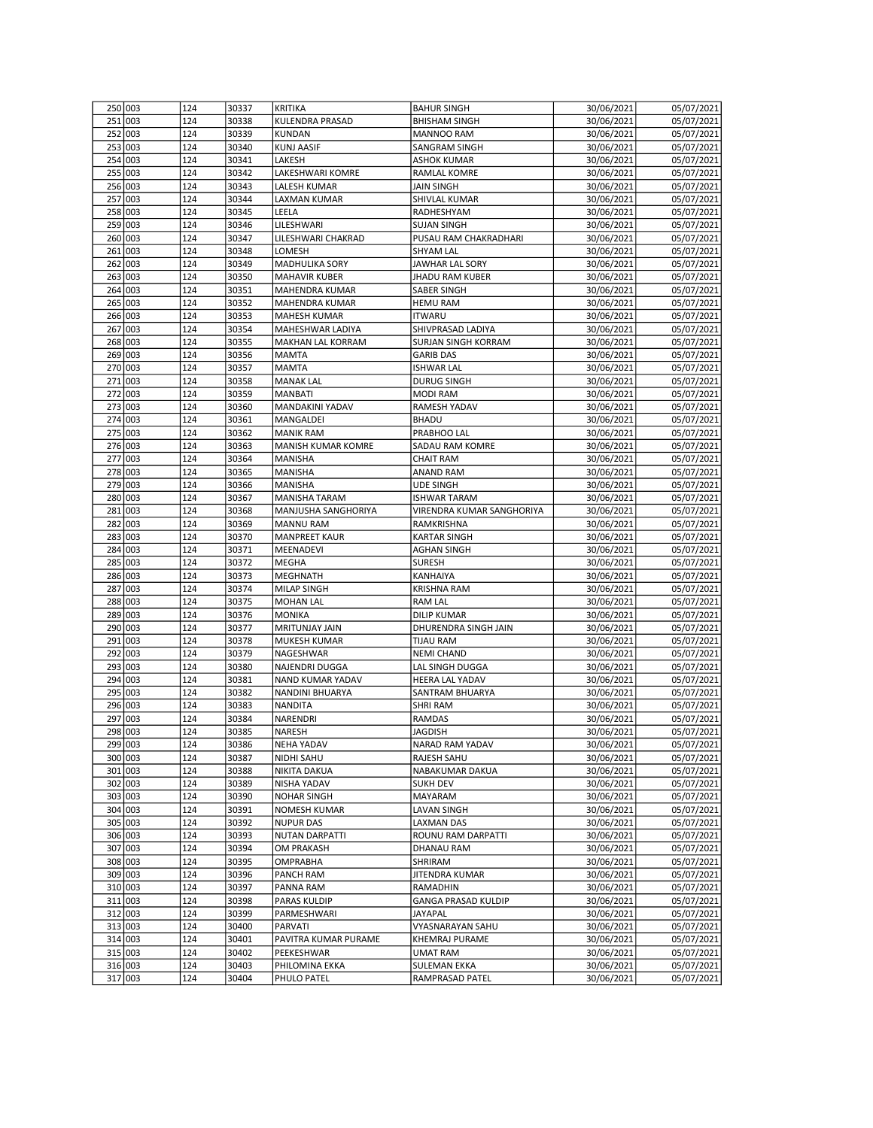| 250 003            | 124 | 30337          | <b>KRITIKA</b>         | <b>BAHUR SINGH</b>                   | 30/06/2021               | 05/07/2021               |
|--------------------|-----|----------------|------------------------|--------------------------------------|--------------------------|--------------------------|
| 251 003            | 124 | 30338          | KULENDRA PRASAD        | <b>BHISHAM SINGH</b>                 | 30/06/2021               | 05/07/2021               |
| 252 003            | 124 | 30339          | KUNDAN                 | MANNOO RAM                           | 30/06/2021               | 05/07/2021               |
| 253 003            | 124 | 30340          | <b>KUNJ AASIF</b>      | <b>SANGRAM SINGH</b>                 | 30/06/2021               | 05/07/2021               |
| 254 003            | 124 | 30341          | LAKESH                 | <b>ASHOK KUMAR</b>                   | 30/06/2021               | 05/07/2021               |
| 255 003            | 124 | 30342          | LAKESHWARI KOMRE       | RAMLAL KOMRE                         | 30/06/2021               | 05/07/2021               |
| 256 003            | 124 | 30343          | LALESH KUMAR           | JAIN SINGH                           | 30/06/2021               | 05/07/2021               |
| 257 003            | 124 | 30344          | LAXMAN KUMAR           | SHIVLAL KUMAR                        | 30/06/2021               | 05/07/2021               |
| 258 003            | 124 | 30345          | LEELA                  | RADHESHYAM                           | 30/06/2021               | 05/07/2021               |
| 259 003            | 124 | 30346          | LILESHWARI             | <b>SUJAN SINGH</b>                   | 30/06/2021               | 05/07/2021               |
| 260 003            | 124 | 30347          | LILESHWARI CHAKRAD     | PUSAU RAM CHAKRADHARI                | 30/06/2021               | 05/07/2021               |
| 261 003            | 124 | 30348          | LOMESH                 | SHYAM LAL                            | 30/06/2021               | 05/07/2021               |
| 262 003            | 124 | 30349          | <b>MADHULIKA SORY</b>  | JAWHAR LAL SORY                      | 30/06/2021               | 05/07/2021               |
| 263 003            | 124 | 30350          | <b>MAHAVIR KUBER</b>   | <b>JHADU RAM KUBER</b>               | 30/06/2021               | 05/07/2021               |
| 264 003            | 124 | 30351          | MAHENDRA KUMAR         | SABER SINGH                          | 30/06/2021               | 05/07/2021               |
| 265 003            | 124 | 30352          | MAHENDRA KUMAR         | <b>HEMU RAM</b>                      | 30/06/2021               | 05/07/2021               |
| 266 003            | 124 | 30353          | <b>MAHESH KUMAR</b>    | <b>ITWARU</b>                        | 30/06/2021               | 05/07/2021               |
| 267 003            | 124 | 30354          | MAHESHWAR LADIYA       | SHIVPRASAD LADIYA                    | 30/06/2021               | 05/07/2021               |
| 268 003            | 124 | 30355          | MAKHAN LAL KORRAM      | SURJAN SINGH KORRAM                  | 30/06/2021               | 05/07/2021               |
| 269 003            | 124 | 30356          | MAMTA                  | <b>GARIB DAS</b>                     | 30/06/2021               | 05/07/2021               |
| 270 003            | 124 | 30357          | <b>MAMTA</b>           | <b>ISHWAR LAL</b>                    | 30/06/2021               | 05/07/2021               |
| 271 003            | 124 | 30358          | <b>MANAK LAL</b>       | <b>DURUG SINGH</b>                   | 30/06/2021               | 05/07/2021               |
| 272 003            | 124 | 30359          | <b>MANBATI</b>         | MODI RAM                             | 30/06/2021               | 05/07/2021               |
| 273 003            | 124 | 30360          | <b>MANDAKINI YADAV</b> | RAMESH YADAV                         | 30/06/2021               | 05/07/2021               |
| 274 003            | 124 | 30361          | MANGALDEI              | BHADU                                | 30/06/2021               | 05/07/2021               |
| 275 003            | 124 | 30362          | <b>MANIK RAM</b>       | PRABHOO LAL                          |                          | 05/07/2021               |
| 276 003            | 124 | 30363          | MANISH KUMAR KOMRE     | SADAU RAM KOMRE                      | 30/06/2021<br>30/06/2021 | 05/07/2021               |
|                    | 124 |                | MANISHA                |                                      |                          |                          |
| 277 003<br>278 003 | 124 | 30364<br>30365 | MANISHA                | <b>CHAIT RAM</b><br><b>ANAND RAM</b> | 30/06/2021               | 05/07/2021<br>05/07/2021 |
| 279 003            | 124 |                |                        |                                      | 30/06/2021               |                          |
|                    |     | 30366          | MANISHA                | <b>UDE SINGH</b>                     | 30/06/2021               | 05/07/2021               |
| 280 003            | 124 | 30367          | MANISHA TARAM          | <b>ISHWAR TARAM</b>                  | 30/06/2021               | 05/07/2021               |
| 281 003            | 124 | 30368          | MANJUSHA SANGHORIYA    | VIRENDRA KUMAR SANGHORIYA            | 30/06/2021               | 05/07/2021               |
| 282 003            | 124 | 30369          | <b>MANNU RAM</b>       | RAMKRISHNA                           | 30/06/2021               | 05/07/2021               |
| 283 003            | 124 | 30370          | <b>MANPREET KAUR</b>   | <b>KARTAR SINGH</b>                  | 30/06/2021               | 05/07/2021               |
| 284 003            | 124 | 30371          | MEENADEVI              | AGHAN SINGH                          | 30/06/2021               | 05/07/2021               |
| 285 003            | 124 | 30372          | MEGHA                  | <b>SURESH</b>                        | 30/06/2021               | 05/07/2021               |
| 286 003            | 124 | 30373          | MEGHNATH               | KANHAIYA                             | 30/06/2021               | 05/07/2021               |
| 287 003            | 124 | 30374          | MILAP SINGH            | KRISHNA RAM                          | 30/06/2021               | 05/07/2021               |
| 288 003            | 124 | 30375          | <b>MOHAN LAL</b>       | <b>RAM LAL</b>                       | 30/06/2021               | 05/07/2021               |
| 289 003            | 124 | 30376          | <b>MONIKA</b>          | <b>DILIP KUMAR</b>                   | 30/06/2021               | 05/07/2021               |
| 290 003            | 124 | 30377          | MRITUNJAY JAIN         | DHURENDRA SINGH JAIN                 | 30/06/2021               | 05/07/2021               |
| 291 003            | 124 | 30378          | MUKESH KUMAR           | TIJAU RAM                            | 30/06/2021               | 05/07/2021               |
| 292 003            | 124 | 30379          | NAGESHWAR              | <b>NEMI CHAND</b>                    | 30/06/2021               | 05/07/2021               |
| 293 003            | 124 | 30380          | NAJENDRI DUGGA         | LAL SINGH DUGGA                      | 30/06/2021               | 05/07/2021               |
| 294 003            | 124 | 30381          | NAND KUMAR YADAV       | HEERA LAL YADAV                      | 30/06/2021               | 05/07/2021               |
| 295 003            | 124 | 30382          | <b>NANDINI BHUARYA</b> | SANTRAM BHUARYA                      | 30/06/2021               | 05/07/2021               |
| 296 003            | 124 | 30383          | NANDITA                | <b>SHRI RAM</b>                      | 30/06/2021               | 05/07/2021               |
| 297 003            | 124 | 30384          | NARENDRI               | RAMDAS                               | 30/06/2021               | 05/07/2021               |
| 298 003            | 124 | 30385          | NARESH                 | <b>JAGDISH</b>                       | 30/06/2021               | 05/07/2021               |
| 299 003            | 124 | 30386          | <b>NEHA YADAV</b>      | NARAD RAM YADAV                      | 30/06/2021               | 05/07/2021               |
| 300 003            | 124 | 30387          | NIDHI SAHU             | RAJESH SAHU                          | 30/06/2021               | 05/07/2021               |
| 301 003            | 124 | 30388          | NIKITA DAKUA           | NABAKUMAR DAKUA                      | 30/06/2021               | 05/07/2021               |
| 302 003            | 124 | 30389          | NISHA YADAV            | <b>SUKH DEV</b>                      | 30/06/2021               | 05/07/2021               |
| 303 003            | 124 | 30390          | <b>NOHAR SINGH</b>     | MAYARAM                              | 30/06/2021               | 05/07/2021               |
| 304 003            | 124 | 30391          | NOMESH KUMAR           | LAVAN SINGH                          | 30/06/2021               | 05/07/2021               |
| 305 003            | 124 | 30392          | <b>NUPUR DAS</b>       | LAXMAN DAS                           | 30/06/2021               | 05/07/2021               |
| 306 003            | 124 | 30393          | <b>NUTAN DARPATTI</b>  | ROUNU RAM DARPATTI                   | 30/06/2021               | 05/07/2021               |
| 307 003            | 124 | 30394          | OM PRAKASH             | DHANAU RAM                           | 30/06/2021               | 05/07/2021               |
| 308 003            | 124 | 30395          | <b>OMPRABHA</b>        | SHRIRAM                              | 30/06/2021               | 05/07/2021               |
| 309 003            | 124 | 30396          | PANCH RAM              | JITENDRA KUMAR                       | 30/06/2021               | 05/07/2021               |
| 310 003            | 124 | 30397          | PANNA RAM              | RAMADHIN                             | 30/06/2021               | 05/07/2021               |
| 311 003            | 124 | 30398          | PARAS KULDIP           | <b>GANGA PRASAD KULDIP</b>           | 30/06/2021               | 05/07/2021               |
| 312 003            | 124 | 30399          | PARMESHWARI            | JAYAPAL                              | 30/06/2021               | 05/07/2021               |
| 313 003            | 124 | 30400          | PARVATI                | VYASNARAYAN SAHU                     | 30/06/2021               | 05/07/2021               |
| 314 003            | 124 | 30401          | PAVITRA KUMAR PURAME   | KHEMRAJ PURAME                       | 30/06/2021               | 05/07/2021               |
| 315 003            | 124 | 30402          | PEEKESHWAR             | UMAT RAM                             | 30/06/2021               | 05/07/2021               |
| 316 003            | 124 | 30403          | PHILOMINA EKKA         | SULEMAN EKKA                         | 30/06/2021               | 05/07/2021               |
| 317 003            | 124 | 30404          | PHULO PATEL            | RAMPRASAD PATEL                      | 30/06/2021               | 05/07/2021               |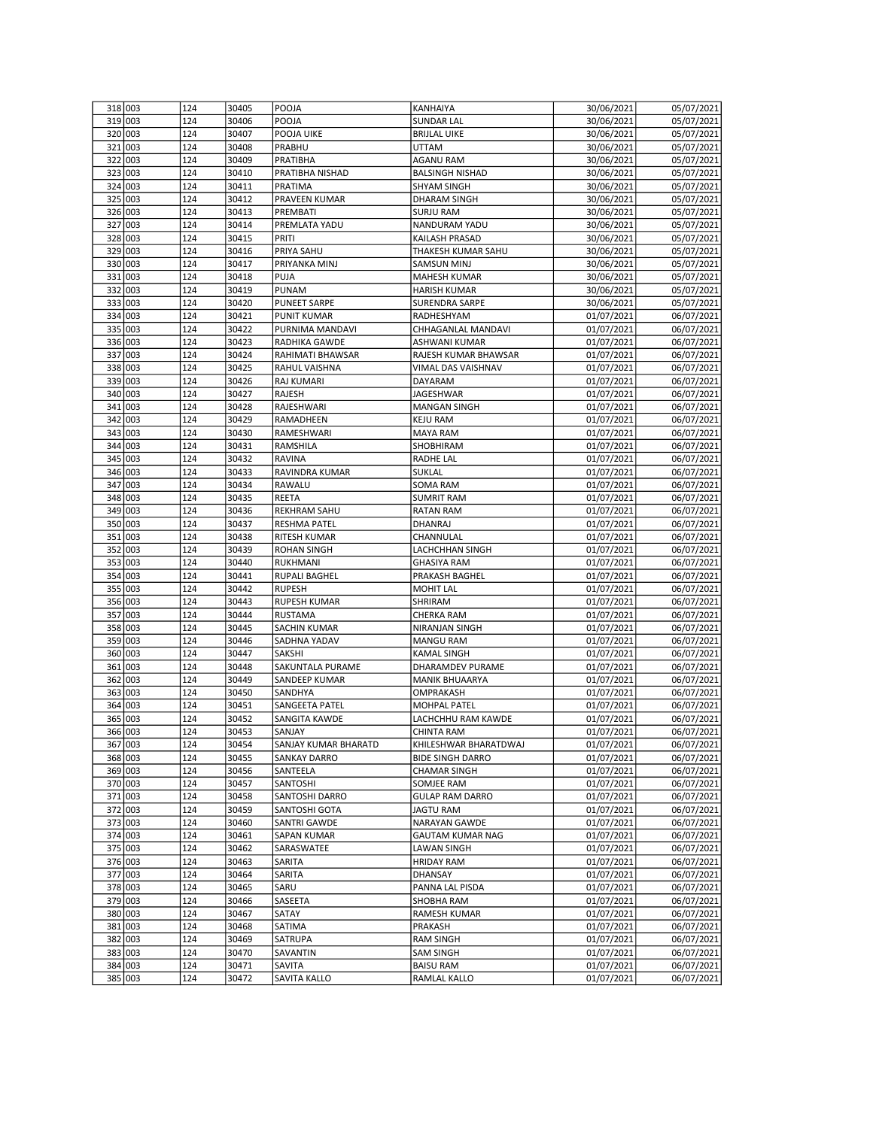| 318 003 | 124 | 30405 | POOJA                       | KANHAIYA                | 30/06/2021 | 05/07/2021 |
|---------|-----|-------|-----------------------------|-------------------------|------------|------------|
| 319 003 | 124 | 30406 | POOJA                       | <b>SUNDAR LAL</b>       | 30/06/2021 | 05/07/2021 |
| 320 003 | 124 | 30407 | POOJA UIKE                  | <b>BRIJLAL UIKE</b>     | 30/06/2021 | 05/07/2021 |
| 321 003 | 124 | 30408 | PRABHU                      | UTTAM                   | 30/06/2021 | 05/07/2021 |
| 322 003 | 124 | 30409 | PRATIBHA                    | <b>AGANU RAM</b>        | 30/06/2021 | 05/07/2021 |
| 323 003 | 124 | 30410 | PRATIBHA NISHAD             | <b>BALSINGH NISHAD</b>  | 30/06/2021 | 05/07/2021 |
| 324 003 | 124 | 30411 | PRATIMA                     | <b>SHYAM SINGH</b>      | 30/06/2021 | 05/07/2021 |
| 325 003 | 124 | 30412 | PRAVEEN KUMAR               | DHARAM SINGH            | 30/06/2021 | 05/07/2021 |
| 326 003 | 124 | 30413 | PREMBATI                    | <b>SURJU RAM</b>        | 30/06/2021 | 05/07/2021 |
| 327 003 | 124 | 30414 | PREMLATA YADU               | NANDURAM YADU           | 30/06/2021 | 05/07/2021 |
| 328 003 | 124 | 30415 | PRITI                       | KAILASH PRASAD          | 30/06/2021 | 05/07/2021 |
| 329 003 | 124 | 30416 | PRIYA SAHU                  | THAKESH KUMAR SAHU      | 30/06/2021 | 05/07/2021 |
| 330 003 | 124 | 30417 | PRIYANKA MINJ               | <b>SAMSUN MINJ</b>      | 30/06/2021 | 05/07/2021 |
| 331 003 | 124 | 30418 | PUJA                        | <b>MAHESH KUMAR</b>     | 30/06/2021 | 05/07/2021 |
| 332 003 | 124 | 30419 | PUNAM                       | HARISH KUMAR            | 30/06/2021 | 05/07/2021 |
| 333 003 | 124 | 30420 | PUNEET SARPE                | SURENDRA SARPE          | 30/06/2021 | 05/07/2021 |
| 334 003 | 124 | 30421 | <b>PUNIT KUMAR</b>          | RADHESHYAM              | 01/07/2021 | 06/07/2021 |
| 335 003 | 124 | 30422 | PURNIMA MANDAVI             | CHHAGANLAL MANDAVI      | 01/07/2021 | 06/07/2021 |
| 336 003 | 124 | 30423 | RADHIKA GAWDE               | ASHWANI KUMAR           | 01/07/2021 | 06/07/2021 |
| 337 003 | 124 | 30424 | RAHIMATI BHAWSAR            | RAJESH KUMAR BHAWSAR    | 01/07/2021 | 06/07/2021 |
| 338 003 | 124 | 30425 | RAHUL VAISHNA               | VIMAL DAS VAISHNAV      | 01/07/2021 | 06/07/2021 |
| 339 003 | 124 | 30426 | <b>RAJ KUMARI</b>           | DAYARAM                 | 01/07/2021 | 06/07/2021 |
| 340 003 | 124 | 30427 | RAJESH                      | JAGESHWAR               | 01/07/2021 | 06/07/2021 |
| 341 003 | 124 | 30428 | RAJESHWARI                  | <b>MANGAN SINGH</b>     | 01/07/2021 | 06/07/2021 |
| 342 003 | 124 | 30429 | RAMADHEEN                   | <b>KEJU RAM</b>         | 01/07/2021 | 06/07/2021 |
| 343 003 | 124 | 30430 | RAMESHWARI                  | <b>MAYA RAM</b>         | 01/07/2021 | 06/07/2021 |
| 344 003 | 124 | 30431 | RAMSHILA                    | SHOBHIRAM               | 01/07/2021 | 06/07/2021 |
| 345 003 | 124 | 30432 | <b>RAVINA</b>               | RADHE LAL               | 01/07/2021 | 06/07/2021 |
| 346 003 | 124 | 30433 | RAVINDRA KUMAR              | SUKLAL                  | 01/07/2021 | 06/07/2021 |
| 347 003 | 124 | 30434 | RAWALU                      | SOMA RAM                | 01/07/2021 | 06/07/2021 |
| 348 003 | 124 | 30435 | <b>REETA</b>                | <b>SUMRIT RAM</b>       | 01/07/2021 | 06/07/2021 |
| 349 003 | 124 | 30436 | REKHRAM SAHU                | RATAN RAM               | 01/07/2021 | 06/07/2021 |
| 350 003 | 124 | 30437 | RESHMA PATEL                | DHANRAJ                 | 01/07/2021 | 06/07/2021 |
| 351 003 | 124 | 30438 | RITESH KUMAR                | CHANNULAL               | 01/07/2021 | 06/07/2021 |
| 352 003 | 124 | 30439 | ROHAN SINGH                 | LACHCHHAN SINGH         | 01/07/2021 | 06/07/2021 |
| 353 003 | 124 | 30440 | RUKHMANI                    | <b>GHASIYA RAM</b>      | 01/07/2021 | 06/07/2021 |
| 354 003 | 124 | 30441 | RUPALI BAGHEL               | PRAKASH BAGHEL          | 01/07/2021 | 06/07/2021 |
| 355 003 | 124 | 30442 | <b>RUPESH</b>               | MOHIT LAL               | 01/07/2021 | 06/07/2021 |
| 356 003 | 124 | 30443 | <b>RUPESH KUMAR</b>         | SHRIRAM                 | 01/07/2021 | 06/07/2021 |
| 357 003 | 124 | 30444 | RUSTAMA                     | CHERKA RAM              | 01/07/2021 | 06/07/2021 |
| 358 003 | 124 | 30445 | SACHIN KUMAR                | NIRANJAN SINGH          | 01/07/2021 | 06/07/2021 |
| 359 003 | 124 | 30446 | SADHNA YADAV                | MANGU RAM               | 01/07/2021 | 06/07/2021 |
| 360 003 | 124 | 30447 | SAKSHI                      | <b>KAMAL SINGH</b>      | 01/07/2021 | 06/07/2021 |
| 361 003 | 124 | 30448 | SAKUNTALA PURAME            | DHARAMDEV PURAME        | 01/07/2021 | 06/07/2021 |
| 362 003 | 124 | 30449 | SANDEEP KUMAR               | MANIK BHUAARYA          | 01/07/2021 | 06/07/2021 |
| 363 003 | 124 | 30450 | SANDHYA                     | OMPRAKASH               | 01/07/2021 | 06/07/2021 |
| 364 003 | 124 | 30451 | SANGEETA PATEL              | MOHPAL PATEL            | 01/07/2021 | 06/07/2021 |
| 365 003 | 124 | 30452 | SANGITA KAWDE               | LACHCHHU RAM KAWDE      | 01/07/2021 | 06/07/2021 |
| 366 003 | 124 | 30453 | SANJAY                      | CHINTA RAM              | 01/07/2021 | 06/07/2021 |
| 367 003 | 124 | 30454 | <b>SANJAY KUMAR BHARATD</b> | KHILESHWAR BHARATDWAJ   | 01/07/2021 | 06/07/2021 |
| 368 003 | 124 | 30455 | <b>SANKAY DARRO</b>         | <b>BIDE SINGH DARRO</b> | 01/07/2021 | 06/07/2021 |
| 369 003 | 124 | 30456 | SANTEELA                    | <b>CHAMAR SINGH</b>     | 01/07/2021 | 06/07/2021 |
| 370 003 | 124 | 30457 | SANTOSHI                    | SOMJEE RAM              | 01/07/2021 | 06/07/2021 |
| 371 003 | 124 | 30458 | SANTOSHI DARRO              | <b>GULAP RAM DARRO</b>  | 01/07/2021 | 06/07/2021 |
| 372 003 | 124 | 30459 | SANTOSHI GOTA               | <b>JAGTU RAM</b>        | 01/07/2021 | 06/07/2021 |
| 373 003 | 124 | 30460 | SANTRI GAWDE                | NARAYAN GAWDE           | 01/07/2021 | 06/07/2021 |
| 374 003 | 124 | 30461 | SAPAN KUMAR                 | GAUTAM KUMAR NAG        | 01/07/2021 | 06/07/2021 |
| 375 003 | 124 | 30462 | SARASWATEE                  | <b>LAWAN SINGH</b>      | 01/07/2021 | 06/07/2021 |
| 376 003 | 124 | 30463 | SARITA                      | <b>HRIDAY RAM</b>       | 01/07/2021 | 06/07/2021 |
| 377 003 | 124 | 30464 | SARITA                      | DHANSAY                 | 01/07/2021 | 06/07/2021 |
| 378 003 | 124 | 30465 | SARU                        | PANNA LAL PISDA         | 01/07/2021 | 06/07/2021 |
| 379 003 | 124 | 30466 | SASEETA                     | SHOBHA RAM              | 01/07/2021 | 06/07/2021 |
| 380 003 | 124 | 30467 | SATAY                       | RAMESH KUMAR            | 01/07/2021 | 06/07/2021 |
| 381 003 | 124 | 30468 | SATIMA                      | PRAKASH                 | 01/07/2021 | 06/07/2021 |
| 382 003 | 124 | 30469 | SATRUPA                     | <b>RAM SINGH</b>        | 01/07/2021 | 06/07/2021 |
| 383 003 | 124 | 30470 | SAVANTIN                    | SAM SINGH               | 01/07/2021 | 06/07/2021 |
| 384 003 | 124 | 30471 | SAVITA                      | <b>BAISU RAM</b>        | 01/07/2021 | 06/07/2021 |
| 385 003 | 124 | 30472 | SAVITA KALLO                | RAMLAL KALLO            | 01/07/2021 | 06/07/2021 |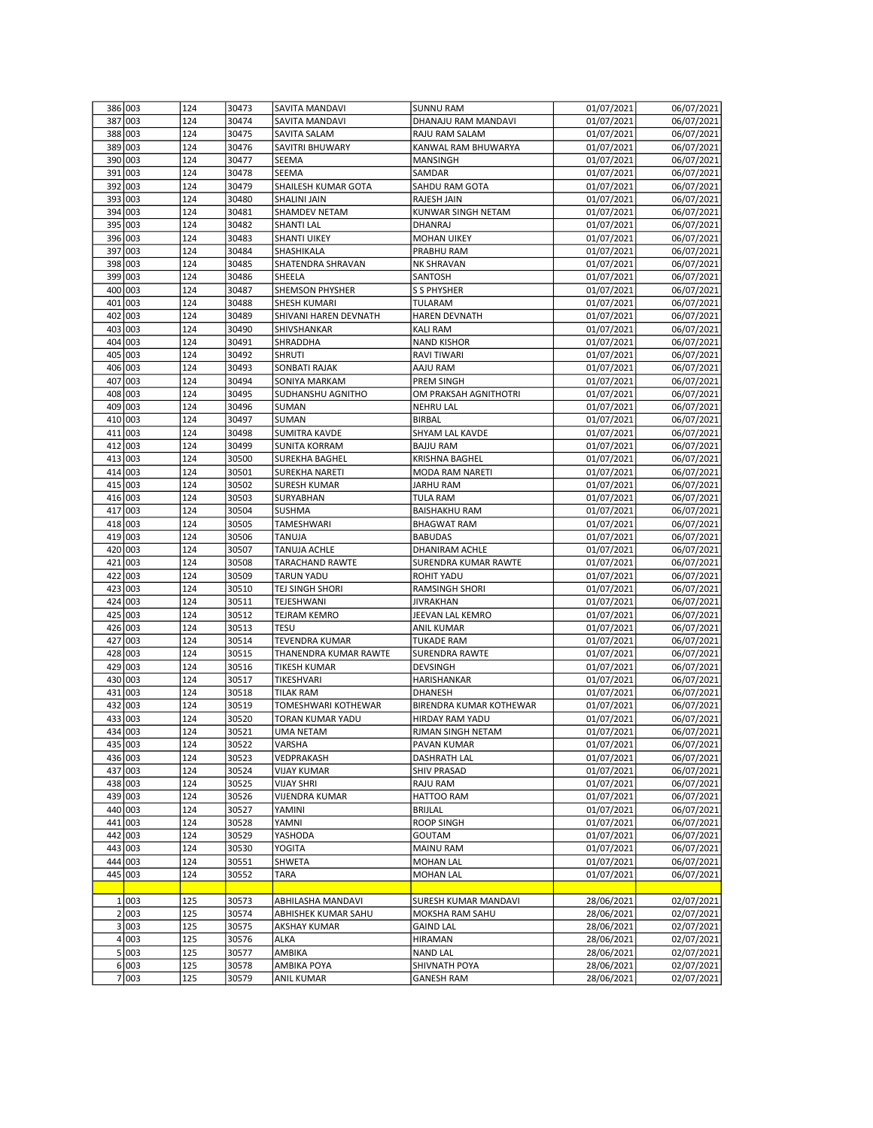| 386 003 | 124 | 30473 | <b>SAVITA MANDAVI</b>  | <b>SUNNU RAM</b>        | 01/07/2021 | 06/07/2021 |
|---------|-----|-------|------------------------|-------------------------|------------|------------|
| 387 003 | 124 | 30474 | SAVITA MANDAVI         | DHANAJU RAM MANDAVI     | 01/07/2021 | 06/07/2021 |
| 388 003 | 124 | 30475 | SAVITA SALAM           | RAJU RAM SALAM          | 01/07/2021 | 06/07/2021 |
| 389 003 | 124 | 30476 | SAVITRI BHUWARY        | KANWAL RAM BHUWARYA     | 01/07/2021 | 06/07/2021 |
| 390 003 | 124 | 30477 | SEEMA                  | MANSINGH                | 01/07/2021 | 06/07/2021 |
| 391 003 | 124 | 30478 | SEEMA                  | SAMDAR                  | 01/07/2021 | 06/07/2021 |
| 392 003 | 124 | 30479 | SHAILESH KUMAR GOTA    | SAHDU RAM GOTA          | 01/07/2021 | 06/07/2021 |
| 393 003 | 124 | 30480 | SHALINI JAIN           | RAJESH JAIN             | 01/07/2021 | 06/07/2021 |
| 394 003 | 124 | 30481 | SHAMDEV NETAM          | KUNWAR SINGH NETAM      | 01/07/2021 | 06/07/2021 |
| 395 003 | 124 | 30482 | SHANTI LAL             | DHANRAJ                 | 01/07/2021 | 06/07/2021 |
| 396 003 | 124 | 30483 | <b>SHANTI UIKEY</b>    | <b>MOHAN UIKEY</b>      | 01/07/2021 | 06/07/2021 |
| 397 003 | 124 | 30484 | SHASHIKALA             | PRABHU RAM              | 01/07/2021 | 06/07/2021 |
| 398 003 | 124 | 30485 | SHATENDRA SHRAVAN      | NK SHRAVAN              | 01/07/2021 | 06/07/2021 |
| 399 003 | 124 | 30486 | SHEELA                 | SANTOSH                 | 01/07/2021 | 06/07/2021 |
| 400 003 | 124 | 30487 | <b>SHEMSON PHYSHER</b> | <b>S S PHYSHER</b>      | 01/07/2021 | 06/07/2021 |
| 401 003 | 124 | 30488 | SHESH KUMARI           | TULARAM                 | 01/07/2021 | 06/07/2021 |
| 402 003 | 124 | 30489 | SHIVANI HAREN DEVNATH  | <b>HAREN DEVNATH</b>    | 01/07/2021 | 06/07/2021 |
| 403 003 | 124 | 30490 | SHIVSHANKAR            | KALI RAM                | 01/07/2021 | 06/07/2021 |
| 404 003 | 124 | 30491 | SHRADDHA               | <b>NAND KISHOR</b>      | 01/07/2021 | 06/07/2021 |
| 405 003 | 124 | 30492 | <b>SHRUTI</b>          | RAVI TIWARI             | 01/07/2021 | 06/07/2021 |
| 406 003 | 124 | 30493 | SONBATI RAJAK          | AAJU RAM                | 01/07/2021 | 06/07/2021 |
| 407 003 | 124 | 30494 | SONIYA MARKAM          | PREM SINGH              | 01/07/2021 | 06/07/2021 |
| 408 003 | 124 | 30495 | SUDHANSHU AGNITHO      | OM PRAKSAH AGNITHOTRI   | 01/07/2021 | 06/07/2021 |
| 409 003 | 124 | 30496 | SUMAN                  | <b>NEHRU LAL</b>        | 01/07/2021 | 06/07/2021 |
| 410 003 | 124 | 30497 | SUMAN                  | <b>BIRBAL</b>           | 01/07/2021 | 06/07/2021 |
| 411 003 | 124 | 30498 | SUMITRA KAVDE          | SHYAM LAL KAVDE         | 01/07/2021 | 06/07/2021 |
| 412 003 | 124 | 30499 | <b>SUNITA KORRAM</b>   | <b>BAJJU RAM</b>        | 01/07/2021 | 06/07/2021 |
| 413 003 | 124 | 30500 | SUREKHA BAGHEL         | KRISHNA BAGHEL          | 01/07/2021 | 06/07/2021 |
| 414 003 | 124 | 30501 | <b>SUREKHA NARETI</b>  | MODA RAM NARETI         | 01/07/2021 | 06/07/2021 |
| 415 003 | 124 | 30502 | <b>SURESH KUMAR</b>    | <b>JARHU RAM</b>        | 01/07/2021 | 06/07/2021 |
| 416 003 | 124 | 30503 | SURYABHAN              | TULA RAM                | 01/07/2021 | 06/07/2021 |
| 417 003 | 124 | 30504 | SUSHMA                 | <b>BAISHAKHU RAM</b>    | 01/07/2021 | 06/07/2021 |
| 418 003 | 124 | 30505 | TAMESHWARI             | <b>BHAGWAT RAM</b>      | 01/07/2021 | 06/07/2021 |
| 419 003 | 124 | 30506 | TANUJA                 | <b>BABUDAS</b>          | 01/07/2021 | 06/07/2021 |
| 420 003 | 124 | 30507 | TANUJA ACHLE           | DHANIRAM ACHLE          | 01/07/2021 | 06/07/2021 |
| 421 003 | 124 | 30508 | TARACHAND RAWTE        | SURENDRA KUMAR RAWTE    | 01/07/2021 | 06/07/2021 |
| 422 003 | 124 | 30509 | <b>TARUN YADU</b>      | ROHIT YADU              | 01/07/2021 | 06/07/2021 |
| 423 003 | 124 | 30510 | tej singh shori        | RAMSINGH SHORI          | 01/07/2021 | 06/07/2021 |
| 424 003 | 124 | 30511 | TEJESHWANI             | <b>JIVRAKHAN</b>        | 01/07/2021 | 06/07/2021 |
| 425 003 | 124 | 30512 | TEJRAM KEMRO           | JEEVAN LAL KEMRO        | 01/07/2021 | 06/07/2021 |
| 426 003 | 124 | 30513 | TESU                   | <b>ANIL KUMAR</b>       | 01/07/2021 | 06/07/2021 |
| 427 003 | 124 | 30514 | TEVENDRA KUMAR         | <b>TUKADE RAM</b>       | 01/07/2021 | 06/07/2021 |
| 428 003 | 124 | 30515 | THANENDRA KUMAR RAWTE  | <b>SURENDRA RAWTE</b>   | 01/07/2021 | 06/07/2021 |
| 429 003 | 124 | 30516 | <b>TIKESH KUMAR</b>    | DEVSINGH                | 01/07/2021 | 06/07/2021 |
| 430 003 | 124 | 30517 | TIKESHVARI             | HARISHANKAR             | 01/07/2021 | 06/07/2021 |
| 431 003 | 124 | 30518 | <b>TILAK RAM</b>       | <b>DHANESH</b>          | 01/07/2021 | 06/07/2021 |
| 432 003 | 124 | 30519 | TOMESHWARI KOTHEWAR    | BIRENDRA KUMAR KOTHEWAR | 01/07/2021 | 06/07/2021 |
| 433 003 | 124 | 30520 | TORAN KUMAR YADU       | HIRDAY RAM YADU         | 01/07/2021 | 06/07/2021 |
| 434 003 | 124 | 30521 | <b>UMA NETAM</b>       | RJMAN SINGH NETAM       | 01/07/2021 | 06/07/2021 |
| 435 003 | 124 | 30522 | VARSHA                 | PAVAN KUMAR             | 01/07/2021 | 06/07/2021 |
| 436 003 | 124 | 30523 | VEDPRAKASH             | <b>DASHRATH LAL</b>     | 01/07/2021 | 06/07/2021 |
| 437 003 | 124 | 30524 | <b>VIJAY KUMAR</b>     | <b>SHIV PRASAD</b>      | 01/07/2021 | 06/07/2021 |
| 438 003 | 124 | 30525 | <b>VIJAY SHRI</b>      | RAJU RAM                | 01/07/2021 | 06/07/2021 |
| 439 003 | 124 | 30526 | <b>VIJENDRA KUMAR</b>  | HATTOO RAM              | 01/07/2021 | 06/07/2021 |
| 440 003 | 124 | 30527 | YAMINI                 | <b>BRIJLAL</b>          | 01/07/2021 | 06/07/2021 |
| 441 003 | 124 | 30528 | YAMNI                  | <b>ROOP SINGH</b>       | 01/07/2021 | 06/07/2021 |
| 442 003 | 124 | 30529 | YASHODA                | GOUTAM                  | 01/07/2021 | 06/07/2021 |
| 443 003 | 124 | 30530 | YOGITA                 | MAINU RAM               | 01/07/2021 | 06/07/2021 |
| 444 003 | 124 | 30551 | SHWETA                 | MOHAN LAL               | 01/07/2021 | 06/07/2021 |
| 445 003 | 124 | 30552 | TARA                   | MOHAN LAL               | 01/07/2021 | 06/07/2021 |
|         |     |       |                        |                         |            |            |
| 1 003   | 125 | 30573 | ABHILASHA MANDAVI      | SURESH KUMAR MANDAVI    | 28/06/2021 | 02/07/2021 |
| 2 003   | 125 | 30574 | ABHISHEK KUMAR SAHU    | MOKSHA RAM SAHU         | 28/06/2021 | 02/07/2021 |
| 3 003   | 125 | 30575 | AKSHAY KUMAR           | <b>GAIND LAL</b>        | 28/06/2021 | 02/07/2021 |
| 4 003   | 125 | 30576 | <b>ALKA</b>            | <b>HIRAMAN</b>          | 28/06/2021 | 02/07/2021 |
| 5 003   | 125 | 30577 | AMBIKA                 | <b>NAND LAL</b>         | 28/06/2021 | 02/07/2021 |
| 6 003   | 125 | 30578 | AMBIKA POYA            | SHIVNATH POYA           | 28/06/2021 | 02/07/2021 |
| 7 003   | 125 | 30579 | <b>ANIL KUMAR</b>      | <b>GANESH RAM</b>       | 28/06/2021 | 02/07/2021 |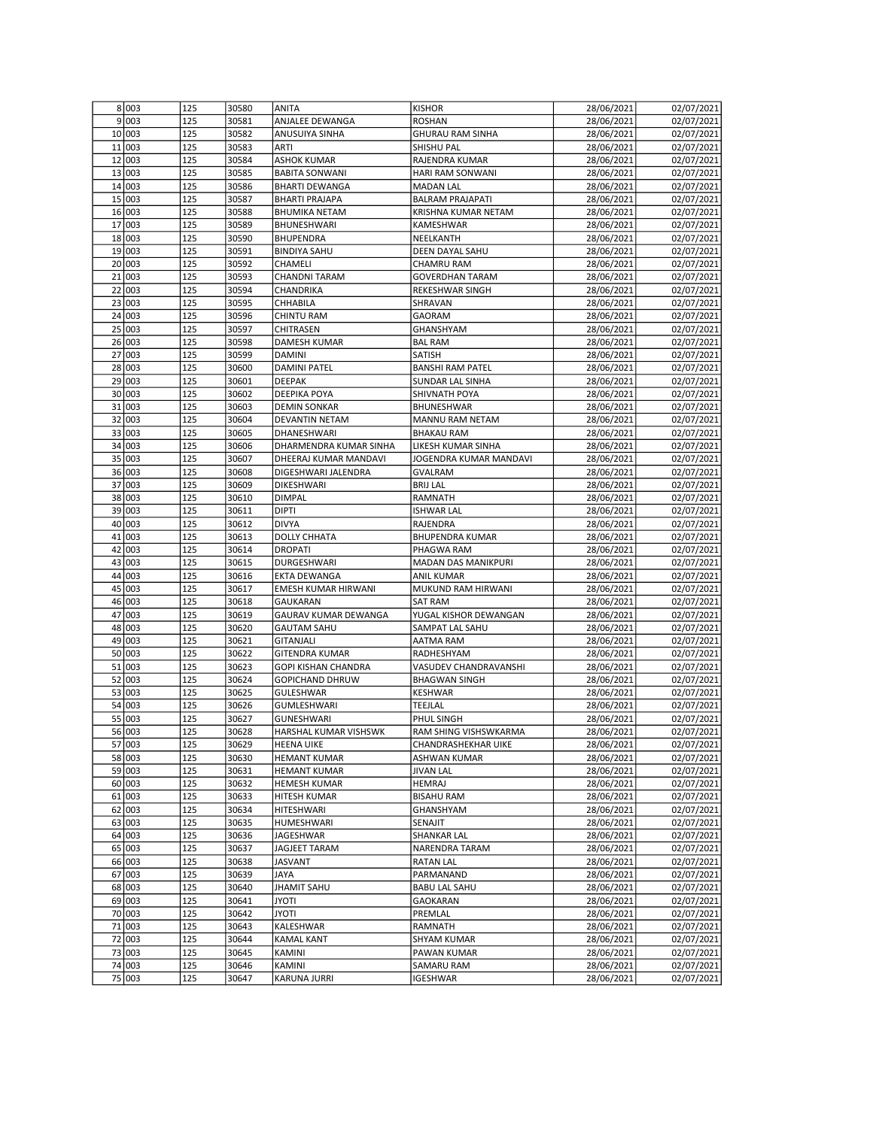|    | 8 003  | 125 | 30580 | ANITA                                      | <b>KISHOR</b>                          | 28/06/2021 | 02/07/2021 |
|----|--------|-----|-------|--------------------------------------------|----------------------------------------|------------|------------|
|    | 9 003  | 125 | 30581 | ANJALEE DEWANGA                            | <b>ROSHAN</b>                          | 28/06/2021 | 02/07/2021 |
|    | 10 003 | 125 | 30582 | ANUSUIYA SINHA                             | <b>GHURAU RAM SINHA</b>                | 28/06/2021 | 02/07/2021 |
|    | 11 003 | 125 | 30583 | ARTI                                       | SHISHU PAL                             | 28/06/2021 | 02/07/2021 |
|    | 12 003 | 125 | 30584 | <b>ASHOK KUMAR</b>                         | RAJENDRA KUMAR                         | 28/06/2021 | 02/07/2021 |
|    | 13 003 | 125 | 30585 | <b>BABITA SONWANI</b>                      | HARI RAM SONWANI                       | 28/06/2021 | 02/07/2021 |
|    | 14 003 | 125 | 30586 | <b>BHARTI DEWANGA</b>                      | <b>MADAN LAL</b>                       | 28/06/2021 | 02/07/2021 |
|    | 15 003 | 125 | 30587 | <b>BHARTI PRAJAPA</b>                      | <b>BALRAM PRAJAPATI</b>                | 28/06/2021 | 02/07/2021 |
|    | 16 003 | 125 | 30588 | <b>BHUMIKA NETAM</b>                       | KRISHNA KUMAR NETAM                    | 28/06/2021 | 02/07/2021 |
|    | 17 003 | 125 | 30589 | BHUNESHWARI                                | KAMESHWAR                              | 28/06/2021 | 02/07/2021 |
|    | 18 003 | 125 | 30590 | <b>BHUPENDRA</b>                           | NEELKANTH                              | 28/06/2021 | 02/07/2021 |
|    | 19 003 | 125 | 30591 | <b>BINDIYA SAHU</b>                        | DEEN DAYAL SAHU                        | 28/06/2021 | 02/07/2021 |
|    | 20 003 | 125 | 30592 | CHAMELI                                    | CHAMRU RAM                             | 28/06/2021 | 02/07/2021 |
|    | 21 003 | 125 | 30593 | <b>CHANDNI TARAM</b>                       | <b>GOVERDHAN TARAM</b>                 | 28/06/2021 | 02/07/2021 |
|    | 22 003 |     |       |                                            |                                        |            |            |
|    |        | 125 | 30594 | CHANDRIKA                                  | REKESHWAR SINGH                        | 28/06/2021 | 02/07/2021 |
|    | 23 003 | 125 | 30595 | CHHABILA                                   | SHRAVAN                                | 28/06/2021 | 02/07/2021 |
|    | 24 003 | 125 | 30596 | CHINTU RAM                                 | GAORAM                                 | 28/06/2021 | 02/07/2021 |
|    | 25 003 | 125 | 30597 | CHITRASEN                                  | GHANSHYAM                              | 28/06/2021 | 02/07/2021 |
|    | 26 003 | 125 | 30598 | DAMESH KUMAR                               | <b>BAL RAM</b>                         | 28/06/2021 | 02/07/2021 |
|    | 27 003 | 125 | 30599 | <b>DAMINI</b>                              | SATISH                                 | 28/06/2021 | 02/07/2021 |
|    | 28 003 | 125 | 30600 | <b>DAMINI PATEL</b>                        | <b>BANSHI RAM PATEL</b>                | 28/06/2021 | 02/07/2021 |
|    | 29 003 | 125 | 30601 | <b>DEEPAK</b>                              | <b>SUNDAR LAL SINHA</b>                | 28/06/2021 | 02/07/2021 |
|    | 30 003 | 125 | 30602 | DEEPIKA POYA                               | SHIVNATH POYA                          | 28/06/2021 | 02/07/2021 |
|    | 31 003 | 125 | 30603 | <b>DEMIN SONKAR</b>                        | BHUNESHWAR                             | 28/06/2021 | 02/07/2021 |
|    | 32 003 | 125 | 30604 | DEVANTIN NETAM                             | MANNU RAM NETAM                        | 28/06/2021 | 02/07/2021 |
|    | 33 003 | 125 | 30605 | DHANESHWARI                                | <b>BHAKAU RAM</b>                      | 28/06/2021 | 02/07/2021 |
|    | 34 003 | 125 | 30606 | DHARMENDRA KUMAR SINHA                     | LIKESH KUMAR SINHA                     | 28/06/2021 | 02/07/2021 |
|    | 35 003 | 125 | 30607 | DHEERAJ KUMAR MANDAVI                      | JOGENDRA KUMAR MANDAVI                 | 28/06/2021 | 02/07/2021 |
|    | 36 003 | 125 | 30608 | DIGESHWARI JALENDRA                        | <b>GVALRAM</b>                         | 28/06/2021 | 02/07/2021 |
|    | 37 003 | 125 | 30609 | DIKESHWARI                                 | <b>BRIJ LAL</b>                        | 28/06/2021 | 02/07/2021 |
|    | 38 003 | 125 | 30610 | <b>DIMPAL</b>                              | RAMNATH                                | 28/06/2021 | 02/07/2021 |
|    | 39 003 | 125 | 30611 | <b>DIPTI</b>                               | <b>ISHWAR LAL</b>                      | 28/06/2021 | 02/07/2021 |
| 40 | 003    | 125 | 30612 | <b>DIVYA</b>                               | RAJENDRA                               | 28/06/2021 | 02/07/2021 |
|    | 41 003 | 125 | 30613 | DOLLY CHHATA                               | BHUPENDRA KUMAR                        | 28/06/2021 | 02/07/2021 |
| 42 | 003    | 125 | 30614 | <b>DROPATI</b>                             | PHAGWA RAM                             | 28/06/2021 | 02/07/2021 |
|    | 43 003 | 125 | 30615 | DURGESHWARI                                | MADAN DAS MANIKPURI                    | 28/06/2021 | 02/07/2021 |
|    | 44 003 | 125 | 30616 | EKTA DEWANGA                               | ANIL KUMAR                             | 28/06/2021 | 02/07/2021 |
|    | 45 003 | 125 | 30617 | EMESH KUMAR HIRWANI                        | MUKUND RAM HIRWANI                     | 28/06/2021 | 02/07/2021 |
|    | 46 003 | 125 | 30618 | GAUKARAN                                   | SAT RAM                                | 28/06/2021 | 02/07/2021 |
|    | 47 003 | 125 | 30619 | GAURAV KUMAR DEWANGA                       | YUGAL KISHOR DEWANGAN                  | 28/06/2021 | 02/07/2021 |
|    | 48 003 | 125 | 30620 | <b>GAUTAM SAHU</b>                         | SAMPAT LAL SAHU                        | 28/06/2021 | 02/07/2021 |
|    | 49 003 | 125 | 30621 | <b>GITANJALI</b>                           | AATMA RAM                              | 28/06/2021 | 02/07/2021 |
|    | 50 003 | 125 | 30622 | <b>GITENDRA KUMAR</b>                      | RADHESHYAM                             | 28/06/2021 | 02/07/2021 |
|    | 51 003 | 125 | 30623 | GOPI KISHAN CHANDRA                        | VASUDEV CHANDRAVANSHI                  | 28/06/2021 | 02/07/2021 |
|    | 52 003 | 125 | 30624 |                                            |                                        |            |            |
|    | 53 003 | 125 | 30625 | <b>GOPICHAND DHRUW</b><br><b>GULESHWAR</b> | <b>BHAGWAN SINGH</b><br><b>KESHWAR</b> | 28/06/2021 | 02/07/2021 |
|    |        |     |       |                                            |                                        | 28/06/2021 | 02/07/2021 |
|    | 54 003 | 125 | 30626 | GUMLESHWARI                                | TEEJLAL                                | 28/06/2021 | 02/07/2021 |
|    | 55 003 | 125 | 30627 | <b>GUNESHWARI</b>                          | PHUL SINGH                             | 28/06/2021 | 02/07/2021 |
|    | 56 003 | 125 | 30628 | HARSHAL KUMAR VISHSWK                      | RAM SHING VISHSWKARMA                  | 28/06/2021 | 02/07/2021 |
|    | 57 003 | 125 | 30629 | <b>HEENA UIKE</b>                          | CHANDRASHEKHAR UIKE                    | 28/06/2021 | 02/07/2021 |
|    | 58 003 | 125 | 30630 | <b>HEMANT KUMAR</b>                        | <b>ASHWAN KUMAR</b>                    | 28/06/2021 | 02/07/2021 |
|    | 59 003 | 125 | 30631 | <b>HEMANT KUMAR</b>                        | <b>JIVAN LAL</b>                       | 28/06/2021 | 02/07/2021 |
|    | 60 003 | 125 | 30632 | <b>HEMESH KUMAR</b>                        | HEMRAJ                                 | 28/06/2021 | 02/07/2021 |
|    | 61 003 | 125 | 30633 | HITESH KUMAR                               | <b>BISAHU RAM</b>                      | 28/06/2021 | 02/07/2021 |
|    | 62 003 | 125 | 30634 | HITESHWARI                                 | GHANSHYAM                              | 28/06/2021 | 02/07/2021 |
|    | 63 003 | 125 | 30635 | HUMESHWARI                                 | SENAJIT                                | 28/06/2021 | 02/07/2021 |
|    | 64 003 | 125 | 30636 | JAGESHWAR                                  | SHANKAR LAL                            | 28/06/2021 | 02/07/2021 |
|    | 65 003 | 125 | 30637 | JAGJEET TARAM                              | NARENDRA TARAM                         | 28/06/2021 | 02/07/2021 |
|    | 66 003 | 125 | 30638 | JASVANT                                    | <b>RATAN LAL</b>                       | 28/06/2021 | 02/07/2021 |
|    | 67 003 | 125 | 30639 | JAYA                                       | PARMANAND                              | 28/06/2021 | 02/07/2021 |
|    | 68 003 | 125 | 30640 | <b>JHAMIT SAHU</b>                         | <b>BABU LAL SAHU</b>                   | 28/06/2021 | 02/07/2021 |
|    | 69 003 | 125 | 30641 | <b>ITOYL</b>                               | GAOKARAN                               | 28/06/2021 | 02/07/2021 |
|    | 70 003 | 125 | 30642 | <b>ITOYL</b>                               | PREMLAL                                | 28/06/2021 | 02/07/2021 |
|    | 71 003 | 125 | 30643 | KALESHWAR                                  | RAMNATH                                | 28/06/2021 | 02/07/2021 |
|    | 72 003 | 125 | 30644 | <b>KAMAL KANT</b>                          | <b>SHYAM KUMAR</b>                     | 28/06/2021 | 02/07/2021 |
|    | 73 003 | 125 | 30645 | KAMINI                                     | PAWAN KUMAR                            | 28/06/2021 | 02/07/2021 |
|    | 74 003 | 125 | 30646 | KAMINI                                     | SAMARU RAM                             | 28/06/2021 | 02/07/2021 |
|    | 75 003 | 125 | 30647 | KARUNA JURRI                               | IGESHWAR                               | 28/06/2021 | 02/07/2021 |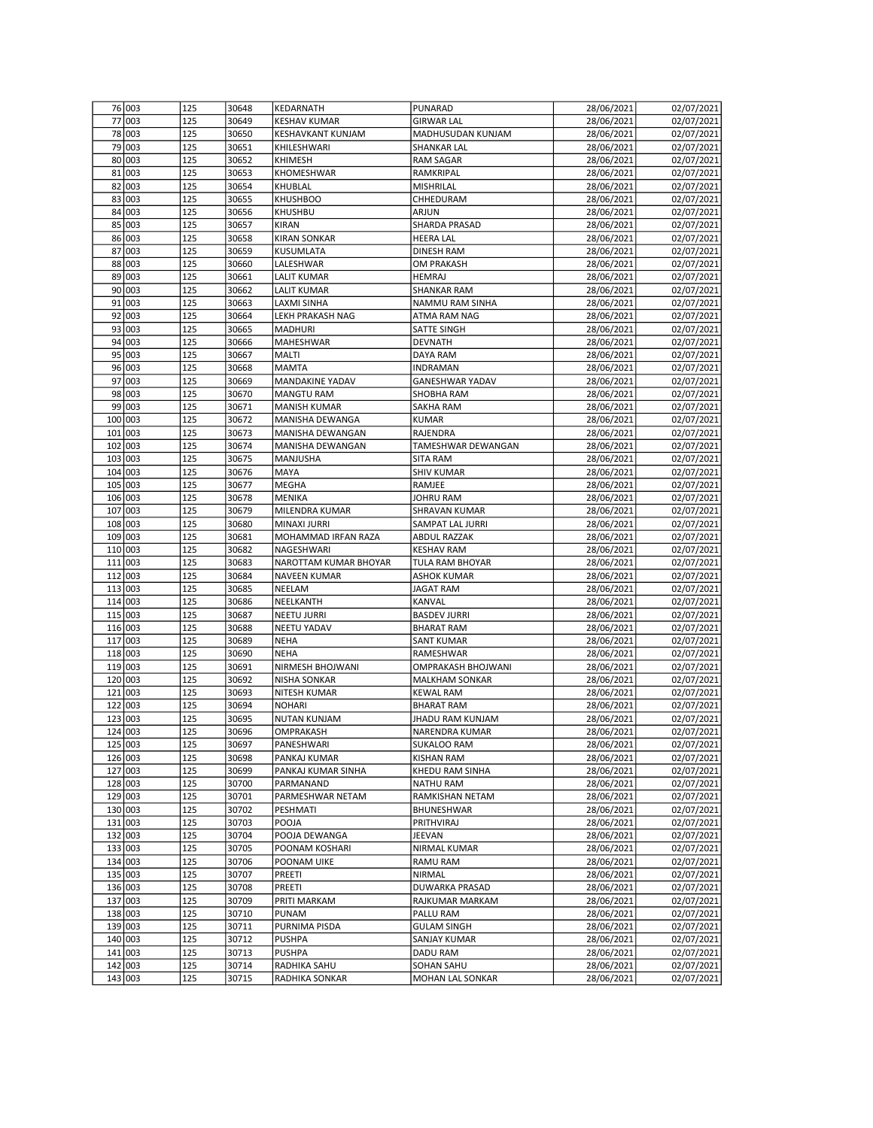| 76 003  | 125 | 30648 | KEDARNATH             | PUNARAD                 | 28/06/2021 | 02/07/2021 |
|---------|-----|-------|-----------------------|-------------------------|------------|------------|
| 77 003  | 125 | 30649 | <b>KESHAV KUMAR</b>   | <b>GIRWAR LAL</b>       | 28/06/2021 | 02/07/2021 |
| 78 003  | 125 | 30650 | KESHAVKANT KUNJAM     | MADHUSUDAN KUNJAM       | 28/06/2021 | 02/07/2021 |
| 79 003  | 125 | 30651 | KHILESHWARI           | <b>SHANKAR LAL</b>      | 28/06/2021 | 02/07/2021 |
| 80 003  | 125 | 30652 | KHIMESH               | <b>RAM SAGAR</b>        | 28/06/2021 | 02/07/2021 |
| 81 003  | 125 | 30653 | KHOMESHWAR            | RAMKRIPAL               | 28/06/2021 | 02/07/2021 |
| 82 003  | 125 | 30654 | <b>KHUBLAL</b>        | MISHRILAL               | 28/06/2021 | 02/07/2021 |
| 83 003  | 125 | 30655 | <b>KHUSHBOO</b>       | CHHEDURAM               | 28/06/2021 | 02/07/2021 |
| 84 003  | 125 | 30656 | KHUSHBU               | ARJUN                   | 28/06/2021 | 02/07/2021 |
| 85 003  | 125 | 30657 | KIRAN                 | SHARDA PRASAD           | 28/06/2021 | 02/07/2021 |
| 86 003  | 125 | 30658 | <b>KIRAN SONKAR</b>   | <b>HEERA LAL</b>        | 28/06/2021 | 02/07/2021 |
| 87 003  | 125 | 30659 | KUSUMLATA             | <b>DINESH RAM</b>       | 28/06/2021 | 02/07/2021 |
| 88 003  | 125 | 30660 | LALESHWAR             | OM PRAKASH              | 28/06/2021 | 02/07/2021 |
| 89 003  | 125 | 30661 | <b>LALIT KUMAR</b>    | HEMRAJ                  | 28/06/2021 | 02/07/2021 |
| 90 003  | 125 | 30662 | <b>LALIT KUMAR</b>    | SHANKAR RAM             | 28/06/2021 | 02/07/2021 |
| 91 003  | 125 | 30663 | LAXMI SINHA           | NAMMU RAM SINHA         | 28/06/2021 | 02/07/2021 |
| 92 003  | 125 | 30664 | LEKH PRAKASH NAG      | ATMA RAM NAG            | 28/06/2021 | 02/07/2021 |
| 93 003  | 125 | 30665 | <b>MADHURI</b>        | SATTE SINGH             | 28/06/2021 | 02/07/2021 |
| 94 003  | 125 | 30666 | MAHESHWAR             | <b>DEVNATH</b>          | 28/06/2021 | 02/07/2021 |
| 95 003  | 125 | 30667 | MALTI                 | DAYA RAM                | 28/06/2021 | 02/07/2021 |
| 96 003  | 125 | 30668 | <b>MAMTA</b>          | <b>INDRAMAN</b>         | 28/06/2021 | 02/07/2021 |
| 97 003  | 125 | 30669 | MANDAKINE YADAV       | GANESHWAR YADAV         | 28/06/2021 | 02/07/2021 |
| 98 003  | 125 | 30670 | MANGTU RAM            | SHOBHA RAM              | 28/06/2021 | 02/07/2021 |
| 99 003  | 125 | 30671 | <b>MANISH KUMAR</b>   | SAKHA RAM               | 28/06/2021 | 02/07/2021 |
| 100 003 | 125 | 30672 | MANISHA DEWANGA       | <b>KUMAR</b>            | 28/06/2021 | 02/07/2021 |
| 101 003 | 125 | 30673 | MANISHA DEWANGAN      | RAJENDRA                | 28/06/2021 | 02/07/2021 |
| 102 003 | 125 | 30674 | MANISHA DEWANGAN      | TAMESHWAR DEWANGAN      | 28/06/2021 | 02/07/2021 |
| 103 003 | 125 | 30675 | MANJUSHA              | <b>SITA RAM</b>         | 28/06/2021 | 02/07/2021 |
| 104 003 | 125 | 30676 | MAYA                  | <b>SHIV KUMAR</b>       | 28/06/2021 | 02/07/2021 |
| 105 003 | 125 | 30677 | MEGHA                 | RAMJEE                  | 28/06/2021 | 02/07/2021 |
| 106 003 | 125 | 30678 | <b>MENIKA</b>         | <b>JOHRU RAM</b>        | 28/06/2021 | 02/07/2021 |
| 107 003 | 125 | 30679 | MILENDRA KUMAR        | SHRAVAN KUMAR           | 28/06/2021 | 02/07/2021 |
| 108 003 | 125 | 30680 | MINAXI JURRI          | SAMPAT LAL JURRI        | 28/06/2021 | 02/07/2021 |
| 109 003 | 125 | 30681 | MOHAMMAD IRFAN RAZA   | <b>ABDUL RAZZAK</b>     | 28/06/2021 | 02/07/2021 |
| 110 003 | 125 | 30682 | NAGESHWARI            | <b>KESHAV RAM</b>       | 28/06/2021 | 02/07/2021 |
| 111 003 | 125 | 30683 | NAROTTAM KUMAR BHOYAR | TULA RAM BHOYAR         | 28/06/2021 | 02/07/2021 |
| 112 003 | 125 | 30684 | <b>NAVEEN KUMAR</b>   | <b>ASHOK KUMAR</b>      | 28/06/2021 | 02/07/2021 |
| 113 003 | 125 | 30685 | NEELAM                | <b>JAGAT RAM</b>        | 28/06/2021 | 02/07/2021 |
| 114 003 | 125 | 30686 | NEELKANTH             | KANVAL                  | 28/06/2021 | 02/07/2021 |
| 115 003 | 125 | 30687 | <b>NEETU JURRI</b>    | <b>BASDEV JURRI</b>     | 28/06/2021 | 02/07/2021 |
| 116 003 | 125 | 30688 | <b>NEETU YADAV</b>    | <b>BHARAT RAM</b>       | 28/06/2021 | 02/07/2021 |
| 117 003 | 125 | 30689 | NEHA                  | <b>SANT KUMAR</b>       | 28/06/2021 | 02/07/2021 |
| 118 003 | 125 | 30690 | <b>NEHA</b>           | RAMESHWAR               | 28/06/2021 | 02/07/2021 |
| 119 003 | 125 | 30691 | NIRMESH BHOJWANI      | OMPRAKASH BHOJWANI      | 28/06/2021 | 02/07/2021 |
| 120 003 | 125 | 30692 | NISHA SONKAR          | <b>MALKHAM SONKAR</b>   | 28/06/2021 | 02/07/2021 |
| 121 003 | 125 | 30693 | NITESH KUMAR          | <b>KEWAL RAM</b>        | 28/06/2021 | 02/07/2021 |
| 122 003 | 125 | 30694 | <b>NOHARI</b>         | <b>BHARAT RAM</b>       | 28/06/2021 | 02/07/2021 |
| 123 003 | 125 | 30695 | <b>NUTAN KUNJAM</b>   | <b>JHADU RAM KUNJAM</b> | 28/06/2021 | 02/07/2021 |
| 124 003 | 125 | 30696 | OMPRAKASH             | NARENDRA KUMAR          | 28/06/2021 | 02/07/2021 |
| 125 003 | 125 | 30697 | PANESHWARI            | <b>SUKALOO RAM</b>      | 28/06/2021 | 02/07/2021 |
| 126 003 | 125 | 30698 | PANKAJ KUMAR          | <b>KISHAN RAM</b>       | 28/06/2021 | 02/07/2021 |
| 127 003 | 125 | 30699 | PANKAJ KUMAR SINHA    | KHEDU RAM SINHA         | 28/06/2021 | 02/07/2021 |
| 128 003 | 125 | 30700 | PARMANAND             | NATHU RAM               | 28/06/2021 | 02/07/2021 |
| 129 003 | 125 | 30701 | PARMESHWAR NETAM      | RAMKISHAN NETAM         | 28/06/2021 | 02/07/2021 |
| 130 003 | 125 | 30702 | PESHMATI              | BHUNESHWAR              | 28/06/2021 | 02/07/2021 |
| 131 003 | 125 | 30703 | POOJA                 | PRITHVIRAJ              | 28/06/2021 | 02/07/2021 |
| 132 003 | 125 | 30704 | POOJA DEWANGA         | JEEVAN                  | 28/06/2021 | 02/07/2021 |
| 133 003 | 125 | 30705 | POONAM KOSHARI        | <b>NIRMAL KUMAR</b>     | 28/06/2021 | 02/07/2021 |
| 134 003 | 125 | 30706 | POONAM UIKE           | RAMU RAM                | 28/06/2021 | 02/07/2021 |
| 135 003 | 125 | 30707 | PREETI                | NIRMAL                  | 28/06/2021 | 02/07/2021 |
| 136 003 | 125 | 30708 | PREETI                | DUWARKA PRASAD          | 28/06/2021 | 02/07/2021 |
| 137 003 | 125 | 30709 | PRITI MARKAM          | RAJKUMAR MARKAM         | 28/06/2021 | 02/07/2021 |
| 138 003 | 125 | 30710 | PUNAM                 | PALLU RAM               | 28/06/2021 | 02/07/2021 |
| 139 003 | 125 | 30711 | PURNIMA PISDA         | <b>GULAM SINGH</b>      | 28/06/2021 | 02/07/2021 |
| 140 003 | 125 | 30712 | PUSHPA                | SANJAY KUMAR            | 28/06/2021 | 02/07/2021 |
| 141 003 | 125 | 30713 | PUSHPA                | DADU RAM                | 28/06/2021 | 02/07/2021 |
| 142 003 | 125 | 30714 | RADHIKA SAHU          | SOHAN SAHU              | 28/06/2021 | 02/07/2021 |
| 143 003 | 125 | 30715 | RADHIKA SONKAR        | MOHAN LAL SONKAR        | 28/06/2021 | 02/07/2021 |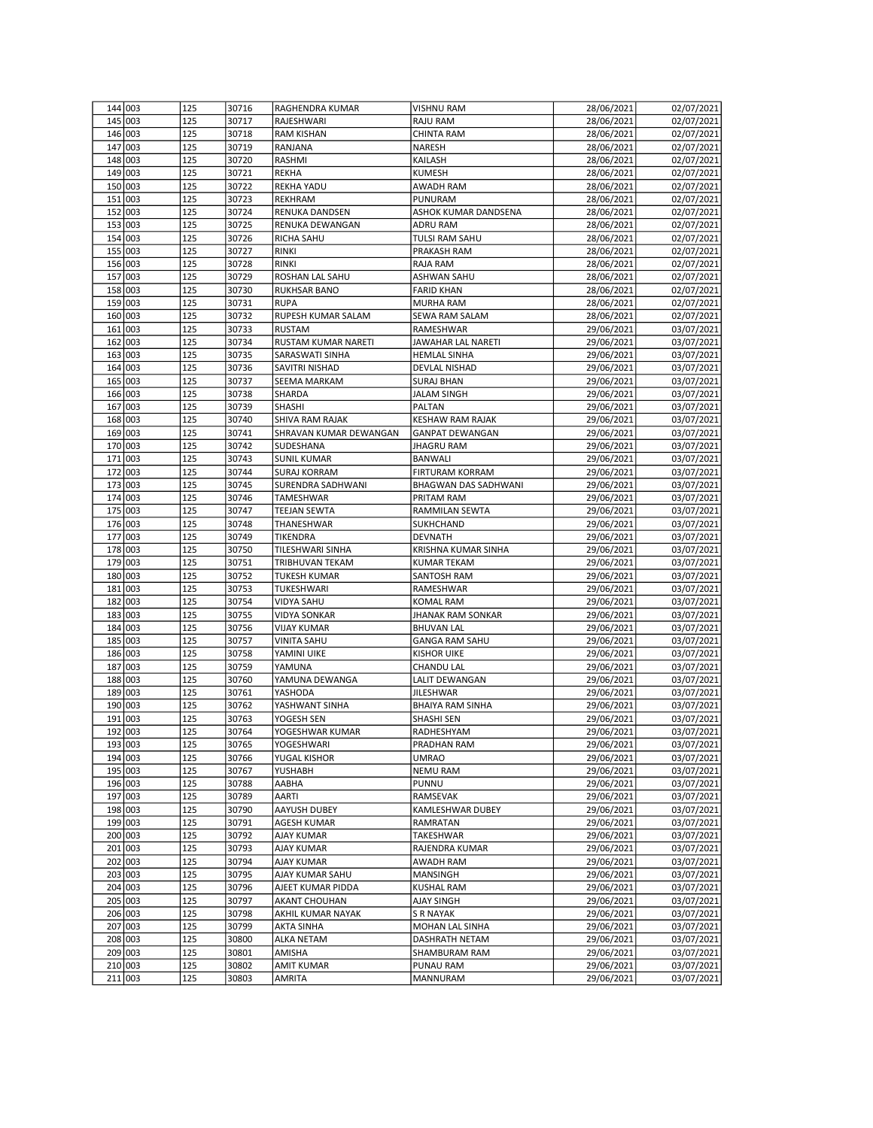| 144 003            | 125        | 30716          | RAGHENDRA KUMAR           | VISHNU RAM             | 28/06/2021               | 02/07/2021               |
|--------------------|------------|----------------|---------------------------|------------------------|--------------------------|--------------------------|
| 145 003            | 125        | 30717          | RAJESHWARI                | RAJU RAM               | 28/06/2021               | 02/07/2021               |
| 146 003            | 125        | 30718          | RAM KISHAN                | CHINTA RAM             | 28/06/2021               | 02/07/2021               |
| 147 003            | 125        | 30719          | RANJANA                   | NARESH                 | 28/06/2021               | 02/07/2021               |
| 148 003            | 125        | 30720          | RASHMI                    | KAILASH                | 28/06/2021               | 02/07/2021               |
| 149 003            | 125        | 30721          | <b>REKHA</b>              | KUMESH                 | 28/06/2021               | 02/07/2021               |
| 150 003            | 125        | 30722          | REKHA YADU                | AWADH RAM              | 28/06/2021               | 02/07/2021               |
| 151 003            | 125        | 30723          | REKHRAM                   | PUNURAM                | 28/06/2021               | 02/07/2021               |
| 152 003            | 125        | 30724          | RENUKA DANDSEN            | ASHOK KUMAR DANDSENA   | 28/06/2021               | 02/07/2021               |
| 153 003            | 125        | 30725          |                           | ADRU RAM               |                          | 02/07/2021               |
| 154 003            | 125        |                | RENUKA DEWANGAN           |                        | 28/06/2021               |                          |
| 155 003            |            | 30726          | RICHA SAHU                | TULSI RAM SAHU         | 28/06/2021               | 02/07/2021               |
|                    | 125        | 30727          | RINKI                     | PRAKASH RAM            | 28/06/2021               | 02/07/2021               |
| 156 003            | 125        | 30728          | RINKI                     | RAJA RAM               | 28/06/2021               | 02/07/2021               |
| 157 003            | 125        | 30729          | ROSHAN LAL SAHU           | ASHWAN SAHU            | 28/06/2021               | 02/07/2021               |
| 158 003            | 125        | 30730          | <b>RUKHSAR BANO</b>       | <b>FARID KHAN</b>      | 28/06/2021               | 02/07/2021               |
| 159 003            | 125        | 30731          | <b>RUPA</b>               | MURHA RAM              | 28/06/2021               | 02/07/2021               |
| 160 003            | 125        | 30732          | RUPESH KUMAR SALAM        | SEWA RAM SALAM         | 28/06/2021               | 02/07/2021               |
| 161 003            | 125        | 30733          | <b>RUSTAM</b>             | RAMESHWAR              | 29/06/2021               | 03/07/2021               |
| 162 003            | 125        | 30734          | RUSTAM KUMAR NARETI       | JAWAHAR LAL NARETI     | 29/06/2021               | 03/07/2021               |
| 163 003            | 125        | 30735          | SARASWATI SINHA           | <b>HEMLAL SINHA</b>    | 29/06/2021               | 03/07/2021               |
| 164 003            | 125        | 30736          | SAVITRI NISHAD            | DEVLAL NISHAD          | 29/06/2021               | 03/07/2021               |
| 165 003            | 125        | 30737          | SEEMA MARKAM              | <b>SURAJ BHAN</b>      | 29/06/2021               | 03/07/2021               |
| 166 003            | 125        | 30738          | SHARDA                    | <b>JALAM SINGH</b>     | 29/06/2021               | 03/07/2021               |
| 167 003            | 125        | 30739          | SHASHI                    | PALTAN                 | 29/06/2021               | 03/07/2021               |
| 168 003            | 125        | 30740          | SHIVA RAM RAJAK           | KESHAW RAM RAJAK       | 29/06/2021               | 03/07/2021               |
| 169 003            | 125        | 30741          | SHRAVAN KUMAR DEWANGAN    | <b>GANPAT DEWANGAN</b> | 29/06/2021               | 03/07/2021               |
| 170 003            | 125        | 30742          | SUDESHANA                 | <b>JHAGRU RAM</b>      | 29/06/2021               | 03/07/2021               |
| 171 003            | 125        | 30743          | <b>SUNIL KUMAR</b>        | BANWALI                | 29/06/2021               | 03/07/2021               |
| 172 003            | 125        | 30744          | <b>SURAJ KORRAM</b>       | <b>FIRTURAM KORRAM</b> | 29/06/2021               | 03/07/2021               |
| 173 003            | 125        | 30745          | SURENDRA SADHWANI         | BHAGWAN DAS SADHWANI   | 29/06/2021               | 03/07/2021               |
| 174 003            | 125        | 30746          | TAMESHWAR                 | PRITAM RAM             |                          | 03/07/2021               |
| 175 003            |            |                |                           |                        | 29/06/2021               |                          |
|                    | 125        | 30747          | TEEJAN SEWTA              | RAMMILAN SEWTA         | 29/06/2021               | 03/07/2021               |
| 176 003            | 125        | 30748          | THANESHWAR                | SUKHCHAND              | 29/06/2021               | 03/07/2021               |
| 177 003            | 125        | 30749          | <b>TIKENDRA</b>           | <b>DEVNATH</b>         | 29/06/2021               | 03/07/2021               |
| 178 003            | 125        | 30750          | TILESHWARI SINHA          | KRISHNA KUMAR SINHA    | 29/06/2021               | 03/07/2021               |
| 179 003            | 125        | 30751          | TRIBHUVAN TEKAM           | KUMAR TEKAM            | 29/06/2021               | 03/07/2021               |
| 180 003            | 125        | 30752          | <b>TUKESH KUMAR</b>       | SANTOSH RAM            | 29/06/2021               | 03/07/2021               |
| 181 003            | 125        | 30753          | TUKESHWARI                | RAMESHWAR              | 29/06/2021               | 03/07/2021               |
| 182 003            | 125        | 30754          | VIDYA SAHU                | KOMAL RAM              | 29/06/2021               | 03/07/2021               |
| 183 003            | 125        | 30755          | VIDYA SONKAR              | JHANAK RAM SONKAR      | 29/06/2021               | 03/07/2021               |
| 184 003            | 125        | 30756          | VIJAY KUMAR               | <b>BHUVAN LAL</b>      | 29/06/2021               | 03/07/2021               |
| 185 003            | 125        | 30757          | VINITA SAHU               | <b>GANGA RAM SAHU</b>  | 29/06/2021               | 03/07/2021               |
| 186 003            | 125        | 30758          | YAMINI UIKE               | <b>KISHOR UIKE</b>     | 29/06/2021               | 03/07/2021               |
| 187 003            | 125        | 30759          | YAMUNA                    | CHANDU LAL             | 29/06/2021               | 03/07/2021               |
| 188 003            | 125        | 30760          | YAMUNA DEWANGA            | LALIT DEWANGAN         | 29/06/2021               | 03/07/2021               |
| 189 003            | 125        | 30761          | YASHODA                   | <b>JILESHWAR</b>       | 29/06/2021               | 03/07/2021               |
| 190 003            | 125        | 30762          | YASHWANT SINHA            | BHAIYA RAM SINHA       | 29/06/2021               | 03/07/2021               |
| 191 003            | 125        | 30763          | YOGESH SEN                | SHASHI SEN             | 29/06/2021               | 03/07/2021               |
| 192 003            | 125        | 30764          | YOGESHWAR KUMAR           | RADHESHYAM             | 29/06/2021               | 03/07/2021               |
| 193 003            | 125        | 30765          | YOGESHWARI                | PRADHAN RAM            | 29/06/2021               | 03/07/2021               |
| 194 003            | 125        | 30766          | YUGAL KISHOR              | <b>UMRAO</b>           | 29/06/2021               | 03/07/2021               |
| 195 003            | 125        | 30767          | YUSHABH                   | <b>NEMU RAM</b>        | 29/06/2021               | 03/07/2021               |
| 196 003            | 125        | 30788          | AABHA                     | PUNNU                  | 29/06/2021               | 03/07/2021               |
| 197 003            | 125        | 30789          | AARTI                     | RAMSEVAK               | 29/06/2021               | 03/07/2021               |
| 198 003            | 125        | 30790          | AAYUSH DUBEY              | KAMLESHWAR DUBEY       | 29/06/2021               | 03/07/2021               |
|                    |            |                |                           |                        |                          |                          |
| 199 003<br>200 003 | 125<br>125 | 30791<br>30792 | AGESH KUMAR<br>AJAY KUMAR | RAMRATAN<br>TAKESHWAR  | 29/06/2021<br>29/06/2021 | 03/07/2021<br>03/07/2021 |
|                    |            |                |                           |                        |                          |                          |
| 201 003            | 125        | 30793          | <b>AJAY KUMAR</b>         | RAJENDRA KUMAR         | 29/06/2021               | 03/07/2021               |
| 202 003            | 125        | 30794          | AJAY KUMAR                | AWADH RAM              | 29/06/2021               | 03/07/2021               |
| 203 003            | 125        | 30795          | AJAY KUMAR SAHU           | MANSINGH               | 29/06/2021               | 03/07/2021               |
| 204 003            | 125        | 30796          | AJEET KUMAR PIDDA         | KUSHAL RAM             | 29/06/2021               | 03/07/2021               |
| 205 003            | 125        | 30797          | AKANT CHOUHAN             | AJAY SINGH             | 29/06/2021               | 03/07/2021               |
| 206 003            | 125        | 30798          | AKHIL KUMAR NAYAK         | S R NAYAK              | 29/06/2021               | 03/07/2021               |
| 207 003            | 125        | 30799          | AKTA SINHA                | MOHAN LAL SINHA        | 29/06/2021               | 03/07/2021               |
| 208 003            | 125        | 30800          | ALKA NETAM                | DASHRATH NETAM         | 29/06/2021               | 03/07/2021               |
| 209 003            | 125        | 30801          | AMISHA                    | SHAMBURAM RAM          | 29/06/2021               | 03/07/2021               |
| 210 003            | 125        | 30802          | AMIT KUMAR                | PUNAU RAM              | 29/06/2021               | 03/07/2021               |
| 211 003            | 125        | 30803          | <b>AMRITA</b>             | <b>MANNURAM</b>        | 29/06/2021               | 03/07/2021               |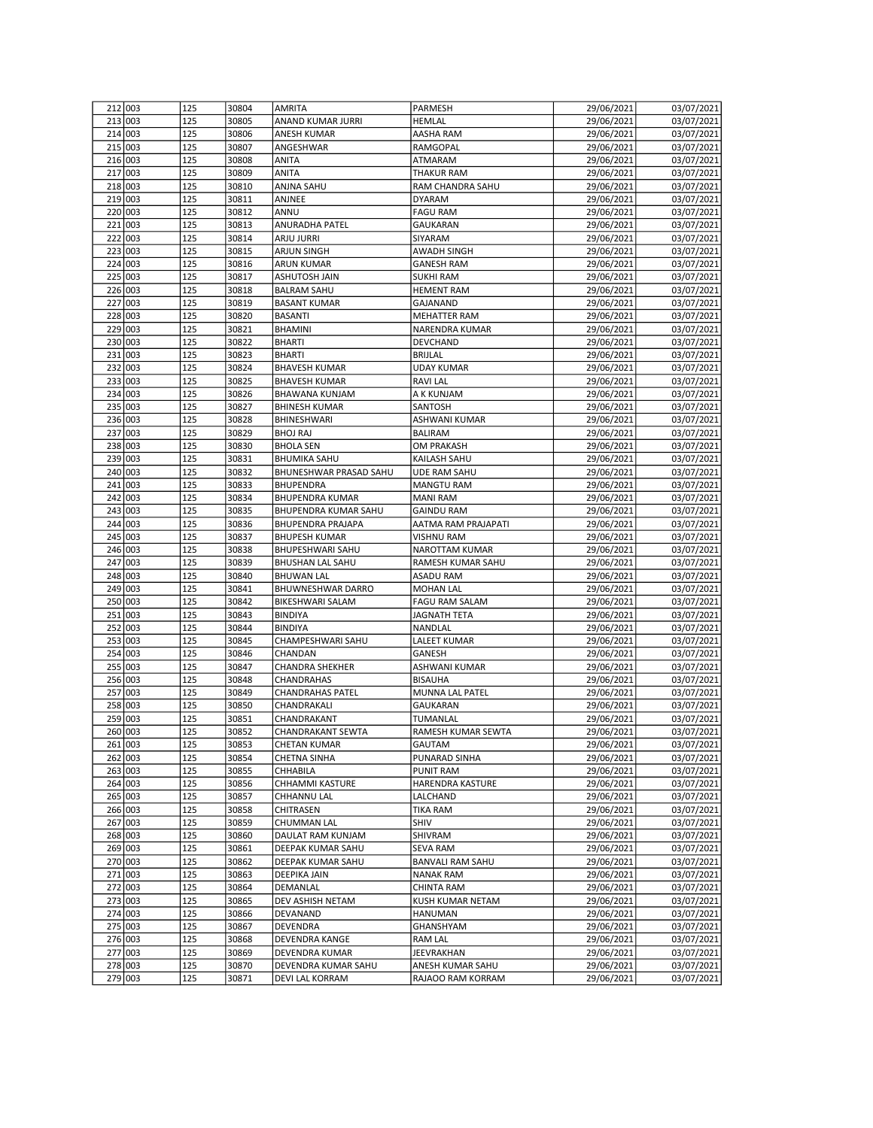| 212 003 | 125 | 30804 | AMRITA                   | PARMESH                 | 29/06/2021 | 03/07/2021 |
|---------|-----|-------|--------------------------|-------------------------|------------|------------|
| 213 003 | 125 | 30805 | ANAND KUMAR JURRI        | <b>HEMLAL</b>           | 29/06/2021 | 03/07/2021 |
| 214 003 | 125 | 30806 | ANESH KUMAR              | AASHA RAM               | 29/06/2021 | 03/07/2021 |
| 215 003 | 125 | 30807 | ANGESHWAR                | RAMGOPAL                | 29/06/2021 | 03/07/2021 |
| 216 003 | 125 | 30808 | ANITA                    | ATMARAM                 | 29/06/2021 | 03/07/2021 |
| 217 003 | 125 | 30809 | ANITA                    | <b>THAKUR RAM</b>       | 29/06/2021 | 03/07/2021 |
| 218 003 | 125 | 30810 | ANJNA SAHU               | RAM CHANDRA SAHU        | 29/06/2021 | 03/07/2021 |
| 219 003 | 125 | 30811 | ANJNEE                   | <b>DYARAM</b>           | 29/06/2021 | 03/07/2021 |
| 220 003 | 125 | 30812 | ANNU                     | <b>FAGU RAM</b>         | 29/06/2021 | 03/07/2021 |
| 221 003 | 125 | 30813 | ANURADHA PATEL           | <b>GAUKARAN</b>         |            | 03/07/2021 |
| 222 003 |     |       |                          |                         | 29/06/2021 |            |
|         | 125 | 30814 | ARJU JURRI               | SIYARAM                 | 29/06/2021 | 03/07/2021 |
| 223 003 | 125 | 30815 | ARJUN SINGH              | AWADH SINGH             | 29/06/2021 | 03/07/2021 |
| 224 003 | 125 | 30816 | ARUN KUMAR               | <b>GANESH RAM</b>       | 29/06/2021 | 03/07/2021 |
| 225 003 | 125 | 30817 | ASHUTOSH JAIN            | <b>SUKHI RAM</b>        | 29/06/2021 | 03/07/2021 |
| 226 003 | 125 | 30818 | <b>BALRAM SAHU</b>       | <b>HEMENT RAM</b>       | 29/06/2021 | 03/07/2021 |
| 227 003 | 125 | 30819 | <b>BASANT KUMAR</b>      | GAJANAND                | 29/06/2021 | 03/07/2021 |
| 228 003 | 125 | 30820 | <b>BASANTI</b>           | <b>MEHATTER RAM</b>     | 29/06/2021 | 03/07/2021 |
| 229 003 | 125 | 30821 | <b>BHAMINI</b>           | NARENDRA KUMAR          | 29/06/2021 | 03/07/2021 |
| 230 003 | 125 | 30822 | <b>BHARTI</b>            | <b>DEVCHAND</b>         | 29/06/2021 | 03/07/2021 |
| 231 003 | 125 | 30823 | <b>BHARTI</b>            | <b>BRIJLAL</b>          | 29/06/2021 | 03/07/2021 |
| 232 003 | 125 | 30824 | <b>BHAVESH KUMAR</b>     | <b>UDAY KUMAR</b>       | 29/06/2021 | 03/07/2021 |
| 233 003 | 125 | 30825 | <b>BHAVESH KUMAR</b>     | <b>RAVILAL</b>          | 29/06/2021 | 03/07/2021 |
| 234 003 | 125 | 30826 | <b>BHAWANA KUNJAM</b>    | A K KUNJAM              | 29/06/2021 | 03/07/2021 |
| 235 003 | 125 | 30827 | <b>BHINESH KUMAR</b>     | SANTOSH                 | 29/06/2021 | 03/07/2021 |
| 236 003 | 125 | 30828 | BHINESHWARI              | ASHWANI KUMAR           | 29/06/2021 | 03/07/2021 |
| 237 003 | 125 | 30829 | <b>BHOJ RAJ</b>          | <b>BALIRAM</b>          | 29/06/2021 | 03/07/2021 |
| 238 003 | 125 | 30830 | <b>BHOLA SEN</b>         | OM PRAKASH              | 29/06/2021 | 03/07/2021 |
| 239 003 | 125 | 30831 | <b>BHUMIKA SAHU</b>      | KAILASH SAHU            |            | 03/07/2021 |
| 240 003 |     |       |                          |                         | 29/06/2021 |            |
|         | 125 | 30832 | BHUNESHWAR PRASAD SAHU   | <b>UDE RAM SAHU</b>     | 29/06/2021 | 03/07/2021 |
| 241 003 | 125 | 30833 | <b>BHUPENDRA</b>         | <b>MANGTU RAM</b>       | 29/06/2021 | 03/07/2021 |
| 242 003 | 125 | 30834 | BHUPENDRA KUMAR          | <b>MANI RAM</b>         | 29/06/2021 | 03/07/2021 |
| 243 003 | 125 | 30835 | BHUPENDRA KUMAR SAHU     | <b>GAINDU RAM</b>       | 29/06/2021 | 03/07/2021 |
| 244 003 | 125 | 30836 | <b>BHUPENDRA PRAJAPA</b> | AATMA RAM PRAJAPATI     | 29/06/2021 | 03/07/2021 |
| 245 003 | 125 | 30837 | <b>BHUPESH KUMAR</b>     | VISHNU RAM              | 29/06/2021 | 03/07/2021 |
| 246 003 | 125 | 30838 | BHUPESHWARI SAHU         | NAROTTAM KUMAR          | 29/06/2021 | 03/07/2021 |
| 247 003 | 125 | 30839 | BHUSHAN LAL SAHU         | RAMESH KUMAR SAHU       | 29/06/2021 | 03/07/2021 |
| 248 003 | 125 | 30840 | <b>BHUWAN LAL</b>        | ASADU RAM               | 29/06/2021 | 03/07/2021 |
| 249 003 | 125 | 30841 | BHUWNESHWAR DARRO        | <b>MOHAN LAL</b>        | 29/06/2021 | 03/07/2021 |
| 250 003 | 125 | 30842 | BIKESHWARI SALAM         | FAGU RAM SALAM          | 29/06/2021 | 03/07/2021 |
| 251 003 | 125 | 30843 | <b>BINDIYA</b>           | JAGNATH TETA            | 29/06/2021 | 03/07/2021 |
| 252 003 | 125 | 30844 | <b>BINDIYA</b>           | NANDLAL                 | 29/06/2021 | 03/07/2021 |
| 253 003 | 125 | 30845 | CHAMPESHWARI SAHU        | LALEET KUMAR            | 29/06/2021 | 03/07/2021 |
| 254 003 | 125 | 30846 | CHANDAN                  | GANESH                  | 29/06/2021 | 03/07/2021 |
| 255 003 | 125 | 30847 | CHANDRA SHEKHER          | ASHWANI KUMAR           | 29/06/2021 | 03/07/2021 |
| 256 003 | 125 | 30848 | CHANDRAHAS               | <b>BISAUHA</b>          | 29/06/2021 | 03/07/2021 |
| 257 003 | 125 | 30849 | <b>CHANDRAHAS PATEL</b>  | MUNNA LAL PATEL         | 29/06/2021 | 03/07/2021 |
| 258 003 | 125 | 30850 | CHANDRAKALI              | <b>GAUKARAN</b>         | 29/06/2021 | 03/07/2021 |
| 259 003 | 125 | 30851 | CHANDRAKANT              | TUMANLAL                | 29/06/2021 | 03/07/2021 |
| 260 003 | 125 | 30852 | <b>CHANDRAKANT SEWTA</b> | RAMESH KUMAR SEWTA      | 29/06/2021 | 03/07/2021 |
| 261 003 |     |       |                          |                         |            |            |
|         | 125 | 30853 | <b>CHETAN KUMAR</b>      | GAUTAM                  | 29/06/2021 | 03/07/2021 |
| 262 003 | 125 | 30854 | CHETNA SINHA             | PUNARAD SINHA           | 29/06/2021 | 03/07/2021 |
| 263 003 | 125 | 30855 | CHHABILA                 | <b>PUNIT RAM</b>        | 29/06/2021 | 03/07/2021 |
| 264 003 | 125 | 30856 | CHHAMMI KASTURE          | HARENDRA KASTURE        | 29/06/2021 | 03/07/2021 |
| 265 003 | 125 | 30857 | CHHANNU LAL              | LALCHAND                | 29/06/2021 | 03/07/2021 |
| 266 003 | 125 | 30858 | CHITRASEN                | <b>TIKA RAM</b>         | 29/06/2021 | 03/07/2021 |
| 267 003 | 125 | 30859 | CHUMMAN LAL              | SHIV                    | 29/06/2021 | 03/07/2021 |
| 268 003 | 125 | 30860 | DAULAT RAM KUNJAM        | SHIVRAM                 | 29/06/2021 | 03/07/2021 |
| 269 003 | 125 | 30861 | DEEPAK KUMAR SAHU        | <b>SEVA RAM</b>         | 29/06/2021 | 03/07/2021 |
| 270 003 | 125 | 30862 | DEEPAK KUMAR SAHU        | <b>BANVALI RAM SAHU</b> | 29/06/2021 | 03/07/2021 |
| 271 003 | 125 | 30863 | DEEPIKA JAIN             | <b>NANAK RAM</b>        | 29/06/2021 | 03/07/2021 |
| 272 003 | 125 | 30864 | DEMANLAL                 | <b>CHINTA RAM</b>       | 29/06/2021 | 03/07/2021 |
| 273 003 | 125 | 30865 | DEV ASHISH NETAM         | KUSH KUMAR NETAM        | 29/06/2021 | 03/07/2021 |
| 274 003 | 125 | 30866 | DEVANAND                 | <b>HANUMAN</b>          | 29/06/2021 | 03/07/2021 |
| 275 003 | 125 | 30867 | DEVENDRA                 | GHANSHYAM               | 29/06/2021 | 03/07/2021 |
| 276 003 | 125 | 30868 | DEVENDRA KANGE           | <b>RAM LAL</b>          | 29/06/2021 | 03/07/2021 |
| 277 003 | 125 | 30869 | DEVENDRA KUMAR           | JEEVRAKHAN              | 29/06/2021 | 03/07/2021 |
| 278 003 | 125 | 30870 | DEVENDRA KUMAR SAHU      | ANESH KUMAR SAHU        | 29/06/2021 | 03/07/2021 |
| 279 003 | 125 | 30871 | DEVI LAL KORRAM          | RAJAOO RAM KORRAM       | 29/06/2021 | 03/07/2021 |
|         |     |       |                          |                         |            |            |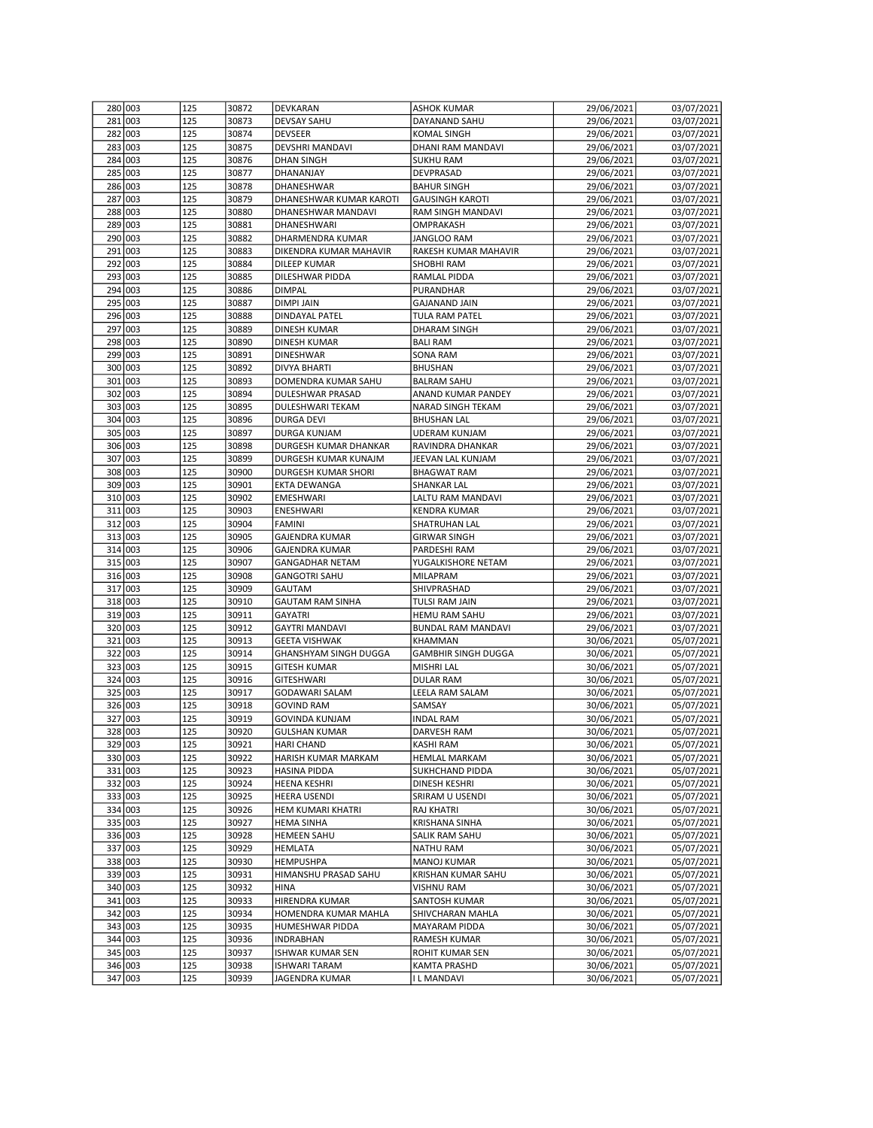| 280 003 | 125 | 30872 | DEVKARAN                | <b>ASHOK KUMAR</b>         | 29/06/2021 | 03/07/2021 |
|---------|-----|-------|-------------------------|----------------------------|------------|------------|
| 281 003 | 125 | 30873 | DEVSAY SAHU             | DAYANAND SAHU              | 29/06/2021 | 03/07/2021 |
| 282 003 | 125 | 30874 | DEVSEER                 | KOMAL SINGH                | 29/06/2021 | 03/07/2021 |
| 283 003 | 125 | 30875 | DEVSHRI MANDAVI         | <b>DHANI RAM MANDAVI</b>   | 29/06/2021 | 03/07/2021 |
| 284 003 | 125 | 30876 | <b>DHAN SINGH</b>       | <b>SUKHU RAM</b>           | 29/06/2021 | 03/07/2021 |
| 285 003 | 125 | 30877 | DHANANJAY               | DEVPRASAD                  | 29/06/2021 | 03/07/2021 |
| 286 003 | 125 | 30878 | DHANESHWAR              | <b>BAHUR SINGH</b>         | 29/06/2021 | 03/07/2021 |
| 287 003 | 125 | 30879 | DHANESHWAR KUMAR KAROTI | <b>GAUSINGH KAROTI</b>     | 29/06/2021 | 03/07/2021 |
| 288 003 | 125 | 30880 | DHANESHWAR MANDAVI      | RAM SINGH MANDAVI          | 29/06/2021 | 03/07/2021 |
| 289 003 | 125 | 30881 | DHANESHWARI             | OMPRAKASH                  | 29/06/2021 | 03/07/2021 |
| 290 003 | 125 | 30882 | DHARMENDRA KUMAR        | JANGLOO RAM                | 29/06/2021 | 03/07/2021 |
| 291 003 | 125 | 30883 | DIKENDRA KUMAR MAHAVIR  | RAKESH KUMAR MAHAVIR       | 29/06/2021 | 03/07/2021 |
| 292 003 | 125 | 30884 | DILEEP KUMAR            | SHOBHI RAM                 | 29/06/2021 | 03/07/2021 |
| 293 003 | 125 | 30885 | DILESHWAR PIDDA         | RAMLAL PIDDA               | 29/06/2021 | 03/07/2021 |
| 294 003 | 125 | 30886 | <b>DIMPAL</b>           | PURANDHAR                  | 29/06/2021 | 03/07/2021 |
| 295 003 | 125 | 30887 | DIMPI JAIN              | <b>GAJANAND JAIN</b>       | 29/06/2021 | 03/07/2021 |
| 296 003 | 125 | 30888 | DINDAYAL PATEL          | TULA RAM PATEL             | 29/06/2021 | 03/07/2021 |
| 297 003 | 125 | 30889 | DINESH KUMAR            | DHARAM SINGH               | 29/06/2021 | 03/07/2021 |
| 298 003 | 125 | 30890 | DINESH KUMAR            | <b>BALI RAM</b>            | 29/06/2021 | 03/07/2021 |
| 299 003 | 125 | 30891 | DINESHWAR               | SONA RAM                   | 29/06/2021 | 03/07/2021 |
| 300 003 | 125 | 30892 | <b>DIVYA BHARTI</b>     | <b>BHUSHAN</b>             | 29/06/2021 | 03/07/2021 |
| 301 003 | 125 | 30893 | DOMENDRA KUMAR SAHU     | <b>BALRAM SAHU</b>         | 29/06/2021 | 03/07/2021 |
| 302 003 | 125 | 30894 | DULESHWAR PRASAD        | ANAND KUMAR PANDEY         | 29/06/2021 | 03/07/2021 |
| 303 003 | 125 | 30895 | DULESHWARI TEKAM        | NARAD SINGH TEKAM          | 29/06/2021 | 03/07/2021 |
| 304 003 | 125 | 30896 | <b>DURGA DEVI</b>       | <b>BHUSHAN LAL</b>         | 29/06/2021 | 03/07/2021 |
| 305 003 | 125 | 30897 | <b>DURGA KUNJAM</b>     | UDERAM KUNJAM              | 29/06/2021 | 03/07/2021 |
| 306 003 | 125 | 30898 | DURGESH KUMAR DHANKAR   | RAVINDRA DHANKAR           | 29/06/2021 | 03/07/2021 |
| 307 003 | 125 | 30899 | DURGESH KUMAR KUNAJM    | JEEVAN LAL KUNJAM          | 29/06/2021 | 03/07/2021 |
| 308 003 | 125 | 30900 | DURGESH KUMAR SHORI     | <b>BHAGWAT RAM</b>         | 29/06/2021 | 03/07/2021 |
| 309 003 | 125 | 30901 | EKTA DEWANGA            | SHANKAR LAL                | 29/06/2021 | 03/07/2021 |
| 310 003 | 125 | 30902 | EMESHWARI               | LALTU RAM MANDAVI          | 29/06/2021 | 03/07/2021 |
| 311 003 | 125 | 30903 | ENESHWARI               | KENDRA KUMAR               | 29/06/2021 | 03/07/2021 |
| 312 003 | 125 | 30904 | <b>FAMINI</b>           | SHATRUHAN LAL              | 29/06/2021 | 03/07/2021 |
| 313 003 | 125 | 30905 | <b>GAJENDRA KUMAR</b>   | <b>GIRWAR SINGH</b>        | 29/06/2021 | 03/07/2021 |
| 314 003 | 125 | 30906 | <b>GAJENDRA KUMAR</b>   | PARDESHI RAM               | 29/06/2021 | 03/07/2021 |
| 315 003 | 125 | 30907 | <b>GANGADHAR NETAM</b>  | YUGALKISHORE NETAM         | 29/06/2021 | 03/07/2021 |
| 316 003 | 125 | 30908 | <b>GANGOTRI SAHU</b>    | MILAPRAM                   | 29/06/2021 | 03/07/2021 |
| 317 003 | 125 | 30909 | GAUTAM                  | SHIVPRASHAD                | 29/06/2021 | 03/07/2021 |
| 318 003 | 125 | 30910 | <b>GAUTAM RAM SINHA</b> | TULSI RAM JAIN             | 29/06/2021 | 03/07/2021 |
| 319 003 | 125 | 30911 | <b>GAYATRI</b>          | HEMU RAM SAHU              | 29/06/2021 | 03/07/2021 |
| 320 003 | 125 | 30912 | <b>GAYTRI MANDAVI</b>   | BUNDAL RAM MANDAVI         | 29/06/2021 | 03/07/2021 |
| 321 003 | 125 | 30913 | <b>GEETA VISHWAK</b>    | KHAMMAN                    | 30/06/2021 | 05/07/2021 |
| 322 003 | 125 | 30914 | GHANSHYAM SINGH DUGGA   | <b>GAMBHIR SINGH DUGGA</b> | 30/06/2021 | 05/07/2021 |
| 323 003 | 125 | 30915 | <b>GITESH KUMAR</b>     | MISHRI LAL                 | 30/06/2021 | 05/07/2021 |
| 324 003 | 125 | 30916 | GITESHWARI              | DULAR RAM                  | 30/06/2021 | 05/07/2021 |
| 325 003 | 125 | 30917 | <b>GODAWARI SALAM</b>   | LEELA RAM SALAM            | 30/06/2021 | 05/07/2021 |
| 326 003 | 125 | 30918 | <b>GOVIND RAM</b>       | SAMSAY                     | 30/06/2021 | 05/07/2021 |
| 327 003 | 125 | 30919 | <b>GOVINDA KUNJAM</b>   | <b>INDAL RAM</b>           | 30/06/2021 | 05/07/2021 |
| 328 003 | 125 | 30920 | <b>GULSHAN KUMAR</b>    | DARVESH RAM                | 30/06/2021 | 05/07/2021 |
| 329 003 | 125 | 30921 | <b>HARI CHAND</b>       | <b>KASHI RAM</b>           | 30/06/2021 | 05/07/2021 |
| 330 003 | 125 | 30922 | HARISH KUMAR MARKAM     | <b>HEMLAL MARKAM</b>       | 30/06/2021 | 05/07/2021 |
| 331 003 | 125 | 30923 | HASINA PIDDA            | SUKHCHAND PIDDA            | 30/06/2021 | 05/07/2021 |
| 332 003 | 125 | 30924 | HEENA KESHRI            | DINESH KESHRI              | 30/06/2021 | 05/07/2021 |
| 333 003 | 125 | 30925 | HEERA USENDI            | SRIRAM U USENDI            | 30/06/2021 | 05/07/2021 |
| 334 003 | 125 | 30926 | HEM KUMARI KHATRI       | RAJ KHATRI                 | 30/06/2021 | 05/07/2021 |
| 335 003 | 125 | 30927 | HEMA SINHA              | KRISHANA SINHA             | 30/06/2021 | 05/07/2021 |
| 336 003 | 125 | 30928 | <b>HEMEEN SAHU</b>      | SALIK RAM SAHU             | 30/06/2021 | 05/07/2021 |
| 337 003 | 125 | 30929 | HEMLATA                 | NATHU RAM                  | 30/06/2021 | 05/07/2021 |
| 338 003 | 125 | 30930 | <b>HEMPUSHPA</b>        | MANOJ KUMAR                | 30/06/2021 | 05/07/2021 |
| 339 003 | 125 | 30931 | HIMANSHU PRASAD SAHU    | KRISHAN KUMAR SAHU         | 30/06/2021 | 05/07/2021 |
| 340 003 | 125 | 30932 | <b>HINA</b>             | VISHNU RAM                 | 30/06/2021 | 05/07/2021 |
| 341 003 | 125 | 30933 | HIRENDRA KUMAR          | SANTOSH KUMAR              | 30/06/2021 | 05/07/2021 |
| 342 003 | 125 | 30934 | HOMENDRA KUMAR MAHLA    | SHIVCHARAN MAHLA           | 30/06/2021 | 05/07/2021 |
| 343 003 | 125 | 30935 | HUMESHWAR PIDDA         | MAYARAM PIDDA              | 30/06/2021 | 05/07/2021 |
| 344 003 | 125 | 30936 | INDRABHAN               | RAMESH KUMAR               | 30/06/2021 | 05/07/2021 |
| 345 003 | 125 | 30937 | ISHWAR KUMAR SEN        | ROHIT KUMAR SEN            | 30/06/2021 | 05/07/2021 |
| 346 003 | 125 | 30938 | <b>ISHWARI TARAM</b>    | KAMTA PRASHD               | 30/06/2021 | 05/07/2021 |
| 347 003 | 125 | 30939 | JAGENDRA KUMAR          | I L MANDAVI                | 30/06/2021 | 05/07/2021 |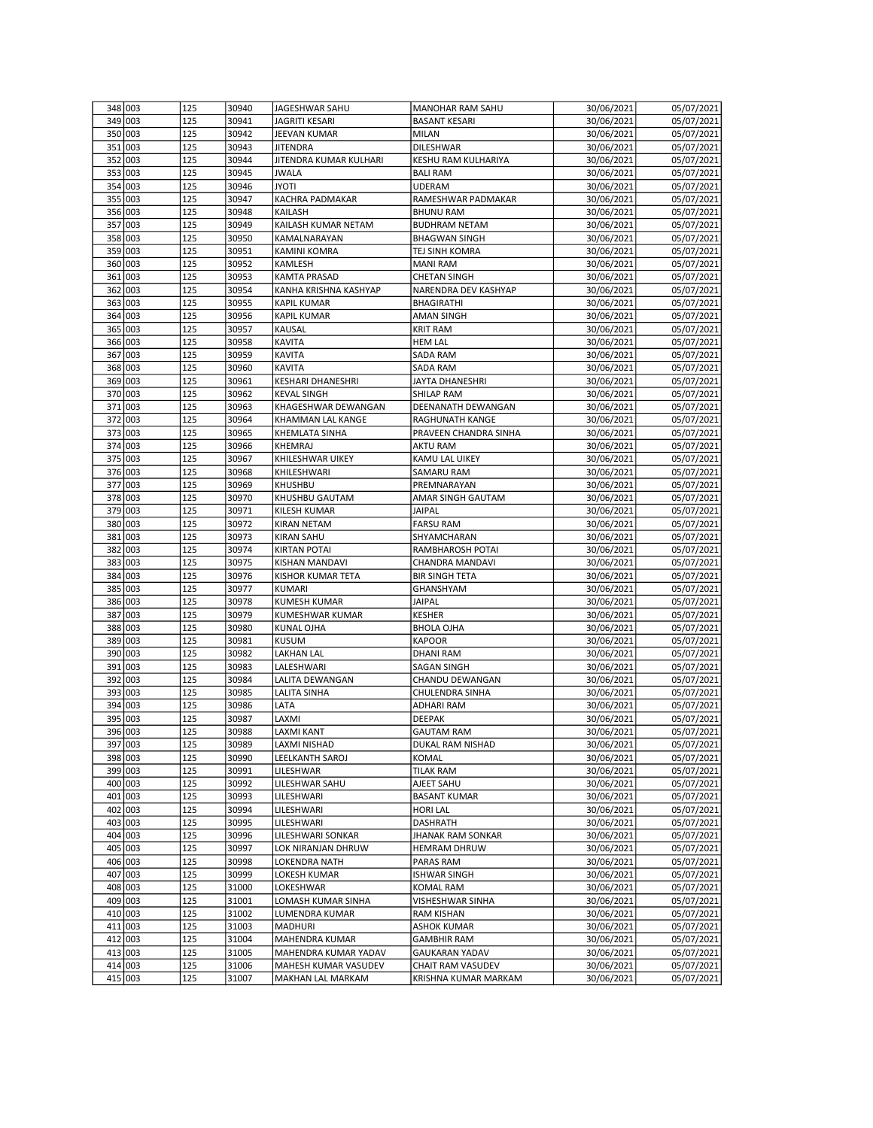| 348 003            | 125        | 30940 | JAGESHWAR SAHU         | MANOHAR RAM SAHU         | 30/06/2021 | 05/07/2021 |
|--------------------|------------|-------|------------------------|--------------------------|------------|------------|
| 349 003            | 125        | 30941 | <b>JAGRITI KESARI</b>  | <b>BASANT KESARI</b>     | 30/06/2021 | 05/07/2021 |
| 350 003            | 125        | 30942 | JEEVAN KUMAR           | <b>MILAN</b>             | 30/06/2021 | 05/07/2021 |
| 351 003            | 125        | 30943 | <b>JITENDRA</b>        | <b>DILESHWAR</b>         | 30/06/2021 | 05/07/2021 |
| 352 003            | 125        | 30944 | JITENDRA KUMAR KULHARI | KESHU RAM KULHARIYA      | 30/06/2021 | 05/07/2021 |
| 353 003            | 125        | 30945 | <b>JWALA</b>           | <b>BALI RAM</b>          | 30/06/2021 | 05/07/2021 |
| 354 003            | 125        | 30946 | <b>ITOYL</b>           | <b>UDERAM</b>            | 30/06/2021 | 05/07/2021 |
| 355 003            | 125        | 30947 | KACHRA PADMAKAR        | RAMESHWAR PADMAKAR       | 30/06/2021 | 05/07/2021 |
| 356 003            | 125        | 30948 | KAILASH                | <b>BHUNU RAM</b>         | 30/06/2021 | 05/07/2021 |
| 357 003            | 125        | 30949 | KAILASH KUMAR NETAM    | <b>BUDHRAM NETAM</b>     | 30/06/2021 | 05/07/2021 |
| 358 003            | 125        | 30950 | KAMALNARAYAN           | <b>BHAGWAN SINGH</b>     | 30/06/2021 | 05/07/2021 |
| 359 003            | 125        | 30951 | KAMINI KOMRA           | TEJ SINH KOMRA           | 30/06/2021 | 05/07/2021 |
| 360 003            | 125        | 30952 | KAMLESH                | <b>MANI RAM</b>          | 30/06/2021 | 05/07/2021 |
| 361 003            | 125        | 30953 | <b>KAMTA PRASAD</b>    | <b>CHETAN SINGH</b>      | 30/06/2021 | 05/07/2021 |
| 362 003            | 125        | 30954 | KANHA KRISHNA KASHYAP  | NARENDRA DEV KASHYAP     |            | 05/07/2021 |
| 363 003            |            |       |                        |                          | 30/06/2021 | 05/07/2021 |
|                    | 125        | 30955 | <b>KAPIL KUMAR</b>     | <b>BHAGIRATHI</b>        | 30/06/2021 |            |
| 364 003            | 125        | 30956 | <b>KAPIL KUMAR</b>     | <b>AMAN SINGH</b>        | 30/06/2021 | 05/07/2021 |
| 365 003            | 125        | 30957 | KAUSAL                 | <b>KRIT RAM</b>          | 30/06/2021 | 05/07/2021 |
| 366 003            | 125        | 30958 | KAVITA                 | <b>HEM LAL</b>           | 30/06/2021 | 05/07/2021 |
| 367 003            | 125        | 30959 | KAVITA                 | SADA RAM                 | 30/06/2021 | 05/07/2021 |
| 368 003            | 125        | 30960 | KAVITA                 | SADA RAM                 | 30/06/2021 | 05/07/2021 |
| 369 003            | 125        | 30961 | KESHARI DHANESHRI      | JAYTA DHANESHRI          | 30/06/2021 | 05/07/2021 |
| 370 003            | 125        | 30962 | <b>KEVAL SINGH</b>     | SHILAP RAM               | 30/06/2021 | 05/07/2021 |
| 371 003            | 125        | 30963 | KHAGESHWAR DEWANGAN    | DEENANATH DEWANGAN       | 30/06/2021 | 05/07/2021 |
| 372 003            | 125        | 30964 | KHAMMAN LAL KANGE      | RAGHUNATH KANGE          | 30/06/2021 | 05/07/2021 |
| 373 003            | 125        | 30965 | KHEMLATA SINHA         | PRAVEEN CHANDRA SINHA    | 30/06/2021 | 05/07/2021 |
| 374 003            | 125        | 30966 | KHEMRAJ                | AKTU RAM                 | 30/06/2021 | 05/07/2021 |
| 375 003            | 125        | 30967 | KHILESHWAR UIKEY       | KAMU LAL UIKEY           | 30/06/2021 | 05/07/2021 |
| 376 003            | 125        | 30968 | KHILESHWARI            | SAMARU RAM               | 30/06/2021 | 05/07/2021 |
| 377 003            | 125        | 30969 | KHUSHBU                | PREMNARAYAN              | 30/06/2021 | 05/07/2021 |
| 378 003            | 125        | 30970 | KHUSHBU GAUTAM         | AMAR SINGH GAUTAM        | 30/06/2021 | 05/07/2021 |
| 379 003            | 125        | 30971 | KILESH KUMAR           | <b>JAIPAL</b>            | 30/06/2021 | 05/07/2021 |
| 380 003            | 125        | 30972 | <b>KIRAN NETAM</b>     | <b>FARSU RAM</b>         | 30/06/2021 | 05/07/2021 |
| 381 003            | 125        | 30973 | <b>KIRAN SAHU</b>      | SHYAMCHARAN              | 30/06/2021 | 05/07/2021 |
| 382 003            | 125        | 30974 | <b>KIRTAN POTAI</b>    | RAMBHAROSH POTAI         | 30/06/2021 | 05/07/2021 |
| 383 003            | 125        | 30975 | KISHAN MANDAVI         | CHANDRA MANDAVI          | 30/06/2021 | 05/07/2021 |
| 384 003            | 125        | 30976 | KISHOR KUMAR TETA      | <b>BIR SINGH TETA</b>    | 30/06/2021 | 05/07/2021 |
| 385 003            | 125        | 30977 | KUMARI                 | GHANSHYAM                | 30/06/2021 | 05/07/2021 |
| 386 003            | 125        | 30978 | KUMESH KUMAR           | <b>JAIPAL</b>            | 30/06/2021 | 05/07/2021 |
| 387 003            | 125        | 30979 | KUMESHWAR KUMAR        | <b>KESHER</b>            | 30/06/2021 | 05/07/2021 |
| 388 003            | 125        | 30980 | KUNAL OJHA             | <b>BHOLA OJHA</b>        | 30/06/2021 | 05/07/2021 |
| 389 003            | 125        | 30981 | <b>KUSUM</b>           | <b>KAPOOR</b>            | 30/06/2021 | 05/07/2021 |
| 390 003            | 125        | 30982 | <b>LAKHAN LAL</b>      | <b>DHANI RAM</b>         | 30/06/2021 | 05/07/2021 |
| 391 003            | 125        | 30983 | LALESHWARI             | SAGAN SINGH              | 30/06/2021 | 05/07/2021 |
| 392 003            | 125        | 30984 | LALITA DEWANGAN        | CHANDU DEWANGAN          | 30/06/2021 | 05/07/2021 |
| 393 003            | 125        | 30985 | LALITA SINHA           | CHULENDRA SINHA          |            | 05/07/2021 |
|                    |            |       |                        |                          | 30/06/2021 |            |
| 394 003<br>395 003 | 125        | 30986 | LATA                   | <b>ADHARI RAM</b>        | 30/06/2021 | 05/07/2021 |
|                    | 125<br>125 | 30987 | LAXMI                  | <b>DEEPAK</b>            | 30/06/2021 | 05/07/2021 |
| 396 003            |            | 30988 | LAXMI KANT             | <b>GAUTAM RAM</b>        | 30/06/2021 | 05/07/2021 |
| 397 003            | 125        | 30989 | LAXMI NISHAD           | DUKAL RAM NISHAD         | 30/06/2021 | 05/07/2021 |
| 398 003            | 125        | 30990 | LEELKANTH SAROJ        | KOMAL                    | 30/06/2021 | 05/07/2021 |
| 399 003            | 125        | 30991 | LILESHWAR              | <b>TILAK RAM</b>         | 30/06/2021 | 05/07/2021 |
| 400 003            | 125        | 30992 | LILESHWAR SAHU         | AJEET SAHU               | 30/06/2021 | 05/07/2021 |
| 401 003            | 125        | 30993 | LILESHWARI             | <b>BASANT KUMAR</b>      | 30/06/2021 | 05/07/2021 |
| 402 003            | 125        | 30994 | LILESHWARI             | <b>HORI LAL</b>          | 30/06/2021 | 05/07/2021 |
| 403 003            | 125        | 30995 | LILESHWARI             | <b>DASHRATH</b>          | 30/06/2021 | 05/07/2021 |
| 404 003            | 125        | 30996 | LILESHWARI SONKAR      | <b>JHANAK RAM SONKAR</b> | 30/06/2021 | 05/07/2021 |
| 405 003            | 125        | 30997 | LOK NIRANJAN DHRUW     | <b>HEMRAM DHRUW</b>      | 30/06/2021 | 05/07/2021 |
| 406 003            | 125        | 30998 | LOKENDRA NATH          | PARAS RAM                | 30/06/2021 | 05/07/2021 |
| 407 003            | 125        | 30999 | LOKESH KUMAR           | <b>ISHWAR SINGH</b>      | 30/06/2021 | 05/07/2021 |
| 408 003            | 125        | 31000 | LOKESHWAR              | <b>KOMAL RAM</b>         | 30/06/2021 | 05/07/2021 |
| 409 003            | 125        | 31001 | LOMASH KUMAR SINHA     | VISHESHWAR SINHA         | 30/06/2021 | 05/07/2021 |
| 410 003            | 125        | 31002 | LUMENDRA KUMAR         | RAM KISHAN               | 30/06/2021 | 05/07/2021 |
| 411 003            | 125        | 31003 | MADHURI                | <b>ASHOK KUMAR</b>       | 30/06/2021 | 05/07/2021 |
| 412 003            | 125        | 31004 | MAHENDRA KUMAR         | <b>GAMBHIR RAM</b>       | 30/06/2021 | 05/07/2021 |
| 413 003            | 125        | 31005 | MAHENDRA KUMAR YADAV   | <b>GAUKARAN YADAV</b>    | 30/06/2021 | 05/07/2021 |
| 414 003            | 125        | 31006 | MAHESH KUMAR VASUDEV   | CHAIT RAM VASUDEV        | 30/06/2021 | 05/07/2021 |
| 415 003            | 125        | 31007 | MAKHAN LAL MARKAM      | KRISHNA KUMAR MARKAM     | 30/06/2021 | 05/07/2021 |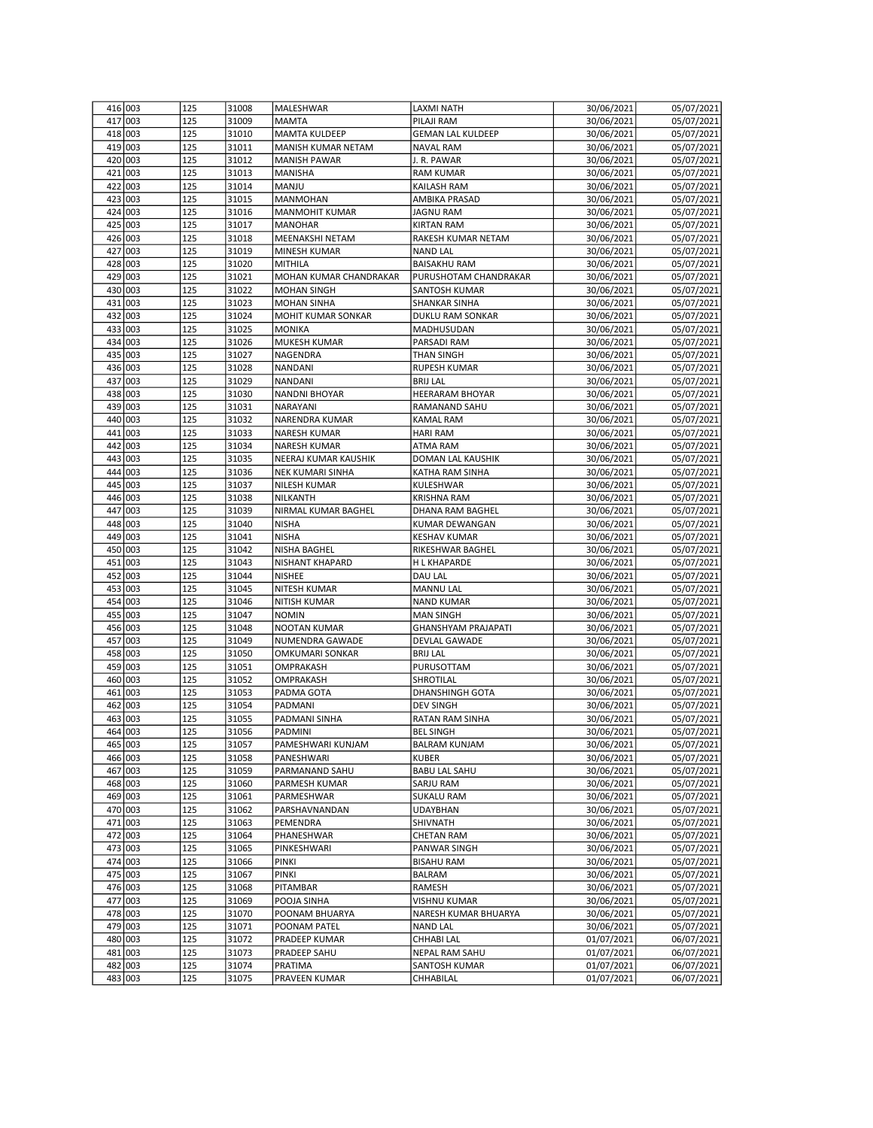| 416 003 | 125 | 31008 | MALESHWAR               | LAXMI NATH               | 30/06/2021 | 05/07/2021 |
|---------|-----|-------|-------------------------|--------------------------|------------|------------|
| 417 003 | 125 | 31009 | <b>MAMTA</b>            | PILAJI RAM               | 30/06/2021 | 05/07/2021 |
| 418 003 | 125 | 31010 | <b>MAMTA KULDEEP</b>    | <b>GEMAN LAL KULDEEP</b> | 30/06/2021 | 05/07/2021 |
| 419 003 | 125 | 31011 | MANISH KUMAR NETAM      | <b>NAVAL RAM</b>         | 30/06/2021 | 05/07/2021 |
| 420 003 | 125 | 31012 | <b>MANISH PAWAR</b>     | J. R. PAWAR              | 30/06/2021 | 05/07/2021 |
| 421 003 | 125 | 31013 | MANISHA                 | <b>RAM KUMAR</b>         | 30/06/2021 | 05/07/2021 |
| 422 003 | 125 | 31014 | MANJU                   | KAILASH RAM              | 30/06/2021 | 05/07/2021 |
| 423 003 | 125 | 31015 | <b>MANMOHAN</b>         | AMBIKA PRASAD            | 30/06/2021 | 05/07/2021 |
| 424 003 | 125 | 31016 | MANMOHIT KUMAR          | JAGNU RAM                | 30/06/2021 | 05/07/2021 |
| 425 003 | 125 | 31017 | <b>MANOHAR</b>          | KIRTAN RAM               | 30/06/2021 | 05/07/2021 |
| 426 003 | 125 | 31018 | MEENAKSHI NETAM         | RAKESH KUMAR NETAM       | 30/06/2021 | 05/07/2021 |
| 427 003 | 125 | 31019 | MINESH KUMAR            | <b>NAND LAL</b>          | 30/06/2021 | 05/07/2021 |
| 428 003 | 125 | 31020 | MITHILA                 | <b>BAISAKHU RAM</b>      | 30/06/2021 | 05/07/2021 |
| 429 003 | 125 | 31021 | MOHAN KUMAR CHANDRAKAR  | PURUSHOTAM CHANDRAKAR    | 30/06/2021 | 05/07/2021 |
| 430 003 | 125 | 31022 | MOHAN SINGH             | SANTOSH KUMAR            | 30/06/2021 | 05/07/2021 |
| 431 003 | 125 | 31023 | <b>MOHAN SINHA</b>      | SHANKAR SINHA            | 30/06/2021 | 05/07/2021 |
| 432 003 | 125 | 31024 | MOHIT KUMAR SONKAR      | DUKLU RAM SONKAR         | 30/06/2021 | 05/07/2021 |
| 433 003 | 125 | 31025 | <b>MONIKA</b>           | MADHUSUDAN               | 30/06/2021 | 05/07/2021 |
| 434 003 | 125 | 31026 | MUKESH KUMAR            | PARSADI RAM              | 30/06/2021 | 05/07/2021 |
| 435 003 | 125 | 31027 | NAGENDRA                | THAN SINGH               | 30/06/2021 | 05/07/2021 |
| 436 003 | 125 | 31028 | NANDANI                 | RUPESH KUMAR             | 30/06/2021 | 05/07/2021 |
| 437 003 | 125 | 31029 | NANDANI                 | <b>BRIJ LAL</b>          | 30/06/2021 | 05/07/2021 |
| 438 003 | 125 | 31030 | <b>NANDNI BHOYAR</b>    | HEERARAM BHOYAR          | 30/06/2021 | 05/07/2021 |
| 439 003 | 125 | 31031 | NARAYANI                | RAMANAND SAHU            | 30/06/2021 | 05/07/2021 |
| 440 003 | 125 | 31032 | NARENDRA KUMAR          | <b>KAMAL RAM</b>         | 30/06/2021 | 05/07/2021 |
| 441 003 | 125 | 31033 | NARESH KUMAR            | <b>HARI RAM</b>          | 30/06/2021 | 05/07/2021 |
| 442 003 | 125 | 31034 | <b>NARESH KUMAR</b>     | ATMA RAM                 | 30/06/2021 | 05/07/2021 |
| 443 003 | 125 | 31035 | NEERAJ KUMAR KAUSHIK    | DOMAN LAL KAUSHIK        | 30/06/2021 | 05/07/2021 |
| 444 003 | 125 | 31036 | <b>NEK KUMARI SINHA</b> | KATHA RAM SINHA          | 30/06/2021 | 05/07/2021 |
| 445 003 | 125 | 31037 | NILESH KUMAR            | KULESHWAR                | 30/06/2021 | 05/07/2021 |
| 446 003 | 125 | 31038 | NILKANTH                | <b>KRISHNA RAM</b>       | 30/06/2021 | 05/07/2021 |
| 447 003 | 125 | 31039 | NIRMAL KUMAR BAGHEL     | DHANA RAM BAGHEL         | 30/06/2021 | 05/07/2021 |
| 448 003 | 125 | 31040 | <b>NISHA</b>            | <b>KUMAR DEWANGAN</b>    | 30/06/2021 | 05/07/2021 |
| 449 003 | 125 | 31041 | <b>NISHA</b>            | <b>KESHAV KUMAR</b>      | 30/06/2021 | 05/07/2021 |
| 450 003 | 125 | 31042 | NISHA BAGHEL            | RIKESHWAR BAGHEL         | 30/06/2021 | 05/07/2021 |
| 451 003 | 125 | 31043 | NISHANT KHAPARD         | H L KHAPARDE             | 30/06/2021 | 05/07/2021 |
| 452 003 | 125 | 31044 | <b>NISHEE</b>           | DAU LAL                  | 30/06/2021 | 05/07/2021 |
| 453 003 | 125 | 31045 | NITESH KUMAR            | MANNU LAL                | 30/06/2021 | 05/07/2021 |
| 454 003 | 125 | 31046 | NITISH KUMAR            | <b>NAND KUMAR</b>        | 30/06/2021 | 05/07/2021 |
| 455 003 | 125 | 31047 | <b>NOMIN</b>            | <b>MAN SINGH</b>         | 30/06/2021 | 05/07/2021 |
| 456 003 | 125 | 31048 | NOOTAN KUMAR            | GHANSHYAM PRAJAPATI      | 30/06/2021 | 05/07/2021 |
| 457 003 | 125 | 31049 | NUMENDRA GAWADE         | DEVLAL GAWADE            | 30/06/2021 | 05/07/2021 |
| 458 003 | 125 | 31050 | OMKUMARI SONKAR         | <b>BRIJ LAL</b>          | 30/06/2021 | 05/07/2021 |
| 459 003 | 125 | 31051 | OMPRAKASH               | PURUSOTTAM               | 30/06/2021 | 05/07/2021 |
| 460 003 | 125 | 31052 | OMPRAKASH               | SHROTILAL                | 30/06/2021 | 05/07/2021 |
| 461 003 | 125 | 31053 | PADMA GOTA              | DHANSHINGH GOTA          | 30/06/2021 | 05/07/2021 |
| 462 003 | 125 | 31054 | PADMANI                 | <b>DEV SINGH</b>         | 30/06/2021 | 05/07/2021 |
| 463 003 | 125 | 31055 | PADMANI SINHA           | RATAN RAM SINHA          | 30/06/2021 | 05/07/2021 |
| 464 003 | 125 | 31056 | PADMINI                 | <b>BEL SINGH</b>         | 30/06/2021 | 05/07/2021 |
| 465 003 | 125 | 31057 | PAMESHWARI KUNJAM       | <b>BALRAM KUNJAM</b>     | 30/06/2021 | 05/07/2021 |
| 466 003 | 125 | 31058 | PANESHWARI              | <b>KUBER</b>             | 30/06/2021 | 05/07/2021 |
| 467 003 | 125 | 31059 | PARMANAND SAHU          | <b>BABU LAL SAHU</b>     | 30/06/2021 | 05/07/2021 |
| 468 003 | 125 | 31060 | PARMESH KUMAR           | SARJU RAM                | 30/06/2021 | 05/07/2021 |
| 469 003 | 125 | 31061 | PARMESHWAR              | <b>SUKALU RAM</b>        | 30/06/2021 | 05/07/2021 |
| 470 003 | 125 | 31062 | PARSHAVNANDAN           | <b>UDAYBHAN</b>          | 30/06/2021 | 05/07/2021 |
| 471 003 | 125 | 31063 | PEMENDRA                | SHIVNATH                 | 30/06/2021 | 05/07/2021 |
| 472 003 | 125 | 31064 | PHANESHWAR              | <b>CHETAN RAM</b>        | 30/06/2021 | 05/07/2021 |
| 473 003 | 125 | 31065 | PINKESHWARI             | PANWAR SINGH             | 30/06/2021 | 05/07/2021 |
| 474 003 | 125 | 31066 | PINKI                   | <b>BISAHU RAM</b>        | 30/06/2021 | 05/07/2021 |
| 475 003 | 125 | 31067 | <b>PINKI</b>            | <b>BALRAM</b>            | 30/06/2021 | 05/07/2021 |
| 476 003 | 125 | 31068 | PITAMBAR                | RAMESH                   | 30/06/2021 | 05/07/2021 |
| 477 003 | 125 | 31069 | POOJA SINHA             | VISHNU KUMAR             | 30/06/2021 | 05/07/2021 |
| 478 003 | 125 | 31070 | POONAM BHUARYA          | NARESH KUMAR BHUARYA     | 30/06/2021 | 05/07/2021 |
| 479 003 | 125 | 31071 | POONAM PATEL            | <b>NAND LAL</b>          | 30/06/2021 | 05/07/2021 |
| 480 003 | 125 | 31072 | PRADEEP KUMAR           | CHHABI LAL               | 01/07/2021 | 06/07/2021 |
| 481 003 | 125 | 31073 | PRADEEP SAHU            | <b>NEPAL RAM SAHU</b>    | 01/07/2021 | 06/07/2021 |
| 482 003 | 125 | 31074 | PRATIMA                 | SANTOSH KUMAR            | 01/07/2021 | 06/07/2021 |
| 483 003 | 125 | 31075 | PRAVEEN KUMAR           | CHHABILAL                | 01/07/2021 | 06/07/2021 |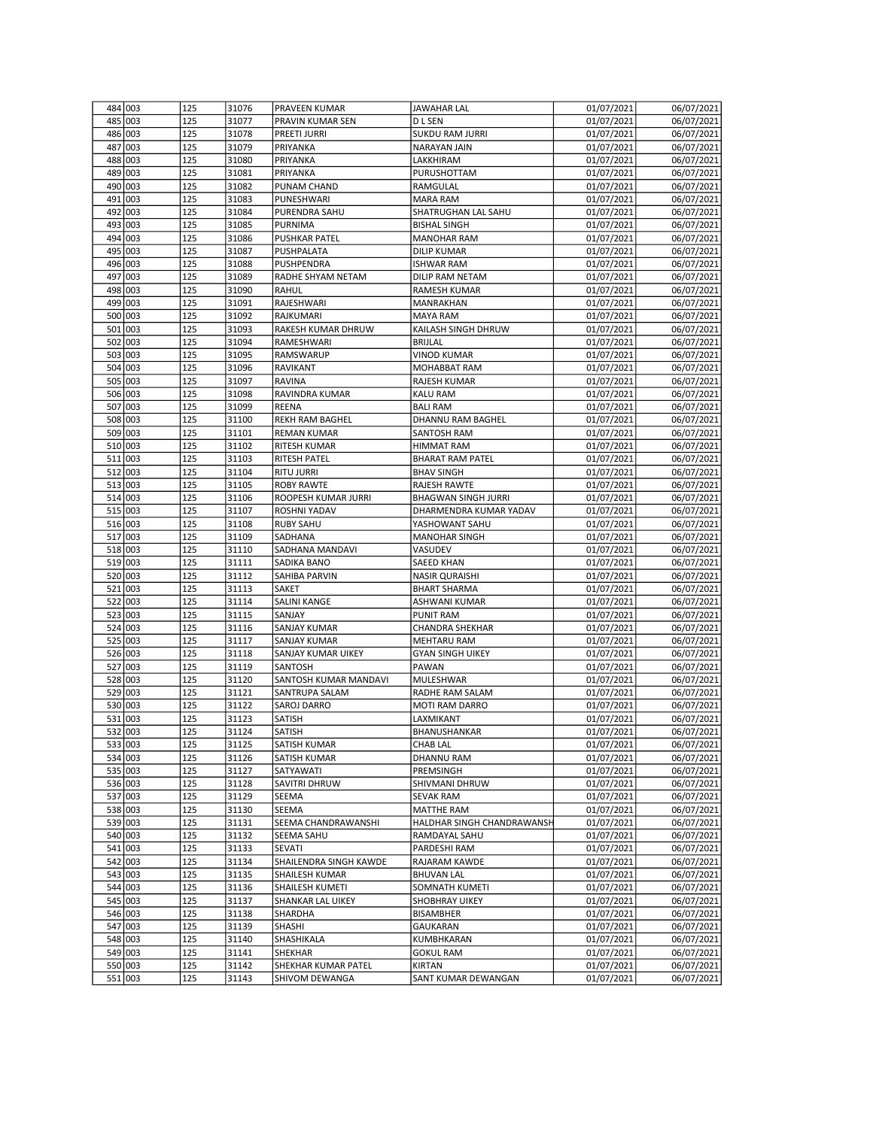| 484 003 | 125 | 31076 | PRAVEEN KUMAR          | <b>JAWAHAR LAL</b>         | 01/07/2021 | 06/07/2021 |
|---------|-----|-------|------------------------|----------------------------|------------|------------|
| 485 003 | 125 | 31077 | PRAVIN KUMAR SEN       | <b>DLSEN</b>               | 01/07/2021 | 06/07/2021 |
| 486 003 | 125 | 31078 | PREETI JURRI           | <b>SUKDU RAM JURRI</b>     | 01/07/2021 | 06/07/2021 |
| 487 003 | 125 | 31079 | PRIYANKA               | <b>NARAYAN JAIN</b>        | 01/07/2021 | 06/07/2021 |
| 488 003 | 125 | 31080 | PRIYANKA               | LAKKHIRAM                  | 01/07/2021 | 06/07/2021 |
| 489 003 | 125 | 31081 | PRIYANKA               | PURUSHOTTAM                | 01/07/2021 | 06/07/2021 |
| 490 003 | 125 | 31082 | PUNAM CHAND            | RAMGULAL                   | 01/07/2021 | 06/07/2021 |
| 491 003 | 125 | 31083 | PUNESHWARI             | MARA RAM                   | 01/07/2021 | 06/07/2021 |
| 492 003 | 125 | 31084 | PURENDRA SAHU          | SHATRUGHAN LAL SAHU        | 01/07/2021 | 06/07/2021 |
| 493 003 | 125 | 31085 | PURNIMA                | <b>BISHAL SINGH</b>        | 01/07/2021 | 06/07/2021 |
| 494 003 | 125 | 31086 | PUSHKAR PATEL          | <b>MANOHAR RAM</b>         | 01/07/2021 | 06/07/2021 |
| 495 003 | 125 | 31087 | PUSHPALATA             | DILIP KUMAR                | 01/07/2021 | 06/07/2021 |
| 496 003 | 125 | 31088 | PUSHPENDRA             | ISHWAR RAM                 | 01/07/2021 | 06/07/2021 |
| 497 003 | 125 | 31089 | RADHE SHYAM NETAM      | DILIP RAM NETAM            | 01/07/2021 | 06/07/2021 |
| 498 003 | 125 | 31090 | RAHUL                  | RAMESH KUMAR               | 01/07/2021 | 06/07/2021 |
| 499 003 | 125 | 31091 | RAJESHWARI             | MANRAKHAN                  | 01/07/2021 | 06/07/2021 |
| 500 003 | 125 | 31092 | RAJKUMARI              | MAYA RAM                   | 01/07/2021 | 06/07/2021 |
| 501 003 | 125 | 31093 | RAKESH KUMAR DHRUW     | KAILASH SINGH DHRUW        | 01/07/2021 | 06/07/2021 |
| 502 003 | 125 | 31094 | RAMESHWARI             | <b>BRIJLAL</b>             | 01/07/2021 | 06/07/2021 |
| 503 003 | 125 | 31095 | RAMSWARUP              | VINOD KUMAR                | 01/07/2021 | 06/07/2021 |
| 504 003 | 125 | 31096 | RAVIKANT               | MOHABBAT RAM               | 01/07/2021 | 06/07/2021 |
| 505 003 | 125 | 31097 | <b>RAVINA</b>          | RAJESH KUMAR               | 01/07/2021 | 06/07/2021 |
| 506 003 | 125 | 31098 | RAVINDRA KUMAR         | KALU RAM                   | 01/07/2021 | 06/07/2021 |
| 507 003 | 125 | 31099 | <b>REENA</b>           | <b>BALI RAM</b>            | 01/07/2021 | 06/07/2021 |
| 508 003 | 125 | 31100 | REKH RAM BAGHEL        | DHANNU RAM BAGHEL          | 01/07/2021 | 06/07/2021 |
| 509 003 | 125 | 31101 | <b>REMAN KUMAR</b>     | SANTOSH RAM                | 01/07/2021 | 06/07/2021 |
| 510 003 | 125 | 31102 | RITESH KUMAR           | HIMMAT RAM                 | 01/07/2021 | 06/07/2021 |
| 511 003 | 125 | 31103 | RITESH PATEL           | <b>BHARAT RAM PATEL</b>    | 01/07/2021 | 06/07/2021 |
| 512 003 | 125 | 31104 | <b>RITU JURRI</b>      | <b>BHAV SINGH</b>          | 01/07/2021 | 06/07/2021 |
| 513 003 | 125 | 31105 | <b>ROBY RAWTE</b>      | <b>RAJESH RAWTE</b>        | 01/07/2021 | 06/07/2021 |
| 514 003 | 125 | 31106 | ROOPESH KUMAR JURRI    | BHAGWAN SINGH JURRI        | 01/07/2021 | 06/07/2021 |
| 515 003 | 125 | 31107 | ROSHNI YADAV           | DHARMENDRA KUMAR YADAV     | 01/07/2021 | 06/07/2021 |
| 516 003 | 125 | 31108 | <b>RUBY SAHU</b>       | YASHOWANT SAHU             | 01/07/2021 | 06/07/2021 |
| 517 003 | 125 | 31109 | SADHANA                | <b>MANOHAR SINGH</b>       | 01/07/2021 | 06/07/2021 |
| 518 003 | 125 | 31110 | SADHANA MANDAVI        | VASUDEV                    | 01/07/2021 | 06/07/2021 |
| 519 003 | 125 | 31111 | SADIKA BANO            | SAEED KHAN                 | 01/07/2021 | 06/07/2021 |
| 520 003 | 125 | 31112 | SAHIBA PARVIN          | <b>NASIR QURAISHI</b>      | 01/07/2021 | 06/07/2021 |
| 521 003 | 125 | 31113 | SAKET                  | <b>BHART SHARMA</b>        | 01/07/2021 | 06/07/2021 |
| 522 003 | 125 | 31114 | SALINI KANGE           | ASHWANI KUMAR              | 01/07/2021 | 06/07/2021 |
| 523 003 | 125 | 31115 | SANJAY                 | PUNIT RAM                  | 01/07/2021 | 06/07/2021 |
| 524 003 | 125 | 31116 | SANJAY KUMAR           | CHANDRA SHEKHAR            | 01/07/2021 | 06/07/2021 |
| 525 003 | 125 | 31117 | SANJAY KUMAR           | <b>MEHTARU RAM</b>         | 01/07/2021 | 06/07/2021 |
| 526 003 | 125 | 31118 | SANJAY KUMAR UIKEY     | <b>GYAN SINGH UIKEY</b>    | 01/07/2021 | 06/07/2021 |
| 527 003 | 125 | 31119 | SANTOSH                | PAWAN                      | 01/07/2021 | 06/07/2021 |
| 528 003 | 125 | 31120 | SANTOSH KUMAR MANDAVI  | MULESHWAR                  | 01/07/2021 | 06/07/2021 |
| 529 003 | 125 | 31121 | SANTRUPA SALAM         | RADHE RAM SALAM            | 01/07/2021 | 06/07/2021 |
| 530 003 | 125 | 31122 | SAROJ DARRO            | MOTI RAM DARRO             | 01/07/2021 | 06/07/2021 |
| 531 003 | 125 | 31123 | SATISH                 | LAXMIKANT                  | 01/07/2021 | 06/07/2021 |
| 532 003 | 125 | 31124 | <b>SATISH</b>          | BHANUSHANKAR               | 01/07/2021 | 06/07/2021 |
| 533 003 | 125 | 31125 | <b>SATISH KUMAR</b>    | CHAB LAL                   | 01/07/2021 | 06/07/2021 |
| 534 003 | 125 | 31126 | SATISH KUMAR           | DHANNU RAM                 | 01/07/2021 | 06/07/2021 |
| 535 003 | 125 | 31127 | SATYAWATI              | PREMSINGH                  | 01/07/2021 | 06/07/2021 |
| 536 003 | 125 | 31128 | SAVITRI DHRUW          | SHIVMANI DHRUW             | 01/07/2021 | 06/07/2021 |
| 537 003 | 125 | 31129 | SEEMA                  | <b>SEVAK RAM</b>           | 01/07/2021 | 06/07/2021 |
| 538 003 | 125 | 31130 | SEEMA                  | <b>MATTHE RAM</b>          | 01/07/2021 | 06/07/2021 |
| 539 003 | 125 | 31131 | SEEMA CHANDRAWANSHI    | HALDHAR SINGH CHANDRAWANSH | 01/07/2021 | 06/07/2021 |
| 540 003 | 125 | 31132 | SEEMA SAHU             | RAMDAYAL SAHU              | 01/07/2021 | 06/07/2021 |
| 541 003 | 125 | 31133 | SEVATI                 | PARDESHI RAM               | 01/07/2021 | 06/07/2021 |
| 542 003 | 125 | 31134 | SHAILENDRA SINGH KAWDE | RAJARAM KAWDE              | 01/07/2021 | 06/07/2021 |
| 543 003 | 125 | 31135 | SHAILESH KUMAR         | <b>BHUVAN LAL</b>          | 01/07/2021 | 06/07/2021 |
| 544 003 | 125 | 31136 | SHAILESH KUMETI        | SOMNATH KUMETI             | 01/07/2021 | 06/07/2021 |
| 545 003 | 125 | 31137 | SHANKAR LAL UIKEY      | SHOBHRAY UIKEY             | 01/07/2021 | 06/07/2021 |
| 546 003 | 125 | 31138 | SHARDHA                | <b>BISAMBHER</b>           | 01/07/2021 | 06/07/2021 |
| 547 003 | 125 | 31139 | SHASHI                 | GAUKARAN                   | 01/07/2021 | 06/07/2021 |
| 548 003 | 125 | 31140 | SHASHIKALA             | KUMBHKARAN                 | 01/07/2021 | 06/07/2021 |
| 549 003 | 125 | 31141 | SHEKHAR                | <b>GOKUL RAM</b>           | 01/07/2021 | 06/07/2021 |
| 550 003 | 125 | 31142 | SHEKHAR KUMAR PATEL    | KIRTAN                     | 01/07/2021 | 06/07/2021 |
| 551 003 | 125 | 31143 | SHIVOM DEWANGA         | SANT KUMAR DEWANGAN        | 01/07/2021 | 06/07/2021 |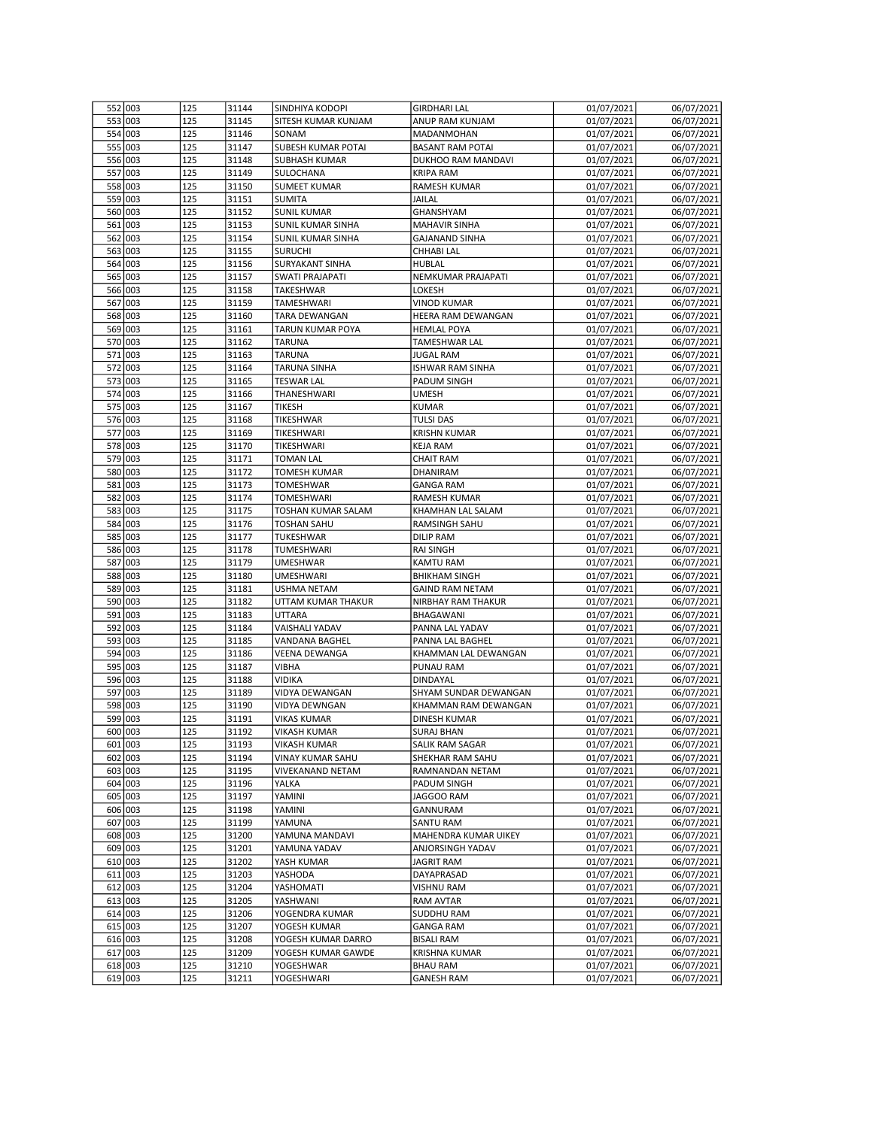| 552 003 | 125 | 31144 | SINDHIYA KODOPI          | <b>GIRDHARI LAL</b>     | 01/07/2021 | 06/07/2021 |
|---------|-----|-------|--------------------------|-------------------------|------------|------------|
| 553 003 | 125 | 31145 | SITESH KUMAR KUNJAM      | ANUP RAM KUNJAM         | 01/07/2021 | 06/07/2021 |
| 554 003 | 125 | 31146 | SONAM                    | MADANMOHAN              | 01/07/2021 | 06/07/2021 |
| 555 003 | 125 | 31147 | SUBESH KUMAR POTAI       | <b>BASANT RAM POTAI</b> | 01/07/2021 | 06/07/2021 |
| 556 003 | 125 | 31148 | <b>SUBHASH KUMAR</b>     | DUKHOO RAM MANDAVI      | 01/07/2021 | 06/07/2021 |
| 557 003 | 125 | 31149 | SULOCHANA                | KRIPA RAM               | 01/07/2021 | 06/07/2021 |
| 558 003 | 125 | 31150 | <b>SUMEET KUMAR</b>      | RAMESH KUMAR            | 01/07/2021 | 06/07/2021 |
| 559 003 | 125 | 31151 | SUMITA                   | <b>JAILAL</b>           | 01/07/2021 | 06/07/2021 |
| 560 003 | 125 | 31152 | <b>SUNIL KUMAR</b>       | GHANSHYAM               | 01/07/2021 | 06/07/2021 |
| 561 003 | 125 | 31153 | <b>SUNIL KUMAR SINHA</b> | MAHAVIR SINHA           | 01/07/2021 | 06/07/2021 |
| 562 003 | 125 | 31154 | <b>SUNIL KUMAR SINHA</b> | GAJANAND SINHA          | 01/07/2021 | 06/07/2021 |
|         |     |       | <b>SURUCHI</b>           | CHHABI LAL              |            |            |
| 563 003 | 125 | 31155 |                          |                         | 01/07/2021 | 06/07/2021 |
| 564 003 | 125 | 31156 | SURYAKANT SINHA          | HUBLAL                  | 01/07/2021 | 06/07/2021 |
| 565 003 | 125 | 31157 | SWATI PRAJAPATI          | NEMKUMAR PRAJAPATI      | 01/07/2021 | 06/07/2021 |
| 566 003 | 125 | 31158 | TAKESHWAR                | LOKESH                  | 01/07/2021 | 06/07/2021 |
| 567 003 | 125 | 31159 | TAMESHWARI               | <b>VINOD KUMAR</b>      | 01/07/2021 | 06/07/2021 |
| 568 003 | 125 | 31160 | TARA DEWANGAN            | HEERA RAM DEWANGAN      | 01/07/2021 | 06/07/2021 |
| 569 003 | 125 | 31161 | TARUN KUMAR POYA         | <b>HEMLAL POYA</b>      | 01/07/2021 | 06/07/2021 |
| 570 003 | 125 | 31162 | <b>TARUNA</b>            | TAMESHWAR LAL           | 01/07/2021 | 06/07/2021 |
| 571 003 | 125 | 31163 | <b>TARUNA</b>            | <b>JUGAL RAM</b>        | 01/07/2021 | 06/07/2021 |
| 572 003 | 125 | 31164 | <b>TARUNA SINHA</b>      | <b>ISHWAR RAM SINHA</b> | 01/07/2021 | 06/07/2021 |
| 573 003 | 125 | 31165 | <b>TESWAR LAL</b>        | PADUM SINGH             | 01/07/2021 | 06/07/2021 |
| 574 003 | 125 | 31166 | THANESHWARI              | <b>UMESH</b>            | 01/07/2021 | 06/07/2021 |
| 575 003 | 125 | 31167 | <b>TIKESH</b>            | <b>KUMAR</b>            | 01/07/2021 | 06/07/2021 |
| 576 003 | 125 | 31168 | TIKESHWAR                | <b>TULSI DAS</b>        | 01/07/2021 | 06/07/2021 |
| 577 003 | 125 | 31169 | TIKESHWARI               | <b>KRISHN KUMAR</b>     | 01/07/2021 | 06/07/2021 |
| 578 003 | 125 | 31170 | TIKESHWARI               | KEJA RAM                | 01/07/2021 | 06/07/2021 |
| 579 003 | 125 | 31171 | <b>TOMAN LAL</b>         | <b>CHAIT RAM</b>        | 01/07/2021 | 06/07/2021 |
| 580 003 | 125 | 31172 | <b>TOMESH KUMAR</b>      | DHANIRAM                | 01/07/2021 | 06/07/2021 |
| 581 003 | 125 | 31173 | <b>TOMESHWAR</b>         | <b>GANGA RAM</b>        | 01/07/2021 | 06/07/2021 |
| 582 003 | 125 | 31174 | <b>TOMESHWARI</b>        | RAMESH KUMAR            |            | 06/07/2021 |
|         |     |       |                          |                         | 01/07/2021 |            |
| 583 003 | 125 | 31175 | TOSHAN KUMAR SALAM       | KHAMHAN LAL SALAM       | 01/07/2021 | 06/07/2021 |
| 584 003 | 125 | 31176 | <b>TOSHAN SAHU</b>       | RAMSINGH SAHU           | 01/07/2021 | 06/07/2021 |
| 585 003 | 125 | 31177 | TUKESHWAR                | <b>DILIP RAM</b>        | 01/07/2021 | 06/07/2021 |
| 586 003 | 125 | 31178 | TUMESHWARI               | RAI SINGH               | 01/07/2021 | 06/07/2021 |
| 587 003 | 125 | 31179 | <b>UMESHWAR</b>          | KAMTU RAM               | 01/07/2021 | 06/07/2021 |
| 588 003 | 125 | 31180 | UMESHWARI                | <b>BHIKHAM SINGH</b>    | 01/07/2021 | 06/07/2021 |
| 589 003 | 125 | 31181 | USHMA NETAM              | GAIND RAM NETAM         | 01/07/2021 | 06/07/2021 |
| 590 003 | 125 | 31182 | UTTAM KUMAR THAKUR       | NIRBHAY RAM THAKUR      | 01/07/2021 | 06/07/2021 |
| 591 003 | 125 | 31183 | <b>UTTARA</b>            | BHAGAWANI               | 01/07/2021 | 06/07/2021 |
| 592 003 | 125 | 31184 | VAISHALI YADAV           | PANNA LAL YADAV         | 01/07/2021 | 06/07/2021 |
| 593 003 | 125 | 31185 | VANDANA BAGHEL           | PANNA LAL BAGHEL        | 01/07/2021 | 06/07/2021 |
| 594 003 | 125 | 31186 | <b>VEENA DEWANGA</b>     | KHAMMAN LAL DEWANGAN    | 01/07/2021 | 06/07/2021 |
| 595 003 | 125 | 31187 | VIBHA                    | PUNAU RAM               | 01/07/2021 | 06/07/2021 |
| 596 003 | 125 | 31188 | VIDIKA                   | <b>DINDAYAL</b>         | 01/07/2021 | 06/07/2021 |
| 597 003 | 125 | 31189 | VIDYA DEWANGAN           | SHYAM SUNDAR DEWANGAN   | 01/07/2021 | 06/07/2021 |
| 598 003 | 125 | 31190 | <b>VIDYA DEWNGAN</b>     | KHAMMAN RAM DEWANGAN    | 01/07/2021 | 06/07/2021 |
| 599 003 | 125 | 31191 | <b>VIKAS KUMAR</b>       | <b>DINESH KUMAR</b>     | 01/07/2021 | 06/07/2021 |
| 600 003 | 125 | 31192 | <b>VIKASH KUMAR</b>      | <b>SURAJ BHAN</b>       | 01/07/2021 | 06/07/2021 |
| 601 003 | 125 | 31193 | <b>VIKASH KUMAR</b>      | SALIK RAM SAGAR         | 01/07/2021 | 06/07/2021 |
| 602 003 | 125 | 31194 | <b>VINAY KUMAR SAHU</b>  | SHEKHAR RAM SAHU        | 01/07/2021 | 06/07/2021 |
| 603 003 | 125 | 31195 | VIVEKANAND NETAM         | RAMNANDAN NETAM         | 01/07/2021 | 06/07/2021 |
| 604 003 | 125 | 31196 | YALKA                    | PADUM SINGH             | 01/07/2021 | 06/07/2021 |
| 605 003 | 125 | 31197 | YAMINI                   | JAGGOO RAM              | 01/07/2021 | 06/07/2021 |
|         |     |       | YAMINI                   |                         |            |            |
| 606 003 | 125 | 31198 |                          | GANNURAM                | 01/07/2021 | 06/07/2021 |
| 607 003 | 125 | 31199 | YAMUNA                   | SANTU RAM               | 01/07/2021 | 06/07/2021 |
| 608 003 | 125 | 31200 | YAMUNA MANDAVI           | MAHENDRA KUMAR UIKEY    | 01/07/2021 | 06/07/2021 |
| 609 003 | 125 | 31201 | YAMUNA YADAV             | ANJORSINGH YADAV        | 01/07/2021 | 06/07/2021 |
| 610 003 | 125 | 31202 | YASH KUMAR               | JAGRIT RAM              | 01/07/2021 | 06/07/2021 |
| 611 003 | 125 | 31203 | YASHODA                  | DAYAPRASAD              | 01/07/2021 | 06/07/2021 |
| 612 003 | 125 | 31204 | YASHOMATI                | VISHNU RAM              | 01/07/2021 | 06/07/2021 |
| 613 003 | 125 | 31205 | YASHWANI                 | RAM AVTAR               | 01/07/2021 | 06/07/2021 |
| 614 003 | 125 | 31206 | YOGENDRA KUMAR           | SUDDHU RAM              | 01/07/2021 | 06/07/2021 |
| 615 003 | 125 | 31207 | YOGESH KUMAR             | <b>GANGA RAM</b>        | 01/07/2021 | 06/07/2021 |
| 616 003 | 125 | 31208 | YOGESH KUMAR DARRO       | <b>BISALI RAM</b>       | 01/07/2021 | 06/07/2021 |
| 617 003 | 125 | 31209 | YOGESH KUMAR GAWDE       | KRISHNA KUMAR           | 01/07/2021 | 06/07/2021 |
| 618 003 | 125 | 31210 | YOGESHWAR                | <b>BHAU RAM</b>         | 01/07/2021 | 06/07/2021 |
| 619 003 | 125 | 31211 | YOGESHWARI               | <b>GANESH RAM</b>       | 01/07/2021 | 06/07/2021 |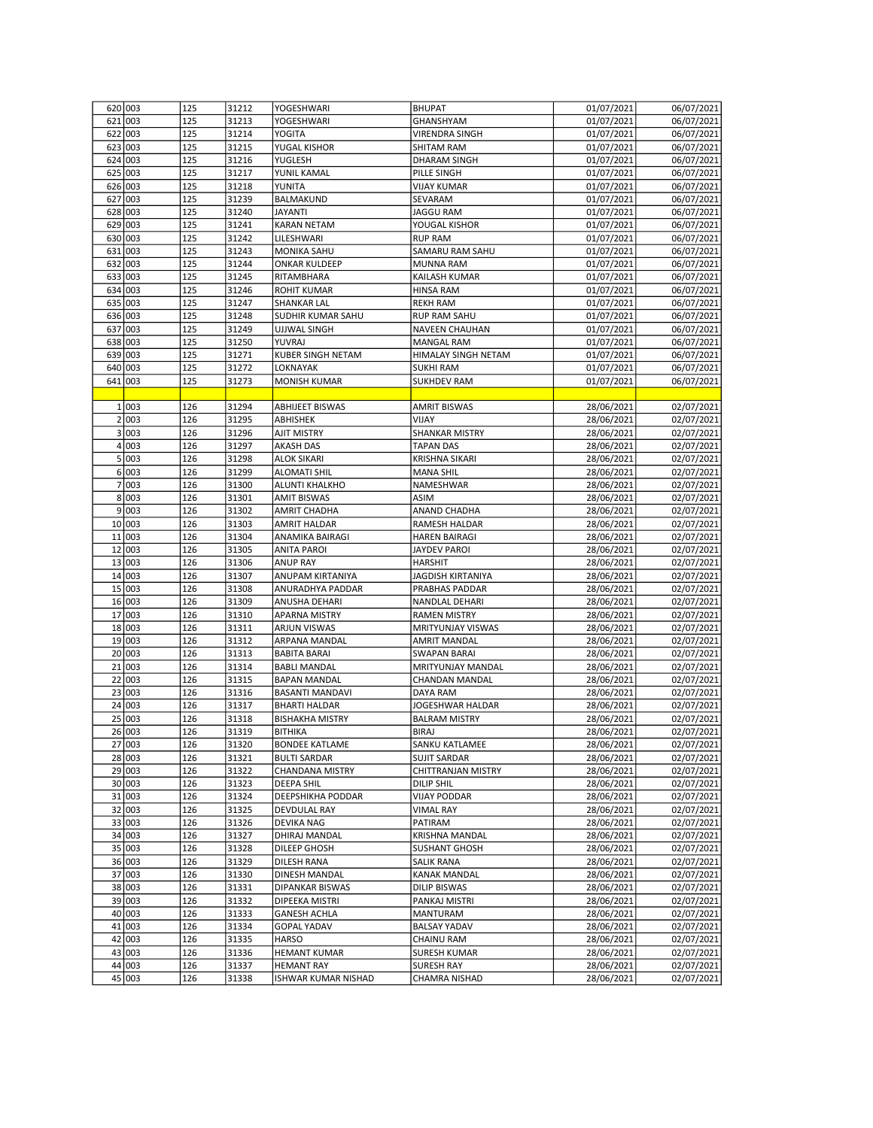| 620 003        | 125 | 31212 | YOGESHWARI               | <b>BHUPAT</b>         | 01/07/2021 | 06/07/2021 |
|----------------|-----|-------|--------------------------|-----------------------|------------|------------|
| 621 003        | 125 | 31213 | YOGESHWARI               | GHANSHYAM             | 01/07/2021 | 06/07/2021 |
| 622 003        | 125 | 31214 | YOGITA                   | VIRENDRA SINGH        | 01/07/2021 | 06/07/2021 |
| 623 003        | 125 | 31215 | YUGAL KISHOR             | <b>SHITAM RAM</b>     | 01/07/2021 | 06/07/2021 |
| 624 003        | 125 | 31216 | YUGLESH                  | DHARAM SINGH          | 01/07/2021 | 06/07/2021 |
| 625 003        | 125 | 31217 | YUNIL KAMAL              | PILLE SINGH           | 01/07/2021 | 06/07/2021 |
| 626 003        | 125 | 31218 | YUNITA                   | VIJAY KUMAR           | 01/07/2021 | 06/07/2021 |
| 627 003        | 125 | 31239 | BALMAKUND                | SEVARAM               | 01/07/2021 | 06/07/2021 |
| 628 003        | 125 | 31240 | <b>JAYANTI</b>           | JAGGU RAM             | 01/07/2021 | 06/07/2021 |
| 629 003        | 125 | 31241 | <b>KARAN NETAM</b>       | YOUGAL KISHOR         | 01/07/2021 | 06/07/2021 |
|                |     |       |                          |                       |            |            |
| 630 003        | 125 | 31242 | LILESHWARI               | <b>RUP RAM</b>        | 01/07/2021 | 06/07/2021 |
| 631 003        | 125 | 31243 | <b>MONIKA SAHU</b>       | SAMARU RAM SAHU       | 01/07/2021 | 06/07/2021 |
| 632 003        | 125 | 31244 | ONKAR KULDEEP            | MUNNA RAM             | 01/07/2021 | 06/07/2021 |
| 633 003        | 125 | 31245 | RITAMBHARA               | KAILASH KUMAR         | 01/07/2021 | 06/07/2021 |
| 634 003        | 125 | 31246 | <b>ROHIT KUMAR</b>       | HINSA RAM             | 01/07/2021 | 06/07/2021 |
| 635 003        | 125 | 31247 | SHANKAR LAL              | <b>REKH RAM</b>       | 01/07/2021 | 06/07/2021 |
| 636 003        | 125 | 31248 | SUDHIR KUMAR SAHU        | RUP RAM SAHU          | 01/07/2021 | 06/07/2021 |
| 637 003        | 125 | 31249 | UJJWAL SINGH             | NAVEEN CHAUHAN        | 01/07/2021 | 06/07/2021 |
| 638 003        | 125 | 31250 | YUVRAJ                   | <b>MANGAL RAM</b>     | 01/07/2021 | 06/07/2021 |
| 639 003        | 125 | 31271 | <b>KUBER SINGH NETAM</b> | HIMALAY SINGH NETAM   | 01/07/2021 | 06/07/2021 |
| 640 003        | 125 | 31272 | LOKNAYAK                 | <b>SUKHI RAM</b>      | 01/07/2021 | 06/07/2021 |
| 641 003        | 125 | 31273 | <b>MONISH KUMAR</b>      | <b>SUKHDEV RAM</b>    | 01/07/2021 | 06/07/2021 |
|                |     |       |                          |                       |            |            |
| 1 003          | 126 | 31294 | <b>ABHIJEET BISWAS</b>   | <b>AMRIT BISWAS</b>   | 28/06/2021 | 02/07/2021 |
| 2 003          | 126 | 31295 | ABHISHEK                 | VIJAY                 | 28/06/2021 | 02/07/2021 |
| 3 003          | 126 | 31296 | AJIT MISTRY              | SHANKAR MISTRY        | 28/06/2021 | 02/07/2021 |
| 4 003          | 126 | 31297 | AKASH DAS                | <b>TAPAN DAS</b>      | 28/06/2021 | 02/07/2021 |
| 5 003          | 126 |       |                          |                       |            |            |
|                |     | 31298 | <b>ALOK SIKARI</b>       | <b>KRISHNA SIKARI</b> | 28/06/2021 | 02/07/2021 |
| 6 003<br>7 003 | 126 | 31299 | <b>ALOMATI SHIL</b>      | <b>MANA SHIL</b>      | 28/06/2021 | 02/07/2021 |
|                | 126 | 31300 | ALUNTI KHALKHO           | NAMESHWAR             | 28/06/2021 | 02/07/2021 |
| 8 003          | 126 | 31301 | <b>AMIT BISWAS</b>       | ASIM                  | 28/06/2021 | 02/07/2021 |
| 9 003          | 126 | 31302 | AMRIT CHADHA             | ANAND CHADHA          | 28/06/2021 | 02/07/2021 |
| 10 003         | 126 | 31303 | AMRIT HALDAR             | RAMESH HALDAR         | 28/06/2021 | 02/07/2021 |
| 11 003         | 126 | 31304 | ANAMIKA BAIRAGI          | <b>HAREN BAIRAGI</b>  | 28/06/2021 | 02/07/2021 |
| 12 003         | 126 | 31305 | <b>ANITA PAROI</b>       | JAYDEV PAROI          | 28/06/2021 | 02/07/2021 |
| 13 003         | 126 | 31306 | ANUP RAY                 | HARSHIT               | 28/06/2021 | 02/07/2021 |
| 14 003         | 126 | 31307 | ANUPAM KIRTANIYA         | JAGDISH KIRTANIYA     | 28/06/2021 | 02/07/2021 |
| 15 003         | 126 | 31308 | ANURADHYA PADDAR         | PRABHAS PADDAR        | 28/06/2021 | 02/07/2021 |
| 16 003         | 126 | 31309 | ANUSHA DEHARI            | NANDLAL DEHARI        | 28/06/2021 | 02/07/2021 |
| 17 003         | 126 | 31310 | APARNA MISTRY            | <b>RAMEN MISTRY</b>   | 28/06/2021 | 02/07/2021 |
| 18 003         | 126 | 31311 | ARJUN VISWAS             | MRITYUNJAY VISWAS     | 28/06/2021 | 02/07/2021 |
| 19 003         | 126 | 31312 | ARPANA MANDAL            | <b>AMRIT MANDAL</b>   | 28/06/2021 | 02/07/2021 |
| 20 003         | 126 | 31313 | <b>BABITA BARAI</b>      | <b>SWAPAN BARAI</b>   | 28/06/2021 | 02/07/2021 |
| 21 003         | 126 | 31314 | <b>BABLI MANDAL</b>      | MRITYUNJAY MANDAL     | 28/06/2021 | 02/07/2021 |
| 22 003         | 126 | 31315 | <b>BAPAN MANDAL</b>      | CHANDAN MANDAL        | 28/06/2021 | 02/07/2021 |
| 23 003         | 126 | 31316 | <b>BASANTI MANDAVI</b>   | DAYA RAM              | 28/06/2021 | 02/07/2021 |
| 24 003         | 126 | 31317 | <b>BHARTI HALDAR</b>     | JOGESHWAR HALDAR      | 28/06/2021 | 02/07/2021 |
| 25 003         | 126 | 31318 | <b>BISHAKHA MISTRY</b>   | <b>BALRAM MISTRY</b>  | 28/06/2021 | 02/07/2021 |
| 26 003         | 126 | 31319 | <b>BITHIKA</b>           | <b>BIRAJ</b>          | 28/06/2021 | 02/07/2021 |
|                |     |       |                          |                       |            |            |
| 27 003         | 126 | 31320 | <b>BONDEE KATLAME</b>    | SANKU KATLAMEE        | 28/06/2021 | 02/07/2021 |
| 28 003         | 126 | 31321 | <b>BULTI SARDAR</b>      | <b>SUJIT SARDAR</b>   | 28/06/2021 | 02/07/2021 |
| 29 003         | 126 | 31322 | <b>CHANDANA MISTRY</b>   | CHITTRANJAN MISTRY    | 28/06/2021 | 02/07/2021 |
| 30 003         | 126 | 31323 | DEEPA SHIL               | <b>DILIP SHIL</b>     | 28/06/2021 | 02/07/2021 |
| 31 003         | 126 | 31324 | DEEPSHIKHA PODDAR        | <b>VIJAY PODDAR</b>   | 28/06/2021 | 02/07/2021 |
| 32 003         | 126 | 31325 | DEVDULAL RAY             | <b>VIMAL RAY</b>      | 28/06/2021 | 02/07/2021 |
| 33 003         | 126 | 31326 | DEVIKA NAG               | PATIRAM               | 28/06/2021 | 02/07/2021 |
| 34 003         | 126 | 31327 | DHIRAJ MANDAL            | KRISHNA MANDAL        | 28/06/2021 | 02/07/2021 |
| 35 003         | 126 | 31328 | DILEEP GHOSH             | SUSHANT GHOSH         | 28/06/2021 | 02/07/2021 |
| 36 003         | 126 | 31329 | DILESH RANA              | SALIK RANA            | 28/06/2021 | 02/07/2021 |
| 37 003         | 126 | 31330 | DINESH MANDAL            | <b>KANAK MANDAL</b>   | 28/06/2021 | 02/07/2021 |
| 38 003         | 126 | 31331 | DIPANKAR BISWAS          | <b>DILIP BISWAS</b>   | 28/06/2021 | 02/07/2021 |
| 39 003         | 126 | 31332 | DIPEEKA MISTRI           | PANKAJ MISTRI         | 28/06/2021 | 02/07/2021 |
| 40 003         | 126 | 31333 | GANESH ACHLA             | MANTURAM              | 28/06/2021 | 02/07/2021 |
| 41 003         | 126 | 31334 | <b>GOPAL YADAV</b>       | <b>BALSAY YADAV</b>   | 28/06/2021 | 02/07/2021 |
| 42 003         | 126 | 31335 | <b>HARSO</b>             | CHAINU RAM            | 28/06/2021 | 02/07/2021 |
| 43 003         | 126 | 31336 |                          | <b>SURESH KUMAR</b>   |            |            |
|                |     |       | <b>HEMANT KUMAR</b>      |                       | 28/06/2021 | 02/07/2021 |
| 44 003         | 126 | 31337 | <b>HEMANT RAY</b>        | <b>SURESH RAY</b>     | 28/06/2021 | 02/07/2021 |
| 45 003         | 126 | 31338 | ISHWAR KUMAR NISHAD      | CHAMRA NISHAD         | 28/06/2021 | 02/07/2021 |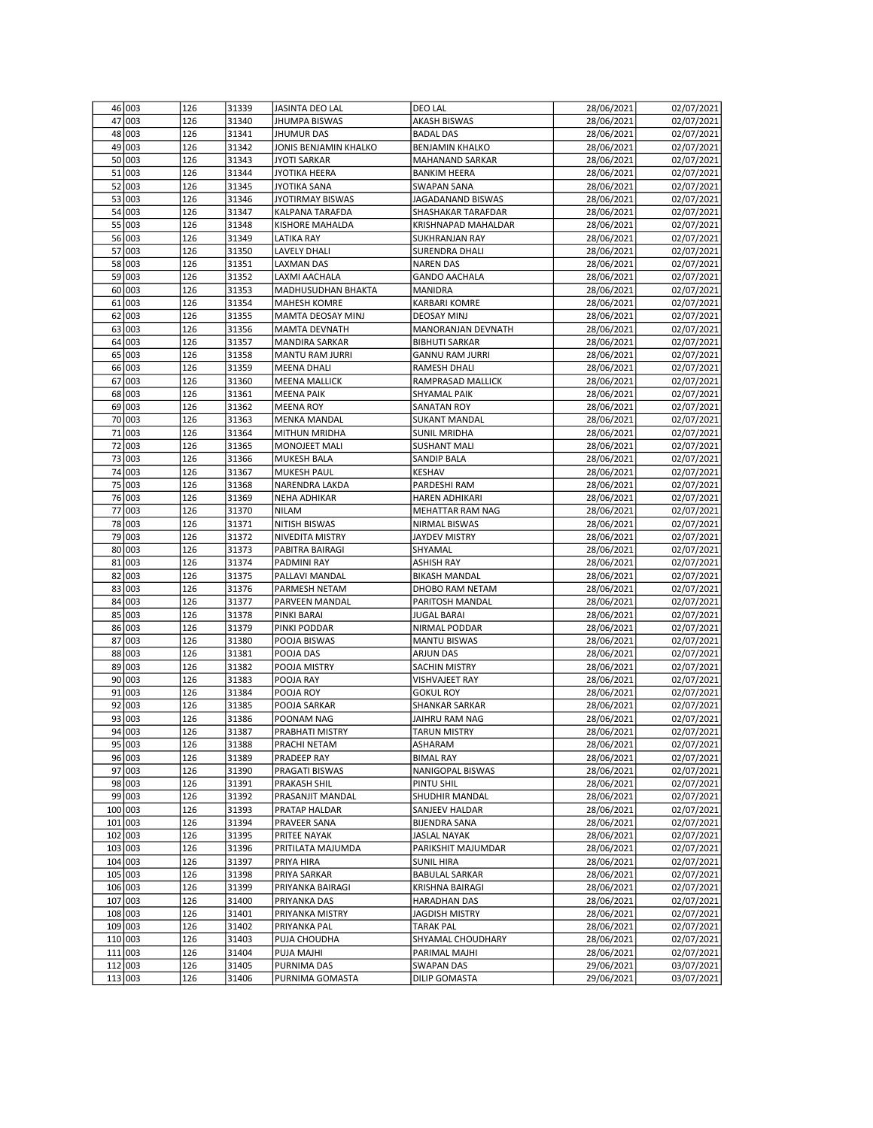| 46 003  | 126 | 31339 | <b>JASINTA DEO LAL</b>           | DEO LAL                | 28/06/2021 | 02/07/2021               |
|---------|-----|-------|----------------------------------|------------------------|------------|--------------------------|
| 47 003  | 126 | 31340 | <b>JHUMPA BISWAS</b>             | AKASH BISWAS           | 28/06/2021 | 02/07/2021               |
| 48 003  | 126 | 31341 | <b>JHUMUR DAS</b>                | <b>BADAL DAS</b>       | 28/06/2021 | 02/07/2021               |
| 49 003  | 126 | 31342 | <b>JONIS BENJAMIN KHALKO</b>     | <b>BENJAMIN KHALKO</b> | 28/06/2021 | 02/07/2021               |
| 50 003  | 126 | 31343 | <b>JYOTI SARKAR</b>              | <b>MAHANAND SARKAR</b> | 28/06/2021 | 02/07/2021               |
| 51 003  | 126 | 31344 | JYOTIKA HEERA                    | <b>BANKIM HEERA</b>    | 28/06/2021 | 02/07/2021               |
| 52 003  | 126 | 31345 | <b>JYOTIKA SANA</b>              | SWAPAN SANA            | 28/06/2021 | 02/07/2021               |
| 53 003  | 126 | 31346 | JYOTIRMAY BISWAS                 | JAGADANAND BISWAS      | 28/06/2021 | 02/07/2021               |
| 54 003  |     |       |                                  |                        |            |                          |
|         | 126 | 31347 | KALPANA TARAFDA                  | SHASHAKAR TARAFDAR     | 28/06/2021 | 02/07/2021               |
| 55 003  | 126 | 31348 | KISHORE MAHALDA                  | KRISHNAPAD MAHALDAR    | 28/06/2021 | 02/07/2021               |
| 56 003  | 126 | 31349 | LATIKA RAY                       | SUKHRANJAN RAY         | 28/06/2021 | 02/07/2021               |
| 57 003  | 126 | 31350 | <b>LAVELY DHALI</b>              | SURENDRA DHALI         | 28/06/2021 | 02/07/2021               |
| 58 003  | 126 | 31351 | LAXMAN DAS                       | <b>NAREN DAS</b>       | 28/06/2021 | 02/07/2021               |
| 59 003  | 126 | 31352 | LAXMI AACHALA                    | <b>GANDO AACHALA</b>   | 28/06/2021 | 02/07/2021               |
| 60 003  | 126 | 31353 | MADHUSUDHAN BHAKTA               | MANIDRA                | 28/06/2021 | 02/07/2021               |
| 61 003  | 126 | 31354 | <b>MAHESH KOMRE</b>              | <b>KARBARI KOMRE</b>   | 28/06/2021 | 02/07/2021               |
| 62 003  | 126 | 31355 | MAMTA DEOSAY MINJ                | <b>DEOSAY MINJ</b>     | 28/06/2021 | 02/07/2021               |
| 63 003  | 126 | 31356 | <b>MAMTA DEVNATH</b>             | MANORANJAN DEVNATH     | 28/06/2021 | 02/07/2021               |
| 64 003  | 126 | 31357 | <b>MANDIRA SARKAR</b>            | <b>BIBHUTI SARKAR</b>  | 28/06/2021 | 02/07/2021               |
| 65 003  | 126 | 31358 | <b>MANTU RAM JURRI</b>           | <b>GANNU RAM JURRI</b> | 28/06/2021 | 02/07/2021               |
| 66 003  | 126 | 31359 | <b>MEENA DHALI</b>               | RAMESH DHALI           | 28/06/2021 | 02/07/2021               |
| 67 003  | 126 | 31360 | <b>MEENA MALLICK</b>             | RAMPRASAD MALLICK      | 28/06/2021 | 02/07/2021               |
| 68 003  | 126 | 31361 | <b>MEENA PAIK</b>                | SHYAMAL PAIK           | 28/06/2021 | 02/07/2021               |
| 69 003  | 126 | 31362 | <b>MEENA ROY</b>                 | <b>SANATAN ROY</b>     | 28/06/2021 | 02/07/2021               |
| 70 003  | 126 | 31363 | <b>MENKA MANDAL</b>              | <b>SUKANT MANDAL</b>   | 28/06/2021 | 02/07/2021               |
| 71 003  | 126 | 31364 | MITHUN MRIDHA                    | <b>SUNIL MRIDHA</b>    | 28/06/2021 | 02/07/2021               |
| 72 003  | 126 | 31365 | MONOJEET MALI                    | <b>SUSHANT MALI</b>    | 28/06/2021 | 02/07/2021               |
| 73 003  | 126 | 31366 | MUKESH BALA                      | SANDIP BALA            | 28/06/2021 | 02/07/2021               |
| 74 003  | 126 | 31367 | <b>MUKESH PAUL</b>               | KESHAV                 | 28/06/2021 | 02/07/2021               |
| 75 003  | 126 | 31368 | NARENDRA LAKDA                   | PARDESHI RAM           | 28/06/2021 | 02/07/2021               |
| 76 003  | 126 | 31369 | NEHA ADHIKAR                     | HAREN ADHIKARI         | 28/06/2021 | 02/07/2021               |
| 77 003  | 126 | 31370 | NILAM                            | MEHATTAR RAM NAG       | 28/06/2021 | 02/07/2021               |
| 78 003  |     |       |                                  |                        |            |                          |
|         | 126 | 31371 | NITISH BISWAS                    | NIRMAL BISWAS          | 28/06/2021 | 02/07/2021               |
| 79 003  | 126 | 31372 | NIVEDITA MISTRY                  | JAYDEV MISTRY          | 28/06/2021 | 02/07/2021               |
| 80 003  | 126 | 31373 | PABITRA BAIRAGI                  | SHYAMAL                | 28/06/2021 | 02/07/2021               |
| 81 003  | 126 | 31374 | PADMINI RAY                      | ASHISH RAY             | 28/06/2021 | 02/07/2021               |
| 82 003  | 126 | 31375 | PALLAVI MANDAL                   | <b>BIKASH MANDAL</b>   | 28/06/2021 | 02/07/2021               |
|         |     |       |                                  |                        |            |                          |
| 83 003  | 126 | 31376 | PARMESH NETAM                    | DHOBO RAM NETAM        | 28/06/2021 | 02/07/2021               |
| 84 003  | 126 | 31377 | PARVEEN MANDAL                   | PARITOSH MANDAL        | 28/06/2021 | 02/07/2021               |
| 85 003  | 126 | 31378 | PINKI BARAI                      | <b>JUGAL BARAI</b>     | 28/06/2021 | 02/07/2021               |
| 86 003  | 126 | 31379 | PINKI PODDAR                     | NIRMAL PODDAR          | 28/06/2021 | 02/07/2021               |
| 87 003  | 126 | 31380 | POOJA BISWAS                     | <b>MANTU BISWAS</b>    | 28/06/2021 | 02/07/2021               |
| 88 003  | 126 | 31381 | POOJA DAS                        | <b>ARJUN DAS</b>       | 28/06/2021 | 02/07/2021               |
| 89 003  | 126 | 31382 | POOJA MISTRY                     | SACHIN MISTRY          | 28/06/2021 | 02/07/2021               |
| 90 003  | 126 | 31383 | POOJA RAY                        | <b>VISHVAJEET RAY</b>  | 28/06/2021 | 02/07/2021               |
| 91 003  | 126 | 31384 | POOJA ROY                        | <b>GOKUL ROY</b>       | 28/06/2021 | 02/07/2021               |
| 92 003  | 126 | 31385 | POOJA SARKAR                     | SHANKAR SARKAR         | 28/06/2021 | 02/07/2021               |
| 93 003  | 126 | 31386 | POONAM NAG                       | JAIHRU RAM NAG         | 28/06/2021 | 02/07/2021               |
| 94 003  | 126 | 31387 | PRABHATI MISTRY                  | <b>TARUN MISTRY</b>    | 28/06/2021 | 02/07/2021               |
| 95 003  | 126 | 31388 | PRACHI NETAM                     | ASHARAM                | 28/06/2021 | 02/07/2021               |
| 96 003  | 126 | 31389 | PRADEEP RAY                      | <b>BIMAL RAY</b>       | 28/06/2021 | 02/07/2021               |
| 97 003  | 126 | 31390 | PRAGATI BISWAS                   | NANIGOPAL BISWAS       | 28/06/2021 |                          |
|         |     |       |                                  | PINTU SHIL             |            |                          |
| 98 003  | 126 | 31391 | PRAKASH SHIL<br>PRASANJIT MANDAL |                        | 28/06/2021 | 02/07/2021<br>02/07/2021 |
| 99 003  | 126 | 31392 |                                  | SHUDHIR MANDAL         | 28/06/2021 | 02/07/2021               |
| 100 003 | 126 | 31393 | PRATAP HALDAR                    | SANJEEV HALDAR         | 28/06/2021 | 02/07/2021               |
| 101 003 | 126 | 31394 | PRAVEER SANA                     | <b>BIJENDRA SANA</b>   | 28/06/2021 | 02/07/2021               |
| 102 003 | 126 | 31395 | PRITEE NAYAK                     | JASLAL NAYAK           | 28/06/2021 | 02/07/2021               |
| 103 003 | 126 | 31396 | PRITILATA MAJUMDA                | PARIKSHIT MAJUMDAR     | 28/06/2021 | 02/07/2021               |
| 104 003 | 126 | 31397 | PRIYA HIRA                       | SUNIL HIRA             | 28/06/2021 | 02/07/2021               |
| 105 003 | 126 | 31398 | PRIYA SARKAR                     | <b>BABULAL SARKAR</b>  | 28/06/2021 | 02/07/2021               |
| 106 003 | 126 | 31399 | PRIYANKA BAIRAGI                 | KRISHNA BAIRAGI        | 28/06/2021 | 02/07/2021               |
| 107 003 | 126 | 31400 | PRIYANKA DAS                     | HARADHAN DAS           | 28/06/2021 | 02/07/2021               |
| 108 003 | 126 | 31401 | PRIYANKA MISTRY                  | <b>JAGDISH MISTRY</b>  | 28/06/2021 | 02/07/2021               |
| 109 003 | 126 | 31402 | PRIYANKA PAL                     | <b>TARAK PAL</b>       | 28/06/2021 | 02/07/2021               |
| 110 003 | 126 | 31403 | PUJA CHOUDHA                     | SHYAMAL CHOUDHARY      | 28/06/2021 | 02/07/2021               |
| 111 003 | 126 | 31404 | PUJA MAJHI                       | PARIMAL MAJHI          | 28/06/2021 | 02/07/2021               |
| 112 003 | 126 | 31405 | PURNIMA DAS                      | SWAPAN DAS             | 29/06/2021 | 03/07/2021               |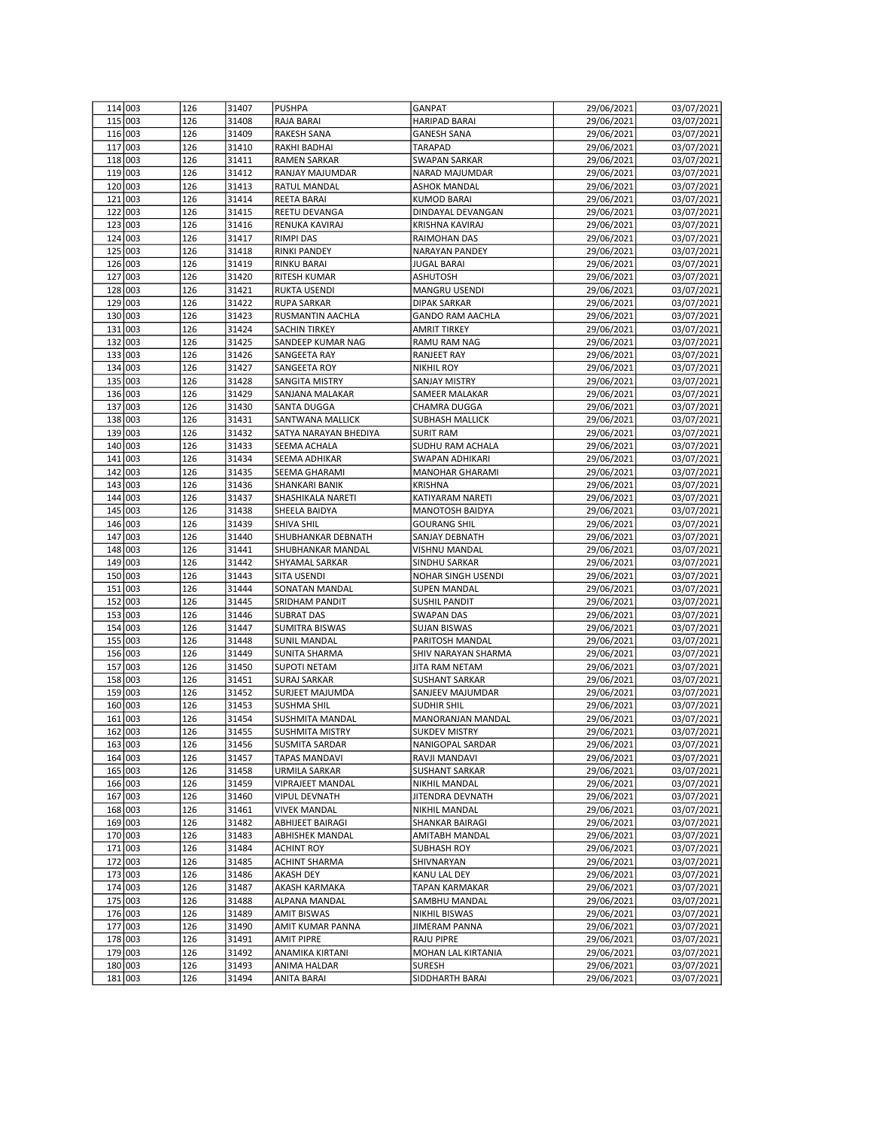| 114 003 | 126 | 31407 | <b>PUSHPA</b>                           | GANPAT                  | 29/06/2021 | 03/07/2021 |
|---------|-----|-------|-----------------------------------------|-------------------------|------------|------------|
| 115 003 | 126 | 31408 | RAJA BARAI                              | <b>HARIPAD BARAI</b>    | 29/06/2021 | 03/07/2021 |
| 116 003 | 126 | 31409 | RAKESH SANA                             | <b>GANESH SANA</b>      | 29/06/2021 | 03/07/2021 |
| 117 003 | 126 | 31410 | RAKHI BADHAI                            | <b>TARAPAD</b>          | 29/06/2021 | 03/07/2021 |
| 118 003 | 126 | 31411 | <b>RAMEN SARKAR</b>                     | <b>SWAPAN SARKAR</b>    | 29/06/2021 | 03/07/2021 |
| 119 003 | 126 | 31412 | RANJAY MAJUMDAR                         | NARAD MAJUMDAR          | 29/06/2021 | 03/07/2021 |
| 120 003 | 126 | 31413 | RATUL MANDAL                            | <b>ASHOK MANDAL</b>     | 29/06/2021 | 03/07/2021 |
| 121 003 | 126 | 31414 | REETA BARAI                             | <b>KUMOD BARAI</b>      | 29/06/2021 | 03/07/2021 |
| 122 003 | 126 | 31415 | REETU DEVANGA                           | DINDAYAL DEVANGAN       | 29/06/2021 | 03/07/2021 |
| 123 003 | 126 | 31416 | RENUKA KAVIRAJ                          | KRISHNA KAVIRAJ         | 29/06/2021 | 03/07/2021 |
| 124 003 | 126 | 31417 | RIMPI DAS                               | RAIMOHAN DAS            | 29/06/2021 | 03/07/2021 |
| 125 003 | 126 | 31418 | <b>RINKI PANDEY</b>                     | NARAYAN PANDEY          | 29/06/2021 | 03/07/2021 |
| 126 003 | 126 |       |                                         |                         |            |            |
|         |     | 31419 | RINKU BARAI                             | <b>JUGAL BARAI</b>      | 29/06/2021 | 03/07/2021 |
| 127 003 | 126 | 31420 | RITESH KUMAR                            | <b>ASHUTOSH</b>         | 29/06/2021 | 03/07/2021 |
| 128 003 | 126 | 31421 | <b>RUKTA USENDI</b>                     | <b>MANGRU USENDI</b>    | 29/06/2021 | 03/07/2021 |
| 129 003 | 126 | 31422 | <b>RUPA SARKAR</b>                      | <b>DIPAK SARKAR</b>     | 29/06/2021 | 03/07/2021 |
| 130 003 | 126 | 31423 | RUSMANTIN AACHLA                        | <b>GANDO RAM AACHLA</b> | 29/06/2021 | 03/07/2021 |
| 131 003 | 126 | 31424 | <b>SACHIN TIRKEY</b>                    | <b>AMRIT TIRKEY</b>     | 29/06/2021 | 03/07/2021 |
| 132 003 | 126 | 31425 | SANDEEP KUMAR NAG                       | RAMU RAM NAG            | 29/06/2021 | 03/07/2021 |
| 133 003 | 126 | 31426 | SANGEETA RAY                            | <b>RANJEET RAY</b>      | 29/06/2021 | 03/07/2021 |
| 134 003 | 126 | 31427 | SANGEETA ROY                            | <b>NIKHIL ROY</b>       | 29/06/2021 | 03/07/2021 |
| 135 003 | 126 | 31428 | SANGITA MISTRY                          | SANJAY MISTRY           | 29/06/2021 | 03/07/2021 |
| 136 003 | 126 | 31429 | SANJANA MALAKAR                         | SAMEER MALAKAR          | 29/06/2021 | 03/07/2021 |
| 137 003 | 126 | 31430 | SANTA DUGGA                             | CHAMRA DUGGA            | 29/06/2021 | 03/07/2021 |
| 138 003 | 126 | 31431 | SANTWANA MALLICK                        | SUBHASH MALLICK         | 29/06/2021 | 03/07/2021 |
| 139 003 | 126 | 31432 | SATYA NARAYAN BHEDIYA                   | <b>SURIT RAM</b>        | 29/06/2021 | 03/07/2021 |
| 140 003 | 126 | 31433 | SEEMA ACHALA                            | SUDHU RAM ACHALA        | 29/06/2021 | 03/07/2021 |
| 141 003 | 126 | 31434 | SEEMA ADHIKAR                           | SWAPAN ADHIKARI         | 29/06/2021 | 03/07/2021 |
| 142 003 | 126 | 31435 | SEEMA GHARAMI                           | <b>MANOHAR GHARAMI</b>  | 29/06/2021 | 03/07/2021 |
| 143 003 | 126 | 31436 | SHANKARI BANIK                          | <b>KRISHNA</b>          | 29/06/2021 | 03/07/2021 |
| 144 003 | 126 | 31437 | SHASHIKALA NARETI                       | KATIYARAM NARETI        | 29/06/2021 | 03/07/2021 |
| 145 003 | 126 | 31438 | SHEELA BAIDYA                           | MANOTOSH BAIDYA         | 29/06/2021 | 03/07/2021 |
| 146 003 | 126 | 31439 | SHIVA SHIL                              | <b>GOURANG SHIL</b>     | 29/06/2021 | 03/07/2021 |
| 147 003 |     |       |                                         |                         |            |            |
|         | 126 | 31440 | SHUBHANKAR DEBNATH<br>SHUBHANKAR MANDAL | SANJAY DEBNATH          | 29/06/2021 | 03/07/2021 |
| 148 003 | 126 | 31441 |                                         | VISHNU MANDAL           | 29/06/2021 | 03/07/2021 |
| 149 003 | 126 | 31442 | SHYAMAL SARKAR                          | SINDHU SARKAR           | 29/06/2021 | 03/07/2021 |
| 150 003 | 126 | 31443 | SITA USENDI                             | NOHAR SINGH USENDI      | 29/06/2021 | 03/07/2021 |
| 151 003 | 126 | 31444 | SONATAN MANDAL                          | <b>SUPEN MANDAL</b>     | 29/06/2021 | 03/07/2021 |
| 152 003 | 126 | 31445 | SRIDHAM PANDIT                          | <b>SUSHIL PANDIT</b>    | 29/06/2021 | 03/07/2021 |
| 153 003 | 126 | 31446 | <b>SUBRAT DAS</b>                       | <b>SWAPAN DAS</b>       | 29/06/2021 | 03/07/2021 |
| 154 003 | 126 | 31447 | <b>SUMITRA BISWAS</b>                   | <b>SUJAN BISWAS</b>     | 29/06/2021 | 03/07/2021 |
| 155 003 | 126 | 31448 | <b>SUNIL MANDAL</b>                     | PARITOSH MANDAL         | 29/06/2021 | 03/07/2021 |
| 156 003 | 126 | 31449 | <b>SUNITA SHARMA</b>                    | SHIV NARAYAN SHARMA     | 29/06/2021 | 03/07/2021 |
| 157 003 | 126 | 31450 | <b>SUPOTI NETAM</b>                     | JITA RAM NETAM          | 29/06/2021 | 03/07/2021 |
| 158 003 | 126 | 31451 | SURAJ SARKAR                            | <b>SUSHANT SARKAR</b>   | 29/06/2021 | 03/07/2021 |
| 159 003 | 126 | 31452 | <b>SURJEET MAJUMDA</b>                  | SANJEEV MAJUMDAR        | 29/06/2021 | 03/07/2021 |
| 160 003 | 126 | 31453 | <b>SUSHMA SHIL</b>                      | SUDHIR SHIL             | 29/06/2021 | 03/07/2021 |
| 161 003 | 126 | 31454 | SUSHMITA MANDAL                         | MANORANJAN MANDAL       | 29/06/2021 | 03/07/2021 |
| 162 003 | 126 | 31455 | <b>SUSHMITA MISTRY</b>                  | <b>SUKDEV MISTRY</b>    | 29/06/2021 | 03/07/2021 |
| 163 003 | 126 | 31456 | SUSMITA SARDAR                          | NANIGOPAL SARDAR        | 29/06/2021 | 03/07/2021 |
| 164 003 | 126 | 31457 | <b>TAPAS MANDAVI</b>                    | RAVJI MANDAVI           | 29/06/2021 | 03/07/2021 |
| 165 003 | 126 | 31458 | URMILA SARKAR                           | <b>SUSHANT SARKAR</b>   | 29/06/2021 | 03/07/2021 |
| 166 003 | 126 | 31459 | <b>VIPRAJEET MANDAL</b>                 | NIKHIL MANDAL           | 29/06/2021 | 03/07/2021 |
| 167 003 | 126 | 31460 | <b>VIPUL DEVNATH</b>                    | JITENDRA DEVNATH        | 29/06/2021 | 03/07/2021 |
| 168 003 | 126 | 31461 | <b>VIVEK MANDAL</b>                     | NIKHIL MANDAL           | 29/06/2021 | 03/07/2021 |
| 169 003 | 126 | 31482 | ABHIJEET BAIRAGI                        | SHANKAR BAIRAGI         | 29/06/2021 | 03/07/2021 |
| 170 003 | 126 | 31483 | <b>ABHISHEK MANDAL</b>                  | AMITABH MANDAL          | 29/06/2021 | 03/07/2021 |
| 171 003 | 126 | 31484 | <b>ACHINT ROY</b>                       | <b>SUBHASH ROY</b>      | 29/06/2021 | 03/07/2021 |
| 172 003 | 126 | 31485 |                                         |                         |            |            |
| 173 003 |     |       | ACHINT SHARMA                           | SHIVNARYAN              | 29/06/2021 | 03/07/2021 |
|         | 126 | 31486 | AKASH DEY                               | KANU LAL DEY            | 29/06/2021 | 03/07/2021 |
| 174 003 | 126 | 31487 | AKASH KARMAKA                           | <b>TAPAN KARMAKAR</b>   | 29/06/2021 | 03/07/2021 |
| 175 003 | 126 | 31488 | ALPANA MANDAL                           | SAMBHU MANDAL           | 29/06/2021 | 03/07/2021 |
| 176 003 | 126 | 31489 | AMIT BISWAS                             | NIKHIL BISWAS           | 29/06/2021 | 03/07/2021 |
| 177 003 | 126 | 31490 | AMIT KUMAR PANNA                        | <b>JIMERAM PANNA</b>    | 29/06/2021 | 03/07/2021 |
| 178 003 | 126 | 31491 | AMIT PIPRE                              | RAJU PIPRE              | 29/06/2021 | 03/07/2021 |
| 179 003 | 126 | 31492 | ANAMIKA KIRTANI                         | MOHAN LAL KIRTANIA      | 29/06/2021 | 03/07/2021 |
| 180 003 | 126 | 31493 | ANIMA HALDAR                            | SURESH                  | 29/06/2021 | 03/07/2021 |
| 181 003 | 126 | 31494 | <b>ANITA BARAI</b>                      | SIDDHARTH BARAI         | 29/06/2021 | 03/07/2021 |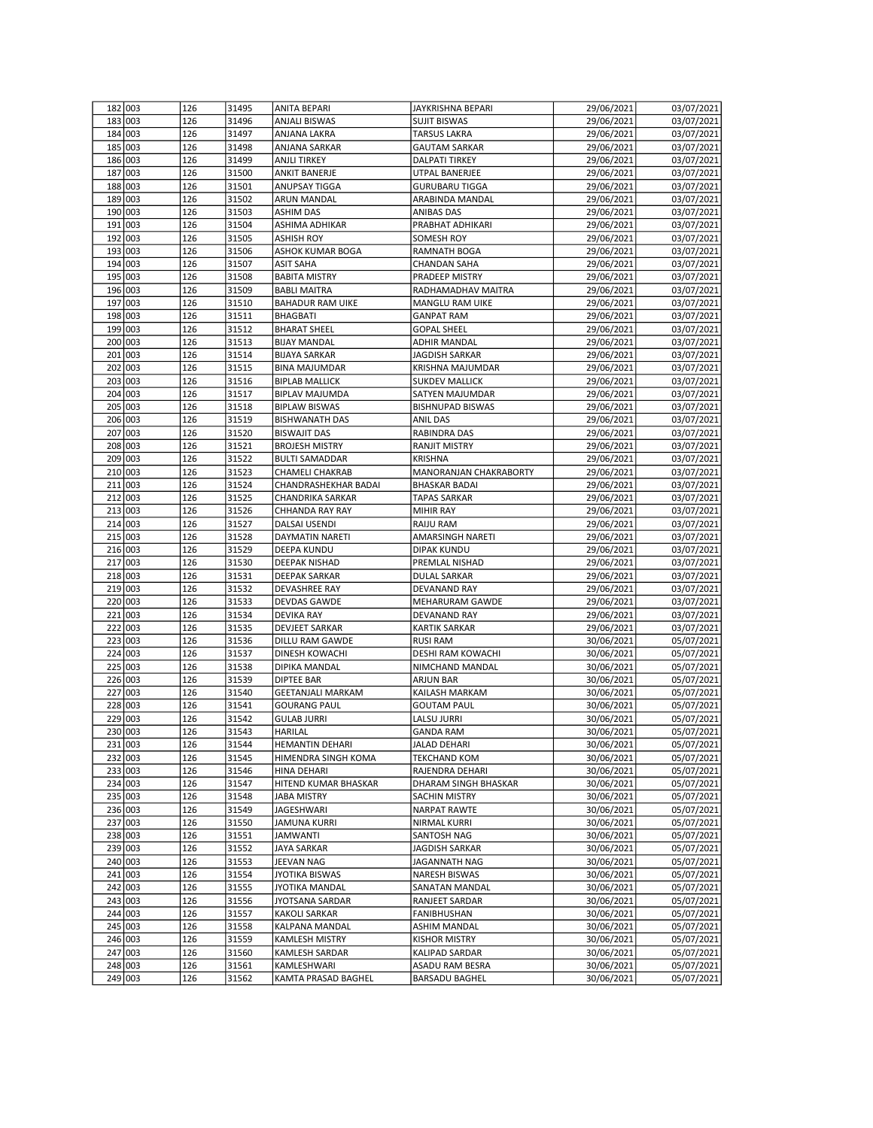| 182 003 | 126 | 31495 | <b>ANITA BEPARI</b>      | JAYKRISHNA BEPARI       | 29/06/2021 | 03/07/2021 |
|---------|-----|-------|--------------------------|-------------------------|------------|------------|
| 183 003 | 126 | 31496 | <b>ANJALI BISWAS</b>     | <b>SUJIT BISWAS</b>     | 29/06/2021 | 03/07/2021 |
| 184 003 | 126 | 31497 | ANJANA LAKRA             | <b>TARSUS LAKRA</b>     | 29/06/2021 | 03/07/2021 |
| 185 003 | 126 | 31498 | ANJANA SARKAR            | <b>GAUTAM SARKAR</b>    | 29/06/2021 | 03/07/2021 |
| 186 003 | 126 | 31499 | <b>ANJLI TIRKEY</b>      | <b>DALPATI TIRKEY</b>   | 29/06/2021 | 03/07/2021 |
|         |     |       |                          |                         |            |            |
| 187 003 | 126 | 31500 | <b>ANKIT BANERJE</b>     | UTPAL BANERJEE          | 29/06/2021 | 03/07/2021 |
| 188 003 | 126 | 31501 | ANUPSAY TIGGA            | <b>GURUBARU TIGGA</b>   | 29/06/2021 | 03/07/2021 |
| 189 003 | 126 | 31502 | ARUN MANDAL              | ARABINDA MANDAL         | 29/06/2021 | 03/07/2021 |
| 190 003 | 126 | 31503 | ASHIM DAS                | ANIBAS DAS              | 29/06/2021 | 03/07/2021 |
| 191 003 | 126 | 31504 | ASHIMA ADHIKAR           | PRABHAT ADHIKARI        | 29/06/2021 | 03/07/2021 |
| 192 003 | 126 | 31505 | <b>ASHISH ROY</b>        | SOMESH ROY              | 29/06/2021 | 03/07/2021 |
| 193 003 | 126 | 31506 | ASHOK KUMAR BOGA         | RAMNATH BOGA            | 29/06/2021 | 03/07/2021 |
| 194 003 | 126 | 31507 | <b>ASIT SAHA</b>         | <b>CHANDAN SAHA</b>     | 29/06/2021 | 03/07/2021 |
| 195 003 | 126 | 31508 | <b>BABITA MISTRY</b>     | PRADEEP MISTRY          | 29/06/2021 | 03/07/2021 |
| 196 003 | 126 | 31509 |                          |                         | 29/06/2021 | 03/07/2021 |
|         |     |       | <b>BABLI MAITRA</b>      | RADHAMADHAV MAITRA      |            |            |
| 197 003 | 126 | 31510 | BAHADUR RAM UIKE         | MANGLU RAM UIKE         | 29/06/2021 | 03/07/2021 |
| 198 003 | 126 | 31511 | BHAGBATI                 | <b>GANPAT RAM</b>       | 29/06/2021 | 03/07/2021 |
| 199 003 | 126 | 31512 | <b>BHARAT SHEEL</b>      | <b>GOPAL SHEEL</b>      | 29/06/2021 | 03/07/2021 |
| 200 003 | 126 | 31513 | <b>BIJAY MANDAL</b>      | <b>ADHIR MANDAL</b>     | 29/06/2021 | 03/07/2021 |
| 201 003 | 126 | 31514 | <b>BIJAYA SARKAR</b>     | <b>JAGDISH SARKAR</b>   | 29/06/2021 | 03/07/2021 |
| 202 003 | 126 | 31515 | <b>BINA MAJUMDAR</b>     | KRISHNA MAJUMDAR        | 29/06/2021 | 03/07/2021 |
| 203 003 | 126 | 31516 | <b>BIPLAB MALLICK</b>    | <b>SUKDEV MALLICK</b>   | 29/06/2021 | 03/07/2021 |
| 204 003 | 126 | 31517 | <b>BIPLAV MAJUMDA</b>    | SATYEN MAJUMDAR         | 29/06/2021 | 03/07/2021 |
| 205 003 |     |       | <b>BIPLAW BISWAS</b>     | <b>BISHNUPAD BISWAS</b> | 29/06/2021 |            |
|         | 126 | 31518 |                          |                         |            | 03/07/2021 |
| 206 003 | 126 | 31519 | <b>BISHWANATH DAS</b>    | <b>ANIL DAS</b>         | 29/06/2021 | 03/07/2021 |
| 207 003 | 126 | 31520 | <b>BISWAJIT DAS</b>      | RABINDRA DAS            | 29/06/2021 | 03/07/2021 |
| 208 003 | 126 | 31521 | <b>BROJESH MISTRY</b>    | <b>RANJIT MISTRY</b>    | 29/06/2021 | 03/07/2021 |
| 209 003 | 126 | 31522 | <b>BULTI SAMADDAR</b>    | <b>KRISHNA</b>          | 29/06/2021 | 03/07/2021 |
| 210 003 | 126 | 31523 | CHAMELI CHAKRAB          | MANORANJAN CHAKRABORTY  | 29/06/2021 | 03/07/2021 |
| 211 003 | 126 | 31524 | CHANDRASHEKHAR BADAI     | <b>BHASKAR BADAI</b>    | 29/06/2021 | 03/07/2021 |
| 212 003 | 126 | 31525 | CHANDRIKA SARKAR         | <b>TAPAS SARKAR</b>     | 29/06/2021 | 03/07/2021 |
| 213 003 | 126 | 31526 | CHHANDA RAY RAY          | <b>MIHIR RAY</b>        | 29/06/2021 | 03/07/2021 |
|         |     |       |                          |                         |            |            |
| 214 003 | 126 | 31527 | DALSAI USENDI            | RAIJU RAM               | 29/06/2021 | 03/07/2021 |
| 215 003 | 126 | 31528 | DAYMATIN NARETI          | AMARSINGH NARETI        | 29/06/2021 | 03/07/2021 |
| 216 003 | 126 | 31529 | DEEPA KUNDU              | <b>DIPAK KUNDU</b>      | 29/06/2021 | 03/07/2021 |
| 217 003 | 126 | 31530 | DEEPAK NISHAD            | PREMLAL NISHAD          | 29/06/2021 | 03/07/2021 |
| 218 003 | 126 | 31531 | DEEPAK SARKAR            | DULAL SARKAR            | 29/06/2021 | 03/07/2021 |
| 219 003 | 126 | 31532 | <b>DEVASHREE RAY</b>     | DEVANAND RAY            | 29/06/2021 | 03/07/2021 |
| 220 003 | 126 | 31533 | DEVDAS GAWDE             | MEHARURAM GAWDE         | 29/06/2021 | 03/07/2021 |
| 221 003 | 126 | 31534 | DEVIKA RAY               | DEVANAND RAY            | 29/06/2021 | 03/07/2021 |
| 222 003 | 126 | 31535 | DEVJEET SARKAR           | <b>KARTIK SARKAR</b>    | 29/06/2021 | 03/07/2021 |
| 223 003 |     |       |                          |                         |            |            |
|         | 126 | 31536 | DILLU RAM GAWDE          | <b>RUSI RAM</b>         | 30/06/2021 | 05/07/2021 |
| 224 003 | 126 | 31537 | DINESH KOWACHI           | DESHI RAM KOWACHI       | 30/06/2021 | 05/07/2021 |
| 225 003 | 126 | 31538 | <b>DIPIKA MANDAL</b>     | NIMCHAND MANDAL         | 30/06/2021 | 05/07/2021 |
| 226 003 | 126 | 31539 | <b>DIPTEE BAR</b>        | <b>ARJUN BAR</b>        | 30/06/2021 | 05/07/2021 |
| 227 003 | 126 | 31540 | <b>GEETANJALI MARKAM</b> | KAILASH MARKAM          | 30/06/2021 | 05/07/2021 |
| 228 003 | 126 | 31541 | <b>GOURANG PAUL</b>      | <b>GOUTAM PAUL</b>      | 30/06/2021 | 05/07/2021 |
| 229 003 | 126 | 31542 | <b>GULAB JURRI</b>       | LALSU JURRI             | 30/06/2021 | 05/07/2021 |
| 230 003 | 126 | 31543 | HARILAL                  | <b>GANDA RAM</b>        | 30/06/2021 | 05/07/2021 |
| 231 003 | 126 | 31544 | <b>HEMANTIN DEHARI</b>   | <b>JALAD DEHARI</b>     | 30/06/2021 | 05/07/2021 |
| 232 003 | 126 | 31545 | HIMENDRA SINGH KOMA      | <b>TEKCHAND KOM</b>     | 30/06/2021 | 05/07/2021 |
| 233 003 |     |       | HINA DEHARI              |                         |            |            |
|         | 126 | 31546 |                          | RAJENDRA DEHARI         | 30/06/2021 | 05/07/2021 |
| 234 003 | 126 | 31547 | HITEND KUMAR BHASKAR     | DHARAM SINGH BHASKAR    | 30/06/2021 | 05/07/2021 |
| 235 003 | 126 | 31548 | <b>JABA MISTRY</b>       | SACHIN MISTRY           | 30/06/2021 | 05/07/2021 |
| 236 003 | 126 | 31549 | JAGESHWARI               | NARPAT RAWTE            | 30/06/2021 | 05/07/2021 |
| 237 003 | 126 | 31550 | <b>JAMUNA KURRI</b>      | NIRMAL KURRI            | 30/06/2021 | 05/07/2021 |
| 238 003 | 126 | 31551 | ITANWAN                  | SANTOSH NAG             | 30/06/2021 | 05/07/2021 |
| 239 003 | 126 | 31552 | JAYA SARKAR              | <b>JAGDISH SARKAR</b>   | 30/06/2021 | 05/07/2021 |
| 240 003 | 126 | 31553 | JEEVAN NAG               | JAGANNATH NAG           | 30/06/2021 | 05/07/2021 |
| 241 003 | 126 | 31554 | JYOTIKA BISWAS           | NARESH BISWAS           | 30/06/2021 | 05/07/2021 |
|         |     |       |                          |                         |            |            |
| 242 003 | 126 | 31555 | JYOTIKA MANDAL           | SANATAN MANDAL          | 30/06/2021 | 05/07/2021 |
| 243 003 | 126 | 31556 | JYOTSANA SARDAR          | RANJEET SARDAR          | 30/06/2021 | 05/07/2021 |
| 244 003 | 126 | 31557 | KAKOLI SARKAR            | FANIBHUSHAN             | 30/06/2021 | 05/07/2021 |
| 245 003 | 126 | 31558 | KALPANA MANDAL           | ASHIM MANDAL            | 30/06/2021 | 05/07/2021 |
| 246 003 | 126 | 31559 | KAMLESH MISTRY           | KISHOR MISTRY           | 30/06/2021 | 05/07/2021 |
| 247 003 | 126 | 31560 | KAMLESH SARDAR           | KALIPAD SARDAR          | 30/06/2021 | 05/07/2021 |
| 248 003 | 126 | 31561 | KAMLESHWARI              | ASADU RAM BESRA         | 30/06/2021 | 05/07/2021 |
| 249 003 | 126 | 31562 | KAMTA PRASAD BAGHEL      | <b>BARSADU BAGHEL</b>   | 30/06/2021 | 05/07/2021 |
|         |     |       |                          |                         |            |            |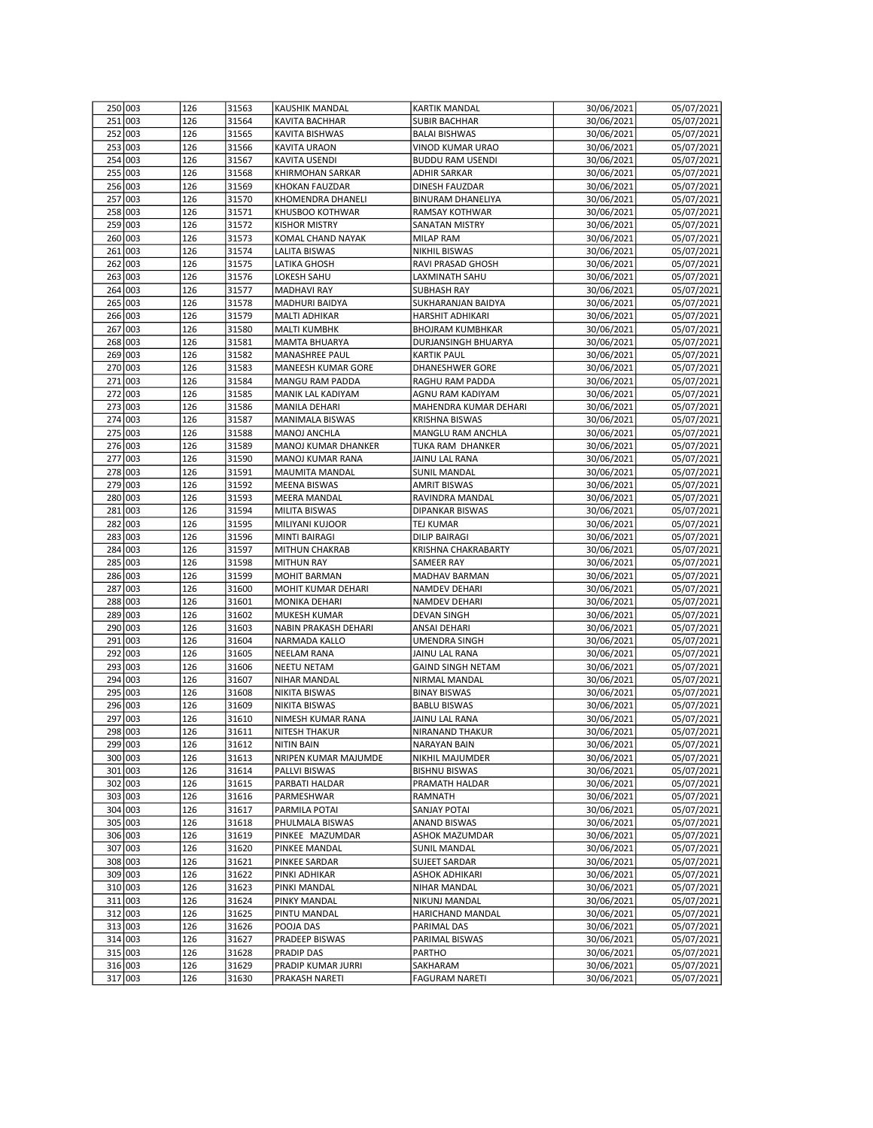|         | 250 003            | 126        | 31563          | KAUSHIK MANDAL                       | <b>KARTIK MANDAL</b>              | 30/06/2021               | 05/07/2021                                                                                                                                                                                                     |
|---------|--------------------|------------|----------------|--------------------------------------|-----------------------------------|--------------------------|----------------------------------------------------------------------------------------------------------------------------------------------------------------------------------------------------------------|
|         | 251 003            | 126        | 31564          | KAVITA BACHHAR                       | <b>SUBIR BACHHAR</b>              | 30/06/2021               | 05/07/2021                                                                                                                                                                                                     |
|         | 252 003            | 126        | 31565          | KAVITA BISHWAS                       | <b>BALAI BISHWAS</b>              | 30/06/2021               | 05/07/2021                                                                                                                                                                                                     |
|         | 253 003            | 126        | 31566          | KAVITA URAON                         | VINOD KUMAR URAO                  | 30/06/2021               | 05/07/2021                                                                                                                                                                                                     |
|         | 254 003            | 126        | 31567          | KAVITA USENDI                        | <b>BUDDU RAM USENDI</b>           | 30/06/2021               | 05/07/2021                                                                                                                                                                                                     |
|         | 255 003            |            |                |                                      |                                   |                          |                                                                                                                                                                                                                |
|         |                    | 126        | 31568          | KHIRMOHAN SARKAR                     | <b>ADHIR SARKAR</b>               | 30/06/2021               | 05/07/2021                                                                                                                                                                                                     |
|         | 256 003            | 126        | 31569          | KHOKAN FAUZDAR                       | <b>DINESH FAUZDAR</b>             | 30/06/2021               | 05/07/2021                                                                                                                                                                                                     |
|         | 257 003            | 126        | 31570          | KHOMENDRA DHANELI                    | <b>BINURAM DHANELIYA</b>          | 30/06/2021               | 05/07/2021                                                                                                                                                                                                     |
|         | 258 003            | 126        | 31571          | KHUSBOO KOTHWAR                      | RAMSAY KOTHWAR                    | 30/06/2021               | 05/07/2021                                                                                                                                                                                                     |
|         | 259 003            | 126        | 31572          | <b>KISHOR MISTRY</b>                 | SANATAN MISTRY                    | 30/06/2021               | 05/07/2021                                                                                                                                                                                                     |
|         | 260 003            | 126        | 31573          | KOMAL CHAND NAYAK                    | MILAP RAM                         | 30/06/2021               | 05/07/2021                                                                                                                                                                                                     |
|         |                    |            |                |                                      |                                   |                          |                                                                                                                                                                                                                |
|         | 261 003            | 126        | 31574          | LALITA BISWAS                        | NIKHIL BISWAS                     | 30/06/2021               | 05/07/2021                                                                                                                                                                                                     |
|         | 262 003            | 126        | 31575          | LATIKA GHOSH                         | RAVI PRASAD GHOSH                 | 30/06/2021               | 05/07/2021                                                                                                                                                                                                     |
|         | 263 003            | 126        | 31576          | LOKESH SAHU                          | LAXMINATH SAHU                    | 30/06/2021               | 05/07/2021                                                                                                                                                                                                     |
|         | 264 003            | 126        | 31577          | MADHAVI RAY                          | <b>SUBHASH RAY</b>                | 30/06/2021               | 05/07/2021                                                                                                                                                                                                     |
|         | 265 003            | 126        | 31578          | <b>MADHURI BAIDYA</b>                | SUKHARANJAN BAIDYA                | 30/06/2021               | 05/07/2021                                                                                                                                                                                                     |
|         | 266 003            | 126        | 31579          | MALTI ADHIKAR                        | <b>HARSHIT ADHIKARI</b>           | 30/06/2021               | 05/07/2021                                                                                                                                                                                                     |
|         |                    |            |                |                                      |                                   |                          |                                                                                                                                                                                                                |
|         | 267 003            | 126        | 31580          | <b>MALTI KUMBHK</b>                  | <b>BHOJRAM KUMBHKAR</b>           | 30/06/2021               | 05/07/2021                                                                                                                                                                                                     |
|         | 268 003            | 126        | 31581          | <b>MAMTA BHUARYA</b>                 | DURJANSINGH BHUARYA               | 30/06/2021               | 05/07/2021                                                                                                                                                                                                     |
|         | 269 003            | 126        | 31582          | MANASHREE PAUL                       | <b>KARTIK PAUL</b>                | 30/06/2021               | 05/07/2021                                                                                                                                                                                                     |
|         | 270 003            | 126        | 31583          | MANEESH KUMAR GORE                   | DHANESHWER GORE                   | 30/06/2021               | 05/07/2021                                                                                                                                                                                                     |
|         | 271 003            | 126        | 31584          | MANGU RAM PADDA                      | RAGHU RAM PADDA                   | 30/06/2021               | 05/07/2021                                                                                                                                                                                                     |
|         | 272 003            | 126        | 31585          | MANIK LAL KADIYAM                    | AGNU RAM KADIYAM                  | 30/06/2021               | 05/07/2021                                                                                                                                                                                                     |
|         |                    |            |                |                                      |                                   |                          |                                                                                                                                                                                                                |
|         | 273 003            | 126        | 31586          | MANILA DEHARI                        | MAHENDRA KUMAR DEHARI             | 30/06/2021               | 05/07/2021                                                                                                                                                                                                     |
|         | 274 003            | 126        | 31587          | MANIMALA BISWAS                      | <b>KRISHNA BISWAS</b>             | 30/06/2021               | 05/07/2021                                                                                                                                                                                                     |
|         | 275 003            | 126        | 31588          | MANOJ ANCHLA                         | MANGLU RAM ANCHLA                 | 30/06/2021               | 05/07/2021                                                                                                                                                                                                     |
|         | 276 003            | 126        | 31589          | MANOJ KUMAR DHANKER                  | TUKA RAM DHANKER                  | 30/06/2021               | 05/07/2021                                                                                                                                                                                                     |
|         | 277 003            | 126        | 31590          | MANOJ KUMAR RANA                     | JAINU LAL RANA                    | 30/06/2021               | 05/07/2021                                                                                                                                                                                                     |
|         | 278 003            | 126        | 31591          | MAUMITA MANDAL                       | <b>SUNIL MANDAL</b>               | 30/06/2021               | 05/07/2021                                                                                                                                                                                                     |
|         |                    |            |                |                                      |                                   |                          |                                                                                                                                                                                                                |
|         | 279 003            | 126        | 31592          | MEENA BISWAS                         | <b>AMRIT BISWAS</b>               | 30/06/2021               | 05/07/2021                                                                                                                                                                                                     |
|         | 280 003            | 126        | 31593          | <b>MEERA MANDAL</b>                  | RAVINDRA MANDAL                   | 30/06/2021               | 05/07/2021                                                                                                                                                                                                     |
|         | 281 003            | 126        | 31594          | MILITA BISWAS                        | DIPANKAR BISWAS                   | 30/06/2021               | 05/07/2021                                                                                                                                                                                                     |
|         | 282 003            | 126        | 31595          | MILIYANI KUJOOR                      | TEJ KUMAR                         | 30/06/2021               | 05/07/2021                                                                                                                                                                                                     |
|         | 283 003            | 126        | 31596          | MINTI BAIRAGI                        | DILIP BAIRAGI                     | 30/06/2021               | 05/07/2021                                                                                                                                                                                                     |
|         |                    |            |                |                                      |                                   |                          |                                                                                                                                                                                                                |
| 284 003 |                    | 126        | 31597          |                                      |                                   |                          |                                                                                                                                                                                                                |
|         |                    |            |                | MITHUN CHAKRAB                       | KRISHNA CHAKRABARTY               | 30/06/2021               |                                                                                                                                                                                                                |
|         | 285 003            | 126        | 31598          | <b>MITHUN RAY</b>                    | SAMEER RAY                        | 30/06/2021               |                                                                                                                                                                                                                |
|         | 286 003            | 126        | 31599          | MOHIT BARMAN                         | MADHAV BARMAN                     | 30/06/2021               |                                                                                                                                                                                                                |
|         | 287 003            | 126        | 31600          | MOHIT KUMAR DEHARI                   | NAMDEV DEHARI                     | 30/06/2021               |                                                                                                                                                                                                                |
|         | 288 003            | 126        | 31601          | MONIKA DEHARI                        | NAMDEV DEHARI                     | 30/06/2021               |                                                                                                                                                                                                                |
|         | 289 003            | 126        | 31602          | MUKESH KUMAR                         | DEVAN SINGH                       | 30/06/2021               |                                                                                                                                                                                                                |
|         | 290 003            | 126        | 31603          | NABIN PRAKASH DEHARI                 | ANSAI DEHARI                      | 30/06/2021               |                                                                                                                                                                                                                |
|         | 291 003            | 126        | 31604          | NARMADA KALLO                        | UMENDRA SINGH                     | 30/06/2021               |                                                                                                                                                                                                                |
|         |                    |            |                |                                      |                                   |                          |                                                                                                                                                                                                                |
|         | 292 003            | 126        | 31605          | <b>NEELAM RANA</b>                   | JAINU LAL RANA                    | 30/06/2021               |                                                                                                                                                                                                                |
|         | 293 003            | 126        | 31606          | NEETU NETAM                          | <b>GAIND SINGH NETAM</b>          | 30/06/2021               |                                                                                                                                                                                                                |
|         | 294 003            | 126        | 31607          | NIHAR MANDAL                         | NIRMAL MANDAL                     | 30/06/2021               |                                                                                                                                                                                                                |
|         | 295 003            | 126        | 31608          | NIKITA BISWAS                        | <b>BINAY BISWAS</b>               | 30/06/2021               |                                                                                                                                                                                                                |
|         | 296 003            | 126        | 31609          | NIKITA BISWAS                        | <b>BABLU BISWAS</b>               | 30/06/2021               |                                                                                                                                                                                                                |
| 297     | 003                | 126        | 31610          | NIMESH KUMAR RANA                    | JAINU LAL RANA                    | 30/06/2021               |                                                                                                                                                                                                                |
|         | 298 003            | 126        | 31611          | <b>NITESH THAKUR</b>                 | NIRANAND THAKUR                   | 30/06/2021               | 05/07/2021<br>05/07/2021<br>05/07/2021<br>05/07/2021<br>05/07/2021<br>05/07/2021<br>05/07/2021<br>05/07/2021<br>05/07/2021<br>05/07/2021<br>05/07/2021<br>05/07/2021<br>05/07/2021<br>05/07/2021<br>05/07/2021 |
|         |                    |            |                |                                      |                                   |                          |                                                                                                                                                                                                                |
|         | 299 003            | 126        | 31612          | <b>NITIN BAIN</b>                    | <b>NARAYAN BAIN</b>               | 30/06/2021               |                                                                                                                                                                                                                |
|         | 300 003            | 126        | 31613          | NRIPEN KUMAR MAJUMDE                 | NIKHIL MAJUMDER                   | 30/06/2021               |                                                                                                                                                                                                                |
|         | 301 003            | 126        | 31614          | PALLVI BISWAS                        | <b>BISHNU BISWAS</b>              | 30/06/2021               |                                                                                                                                                                                                                |
|         | 302 003            | 126        | 31615          | PARBATI HALDAR                       | PRAMATH HALDAR                    | 30/06/2021               |                                                                                                                                                                                                                |
|         | 303 003            | 126        | 31616          | PARMESHWAR                           | RAMNATH                           | 30/06/2021               |                                                                                                                                                                                                                |
|         | 304 003            | 126        | 31617          | PARMILA POTAI                        | SANJAY POTAI                      | 30/06/2021               |                                                                                                                                                                                                                |
|         | 305 003            | 126        |                | PHULMALA BISWAS                      | ANAND BISWAS                      | 30/06/2021               |                                                                                                                                                                                                                |
|         |                    |            | 31618          |                                      |                                   |                          |                                                                                                                                                                                                                |
|         | 306 003            | 126        | 31619          | PINKEE MAZUMDAR                      | ASHOK MAZUMDAR                    | 30/06/2021               |                                                                                                                                                                                                                |
|         | 307 003            | 126        | 31620          | PINKEE MANDAL                        | <b>SUNIL MANDAL</b>               | 30/06/2021               | 05/07/2021<br>05/07/2021<br>05/07/2021<br>05/07/2021<br>05/07/2021<br>05/07/2021<br>05/07/2021<br>05/07/2021<br>05/07/2021                                                                                     |
|         | 308 003            | 126        | 31621          | PINKEE SARDAR                        | SUJEET SARDAR                     | 30/06/2021               | 05/07/2021                                                                                                                                                                                                     |
|         | 309 003            | 126        | 31622          | PINKI ADHIKAR                        | <b>ASHOK ADHIKARI</b>             | 30/06/2021               | 05/07/2021                                                                                                                                                                                                     |
|         | 310 003            | 126        | 31623          | PINKI MANDAL                         | NIHAR MANDAL                      | 30/06/2021               | 05/07/2021                                                                                                                                                                                                     |
|         | 311 003            | 126        | 31624          | PINKY MANDAL                         | NIKUNJ MANDAL                     | 30/06/2021               | 05/07/2021                                                                                                                                                                                                     |
|         | 312 003            | 126        | 31625          | PINTU MANDAL                         | HARICHAND MANDAL                  | 30/06/2021               | 05/07/2021                                                                                                                                                                                                     |
|         |                    |            |                |                                      |                                   |                          |                                                                                                                                                                                                                |
|         | 313 003            | 126        | 31626          | POOJA DAS                            | PARIMAL DAS                       | 30/06/2021               | 05/07/2021                                                                                                                                                                                                     |
|         | 314 003            | 126        | 31627          | PRADEEP BISWAS                       | PARIMAL BISWAS                    | 30/06/2021               | 05/07/2021                                                                                                                                                                                                     |
|         | 315 003            | 126        | 31628          | PRADIP DAS                           | PARTHO                            | 30/06/2021               | 05/07/2021                                                                                                                                                                                                     |
|         | 316 003<br>317 003 | 126<br>126 | 31629<br>31630 | PRADIP KUMAR JURRI<br>PRAKASH NARETI | SAKHARAM<br><b>FAGURAM NARETI</b> | 30/06/2021<br>30/06/2021 | 05/07/2021<br>05/07/2021                                                                                                                                                                                       |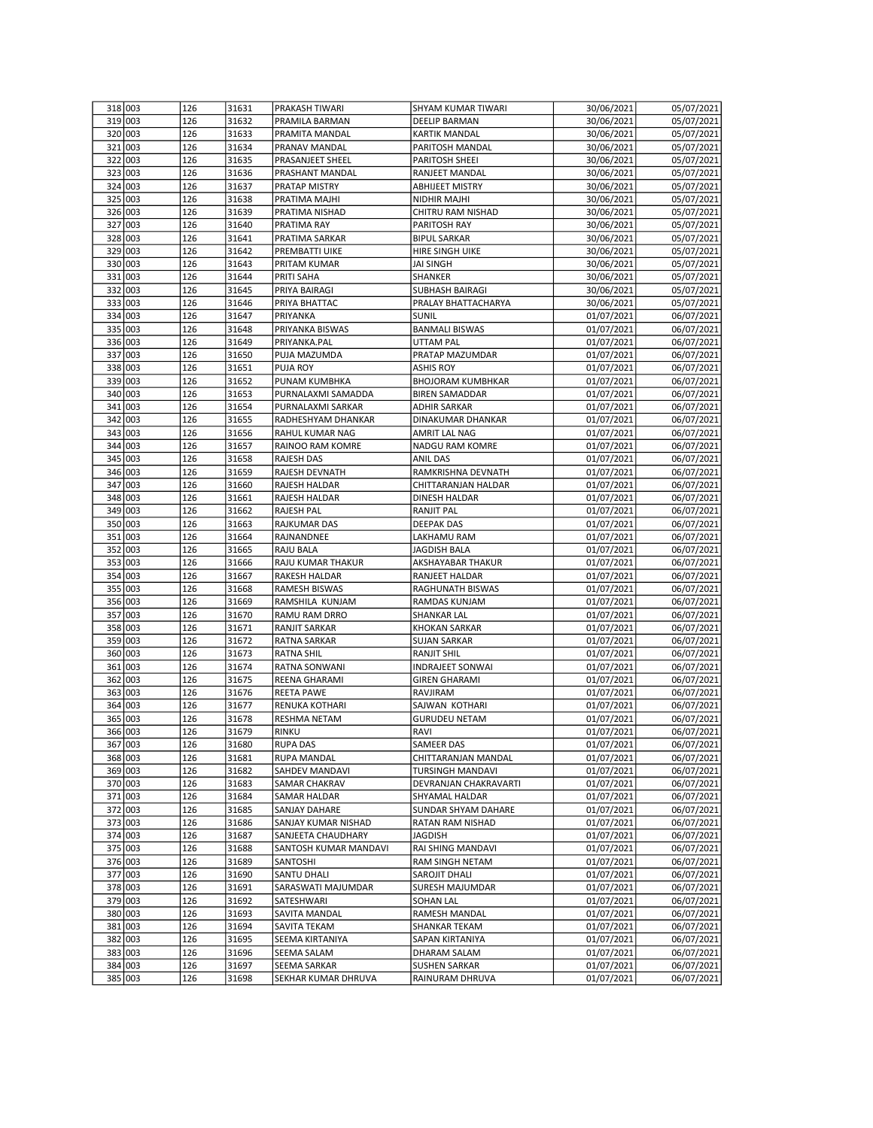| 318 003 | 126 | 31631 | PRAKASH TIWARI        | SHYAM KUMAR TIWARI      | 30/06/2021 | 05/07/2021 |
|---------|-----|-------|-----------------------|-------------------------|------------|------------|
| 319 003 | 126 | 31632 | PRAMILA BARMAN        | <b>DEELIP BARMAN</b>    | 30/06/2021 | 05/07/2021 |
| 320 003 | 126 | 31633 | PRAMITA MANDAL        | <b>KARTIK MANDAL</b>    | 30/06/2021 | 05/07/2021 |
| 321 003 | 126 | 31634 | PRANAV MANDAL         | PARITOSH MANDAL         | 30/06/2021 | 05/07/2021 |
| 322 003 | 126 | 31635 | PRASANJEET SHEEL      | PARITOSH SHEEI          | 30/06/2021 | 05/07/2021 |
| 323 003 | 126 | 31636 | PRASHANT MANDAL       | RANJEET MANDAL          | 30/06/2021 | 05/07/2021 |
| 324 003 | 126 | 31637 | PRATAP MISTRY         | <b>ABHIJEET MISTRY</b>  | 30/06/2021 | 05/07/2021 |
| 325 003 | 126 | 31638 | PRATIMA MAJHI         | NIDHIR MAJHI            | 30/06/2021 | 05/07/2021 |
| 326 003 | 126 | 31639 | PRATIMA NISHAD        | CHITRU RAM NISHAD       | 30/06/2021 | 05/07/2021 |
| 327 003 | 126 | 31640 | PRATIMA RAY           | PARITOSH RAY            | 30/06/2021 | 05/07/2021 |
| 328 003 | 126 | 31641 | PRATIMA SARKAR        | <b>BIPUL SARKAR</b>     | 30/06/2021 | 05/07/2021 |
| 329 003 | 126 | 31642 | PREMBATTI UIKE        | HIRE SINGH UIKE         | 30/06/2021 | 05/07/2021 |
| 330 003 | 126 | 31643 | PRITAM KUMAR          | JAI SINGH               | 30/06/2021 | 05/07/2021 |
| 331 003 | 126 | 31644 | PRITI SAHA            | SHANKER                 | 30/06/2021 | 05/07/2021 |
| 332 003 | 126 | 31645 | PRIYA BAIRAGI         | SUBHASH BAIRAGI         | 30/06/2021 | 05/07/2021 |
| 333 003 | 126 | 31646 | PRIYA BHATTAC         | PRALAY BHATTACHARYA     | 30/06/2021 | 05/07/2021 |
| 334 003 | 126 | 31647 | PRIYANKA              | <b>SUNIL</b>            | 01/07/2021 | 06/07/2021 |
| 335 003 | 126 | 31648 | PRIYANKA BISWAS       | <b>BANMALI BISWAS</b>   | 01/07/2021 | 06/07/2021 |
| 336 003 | 126 | 31649 | PRIYANKA.PAL          | UTTAM PAL               | 01/07/2021 | 06/07/2021 |
| 337 003 | 126 | 31650 | PUJA MAZUMDA          | PRATAP MAZUMDAR         | 01/07/2021 | 06/07/2021 |
| 338 003 | 126 | 31651 | <b>PUJA ROY</b>       | <b>ASHIS ROY</b>        | 01/07/2021 | 06/07/2021 |
| 339 003 | 126 | 31652 | PUNAM KUMBHKA         | BHOJORAM KUMBHKAR       | 01/07/2021 | 06/07/2021 |
| 340 003 | 126 | 31653 | PURNALAXMI SAMADDA    | <b>BIREN SAMADDAR</b>   | 01/07/2021 | 06/07/2021 |
| 341 003 | 126 | 31654 | PURNALAXMI SARKAR     | <b>ADHIR SARKAR</b>     | 01/07/2021 | 06/07/2021 |
| 342 003 | 126 | 31655 | RADHESHYAM DHANKAR    | DINAKUMAR DHANKAR       | 01/07/2021 | 06/07/2021 |
| 343 003 | 126 | 31656 | RAHUL KUMAR NAG       | AMRIT LAL NAG           | 01/07/2021 | 06/07/2021 |
| 344 003 | 126 | 31657 | RAINOO RAM KOMRE      | NADGU RAM KOMRE         | 01/07/2021 | 06/07/2021 |
| 345 003 | 126 | 31658 | RAJESH DAS            | <b>ANIL DAS</b>         | 01/07/2021 | 06/07/2021 |
| 346 003 | 126 | 31659 | RAJESH DEVNATH        | RAMKRISHNA DEVNATH      | 01/07/2021 | 06/07/2021 |
| 347 003 | 126 | 31660 | RAJESH HALDAR         | CHITTARANJAN HALDAR     | 01/07/2021 | 06/07/2021 |
| 348 003 | 126 | 31661 | RAJESH HALDAR         | DINESH HALDAR           | 01/07/2021 | 06/07/2021 |
| 349 003 | 126 | 31662 | RAJESH PAL            | <b>RANJIT PAL</b>       | 01/07/2021 | 06/07/2021 |
| 350 003 | 126 | 31663 | RAJKUMAR DAS          | <b>DEEPAK DAS</b>       | 01/07/2021 | 06/07/2021 |
| 351 003 | 126 | 31664 | RAJNANDNEE            | LAKHAMU RAM             | 01/07/2021 | 06/07/2021 |
| 352 003 | 126 | 31665 | RAJU BALA             | JAGDISH BALA            | 01/07/2021 | 06/07/2021 |
| 353 003 | 126 | 31666 | RAJU KUMAR THAKUR     | AKSHAYABAR THAKUR       | 01/07/2021 | 06/07/2021 |
| 354 003 | 126 | 31667 | RAKESH HALDAR         | RANJEET HALDAR          | 01/07/2021 | 06/07/2021 |
| 355 003 | 126 | 31668 | RAMESH BISWAS         | RAGHUNATH BISWAS        | 01/07/2021 | 06/07/2021 |
| 356 003 | 126 | 31669 | RAMSHILA KUNJAM       | RAMDAS KUNJAM           | 01/07/2021 | 06/07/2021 |
| 357 003 | 126 | 31670 | RAMU RAM DRRO         | SHANKAR LAL             | 01/07/2021 | 06/07/2021 |
| 358 003 | 126 | 31671 | RANJIT SARKAR         | KHOKAN SARKAR           | 01/07/2021 | 06/07/2021 |
| 359 003 | 126 | 31672 | RATNA SARKAR          | <b>SUJAN SARKAR</b>     | 01/07/2021 | 06/07/2021 |
| 360 003 | 126 | 31673 | <b>RATNA SHIL</b>     | <b>RANJIT SHIL</b>      | 01/07/2021 | 06/07/2021 |
| 361 003 | 126 | 31674 | RATNA SONWANI         | <b>INDRAJEET SONWAI</b> | 01/07/2021 | 06/07/2021 |
| 362 003 | 126 | 31675 | REENA GHARAMI         | <b>GIREN GHARAMI</b>    | 01/07/2021 | 06/07/2021 |
| 363 003 | 126 | 31676 | <b>REETA PAWE</b>     | RAVJIRAM                | 01/07/2021 | 06/07/2021 |
| 364 003 | 126 | 31677 | RENUKA KOTHARI        | SAJWAN KOTHARI          | 01/07/2021 | 06/07/2021 |
| 365 003 | 126 | 31678 | RESHMA NETAM          | <b>GURUDEU NETAM</b>    | 01/07/2021 | 06/07/2021 |
| 366 003 | 126 | 31679 | RINKU                 | RAVI                    | 01/07/2021 | 06/07/2021 |
| 367 003 | 126 | 31680 | <b>RUPA DAS</b>       | SAMEER DAS              | 01/07/2021 | 06/07/2021 |
| 368 003 | 126 | 31681 | RUPA MANDAL           | CHITTARANJAN MANDAL     | 01/07/2021 | 06/07/2021 |
| 369 003 | 126 | 31682 | SAHDEV MANDAVI        | TURSINGH MANDAVI        | 01/07/2021 | 06/07/2021 |
| 370 003 | 126 | 31683 | SAMAR CHAKRAV         | DEVRANJAN CHAKRAVARTI   | 01/07/2021 | 06/07/2021 |
| 371 003 | 126 | 31684 | SAMAR HALDAR          | SHYAMAL HALDAR          | 01/07/2021 | 06/07/2021 |
| 372 003 | 126 | 31685 | SANJAY DAHARE         | SUNDAR SHYAM DAHARE     | 01/07/2021 | 06/07/2021 |
| 373 003 | 126 | 31686 | SANJAY KUMAR NISHAD   | RATAN RAM NISHAD        | 01/07/2021 | 06/07/2021 |
| 374 003 | 126 | 31687 | SANJEETA CHAUDHARY    | JAGDISH                 | 01/07/2021 | 06/07/2021 |
| 375 003 | 126 | 31688 | SANTOSH KUMAR MANDAVI | RAI SHING MANDAVI       | 01/07/2021 | 06/07/2021 |
| 376 003 | 126 | 31689 | SANTOSHI              | RAM SINGH NETAM         | 01/07/2021 | 06/07/2021 |
| 377 003 | 126 | 31690 | SANTU DHALI           | SAROJIT DHALI           | 01/07/2021 | 06/07/2021 |
| 378 003 | 126 | 31691 | SARASWATI MAJUMDAR    | SURESH MAJUMDAR         | 01/07/2021 | 06/07/2021 |
| 379 003 | 126 | 31692 | SATESHWARI            | <b>SOHAN LAL</b>        | 01/07/2021 | 06/07/2021 |
| 380 003 | 126 | 31693 | SAVITA MANDAL         | RAMESH MANDAL           | 01/07/2021 | 06/07/2021 |
| 381 003 | 126 | 31694 | SAVITA TEKAM          | SHANKAR TEKAM           | 01/07/2021 | 06/07/2021 |
| 382 003 | 126 | 31695 | SEEMA KIRTANIYA       | SAPAN KIRTANIYA         | 01/07/2021 | 06/07/2021 |
| 383 003 | 126 | 31696 | SEEMA SALAM           | DHARAM SALAM            | 01/07/2021 | 06/07/2021 |
| 384 003 | 126 | 31697 | SEEMA SARKAR          | <b>SUSHEN SARKAR</b>    | 01/07/2021 | 06/07/2021 |
| 385 003 | 126 | 31698 | SEKHAR KUMAR DHRUVA   | RAINURAM DHRUVA         | 01/07/2021 | 06/07/2021 |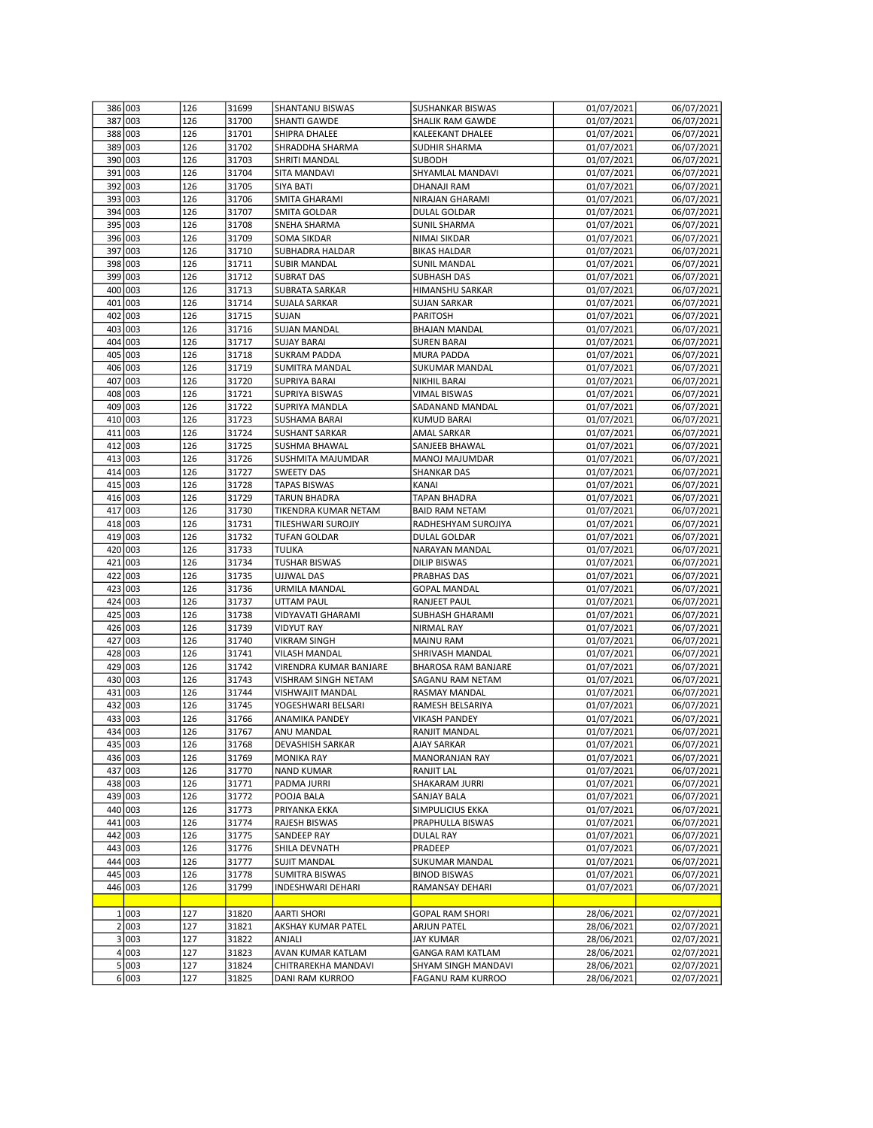|     | 386 003 | 126 | 31699 | SHANTANU BISWAS         | SUSHANKAR BISWAS        | 01/07/2021 | 06/07/2021 |
|-----|---------|-----|-------|-------------------------|-------------------------|------------|------------|
|     | 387 003 | 126 | 31700 | SHANTI GAWDE            | SHALIK RAM GAWDE        | 01/07/2021 | 06/07/2021 |
|     | 388 003 | 126 | 31701 | SHIPRA DHALEE           | KALEEKANT DHALEE        | 01/07/2021 | 06/07/2021 |
|     | 389 003 | 126 | 31702 | SHRADDHA SHARMA         | <b>SUDHIR SHARMA</b>    | 01/07/2021 | 06/07/2021 |
|     | 390 003 | 126 | 31703 | SHRITI MANDAL           | SUBODH                  | 01/07/2021 | 06/07/2021 |
|     | 391 003 | 126 | 31704 | SITA MANDAVI            | SHYAMLAL MANDAVI        | 01/07/2021 | 06/07/2021 |
|     | 392 003 | 126 | 31705 | SIYA BATI               | <b>DHANAJI RAM</b>      | 01/07/2021 | 06/07/2021 |
|     | 393 003 | 126 | 31706 | SMITA GHARAMI           | NIRAJAN GHARAMI         | 01/07/2021 | 06/07/2021 |
|     | 394 003 | 126 | 31707 | SMITA GOLDAR            | DULAL GOLDAR            | 01/07/2021 | 06/07/2021 |
|     | 395 003 | 126 | 31708 | SNEHA SHARMA            | <b>SUNIL SHARMA</b>     | 01/07/2021 | 06/07/2021 |
|     | 396 003 | 126 | 31709 | SOMA SIKDAR             | NIMAI SIKDAR            | 01/07/2021 | 06/07/2021 |
|     | 397 003 | 126 | 31710 | SUBHADRA HALDAR         | <b>BIKAS HALDAR</b>     | 01/07/2021 | 06/07/2021 |
|     |         |     |       |                         |                         |            |            |
|     | 398 003 | 126 | 31711 | <b>SUBIR MANDAL</b>     | <b>SUNIL MANDAL</b>     | 01/07/2021 | 06/07/2021 |
|     | 399 003 | 126 | 31712 | <b>SUBRAT DAS</b>       | <b>SUBHASH DAS</b>      | 01/07/2021 | 06/07/2021 |
|     | 400 003 | 126 | 31713 | <b>SUBRATA SARKAR</b>   | HIMANSHU SARKAR         | 01/07/2021 | 06/07/2021 |
|     | 401 003 | 126 | 31714 | SUJALA SARKAR           | <b>SUJAN SARKAR</b>     | 01/07/2021 | 06/07/2021 |
|     | 402 003 | 126 | 31715 | SUJAN                   | PARITOSH                | 01/07/2021 | 06/07/2021 |
|     | 403 003 | 126 | 31716 | <b>SUJAN MANDAL</b>     | <b>BHAJAN MANDAL</b>    | 01/07/2021 | 06/07/2021 |
|     | 404 003 | 126 | 31717 | <b>SUJAY BARAI</b>      | <b>SUREN BARAI</b>      | 01/07/2021 | 06/07/2021 |
|     | 405 003 | 126 | 31718 | <b>SUKRAM PADDA</b>     | <b>MURA PADDA</b>       | 01/07/2021 | 06/07/2021 |
|     | 406 003 | 126 | 31719 | <b>SUMITRA MANDAL</b>   | SUKUMAR MANDAL          | 01/07/2021 | 06/07/2021 |
|     | 407 003 | 126 | 31720 | <b>SUPRIYA BARAI</b>    | NIKHIL BARAI            | 01/07/2021 | 06/07/2021 |
|     | 408 003 | 126 | 31721 | SUPRIYA BISWAS          | <b>VIMAL BISWAS</b>     | 01/07/2021 | 06/07/2021 |
|     | 409 003 | 126 | 31722 | SUPRIYA MANDLA          | SADANAND MANDAL         | 01/07/2021 | 06/07/2021 |
|     | 410 003 | 126 | 31723 | SUSHAMA BARAI           | <b>KUMUD BARAI</b>      | 01/07/2021 | 06/07/2021 |
|     | 411 003 | 126 | 31724 | <b>SUSHANT SARKAR</b>   | <b>AMAL SARKAR</b>      | 01/07/2021 | 06/07/2021 |
|     | 412 003 | 126 | 31725 | <b>SUSHMA BHAWAL</b>    | SANJEEB BHAWAL          | 01/07/2021 | 06/07/2021 |
|     | 413 003 | 126 | 31726 | SUSHMITA MAJUMDAR       | MANOJ MAJUMDAR          | 01/07/2021 | 06/07/2021 |
|     | 414 003 | 126 | 31727 | <b>SWEETY DAS</b>       | SHANKAR DAS             | 01/07/2021 | 06/07/2021 |
|     | 415 003 | 126 | 31728 | <b>TAPAS BISWAS</b>     | KANAI                   | 01/07/2021 | 06/07/2021 |
|     | 416 003 | 126 | 31729 | <b>TARUN BHADRA</b>     | <b>TAPAN BHADRA</b>     | 01/07/2021 | 06/07/2021 |
|     | 417 003 | 126 | 31730 | TIKENDRA KUMAR NETAM    | <b>BAID RAM NETAM</b>   | 01/07/2021 | 06/07/2021 |
|     | 418 003 | 126 | 31731 | TILESHWARI SUROJIY      | RADHESHYAM SUROJIYA     | 01/07/2021 | 06/07/2021 |
|     | 419 003 | 126 | 31732 | TUFAN GOLDAR            | DULAL GOLDAR            |            |            |
|     |         |     |       |                         |                         | 01/07/2021 | 06/07/2021 |
|     | 420 003 | 126 | 31733 | <b>TULIKA</b>           | NARAYAN MANDAL          | 01/07/2021 | 06/07/2021 |
|     | 421 003 | 126 | 31734 | <b>TUSHAR BISWAS</b>    | DILIP BISWAS            | 01/07/2021 | 06/07/2021 |
|     | 422 003 | 126 | 31735 | UJJWAL DAS              | PRABHAS DAS             | 01/07/2021 | 06/07/2021 |
|     | 423 003 | 126 | 31736 | URMILA MANDAL           | <b>GOPAL MANDAL</b>     | 01/07/2021 | 06/07/2021 |
|     | 424 003 | 126 | 31737 | UTTAM PAUL              | RANJEET PAUL            | 01/07/2021 | 06/07/2021 |
|     | 425 003 | 126 | 31738 | VIDYAVATI GHARAMI       | SUBHASH GHARAMI         | 01/07/2021 | 06/07/2021 |
|     | 426 003 | 126 | 31739 | <b>VIDYUT RAY</b>       | NIRMAL RAY              | 01/07/2021 | 06/07/2021 |
|     | 427 003 | 126 | 31740 | VIKRAM SINGH            | <b>MAINU RAM</b>        | 01/07/2021 | 06/07/2021 |
|     | 428 003 | 126 | 31741 | <b>VILASH MANDAL</b>    | SHRIVASH MANDAL         | 01/07/2021 | 06/07/2021 |
|     | 429 003 | 126 | 31742 | VIRENDRA KUMAR BANJARE  | BHAROSA RAM BANJARE     | 01/07/2021 | 06/07/2021 |
|     | 430 003 | 126 | 31743 | VISHRAM SINGH NETAM     | SAGANU RAM NETAM        | 01/07/2021 | 06/07/2021 |
|     | 431 003 | 126 | 31744 | VISHWAJIT MANDAL        | RASMAY MANDAL           | 01/07/2021 | 06/07/2021 |
|     | 432 003 | 126 | 31745 | YOGESHWARI BELSARI      | RAMESH BELSARIYA        | 01/07/2021 | 06/07/2021 |
| 433 | 003     | 126 | 31766 | <b>ANAMIKA PANDEY</b>   | <b>VIKASH PANDEY</b>    | 01/07/2021 | 06/07/2021 |
|     | 434 003 | 126 | 31767 | ANU MANDAL              | <b>RANJIT MANDAL</b>    | 01/07/2021 | 06/07/2021 |
|     | 435 003 | 126 | 31768 | <b>DEVASHISH SARKAR</b> | AJAY SARKAR             | 01/07/2021 | 06/07/2021 |
|     | 436 003 | 126 | 31769 | <b>MONIKA RAY</b>       | <b>MANORANJAN RAY</b>   | 01/07/2021 | 06/07/2021 |
|     | 437 003 | 126 | 31770 | NAND KUMAR              | RANJIT LAL              | 01/07/2021 | 06/07/2021 |
|     | 438 003 | 126 | 31771 | PADMA JURRI             | SHAKARAM JURRI          | 01/07/2021 | 06/07/2021 |
|     | 439 003 | 126 | 31772 | POOJA BALA              | SANJAY BALA             | 01/07/2021 | 06/07/2021 |
|     | 440 003 | 126 | 31773 | PRIYANKA EKKA           | SIMPULICIUS EKKA        | 01/07/2021 | 06/07/2021 |
|     | 441 003 | 126 | 31774 | RAJESH BISWAS           | PRAPHULLA BISWAS        | 01/07/2021 | 06/07/2021 |
|     | 442 003 | 126 | 31775 | SANDEEP RAY             | DULAL RAY               | 01/07/2021 | 06/07/2021 |
|     | 443 003 | 126 | 31776 | SHILA DEVNATH           | PRADEEP                 | 01/07/2021 | 06/07/2021 |
|     | 444 003 | 126 | 31777 | <b>SUJIT MANDAL</b>     | SUKUMAR MANDAL          | 01/07/2021 | 06/07/2021 |
|     | 445 003 | 126 | 31778 | SUMITRA BISWAS          | <b>BINOD BISWAS</b>     | 01/07/2021 | 06/07/2021 |
|     | 446 003 | 126 | 31799 |                         | RAMANSAY DEHARI         | 01/07/2021 |            |
|     |         |     |       | INDESHWARI DEHARI       |                         |            | 06/07/2021 |
|     |         |     |       |                         |                         |            |            |
|     | 1 003   | 127 | 31820 | <b>AARTI SHORI</b>      | <b>GOPAL RAM SHORI</b>  | 28/06/2021 | 02/07/2021 |
|     | 2 003   | 127 | 31821 | AKSHAY KUMAR PATEL      | <b>ARJUN PATEL</b>      | 28/06/2021 | 02/07/2021 |
|     | 3 003   | 127 | 31822 | ANJALI                  | <b>JAY KUMAR</b>        | 28/06/2021 | 02/07/2021 |
|     | 4 003   | 127 | 31823 | AVAN KUMAR KATLAM       | <b>GANGA RAM KATLAM</b> | 28/06/2021 | 02/07/2021 |
|     | 5 003   | 127 | 31824 | CHITRAREKHA MANDAVI     | SHYAM SINGH MANDAVI     | 28/06/2021 | 02/07/2021 |
|     | 6 003   | 127 | 31825 | DANI RAM KURROO         | FAGANU RAM KURROO       | 28/06/2021 | 02/07/2021 |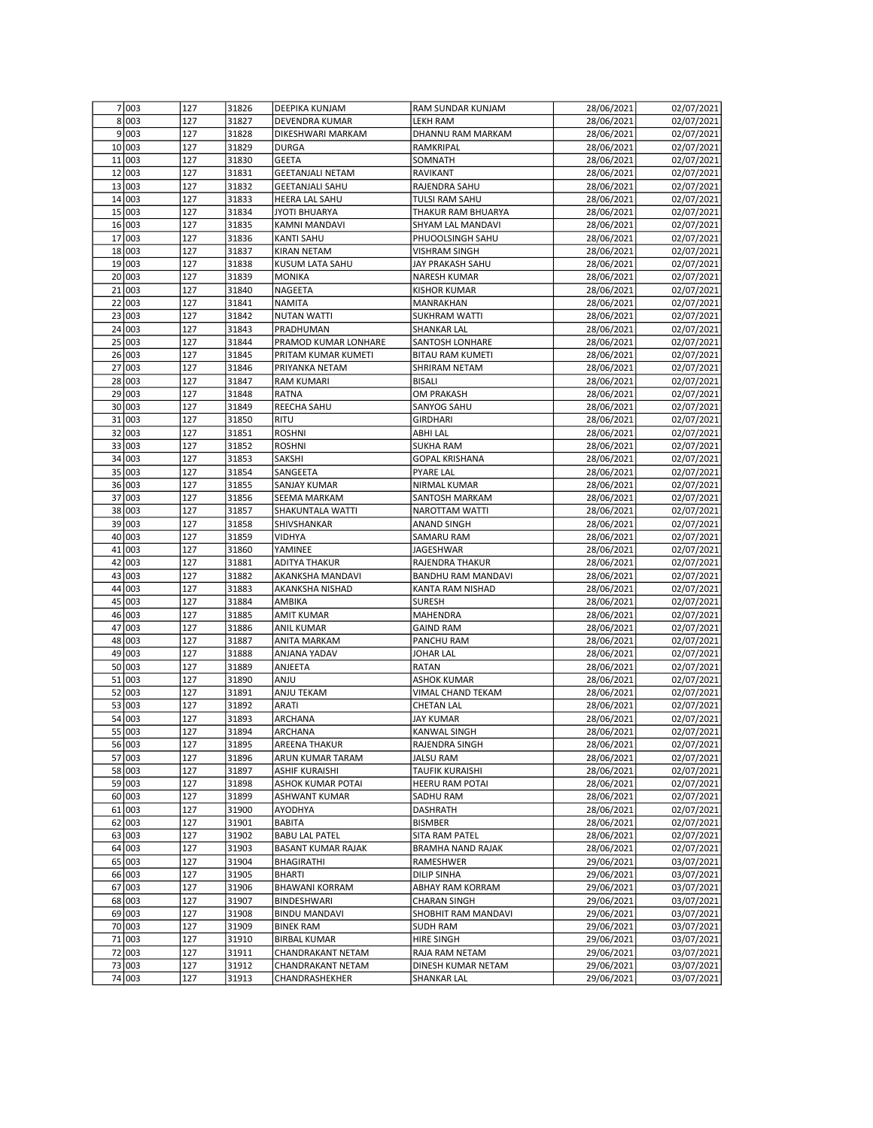| 7 003  | 127 | 31826 | DEEPIKA KUNJAM            | RAM SUNDAR KUNJAM       | 28/06/2021 | 02/07/2021 |
|--------|-----|-------|---------------------------|-------------------------|------------|------------|
| 8 003  | 127 | 31827 | DEVENDRA KUMAR            | LEKH RAM                | 28/06/2021 | 02/07/2021 |
| 9 003  | 127 | 31828 | DIKESHWARI MARKAM         | DHANNU RAM MARKAM       | 28/06/2021 | 02/07/2021 |
| 10 003 | 127 | 31829 | <b>DURGA</b>              | RAMKRIPAL               | 28/06/2021 | 02/07/2021 |
| 11 003 | 127 | 31830 | GEETA                     | SOMNATH                 | 28/06/2021 | 02/07/2021 |
| 12 003 | 127 | 31831 | <b>GEETANJALI NETAM</b>   | RAVIKANT                | 28/06/2021 | 02/07/2021 |
| 13 003 | 127 | 31832 | <b>GEETANJALI SAHU</b>    | RAJENDRA SAHU           | 28/06/2021 | 02/07/2021 |
| 14 003 | 127 | 31833 | HEERA LAL SAHU            | TULSI RAM SAHU          | 28/06/2021 | 02/07/2021 |
| 15 003 | 127 | 31834 | <b>JYOTI BHUARYA</b>      | THAKUR RAM BHUARYA      | 28/06/2021 | 02/07/2021 |
| 16 003 | 127 | 31835 | KAMNI MANDAVI             | SHYAM LAL MANDAVI       |            | 02/07/2021 |
|        |     |       |                           |                         | 28/06/2021 |            |
| 17 003 | 127 | 31836 | KANTI SAHU                | PHUOOLSINGH SAHU        | 28/06/2021 | 02/07/2021 |
| 18 003 | 127 | 31837 | <b>KIRAN NETAM</b>        | <b>VISHRAM SINGH</b>    | 28/06/2021 | 02/07/2021 |
| 19 003 | 127 | 31838 | KUSUM LATA SAHU           | JAY PRAKASH SAHU        | 28/06/2021 | 02/07/2021 |
| 20 003 | 127 | 31839 | <b>MONIKA</b>             | NARESH KUMAR            | 28/06/2021 | 02/07/2021 |
| 21 003 | 127 | 31840 | NAGEETA                   | <b>KISHOR KUMAR</b>     | 28/06/2021 | 02/07/2021 |
| 22 003 | 127 | 31841 | NAMITA                    | MANRAKHAN               | 28/06/2021 | 02/07/2021 |
| 23 003 | 127 | 31842 | NUTAN WATTI               | <b>SUKHRAM WATTI</b>    | 28/06/2021 | 02/07/2021 |
| 24 003 | 127 | 31843 | PRADHUMAN                 | SHANKAR LAL             | 28/06/2021 | 02/07/2021 |
| 25 003 | 127 | 31844 | PRAMOD KUMAR LONHARE      | SANTOSH LONHARE         | 28/06/2021 | 02/07/2021 |
| 26 003 | 127 | 31845 | PRITAM KUMAR KUMETI       | <b>BITAU RAM KUMETI</b> | 28/06/2021 | 02/07/2021 |
| 27 003 | 127 | 31846 | PRIYANKA NETAM            | SHRIRAM NETAM           | 28/06/2021 | 02/07/2021 |
| 28 003 | 127 | 31847 | <b>RAM KUMARI</b>         | <b>BISALI</b>           | 28/06/2021 | 02/07/2021 |
| 29 003 | 127 | 31848 | <b>RATNA</b>              | OM PRAKASH              | 28/06/2021 | 02/07/2021 |
| 30 003 | 127 | 31849 | REECHA SAHU               | SANYOG SAHU             | 28/06/2021 | 02/07/2021 |
| 31 003 | 127 | 31850 | RITU                      | <b>GIRDHARI</b>         | 28/06/2021 | 02/07/2021 |
| 32 003 | 127 | 31851 | <b>ROSHNI</b>             | ABHI LAL                | 28/06/2021 | 02/07/2021 |
| 33 003 | 127 | 31852 | <b>ROSHNI</b>             | <b>SUKHA RAM</b>        | 28/06/2021 | 02/07/2021 |
| 34 003 | 127 | 31853 | SAKSHI                    | <b>GOPAL KRISHANA</b>   | 28/06/2021 | 02/07/2021 |
| 35 003 | 127 | 31854 | SANGEETA                  | PYARE LAL               |            | 02/07/2021 |
| 36 003 | 127 |       | <b>SANJAY KUMAR</b>       |                         | 28/06/2021 |            |
|        |     | 31855 |                           | NIRMAL KUMAR            | 28/06/2021 | 02/07/2021 |
| 37 003 | 127 | 31856 | <b>SEEMA MARKAM</b>       | SANTOSH MARKAM          | 28/06/2021 | 02/07/2021 |
| 38 003 | 127 | 31857 | SHAKUNTALA WATTI          | NAROTTAM WATTI          | 28/06/2021 | 02/07/2021 |
| 39 003 | 127 | 31858 | SHIVSHANKAR               | ANAND SINGH             | 28/06/2021 | 02/07/2021 |
| 40 003 | 127 | 31859 | VIDHYA                    | SAMARU RAM              | 28/06/2021 | 02/07/2021 |
| 41 003 | 127 | 31860 | YAMINEE                   | JAGESHWAR               | 28/06/2021 | 02/07/2021 |
| 42 003 | 127 | 31881 | ADITYA THAKUR             | RAJENDRA THAKUR         | 28/06/2021 | 02/07/2021 |
| 43 003 | 127 | 31882 | AKANKSHA MANDAVI          | BANDHU RAM MANDAVI      | 28/06/2021 | 02/07/2021 |
| 44 003 | 127 | 31883 | AKANKSHA NISHAD           | KANTA RAM NISHAD        | 28/06/2021 | 02/07/2021 |
| 45 003 | 127 | 31884 | AMBIKA                    | <b>SURESH</b>           | 28/06/2021 | 02/07/2021 |
| 46 003 | 127 | 31885 | <b>AMIT KUMAR</b>         | MAHENDRA                | 28/06/2021 | 02/07/2021 |
| 47 003 | 127 | 31886 | ANIL KUMAR                | <b>GAIND RAM</b>        | 28/06/2021 | 02/07/2021 |
| 48 003 | 127 | 31887 | ANITA MARKAM              | PANCHU RAM              | 28/06/2021 | 02/07/2021 |
| 49 003 | 127 | 31888 | ANJANA YADAV              | JOHAR LAL               | 28/06/2021 | 02/07/2021 |
| 50 003 | 127 | 31889 | ANJEETA                   | RATAN                   | 28/06/2021 | 02/07/2021 |
| 51 003 | 127 | 31890 | ANJU                      | ASHOK KUMAR             | 28/06/2021 | 02/07/2021 |
| 52 003 | 127 | 31891 | ANJU TEKAM                | VIMAL CHAND TEKAM       | 28/06/2021 | 02/07/2021 |
| 53 003 | 127 | 31892 | ARATI                     | <b>CHETAN LAL</b>       | 28/06/2021 | 02/07/2021 |
| 54 003 | 127 | 31893 | ARCHANA                   | JAY KUMAR               | 28/06/2021 | 02/07/2021 |
| 55 003 | 127 | 31894 | ARCHANA                   | <b>KANWAL SINGH</b>     | 28/06/2021 | 02/07/2021 |
| 56 003 | 127 | 31895 | <b>AREENA THAKUR</b>      | RAJENDRA SINGH          | 28/06/2021 | 02/07/2021 |
| 57 003 | 127 | 31896 | ARUN KUMAR TARAM          | JALSU RAM               | 28/06/2021 | 02/07/2021 |
| 58 003 |     | 31897 |                           | TAUFIK KURAISHI         | 28/06/2021 | 02/07/2021 |
|        | 127 |       | ASHIF KURAISHI            |                         |            |            |
| 59 003 | 127 | 31898 | ASHOK KUMAR POTAI         | HEERU RAM POTAI         | 28/06/2021 | 02/07/2021 |
| 60 003 | 127 | 31899 | <b>ASHWANT KUMAR</b>      | SADHU RAM               | 28/06/2021 | 02/07/2021 |
| 61 003 | 127 | 31900 | AYODHYA                   | <b>DASHRATH</b>         | 28/06/2021 | 02/07/2021 |
| 62 003 | 127 | 31901 | BABITA                    | <b>BISMBER</b>          | 28/06/2021 | 02/07/2021 |
| 63 003 | 127 | 31902 | <b>BABU LAL PATEL</b>     | SITA RAM PATEL          | 28/06/2021 | 02/07/2021 |
| 64 003 | 127 | 31903 | <b>BASANT KUMAR RAJAK</b> | BRAMHA NAND RAJAK       | 28/06/2021 | 02/07/2021 |
| 65 003 | 127 | 31904 | BHAGIRATHI                | RAMESHWER               | 29/06/2021 | 03/07/2021 |
| 66 003 | 127 | 31905 | <b>BHARTI</b>             | DILIP SINHA             | 29/06/2021 | 03/07/2021 |
| 67 003 | 127 | 31906 | <b>BHAWANI KORRAM</b>     | ABHAY RAM KORRAM        | 29/06/2021 | 03/07/2021 |
| 68 003 | 127 | 31907 | BINDESHWARI               | <b>CHARAN SINGH</b>     | 29/06/2021 | 03/07/2021 |
| 69 003 | 127 | 31908 | <b>BINDU MANDAVI</b>      | SHOBHIT RAM MANDAVI     | 29/06/2021 | 03/07/2021 |
| 70 003 | 127 | 31909 | <b>BINEK RAM</b>          | SUDH RAM                | 29/06/2021 | 03/07/2021 |
| 71 003 | 127 | 31910 | <b>BIRBAL KUMAR</b>       | <b>HIRE SINGH</b>       | 29/06/2021 | 03/07/2021 |
| 72 003 | 127 | 31911 | CHANDRAKANT NETAM         | RAJA RAM NETAM          | 29/06/2021 | 03/07/2021 |
| 73 003 | 127 | 31912 | CHANDRAKANT NETAM         | DINESH KUMAR NETAM      | 29/06/2021 | 03/07/2021 |
| 74 003 | 127 | 31913 | CHANDRASHEKHER            | SHANKAR LAL             | 29/06/2021 | 03/07/2021 |
|        |     |       |                           |                         |            |            |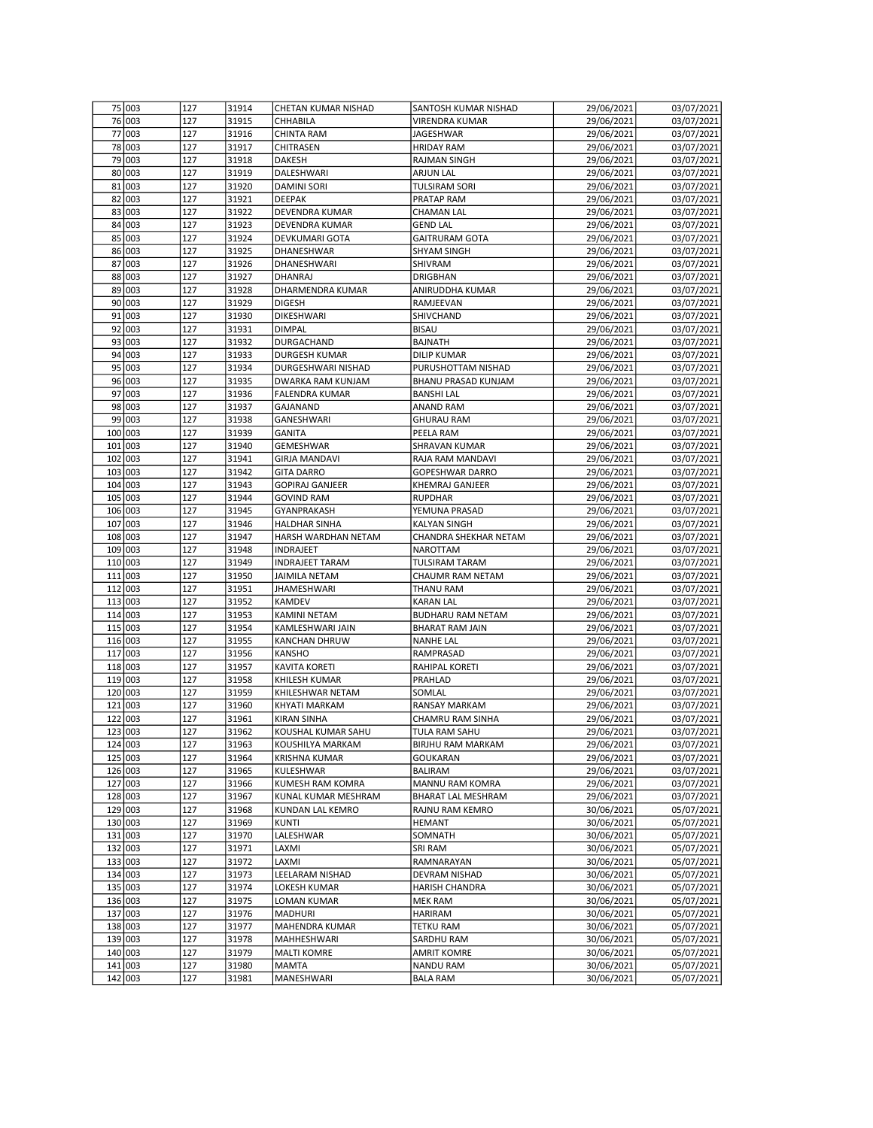| 75 003  | 127 | 31914 | CHETAN KUMAR NISHAD    | SANTOSH KUMAR NISHAD      | 29/06/2021 | 03/07/2021 |
|---------|-----|-------|------------------------|---------------------------|------------|------------|
| 76 003  | 127 | 31915 | CHHABILA               | <b>VIRENDRA KUMAR</b>     | 29/06/2021 | 03/07/2021 |
| 77 003  | 127 | 31916 | <b>CHINTA RAM</b>      | JAGESHWAR                 | 29/06/2021 | 03/07/2021 |
| 78 003  | 127 | 31917 | CHITRASEN              | <b>HRIDAY RAM</b>         | 29/06/2021 | 03/07/2021 |
| 79 003  | 127 | 31918 | DAKESH                 | <b>RAJMAN SINGH</b>       | 29/06/2021 | 03/07/2021 |
| 80 003  | 127 | 31919 | DALESHWARI             | <b>ARJUN LAL</b>          | 29/06/2021 | 03/07/2021 |
| 81 003  | 127 | 31920 | <b>DAMINI SORI</b>     | <b>TULSIRAM SORI</b>      | 29/06/2021 | 03/07/2021 |
| 82 003  | 127 | 31921 | <b>DEEPAK</b>          | PRATAP RAM                | 29/06/2021 | 03/07/2021 |
| 83 003  | 127 | 31922 | DEVENDRA KUMAR         | CHAMAN LAL                | 29/06/2021 | 03/07/2021 |
| 84 003  | 127 | 31923 | DEVENDRA KUMAR         | <b>GEND LAL</b>           | 29/06/2021 | 03/07/2021 |
| 85 003  | 127 | 31924 | DEVKUMARI GOTA         | <b>GAITRURAM GOTA</b>     | 29/06/2021 | 03/07/2021 |
| 86 003  | 127 | 31925 | DHANESHWAR             | <b>SHYAM SINGH</b>        | 29/06/2021 | 03/07/2021 |
| 87 003  | 127 | 31926 | DHANESHWARI            | SHIVRAM                   | 29/06/2021 | 03/07/2021 |
| 88 003  | 127 | 31927 | <b>DHANRAJ</b>         | DRIGBHAN                  | 29/06/2021 | 03/07/2021 |
| 89 003  | 127 | 31928 | DHARMENDRA KUMAR       | ANIRUDDHA KUMAR           | 29/06/2021 | 03/07/2021 |
| 90 003  | 127 | 31929 | <b>DIGESH</b>          | RAMJEEVAN                 | 29/06/2021 | 03/07/2021 |
| 91 003  | 127 | 31930 | DIKESHWARI             | SHIVCHAND                 | 29/06/2021 | 03/07/2021 |
| 92 003  | 127 | 31931 | <b>DIMPAL</b>          | <b>BISAU</b>              | 29/06/2021 | 03/07/2021 |
| 93 003  | 127 | 31932 | DURGACHAND             | BAJNATH                   | 29/06/2021 | 03/07/2021 |
| 94 003  | 127 | 31933 | DURGESH KUMAR          | DILIP KUMAR               | 29/06/2021 | 03/07/2021 |
| 95 003  | 127 | 31934 | DURGESHWARI NISHAD     | PURUSHOTTAM NISHAD        | 29/06/2021 | 03/07/2021 |
| 96 003  | 127 | 31935 | DWARKA RAM KUNJAM      | BHANU PRASAD KUNJAM       | 29/06/2021 | 03/07/2021 |
| 97 003  | 127 | 31936 | <b>FALENDRA KUMAR</b>  | <b>BANSHI LAL</b>         | 29/06/2021 | 03/07/2021 |
| 98 003  | 127 | 31937 | GAJANAND               | ANAND RAM                 | 29/06/2021 | 03/07/2021 |
| 99 003  | 127 | 31938 | GANESHWARI             | <b>GHURAU RAM</b>         | 29/06/2021 | 03/07/2021 |
| 100 003 | 127 | 31939 | <b>GANITA</b>          | PEELA RAM                 | 29/06/2021 | 03/07/2021 |
| 101 003 | 127 | 31940 | GEMESHWAR              | SHRAVAN KUMAR             | 29/06/2021 | 03/07/2021 |
| 102 003 | 127 | 31941 | <b>GIRJA MANDAVI</b>   | RAJA RAM MANDAVI          | 29/06/2021 | 03/07/2021 |
| 103 003 | 127 | 31942 | <b>GITA DARRO</b>      | GOPESHWAR DARRO           | 29/06/2021 | 03/07/2021 |
| 104 003 | 127 | 31943 | <b>GOPIRAJ GANJEER</b> | KHEMRAJ GANJEER           | 29/06/2021 | 03/07/2021 |
| 105 003 | 127 | 31944 | <b>GOVIND RAM</b>      | <b>RUPDHAR</b>            | 29/06/2021 | 03/07/2021 |
| 106 003 | 127 | 31945 | GYANPRAKASH            | YEMUNA PRASAD             | 29/06/2021 | 03/07/2021 |
| 107 003 | 127 | 31946 | <b>HALDHAR SINHA</b>   | <b>KALYAN SINGH</b>       | 29/06/2021 | 03/07/2021 |
| 108 003 | 127 | 31947 | HARSH WARDHAN NETAM    | CHANDRA SHEKHAR NETAM     | 29/06/2021 | 03/07/2021 |
| 109 003 | 127 | 31948 | INDRAJEET              | NAROTTAM                  | 29/06/2021 | 03/07/2021 |
| 110 003 | 127 | 31949 | <b>INDRAJEET TARAM</b> | <b>TULSIRAM TARAM</b>     | 29/06/2021 | 03/07/2021 |
| 111 003 | 127 | 31950 | <b>JAIMILA NETAM</b>   | CHAUMR RAM NETAM          | 29/06/2021 | 03/07/2021 |
| 112 003 | 127 | 31951 | JHAMESHWARI            | THANU RAM                 | 29/06/2021 | 03/07/2021 |
| 113 003 | 127 | 31952 | <b>KAMDEV</b>          | <b>KARAN LAL</b>          | 29/06/2021 | 03/07/2021 |
| 114 003 | 127 | 31953 | KAMINI NETAM           | BUDHARU RAM NETAM         | 29/06/2021 | 03/07/2021 |
| 115 003 | 127 | 31954 | KAMLESHWARI JAIN       | BHARAT RAM JAIN           | 29/06/2021 | 03/07/2021 |
| 116 003 | 127 | 31955 | KANCHAN DHRUW          | <b>NANHE LAL</b>          | 29/06/2021 | 03/07/2021 |
| 117 003 | 127 | 31956 | <b>KANSHO</b>          | RAMPRASAD                 | 29/06/2021 | 03/07/2021 |
| 118 003 | 127 | 31957 | KAVITA KORETI          | RAHIPAL KORETI            | 29/06/2021 | 03/07/2021 |
| 119 003 | 127 | 31958 | KHILESH KUMAR          | PRAHLAD                   | 29/06/2021 | 03/07/2021 |
| 120 003 | 127 | 31959 | KHILESHWAR NETAM       | SOMLAL                    | 29/06/2021 | 03/07/2021 |
| 121 003 | 127 | 31960 | KHYATI MARKAM          | <b>RANSAY MARKAM</b>      | 29/06/2021 | 03/07/2021 |
| 122 003 | 127 | 31961 | <b>KIRAN SINHA</b>     | CHAMRU RAM SINHA          | 29/06/2021 | 03/07/2021 |
| 123 003 | 127 | 31962 | KOUSHAL KUMAR SAHU     | TULA RAM SAHU             | 29/06/2021 | 03/07/2021 |
| 124 003 | 127 | 31963 | KOUSHILYA MARKAM       | <b>BIRJHU RAM MARKAM</b>  | 29/06/2021 | 03/07/2021 |
| 125 003 | 127 | 31964 | KRISHNA KUMAR          | <b>GOUKARAN</b>           | 29/06/2021 | 03/07/2021 |
| 126 003 | 127 | 31965 | KULESHWAR              | BALIRAM                   | 29/06/2021 | 03/07/2021 |
| 127 003 | 127 | 31966 | KUMESH RAM KOMRA       | MANNU RAM KOMRA           | 29/06/2021 | 03/07/2021 |
| 128 003 | 127 | 31967 | KUNAL KUMAR MESHRAM    | <b>BHARAT LAL MESHRAM</b> | 29/06/2021 | 03/07/2021 |
| 129 003 | 127 | 31968 | KUNDAN LAL KEMRO       | RAJNU RAM KEMRO           | 30/06/2021 | 05/07/2021 |
| 130 003 | 127 | 31969 | KUNTI                  | <b>HEMANT</b>             | 30/06/2021 | 05/07/2021 |
| 131 003 | 127 | 31970 | LALESHWAR              | SOMNATH                   | 30/06/2021 | 05/07/2021 |
| 132 003 | 127 | 31971 | LAXMI                  | SRI RAM                   | 30/06/2021 | 05/07/2021 |
| 133 003 | 127 | 31972 | LAXMI                  | RAMNARAYAN                | 30/06/2021 | 05/07/2021 |
| 134 003 | 127 | 31973 | LEELARAM NISHAD        | DEVRAM NISHAD             | 30/06/2021 | 05/07/2021 |
| 135 003 | 127 | 31974 | LOKESH KUMAR           | HARISH CHANDRA            | 30/06/2021 | 05/07/2021 |
| 136 003 | 127 | 31975 | LOMAN KUMAR            | <b>MEK RAM</b>            | 30/06/2021 | 05/07/2021 |
| 137 003 | 127 | 31976 | MADHURI                | HARIRAM                   | 30/06/2021 | 05/07/2021 |
| 138 003 | 127 | 31977 | MAHENDRA KUMAR         | TETKU RAM                 | 30/06/2021 | 05/07/2021 |
| 139 003 | 127 | 31978 | MAHHESHWARI            | SARDHU RAM                | 30/06/2021 | 05/07/2021 |
| 140 003 | 127 | 31979 | <b>MALTI KOMRE</b>     | <b>AMRIT KOMRE</b>        | 30/06/2021 | 05/07/2021 |
| 141 003 | 127 | 31980 | MAMTA                  | NANDU RAM                 | 30/06/2021 | 05/07/2021 |
| 142 003 | 127 | 31981 | MANESHWARI             | <b>BALA RAM</b>           | 30/06/2021 | 05/07/2021 |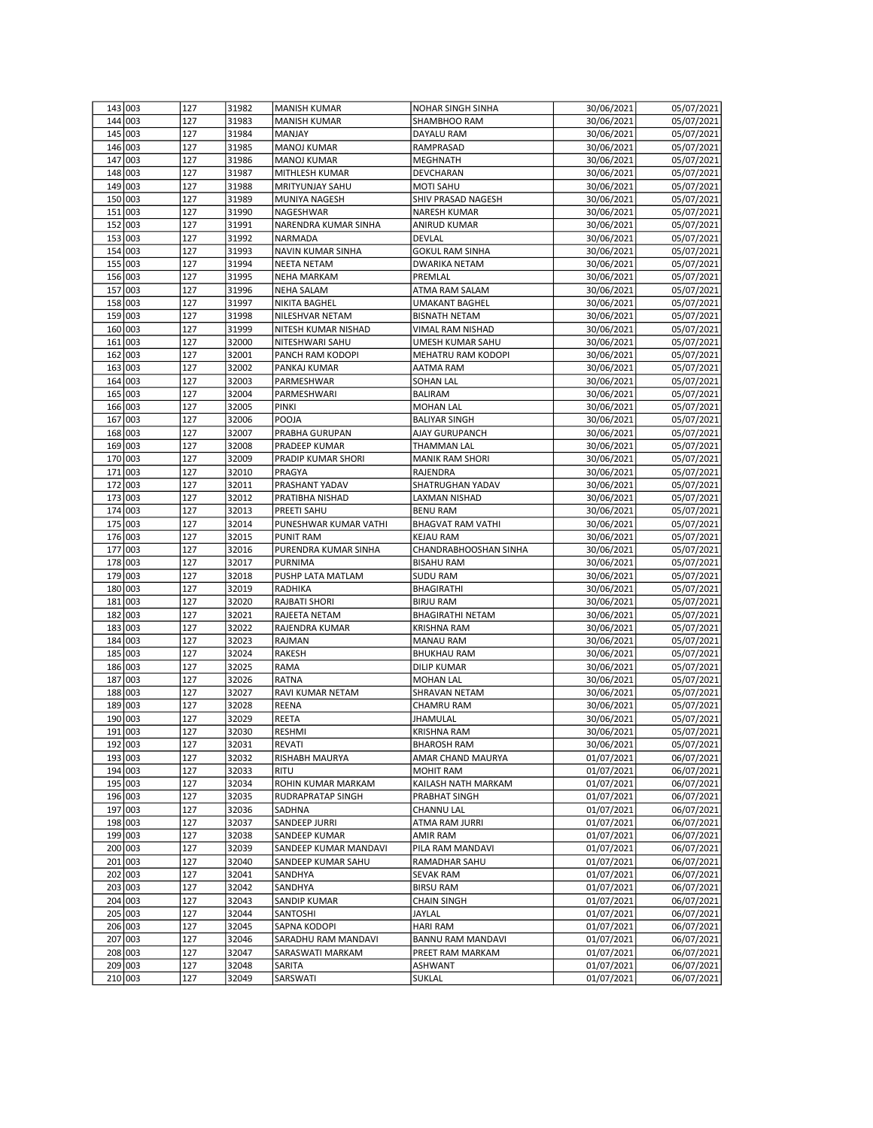| 143 003            | 127        | 31982          | <b>MANISH KUMAR</b>      | NOHAR SINGH SINHA             | 30/06/2021               | 05/07/2021               |
|--------------------|------------|----------------|--------------------------|-------------------------------|--------------------------|--------------------------|
| 144 003            | 127        | 31983          | <b>MANISH KUMAR</b>      | SHAMBHOO RAM                  | 30/06/2021               | 05/07/2021               |
| 145 003            | 127        | 31984          | MANJAY                   | DAYALU RAM                    | 30/06/2021               | 05/07/2021               |
| 146 003            | 127        | 31985          | <b>MANOJ KUMAR</b>       | RAMPRASAD                     | 30/06/2021               | 05/07/2021               |
| 147 003            | 127        | 31986          | <b>MANOJ KUMAR</b>       | MEGHNATH                      | 30/06/2021               | 05/07/2021               |
| 148 003            | 127        | 31987          | MITHLESH KUMAR           | DEVCHARAN                     | 30/06/2021               | 05/07/2021               |
| 149 003            | 127        | 31988          | MRITYUNJAY SAHU          | MOTI SAHU                     | 30/06/2021               | 05/07/2021               |
| 150 003            | 127        | 31989          | MUNIYA NAGESH            | SHIV PRASAD NAGESH            | 30/06/2021               | 05/07/2021               |
| 151 003            | 127        | 31990          | NAGESHWAR                | NARESH KUMAR                  | 30/06/2021               | 05/07/2021               |
| 152 003            | 127        | 31991          | NARENDRA KUMAR SINHA     | ANIRUD KUMAR                  | 30/06/2021               | 05/07/2021               |
| 153 003            | 127        | 31992          | NARMADA                  | <b>DEVLAL</b>                 | 30/06/2021               | 05/07/2021               |
| 154 003            | 127        | 31993          | <b>NAVIN KUMAR SINHA</b> | <b>GOKUL RAM SINHA</b>        | 30/06/2021               | 05/07/2021               |
| 155 003            | 127        | 31994          | <b>NEETA NETAM</b>       | DWARIKA NETAM                 | 30/06/2021               | 05/07/2021               |
| 156 003            | 127        | 31995          | <b>NEHA MARKAM</b>       | PREMLAL                       | 30/06/2021               | 05/07/2021               |
| 157 003            | 127        | 31996          | NEHA SALAM               | ATMA RAM SALAM                | 30/06/2021               | 05/07/2021               |
| 158 003            | 127        | 31997          | NIKITA BAGHEL            | <b>UMAKANT BAGHEL</b>         | 30/06/2021               | 05/07/2021               |
| 159 003            | 127        | 31998          | NILESHVAR NETAM          | <b>BISNATH NETAM</b>          | 30/06/2021               | 05/07/2021               |
| 160 003            | 127        | 31999          | NITESH KUMAR NISHAD      | VIMAL RAM NISHAD              | 30/06/2021               | 05/07/2021               |
| 161 003            | 127        | 32000          | NITESHWARI SAHU          | UMESH KUMAR SAHU              | 30/06/2021               | 05/07/2021               |
| 162 003            | 127        | 32001          | PANCH RAM KODOPI         | MEHATRU RAM KODOPI            | 30/06/2021               | 05/07/2021               |
| 163 003            | 127        | 32002          | PANKAJ KUMAR             | AATMA RAM                     |                          |                          |
|                    |            |                |                          |                               | 30/06/2021               | 05/07/2021               |
| 164 003            | 127        | 32003          | PARMESHWAR               | SOHAN LAL                     | 30/06/2021               | 05/07/2021               |
| 165 003            | 127        | 32004          | PARMESHWARI              | <b>BALIRAM</b>                | 30/06/2021               | 05/07/2021               |
| 166 003            | 127        | 32005          | PINKI                    | <b>MOHAN LAL</b>              | 30/06/2021               | 05/07/2021               |
| 167 003            | 127        | 32006          | POOJA                    | <b>BALIYAR SINGH</b>          | 30/06/2021               | 05/07/2021               |
| 168 003            | 127        | 32007          | PRABHA GURUPAN           | AJAY GURUPANCH                | 30/06/2021               | 05/07/2021               |
| 169 003            | 127        | 32008          | PRADEEP KUMAR            | THAMMAN LAL                   | 30/06/2021               | 05/07/2021               |
| 170 003            | 127        | 32009          | PRADIP KUMAR SHORI       | <b>MANIK RAM SHORI</b>        | 30/06/2021               | 05/07/2021               |
| 171 003            | 127        | 32010          | PRAGYA                   | RAJENDRA                      | 30/06/2021               | 05/07/2021               |
| 172 003            | 127        | 32011          | PRASHANT YADAV           | SHATRUGHAN YADAV              | 30/06/2021               | 05/07/2021               |
| 173 003            | 127        | 32012          | PRATIBHA NISHAD          | LAXMAN NISHAD                 | 30/06/2021               | 05/07/2021               |
| 174 003            | 127        | 32013          | PREETI SAHU              | <b>BENU RAM</b>               | 30/06/2021               | 05/07/2021               |
| 175 003            | 127        | 32014          | PUNESHWAR KUMAR VATHI    | <b>BHAGVAT RAM VATHI</b>      | 30/06/2021               | 05/07/2021               |
| 176 003            | 127        | 32015          | <b>PUNIT RAM</b>         | <b>KEJAU RAM</b>              | 30/06/2021               | 05/07/2021               |
|                    |            |                |                          |                               |                          |                          |
| 177 003            | 127        | 32016          | PURENDRA KUMAR SINHA     | CHANDRABHOOSHAN SINHA         | 30/06/2021               | 05/07/2021               |
| 178 003            | 127        | 32017          | <b>PURNIMA</b>           | <b>BISAHU RAM</b>             | 30/06/2021               | 05/07/2021               |
| 179 003            | 127        | 32018          | PUSHP LATA MATLAM        |                               | 30/06/2021               | 05/07/2021               |
| 180 003            | 127        | 32019          | RADHIKA                  | SUDU RAM<br><b>BHAGIRATHI</b> | 30/06/2021               | 05/07/2021               |
| 181 003            | 127        | 32020          | RAJBATI SHORI            | <b>BIRJU RAM</b>              | 30/06/2021               | 05/07/2021               |
| 182 003            | 127        | 32021          | RAJEETA NETAM            | <b>BHAGIRATHI NETAM</b>       | 30/06/2021               | 05/07/2021               |
|                    | 127        |                |                          |                               |                          |                          |
| 183 003            |            | 32022          | RAJENDRA KUMAR           | <b>KRISHNA RAM</b>            | 30/06/2021               | 05/07/2021               |
| 184 003            | 127<br>127 | 32023          | RAJMAN                   | MANAU RAM                     | 30/06/2021               | 05/07/2021               |
| 185 003            |            | 32024          | RAKESH                   | <b>BHUKHAU RAM</b>            | 30/06/2021               | 05/07/2021               |
| 186 003<br>187 003 | 127<br>127 | 32025          | RAMA<br><b>RATNA</b>     | <b>DILIP KUMAR</b>            | 30/06/2021               | 05/07/2021               |
|                    |            | 32026          |                          | <b>MOHAN LAL</b>              | 30/06/2021               | 05/07/2021               |
| 188 003            | 127        | 32027          | RAVI KUMAR NETAM         | SHRAVAN NETAM                 | 30/06/2021               | 05/07/2021               |
| 189 003            | 127        | 32028          | <b>REENA</b>             | CHAMRU RAM                    | 30/06/2021               | 05/07/2021               |
| 190 003            | 127        | 32029          | REETA                    | <b>JHAMULAL</b>               | 30/06/2021               | 05/07/2021               |
| 191 003            | 127        | 32030          | RESHMI                   | <b>KRISHNA RAM</b>            | 30/06/2021               | 05/07/2021               |
| 192 003            | 127        | 32031          | REVATI                   | BHAROSH RAM                   | 30/06/2021               | 05/07/2021               |
| 193 003            | 127        | 32032          | RISHABH MAURYA           | AMAR CHAND MAURYA             | 01/07/2021               | 06/07/2021               |
| 194 003            | 127        | 32033          | <b>RITU</b>              | MOHIT RAM                     | 01/07/2021               | 06/07/2021               |
| 195 003            | 127        | 32034          | ROHIN KUMAR MARKAM       | KAILASH NATH MARKAM           | 01/07/2021               | 06/07/2021               |
| 196 003            | 127        | 32035          | RUDRAPRATAP SINGH        | PRABHAT SINGH                 | 01/07/2021               | 06/07/2021               |
| 197 003            | 127        | 32036          | SADHNA                   | <b>CHANNU LAL</b>             | 01/07/2021               | 06/07/2021               |
| 198 003            | 127        | 32037          | SANDEEP JURRI            | ATMA RAM JURRI                | 01/07/2021               | 06/07/2021               |
| 199 003            | 127        | 32038          | SANDEEP KUMAR            | AMIR RAM                      | 01/07/2021               | 06/07/2021               |
| 200 003            | 127        | 32039          | SANDEEP KUMAR MANDAVI    | PILA RAM MANDAVI              | 01/07/2021               | 06/07/2021               |
| 201 003            | 127        | 32040          | SANDEEP KUMAR SAHU       | RAMADHAR SAHU                 | 01/07/2021               | 06/07/2021               |
| 202 003            | 127        | 32041          | SANDHYA                  | <b>SEVAK RAM</b>              | 01/07/2021               | 06/07/2021               |
| 203 003            | 127        | 32042          | SANDHYA                  | <b>BIRSU RAM</b>              | 01/07/2021               | 06/07/2021               |
| 204 003            | 127        | 32043          | SANDIP KUMAR             | <b>CHAIN SINGH</b>            | 01/07/2021               | 06/07/2021               |
| 205 003            | 127        | 32044          | SANTOSHI                 | JAYLAL                        | 01/07/2021               | 06/07/2021               |
| 206 003            | 127        | 32045          | SAPNA KODOPI             | <b>HARI RAM</b>               | 01/07/2021               | 06/07/2021               |
| 207 003            | 127        | 32046          | SARADHU RAM MANDAVI      | BANNU RAM MANDAVI             | 01/07/2021               |                          |
| 208 003            | 127        | 32047          | SARASWATI MARKAM         | PREET RAM MARKAM              | 01/07/2021               | 06/07/2021<br>06/07/2021 |
| 209 003<br>210 003 | 127<br>127 | 32048<br>32049 | SARITA<br>SARSWATI       | ASHWANT<br>SUKLAL             | 01/07/2021<br>01/07/2021 | 06/07/2021<br>06/07/2021 |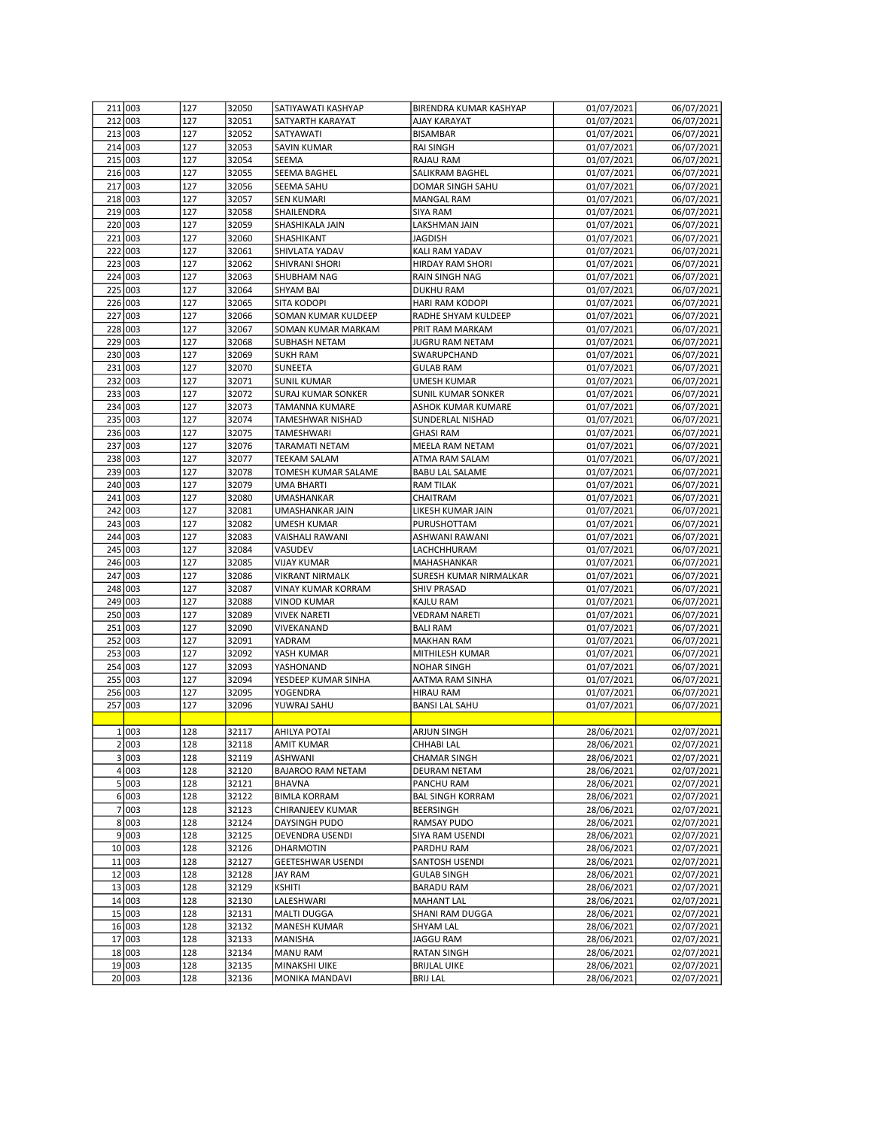|         | 211 003          | 127        | 32050          | SATIYAWATI KASHYAP              | BIRENDRA KUMAR KASHYAP                 | 01/07/2021               | 06/07/2021                             |
|---------|------------------|------------|----------------|---------------------------------|----------------------------------------|--------------------------|----------------------------------------|
|         | 212 003          | 127        | 32051          | SATYARTH KARAYAT                | <b>AJAY KARAYAT</b>                    | 01/07/2021               | 06/07/2021                             |
|         | 213 003          | 127        | 32052          | SATYAWATI                       | <b>BISAMBAR</b>                        | 01/07/2021               | 06/07/2021                             |
|         | 214 003          | 127        | 32053          | SAVIN KUMAR                     | RAI SINGH                              | 01/07/2021               | 06/07/2021                             |
|         | 215 003          | 127        | 32054          | SEEMA                           | RAJAU RAM                              | 01/07/2021               | 06/07/2021                             |
|         | 216 003          | 127        | 32055          | SEEMA BAGHEL                    | SALIKRAM BAGHEL                        | 01/07/2021               | 06/07/2021                             |
|         | 217 003          | 127        | 32056          | SEEMA SAHU                      | DOMAR SINGH SAHU                       | 01/07/2021               | 06/07/2021                             |
|         | 218 003          | 127        | 32057          | <b>SEN KUMARI</b>               | <b>MANGAL RAM</b>                      | 01/07/2021               | 06/07/2021                             |
|         | 219 003          | 127        | 32058          | SHAILENDRA                      | SIYA RAM                               | 01/07/2021               | 06/07/2021                             |
|         | 220 003          | 127        | 32059          | SHASHIKALA JAIN                 | LAKSHMAN JAIN                          | 01/07/2021               | 06/07/2021                             |
|         | 221 003          | 127        | 32060          | SHASHIKANT                      | JAGDISH                                | 01/07/2021               | 06/07/2021                             |
|         | 222 003          | 127        | 32061          |                                 | KALI RAM YADAV                         |                          | 06/07/2021                             |
|         |                  |            |                | SHIVLATA YADAV                  |                                        | 01/07/2021               |                                        |
|         | 223 003          | 127        | 32062          | SHIVRANI SHORI                  | HIRDAY RAM SHORI                       | 01/07/2021               | 06/07/2021                             |
|         | 224 003          | 127        | 32063          | SHUBHAM NAG                     | RAIN SINGH NAG                         | 01/07/2021               | 06/07/2021                             |
|         | 225 003          | 127        | 32064          | <b>SHYAM BAI</b>                | DUKHU RAM                              | 01/07/2021               | 06/07/2021                             |
|         | 226 003          | 127        | 32065          | SITA KODOPI                     | HARI RAM KODOPI                        | 01/07/2021               | 06/07/2021                             |
|         | 227 003          | 127        | 32066          | SOMAN KUMAR KULDEEP             | RADHE SHYAM KULDEEP                    | 01/07/2021               | 06/07/2021                             |
|         | 228 003          | 127        | 32067          | SOMAN KUMAR MARKAM              | PRIT RAM MARKAM                        | 01/07/2021               | 06/07/2021                             |
|         | 229 003          | 127        | 32068          | <b>SUBHASH NETAM</b>            | JUGRU RAM NETAM                        | 01/07/2021               | 06/07/2021                             |
|         | 230 003          | 127        | 32069          | <b>SUKH RAM</b>                 | SWARUPCHAND                            | 01/07/2021               | 06/07/2021                             |
|         | 231 003          | 127        | 32070          | SUNEETA                         | <b>GULAB RAM</b>                       | 01/07/2021               | 06/07/2021                             |
|         | 232 003          | 127        | 32071          | <b>SUNIL KUMAR</b>              | UMESH KUMAR                            | 01/07/2021               | 06/07/2021                             |
|         | 233 003          | 127        | 32072          | <b>SURAJ KUMAR SONKER</b>       | SUNIL KUMAR SONKER                     | 01/07/2021               | 06/07/2021                             |
|         | 234 003          | 127        | 32073          | <b>TAMANNA KUMARE</b>           | ASHOK KUMAR KUMARE                     | 01/07/2021               | 06/07/2021                             |
|         | 235 003          | 127        | 32074          | TAMESHWAR NISHAD                | SUNDERLAL NISHAD                       | 01/07/2021               | 06/07/2021                             |
|         | 236 003          | 127        | 32075          | TAMESHWARI                      | <b>GHASI RAM</b>                       | 01/07/2021               | 06/07/2021                             |
|         | 237 003          | 127        | 32076          | TARAMATI NETAM                  | MEELA RAM NETAM                        | 01/07/2021               | 06/07/2021                             |
|         | 238 003          | 127        | 32077          | <b>TEEKAM SALAM</b>             | ATMA RAM SALAM                         | 01/07/2021               | 06/07/2021                             |
|         | 239 003          | 127        | 32078          | TOMESH KUMAR SALAME             | <b>BABU LAL SALAME</b>                 | 01/07/2021               | 06/07/2021                             |
|         | 240 003          | 127        | 32079          | UMA BHARTI                      | <b>RAM TILAK</b>                       | 01/07/2021               | 06/07/2021                             |
|         | 241 003          | 127        | 32080          | UMASHANKAR                      | CHAITRAM                               | 01/07/2021               | 06/07/2021                             |
|         | 242 003          | 127        | 32081          | UMASHANKAR JAIN                 | LIKESH KUMAR JAIN                      | 01/07/2021               | 06/07/2021                             |
|         | 243 003          | 127        | 32082          | UMESH KUMAR                     | PURUSHOTTAM                            | 01/07/2021               | 06/07/2021                             |
|         | 244 003          | 127        | 32083          | VAISHALI RAWANI                 | ASHWANI RAWANI                         | 01/07/2021               | 06/07/2021                             |
|         | 245 003          | 127        | 32084          | VASUDEV                         | LACHCHHURAM                            | 01/07/2021               | 06/07/2021                             |
|         | 246 003          | 127        | 32085          | VIJAY KUMAR                     | MAHASHANKAR                            | 01/07/2021               | 06/07/2021                             |
|         |                  |            |                |                                 |                                        |                          |                                        |
|         |                  |            |                |                                 |                                        |                          |                                        |
| 247 003 |                  | 127        | 32086          | <b>VIKRANT NIRMALK</b>          | SURESH KUMAR NIRMALKAR                 | 01/07/2021               | 06/07/2021                             |
|         | 248 003          | 127        | 32087          | VINAY KUMAR KORRAM              | <b>SHIV PRASAD</b>                     | 01/07/2021               |                                        |
|         | 249 003          | 127        | 32088          | VINOD KUMAR                     | KAJLU RAM                              | 01/07/2021               | 06/07/2021                             |
|         | 250 003          | 127        | 32089          | VIVEK NARETI                    | <b>VEDRAM NARETI</b>                   | 01/07/2021               | 06/07/2021                             |
|         | 251 003          | 127        | 32090          | VIVEKANAND                      | <b>BALI RAM</b>                        | 01/07/2021               | 06/07/2021                             |
|         | 252 003          | 127        | 32091          | YADRAM                          | <b>MAKHAN RAM</b>                      | 01/07/2021               |                                        |
|         | 253 003          | 127        | 32092          | YASH KUMAR                      | MITHILESH KUMAR                        | 01/07/2021               | 06/07/2021                             |
|         | 254 003          | 127        | 32093          | YASHONAND                       | <b>NOHAR SINGH</b>                     | 01/07/2021               | 06/07/2021                             |
|         | 255 003          | 127        | 32094          | YESDEEP KUMAR SINHA             | AATMA RAM SINHA                        | 01/07/2021               | 06/07/2021                             |
|         | 256 003          | 127        | 32095          | YOGENDRA                        | <b>HIRAU RAM</b>                       | 01/07/2021               | 06/07/2021                             |
|         | 257 003          | 127        | 32096          | YUWRAJ SAHU                     | <b>BANSI LAL SAHU</b>                  | 01/07/2021               | 06/07/2021                             |
|         |                  |            |                |                                 |                                        |                          | 06/07/2021<br>06/07/2021               |
|         | 1 003            | 128        | 32117          | AHILYA POTAI                    | ARJUN SINGH                            | 28/06/2021               | 02/07/2021                             |
|         | 2 003            | 128        | 32118          | AMIT KUMAR                      | CHHABI LAL                             | 28/06/2021               |                                        |
|         | 3 003            | 128        | 32119          | ASHWANI                         | <b>CHAMAR SINGH</b>                    | 28/06/2021               | 02/07/2021                             |
|         | 4 003            | 128        | 32120          | <b>BAJAROO RAM NETAM</b>        | DEURAM NETAM                           | 28/06/2021               |                                        |
|         | 5 003            | 128        | 32121          | BHAVNA                          | PANCHU RAM                             | 28/06/2021               | 02/07/2021                             |
|         | 6 003            | 128        | 32122          | <b>BIMLA KORRAM</b>             | <b>BAL SINGH KORRAM</b>                | 28/06/2021               | 02/07/2021<br>02/07/2021<br>02/07/2021 |
|         | 7 003            | 128        | 32123          | CHIRANJEEV KUMAR                | BEERSINGH                              | 28/06/2021               | 02/07/2021                             |
|         | 8 003            | 128        | 32124          | DAYSINGH PUDO                   | RAMSAY PUDO                            | 28/06/2021               | 02/07/2021                             |
|         | 9 003            | 128        | 32125          | DEVENDRA USENDI                 | SIYA RAM USENDI                        | 28/06/2021               | 02/07/2021                             |
|         | 10 003           | 128        | 32126          | <b>DHARMOTIN</b>                | PARDHU RAM                             |                          |                                        |
|         |                  |            |                | <b>GEETESHWAR USENDI</b>        |                                        | 28/06/2021               | 02/07/2021                             |
|         | 11 003           | 128        | 32127          |                                 | SANTOSH USENDI                         | 28/06/2021               | 02/07/2021                             |
|         | 12 003           | 128        | 32128          | JAY RAM                         | <b>GULAB SINGH</b>                     | 28/06/2021               | 02/07/2021                             |
|         | 13 003           | 128        | 32129          | KSHITI                          | <b>BARADU RAM</b>                      | 28/06/2021               | 02/07/2021                             |
|         | 14 003           | 128        | 32130          | LALESHWARI                      | <b>MAHANT LAL</b>                      | 28/06/2021               | 02/07/2021                             |
|         | 15 003           | 128        | 32131          | MALTI DUGGA                     | SHANI RAM DUGGA                        | 28/06/2021               | 02/07/2021                             |
|         | 16 003           | 128        | 32132          | <b>MANESH KUMAR</b>             | SHYAM LAL                              | 28/06/2021               | 02/07/2021                             |
|         | 17 003           | 128        | 32133          | MANISHA                         | <b>JAGGU RAM</b>                       | 28/06/2021               | 02/07/2021                             |
|         | 18 003           | 128        | 32134          | MANU RAM                        | <b>RATAN SINGH</b>                     | 28/06/2021               | 02/07/2021                             |
|         | 19 003<br>20 003 | 128<br>128 | 32135<br>32136 | MINAKSHI UIKE<br>MONIKA MANDAVI | <b>BRIJLAL UIKE</b><br><b>BRIJ LAL</b> | 28/06/2021<br>28/06/2021 | 02/07/2021<br>02/07/2021               |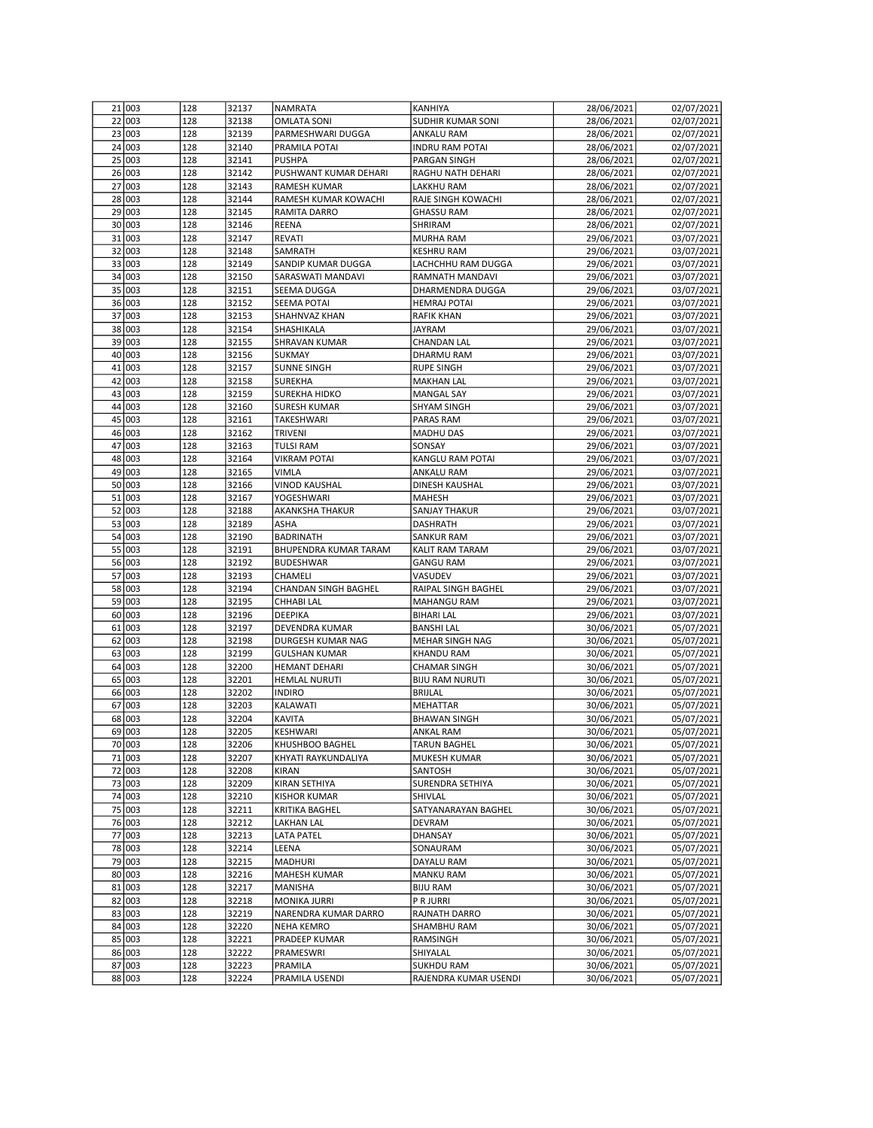| 21 003 | 128 | 32137 | <b>NAMRATA</b>        | KANHIYA                | 28/06/2021 | 02/07/2021 |
|--------|-----|-------|-----------------------|------------------------|------------|------------|
| 22 003 | 128 | 32138 | <b>OMLATA SONI</b>    | SUDHIR KUMAR SONI      | 28/06/2021 | 02/07/2021 |
| 23 003 | 128 | 32139 | PARMESHWARI DUGGA     | ANKALU RAM             | 28/06/2021 | 02/07/2021 |
| 24 003 | 128 | 32140 | PRAMILA POTAI         | <b>INDRU RAM POTAI</b> | 28/06/2021 | 02/07/2021 |
| 25 003 | 128 | 32141 | <b>PUSHPA</b>         | PARGAN SINGH           | 28/06/2021 | 02/07/2021 |
| 26 003 | 128 | 32142 | PUSHWANT KUMAR DEHARI | RAGHU NATH DEHARI      | 28/06/2021 | 02/07/2021 |
| 27 003 | 128 | 32143 | RAMESH KUMAR          | LAKKHU RAM             | 28/06/2021 | 02/07/2021 |
|        |     |       |                       |                        |            |            |
| 28 003 | 128 | 32144 | RAMESH KUMAR KOWACHI  | RAJE SINGH KOWACHI     | 28/06/2021 | 02/07/2021 |
| 29 003 | 128 | 32145 | RAMITA DARRO          | <b>GHASSU RAM</b>      | 28/06/2021 | 02/07/2021 |
| 30 003 | 128 | 32146 | REENA                 | SHRIRAM                | 28/06/2021 | 02/07/2021 |
| 31 003 | 128 | 32147 | REVATI                | <b>MURHA RAM</b>       | 29/06/2021 | 03/07/2021 |
| 32 003 | 128 | 32148 | <b>SAMRATH</b>        | <b>KESHRU RAM</b>      | 29/06/2021 | 03/07/2021 |
| 33 003 | 128 | 32149 | SANDIP KUMAR DUGGA    | LACHCHHU RAM DUGGA     | 29/06/2021 | 03/07/2021 |
| 34 003 | 128 | 32150 | SARASWATI MANDAVI     | RAMNATH MANDAVI        | 29/06/2021 | 03/07/2021 |
| 35 003 | 128 | 32151 | SEEMA DUGGA           | DHARMENDRA DUGGA       | 29/06/2021 | 03/07/2021 |
| 36 003 | 128 | 32152 | <b>SEEMA POTAI</b>    | <b>HEMRAJ POTAI</b>    | 29/06/2021 | 03/07/2021 |
| 37 003 | 128 | 32153 | SHAHNVAZ KHAN         | <b>RAFIK KHAN</b>      | 29/06/2021 | 03/07/2021 |
|        |     | 32154 |                       |                        |            |            |
| 38 003 | 128 |       | SHASHIKALA            | <b>JAYRAM</b>          | 29/06/2021 | 03/07/2021 |
| 39 003 | 128 | 32155 | SHRAVAN KUMAR         | <b>CHANDAN LAL</b>     | 29/06/2021 | 03/07/2021 |
| 40 003 | 128 | 32156 | SUKMAY                | DHARMU RAM             | 29/06/2021 | 03/07/2021 |
| 41 003 | 128 | 32157 | <b>SUNNE SINGH</b>    | <b>RUPE SINGH</b>      | 29/06/2021 | 03/07/2021 |
| 42 003 | 128 | 32158 | <b>SUREKHA</b>        | <b>MAKHAN LAL</b>      | 29/06/2021 | 03/07/2021 |
| 43 003 | 128 | 32159 | <b>SUREKHA HIDKO</b>  | <b>MANGAL SAY</b>      | 29/06/2021 | 03/07/2021 |
| 44 003 | 128 | 32160 | <b>SURESH KUMAR</b>   | SHYAM SINGH            | 29/06/2021 | 03/07/2021 |
| 45 003 | 128 | 32161 | TAKESHWARI            | PARAS RAM              | 29/06/2021 | 03/07/2021 |
| 46 003 | 128 | 32162 | <b>TRIVENI</b>        | <b>MADHU DAS</b>       | 29/06/2021 | 03/07/2021 |
| 47 003 | 128 | 32163 | TULSI RAM             | SONSAY                 | 29/06/2021 | 03/07/2021 |
|        |     | 32164 |                       |                        |            |            |
| 48 003 | 128 |       | <b>VIKRAM POTAI</b>   | KANGLU RAM POTAI       | 29/06/2021 | 03/07/2021 |
| 49 003 | 128 | 32165 | VIMLA                 | <b>ANKALU RAM</b>      | 29/06/2021 | 03/07/2021 |
| 50 003 | 128 | 32166 | <b>VINOD KAUSHAL</b>  | DINESH KAUSHAL         | 29/06/2021 | 03/07/2021 |
| 51 003 | 128 | 32167 | YOGESHWARI            | MAHESH                 | 29/06/2021 | 03/07/2021 |
| 52 003 | 128 | 32188 | AKANKSHA THAKUR       | <b>SANJAY THAKUR</b>   | 29/06/2021 | 03/07/2021 |
| 53 003 | 128 | 32189 | ASHA                  | <b>DASHRATH</b>        | 29/06/2021 | 03/07/2021 |
| 54 003 | 128 | 32190 | BADRINATH             | SANKUR RAM             | 29/06/2021 | 03/07/2021 |
| 55 003 | 128 | 32191 | BHUPENDRA KUMAR TARAM | KALIT RAM TARAM        | 29/06/2021 | 03/07/2021 |
| 56 003 | 128 | 32192 | <b>BUDESHWAR</b>      | <b>GANGU RAM</b>       | 29/06/2021 | 03/07/2021 |
| 57 003 | 128 | 32193 | CHAMELI               | VASUDEV                | 29/06/2021 | 03/07/2021 |
| 58 003 | 128 | 32194 | CHANDAN SINGH BAGHEL  | RAIPAL SINGH BAGHEL    |            | 03/07/2021 |
|        |     |       |                       |                        | 29/06/2021 |            |
| 59 003 | 128 | 32195 | CHHABI LAL            | MAHANGU RAM            | 29/06/2021 | 03/07/2021 |
| 60 003 | 128 | 32196 | <b>DEEPIKA</b>        | <b>BIHARI LAL</b>      | 29/06/2021 | 03/07/2021 |
| 61 003 | 128 | 32197 | DEVENDRA KUMAR        | <b>BANSHI LAL</b>      | 30/06/2021 | 05/07/2021 |
| 62 003 | 128 | 32198 | DURGESH KUMAR NAG     | MEHAR SINGH NAG        | 30/06/2021 | 05/07/2021 |
| 63 003 | 128 | 32199 | <b>GULSHAN KUMAR</b>  | <b>KHANDU RAM</b>      | 30/06/2021 | 05/07/2021 |
| 64 003 | 128 | 32200 | <b>HEMANT DEHARI</b>  | <b>CHAMAR SINGH</b>    | 30/06/2021 | 05/07/2021 |
| 65 003 | 128 | 32201 | HEMLAL NURUTI         | <b>BIJU RAM NURUTI</b> | 30/06/2021 | 05/07/2021 |
| 66 003 | 128 | 32202 | <b>INDIRO</b>         | <b>BRIJLAL</b>         | 30/06/2021 | 05/07/2021 |
| 67 003 | 128 | 32203 | KALAWATI              | <b>MEHATTAR</b>        | 30/06/2021 | 05/07/2021 |
| 68 003 | 128 | 32204 | KAVITA                | <b>BHAWAN SINGH</b>    | 30/06/2021 | 05/07/2021 |
| 69 003 | 128 | 32205 | KESHWARI              | <b>ANKAL RAM</b>       | 30/06/2021 | 05/07/2021 |
|        |     |       |                       |                        |            |            |
| 70 003 | 128 | 32206 | KHUSHBOO BAGHEL       | <b>TARUN BAGHEL</b>    | 30/06/2021 | 05/07/2021 |
| 71 003 | 128 | 32207 | KHYATI RAYKUNDALIYA   | MUKESH KUMAR           | 30/06/2021 | 05/07/2021 |
| 72 003 | 128 | 32208 | KIRAN                 | SANTOSH                | 30/06/2021 | 05/07/2021 |
| 73 003 | 128 | 32209 | KIRAN SETHIYA         | SURENDRA SETHIYA       | 30/06/2021 | 05/07/2021 |
| 74 003 | 128 | 32210 | <b>KISHOR KUMAR</b>   | SHIVLAL                | 30/06/2021 | 05/07/2021 |
| 75 003 | 128 | 32211 | <b>KRITIKA BAGHEL</b> | SATYANARAYAN BAGHEL    | 30/06/2021 | 05/07/2021 |
| 76 003 | 128 | 32212 | LAKHAN LAL            | <b>DEVRAM</b>          | 30/06/2021 | 05/07/2021 |
| 77 003 | 128 | 32213 | LATA PATEL            | DHANSAY                | 30/06/2021 | 05/07/2021 |
| 78 003 | 128 | 32214 | LEENA                 | SONAURAM               | 30/06/2021 | 05/07/2021 |
| 79 003 | 128 | 32215 | MADHURI               | DAYALU RAM             | 30/06/2021 | 05/07/2021 |
| 80 003 | 128 | 32216 | MAHESH KUMAR          | MANKU RAM              | 30/06/2021 | 05/07/2021 |
| 81 003 | 128 | 32217 | <b>MANISHA</b>        | <b>BIJU RAM</b>        | 30/06/2021 | 05/07/2021 |
|        |     |       |                       |                        |            |            |
| 82 003 | 128 | 32218 | <b>MONIKA JURRI</b>   | P R JURRI              | 30/06/2021 | 05/07/2021 |
| 83 003 | 128 | 32219 | NARENDRA KUMAR DARRO  | RAJNATH DARRO          | 30/06/2021 | 05/07/2021 |
| 84 003 | 128 | 32220 | <b>NEHA KEMRO</b>     | SHAMBHU RAM            | 30/06/2021 | 05/07/2021 |
| 85 003 | 128 | 32221 | PRADEEP KUMAR         | RAMSINGH               | 30/06/2021 | 05/07/2021 |
| 86 003 | 128 | 32222 | PRAMESWRI             | SHIYALAL               | 30/06/2021 | 05/07/2021 |
| 87 003 | 128 | 32223 | PRAMILA               | <b>SUKHDU RAM</b>      | 30/06/2021 | 05/07/2021 |
| 88 003 | 128 | 32224 | PRAMILA USENDI        | RAJENDRA KUMAR USENDI  | 30/06/2021 | 05/07/2021 |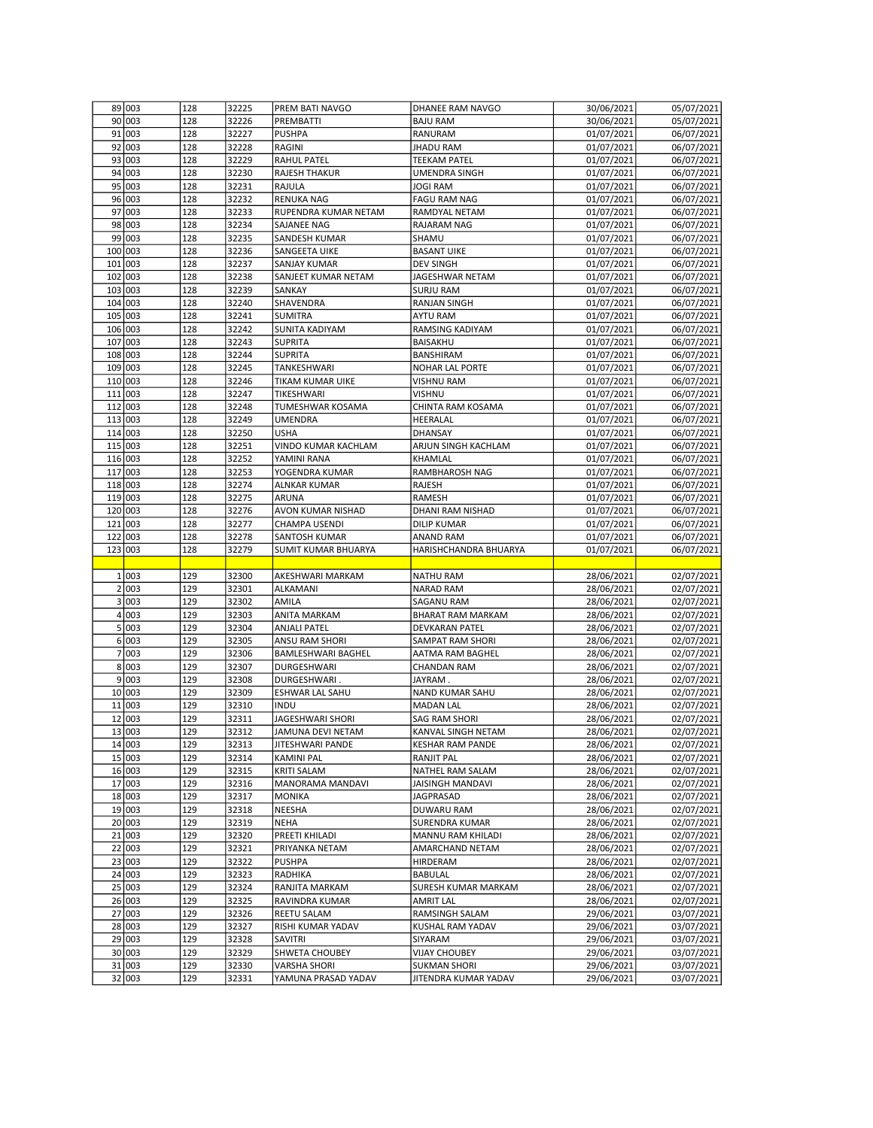| 90 003<br>128<br><b>BAJU RAM</b><br>30/06/2021<br>05/07/2021<br>32226<br>PREMBATTI<br>91 003<br>128<br>RANURAM<br>01/07/2021<br>06/07/2021<br>32227<br><b>PUSHPA</b><br>92 003<br>32228<br>RAGINI<br><b>JHADU RAM</b><br>01/07/2021<br>06/07/2021<br>128<br>93 003<br>128<br>32229<br>RAHUL PATEL<br><b>TEEKAM PATEL</b><br>01/07/2021<br>06/07/2021<br>94 003<br>128<br>32230<br>RAJESH THAKUR<br>01/07/2021<br>06/07/2021<br>UMENDRA SINGH<br>128<br>95 003<br>32231<br>RAJULA<br>01/07/2021<br>06/07/2021<br><b>JOGI RAM</b><br>96 003<br>128<br>32232<br><b>RENUKA NAG</b><br>01/07/2021<br><b>FAGU RAM NAG</b><br>97 003<br>128<br>01/07/2021<br>06/07/2021<br>32233<br>RUPENDRA KUMAR NETAM<br>RAMDYAL NETAM<br>01/07/2021<br>98 003<br>128<br>32234<br>SAJANEE NAG<br>RAJARAM NAG<br>99 003<br>128<br>01/07/2021<br>06/07/2021<br>32235<br>SANDESH KUMAR<br>SHAMU<br>100 003<br>128<br>32236<br><b>BASANT UIKE</b><br>01/07/2021<br>SANGEETA UIKE<br>101 003<br>128<br>01/07/2021<br>06/07/2021<br>32237<br>SANJAY KUMAR<br><b>DEV SINGH</b><br>128<br>32238<br>01/07/2021<br>06/07/2021<br>102 003<br>SANJEET KUMAR NETAM<br>JAGESHWAR NETAM<br>103 003<br>128<br>32239<br>SANKAY<br><b>SURJU RAM</b><br>01/07/2021<br>06/07/2021<br>104 003<br>06/07/2021<br>128<br>32240<br>SHAVENDRA<br><b>RANJAN SINGH</b><br>01/07/2021<br>105 003<br>06/07/2021<br>128<br>32241<br>SUMITRA<br>AYTU RAM<br>01/07/2021<br>106 003<br>128<br>32242<br>RAMSING KADIYAM<br>01/07/2021<br>06/07/2021<br><b>SUNITA KADIYAM</b><br>06/07/2021<br>107 003<br>128<br>32243<br><b>SUPRITA</b><br>BAISAKHU<br>01/07/2021<br>108 003<br>128<br>01/07/2021<br>06/07/2021<br>32244<br><b>SUPRITA</b><br>BANSHIRAM<br>109 003<br>128<br>32245<br>TANKESHWARI<br><b>NOHAR LAL PORTE</b><br>01/07/2021<br>06/07/2021<br>06/07/2021<br>110 003<br>128<br>32246<br>TIKAM KUMAR UIKE<br>VISHNU RAM<br>01/07/2021<br>111 003<br>128<br>32247<br>TIKESHWARI<br><b>VISHNU</b><br>01/07/2021<br>06/07/2021<br>112 003<br>01/07/2021<br>128<br>32248<br>TUMESHWAR KOSAMA<br>CHINTA RAM KOSAMA<br>06/07/2021<br>113 003<br>32249<br>01/07/2021<br>06/07/2021<br>128<br><b>UMENDRA</b><br>HEERALAL<br>114 003<br>128<br>32250<br><b>USHA</b><br>DHANSAY<br>01/07/2021<br>06/07/2021<br>115 003<br>VINDO KUMAR KACHLAM<br>ARJUN SINGH KACHLAM<br>128<br>32251<br>01/07/2021<br>06/07/2021<br>116 003<br>128<br>KHAMLAL<br>06/07/2021<br>32252<br>YAMINI RANA<br>01/07/2021<br>117 003<br>32253<br>YOGENDRA KUMAR<br>RAMBHAROSH NAG<br>01/07/2021<br>06/07/2021<br>128<br>118 003<br>128<br>32274<br>ALNKAR KUMAR<br>RAJESH<br>01/07/2021<br>06/07/2021<br>119 003<br>128<br>32275<br>ARUNA<br>01/07/2021<br>06/07/2021<br>RAMESH<br>120 003<br>128<br>32276<br>01/07/2021<br>06/07/2021<br>AVON KUMAR NISHAD<br>DHANI RAM NISHAD<br>121 003<br>128<br>32277<br><b>DILIP KUMAR</b><br>01/07/2021<br>CHAMPA USENDI<br>122 003<br>128<br>06/07/2021<br>32278<br>SANTOSH KUMAR<br>ANAND RAM<br>01/07/2021<br>123 003<br>128<br>32279<br>SUMIT KUMAR BHUARYA<br>HARISHCHANDRA BHUARYA<br>01/07/2021<br>06/07/2021<br>1 003<br>129<br>32300<br>AKESHWARI MARKAM<br><b>NATHU RAM</b><br>28/06/2021<br>02/07/2021<br>2 003<br>129<br>28/06/2021<br>02/07/2021<br>32301<br>ALKAMANI<br><b>NARAD RAM</b><br>3 003<br>129<br>32302<br>28/06/2021<br>02/07/2021<br>AMILA<br>SAGANU RAM<br>4 003<br>02/07/2021<br>129<br>32303<br>ANITA MARKAM<br>BHARAT RAM MARKAM<br>28/06/2021<br>5 003<br>02/07/2021<br>129<br>32304<br><b>ANJALI PATEL</b><br>DEVKARAN PATEL<br>28/06/2021<br>6 003<br>02/07/2021<br>129<br>32305<br>ANSU RAM SHORI<br>SAMPAT RAM SHORI<br>28/06/2021<br>7 003<br>129<br>28/06/2021<br>02/07/2021<br>32306<br><b>BAMLESHWARI BAGHEL</b><br>AATMA RAM BAGHEL<br>8 003<br>129<br>32307<br>DURGESHWARI<br><b>CHANDAN RAM</b><br>28/06/2021<br>9 003<br>129<br>02/07/2021<br>32308<br>DURGESHWARI.<br>JAYRAM.<br>28/06/2021<br>10 003<br>129<br>32309<br>ESHWAR LAL SAHU<br>NAND KUMAR SAHU<br>28/06/2021<br>11 003<br>129<br>32310<br><b>INDU</b><br><b>MADAN LAL</b><br>28/06/2021<br>12 003<br>129<br>32311<br>JAGESHWARI SHORI<br>SAG RAM SHORI<br>28/06/2021<br>13 003<br>129<br>02/07/2021<br>32312<br>JAMUNA DEVI NETAM<br>KANVAL SINGH NETAM<br>28/06/2021<br>14 003<br>129<br>32313<br>JITESHWARI PANDE<br><b>KESHAR RAM PANDE</b><br>28/06/2021<br>15 003<br>129<br>32314<br>28/06/2021<br>02/07/2021<br><b>KAMINI PAL</b><br><b>RANJIT PAL</b><br>16 003<br>129<br>32315<br><b>KRITI SALAM</b><br>NATHEL RAM SALAM<br>28/06/2021<br>17 003<br>129<br>32316<br>MANORAMA MANDAVI<br>JAISINGH MANDAVI<br>28/06/2021<br>02/07/2021<br>18 003<br>129<br>32317<br><b>MONIKA</b><br><b>JAGPRASAD</b><br>28/06/2021<br>19 003<br>129<br>32318<br>NEESHA<br>DUWARU RAM<br>28/06/2021<br>02/07/2021<br>20 003<br>129<br>32319<br><b>NEHA</b><br><b>SURENDRA KUMAR</b><br>28/06/2021<br>129<br>21 003<br>32320<br>PREETI KHILADI<br>MANNU RAM KHILADI<br>28/06/2021<br>02/07/2021<br>22 003<br>129<br>32321<br>PRIYANKA NETAM<br>AMARCHAND NETAM<br>28/06/2021<br>23 003<br>129<br>28/06/2021<br>32322<br>PUSHPA<br>HIRDERAM<br>24 003<br>129<br><b>BABULAL</b><br>28/06/2021<br>32323<br>RADHIKA<br>25 003<br>129<br>RANJITA MARKAM<br>28/06/2021<br>32324<br>SURESH KUMAR MARKAM<br>26 003<br>129<br>32325<br>28/06/2021<br>RAVINDRA KUMAR<br>AMRIT LAL<br>27 003<br>129<br>29/06/2021<br>32326<br>REETU SALAM<br>RAMSINGH SALAM<br>28 003<br>129<br>32327<br>RISHI KUMAR YADAV<br>KUSHAL RAM YADAV<br>29/06/2021<br>03/07/2021<br>29 003<br>129<br>32328<br>SAVITRI<br>SIYARAM<br>29/06/2021<br>03/07/2021<br>30 003<br><b>VIJAY CHOUBEY</b><br>29/06/2021<br>129<br>32329<br>SHWETA CHOUBEY<br>31 003<br>29/06/2021<br>129<br>32330<br>VARSHA SHORI<br><b>SUKMAN SHORI</b><br>32 003<br>129<br>32331<br>YAMUNA PRASAD YADAV<br>JITENDRA KUMAR YADAV<br>29/06/2021 | 89 003 | 128 | 32225 | PREM BATI NAVGO | DHANEE RAM NAVGO | 30/06/2021 | 05/07/2021 |
|--------------------------------------------------------------------------------------------------------------------------------------------------------------------------------------------------------------------------------------------------------------------------------------------------------------------------------------------------------------------------------------------------------------------------------------------------------------------------------------------------------------------------------------------------------------------------------------------------------------------------------------------------------------------------------------------------------------------------------------------------------------------------------------------------------------------------------------------------------------------------------------------------------------------------------------------------------------------------------------------------------------------------------------------------------------------------------------------------------------------------------------------------------------------------------------------------------------------------------------------------------------------------------------------------------------------------------------------------------------------------------------------------------------------------------------------------------------------------------------------------------------------------------------------------------------------------------------------------------------------------------------------------------------------------------------------------------------------------------------------------------------------------------------------------------------------------------------------------------------------------------------------------------------------------------------------------------------------------------------------------------------------------------------------------------------------------------------------------------------------------------------------------------------------------------------------------------------------------------------------------------------------------------------------------------------------------------------------------------------------------------------------------------------------------------------------------------------------------------------------------------------------------------------------------------------------------------------------------------------------------------------------------------------------------------------------------------------------------------------------------------------------------------------------------------------------------------------------------------------------------------------------------------------------------------------------------------------------------------------------------------------------------------------------------------------------------------------------------------------------------------------------------------------------------------------------------------------------------------------------------------------------------------------------------------------------------------------------------------------------------------------------------------------------------------------------------------------------------------------------------------------------------------------------------------------------------------------------------------------------------------------------------------------------------------------------------------------------------------------------------------------------------------------------------------------------------------------------------------------------------------------------------------------------------------------------------------------------------------------------------------------------------------------------------------------------------------------------------------------------------------------------------------------------------------------------------------------------------------------------------------------------------------------------------------------------------------------------------------------------------------------------------------------------------------------------------------------------------------------------------------------------------------------------------------------------------------------------------------------------------------------------------------------------------------------------------------------------------------------------------------------------------------------------------------------------------------------------------------------------------------------------------------------------------------------------------------------------------------------------------------------------------------------------------------------------------------------------------------------------------------------------------------------------------------------------------------------------------------------------------------------------------------------------------------------------------------------------------------------------------------------------------------------------------------------------------------------------------------------------------------------------------------------------------------------------------------------------------------------------------------------------------------------------------------------------------------------------------------------------------------------------------------------------------------------------------------------------|--------|-----|-------|-----------------|------------------|------------|------------|
|                                                                                                                                                                                                                                                                                                                                                                                                                                                                                                                                                                                                                                                                                                                                                                                                                                                                                                                                                                                                                                                                                                                                                                                                                                                                                                                                                                                                                                                                                                                                                                                                                                                                                                                                                                                                                                                                                                                                                                                                                                                                                                                                                                                                                                                                                                                                                                                                                                                                                                                                                                                                                                                                                                                                                                                                                                                                                                                                                                                                                                                                                                                                                                                                                                                                                                                                                                                                                                                                                                                                                                                                                                                                                                                                                                                                                                                                                                                                                                                                                                                                                                                                                                                                                                                                                                                                                                                                                                                                                                                                                                                                                                                                                                                                                                                                                                                                                                                                                                                                                                                                                                                                                                                                                                                                                                                                                                                                                                                                                                                                                                                                                                                                                                                                                                                                                                            |        |     |       |                 |                  |            |            |
|                                                                                                                                                                                                                                                                                                                                                                                                                                                                                                                                                                                                                                                                                                                                                                                                                                                                                                                                                                                                                                                                                                                                                                                                                                                                                                                                                                                                                                                                                                                                                                                                                                                                                                                                                                                                                                                                                                                                                                                                                                                                                                                                                                                                                                                                                                                                                                                                                                                                                                                                                                                                                                                                                                                                                                                                                                                                                                                                                                                                                                                                                                                                                                                                                                                                                                                                                                                                                                                                                                                                                                                                                                                                                                                                                                                                                                                                                                                                                                                                                                                                                                                                                                                                                                                                                                                                                                                                                                                                                                                                                                                                                                                                                                                                                                                                                                                                                                                                                                                                                                                                                                                                                                                                                                                                                                                                                                                                                                                                                                                                                                                                                                                                                                                                                                                                                                            |        |     |       |                 |                  |            |            |
|                                                                                                                                                                                                                                                                                                                                                                                                                                                                                                                                                                                                                                                                                                                                                                                                                                                                                                                                                                                                                                                                                                                                                                                                                                                                                                                                                                                                                                                                                                                                                                                                                                                                                                                                                                                                                                                                                                                                                                                                                                                                                                                                                                                                                                                                                                                                                                                                                                                                                                                                                                                                                                                                                                                                                                                                                                                                                                                                                                                                                                                                                                                                                                                                                                                                                                                                                                                                                                                                                                                                                                                                                                                                                                                                                                                                                                                                                                                                                                                                                                                                                                                                                                                                                                                                                                                                                                                                                                                                                                                                                                                                                                                                                                                                                                                                                                                                                                                                                                                                                                                                                                                                                                                                                                                                                                                                                                                                                                                                                                                                                                                                                                                                                                                                                                                                                                            |        |     |       |                 |                  |            |            |
|                                                                                                                                                                                                                                                                                                                                                                                                                                                                                                                                                                                                                                                                                                                                                                                                                                                                                                                                                                                                                                                                                                                                                                                                                                                                                                                                                                                                                                                                                                                                                                                                                                                                                                                                                                                                                                                                                                                                                                                                                                                                                                                                                                                                                                                                                                                                                                                                                                                                                                                                                                                                                                                                                                                                                                                                                                                                                                                                                                                                                                                                                                                                                                                                                                                                                                                                                                                                                                                                                                                                                                                                                                                                                                                                                                                                                                                                                                                                                                                                                                                                                                                                                                                                                                                                                                                                                                                                                                                                                                                                                                                                                                                                                                                                                                                                                                                                                                                                                                                                                                                                                                                                                                                                                                                                                                                                                                                                                                                                                                                                                                                                                                                                                                                                                                                                                                            |        |     |       |                 |                  |            |            |
| 06/07/2021<br>06/07/2021<br>06/07/2021<br>06/07/2021<br>02/07/2021<br>02/07/2021<br>02/07/2021<br>02/07/2021<br>02/07/2021<br>02/07/2021<br>02/07/2021<br>02/07/2021<br>02/07/2021<br>02/07/2021<br>03/07/2021<br>03/07/2021<br>03/07/2021<br>03/07/2021                                                                                                                                                                                                                                                                                                                                                                                                                                                                                                                                                                                                                                                                                                                                                                                                                                                                                                                                                                                                                                                                                                                                                                                                                                                                                                                                                                                                                                                                                                                                                                                                                                                                                                                                                                                                                                                                                                                                                                                                                                                                                                                                                                                                                                                                                                                                                                                                                                                                                                                                                                                                                                                                                                                                                                                                                                                                                                                                                                                                                                                                                                                                                                                                                                                                                                                                                                                                                                                                                                                                                                                                                                                                                                                                                                                                                                                                                                                                                                                                                                                                                                                                                                                                                                                                                                                                                                                                                                                                                                                                                                                                                                                                                                                                                                                                                                                                                                                                                                                                                                                                                                                                                                                                                                                                                                                                                                                                                                                                                                                                                                                   |        |     |       |                 |                  |            |            |
|                                                                                                                                                                                                                                                                                                                                                                                                                                                                                                                                                                                                                                                                                                                                                                                                                                                                                                                                                                                                                                                                                                                                                                                                                                                                                                                                                                                                                                                                                                                                                                                                                                                                                                                                                                                                                                                                                                                                                                                                                                                                                                                                                                                                                                                                                                                                                                                                                                                                                                                                                                                                                                                                                                                                                                                                                                                                                                                                                                                                                                                                                                                                                                                                                                                                                                                                                                                                                                                                                                                                                                                                                                                                                                                                                                                                                                                                                                                                                                                                                                                                                                                                                                                                                                                                                                                                                                                                                                                                                                                                                                                                                                                                                                                                                                                                                                                                                                                                                                                                                                                                                                                                                                                                                                                                                                                                                                                                                                                                                                                                                                                                                                                                                                                                                                                                                                            |        |     |       |                 |                  |            |            |
|                                                                                                                                                                                                                                                                                                                                                                                                                                                                                                                                                                                                                                                                                                                                                                                                                                                                                                                                                                                                                                                                                                                                                                                                                                                                                                                                                                                                                                                                                                                                                                                                                                                                                                                                                                                                                                                                                                                                                                                                                                                                                                                                                                                                                                                                                                                                                                                                                                                                                                                                                                                                                                                                                                                                                                                                                                                                                                                                                                                                                                                                                                                                                                                                                                                                                                                                                                                                                                                                                                                                                                                                                                                                                                                                                                                                                                                                                                                                                                                                                                                                                                                                                                                                                                                                                                                                                                                                                                                                                                                                                                                                                                                                                                                                                                                                                                                                                                                                                                                                                                                                                                                                                                                                                                                                                                                                                                                                                                                                                                                                                                                                                                                                                                                                                                                                                                            |        |     |       |                 |                  |            |            |
|                                                                                                                                                                                                                                                                                                                                                                                                                                                                                                                                                                                                                                                                                                                                                                                                                                                                                                                                                                                                                                                                                                                                                                                                                                                                                                                                                                                                                                                                                                                                                                                                                                                                                                                                                                                                                                                                                                                                                                                                                                                                                                                                                                                                                                                                                                                                                                                                                                                                                                                                                                                                                                                                                                                                                                                                                                                                                                                                                                                                                                                                                                                                                                                                                                                                                                                                                                                                                                                                                                                                                                                                                                                                                                                                                                                                                                                                                                                                                                                                                                                                                                                                                                                                                                                                                                                                                                                                                                                                                                                                                                                                                                                                                                                                                                                                                                                                                                                                                                                                                                                                                                                                                                                                                                                                                                                                                                                                                                                                                                                                                                                                                                                                                                                                                                                                                                            |        |     |       |                 |                  |            |            |
|                                                                                                                                                                                                                                                                                                                                                                                                                                                                                                                                                                                                                                                                                                                                                                                                                                                                                                                                                                                                                                                                                                                                                                                                                                                                                                                                                                                                                                                                                                                                                                                                                                                                                                                                                                                                                                                                                                                                                                                                                                                                                                                                                                                                                                                                                                                                                                                                                                                                                                                                                                                                                                                                                                                                                                                                                                                                                                                                                                                                                                                                                                                                                                                                                                                                                                                                                                                                                                                                                                                                                                                                                                                                                                                                                                                                                                                                                                                                                                                                                                                                                                                                                                                                                                                                                                                                                                                                                                                                                                                                                                                                                                                                                                                                                                                                                                                                                                                                                                                                                                                                                                                                                                                                                                                                                                                                                                                                                                                                                                                                                                                                                                                                                                                                                                                                                                            |        |     |       |                 |                  |            |            |
|                                                                                                                                                                                                                                                                                                                                                                                                                                                                                                                                                                                                                                                                                                                                                                                                                                                                                                                                                                                                                                                                                                                                                                                                                                                                                                                                                                                                                                                                                                                                                                                                                                                                                                                                                                                                                                                                                                                                                                                                                                                                                                                                                                                                                                                                                                                                                                                                                                                                                                                                                                                                                                                                                                                                                                                                                                                                                                                                                                                                                                                                                                                                                                                                                                                                                                                                                                                                                                                                                                                                                                                                                                                                                                                                                                                                                                                                                                                                                                                                                                                                                                                                                                                                                                                                                                                                                                                                                                                                                                                                                                                                                                                                                                                                                                                                                                                                                                                                                                                                                                                                                                                                                                                                                                                                                                                                                                                                                                                                                                                                                                                                                                                                                                                                                                                                                                            |        |     |       |                 |                  |            |            |
|                                                                                                                                                                                                                                                                                                                                                                                                                                                                                                                                                                                                                                                                                                                                                                                                                                                                                                                                                                                                                                                                                                                                                                                                                                                                                                                                                                                                                                                                                                                                                                                                                                                                                                                                                                                                                                                                                                                                                                                                                                                                                                                                                                                                                                                                                                                                                                                                                                                                                                                                                                                                                                                                                                                                                                                                                                                                                                                                                                                                                                                                                                                                                                                                                                                                                                                                                                                                                                                                                                                                                                                                                                                                                                                                                                                                                                                                                                                                                                                                                                                                                                                                                                                                                                                                                                                                                                                                                                                                                                                                                                                                                                                                                                                                                                                                                                                                                                                                                                                                                                                                                                                                                                                                                                                                                                                                                                                                                                                                                                                                                                                                                                                                                                                                                                                                                                            |        |     |       |                 |                  |            |            |
|                                                                                                                                                                                                                                                                                                                                                                                                                                                                                                                                                                                                                                                                                                                                                                                                                                                                                                                                                                                                                                                                                                                                                                                                                                                                                                                                                                                                                                                                                                                                                                                                                                                                                                                                                                                                                                                                                                                                                                                                                                                                                                                                                                                                                                                                                                                                                                                                                                                                                                                                                                                                                                                                                                                                                                                                                                                                                                                                                                                                                                                                                                                                                                                                                                                                                                                                                                                                                                                                                                                                                                                                                                                                                                                                                                                                                                                                                                                                                                                                                                                                                                                                                                                                                                                                                                                                                                                                                                                                                                                                                                                                                                                                                                                                                                                                                                                                                                                                                                                                                                                                                                                                                                                                                                                                                                                                                                                                                                                                                                                                                                                                                                                                                                                                                                                                                                            |        |     |       |                 |                  |            |            |
|                                                                                                                                                                                                                                                                                                                                                                                                                                                                                                                                                                                                                                                                                                                                                                                                                                                                                                                                                                                                                                                                                                                                                                                                                                                                                                                                                                                                                                                                                                                                                                                                                                                                                                                                                                                                                                                                                                                                                                                                                                                                                                                                                                                                                                                                                                                                                                                                                                                                                                                                                                                                                                                                                                                                                                                                                                                                                                                                                                                                                                                                                                                                                                                                                                                                                                                                                                                                                                                                                                                                                                                                                                                                                                                                                                                                                                                                                                                                                                                                                                                                                                                                                                                                                                                                                                                                                                                                                                                                                                                                                                                                                                                                                                                                                                                                                                                                                                                                                                                                                                                                                                                                                                                                                                                                                                                                                                                                                                                                                                                                                                                                                                                                                                                                                                                                                                            |        |     |       |                 |                  |            |            |
|                                                                                                                                                                                                                                                                                                                                                                                                                                                                                                                                                                                                                                                                                                                                                                                                                                                                                                                                                                                                                                                                                                                                                                                                                                                                                                                                                                                                                                                                                                                                                                                                                                                                                                                                                                                                                                                                                                                                                                                                                                                                                                                                                                                                                                                                                                                                                                                                                                                                                                                                                                                                                                                                                                                                                                                                                                                                                                                                                                                                                                                                                                                                                                                                                                                                                                                                                                                                                                                                                                                                                                                                                                                                                                                                                                                                                                                                                                                                                                                                                                                                                                                                                                                                                                                                                                                                                                                                                                                                                                                                                                                                                                                                                                                                                                                                                                                                                                                                                                                                                                                                                                                                                                                                                                                                                                                                                                                                                                                                                                                                                                                                                                                                                                                                                                                                                                            |        |     |       |                 |                  |            |            |
|                                                                                                                                                                                                                                                                                                                                                                                                                                                                                                                                                                                                                                                                                                                                                                                                                                                                                                                                                                                                                                                                                                                                                                                                                                                                                                                                                                                                                                                                                                                                                                                                                                                                                                                                                                                                                                                                                                                                                                                                                                                                                                                                                                                                                                                                                                                                                                                                                                                                                                                                                                                                                                                                                                                                                                                                                                                                                                                                                                                                                                                                                                                                                                                                                                                                                                                                                                                                                                                                                                                                                                                                                                                                                                                                                                                                                                                                                                                                                                                                                                                                                                                                                                                                                                                                                                                                                                                                                                                                                                                                                                                                                                                                                                                                                                                                                                                                                                                                                                                                                                                                                                                                                                                                                                                                                                                                                                                                                                                                                                                                                                                                                                                                                                                                                                                                                                            |        |     |       |                 |                  |            |            |
|                                                                                                                                                                                                                                                                                                                                                                                                                                                                                                                                                                                                                                                                                                                                                                                                                                                                                                                                                                                                                                                                                                                                                                                                                                                                                                                                                                                                                                                                                                                                                                                                                                                                                                                                                                                                                                                                                                                                                                                                                                                                                                                                                                                                                                                                                                                                                                                                                                                                                                                                                                                                                                                                                                                                                                                                                                                                                                                                                                                                                                                                                                                                                                                                                                                                                                                                                                                                                                                                                                                                                                                                                                                                                                                                                                                                                                                                                                                                                                                                                                                                                                                                                                                                                                                                                                                                                                                                                                                                                                                                                                                                                                                                                                                                                                                                                                                                                                                                                                                                                                                                                                                                                                                                                                                                                                                                                                                                                                                                                                                                                                                                                                                                                                                                                                                                                                            |        |     |       |                 |                  |            |            |
|                                                                                                                                                                                                                                                                                                                                                                                                                                                                                                                                                                                                                                                                                                                                                                                                                                                                                                                                                                                                                                                                                                                                                                                                                                                                                                                                                                                                                                                                                                                                                                                                                                                                                                                                                                                                                                                                                                                                                                                                                                                                                                                                                                                                                                                                                                                                                                                                                                                                                                                                                                                                                                                                                                                                                                                                                                                                                                                                                                                                                                                                                                                                                                                                                                                                                                                                                                                                                                                                                                                                                                                                                                                                                                                                                                                                                                                                                                                                                                                                                                                                                                                                                                                                                                                                                                                                                                                                                                                                                                                                                                                                                                                                                                                                                                                                                                                                                                                                                                                                                                                                                                                                                                                                                                                                                                                                                                                                                                                                                                                                                                                                                                                                                                                                                                                                                                            |        |     |       |                 |                  |            |            |
|                                                                                                                                                                                                                                                                                                                                                                                                                                                                                                                                                                                                                                                                                                                                                                                                                                                                                                                                                                                                                                                                                                                                                                                                                                                                                                                                                                                                                                                                                                                                                                                                                                                                                                                                                                                                                                                                                                                                                                                                                                                                                                                                                                                                                                                                                                                                                                                                                                                                                                                                                                                                                                                                                                                                                                                                                                                                                                                                                                                                                                                                                                                                                                                                                                                                                                                                                                                                                                                                                                                                                                                                                                                                                                                                                                                                                                                                                                                                                                                                                                                                                                                                                                                                                                                                                                                                                                                                                                                                                                                                                                                                                                                                                                                                                                                                                                                                                                                                                                                                                                                                                                                                                                                                                                                                                                                                                                                                                                                                                                                                                                                                                                                                                                                                                                                                                                            |        |     |       |                 |                  |            |            |
|                                                                                                                                                                                                                                                                                                                                                                                                                                                                                                                                                                                                                                                                                                                                                                                                                                                                                                                                                                                                                                                                                                                                                                                                                                                                                                                                                                                                                                                                                                                                                                                                                                                                                                                                                                                                                                                                                                                                                                                                                                                                                                                                                                                                                                                                                                                                                                                                                                                                                                                                                                                                                                                                                                                                                                                                                                                                                                                                                                                                                                                                                                                                                                                                                                                                                                                                                                                                                                                                                                                                                                                                                                                                                                                                                                                                                                                                                                                                                                                                                                                                                                                                                                                                                                                                                                                                                                                                                                                                                                                                                                                                                                                                                                                                                                                                                                                                                                                                                                                                                                                                                                                                                                                                                                                                                                                                                                                                                                                                                                                                                                                                                                                                                                                                                                                                                                            |        |     |       |                 |                  |            |            |
|                                                                                                                                                                                                                                                                                                                                                                                                                                                                                                                                                                                                                                                                                                                                                                                                                                                                                                                                                                                                                                                                                                                                                                                                                                                                                                                                                                                                                                                                                                                                                                                                                                                                                                                                                                                                                                                                                                                                                                                                                                                                                                                                                                                                                                                                                                                                                                                                                                                                                                                                                                                                                                                                                                                                                                                                                                                                                                                                                                                                                                                                                                                                                                                                                                                                                                                                                                                                                                                                                                                                                                                                                                                                                                                                                                                                                                                                                                                                                                                                                                                                                                                                                                                                                                                                                                                                                                                                                                                                                                                                                                                                                                                                                                                                                                                                                                                                                                                                                                                                                                                                                                                                                                                                                                                                                                                                                                                                                                                                                                                                                                                                                                                                                                                                                                                                                                            |        |     |       |                 |                  |            |            |
|                                                                                                                                                                                                                                                                                                                                                                                                                                                                                                                                                                                                                                                                                                                                                                                                                                                                                                                                                                                                                                                                                                                                                                                                                                                                                                                                                                                                                                                                                                                                                                                                                                                                                                                                                                                                                                                                                                                                                                                                                                                                                                                                                                                                                                                                                                                                                                                                                                                                                                                                                                                                                                                                                                                                                                                                                                                                                                                                                                                                                                                                                                                                                                                                                                                                                                                                                                                                                                                                                                                                                                                                                                                                                                                                                                                                                                                                                                                                                                                                                                                                                                                                                                                                                                                                                                                                                                                                                                                                                                                                                                                                                                                                                                                                                                                                                                                                                                                                                                                                                                                                                                                                                                                                                                                                                                                                                                                                                                                                                                                                                                                                                                                                                                                                                                                                                                            |        |     |       |                 |                  |            |            |
|                                                                                                                                                                                                                                                                                                                                                                                                                                                                                                                                                                                                                                                                                                                                                                                                                                                                                                                                                                                                                                                                                                                                                                                                                                                                                                                                                                                                                                                                                                                                                                                                                                                                                                                                                                                                                                                                                                                                                                                                                                                                                                                                                                                                                                                                                                                                                                                                                                                                                                                                                                                                                                                                                                                                                                                                                                                                                                                                                                                                                                                                                                                                                                                                                                                                                                                                                                                                                                                                                                                                                                                                                                                                                                                                                                                                                                                                                                                                                                                                                                                                                                                                                                                                                                                                                                                                                                                                                                                                                                                                                                                                                                                                                                                                                                                                                                                                                                                                                                                                                                                                                                                                                                                                                                                                                                                                                                                                                                                                                                                                                                                                                                                                                                                                                                                                                                            |        |     |       |                 |                  |            |            |
|                                                                                                                                                                                                                                                                                                                                                                                                                                                                                                                                                                                                                                                                                                                                                                                                                                                                                                                                                                                                                                                                                                                                                                                                                                                                                                                                                                                                                                                                                                                                                                                                                                                                                                                                                                                                                                                                                                                                                                                                                                                                                                                                                                                                                                                                                                                                                                                                                                                                                                                                                                                                                                                                                                                                                                                                                                                                                                                                                                                                                                                                                                                                                                                                                                                                                                                                                                                                                                                                                                                                                                                                                                                                                                                                                                                                                                                                                                                                                                                                                                                                                                                                                                                                                                                                                                                                                                                                                                                                                                                                                                                                                                                                                                                                                                                                                                                                                                                                                                                                                                                                                                                                                                                                                                                                                                                                                                                                                                                                                                                                                                                                                                                                                                                                                                                                                                            |        |     |       |                 |                  |            |            |
|                                                                                                                                                                                                                                                                                                                                                                                                                                                                                                                                                                                                                                                                                                                                                                                                                                                                                                                                                                                                                                                                                                                                                                                                                                                                                                                                                                                                                                                                                                                                                                                                                                                                                                                                                                                                                                                                                                                                                                                                                                                                                                                                                                                                                                                                                                                                                                                                                                                                                                                                                                                                                                                                                                                                                                                                                                                                                                                                                                                                                                                                                                                                                                                                                                                                                                                                                                                                                                                                                                                                                                                                                                                                                                                                                                                                                                                                                                                                                                                                                                                                                                                                                                                                                                                                                                                                                                                                                                                                                                                                                                                                                                                                                                                                                                                                                                                                                                                                                                                                                                                                                                                                                                                                                                                                                                                                                                                                                                                                                                                                                                                                                                                                                                                                                                                                                                            |        |     |       |                 |                  |            |            |
|                                                                                                                                                                                                                                                                                                                                                                                                                                                                                                                                                                                                                                                                                                                                                                                                                                                                                                                                                                                                                                                                                                                                                                                                                                                                                                                                                                                                                                                                                                                                                                                                                                                                                                                                                                                                                                                                                                                                                                                                                                                                                                                                                                                                                                                                                                                                                                                                                                                                                                                                                                                                                                                                                                                                                                                                                                                                                                                                                                                                                                                                                                                                                                                                                                                                                                                                                                                                                                                                                                                                                                                                                                                                                                                                                                                                                                                                                                                                                                                                                                                                                                                                                                                                                                                                                                                                                                                                                                                                                                                                                                                                                                                                                                                                                                                                                                                                                                                                                                                                                                                                                                                                                                                                                                                                                                                                                                                                                                                                                                                                                                                                                                                                                                                                                                                                                                            |        |     |       |                 |                  |            |            |
|                                                                                                                                                                                                                                                                                                                                                                                                                                                                                                                                                                                                                                                                                                                                                                                                                                                                                                                                                                                                                                                                                                                                                                                                                                                                                                                                                                                                                                                                                                                                                                                                                                                                                                                                                                                                                                                                                                                                                                                                                                                                                                                                                                                                                                                                                                                                                                                                                                                                                                                                                                                                                                                                                                                                                                                                                                                                                                                                                                                                                                                                                                                                                                                                                                                                                                                                                                                                                                                                                                                                                                                                                                                                                                                                                                                                                                                                                                                                                                                                                                                                                                                                                                                                                                                                                                                                                                                                                                                                                                                                                                                                                                                                                                                                                                                                                                                                                                                                                                                                                                                                                                                                                                                                                                                                                                                                                                                                                                                                                                                                                                                                                                                                                                                                                                                                                                            |        |     |       |                 |                  |            |            |
|                                                                                                                                                                                                                                                                                                                                                                                                                                                                                                                                                                                                                                                                                                                                                                                                                                                                                                                                                                                                                                                                                                                                                                                                                                                                                                                                                                                                                                                                                                                                                                                                                                                                                                                                                                                                                                                                                                                                                                                                                                                                                                                                                                                                                                                                                                                                                                                                                                                                                                                                                                                                                                                                                                                                                                                                                                                                                                                                                                                                                                                                                                                                                                                                                                                                                                                                                                                                                                                                                                                                                                                                                                                                                                                                                                                                                                                                                                                                                                                                                                                                                                                                                                                                                                                                                                                                                                                                                                                                                                                                                                                                                                                                                                                                                                                                                                                                                                                                                                                                                                                                                                                                                                                                                                                                                                                                                                                                                                                                                                                                                                                                                                                                                                                                                                                                                                            |        |     |       |                 |                  |            |            |
|                                                                                                                                                                                                                                                                                                                                                                                                                                                                                                                                                                                                                                                                                                                                                                                                                                                                                                                                                                                                                                                                                                                                                                                                                                                                                                                                                                                                                                                                                                                                                                                                                                                                                                                                                                                                                                                                                                                                                                                                                                                                                                                                                                                                                                                                                                                                                                                                                                                                                                                                                                                                                                                                                                                                                                                                                                                                                                                                                                                                                                                                                                                                                                                                                                                                                                                                                                                                                                                                                                                                                                                                                                                                                                                                                                                                                                                                                                                                                                                                                                                                                                                                                                                                                                                                                                                                                                                                                                                                                                                                                                                                                                                                                                                                                                                                                                                                                                                                                                                                                                                                                                                                                                                                                                                                                                                                                                                                                                                                                                                                                                                                                                                                                                                                                                                                                                            |        |     |       |                 |                  |            |            |
|                                                                                                                                                                                                                                                                                                                                                                                                                                                                                                                                                                                                                                                                                                                                                                                                                                                                                                                                                                                                                                                                                                                                                                                                                                                                                                                                                                                                                                                                                                                                                                                                                                                                                                                                                                                                                                                                                                                                                                                                                                                                                                                                                                                                                                                                                                                                                                                                                                                                                                                                                                                                                                                                                                                                                                                                                                                                                                                                                                                                                                                                                                                                                                                                                                                                                                                                                                                                                                                                                                                                                                                                                                                                                                                                                                                                                                                                                                                                                                                                                                                                                                                                                                                                                                                                                                                                                                                                                                                                                                                                                                                                                                                                                                                                                                                                                                                                                                                                                                                                                                                                                                                                                                                                                                                                                                                                                                                                                                                                                                                                                                                                                                                                                                                                                                                                                                            |        |     |       |                 |                  |            |            |
|                                                                                                                                                                                                                                                                                                                                                                                                                                                                                                                                                                                                                                                                                                                                                                                                                                                                                                                                                                                                                                                                                                                                                                                                                                                                                                                                                                                                                                                                                                                                                                                                                                                                                                                                                                                                                                                                                                                                                                                                                                                                                                                                                                                                                                                                                                                                                                                                                                                                                                                                                                                                                                                                                                                                                                                                                                                                                                                                                                                                                                                                                                                                                                                                                                                                                                                                                                                                                                                                                                                                                                                                                                                                                                                                                                                                                                                                                                                                                                                                                                                                                                                                                                                                                                                                                                                                                                                                                                                                                                                                                                                                                                                                                                                                                                                                                                                                                                                                                                                                                                                                                                                                                                                                                                                                                                                                                                                                                                                                                                                                                                                                                                                                                                                                                                                                                                            |        |     |       |                 |                  |            |            |
|                                                                                                                                                                                                                                                                                                                                                                                                                                                                                                                                                                                                                                                                                                                                                                                                                                                                                                                                                                                                                                                                                                                                                                                                                                                                                                                                                                                                                                                                                                                                                                                                                                                                                                                                                                                                                                                                                                                                                                                                                                                                                                                                                                                                                                                                                                                                                                                                                                                                                                                                                                                                                                                                                                                                                                                                                                                                                                                                                                                                                                                                                                                                                                                                                                                                                                                                                                                                                                                                                                                                                                                                                                                                                                                                                                                                                                                                                                                                                                                                                                                                                                                                                                                                                                                                                                                                                                                                                                                                                                                                                                                                                                                                                                                                                                                                                                                                                                                                                                                                                                                                                                                                                                                                                                                                                                                                                                                                                                                                                                                                                                                                                                                                                                                                                                                                                                            |        |     |       |                 |                  |            |            |
|                                                                                                                                                                                                                                                                                                                                                                                                                                                                                                                                                                                                                                                                                                                                                                                                                                                                                                                                                                                                                                                                                                                                                                                                                                                                                                                                                                                                                                                                                                                                                                                                                                                                                                                                                                                                                                                                                                                                                                                                                                                                                                                                                                                                                                                                                                                                                                                                                                                                                                                                                                                                                                                                                                                                                                                                                                                                                                                                                                                                                                                                                                                                                                                                                                                                                                                                                                                                                                                                                                                                                                                                                                                                                                                                                                                                                                                                                                                                                                                                                                                                                                                                                                                                                                                                                                                                                                                                                                                                                                                                                                                                                                                                                                                                                                                                                                                                                                                                                                                                                                                                                                                                                                                                                                                                                                                                                                                                                                                                                                                                                                                                                                                                                                                                                                                                                                            |        |     |       |                 |                  |            |            |
|                                                                                                                                                                                                                                                                                                                                                                                                                                                                                                                                                                                                                                                                                                                                                                                                                                                                                                                                                                                                                                                                                                                                                                                                                                                                                                                                                                                                                                                                                                                                                                                                                                                                                                                                                                                                                                                                                                                                                                                                                                                                                                                                                                                                                                                                                                                                                                                                                                                                                                                                                                                                                                                                                                                                                                                                                                                                                                                                                                                                                                                                                                                                                                                                                                                                                                                                                                                                                                                                                                                                                                                                                                                                                                                                                                                                                                                                                                                                                                                                                                                                                                                                                                                                                                                                                                                                                                                                                                                                                                                                                                                                                                                                                                                                                                                                                                                                                                                                                                                                                                                                                                                                                                                                                                                                                                                                                                                                                                                                                                                                                                                                                                                                                                                                                                                                                                            |        |     |       |                 |                  |            |            |
|                                                                                                                                                                                                                                                                                                                                                                                                                                                                                                                                                                                                                                                                                                                                                                                                                                                                                                                                                                                                                                                                                                                                                                                                                                                                                                                                                                                                                                                                                                                                                                                                                                                                                                                                                                                                                                                                                                                                                                                                                                                                                                                                                                                                                                                                                                                                                                                                                                                                                                                                                                                                                                                                                                                                                                                                                                                                                                                                                                                                                                                                                                                                                                                                                                                                                                                                                                                                                                                                                                                                                                                                                                                                                                                                                                                                                                                                                                                                                                                                                                                                                                                                                                                                                                                                                                                                                                                                                                                                                                                                                                                                                                                                                                                                                                                                                                                                                                                                                                                                                                                                                                                                                                                                                                                                                                                                                                                                                                                                                                                                                                                                                                                                                                                                                                                                                                            |        |     |       |                 |                  |            |            |
|                                                                                                                                                                                                                                                                                                                                                                                                                                                                                                                                                                                                                                                                                                                                                                                                                                                                                                                                                                                                                                                                                                                                                                                                                                                                                                                                                                                                                                                                                                                                                                                                                                                                                                                                                                                                                                                                                                                                                                                                                                                                                                                                                                                                                                                                                                                                                                                                                                                                                                                                                                                                                                                                                                                                                                                                                                                                                                                                                                                                                                                                                                                                                                                                                                                                                                                                                                                                                                                                                                                                                                                                                                                                                                                                                                                                                                                                                                                                                                                                                                                                                                                                                                                                                                                                                                                                                                                                                                                                                                                                                                                                                                                                                                                                                                                                                                                                                                                                                                                                                                                                                                                                                                                                                                                                                                                                                                                                                                                                                                                                                                                                                                                                                                                                                                                                                                            |        |     |       |                 |                  |            |            |
|                                                                                                                                                                                                                                                                                                                                                                                                                                                                                                                                                                                                                                                                                                                                                                                                                                                                                                                                                                                                                                                                                                                                                                                                                                                                                                                                                                                                                                                                                                                                                                                                                                                                                                                                                                                                                                                                                                                                                                                                                                                                                                                                                                                                                                                                                                                                                                                                                                                                                                                                                                                                                                                                                                                                                                                                                                                                                                                                                                                                                                                                                                                                                                                                                                                                                                                                                                                                                                                                                                                                                                                                                                                                                                                                                                                                                                                                                                                                                                                                                                                                                                                                                                                                                                                                                                                                                                                                                                                                                                                                                                                                                                                                                                                                                                                                                                                                                                                                                                                                                                                                                                                                                                                                                                                                                                                                                                                                                                                                                                                                                                                                                                                                                                                                                                                                                                            |        |     |       |                 |                  |            |            |
|                                                                                                                                                                                                                                                                                                                                                                                                                                                                                                                                                                                                                                                                                                                                                                                                                                                                                                                                                                                                                                                                                                                                                                                                                                                                                                                                                                                                                                                                                                                                                                                                                                                                                                                                                                                                                                                                                                                                                                                                                                                                                                                                                                                                                                                                                                                                                                                                                                                                                                                                                                                                                                                                                                                                                                                                                                                                                                                                                                                                                                                                                                                                                                                                                                                                                                                                                                                                                                                                                                                                                                                                                                                                                                                                                                                                                                                                                                                                                                                                                                                                                                                                                                                                                                                                                                                                                                                                                                                                                                                                                                                                                                                                                                                                                                                                                                                                                                                                                                                                                                                                                                                                                                                                                                                                                                                                                                                                                                                                                                                                                                                                                                                                                                                                                                                                                                            |        |     |       |                 |                  |            |            |
|                                                                                                                                                                                                                                                                                                                                                                                                                                                                                                                                                                                                                                                                                                                                                                                                                                                                                                                                                                                                                                                                                                                                                                                                                                                                                                                                                                                                                                                                                                                                                                                                                                                                                                                                                                                                                                                                                                                                                                                                                                                                                                                                                                                                                                                                                                                                                                                                                                                                                                                                                                                                                                                                                                                                                                                                                                                                                                                                                                                                                                                                                                                                                                                                                                                                                                                                                                                                                                                                                                                                                                                                                                                                                                                                                                                                                                                                                                                                                                                                                                                                                                                                                                                                                                                                                                                                                                                                                                                                                                                                                                                                                                                                                                                                                                                                                                                                                                                                                                                                                                                                                                                                                                                                                                                                                                                                                                                                                                                                                                                                                                                                                                                                                                                                                                                                                                            |        |     |       |                 |                  |            |            |
|                                                                                                                                                                                                                                                                                                                                                                                                                                                                                                                                                                                                                                                                                                                                                                                                                                                                                                                                                                                                                                                                                                                                                                                                                                                                                                                                                                                                                                                                                                                                                                                                                                                                                                                                                                                                                                                                                                                                                                                                                                                                                                                                                                                                                                                                                                                                                                                                                                                                                                                                                                                                                                                                                                                                                                                                                                                                                                                                                                                                                                                                                                                                                                                                                                                                                                                                                                                                                                                                                                                                                                                                                                                                                                                                                                                                                                                                                                                                                                                                                                                                                                                                                                                                                                                                                                                                                                                                                                                                                                                                                                                                                                                                                                                                                                                                                                                                                                                                                                                                                                                                                                                                                                                                                                                                                                                                                                                                                                                                                                                                                                                                                                                                                                                                                                                                                                            |        |     |       |                 |                  |            |            |
|                                                                                                                                                                                                                                                                                                                                                                                                                                                                                                                                                                                                                                                                                                                                                                                                                                                                                                                                                                                                                                                                                                                                                                                                                                                                                                                                                                                                                                                                                                                                                                                                                                                                                                                                                                                                                                                                                                                                                                                                                                                                                                                                                                                                                                                                                                                                                                                                                                                                                                                                                                                                                                                                                                                                                                                                                                                                                                                                                                                                                                                                                                                                                                                                                                                                                                                                                                                                                                                                                                                                                                                                                                                                                                                                                                                                                                                                                                                                                                                                                                                                                                                                                                                                                                                                                                                                                                                                                                                                                                                                                                                                                                                                                                                                                                                                                                                                                                                                                                                                                                                                                                                                                                                                                                                                                                                                                                                                                                                                                                                                                                                                                                                                                                                                                                                                                                            |        |     |       |                 |                  |            |            |
|                                                                                                                                                                                                                                                                                                                                                                                                                                                                                                                                                                                                                                                                                                                                                                                                                                                                                                                                                                                                                                                                                                                                                                                                                                                                                                                                                                                                                                                                                                                                                                                                                                                                                                                                                                                                                                                                                                                                                                                                                                                                                                                                                                                                                                                                                                                                                                                                                                                                                                                                                                                                                                                                                                                                                                                                                                                                                                                                                                                                                                                                                                                                                                                                                                                                                                                                                                                                                                                                                                                                                                                                                                                                                                                                                                                                                                                                                                                                                                                                                                                                                                                                                                                                                                                                                                                                                                                                                                                                                                                                                                                                                                                                                                                                                                                                                                                                                                                                                                                                                                                                                                                                                                                                                                                                                                                                                                                                                                                                                                                                                                                                                                                                                                                                                                                                                                            |        |     |       |                 |                  |            |            |
|                                                                                                                                                                                                                                                                                                                                                                                                                                                                                                                                                                                                                                                                                                                                                                                                                                                                                                                                                                                                                                                                                                                                                                                                                                                                                                                                                                                                                                                                                                                                                                                                                                                                                                                                                                                                                                                                                                                                                                                                                                                                                                                                                                                                                                                                                                                                                                                                                                                                                                                                                                                                                                                                                                                                                                                                                                                                                                                                                                                                                                                                                                                                                                                                                                                                                                                                                                                                                                                                                                                                                                                                                                                                                                                                                                                                                                                                                                                                                                                                                                                                                                                                                                                                                                                                                                                                                                                                                                                                                                                                                                                                                                                                                                                                                                                                                                                                                                                                                                                                                                                                                                                                                                                                                                                                                                                                                                                                                                                                                                                                                                                                                                                                                                                                                                                                                                            |        |     |       |                 |                  |            |            |
|                                                                                                                                                                                                                                                                                                                                                                                                                                                                                                                                                                                                                                                                                                                                                                                                                                                                                                                                                                                                                                                                                                                                                                                                                                                                                                                                                                                                                                                                                                                                                                                                                                                                                                                                                                                                                                                                                                                                                                                                                                                                                                                                                                                                                                                                                                                                                                                                                                                                                                                                                                                                                                                                                                                                                                                                                                                                                                                                                                                                                                                                                                                                                                                                                                                                                                                                                                                                                                                                                                                                                                                                                                                                                                                                                                                                                                                                                                                                                                                                                                                                                                                                                                                                                                                                                                                                                                                                                                                                                                                                                                                                                                                                                                                                                                                                                                                                                                                                                                                                                                                                                                                                                                                                                                                                                                                                                                                                                                                                                                                                                                                                                                                                                                                                                                                                                                            |        |     |       |                 |                  |            |            |
|                                                                                                                                                                                                                                                                                                                                                                                                                                                                                                                                                                                                                                                                                                                                                                                                                                                                                                                                                                                                                                                                                                                                                                                                                                                                                                                                                                                                                                                                                                                                                                                                                                                                                                                                                                                                                                                                                                                                                                                                                                                                                                                                                                                                                                                                                                                                                                                                                                                                                                                                                                                                                                                                                                                                                                                                                                                                                                                                                                                                                                                                                                                                                                                                                                                                                                                                                                                                                                                                                                                                                                                                                                                                                                                                                                                                                                                                                                                                                                                                                                                                                                                                                                                                                                                                                                                                                                                                                                                                                                                                                                                                                                                                                                                                                                                                                                                                                                                                                                                                                                                                                                                                                                                                                                                                                                                                                                                                                                                                                                                                                                                                                                                                                                                                                                                                                                            |        |     |       |                 |                  |            |            |
|                                                                                                                                                                                                                                                                                                                                                                                                                                                                                                                                                                                                                                                                                                                                                                                                                                                                                                                                                                                                                                                                                                                                                                                                                                                                                                                                                                                                                                                                                                                                                                                                                                                                                                                                                                                                                                                                                                                                                                                                                                                                                                                                                                                                                                                                                                                                                                                                                                                                                                                                                                                                                                                                                                                                                                                                                                                                                                                                                                                                                                                                                                                                                                                                                                                                                                                                                                                                                                                                                                                                                                                                                                                                                                                                                                                                                                                                                                                                                                                                                                                                                                                                                                                                                                                                                                                                                                                                                                                                                                                                                                                                                                                                                                                                                                                                                                                                                                                                                                                                                                                                                                                                                                                                                                                                                                                                                                                                                                                                                                                                                                                                                                                                                                                                                                                                                                            |        |     |       |                 |                  |            |            |
|                                                                                                                                                                                                                                                                                                                                                                                                                                                                                                                                                                                                                                                                                                                                                                                                                                                                                                                                                                                                                                                                                                                                                                                                                                                                                                                                                                                                                                                                                                                                                                                                                                                                                                                                                                                                                                                                                                                                                                                                                                                                                                                                                                                                                                                                                                                                                                                                                                                                                                                                                                                                                                                                                                                                                                                                                                                                                                                                                                                                                                                                                                                                                                                                                                                                                                                                                                                                                                                                                                                                                                                                                                                                                                                                                                                                                                                                                                                                                                                                                                                                                                                                                                                                                                                                                                                                                                                                                                                                                                                                                                                                                                                                                                                                                                                                                                                                                                                                                                                                                                                                                                                                                                                                                                                                                                                                                                                                                                                                                                                                                                                                                                                                                                                                                                                                                                            |        |     |       |                 |                  |            |            |
|                                                                                                                                                                                                                                                                                                                                                                                                                                                                                                                                                                                                                                                                                                                                                                                                                                                                                                                                                                                                                                                                                                                                                                                                                                                                                                                                                                                                                                                                                                                                                                                                                                                                                                                                                                                                                                                                                                                                                                                                                                                                                                                                                                                                                                                                                                                                                                                                                                                                                                                                                                                                                                                                                                                                                                                                                                                                                                                                                                                                                                                                                                                                                                                                                                                                                                                                                                                                                                                                                                                                                                                                                                                                                                                                                                                                                                                                                                                                                                                                                                                                                                                                                                                                                                                                                                                                                                                                                                                                                                                                                                                                                                                                                                                                                                                                                                                                                                                                                                                                                                                                                                                                                                                                                                                                                                                                                                                                                                                                                                                                                                                                                                                                                                                                                                                                                                            |        |     |       |                 |                  |            |            |
|                                                                                                                                                                                                                                                                                                                                                                                                                                                                                                                                                                                                                                                                                                                                                                                                                                                                                                                                                                                                                                                                                                                                                                                                                                                                                                                                                                                                                                                                                                                                                                                                                                                                                                                                                                                                                                                                                                                                                                                                                                                                                                                                                                                                                                                                                                                                                                                                                                                                                                                                                                                                                                                                                                                                                                                                                                                                                                                                                                                                                                                                                                                                                                                                                                                                                                                                                                                                                                                                                                                                                                                                                                                                                                                                                                                                                                                                                                                                                                                                                                                                                                                                                                                                                                                                                                                                                                                                                                                                                                                                                                                                                                                                                                                                                                                                                                                                                                                                                                                                                                                                                                                                                                                                                                                                                                                                                                                                                                                                                                                                                                                                                                                                                                                                                                                                                                            |        |     |       |                 |                  |            |            |
| 02/07/2021<br>02/07/2021<br>02/07/2021                                                                                                                                                                                                                                                                                                                                                                                                                                                                                                                                                                                                                                                                                                                                                                                                                                                                                                                                                                                                                                                                                                                                                                                                                                                                                                                                                                                                                                                                                                                                                                                                                                                                                                                                                                                                                                                                                                                                                                                                                                                                                                                                                                                                                                                                                                                                                                                                                                                                                                                                                                                                                                                                                                                                                                                                                                                                                                                                                                                                                                                                                                                                                                                                                                                                                                                                                                                                                                                                                                                                                                                                                                                                                                                                                                                                                                                                                                                                                                                                                                                                                                                                                                                                                                                                                                                                                                                                                                                                                                                                                                                                                                                                                                                                                                                                                                                                                                                                                                                                                                                                                                                                                                                                                                                                                                                                                                                                                                                                                                                                                                                                                                                                                                                                                                                                     |        |     |       |                 |                  |            |            |
|                                                                                                                                                                                                                                                                                                                                                                                                                                                                                                                                                                                                                                                                                                                                                                                                                                                                                                                                                                                                                                                                                                                                                                                                                                                                                                                                                                                                                                                                                                                                                                                                                                                                                                                                                                                                                                                                                                                                                                                                                                                                                                                                                                                                                                                                                                                                                                                                                                                                                                                                                                                                                                                                                                                                                                                                                                                                                                                                                                                                                                                                                                                                                                                                                                                                                                                                                                                                                                                                                                                                                                                                                                                                                                                                                                                                                                                                                                                                                                                                                                                                                                                                                                                                                                                                                                                                                                                                                                                                                                                                                                                                                                                                                                                                                                                                                                                                                                                                                                                                                                                                                                                                                                                                                                                                                                                                                                                                                                                                                                                                                                                                                                                                                                                                                                                                                                            |        |     |       |                 |                  |            |            |
|                                                                                                                                                                                                                                                                                                                                                                                                                                                                                                                                                                                                                                                                                                                                                                                                                                                                                                                                                                                                                                                                                                                                                                                                                                                                                                                                                                                                                                                                                                                                                                                                                                                                                                                                                                                                                                                                                                                                                                                                                                                                                                                                                                                                                                                                                                                                                                                                                                                                                                                                                                                                                                                                                                                                                                                                                                                                                                                                                                                                                                                                                                                                                                                                                                                                                                                                                                                                                                                                                                                                                                                                                                                                                                                                                                                                                                                                                                                                                                                                                                                                                                                                                                                                                                                                                                                                                                                                                                                                                                                                                                                                                                                                                                                                                                                                                                                                                                                                                                                                                                                                                                                                                                                                                                                                                                                                                                                                                                                                                                                                                                                                                                                                                                                                                                                                                                            |        |     |       |                 |                  |            |            |
|                                                                                                                                                                                                                                                                                                                                                                                                                                                                                                                                                                                                                                                                                                                                                                                                                                                                                                                                                                                                                                                                                                                                                                                                                                                                                                                                                                                                                                                                                                                                                                                                                                                                                                                                                                                                                                                                                                                                                                                                                                                                                                                                                                                                                                                                                                                                                                                                                                                                                                                                                                                                                                                                                                                                                                                                                                                                                                                                                                                                                                                                                                                                                                                                                                                                                                                                                                                                                                                                                                                                                                                                                                                                                                                                                                                                                                                                                                                                                                                                                                                                                                                                                                                                                                                                                                                                                                                                                                                                                                                                                                                                                                                                                                                                                                                                                                                                                                                                                                                                                                                                                                                                                                                                                                                                                                                                                                                                                                                                                                                                                                                                                                                                                                                                                                                                                                            |        |     |       |                 |                  |            |            |
|                                                                                                                                                                                                                                                                                                                                                                                                                                                                                                                                                                                                                                                                                                                                                                                                                                                                                                                                                                                                                                                                                                                                                                                                                                                                                                                                                                                                                                                                                                                                                                                                                                                                                                                                                                                                                                                                                                                                                                                                                                                                                                                                                                                                                                                                                                                                                                                                                                                                                                                                                                                                                                                                                                                                                                                                                                                                                                                                                                                                                                                                                                                                                                                                                                                                                                                                                                                                                                                                                                                                                                                                                                                                                                                                                                                                                                                                                                                                                                                                                                                                                                                                                                                                                                                                                                                                                                                                                                                                                                                                                                                                                                                                                                                                                                                                                                                                                                                                                                                                                                                                                                                                                                                                                                                                                                                                                                                                                                                                                                                                                                                                                                                                                                                                                                                                                                            |        |     |       |                 |                  |            |            |
|                                                                                                                                                                                                                                                                                                                                                                                                                                                                                                                                                                                                                                                                                                                                                                                                                                                                                                                                                                                                                                                                                                                                                                                                                                                                                                                                                                                                                                                                                                                                                                                                                                                                                                                                                                                                                                                                                                                                                                                                                                                                                                                                                                                                                                                                                                                                                                                                                                                                                                                                                                                                                                                                                                                                                                                                                                                                                                                                                                                                                                                                                                                                                                                                                                                                                                                                                                                                                                                                                                                                                                                                                                                                                                                                                                                                                                                                                                                                                                                                                                                                                                                                                                                                                                                                                                                                                                                                                                                                                                                                                                                                                                                                                                                                                                                                                                                                                                                                                                                                                                                                                                                                                                                                                                                                                                                                                                                                                                                                                                                                                                                                                                                                                                                                                                                                                                            |        |     |       |                 |                  |            |            |
|                                                                                                                                                                                                                                                                                                                                                                                                                                                                                                                                                                                                                                                                                                                                                                                                                                                                                                                                                                                                                                                                                                                                                                                                                                                                                                                                                                                                                                                                                                                                                                                                                                                                                                                                                                                                                                                                                                                                                                                                                                                                                                                                                                                                                                                                                                                                                                                                                                                                                                                                                                                                                                                                                                                                                                                                                                                                                                                                                                                                                                                                                                                                                                                                                                                                                                                                                                                                                                                                                                                                                                                                                                                                                                                                                                                                                                                                                                                                                                                                                                                                                                                                                                                                                                                                                                                                                                                                                                                                                                                                                                                                                                                                                                                                                                                                                                                                                                                                                                                                                                                                                                                                                                                                                                                                                                                                                                                                                                                                                                                                                                                                                                                                                                                                                                                                                                            |        |     |       |                 |                  |            |            |
|                                                                                                                                                                                                                                                                                                                                                                                                                                                                                                                                                                                                                                                                                                                                                                                                                                                                                                                                                                                                                                                                                                                                                                                                                                                                                                                                                                                                                                                                                                                                                                                                                                                                                                                                                                                                                                                                                                                                                                                                                                                                                                                                                                                                                                                                                                                                                                                                                                                                                                                                                                                                                                                                                                                                                                                                                                                                                                                                                                                                                                                                                                                                                                                                                                                                                                                                                                                                                                                                                                                                                                                                                                                                                                                                                                                                                                                                                                                                                                                                                                                                                                                                                                                                                                                                                                                                                                                                                                                                                                                                                                                                                                                                                                                                                                                                                                                                                                                                                                                                                                                                                                                                                                                                                                                                                                                                                                                                                                                                                                                                                                                                                                                                                                                                                                                                                                            |        |     |       |                 |                  |            |            |
|                                                                                                                                                                                                                                                                                                                                                                                                                                                                                                                                                                                                                                                                                                                                                                                                                                                                                                                                                                                                                                                                                                                                                                                                                                                                                                                                                                                                                                                                                                                                                                                                                                                                                                                                                                                                                                                                                                                                                                                                                                                                                                                                                                                                                                                                                                                                                                                                                                                                                                                                                                                                                                                                                                                                                                                                                                                                                                                                                                                                                                                                                                                                                                                                                                                                                                                                                                                                                                                                                                                                                                                                                                                                                                                                                                                                                                                                                                                                                                                                                                                                                                                                                                                                                                                                                                                                                                                                                                                                                                                                                                                                                                                                                                                                                                                                                                                                                                                                                                                                                                                                                                                                                                                                                                                                                                                                                                                                                                                                                                                                                                                                                                                                                                                                                                                                                                            |        |     |       |                 |                  |            |            |
|                                                                                                                                                                                                                                                                                                                                                                                                                                                                                                                                                                                                                                                                                                                                                                                                                                                                                                                                                                                                                                                                                                                                                                                                                                                                                                                                                                                                                                                                                                                                                                                                                                                                                                                                                                                                                                                                                                                                                                                                                                                                                                                                                                                                                                                                                                                                                                                                                                                                                                                                                                                                                                                                                                                                                                                                                                                                                                                                                                                                                                                                                                                                                                                                                                                                                                                                                                                                                                                                                                                                                                                                                                                                                                                                                                                                                                                                                                                                                                                                                                                                                                                                                                                                                                                                                                                                                                                                                                                                                                                                                                                                                                                                                                                                                                                                                                                                                                                                                                                                                                                                                                                                                                                                                                                                                                                                                                                                                                                                                                                                                                                                                                                                                                                                                                                                                                            |        |     |       |                 |                  |            |            |
|                                                                                                                                                                                                                                                                                                                                                                                                                                                                                                                                                                                                                                                                                                                                                                                                                                                                                                                                                                                                                                                                                                                                                                                                                                                                                                                                                                                                                                                                                                                                                                                                                                                                                                                                                                                                                                                                                                                                                                                                                                                                                                                                                                                                                                                                                                                                                                                                                                                                                                                                                                                                                                                                                                                                                                                                                                                                                                                                                                                                                                                                                                                                                                                                                                                                                                                                                                                                                                                                                                                                                                                                                                                                                                                                                                                                                                                                                                                                                                                                                                                                                                                                                                                                                                                                                                                                                                                                                                                                                                                                                                                                                                                                                                                                                                                                                                                                                                                                                                                                                                                                                                                                                                                                                                                                                                                                                                                                                                                                                                                                                                                                                                                                                                                                                                                                                                            |        |     |       |                 |                  |            |            |
|                                                                                                                                                                                                                                                                                                                                                                                                                                                                                                                                                                                                                                                                                                                                                                                                                                                                                                                                                                                                                                                                                                                                                                                                                                                                                                                                                                                                                                                                                                                                                                                                                                                                                                                                                                                                                                                                                                                                                                                                                                                                                                                                                                                                                                                                                                                                                                                                                                                                                                                                                                                                                                                                                                                                                                                                                                                                                                                                                                                                                                                                                                                                                                                                                                                                                                                                                                                                                                                                                                                                                                                                                                                                                                                                                                                                                                                                                                                                                                                                                                                                                                                                                                                                                                                                                                                                                                                                                                                                                                                                                                                                                                                                                                                                                                                                                                                                                                                                                                                                                                                                                                                                                                                                                                                                                                                                                                                                                                                                                                                                                                                                                                                                                                                                                                                                                                            |        |     |       |                 |                  |            |            |
|                                                                                                                                                                                                                                                                                                                                                                                                                                                                                                                                                                                                                                                                                                                                                                                                                                                                                                                                                                                                                                                                                                                                                                                                                                                                                                                                                                                                                                                                                                                                                                                                                                                                                                                                                                                                                                                                                                                                                                                                                                                                                                                                                                                                                                                                                                                                                                                                                                                                                                                                                                                                                                                                                                                                                                                                                                                                                                                                                                                                                                                                                                                                                                                                                                                                                                                                                                                                                                                                                                                                                                                                                                                                                                                                                                                                                                                                                                                                                                                                                                                                                                                                                                                                                                                                                                                                                                                                                                                                                                                                                                                                                                                                                                                                                                                                                                                                                                                                                                                                                                                                                                                                                                                                                                                                                                                                                                                                                                                                                                                                                                                                                                                                                                                                                                                                                                            |        |     |       |                 |                  |            |            |
|                                                                                                                                                                                                                                                                                                                                                                                                                                                                                                                                                                                                                                                                                                                                                                                                                                                                                                                                                                                                                                                                                                                                                                                                                                                                                                                                                                                                                                                                                                                                                                                                                                                                                                                                                                                                                                                                                                                                                                                                                                                                                                                                                                                                                                                                                                                                                                                                                                                                                                                                                                                                                                                                                                                                                                                                                                                                                                                                                                                                                                                                                                                                                                                                                                                                                                                                                                                                                                                                                                                                                                                                                                                                                                                                                                                                                                                                                                                                                                                                                                                                                                                                                                                                                                                                                                                                                                                                                                                                                                                                                                                                                                                                                                                                                                                                                                                                                                                                                                                                                                                                                                                                                                                                                                                                                                                                                                                                                                                                                                                                                                                                                                                                                                                                                                                                                                            |        |     |       |                 |                  |            |            |
|                                                                                                                                                                                                                                                                                                                                                                                                                                                                                                                                                                                                                                                                                                                                                                                                                                                                                                                                                                                                                                                                                                                                                                                                                                                                                                                                                                                                                                                                                                                                                                                                                                                                                                                                                                                                                                                                                                                                                                                                                                                                                                                                                                                                                                                                                                                                                                                                                                                                                                                                                                                                                                                                                                                                                                                                                                                                                                                                                                                                                                                                                                                                                                                                                                                                                                                                                                                                                                                                                                                                                                                                                                                                                                                                                                                                                                                                                                                                                                                                                                                                                                                                                                                                                                                                                                                                                                                                                                                                                                                                                                                                                                                                                                                                                                                                                                                                                                                                                                                                                                                                                                                                                                                                                                                                                                                                                                                                                                                                                                                                                                                                                                                                                                                                                                                                                                            |        |     |       |                 |                  |            |            |
|                                                                                                                                                                                                                                                                                                                                                                                                                                                                                                                                                                                                                                                                                                                                                                                                                                                                                                                                                                                                                                                                                                                                                                                                                                                                                                                                                                                                                                                                                                                                                                                                                                                                                                                                                                                                                                                                                                                                                                                                                                                                                                                                                                                                                                                                                                                                                                                                                                                                                                                                                                                                                                                                                                                                                                                                                                                                                                                                                                                                                                                                                                                                                                                                                                                                                                                                                                                                                                                                                                                                                                                                                                                                                                                                                                                                                                                                                                                                                                                                                                                                                                                                                                                                                                                                                                                                                                                                                                                                                                                                                                                                                                                                                                                                                                                                                                                                                                                                                                                                                                                                                                                                                                                                                                                                                                                                                                                                                                                                                                                                                                                                                                                                                                                                                                                                                                            |        |     |       |                 |                  |            |            |
|                                                                                                                                                                                                                                                                                                                                                                                                                                                                                                                                                                                                                                                                                                                                                                                                                                                                                                                                                                                                                                                                                                                                                                                                                                                                                                                                                                                                                                                                                                                                                                                                                                                                                                                                                                                                                                                                                                                                                                                                                                                                                                                                                                                                                                                                                                                                                                                                                                                                                                                                                                                                                                                                                                                                                                                                                                                                                                                                                                                                                                                                                                                                                                                                                                                                                                                                                                                                                                                                                                                                                                                                                                                                                                                                                                                                                                                                                                                                                                                                                                                                                                                                                                                                                                                                                                                                                                                                                                                                                                                                                                                                                                                                                                                                                                                                                                                                                                                                                                                                                                                                                                                                                                                                                                                                                                                                                                                                                                                                                                                                                                                                                                                                                                                                                                                                                                            |        |     |       |                 |                  |            |            |
|                                                                                                                                                                                                                                                                                                                                                                                                                                                                                                                                                                                                                                                                                                                                                                                                                                                                                                                                                                                                                                                                                                                                                                                                                                                                                                                                                                                                                                                                                                                                                                                                                                                                                                                                                                                                                                                                                                                                                                                                                                                                                                                                                                                                                                                                                                                                                                                                                                                                                                                                                                                                                                                                                                                                                                                                                                                                                                                                                                                                                                                                                                                                                                                                                                                                                                                                                                                                                                                                                                                                                                                                                                                                                                                                                                                                                                                                                                                                                                                                                                                                                                                                                                                                                                                                                                                                                                                                                                                                                                                                                                                                                                                                                                                                                                                                                                                                                                                                                                                                                                                                                                                                                                                                                                                                                                                                                                                                                                                                                                                                                                                                                                                                                                                                                                                                                                            |        |     |       |                 |                  |            |            |
|                                                                                                                                                                                                                                                                                                                                                                                                                                                                                                                                                                                                                                                                                                                                                                                                                                                                                                                                                                                                                                                                                                                                                                                                                                                                                                                                                                                                                                                                                                                                                                                                                                                                                                                                                                                                                                                                                                                                                                                                                                                                                                                                                                                                                                                                                                                                                                                                                                                                                                                                                                                                                                                                                                                                                                                                                                                                                                                                                                                                                                                                                                                                                                                                                                                                                                                                                                                                                                                                                                                                                                                                                                                                                                                                                                                                                                                                                                                                                                                                                                                                                                                                                                                                                                                                                                                                                                                                                                                                                                                                                                                                                                                                                                                                                                                                                                                                                                                                                                                                                                                                                                                                                                                                                                                                                                                                                                                                                                                                                                                                                                                                                                                                                                                                                                                                                                            |        |     |       |                 |                  |            |            |
|                                                                                                                                                                                                                                                                                                                                                                                                                                                                                                                                                                                                                                                                                                                                                                                                                                                                                                                                                                                                                                                                                                                                                                                                                                                                                                                                                                                                                                                                                                                                                                                                                                                                                                                                                                                                                                                                                                                                                                                                                                                                                                                                                                                                                                                                                                                                                                                                                                                                                                                                                                                                                                                                                                                                                                                                                                                                                                                                                                                                                                                                                                                                                                                                                                                                                                                                                                                                                                                                                                                                                                                                                                                                                                                                                                                                                                                                                                                                                                                                                                                                                                                                                                                                                                                                                                                                                                                                                                                                                                                                                                                                                                                                                                                                                                                                                                                                                                                                                                                                                                                                                                                                                                                                                                                                                                                                                                                                                                                                                                                                                                                                                                                                                                                                                                                                                                            |        |     |       |                 |                  |            |            |
|                                                                                                                                                                                                                                                                                                                                                                                                                                                                                                                                                                                                                                                                                                                                                                                                                                                                                                                                                                                                                                                                                                                                                                                                                                                                                                                                                                                                                                                                                                                                                                                                                                                                                                                                                                                                                                                                                                                                                                                                                                                                                                                                                                                                                                                                                                                                                                                                                                                                                                                                                                                                                                                                                                                                                                                                                                                                                                                                                                                                                                                                                                                                                                                                                                                                                                                                                                                                                                                                                                                                                                                                                                                                                                                                                                                                                                                                                                                                                                                                                                                                                                                                                                                                                                                                                                                                                                                                                                                                                                                                                                                                                                                                                                                                                                                                                                                                                                                                                                                                                                                                                                                                                                                                                                                                                                                                                                                                                                                                                                                                                                                                                                                                                                                                                                                                                                            |        |     |       |                 |                  |            |            |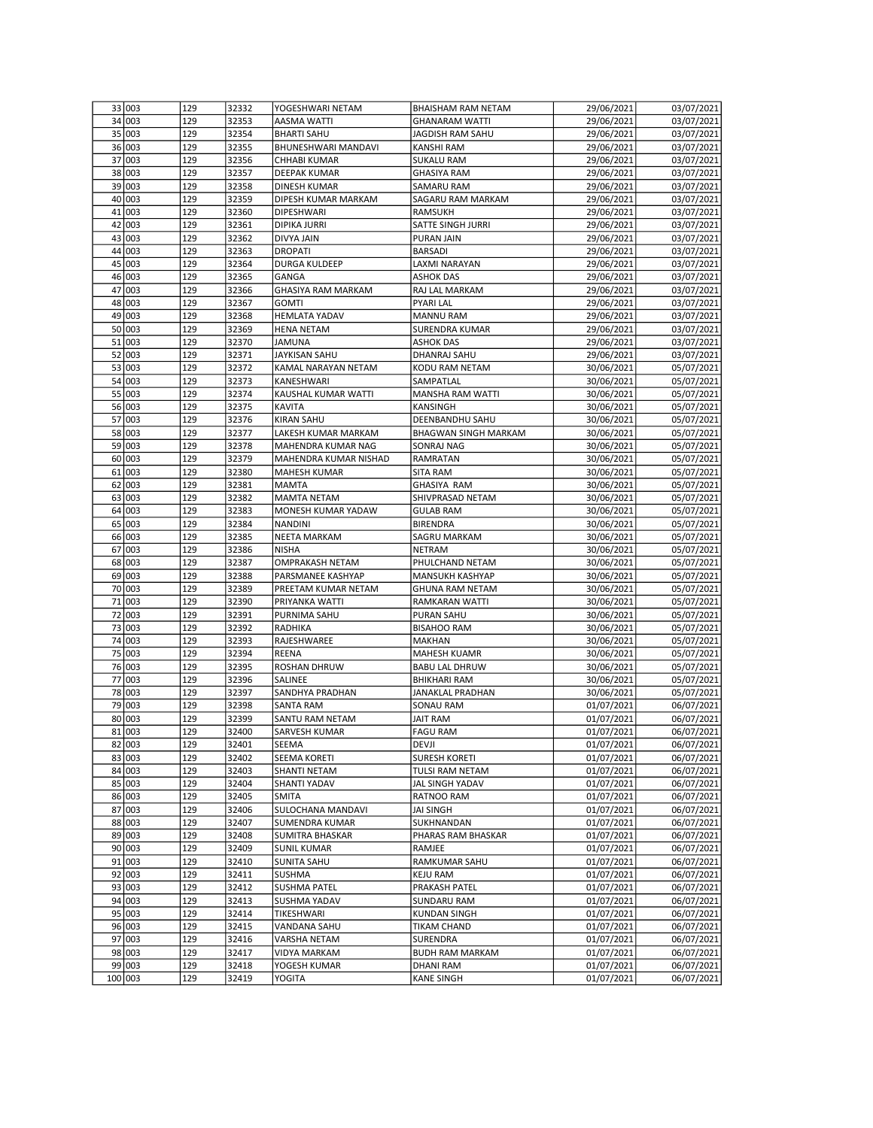| 33 003  | 129 | 32332 | YOGESHWARI NETAM      | BHAISHAM RAM NETAM     | 29/06/2021 | 03/07/2021 |
|---------|-----|-------|-----------------------|------------------------|------------|------------|
| 34 003  | 129 | 32353 | AASMA WATTI           | <b>GHANARAM WATTI</b>  | 29/06/2021 | 03/07/2021 |
| 35 003  | 129 | 32354 | <b>BHARTI SAHU</b>    | JAGDISH RAM SAHU       | 29/06/2021 | 03/07/2021 |
| 36 003  | 129 | 32355 | BHUNESHWARI MANDAVI   | KANSHI RAM             | 29/06/2021 | 03/07/2021 |
| 37 003  | 129 | 32356 | CHHABI KUMAR          | <b>SUKALU RAM</b>      | 29/06/2021 | 03/07/2021 |
| 38 003  | 129 | 32357 | DEEPAK KUMAR          | <b>GHASIYA RAM</b>     | 29/06/2021 | 03/07/2021 |
| 39 003  | 129 | 32358 | DINESH KUMAR          | SAMARU RAM             | 29/06/2021 | 03/07/2021 |
| 40 003  | 129 | 32359 | DIPESH KUMAR MARKAM   | SAGARU RAM MARKAM      | 29/06/2021 | 03/07/2021 |
| 41 003  | 129 | 32360 | DIPESHWARI            | RAMSUKH                | 29/06/2021 | 03/07/2021 |
| 42 003  | 129 | 32361 | DIPIKA JURRI          | SATTE SINGH JURRI      | 29/06/2021 | 03/07/2021 |
| 43 003  | 129 | 32362 | DIVYA JAIN            | PURAN JAIN             | 29/06/2021 | 03/07/2021 |
| 44 003  | 129 | 32363 | <b>DROPATI</b>        | BARSADI                | 29/06/2021 | 03/07/2021 |
| 45 003  | 129 | 32364 | DURGA KULDEEP         | LAXMI NARAYAN          | 29/06/2021 | 03/07/2021 |
| 46 003  | 129 | 32365 | <b>GANGA</b>          | <b>ASHOK DAS</b>       | 29/06/2021 | 03/07/2021 |
| 47 003  | 129 | 32366 | GHASIYA RAM MARKAM    | RAJ LAL MARKAM         | 29/06/2021 | 03/07/2021 |
| 48 003  | 129 | 32367 | gomti                 | PYARI LAL              | 29/06/2021 | 03/07/2021 |
| 49 003  | 129 | 32368 | <b>HEMLATA YADAV</b>  | <b>MANNU RAM</b>       | 29/06/2021 | 03/07/2021 |
| 50 003  | 129 | 32369 | <b>HENA NETAM</b>     | SURENDRA KUMAR         | 29/06/2021 | 03/07/2021 |
| 51 003  | 129 | 32370 | <b>JAMUNA</b>         | ASHOK DAS              | 29/06/2021 | 03/07/2021 |
| 52 003  | 129 | 32371 | <b>JAYKISAN SAHU</b>  | DHANRAJ SAHU           | 29/06/2021 | 03/07/2021 |
| 53 003  | 129 | 32372 | KAMAL NARAYAN NETAM   | KODU RAM NETAM         | 30/06/2021 | 05/07/2021 |
| 54 003  | 129 | 32373 | KANESHWARI            | SAMPATLAL              | 30/06/2021 | 05/07/2021 |
| 55 003  | 129 | 32374 | KAUSHAL KUMAR WATTI   | MANSHA RAM WATTI       | 30/06/2021 | 05/07/2021 |
| 56 003  | 129 | 32375 | <b>KAVITA</b>         | KANSINGH               | 30/06/2021 | 05/07/2021 |
| 57 003  | 129 | 32376 | <b>KIRAN SAHU</b>     | DEENBANDHU SAHU        | 30/06/2021 | 05/07/2021 |
| 58 003  | 129 | 32377 | LAKESH KUMAR MARKAM   | BHAGWAN SINGH MARKAM   | 30/06/2021 | 05/07/2021 |
| 59 003  | 129 | 32378 | MAHENDRA KUMAR NAG    | SONRAJ NAG             | 30/06/2021 | 05/07/2021 |
| 60 003  | 129 | 32379 | MAHENDRA KUMAR NISHAD | RAMRATAN               | 30/06/2021 | 05/07/2021 |
| 61 003  | 129 | 32380 | <b>MAHESH KUMAR</b>   | SITA RAM               | 30/06/2021 | 05/07/2021 |
| 62 003  | 129 | 32381 | <b>MAMTA</b>          | <b>GHASIYA RAM</b>     | 30/06/2021 | 05/07/2021 |
| 63 003  | 129 | 32382 | <b>MAMTA NETAM</b>    | SHIVPRASAD NETAM       | 30/06/2021 | 05/07/2021 |
| 64 003  | 129 | 32383 | MONESH KUMAR YADAW    | GULAB RAM              | 30/06/2021 | 05/07/2021 |
| 65 003  | 129 | 32384 | NANDINI               | <b>BIRENDRA</b>        | 30/06/2021 | 05/07/2021 |
| 66 003  | 129 | 32385 | NEETA MARKAM          | SAGRU MARKAM           | 30/06/2021 | 05/07/2021 |
| 67 003  | 129 | 32386 | <b>NISHA</b>          | NETRAM                 | 30/06/2021 | 05/07/2021 |
| 68 003  | 129 | 32387 | OMPRAKASH NETAM       | PHULCHAND NETAM        | 30/06/2021 | 05/07/2021 |
| 69 003  | 129 | 32388 | PARSMANEE KASHYAP     | MANSUKH KASHYAP        | 30/06/2021 | 05/07/2021 |
| 70 003  | 129 | 32389 | PREETAM KUMAR NETAM   | GHUNA RAM NETAM        | 30/06/2021 | 05/07/2021 |
| 71 003  | 129 | 32390 | PRIYANKA WATTI        | RAMKARAN WATTI         | 30/06/2021 | 05/07/2021 |
| 72 003  | 129 | 32391 | PURNIMA SAHU          | PURAN SAHU             | 30/06/2021 | 05/07/2021 |
| 73 003  | 129 | 32392 | RADHIKA               | <b>BISAHOO RAM</b>     | 30/06/2021 | 05/07/2021 |
| 74 003  | 129 | 32393 | RAJESHWAREE           | MAKHAN                 | 30/06/2021 | 05/07/2021 |
| 75 003  | 129 | 32394 | REENA                 | MAHESH KUAMR           | 30/06/2021 | 05/07/2021 |
| 76 003  | 129 | 32395 | ROSHAN DHRUW          | <b>BABU LAL DHRUW</b>  | 30/06/2021 | 05/07/2021 |
| 77 003  | 129 | 32396 | SALINEE               | <b>BHIKHARI RAM</b>    | 30/06/2021 | 05/07/2021 |
| 78 003  | 129 | 32397 | SANDHYA PRADHAN       | JANAKLAL PRADHAN       | 30/06/2021 | 05/07/2021 |
| 79 003  | 129 | 32398 | <b>SANTA RAM</b>      | SONAU RAM              | 01/07/2021 | 06/07/2021 |
| 80 003  | 129 | 32399 | SANTU RAM NETAM       | JAIT RAM               | 01/07/2021 | 06/07/2021 |
| 81 003  | 129 | 32400 | SARVESH KUMAR         | <b>FAGU RAM</b>        | 01/07/2021 | 06/07/2021 |
| 82 003  | 129 | 32401 | SEEMA                 | DEVJI                  | 01/07/2021 | 06/07/2021 |
| 83 003  | 129 | 32402 | SEEMA KORETI          | <b>SURESH KORETI</b>   | 01/07/2021 | 06/07/2021 |
| 84 003  | 129 | 32403 | SHANTI NETAM          | TULSI RAM NETAM        | 01/07/2021 | 06/07/2021 |
| 85 003  | 129 | 32404 | SHANTI YADAV          | JAL SINGH YADAV        | 01/07/2021 | 06/07/2021 |
| 86 003  | 129 | 32405 | <b>SMITA</b>          | RATNOO RAM             | 01/07/2021 | 06/07/2021 |
| 87 003  | 129 | 32406 | SULOCHANA MANDAVI     | JAI SINGH              | 01/07/2021 | 06/07/2021 |
| 88 003  | 129 | 32407 | SUMENDRA KUMAR        | SUKHNANDAN             | 01/07/2021 | 06/07/2021 |
| 89 003  | 129 | 32408 | SUMITRA BHASKAR       | PHARAS RAM BHASKAR     | 01/07/2021 | 06/07/2021 |
| 90 003  | 129 | 32409 | <b>SUNIL KUMAR</b>    | RAMJEE                 | 01/07/2021 | 06/07/2021 |
| 91 003  | 129 | 32410 | <b>SUNITA SAHU</b>    | RAMKUMAR SAHU          | 01/07/2021 | 06/07/2021 |
| 92 003  | 129 | 32411 | SUSHMA                | KEJU RAM               | 01/07/2021 | 06/07/2021 |
| 93 003  | 129 | 32412 | <b>SUSHMA PATEL</b>   | PRAKASH PATEL          | 01/07/2021 | 06/07/2021 |
| 94 003  | 129 | 32413 | SUSHMA YADAV          | SUNDARU RAM            | 01/07/2021 | 06/07/2021 |
| 95 003  | 129 | 32414 | TIKESHWARI            | KUNDAN SINGH           | 01/07/2021 | 06/07/2021 |
| 96 003  | 129 | 32415 | VANDANA SAHU          | TIKAM CHAND            | 01/07/2021 | 06/07/2021 |
| 97 003  | 129 | 32416 | VARSHA NETAM          | SURENDRA               | 01/07/2021 | 06/07/2021 |
| 98 003  | 129 | 32417 | VIDYA MARKAM          | <b>BUDH RAM MARKAM</b> | 01/07/2021 | 06/07/2021 |
| 99 003  | 129 | 32418 | YOGESH KUMAR          | DHANI RAM              | 01/07/2021 | 06/07/2021 |
| 100 003 | 129 | 32419 | YOGITA                | <b>KANE SINGH</b>      | 01/07/2021 | 06/07/2021 |
|         |     |       |                       |                        |            |            |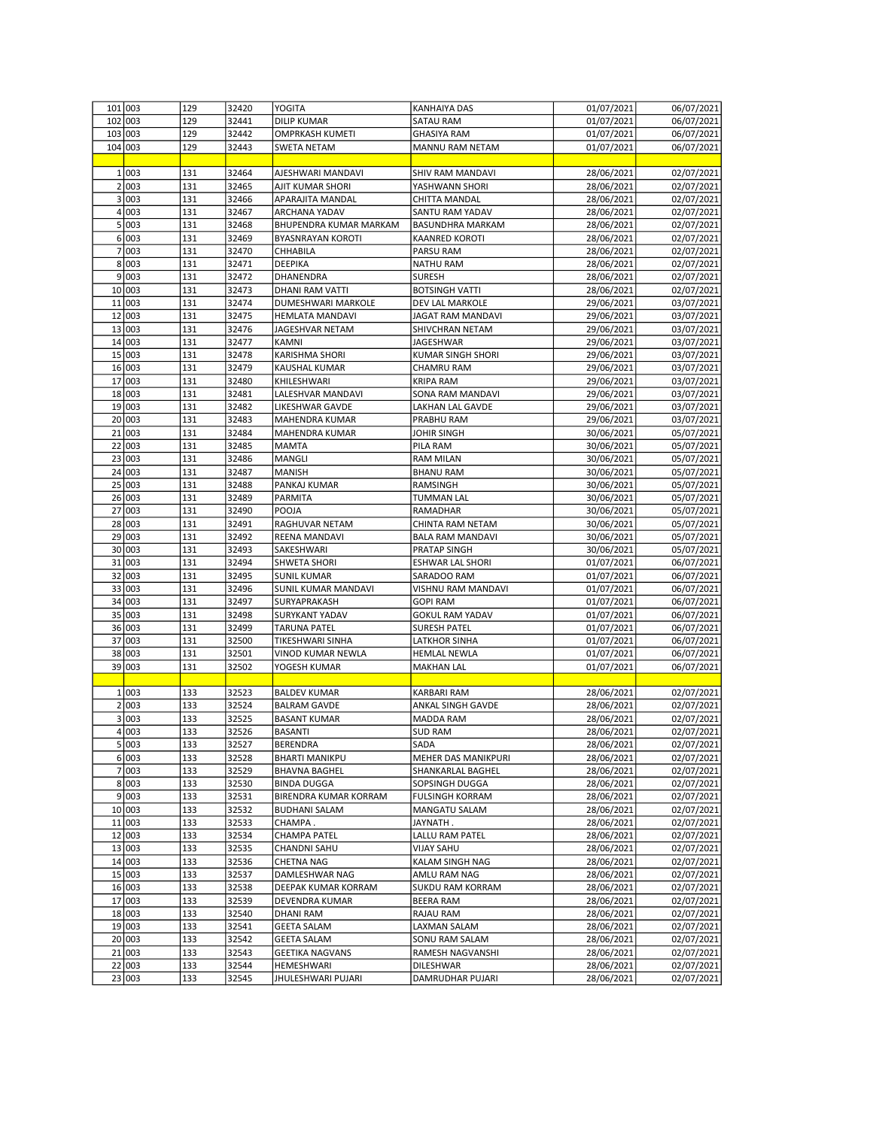| 101 003          | 129 | 32420 | <b>YOGITA</b>          | <b>KANHAIYA DAS</b>      | 01/07/2021 | 06/07/2021 |
|------------------|-----|-------|------------------------|--------------------------|------------|------------|
| 102 003          | 129 | 32441 | <b>DILIP KUMAR</b>     | SATAU RAM                | 01/07/2021 | 06/07/2021 |
| 103 003          | 129 | 32442 | OMPRKASH KUMETI        | GHASIYA RAM              | 01/07/2021 | 06/07/2021 |
| 104 003          | 129 | 32443 | <b>SWETA NETAM</b>     | MANNU RAM NETAM          | 01/07/2021 | 06/07/2021 |
|                  |     |       |                        |                          |            |            |
| 1 003            | 131 | 32464 | AJESHWARI MANDAVI      | SHIV RAM MANDAVI         | 28/06/2021 | 02/07/2021 |
| 2 003            | 131 | 32465 | AJIT KUMAR SHORI       | YASHWANN SHORI           | 28/06/2021 | 02/07/2021 |
| 3 003            | 131 | 32466 | APARAJITA MANDAL       | <b>CHITTA MANDAL</b>     | 28/06/2021 | 02/07/2021 |
| 4 003            | 131 | 32467 | ARCHANA YADAV          | SANTU RAM YADAV          | 28/06/2021 | 02/07/2021 |
| 5 003            | 131 | 32468 | BHUPENDRA KUMAR MARKAM | BASUNDHRA MARKAM         | 28/06/2021 | 02/07/2021 |
| 6 003            | 131 | 32469 | BYASNRAYAN KOROTI      | <b>KAANRED KOROTI</b>    | 28/06/2021 | 02/07/2021 |
| 7 003            | 131 | 32470 | CHHABILA               | PARSU RAM                | 28/06/2021 | 02/07/2021 |
| 8 003            | 131 | 32471 | DEEPIKA                | NATHU RAM                | 28/06/2021 | 02/07/2021 |
| 9 003            | 131 | 32472 | DHANENDRA              | <b>SURESH</b>            | 28/06/2021 | 02/07/2021 |
| 10 003           | 131 | 32473 | DHANI RAM VATTI        | <b>BOTSINGH VATTI</b>    | 28/06/2021 | 02/07/2021 |
| 11 003           | 131 | 32474 | DUMESHWARI MARKOLE     | DEV LAL MARKOLE          | 29/06/2021 | 03/07/2021 |
| 12 003           | 131 | 32475 | HEMLATA MANDAVI        | JAGAT RAM MANDAVI        | 29/06/2021 | 03/07/2021 |
| 13 003           | 131 | 32476 | JAGESHVAR NETAM        | SHIVCHRAN NETAM          | 29/06/2021 | 03/07/2021 |
| 14 003           | 131 | 32477 | <b>KAMNI</b>           | JAGESHWAR                | 29/06/2021 | 03/07/2021 |
| 15 003           | 131 | 32478 | KARISHMA SHORI         | <b>KUMAR SINGH SHORI</b> | 29/06/2021 | 03/07/2021 |
| 16 003           | 131 | 32479 | KAUSHAL KUMAR          | CHAMRU RAM               | 29/06/2021 | 03/07/2021 |
| 17 003           | 131 | 32480 | KHILESHWARI            | KRIPA RAM                | 29/06/2021 | 03/07/2021 |
| 18 003           | 131 | 32481 | LALESHVAR MANDAVI      | SONA RAM MANDAVI         | 29/06/2021 | 03/07/2021 |
| 19 003           | 131 | 32482 | LIKESHWAR GAVDE        | LAKHAN LAL GAVDE         | 29/06/2021 | 03/07/2021 |
| 20 003           | 131 | 32483 | MAHENDRA KUMAR         | PRABHU RAM               | 29/06/2021 | 03/07/2021 |
| 21 003           | 131 | 32484 | MAHENDRA KUMAR         | JOHIR SINGH              | 30/06/2021 | 05/07/2021 |
| 22 003           | 131 | 32485 | <b>MAMTA</b>           | PILA RAM                 | 30/06/2021 | 05/07/2021 |
|                  |     |       |                        |                          |            |            |
| 23 003           | 131 | 32486 | MANGLI                 | RAM MILAN                | 30/06/2021 | 05/07/2021 |
| 24 003           | 131 | 32487 | MANISH                 | <b>BHANU RAM</b>         | 30/06/2021 | 05/07/2021 |
| 25 003           | 131 | 32488 | PANKAJ KUMAR           | RAMSINGH                 | 30/06/2021 | 05/07/2021 |
| 26 003           | 131 | 32489 | PARMITA                | <b>TUMMAN LAL</b>        | 30/06/2021 | 05/07/2021 |
| 27 003           | 131 | 32490 | POOJA                  | RAMADHAR                 | 30/06/2021 | 05/07/2021 |
| 28 003           | 131 | 32491 | RAGHUVAR NETAM         | CHINTA RAM NETAM         | 30/06/2021 | 05/07/2021 |
| 29 003           | 131 | 32492 | REENA MANDAVI          | BALA RAM MANDAVI         | 30/06/2021 | 05/07/2021 |
| 30 003           | 131 | 32493 | SAKESHWARI             | PRATAP SINGH             | 30/06/2021 | 05/07/2021 |
| 31 003           | 131 | 32494 | SHWETA SHORI           | ESHWAR LAL SHORI         | 01/07/2021 | 06/07/2021 |
| 32 003           | 131 | 32495 | <b>SUNIL KUMAR</b>     | SARADOO RAM              | 01/07/2021 | 06/07/2021 |
| 33 003           | 131 | 32496 | SUNIL KUMAR MANDAVI    | VISHNU RAM MANDAVI       | 01/07/2021 | 06/07/2021 |
| 34 003           | 131 | 32497 | SURYAPRAKASH           | <b>GOPI RAM</b>          | 01/07/2021 | 06/07/2021 |
| 35 003           | 131 | 32498 | SURYKANT YADAV         | <b>GOKUL RAM YADAV</b>   | 01/07/2021 | 06/07/2021 |
| 36 003           | 131 | 32499 | TARUNA PATEL           | SURESH PATEL             | 01/07/2021 | 06/07/2021 |
| 37 003           | 131 | 32500 | TIKESHWARI SINHA       | LATKHOR SINHA            | 01/07/2021 | 06/07/2021 |
| 38 003           | 131 | 32501 | VINOD KUMAR NEWLA      | <b>HEMLAL NEWLA</b>      | 01/07/2021 | 06/07/2021 |
| 39 003           | 131 | 32502 | YOGESH KUMAR           | <b>MAKHAN LAL</b>        | 01/07/2021 | 06/07/2021 |
|                  |     |       |                        |                          |            |            |
| 1 003            | 133 | 32523 | <b>BALDEV KUMAR</b>    | <b>KARBARI RAM</b>       | 28/06/2021 | 02/07/2021 |
| 2 003            | 133 | 32524 | <b>BALRAM GAVDE</b>    | ANKAL SINGH GAVDE        | 28/06/2021 | 02/07/2021 |
| 3 003            | 133 | 32525 | <b>BASANT KUMAR</b>    | <b>MADDA RAM</b>         | 28/06/2021 | 02/07/2021 |
| 4 003            | 133 | 32526 | BASANTI                | <b>SUD RAM</b>           | 28/06/2021 | 02/07/2021 |
| 5 003            | 133 | 32527 | <b>BERENDRA</b>        | SADA                     | 28/06/2021 | 02/07/2021 |
| 6 003            | 133 | 32528 | <b>BHARTI MANIKPU</b>  | MEHER DAS MANIKPURI      | 28/06/2021 | 02/07/2021 |
| 7 003            | 133 | 32529 | <b>BHAVNA BAGHEL</b>   | SHANKARLAL BAGHEL        | 28/06/2021 | 02/07/2021 |
| 8 003            | 133 | 32530 | <b>BINDA DUGGA</b>     | SOPSINGH DUGGA           | 28/06/2021 | 02/07/2021 |
| 9 003            | 133 | 32531 | BIRENDRA KUMAR KORRAM  | <b>FULSINGH KORRAM</b>   | 28/06/2021 | 02/07/2021 |
| 10 003           | 133 | 32532 | <b>BUDHANI SALAM</b>   | MANGATU SALAM            | 28/06/2021 | 02/07/2021 |
| 11 003           | 133 | 32533 | CHAMPA.                | JAYNATH.                 | 28/06/2021 | 02/07/2021 |
| 12 003           | 133 | 32534 | <b>CHAMPA PATEL</b>    | LALLU RAM PATEL          | 28/06/2021 | 02/07/2021 |
| 13 003           | 133 | 32535 | CHANDNI SAHU           | <b>VIJAY SAHU</b>        | 28/06/2021 | 02/07/2021 |
| 14 003           | 133 | 32536 | CHETNA NAG             | KALAM SINGH NAG          | 28/06/2021 | 02/07/2021 |
| 15 003           | 133 | 32537 | DAMLESHWAR NAG         | AMLU RAM NAG             | 28/06/2021 | 02/07/2021 |
| 16 003           | 133 | 32538 | DEEPAK KUMAR KORRAM    | SUKDU RAM KORRAM         | 28/06/2021 | 02/07/2021 |
| 17 003           | 133 | 32539 | DEVENDRA KUMAR         | <b>BEERA RAM</b>         | 28/06/2021 | 02/07/2021 |
| 18 003           | 133 | 32540 | DHANI RAM              | RAJAU RAM                | 28/06/2021 | 02/07/2021 |
| 19 003           | 133 | 32541 | <b>GEETA SALAM</b>     | LAXMAN SALAM             | 28/06/2021 | 02/07/2021 |
| 20 003           | 133 | 32542 | GEETA SALAM            | SONU RAM SALAM           | 28/06/2021 | 02/07/2021 |
| 21 003           | 133 | 32543 | GEETIKA NAGVANS        | RAMESH NAGVANSHI         | 28/06/2021 | 02/07/2021 |
| 22 003<br>23 003 | 133 | 32544 | HEMESHWARI             | DILESHWAR                | 28/06/2021 | 02/07/2021 |
|                  | 133 | 32545 | JHULESHWARI PUJARI     | DAMRUDHAR PUJARI         | 28/06/2021 | 02/07/2021 |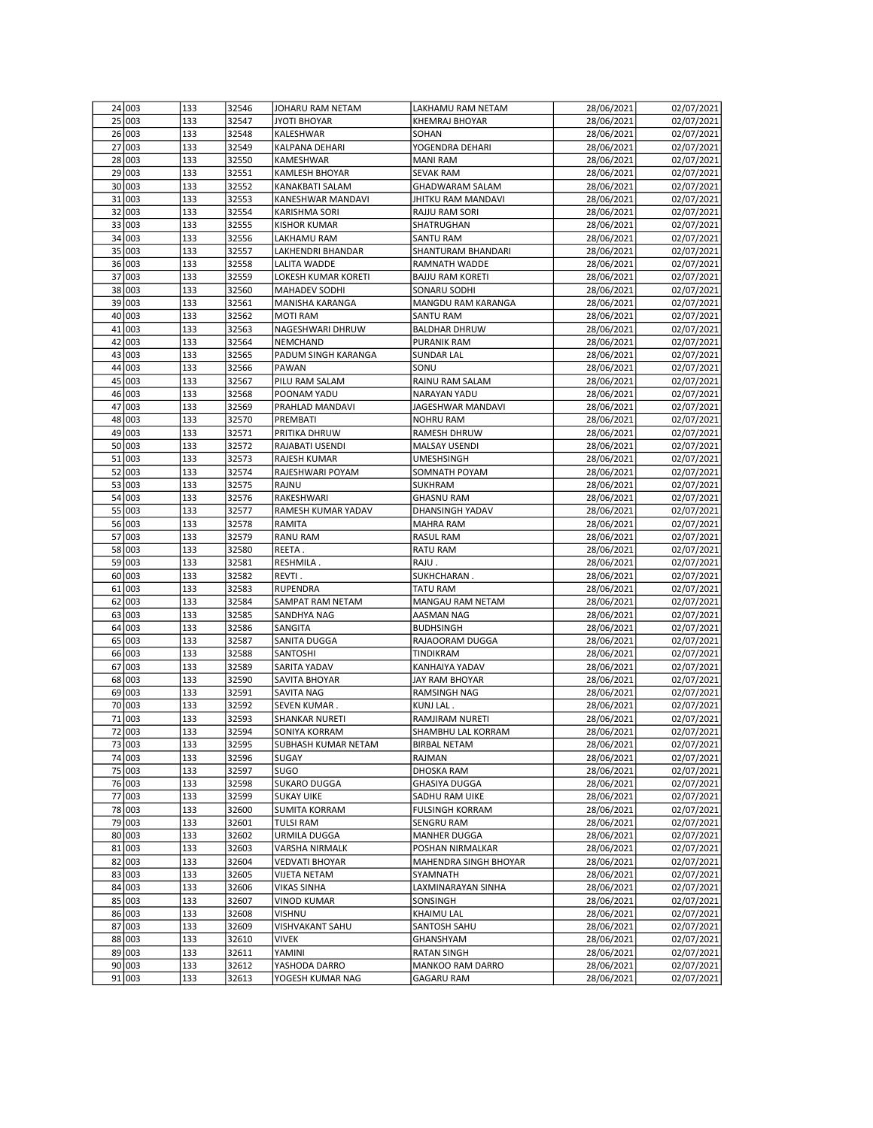| 24 003           | 133        | 32546          | JOHARU RAM NETAM                  | LAKHAMU RAM NETAM                     | 28/06/2021               | 02/07/2021                                           |
|------------------|------------|----------------|-----------------------------------|---------------------------------------|--------------------------|------------------------------------------------------|
| 25 003           | 133        | 32547          | JYOTI BHOYAR                      | <b>KHEMRAJ BHOYAR</b>                 | 28/06/2021               | 02/07/2021                                           |
| 26 003           | 133        | 32548          | KALESHWAR                         | SOHAN                                 | 28/06/2021               | 02/07/2021                                           |
| 27 003           | 133        | 32549          | KALPANA DEHARI                    | YOGENDRA DEHARI                       | 28/06/2021               | 02/07/2021                                           |
| 28 003           | 133        | 32550          | KAMESHWAR                         | <b>MANI RAM</b>                       | 28/06/2021               | 02/07/2021                                           |
| 29 003           | 133        | 32551          | KAMLESH BHOYAR                    | SEVAK RAM                             | 28/06/2021               | 02/07/2021                                           |
| 30 003           | 133        | 32552          | KANAKBATI SALAM                   | GHADWARAM SALAM                       | 28/06/2021               | 02/07/2021                                           |
| 31 003           | 133        | 32553          | KANESHWAR MANDAVI                 | JHITKU RAM MANDAVI                    | 28/06/2021               | 02/07/2021                                           |
| 32 003           | 133        | 32554          | KARISHMA SORI                     | RAJJU RAM SORI                        | 28/06/2021               | 02/07/2021                                           |
| 33 003           | 133        | 32555          | KISHOR KUMAR                      | SHATRUGHAN                            | 28/06/2021               | 02/07/2021                                           |
| 34 003           | 133        | 32556          | LAKHAMU RAM                       | SANTU RAM                             | 28/06/2021               | 02/07/2021                                           |
| 35 003           | 133        | 32557          | LAKHENDRI BHANDAR                 |                                       |                          | 02/07/2021                                           |
|                  |            |                |                                   | SHANTURAM BHANDARI                    | 28/06/2021               |                                                      |
| 36 003           | 133        | 32558          | <b>LALITA WADDE</b>               | RAMNATH WADDE                         | 28/06/2021               | 02/07/2021                                           |
| 37 003           | 133        | 32559          | LOKESH KUMAR KORETI               | <b>BAJJU RAM KORETI</b>               | 28/06/2021               | 02/07/2021                                           |
| 38 003           | 133        | 32560          | MAHADEV SODHI                     | SONARU SODHI                          | 28/06/2021               | 02/07/2021                                           |
| 39 003           | 133        | 32561          | MANISHA KARANGA                   | MANGDU RAM KARANGA                    | 28/06/2021               | 02/07/2021                                           |
| 40 003           | 133        | 32562          | <b>MOTI RAM</b>                   | SANTU RAM                             | 28/06/2021               | 02/07/2021                                           |
| 41 003           | 133        | 32563          | NAGESHWARI DHRUW                  | <b>BALDHAR DHRUW</b>                  | 28/06/2021               | 02/07/2021                                           |
| 42 003           | 133        | 32564          | NEMCHAND                          | PURANIK RAM                           | 28/06/2021               | 02/07/2021                                           |
| 43 003           | 133        | 32565          | PADUM SINGH KARANGA               | <b>SUNDAR LAL</b>                     | 28/06/2021               | 02/07/2021                                           |
| 44 003           | 133        | 32566          | PAWAN                             | SONU                                  | 28/06/2021               | 02/07/2021                                           |
| 45 003           | 133        | 32567          | PILU RAM SALAM                    | RAINU RAM SALAM                       | 28/06/2021               | 02/07/2021                                           |
| 46 003           | 133        | 32568          | POONAM YADU                       | NARAYAN YADU                          | 28/06/2021               | 02/07/2021                                           |
| 47 003           | 133        | 32569          | PRAHLAD MANDAVI                   | JAGESHWAR MANDAVI                     | 28/06/2021               | 02/07/2021                                           |
| 48 003           | 133        | 32570          | PREMBATI                          | <b>NOHRU RAM</b>                      | 28/06/2021               | 02/07/2021                                           |
| 49 003           | 133        | 32571          | PRITIKA DHRUW                     | RAMESH DHRUW                          | 28/06/2021               | 02/07/2021                                           |
| 50 003           | 133        | 32572          | RAJABATI USENDI                   | MALSAY USENDI                         | 28/06/2021               | 02/07/2021                                           |
| 51 003           | 133        | 32573          | RAJESH KUMAR                      | UMESHSINGH                            | 28/06/2021               | 02/07/2021                                           |
| 52 003           | 133        | 32574          | RAJESHWARI POYAM                  | SOMNATH POYAM                         | 28/06/2021               | 02/07/2021                                           |
| 53 003           | 133        | 32575          | RAJNU                             | SUKHRAM                               | 28/06/2021               | 02/07/2021                                           |
| 54 003           | 133        | 32576          | RAKESHWARI                        | <b>GHASNU RAM</b>                     | 28/06/2021               | 02/07/2021                                           |
| 55 003           | 133        | 32577          | RAMESH KUMAR YADAV                | DHANSINGH YADAV                       | 28/06/2021               | 02/07/2021                                           |
| 56 003           | 133        | 32578          | RAMITA                            | <b>MAHRA RAM</b>                      | 28/06/2021               | 02/07/2021                                           |
| 57 003           | 133        | 32579          | <b>RANU RAM</b>                   | RASUL RAM                             | 28/06/2021               | 02/07/2021                                           |
|                  |            |                |                                   |                                       |                          |                                                      |
|                  |            |                |                                   |                                       |                          |                                                      |
| 58 003           | 133        | 32580          | REETA.                            | RATU RAM                              | 28/06/2021               |                                                      |
| 59 003           | 133        | 32581          | RESHMILA.                         | RAJU.                                 | 28/06/2021               | 02/07/2021                                           |
| 60 003           | 133        | 32582          | REVTI.                            | SUKHCHARAN.                           | 28/06/2021               | 02/07/2021                                           |
| 61 003           | 133        | 32583          | <b>RUPENDRA</b>                   | TATU RAM                              | 28/06/2021               |                                                      |
| 62 003           | 133        | 32584          | SAMPAT RAM NETAM                  | MANGAU RAM NETAM                      | 28/06/2021               | 02/07/2021                                           |
| 63 003           | 133        | 32585          | SANDHYA NAG                       | AASMAN NAG                            | 28/06/2021               |                                                      |
| 64 003           | 133        | 32586          | SANGITA                           | <b>BUDHSINGH</b>                      | 28/06/2021               | 02/07/2021                                           |
| 65 003           | 133        | 32587          | SANITA DUGGA                      | RAJAOORAM DUGGA                       | 28/06/2021               |                                                      |
| 66 003           | 133        | 32588          | SANTOSHI                          | TINDIKRAM                             | 28/06/2021               | 02/07/2021                                           |
| 67 003           | 133        | 32589          | SARITA YADAV                      | KANHAIYA YADAV                        | 28/06/2021               | 02/07/2021                                           |
| 68 003           | 133        | 32590          | SAVITA BHOYAR                     | JAY RAM BHOYAR                        | 28/06/2021               | 02/07/2021                                           |
| 69 003           | 133        | 32591          | SAVITA NAG                        | RAMSINGH NAG                          | 28/06/2021               | 02/07/2021                                           |
| 70 003           | 133        | 32592          | SEVEN KUMAR.                      | KUNJ LAL.                             | 28/06/2021               | 02/07/2021                                           |
| 71 003           | 133        | 32593          | <b>SHANKAR NURETI</b>             | RAMJIRAM NURETI                       | 28/06/2021               | 02/07/2021                                           |
| 72 003           | 133        | 32594          | SONIYA KORRAM                     | SHAMBHU LAL KORRAM                    | 28/06/2021               | 02/07/2021                                           |
| 73 003           | 133        | 32595          | SUBHASH KUMAR NETAM               | <b>BIRBAL NETAM</b>                   | 28/06/2021               | 02/07/2021<br>02/07/2021<br>02/07/2021<br>02/07/2021 |
| 74 003           | 133        | 32596          | SUGAY                             | RAJMAN                                | 28/06/2021               | 02/07/2021                                           |
| 75 003           | 133        | 32597          | <b>SUGO</b>                       | DHOSKA RAM                            | 28/06/2021               |                                                      |
| 76 003           | 133        | 32598          | SUKARO DUGGA                      | GHASIYA DUGGA                         | 28/06/2021               | 02/07/2021                                           |
| 77 003           | 133        | 32599          | SUKAY UIKE                        | SADHU RAM UIKE                        | 28/06/2021               | 02/07/2021                                           |
| 78 003           | 133        | 32600          | <b>SUMITA KORRAM</b>              | <b>FULSINGH KORRAM</b>                | 28/06/2021               | 02/07/2021                                           |
| 79 003           | 133        | 32601          | TULSI RAM                         | <b>SENGRU RAM</b>                     | 28/06/2021               | 02/07/2021                                           |
| 80 003           |            | 32602          |                                   | <b>MANHER DUGGA</b>                   |                          |                                                      |
| 81 003           | 133<br>133 | 32603          | URMILA DUGGA<br>VARSHA NIRMALK    | POSHAN NIRMALKAR                      | 28/06/2021               | 02/07/2021                                           |
|                  |            |                |                                   |                                       | 28/06/2021               | 02/07/2021                                           |
| 82 003           | 133        | 32604          | VEDVATI BHOYAR                    | MAHENDRA SINGH BHOYAR                 | 28/06/2021               | 02/07/2021                                           |
| 83 003           | 133        | 32605          | VIJETA NETAM                      | SYAMNATH                              | 28/06/2021               |                                                      |
| 84 003           | 133        | 32606          | VIKAS SINHA                       | LAXMINARAYAN SINHA                    | 28/06/2021               | 02/07/2021                                           |
| 85 003           | 133        | 32607          | <b>VINOD KUMAR</b>                | SONSINGH                              | 28/06/2021               | 02/07/2021<br>02/07/2021                             |
| 86 003           | 133        | 32608          | VISHNU                            | KHAIMU LAL                            | 28/06/2021               | 02/07/2021                                           |
| 87 003           | 133        | 32609          | VISHVAKANT SAHU                   | SANTOSH SAHU                          | 28/06/2021               | 02/07/2021                                           |
| 88 003           | 133        | 32610          | <b>VIVEK</b>                      | GHANSHYAM                             | 28/06/2021               | 02/07/2021                                           |
| 89 003           | 133        | 32611          | YAMINI                            | <b>RATAN SINGH</b>                    | 28/06/2021               | 02/07/2021                                           |
| 90 003<br>91 003 | 133<br>133 | 32612<br>32613 | YASHODA DARRO<br>YOGESH KUMAR NAG | MANKOO RAM DARRO<br><b>GAGARU RAM</b> | 28/06/2021<br>28/06/2021 | 02/07/2021<br>02/07/2021<br>02/07/2021<br>02/07/2021 |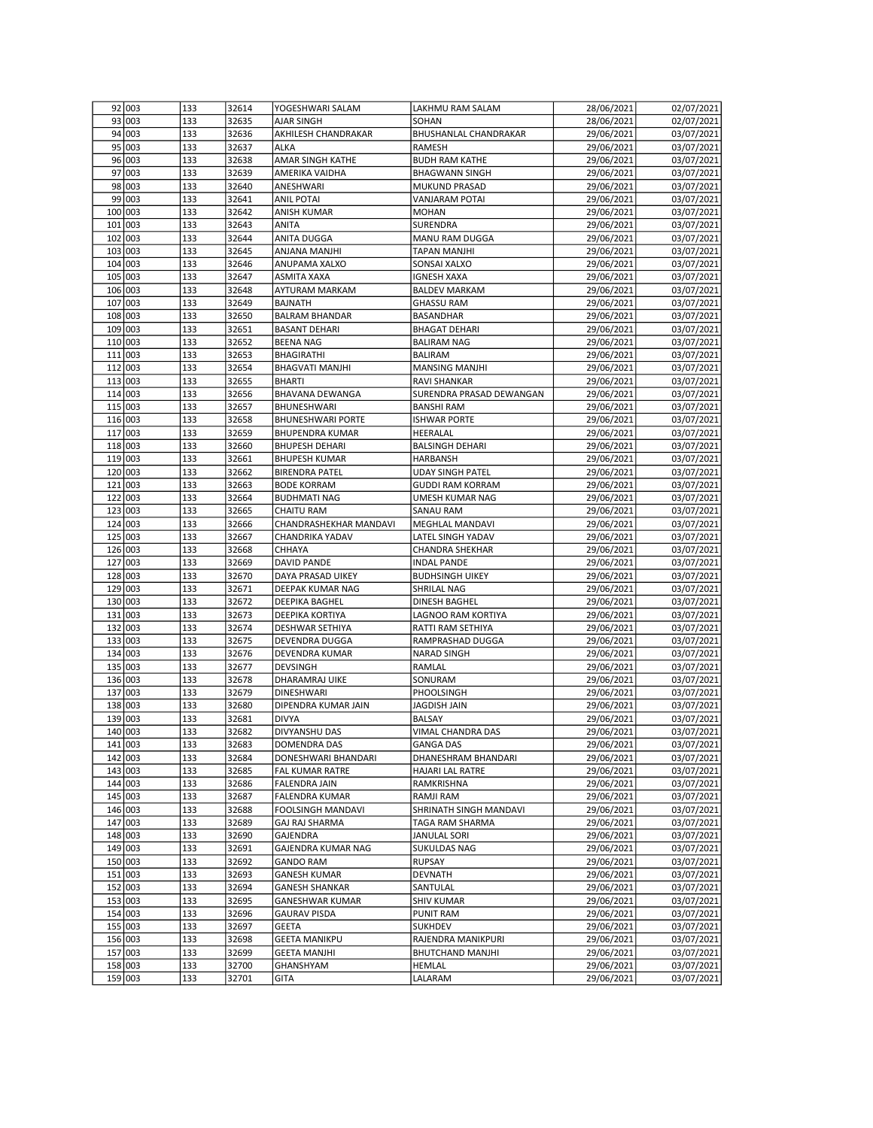|     | 92 003             | 133 | 32614 | YOGESHWARI SALAM         | LAKHMU RAM SALAM         | 28/06/2021               | 02/07/2021                             |
|-----|--------------------|-----|-------|--------------------------|--------------------------|--------------------------|----------------------------------------|
|     | 93 003             | 133 | 32635 | AJAR SINGH               | SOHAN                    | 28/06/2021               | 02/07/2021                             |
|     | 94 003             | 133 | 32636 | AKHILESH CHANDRAKAR      | BHUSHANLAL CHANDRAKAR    | 29/06/2021               | 03/07/2021                             |
|     | 95 003             | 133 | 32637 | <b>ALKA</b>              | RAMESH                   | 29/06/2021               | 03/07/2021                             |
|     | 96 003             | 133 | 32638 | AMAR SINGH KATHE         | <b>BUDH RAM KATHE</b>    | 29/06/2021               | 03/07/2021                             |
|     | 97 003             | 133 | 32639 | AMERIKA VAIDHA           | <b>BHAGWANN SINGH</b>    | 29/06/2021               | 03/07/2021                             |
|     | 98 003             |     |       |                          |                          |                          |                                        |
|     |                    | 133 | 32640 | ANESHWARI                | MUKUND PRASAD            | 29/06/2021               | 03/07/2021                             |
|     | 99 003             | 133 | 32641 | <b>ANIL POTAI</b>        | VANJARAM POTAI           | 29/06/2021               | 03/07/2021                             |
|     | 100 003            | 133 | 32642 | ANISH KUMAR              | MOHAN                    | 29/06/2021               | 03/07/2021                             |
|     | 101 003            | 133 | 32643 | <b>ANITA</b>             | SURENDRA                 | 29/06/2021               | 03/07/2021                             |
|     | 102 003            | 133 | 32644 | ANITA DUGGA              | MANU RAM DUGGA           | 29/06/2021               | 03/07/2021                             |
|     | 103 003            | 133 | 32645 | <b>ANJANA MANJHI</b>     | <b>TAPAN MANJHI</b>      | 29/06/2021               | 03/07/2021                             |
|     | 104 003            | 133 | 32646 | ANUPAMA XALXO            | SONSAI XALXO             | 29/06/2021               | 03/07/2021                             |
|     | 105 003            | 133 | 32647 | ASMITA XAXA              | IGNESH XAXA              | 29/06/2021               | 03/07/2021                             |
|     | 106 003            | 133 | 32648 | AYTURAM MARKAM           | <b>BALDEV MARKAM</b>     | 29/06/2021               | 03/07/2021                             |
|     |                    |     |       |                          |                          |                          |                                        |
|     | 107 003            | 133 | 32649 | BAJNATH                  | <b>GHASSU RAM</b>        | 29/06/2021               | 03/07/2021                             |
|     | 108 003            | 133 | 32650 | <b>BALRAM BHANDAR</b>    | BASANDHAR                | 29/06/2021               | 03/07/2021                             |
|     | 109 003            | 133 | 32651 | <b>BASANT DEHARI</b>     | <b>BHAGAT DEHARI</b>     | 29/06/2021               | 03/07/2021                             |
|     | 110 003            | 133 | 32652 | <b>BEENA NAG</b>         | <b>BALIRAM NAG</b>       | 29/06/2021               | 03/07/2021                             |
|     | 111 003            | 133 | 32653 | BHAGIRATHI               | BALIRAM                  | 29/06/2021               | 03/07/2021                             |
|     | 112 003            | 133 | 32654 | <b>BHAGVATI MANJHI</b>   | <b>MANSING MANJHI</b>    | 29/06/2021               | 03/07/2021                             |
|     | 113 003            | 133 | 32655 | <b>BHARTI</b>            | RAVI SHANKAR             | 29/06/2021               | 03/07/2021                             |
|     | 114 003            | 133 | 32656 | BHAVANA DEWANGA          | SURENDRA PRASAD DEWANGAN | 29/06/2021               | 03/07/2021                             |
|     | 115 003            | 133 | 32657 | BHUNESHWARI              | <b>BANSHI RAM</b>        | 29/06/2021               | 03/07/2021                             |
|     |                    |     |       |                          |                          |                          |                                        |
|     | 116 003            | 133 | 32658 | <b>BHUNESHWARI PORTE</b> | <b>ISHWAR PORTE</b>      | 29/06/2021               | 03/07/2021                             |
|     | 117 003            | 133 | 32659 | <b>BHUPENDRA KUMAR</b>   | HEERALAL                 | 29/06/2021               | 03/07/2021                             |
|     | 118 003            | 133 | 32660 | <b>BHUPESH DEHARI</b>    | <b>BALSINGH DEHARI</b>   | 29/06/2021               | 03/07/2021                             |
|     | 119 003            | 133 | 32661 | <b>BHUPESH KUMAR</b>     | HARBANSH                 | 29/06/2021               | 03/07/2021                             |
|     | 120 003            | 133 | 32662 | <b>BIRENDRA PATEL</b>    | UDAY SINGH PATEL         | 29/06/2021               | 03/07/2021                             |
|     | 121 003            | 133 | 32663 | <b>BODE KORRAM</b>       | <b>GUDDI RAM KORRAM</b>  | 29/06/2021               | 03/07/2021                             |
|     | 122 003            | 133 | 32664 | <b>BUDHMATI NAG</b>      | UMESH KUMAR NAG          | 29/06/2021               | 03/07/2021                             |
|     | 123 003            | 133 | 32665 | <b>CHAITU RAM</b>        | SANAU RAM                | 29/06/2021               | 03/07/2021                             |
|     | 124 003            | 133 | 32666 | CHANDRASHEKHAR MANDAVI   | MEGHLAL MANDAVI          | 29/06/2021               | 03/07/2021                             |
|     |                    |     |       |                          |                          |                          |                                        |
|     | 125 003            | 133 | 32667 | CHANDRIKA YADAV          | LATEL SINGH YADAV        | 29/06/2021               | 03/07/2021                             |
|     |                    |     |       |                          |                          |                          |                                        |
|     | 126 003            | 133 | 32668 | CHHAYA                   | CHANDRA SHEKHAR          | 29/06/2021               |                                        |
|     | 127 003            | 133 | 32669 | DAVID PANDE              | INDAL PANDE              | 29/06/2021               | 03/07/2021                             |
|     | 128 003            | 133 | 32670 | DAYA PRASAD UIKEY        | <b>BUDHSINGH UIKEY</b>   | 29/06/2021               | 03/07/2021<br>03/07/2021               |
|     | 129 003            | 133 | 32671 | DEEPAK KUMAR NAG         | SHRILAL NAG              | 29/06/2021               |                                        |
|     | 130 003            | 133 | 32672 | DEEPIKA BAGHEL           | DINESH BAGHEL            | 29/06/2021               | 03/07/2021                             |
|     | 131 003            | 133 |       |                          |                          |                          | 03/07/2021                             |
|     |                    |     | 32673 | DEEPIKA KORTIYA          | LAGNOO RAM KORTIYA       | 29/06/2021               | 03/07/2021                             |
|     | 132 003            | 133 | 32674 | DESHWAR SETHIYA          | RATTI RAM SETHIYA        | 29/06/2021               | 03/07/2021                             |
|     | 133 003            | 133 | 32675 | DEVENDRA DUGGA           | RAMPRASHAD DUGGA         | 29/06/2021               | 03/07/2021                             |
|     | 134 003            | 133 | 32676 | DEVENDRA KUMAR           | <b>NARAD SINGH</b>       | 29/06/2021               | 03/07/2021                             |
|     | 135 003            | 133 | 32677 | <b>DEVSINGH</b>          | RAMLAL                   | 29/06/2021               | 03/07/2021                             |
|     | 136 003            | 133 | 32678 | DHARAMRAJ UIKE           | SONURAM                  | 29/06/2021               | 03/07/2021                             |
|     | 137 003            | 133 | 32679 | <b>DINESHWARI</b>        | PHOOLSINGH               | 29/06/2021               | 03/07/2021                             |
|     | 138 003            | 133 | 32680 | DIPENDRA KUMAR JAIN      | JAGDISH JAIN             | 29/06/2021               | 03/07/2021                             |
| 139 | 003                | 133 | 32681 | <b>DIVYA</b>             | <b>BALSAY</b>            | 29/06/2021               | 03/07/2021                             |
|     | 140 003            | 133 | 32682 | DIVYANSHU DAS            | VIMAL CHANDRA DAS        | 29/06/2021               | 03/07/2021                             |
|     | 141 003            | 133 | 32683 | DOMENDRA DAS             | <b>GANGA DAS</b>         | 29/06/2021               |                                        |
|     |                    |     |       |                          |                          |                          |                                        |
|     | 142 003            | 133 | 32684 | DONESHWARI BHANDARI      | DHANESHRAM BHANDARI      | 29/06/2021               | 03/07/2021                             |
|     | 143 003            | 133 | 32685 | FAL KUMAR RATRE          | HAJARI LAL RATRE         | 29/06/2021               |                                        |
|     | 144 003            | 133 | 32686 | <b>FALENDRA JAIN</b>     | RAMKRISHNA               | 29/06/2021               | 03/07/2021<br>03/07/2021<br>03/07/2021 |
|     | 145 003            | 133 | 32687 | FALENDRA KUMAR           | RAMJI RAM                | 29/06/2021               | 03/07/2021                             |
|     | 146 003            | 133 | 32688 | FOOLSINGH MANDAVI        | SHRINATH SINGH MANDAVI   | 29/06/2021               | 03/07/2021                             |
|     | 147 003            | 133 | 32689 | GAJ RAJ SHARMA           | TAGA RAM SHARMA          | 29/06/2021               | 03/07/2021                             |
|     | 148 003            | 133 | 32690 | GAJENDRA                 | JANULAL SORI             | 29/06/2021               | 03/07/2021                             |
|     | 149 003            | 133 | 32691 | GAJENDRA KUMAR NAG       | SUKULDAS NAG             | 29/06/2021               | 03/07/2021                             |
|     | 150 003            | 133 | 32692 | <b>GANDO RAM</b>         | RUPSAY                   | 29/06/2021               | 03/07/2021                             |
|     | 151 003            | 133 | 32693 | <b>GANESH KUMAR</b>      | DEVNATH                  | 29/06/2021               | 03/07/2021                             |
|     |                    |     |       |                          |                          |                          |                                        |
|     | 152 003            | 133 | 32694 | <b>GANESH SHANKAR</b>    | SANTULAL                 | 29/06/2021               | 03/07/2021                             |
|     | 153 003            | 133 | 32695 | GANESHWAR KUMAR          | SHIV KUMAR               | 29/06/2021               | 03/07/2021                             |
|     | 154 003            | 133 | 32696 | <b>GAURAV PISDA</b>      | PUNIT RAM                | 29/06/2021               | 03/07/2021                             |
|     | 155 003            | 133 | 32697 | GEETA                    | <b>SUKHDEV</b>           | 29/06/2021               | 03/07/2021                             |
|     | 156 003            | 133 | 32698 | <b>GEETA MANIKPU</b>     | RAJENDRA MANIKPURI       | 29/06/2021               | 03/07/2021                             |
|     | 157 003            | 133 | 32699 | <b>GEETA MANJHI</b>      | BHUTCHAND MANJHI         | 29/06/2021               | 03/07/2021                             |
|     | 158 003<br>159 003 | 133 | 32700 | GHANSHYAM                | HEMLAL                   | 29/06/2021<br>29/06/2021 | 03/07/2021                             |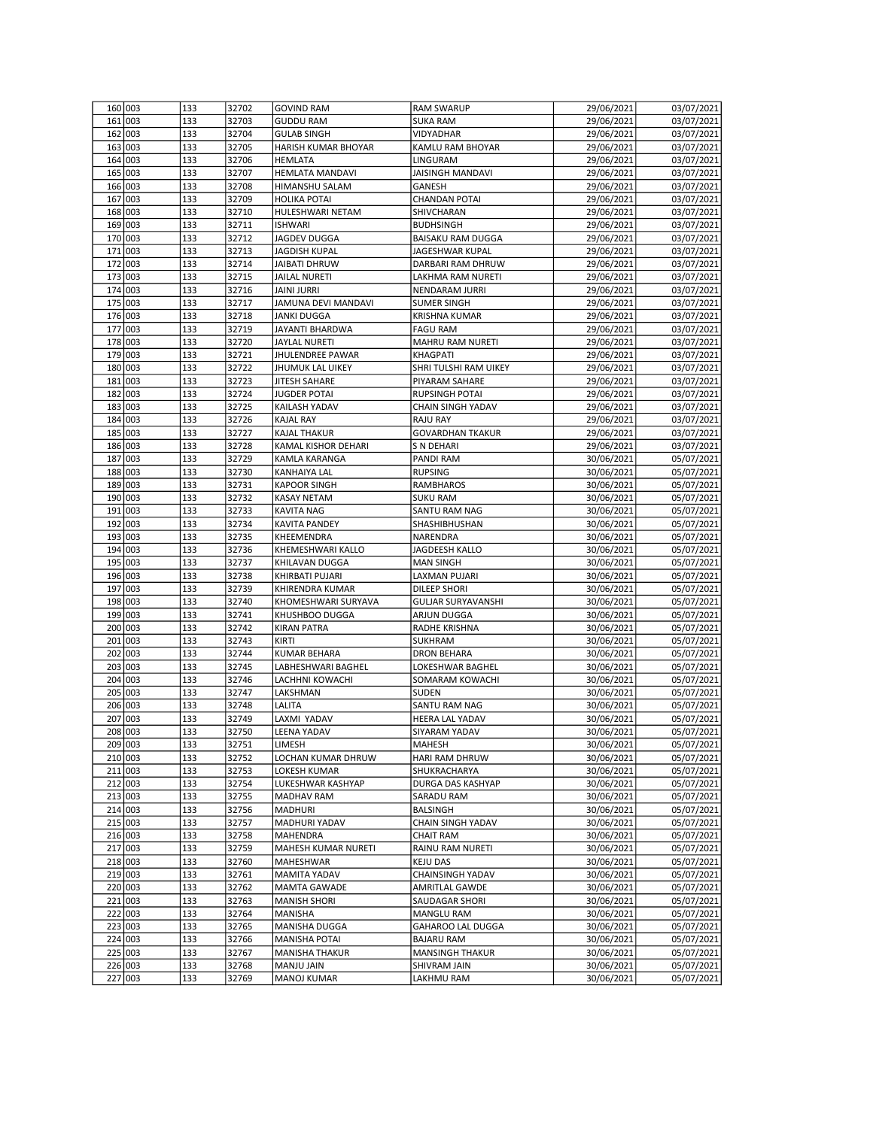| 160 003 | 133 | 32702 | <b>GOVIND RAM</b>       | <b>RAM SWARUP</b>         | 29/06/2021 | 03/07/2021 |
|---------|-----|-------|-------------------------|---------------------------|------------|------------|
| 161 003 | 133 | 32703 | <b>GUDDU RAM</b>        | <b>SUKA RAM</b>           | 29/06/2021 | 03/07/2021 |
| 162 003 | 133 | 32704 | <b>GULAB SINGH</b>      | VIDYADHAR                 | 29/06/2021 | 03/07/2021 |
| 163 003 | 133 | 32705 | HARISH KUMAR BHOYAR     | KAMLU RAM BHOYAR          | 29/06/2021 | 03/07/2021 |
| 164 003 | 133 | 32706 | HEMLATA                 | LINGURAM                  | 29/06/2021 | 03/07/2021 |
| 165 003 | 133 | 32707 | HEMLATA MANDAVI         | JAISINGH MANDAVI          | 29/06/2021 | 03/07/2021 |
| 166 003 | 133 | 32708 | HIMANSHU SALAM          | GANESH                    | 29/06/2021 | 03/07/2021 |
| 167 003 | 133 | 32709 | <b>HOLIKA POTAI</b>     | <b>CHANDAN POTAI</b>      | 29/06/2021 | 03/07/2021 |
| 168 003 | 133 | 32710 | HULESHWARI NETAM        | SHIVCHARAN                | 29/06/2021 | 03/07/2021 |
| 169 003 | 133 | 32711 | <b>ISHWARI</b>          | <b>BUDHSINGH</b>          | 29/06/2021 | 03/07/2021 |
| 170 003 | 133 | 32712 | JAGDEV DUGGA            | BAISAKU RAM DUGGA         | 29/06/2021 | 03/07/2021 |
| 171 003 | 133 | 32713 | JAGDISH KUPAL           | JAGESHWAR KUPAL           | 29/06/2021 | 03/07/2021 |
| 172 003 | 133 | 32714 | JAIBATI DHRUW           | DARBARI RAM DHRUW         | 29/06/2021 | 03/07/2021 |
| 173 003 | 133 | 32715 | JAILAL NURETI           | LAKHMA RAM NURETI         | 29/06/2021 | 03/07/2021 |
| 174 003 | 133 | 32716 | <b>JAINI JURRI</b>      | NENDARAM JURRI            | 29/06/2021 | 03/07/2021 |
| 175 003 | 133 | 32717 | JAMUNA DEVI MANDAVI     | <b>SUMER SINGH</b>        | 29/06/2021 | 03/07/2021 |
| 176 003 | 133 | 32718 | JANKI DUGGA             | KRISHNA KUMAR             | 29/06/2021 | 03/07/2021 |
| 177 003 | 133 | 32719 | JAYANTI BHARDWA         | <b>FAGU RAM</b>           | 29/06/2021 | 03/07/2021 |
| 178 003 | 133 | 32720 | JAYLAL NURETI           | MAHRU RAM NURETI          | 29/06/2021 | 03/07/2021 |
| 179 003 | 133 | 32721 | JHULENDREE PAWAR        | KHAGPATI                  | 29/06/2021 | 03/07/2021 |
| 180 003 | 133 | 32722 | <b>JHUMUK LAL UIKEY</b> | SHRI TULSHI RAM UIKEY     | 29/06/2021 | 03/07/2021 |
| 181 003 | 133 | 32723 | <b>JITESH SAHARE</b>    | PIYARAM SAHARE            | 29/06/2021 | 03/07/2021 |
| 182 003 | 133 | 32724 | <b>JUGDER POTAI</b>     | <b>RUPSINGH POTAI</b>     | 29/06/2021 | 03/07/2021 |
| 183 003 | 133 | 32725 | KAILASH YADAV           | CHAIN SINGH YADAV         | 29/06/2021 | 03/07/2021 |
| 184 003 | 133 | 32726 | <b>KAJAL RAY</b>        | <b>RAJU RAY</b>           | 29/06/2021 | 03/07/2021 |
| 185 003 | 133 | 32727 | <b>KAJAL THAKUR</b>     | <b>GOVARDHAN TKAKUR</b>   | 29/06/2021 | 03/07/2021 |
| 186 003 | 133 | 32728 | KAMAL KISHOR DEHARI     | S N DEHARI                | 29/06/2021 | 03/07/2021 |
| 187 003 | 133 | 32729 | KAMLA KARANGA           | PANDI RAM                 | 30/06/2021 | 05/07/2021 |
| 188 003 | 133 | 32730 | KANHAIYA LAL            | <b>RUPSING</b>            | 30/06/2021 | 05/07/2021 |
| 189 003 | 133 | 32731 | <b>KAPOOR SINGH</b>     | <b>RAMBHAROS</b>          | 30/06/2021 | 05/07/2021 |
| 190 003 | 133 | 32732 | <b>KASAY NETAM</b>      | <b>SUKU RAM</b>           | 30/06/2021 | 05/07/2021 |
| 191 003 | 133 | 32733 | KAVITA NAG              | SANTU RAM NAG             | 30/06/2021 | 05/07/2021 |
| 192 003 | 133 | 32734 | KAVITA PANDEY           | SHASHIBHUSHAN             | 30/06/2021 | 05/07/2021 |
| 193 003 | 133 | 32735 | KHEEMENDRA              | NARENDRA                  | 30/06/2021 | 05/07/2021 |
| 194 003 | 133 | 32736 | KHEMESHWARI KALLO       | JAGDEESH KALLO            | 30/06/2021 | 05/07/2021 |
| 195 003 | 133 | 32737 | KHILAVAN DUGGA          | MAN SINGH                 | 30/06/2021 | 05/07/2021 |
| 196 003 | 133 | 32738 | KHIRBATI PUJARI         | LAXMAN PUJARI             | 30/06/2021 | 05/07/2021 |
| 197 003 | 133 | 32739 | KHIRENDRA KUMAR         | DILEEP SHORI              | 30/06/2021 | 05/07/2021 |
| 198 003 | 133 | 32740 | KHOMESHWARI SURYAVA     | <b>GULJAR SURYAVANSHI</b> | 30/06/2021 | 05/07/2021 |
| 199 003 | 133 | 32741 | KHUSHBOO DUGGA          | ARJUN DUGGA               | 30/06/2021 | 05/07/2021 |
| 200 003 | 133 | 32742 | KIRAN PATRA             | RADHE KRISHNA             | 30/06/2021 | 05/07/2021 |
| 201 003 | 133 | 32743 | <b>KIRTI</b>            | SUKHRAM                   | 30/06/2021 | 05/07/2021 |
| 202 003 | 133 | 32744 | KUMAR BEHARA            | <b>DRON BEHARA</b>        | 30/06/2021 | 05/07/2021 |
| 203 003 | 133 | 32745 | LABHESHWARI BAGHEL      | LOKESHWAR BAGHEL          | 30/06/2021 | 05/07/2021 |
| 204 003 | 133 | 32746 | LACHHNI KOWACHI         | SOMARAM KOWACHI           | 30/06/2021 | 05/07/2021 |
| 205 003 | 133 | 32747 | LAKSHMAN                | <b>SUDEN</b>              | 30/06/2021 | 05/07/2021 |
| 206 003 | 133 | 32748 | LALITA                  | SANTU RAM NAG             | 30/06/2021 | 05/07/2021 |
| 207 003 | 133 | 32749 | LAXMI YADAV             | HEERA LAL YADAV           | 30/06/2021 | 05/07/2021 |
| 208 003 | 133 | 32750 | LEENA YADAV             | SIYARAM YADAV             | 30/06/2021 | 05/07/2021 |
| 209 003 | 133 | 32751 | LIMESH                  | <b>MAHESH</b>             | 30/06/2021 | 05/07/2021 |
| 210 003 | 133 | 32752 | LOCHAN KUMAR DHRUW      | HARI RAM DHRUW            | 30/06/2021 | 05/07/2021 |
| 211 003 | 133 | 32753 | LOKESH KUMAR            | SHUKRACHARYA              | 30/06/2021 | 05/07/2021 |
| 212 003 | 133 | 32754 | LUKESHWAR KASHYAP       | DURGA DAS KASHYAP         | 30/06/2021 | 05/07/2021 |
| 213 003 | 133 | 32755 | MADHAV RAM              | SARADU RAM                | 30/06/2021 | 05/07/2021 |
| 214 003 | 133 | 32756 | MADHURI                 | BALSINGH                  | 30/06/2021 | 05/07/2021 |
| 215 003 | 133 | 32757 | MADHURI YADAV           | CHAIN SINGH YADAV         | 30/06/2021 | 05/07/2021 |
| 216 003 | 133 | 32758 | MAHENDRA                | <b>CHAIT RAM</b>          | 30/06/2021 | 05/07/2021 |
| 217 003 | 133 | 32759 | MAHESH KUMAR NURETI     | RAINU RAM NURETI          | 30/06/2021 | 05/07/2021 |
| 218 003 | 133 | 32760 | MAHESHWAR               | <b>KEJU DAS</b>           | 30/06/2021 | 05/07/2021 |
| 219 003 | 133 | 32761 | MAMITA YADAV            | CHAINSINGH YADAV          | 30/06/2021 | 05/07/2021 |
| 220 003 | 133 | 32762 | <b>MAMTA GAWADE</b>     | AMRITLAL GAWDE            | 30/06/2021 | 05/07/2021 |
| 221 003 | 133 | 32763 | <b>MANISH SHORI</b>     | SAUDAGAR SHORI            | 30/06/2021 | 05/07/2021 |
| 222 003 | 133 | 32764 | MANISHA                 | MANGLU RAM                | 30/06/2021 | 05/07/2021 |
| 223 003 | 133 | 32765 | MANISHA DUGGA           | GAHAROO LAL DUGGA         | 30/06/2021 | 05/07/2021 |
| 224 003 | 133 | 32766 | <b>MANISHA POTAI</b>    | <b>BAJARU RAM</b>         | 30/06/2021 | 05/07/2021 |
| 225 003 | 133 | 32767 | MANISHA THAKUR          | MANSINGH THAKUR           | 30/06/2021 | 05/07/2021 |
| 226 003 | 133 | 32768 | MANJU JAIN              | SHIVRAM JAIN              | 30/06/2021 | 05/07/2021 |
| 227 003 | 133 | 32769 | MANOJ KUMAR             | LAKHMU RAM                | 30/06/2021 | 05/07/2021 |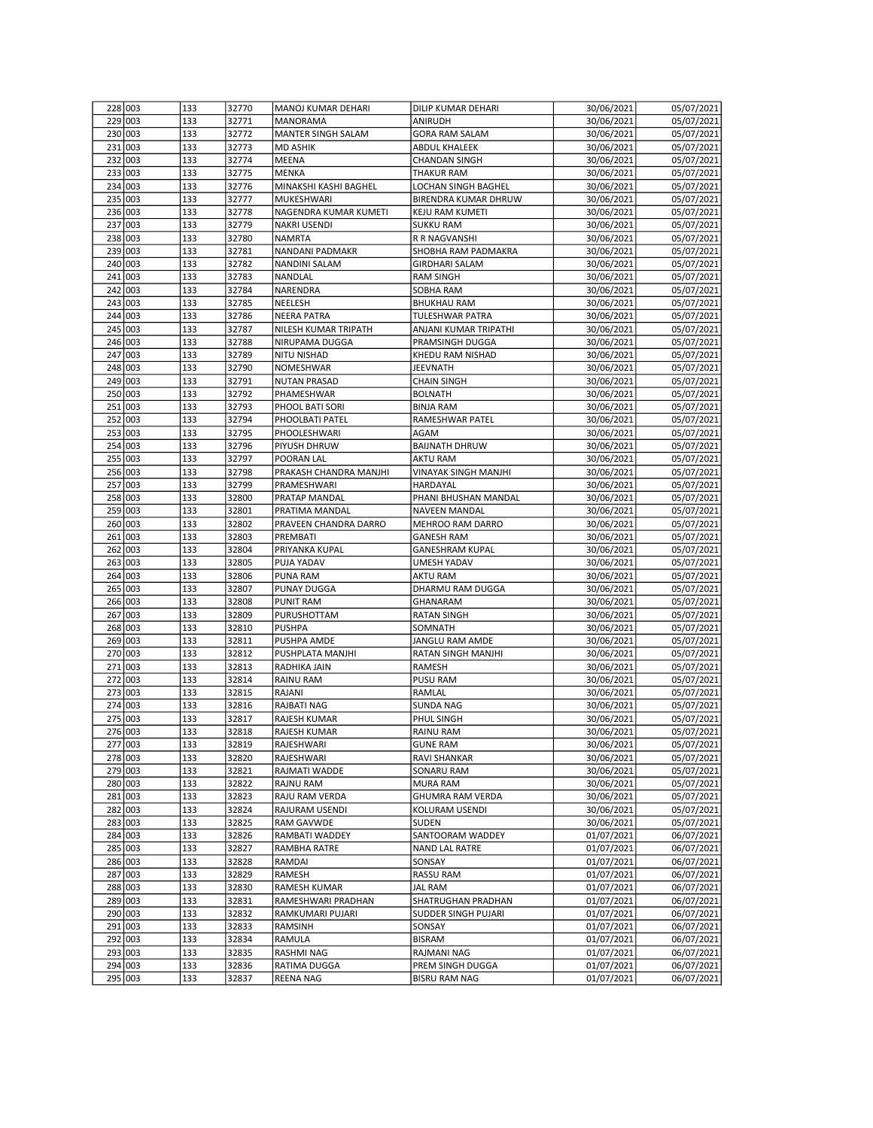| 228 003 | 133 | 32770 | MANOJ KUMAR DEHARI     | DILIP KUMAR DEHARI          | 30/06/2021 | 05/07/2021 |
|---------|-----|-------|------------------------|-----------------------------|------------|------------|
| 229 003 | 133 | 32771 | <b>MANORAMA</b>        | ANIRUDH                     | 30/06/2021 | 05/07/2021 |
| 230 003 | 133 | 32772 | MANTER SINGH SALAM     | <b>GORA RAM SALAM</b>       | 30/06/2021 | 05/07/2021 |
| 231 003 | 133 | 32773 | <b>MD ASHIK</b>        | <b>ABDUL KHALEEK</b>        | 30/06/2021 | 05/07/2021 |
| 232 003 | 133 | 32774 | MEENA                  | <b>CHANDAN SINGH</b>        | 30/06/2021 | 05/07/2021 |
| 233 003 | 133 | 32775 | <b>MENKA</b>           | THAKUR RAM                  | 30/06/2021 | 05/07/2021 |
| 234 003 | 133 | 32776 | MINAKSHI KASHI BAGHEL  | LOCHAN SINGH BAGHEL         | 30/06/2021 | 05/07/2021 |
| 235 003 | 133 | 32777 | MUKESHWARI             | BIRENDRA KUMAR DHRUW        | 30/06/2021 | 05/07/2021 |
| 236 003 | 133 | 32778 | NAGENDRA KUMAR KUMETI  | KEJU RAM KUMETI             | 30/06/2021 | 05/07/2021 |
| 237 003 | 133 | 32779 | NAKRI USENDI           | <b>SUKKU RAM</b>            | 30/06/2021 | 05/07/2021 |
| 238 003 | 133 | 32780 | <b>NAMRTA</b>          | R R NAGVANSHI               | 30/06/2021 | 05/07/2021 |
| 239 003 | 133 | 32781 | NANDANI PADMAKR        | SHOBHA RAM PADMAKRA         | 30/06/2021 | 05/07/2021 |
| 240 003 | 133 | 32782 | NANDINI SALAM          | <b>GIRDHARI SALAM</b>       | 30/06/2021 | 05/07/2021 |
| 241 003 | 133 | 32783 | NANDLAL                | <b>RAM SINGH</b>            | 30/06/2021 | 05/07/2021 |
| 242 003 | 133 | 32784 | NARENDRA               | SOBHA RAM                   | 30/06/2021 | 05/07/2021 |
| 243 003 | 133 | 32785 | NEELESH                | <b>BHUKHAU RAM</b>          | 30/06/2021 | 05/07/2021 |
| 244 003 | 133 | 32786 | <b>NEERA PATRA</b>     | TULESHWAR PATRA             | 30/06/2021 | 05/07/2021 |
| 245 003 | 133 | 32787 | NILESH KUMAR TRIPATH   | ANJANI KUMAR TRIPATHI       | 30/06/2021 | 05/07/2021 |
| 246 003 | 133 | 32788 | NIRUPAMA DUGGA         | PRAMSINGH DUGGA             | 30/06/2021 | 05/07/2021 |
| 247 003 | 133 | 32789 | NITU NISHAD            | KHEDU RAM NISHAD            | 30/06/2021 | 05/07/2021 |
| 248 003 | 133 | 32790 | NOMESHWAR              | <b>JEEVNATH</b>             | 30/06/2021 | 05/07/2021 |
| 249 003 | 133 | 32791 | <b>NUTAN PRASAD</b>    | <b>CHAIN SINGH</b>          | 30/06/2021 | 05/07/2021 |
| 250 003 | 133 | 32792 | PHAMESHWAR             | <b>BOLNATH</b>              | 30/06/2021 | 05/07/2021 |
| 251 003 | 133 | 32793 | PHOOL BATI SORI        | <b>BINJA RAM</b>            | 30/06/2021 | 05/07/2021 |
| 252 003 | 133 | 32794 | PHOOLBATI PATEL        | RAMESHWAR PATEL             | 30/06/2021 | 05/07/2021 |
| 253 003 | 133 | 32795 | PHOOLESHWARI           | AGAM                        | 30/06/2021 | 05/07/2021 |
| 254 003 | 133 | 32796 | PIYUSH DHRUW           | <b>BAIJNATH DHRUW</b>       | 30/06/2021 | 05/07/2021 |
| 255 003 | 133 | 32797 | POORAN LAL             | <b>AKTU RAM</b>             | 30/06/2021 | 05/07/2021 |
| 256 003 | 133 | 32798 | PRAKASH CHANDRA MANJHI | <b>VINAYAK SINGH MANJHI</b> | 30/06/2021 | 05/07/2021 |
| 257 003 | 133 | 32799 | PRAMESHWARI            | HARDAYAL                    | 30/06/2021 | 05/07/2021 |
| 258 003 | 133 | 32800 | PRATAP MANDAL          | PHANI BHUSHAN MANDAL        | 30/06/2021 | 05/07/2021 |
| 259 003 | 133 | 32801 | PRATIMA MANDAL         | NAVEEN MANDAL               | 30/06/2021 | 05/07/2021 |
| 260 003 | 133 | 32802 | PRAVEEN CHANDRA DARRO  | MEHROO RAM DARRO            | 30/06/2021 | 05/07/2021 |
| 261 003 | 133 | 32803 | PREMBATI               | <b>GANESH RAM</b>           | 30/06/2021 | 05/07/2021 |
| 262 003 | 133 | 32804 | PRIYANKA KUPAL         | <b>GANESHRAM KUPAL</b>      | 30/06/2021 | 05/07/2021 |
| 263 003 | 133 | 32805 | PUJA YADAV             | <b>UMESH YADAV</b>          | 30/06/2021 | 05/07/2021 |
| 264 003 | 133 | 32806 | PUNA RAM               | AKTU RAM                    | 30/06/2021 | 05/07/2021 |
| 265 003 | 133 | 32807 | PUNAY DUGGA            | DHARMU RAM DUGGA            | 30/06/2021 | 05/07/2021 |
| 266 003 | 133 | 32808 | <b>PUNIT RAM</b>       | GHANARAM                    | 30/06/2021 | 05/07/2021 |
| 267 003 | 133 | 32809 | PURUSHOTTAM            | <b>RATAN SINGH</b>          | 30/06/2021 | 05/07/2021 |
| 268 003 | 133 | 32810 | <b>PUSHPA</b>          | SOMNATH                     | 30/06/2021 | 05/07/2021 |
| 269 003 | 133 | 32811 | PUSHPA AMDE            | JANGLU RAM AMDE             | 30/06/2021 | 05/07/2021 |
| 270 003 | 133 | 32812 | PUSHPLATA MANJHI       | RATAN SINGH MANJHI          | 30/06/2021 | 05/07/2021 |
| 271 003 | 133 | 32813 | RADHIKA JAIN           | RAMESH                      | 30/06/2021 | 05/07/2021 |
| 272 003 | 133 | 32814 | RAINU RAM              | <b>PUSU RAM</b>             | 30/06/2021 | 05/07/2021 |
| 273 003 | 133 | 32815 | RAJANI                 | RAMLAL                      | 30/06/2021 | 05/07/2021 |
| 274 003 | 133 | 32816 | RAJBATI NAG            | <b>SUNDA NAG</b>            | 30/06/2021 | 05/07/2021 |
| 275 003 | 133 | 32817 | RAJESH KUMAR           | PHUL SINGH                  | 30/06/2021 | 05/07/2021 |
| 276 003 | 133 | 32818 | RAJESH KUMAR           | <b>RAINU RAM</b>            | 30/06/2021 | 05/07/2021 |
| 277 003 | 133 | 32819 | RAJESHWARI             | <b>GUNE RAM</b>             | 30/06/2021 | 05/07/2021 |
| 278 003 | 133 | 32820 | RAJESHWARI             | RAVI SHANKAR                | 30/06/2021 | 05/07/2021 |
| 279 003 | 133 | 32821 | RAJMATI WADDE          | SONARU RAM                  | 30/06/2021 | 05/07/2021 |
| 280 003 | 133 | 32822 | RAJNU RAM              | <b>MURA RAM</b>             | 30/06/2021 | 05/07/2021 |
| 281 003 | 133 | 32823 | RAJU RAM VERDA         | <b>GHUMRA RAM VERDA</b>     | 30/06/2021 | 05/07/2021 |
| 282 003 | 133 | 32824 | RAJURAM USENDI         | KOLURAM USENDI              | 30/06/2021 | 05/07/2021 |
| 283 003 | 133 | 32825 | RAM GAVWDE             | <b>SUDEN</b>                | 30/06/2021 | 05/07/2021 |
| 284 003 | 133 | 32826 | RAMBATI WADDEY         | SANTOORAM WADDEY            | 01/07/2021 | 06/07/2021 |
| 285 003 | 133 | 32827 | RAMBHA RATRE           | NAND LAL RATRE              | 01/07/2021 | 06/07/2021 |
| 286 003 | 133 | 32828 | RAMDAI                 | SONSAY                      | 01/07/2021 | 06/07/2021 |
| 287 003 | 133 | 32829 | RAMESH                 | <b>RASSU RAM</b>            | 01/07/2021 | 06/07/2021 |
| 288 003 | 133 | 32830 | RAMESH KUMAR           | <b>JAL RAM</b>              | 01/07/2021 | 06/07/2021 |
| 289 003 | 133 | 32831 | RAMESHWARI PRADHAN     | SHATRUGHAN PRADHAN          | 01/07/2021 | 06/07/2021 |
| 290 003 | 133 | 32832 | RAMKUMARI PUJARI       | SUDDER SINGH PUJARI         | 01/07/2021 | 06/07/2021 |
| 291 003 | 133 | 32833 | RAMSINH                | SONSAY                      | 01/07/2021 | 06/07/2021 |
| 292 003 | 133 | 32834 | RAMULA                 | <b>BISRAM</b>               | 01/07/2021 | 06/07/2021 |
| 293 003 | 133 | 32835 | RASHMI NAG             | RAJMANI NAG                 | 01/07/2021 | 06/07/2021 |
| 294 003 | 133 | 32836 | RATIMA DUGGA           | PREM SINGH DUGGA            | 01/07/2021 | 06/07/2021 |
| 295 003 | 133 | 32837 | <b>REENA NAG</b>       | <b>BISRU RAM NAG</b>        | 01/07/2021 | 06/07/2021 |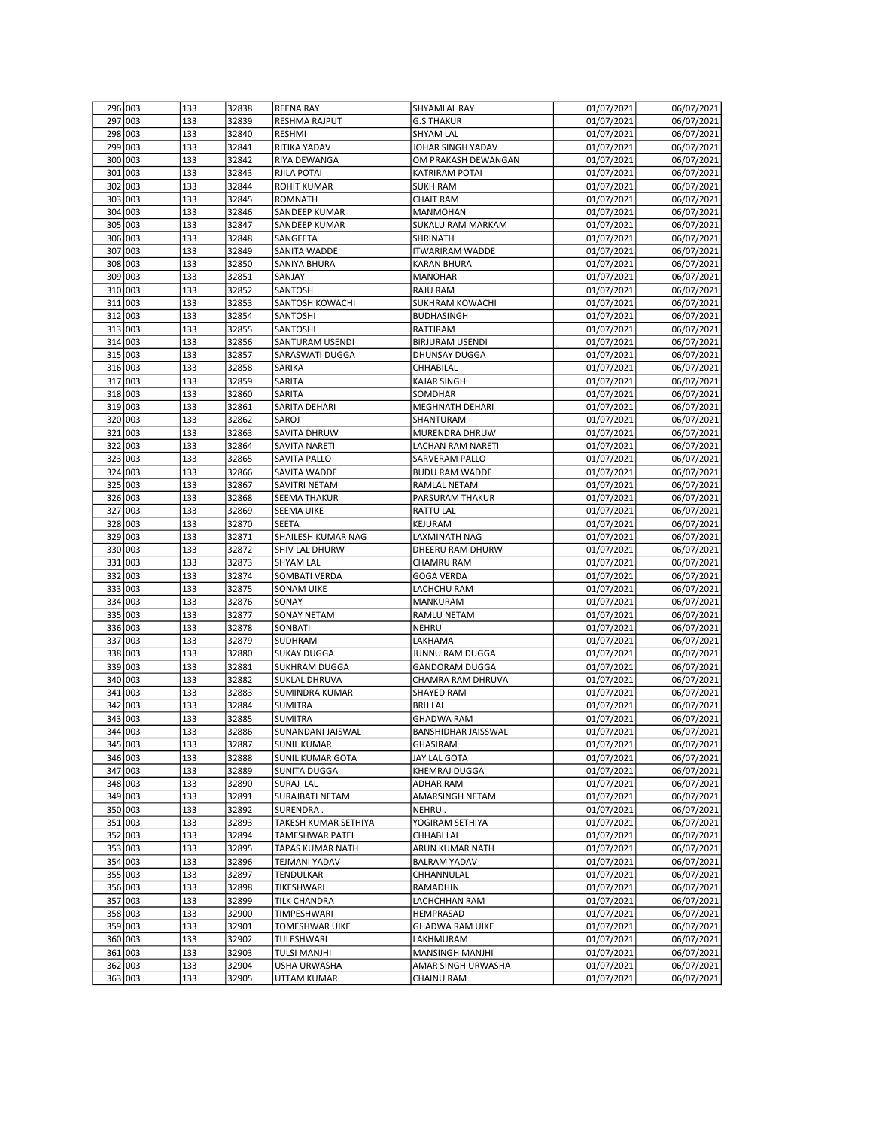| 296 003 | 133 | 32838 | <b>REENA RAY</b>       | SHYAMLAL RAY               | 01/07/2021 | 06/07/2021 |
|---------|-----|-------|------------------------|----------------------------|------------|------------|
| 297 003 | 133 | 32839 | RESHMA RAJPUT          | <b>G.S THAKUR</b>          | 01/07/2021 | 06/07/2021 |
| 298 003 | 133 | 32840 | RESHMI                 | SHYAM LAL                  | 01/07/2021 | 06/07/2021 |
| 299 003 | 133 | 32841 | RITIKA YADAV           | JOHAR SINGH YADAV          | 01/07/2021 | 06/07/2021 |
| 300 003 | 133 | 32842 | RIYA DEWANGA           | OM PRAKASH DEWANGAN        | 01/07/2021 | 06/07/2021 |
| 301 003 | 133 | 32843 | RJILA POTAI            | KATRIRAM POTAI             | 01/07/2021 | 06/07/2021 |
| 302 003 | 133 | 32844 | ROHIT KUMAR            | SUKH RAM                   | 01/07/2021 | 06/07/2021 |
| 303 003 | 133 | 32845 | <b>ROMNATH</b>         | <b>CHAIT RAM</b>           | 01/07/2021 | 06/07/2021 |
| 304 003 | 133 | 32846 | SANDEEP KUMAR          | <b>MANMOHAN</b>            | 01/07/2021 | 06/07/2021 |
| 305 003 | 133 | 32847 | SANDEEP KUMAR          | SUKALU RAM MARKAM          | 01/07/2021 | 06/07/2021 |
| 306 003 | 133 | 32848 | SANGEETA               | SHRINATH                   | 01/07/2021 | 06/07/2021 |
| 307 003 | 133 | 32849 | SANITA WADDE           | <b>ITWARIRAM WADDE</b>     | 01/07/2021 | 06/07/2021 |
| 308 003 | 133 | 32850 |                        | KARAN BHURA                |            |            |
| 309 003 |     |       | SANIYA BHURA           |                            | 01/07/2021 | 06/07/2021 |
| 310 003 | 133 | 32851 | SANJAY                 | MANOHAR                    | 01/07/2021 | 06/07/2021 |
|         | 133 | 32852 | SANTOSH                | RAJU RAM                   | 01/07/2021 | 06/07/2021 |
| 311 003 | 133 | 32853 | SANTOSH KOWACHI        | SUKHRAM KOWACHI            | 01/07/2021 | 06/07/2021 |
| 312 003 | 133 | 32854 | SANTOSHI               | <b>BUDHASINGH</b>          | 01/07/2021 | 06/07/2021 |
| 313 003 | 133 | 32855 | SANTOSHI               | RATTIRAM                   | 01/07/2021 | 06/07/2021 |
| 314 003 | 133 | 32856 | SANTURAM USENDI        | <b>BIRJURAM USENDI</b>     | 01/07/2021 | 06/07/2021 |
| 315 003 | 133 | 32857 | SARASWATI DUGGA        | DHUNSAY DUGGA              | 01/07/2021 | 06/07/2021 |
| 316 003 | 133 | 32858 | SARIKA                 | CHHABILAL                  | 01/07/2021 | 06/07/2021 |
| 317 003 | 133 | 32859 | SARITA                 | <b>KAJAR SINGH</b>         | 01/07/2021 | 06/07/2021 |
| 318 003 | 133 | 32860 | SARITA                 | SOMDHAR                    | 01/07/2021 | 06/07/2021 |
| 319 003 | 133 | 32861 | SARITA DEHARI          | <b>MEGHNATH DEHARI</b>     | 01/07/2021 | 06/07/2021 |
| 320 003 | 133 | 32862 | SAROJ                  | SHANTURAM                  | 01/07/2021 | 06/07/2021 |
| 321 003 | 133 | 32863 | SAVITA DHRUW           | MURENDRA DHRUW             | 01/07/2021 | 06/07/2021 |
| 322 003 | 133 | 32864 | SAVITA NARETI          | <b>LACHAN RAM NARETI</b>   | 01/07/2021 | 06/07/2021 |
| 323 003 | 133 | 32865 | <b>SAVITA PALLO</b>    | SARVERAM PALLO             | 01/07/2021 | 06/07/2021 |
| 324 003 | 133 | 32866 | SAVITA WADDE           | <b>BUDU RAM WADDE</b>      | 01/07/2021 | 06/07/2021 |
| 325 003 | 133 | 32867 | SAVITRI NETAM          | RAMLAL NETAM               | 01/07/2021 | 06/07/2021 |
| 326 003 | 133 | 32868 | <b>SEEMA THAKUR</b>    | PARSURAM THAKUR            | 01/07/2021 | 06/07/2021 |
| 327 003 | 133 | 32869 | SEEMA UIKE             | RATTU LAL                  | 01/07/2021 | 06/07/2021 |
| 328 003 | 133 | 32870 | SEETA                  | KEJURAM                    | 01/07/2021 | 06/07/2021 |
| 329 003 | 133 | 32871 | SHAILESH KUMAR NAG     | LAXMINATH NAG              | 01/07/2021 | 06/07/2021 |
| 330 003 | 133 | 32872 | SHIV LAL DHURW         | DHEERU RAM DHURW           | 01/07/2021 | 06/07/2021 |
| 331 003 | 133 | 32873 | SHYAM LAL              | CHAMRU RAM                 | 01/07/2021 | 06/07/2021 |
| 332 003 | 133 | 32874 | SOMBATI VERDA          | GOGA VERDA                 | 01/07/2021 | 06/07/2021 |
| 333 003 | 133 | 32875 | SONAM UIKE             | LACHCHU RAM                | 01/07/2021 | 06/07/2021 |
| 334 003 | 133 | 32876 | SONAY                  | MANKURAM                   | 01/07/2021 | 06/07/2021 |
| 335 003 | 133 | 32877 | SONAY NETAM            | RAMLU NETAM                | 01/07/2021 | 06/07/2021 |
| 336 003 | 133 | 32878 | SONBATI                | <b>NEHRU</b>               |            | 06/07/2021 |
| 337 003 | 133 | 32879 | SUDHRAM                |                            | 01/07/2021 |            |
|         |     |       |                        | LAKHAMA                    | 01/07/2021 | 06/07/2021 |
| 338 003 | 133 | 32880 | <b>SUKAY DUGGA</b>     | JUNNU RAM DUGGA            | 01/07/2021 | 06/07/2021 |
| 339 003 | 133 | 32881 | SUKHRAM DUGGA          | GANDORAM DUGGA             | 01/07/2021 | 06/07/2021 |
| 340 003 | 133 | 32882 | SUKLAL DHRUVA          | CHAMRA RAM DHRUVA          | 01/07/2021 | 06/07/2021 |
| 341 003 | 133 | 32883 | SUMINDRA KUMAR         | SHAYED RAM                 | 01/07/2021 | 06/07/2021 |
| 342 003 | 133 | 32884 | <b>SUMITRA</b>         | <b>BRIJ LAL</b>            | 01/07/2021 | 06/07/2021 |
| 343 003 | 133 | 32885 | <b>SUMITRA</b>         | <b>GHADWA RAM</b>          | 01/07/2021 | 06/07/2021 |
| 344 003 | 133 | 32886 | SUNANDANI JAISWAL      | <b>BANSHIDHAR JAISSWAL</b> | 01/07/2021 | 06/07/2021 |
| 345 003 | 133 | 32887 | <b>SUNIL KUMAR</b>     | GHASIRAM                   | 01/07/2021 | 06/07/2021 |
| 346 003 | 133 | 32888 | SUNIL KUMAR GOTA       | JAY LAL GOTA               | 01/07/2021 | 06/07/2021 |
| 347 003 | 133 | 32889 | SUNITA DUGGA           | KHEMRAJ DUGGA              | 01/07/2021 | 06/07/2021 |
| 348 003 | 133 | 32890 | SURAJ LAL              | ADHAR RAM                  | 01/07/2021 | 06/07/2021 |
| 349 003 | 133 | 32891 | <b>SURAJBATI NETAM</b> | <b>AMARSINGH NETAM</b>     | 01/07/2021 | 06/07/2021 |
| 350 003 | 133 | 32892 | SURENDRA.              | NEHRU.                     | 01/07/2021 | 06/07/2021 |
| 351 003 | 133 | 32893 | TAKESH KUMAR SETHIYA   | YOGIRAM SETHIYA            | 01/07/2021 | 06/07/2021 |
| 352 003 | 133 | 32894 | TAMESHWAR PATEL        | CHHABI LAL                 | 01/07/2021 | 06/07/2021 |
| 353 003 | 133 | 32895 | TAPAS KUMAR NATH       | ARUN KUMAR NATH            | 01/07/2021 | 06/07/2021 |
| 354 003 | 133 | 32896 | TEJMANI YADAV          | <b>BALRAM YADAV</b>        | 01/07/2021 | 06/07/2021 |
| 355 003 | 133 | 32897 | TENDULKAR              | CHHANNULAL                 | 01/07/2021 | 06/07/2021 |
| 356 003 | 133 | 32898 | TIKESHWARI             | RAMADHIN                   | 01/07/2021 | 06/07/2021 |
| 357 003 | 133 | 32899 | <b>TILK CHANDRA</b>    | LACHCHHAN RAM              | 01/07/2021 | 06/07/2021 |
| 358 003 | 133 | 32900 | TIMPESHWARI            | HEMPRASAD                  | 01/07/2021 | 06/07/2021 |
| 359 003 | 133 | 32901 | TOMESHWAR UIKE         | GHADWA RAM UIKE            | 01/07/2021 | 06/07/2021 |
| 360 003 | 133 | 32902 | TULESHWARI             | LAKHMURAM                  | 01/07/2021 | 06/07/2021 |
| 361 003 | 133 | 32903 | TULSI MANJHI           | MANSINGH MANJHI            | 01/07/2021 | 06/07/2021 |
| 362 003 | 133 | 32904 | USHA URWASHA           | AMAR SINGH URWASHA         | 01/07/2021 | 06/07/2021 |
| 363 003 | 133 | 32905 | UTTAM KUMAR            | CHAINU RAM                 | 01/07/2021 | 06/07/2021 |
|         |     |       |                        |                            |            |            |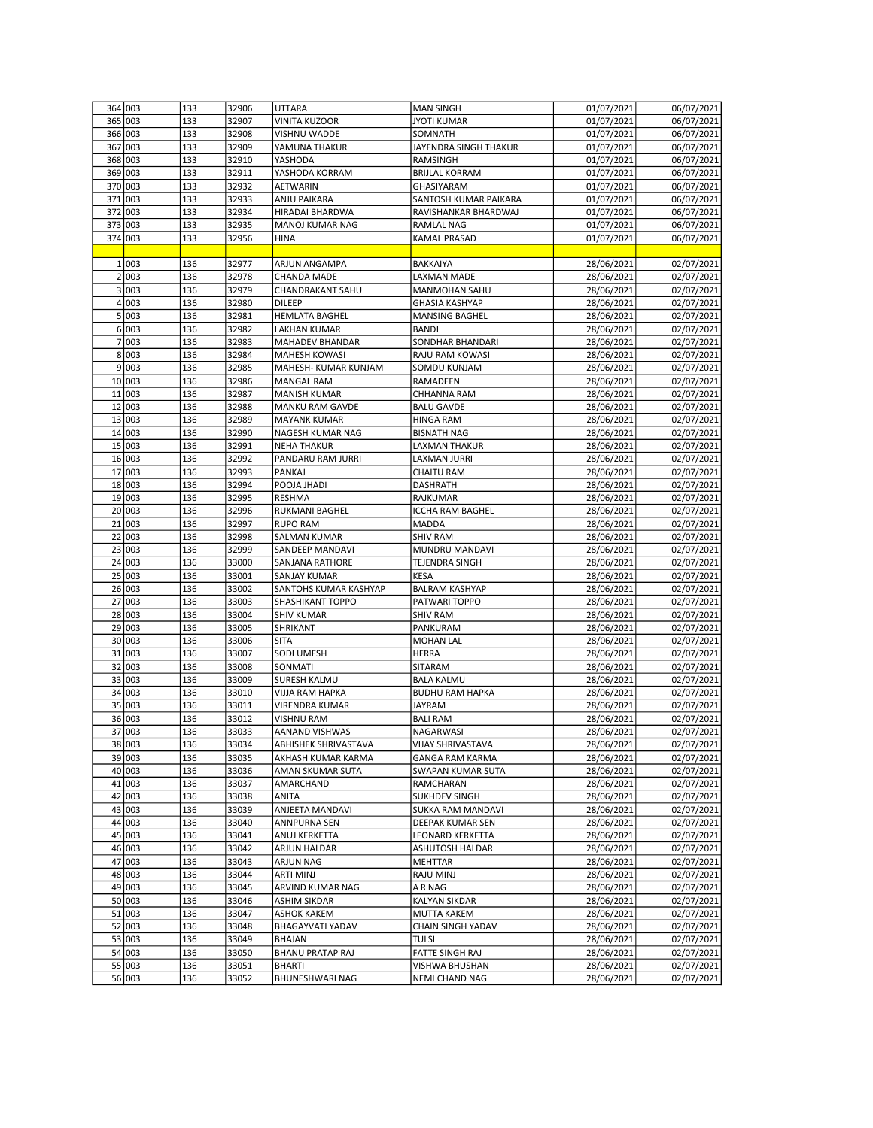| 364 003 | 133 | 32906 | <b>UTTARA</b>               | <b>MAN SINGH</b>        | 01/07/2021 | 06/07/2021 |
|---------|-----|-------|-----------------------------|-------------------------|------------|------------|
| 365 003 | 133 | 32907 | VINITA KUZOOR               | <b>JYOTI KUMAR</b>      | 01/07/2021 | 06/07/2021 |
| 366 003 | 133 | 32908 | VISHNU WADDE                | SOMNATH                 | 01/07/2021 | 06/07/2021 |
| 367 003 | 133 | 32909 | YAMUNA THAKUR               | JAYENDRA SINGH THAKUR   | 01/07/2021 | 06/07/2021 |
| 368 003 | 133 | 32910 | YASHODA                     | RAMSINGH                | 01/07/2021 | 06/07/2021 |
| 369 003 | 133 | 32911 | YASHODA KORRAM              | <b>BRIJLAL KORRAM</b>   | 01/07/2021 | 06/07/2021 |
| 370 003 | 133 | 32932 |                             |                         |            |            |
|         |     |       | AETWARIN                    | GHASIYARAM              | 01/07/2021 | 06/07/2021 |
| 371 003 | 133 | 32933 | ANJU PAIKARA                | SANTOSH KUMAR PAIKARA   | 01/07/2021 | 06/07/2021 |
| 372 003 | 133 | 32934 | HIRADAI BHARDWA             | RAVISHANKAR BHARDWAJ    | 01/07/2021 | 06/07/2021 |
| 373 003 | 133 | 32935 | MANOJ KUMAR NAG             | RAMLAL NAG              | 01/07/2021 | 06/07/2021 |
| 374 003 | 133 | 32956 | HINA                        | KAMAL PRASAD            | 01/07/2021 | 06/07/2021 |
|         |     |       |                             |                         |            |            |
| 1 003   | 136 | 32977 | ARJUN ANGAMPA               | BAKKAIYA                | 28/06/2021 | 02/07/2021 |
| 2 003   | 136 | 32978 | CHANDA MADE                 | LAXMAN MADE             | 28/06/2021 | 02/07/2021 |
| 3 003   | 136 | 32979 | CHANDRAKANT SAHU            | MANMOHAN SAHU           | 28/06/2021 | 02/07/2021 |
| 4 003   | 136 | 32980 | <b>DILEEP</b>               | GHASIA KASHYAP          | 28/06/2021 | 02/07/2021 |
| 5 003   | 136 | 32981 | <b>HEMLATA BAGHEL</b>       | MANSING BAGHEL          | 28/06/2021 | 02/07/2021 |
| 6 003   | 136 | 32982 | LAKHAN KUMAR                | <b>BANDI</b>            | 28/06/2021 | 02/07/2021 |
| 7 003   | 136 | 32983 | MAHADEV BHANDAR             | SONDHAR BHANDARI        | 28/06/2021 | 02/07/2021 |
| 8 003   | 136 | 32984 | <b>MAHESH KOWASI</b>        | RAJU RAM KOWASI         | 28/06/2021 | 02/07/2021 |
|         |     |       |                             |                         |            |            |
| 9 003   | 136 | 32985 | MAHESH- KUMAR KUNJAM        | SOMDU KUNJAM            | 28/06/2021 | 02/07/2021 |
| 10 003  | 136 | 32986 | MANGAL RAM                  | RAMADEEN                | 28/06/2021 | 02/07/2021 |
| 11 003  | 136 | 32987 | <b>MANISH KUMAR</b>         | CHHANNA RAM             | 28/06/2021 | 02/07/2021 |
| 12 003  | 136 | 32988 | MANKU RAM GAVDE             | <b>BALU GAVDE</b>       | 28/06/2021 | 02/07/2021 |
| 13 003  | 136 | 32989 | <b>MAYANK KUMAR</b>         | <b>HINGA RAM</b>        | 28/06/2021 | 02/07/2021 |
| 14 003  | 136 | 32990 | NAGESH KUMAR NAG            | <b>BISNATH NAG</b>      | 28/06/2021 | 02/07/2021 |
| 15 003  | 136 | 32991 | <b>NEHA THAKUR</b>          | LAXMAN THAKUR           | 28/06/2021 | 02/07/2021 |
| 16 003  | 136 | 32992 | PANDARU RAM JURRI           | LAXMAN JURRI            | 28/06/2021 | 02/07/2021 |
| 17 003  | 136 | 32993 | PANKAJ                      | CHAITU RAM              | 28/06/2021 | 02/07/2021 |
| 18 003  | 136 | 32994 | POOJA JHADI                 | DASHRATH                | 28/06/2021 | 02/07/2021 |
| 19 003  | 136 | 32995 | RESHMA                      | RAJKUMAR                | 28/06/2021 | 02/07/2021 |
| 20 003  | 136 | 32996 | RUKMANI BAGHEL              | <b>ICCHA RAM BAGHEL</b> | 28/06/2021 | 02/07/2021 |
| 21 003  | 136 | 32997 | <b>RUPO RAM</b>             | MADDA                   | 28/06/2021 | 02/07/2021 |
| 22 003  |     |       |                             |                         |            |            |
|         | 136 | 32998 | SALMAN KUMAR                | SHIV RAM                | 28/06/2021 | 02/07/2021 |
| 23 003  | 136 | 32999 | SANDEEP MANDAVI             | MUNDRU MANDAVI          | 28/06/2021 | 02/07/2021 |
| 24 003  | 136 | 33000 | SANJANA RATHORE             | TEJENDRA SINGH          | 28/06/2021 | 02/07/2021 |
| 25 003  | 136 | 33001 | SANJAY KUMAR                | KESA                    | 28/06/2021 | 02/07/2021 |
| 26 003  | 136 | 33002 | SANTOHS KUMAR KASHYAP       | <b>BALRAM KASHYAP</b>   | 28/06/2021 | 02/07/2021 |
| 27 003  | 136 | 33003 | SHASHIKANT TOPPO            | PATWARI TOPPO           | 28/06/2021 | 02/07/2021 |
| 28 003  | 136 | 33004 | <b>SHIV KUMAR</b>           | <b>SHIV RAM</b>         | 28/06/2021 | 02/07/2021 |
| 29 003  | 136 | 33005 | SHRIKANT                    | PANKURAM                | 28/06/2021 | 02/07/2021 |
| 30 003  | 136 | 33006 | <b>SITA</b>                 | <b>MOHAN LAL</b>        | 28/06/2021 | 02/07/2021 |
| 31 003  | 136 | 33007 | SODI UMESH                  | <b>HERRA</b>            | 28/06/2021 | 02/07/2021 |
| 32 003  | 136 | 33008 | SONMATI                     | SITARAM                 | 28/06/2021 | 02/07/2021 |
| 33 003  | 136 | 33009 | <b>SURESH KALMU</b>         | <b>BALA KALMU</b>       | 28/06/2021 | 02/07/2021 |
| 34 003  | 136 | 33010 | VIJJA RAM HAPKA             | <b>BUDHU RAM HAPKA</b>  | 28/06/2021 | 02/07/2021 |
| 35 003  | 136 | 33011 | VIRENDRA KUMAR              | JAYRAM                  | 28/06/2021 | 02/07/2021 |
|         |     |       |                             |                         | 28/06/2021 |            |
| 36 003  | 136 | 33012 | VISHNU RAM                  | <b>BALI RAM</b>         |            | 02/07/2021 |
| 37 003  | 136 | 33033 | AANAND VISHWAS              | NAGARWASI               | 28/06/2021 | 02/07/2021 |
| 38 003  | 136 | 33034 | <b>ABHISHEK SHRIVASTAVA</b> | VIJAY SHRIVASTAVA       | 28/06/2021 | 02/07/2021 |
| 39 003  | 136 | 33035 | AKHASH KUMAR KARMA          | <b>GANGA RAM KARMA</b>  | 28/06/2021 | 02/07/2021 |
| 40 003  | 136 | 33036 | AMAN SKUMAR SUTA            | SWAPAN KUMAR SUTA       | 28/06/2021 | 02/07/2021 |
| 41 003  | 136 | 33037 | AMARCHAND                   | RAMCHARAN               | 28/06/2021 | 02/07/2021 |
| 42 003  | 136 | 33038 | ANITA                       | SUKHDEV SINGH           | 28/06/2021 | 02/07/2021 |
| 43 003  | 136 | 33039 | ANJEETA MANDAVI             | SUKKA RAM MANDAVI       | 28/06/2021 | 02/07/2021 |
| 44 003  | 136 | 33040 | ANNPURNA SEN                | DEEPAK KUMAR SEN        | 28/06/2021 | 02/07/2021 |
| 45 003  | 136 | 33041 | ANUJ KERKETTA               | LEONARD KERKETTA        | 28/06/2021 | 02/07/2021 |
| 46 003  | 136 | 33042 | ARJUN HALDAR                | ASHUTOSH HALDAR         | 28/06/2021 | 02/07/2021 |
| 47 003  | 136 | 33043 | ARJUN NAG                   | <b>MEHTTAR</b>          | 28/06/2021 | 02/07/2021 |
| 48 003  | 136 | 33044 | ARTI MINJ                   | RAJU MINJ               | 28/06/2021 | 02/07/2021 |
| 49 003  | 136 |       |                             | A R NAG                 |            |            |
|         |     | 33045 | ARVIND KUMAR NAG            |                         | 28/06/2021 | 02/07/2021 |
| 50 003  | 136 | 33046 | ASHIM SIKDAR                | KALYAN SIKDAR           | 28/06/2021 | 02/07/2021 |
| 51 003  | 136 | 33047 | ASHOK KAKEM                 | MUTTA KAKEM             | 28/06/2021 | 02/07/2021 |
| 52 003  | 136 | 33048 | BHAGAYVATI YADAV            | CHAIN SINGH YADAV       | 28/06/2021 | 02/07/2021 |
| 53 003  | 136 | 33049 | BHAJAN                      | TULSI                   | 28/06/2021 | 02/07/2021 |
| 54 003  | 136 | 33050 | BHANU PRATAP RAJ            | FATTE SINGH RAJ         | 28/06/2021 | 02/07/2021 |
| 55 003  | 136 | 33051 | BHARTI                      | VISHWA BHUSHAN          | 28/06/2021 | 02/07/2021 |
| 56 003  | 136 | 33052 | BHUNESHWARI NAG             | NEMI CHAND NAG          | 28/06/2021 | 02/07/2021 |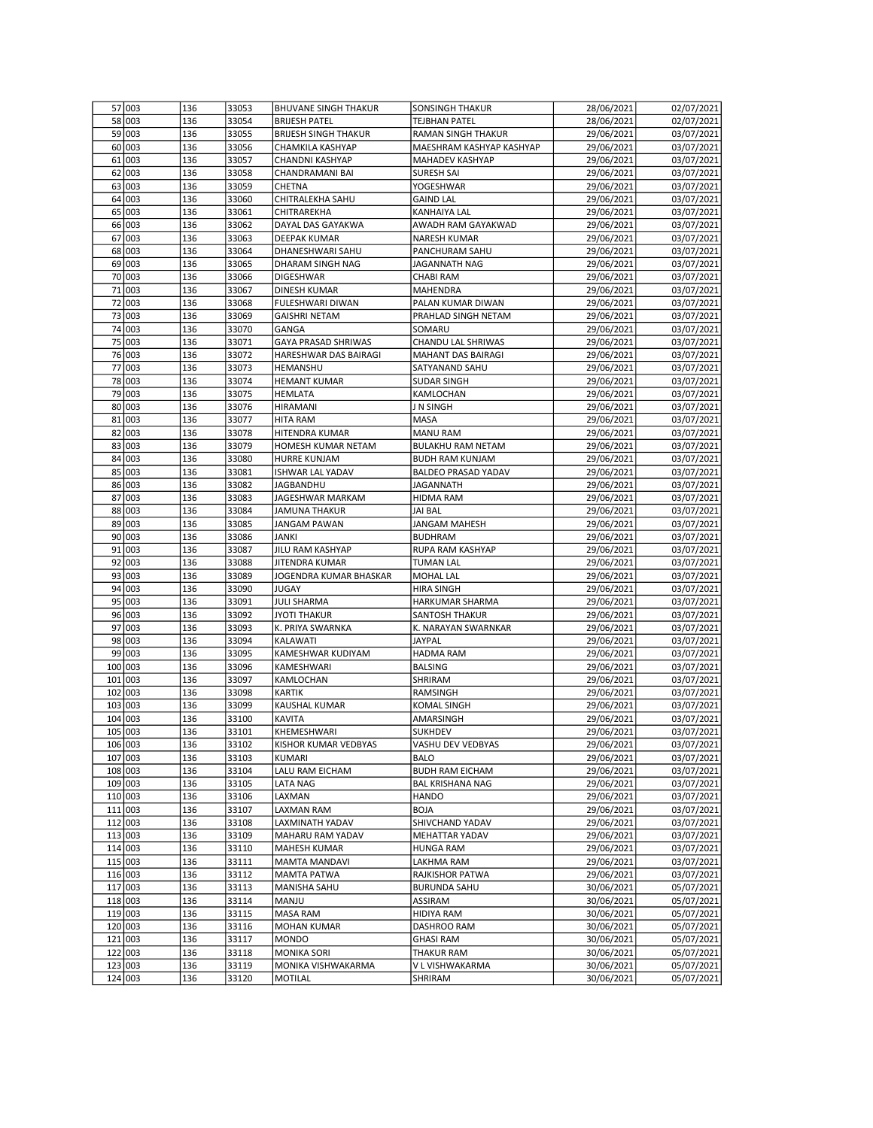| 57 003  | 136 | 33053 | <b>BHUVANE SINGH THAKUR</b>             | SONSINGH THAKUR          | 28/06/2021 | 02/07/2021 |
|---------|-----|-------|-----------------------------------------|--------------------------|------------|------------|
| 58 003  | 136 | 33054 | <b>BRIJESH PATEL</b>                    | <b>TEJBHAN PATEL</b>     | 28/06/2021 | 02/07/2021 |
| 59 003  | 136 | 33055 | <b>BRIJESH SINGH THAKUR</b>             | RAMAN SINGH THAKUR       | 29/06/2021 | 03/07/2021 |
| 60 003  | 136 | 33056 | CHAMKILA KASHYAP                        | MAESHRAM KASHYAP KASHYAP | 29/06/2021 | 03/07/2021 |
| 61 003  | 136 | 33057 | CHANDNI KASHYAP                         | MAHADEV KASHYAP          | 29/06/2021 | 03/07/2021 |
| 62 003  | 136 | 33058 | CHANDRAMANI BAI                         | SURESH SAI               | 29/06/2021 | 03/07/2021 |
| 63 003  | 136 | 33059 | CHETNA                                  | YOGESHWAR                | 29/06/2021 | 03/07/2021 |
| 64 003  | 136 | 33060 | CHITRALEKHA SAHU                        | <b>GAIND LAL</b>         | 29/06/2021 | 03/07/2021 |
| 65 003  | 136 | 33061 | CHITRAREKHA                             | KANHAIYA LAL             | 29/06/2021 | 03/07/2021 |
| 66 003  | 136 | 33062 |                                         | AWADH RAM GAYAKWAD       |            | 03/07/2021 |
| 67 003  |     |       | DAYAL DAS GAYAKWA                       |                          | 29/06/2021 |            |
|         | 136 | 33063 | DEEPAK KUMAR                            | NARESH KUMAR             | 29/06/2021 | 03/07/2021 |
| 68 003  | 136 | 33064 | DHANESHWARI SAHU                        | PANCHURAM SAHU           | 29/06/2021 | 03/07/2021 |
| 69 003  | 136 | 33065 | DHARAM SINGH NAG                        | JAGANNATH NAG            | 29/06/2021 | 03/07/2021 |
| 70 003  | 136 | 33066 | DIGESHWAR                               | CHABI RAM                | 29/06/2021 | 03/07/2021 |
| 71 003  | 136 | 33067 | <b>DINESH KUMAR</b>                     | MAHENDRA                 | 29/06/2021 | 03/07/2021 |
| 72 003  | 136 | 33068 | FULESHWARI DIWAN                        | PALAN KUMAR DIWAN        | 29/06/2021 | 03/07/2021 |
| 73 003  | 136 | 33069 | <b>GAISHRI NETAM</b>                    | PRAHLAD SINGH NETAM      | 29/06/2021 | 03/07/2021 |
| 74 003  | 136 | 33070 | GANGA                                   | SOMARU                   | 29/06/2021 | 03/07/2021 |
| 75 003  | 136 | 33071 | GAYA PRASAD SHRIWAS                     | CHANDU LAL SHRIWAS       | 29/06/2021 | 03/07/2021 |
| 76 003  | 136 | 33072 | HARESHWAR DAS BAIRAGI                   | MAHANT DAS BAIRAGI       | 29/06/2021 | 03/07/2021 |
| 77 003  | 136 | 33073 | HEMANSHU                                | SATYANAND SAHU           | 29/06/2021 | 03/07/2021 |
| 78 003  | 136 | 33074 | <b>HEMANT KUMAR</b>                     | <b>SUDAR SINGH</b>       | 29/06/2021 | 03/07/2021 |
| 79 003  | 136 | 33075 | <b>HEMLATA</b>                          | KAMLOCHAN                | 29/06/2021 | 03/07/2021 |
| 80 003  | 136 | 33076 | <b>HIRAMANI</b>                         | J N SINGH                | 29/06/2021 | 03/07/2021 |
| 81 003  | 136 | 33077 | <b>HITA RAM</b>                         | MASA                     | 29/06/2021 | 03/07/2021 |
| 82 003  | 136 | 33078 | HITENDRA KUMAR                          | <b>MANU RAM</b>          | 29/06/2021 | 03/07/2021 |
| 83 003  | 136 | 33079 | HOMESH KUMAR NETAM                      | BULAKHU RAM NETAM        | 29/06/2021 | 03/07/2021 |
| 84 003  | 136 | 33080 | HURRE KUNJAM                            | <b>BUDH RAM KUNJAM</b>   | 29/06/2021 | 03/07/2021 |
| 85 003  | 136 | 33081 | <b>ISHWAR LAL YADAV</b>                 | BALDEO PRASAD YADAV      | 29/06/2021 | 03/07/2021 |
| 86 003  | 136 | 33082 | JAGBANDHU                               | JAGANNATH                | 29/06/2021 | 03/07/2021 |
| 87 003  | 136 | 33083 |                                         | <b>HIDMA RAM</b>         |            | 03/07/2021 |
|         |     | 33084 | JAGESHWAR MARKAM                        |                          | 29/06/2021 |            |
| 88 003  | 136 |       | JAMUNA THAKUR                           | JAI BAL                  | 29/06/2021 | 03/07/2021 |
| 89 003  | 136 | 33085 | <b>JANGAM PAWAN</b>                     | JANGAM MAHESH            | 29/06/2021 | 03/07/2021 |
| 90 003  | 136 | 33086 | <b>JANKI</b>                            | <b>BUDHRAM</b>           | 29/06/2021 | 03/07/2021 |
| 91 003  | 136 | 33087 | JILU RAM KASHYAP                        | RUPA RAM KASHYAP         | 29/06/2021 | 03/07/2021 |
| 92 003  | 136 | 33088 | JITENDRA KUMAR                          | <b>TUMAN LAL</b>         | 29/06/2021 | 03/07/2021 |
| 93 003  | 136 | 33089 | JOGENDRA KUMAR BHASKAR                  | MOHAL LAL                | 29/06/2021 | 03/07/2021 |
| 94 003  | 136 | 33090 | JUGAY                                   | HIRA SINGH               | 29/06/2021 | 03/07/2021 |
| 95 003  | 136 | 33091 | <b>JULI SHARMA</b>                      | HARKUMAR SHARMA          | 29/06/2021 | 03/07/2021 |
| 96 003  | 136 | 33092 | <b>JYOTI THAKUR</b>                     | SANTOSH THAKUR           | 29/06/2021 | 03/07/2021 |
| 97 003  | 136 | 33093 | K. PRIYA SWARNKA                        | K. NARAYAN SWARNKAR      | 29/06/2021 | 03/07/2021 |
| 98 003  | 136 | 33094 | KALAWATI                                | JAYPAL                   | 29/06/2021 | 03/07/2021 |
| 99 003  | 136 | 33095 | KAMESHWAR KUDIYAM                       | <b>HADMA RAM</b>         | 29/06/2021 | 03/07/2021 |
| 100 003 | 136 | 33096 | KAMESHWARI                              | BALSING                  | 29/06/2021 | 03/07/2021 |
| 101 003 | 136 | 33097 | KAMLOCHAN                               | SHRIRAM                  | 29/06/2021 | 03/07/2021 |
| 102 003 | 136 | 33098 | <b>KARTIK</b>                           | RAMSINGH                 | 29/06/2021 | 03/07/2021 |
| 103 003 | 136 | 33099 | KAUSHAL KUMAR                           | KOMAL SINGH              | 29/06/2021 | 03/07/2021 |
| 104 003 | 136 | 33100 | <b>KAVITA</b>                           | AMARSINGH                | 29/06/2021 | 03/07/2021 |
| 105 003 | 136 | 33101 | KHEMESHWARI                             | <b>SUKHDEV</b>           | 29/06/2021 | 03/07/2021 |
| 106 003 | 136 | 33102 | KISHOR KUMAR VEDBYAS                    | VASHU DEV VEDBYAS        | 29/06/2021 | 03/07/2021 |
| 107 003 | 136 | 33103 | <b>KUMARI</b>                           | <b>BALO</b>              | 29/06/2021 | 03/07/2021 |
| 108 003 | 136 | 33104 | LALU RAM EICHAM                         | <b>BUDH RAM EICHAM</b>   | 29/06/2021 | 03/07/2021 |
| 109 003 | 136 | 33105 | LATA NAG                                | <b>BAL KRISHANA NAG</b>  | 29/06/2021 | 03/07/2021 |
| 110 003 | 136 | 33106 | LAXMAN                                  | HANDO                    | 29/06/2021 | 03/07/2021 |
| 111 003 | 136 | 33107 | LAXMAN RAM                              | <b>BOJA</b>              | 29/06/2021 | 03/07/2021 |
| 112 003 | 136 | 33108 | LAXMINATH YADAV                         | SHIVCHAND YADAV          | 29/06/2021 | 03/07/2021 |
| 113 003 | 136 | 33109 |                                         | MEHATTAR YADAV           | 29/06/2021 | 03/07/2021 |
| 114 003 |     |       | MAHARU RAM YADAV<br><b>MAHESH KUMAR</b> |                          |            |            |
|         | 136 | 33110 |                                         | HUNGA RAM                | 29/06/2021 | 03/07/2021 |
| 115 003 | 136 | 33111 | <b>MAMTA MANDAVI</b>                    | LAKHMA RAM               | 29/06/2021 | 03/07/2021 |
| 116 003 | 136 | 33112 | MAMTA PATWA                             | RAJKISHOR PATWA          | 29/06/2021 | 03/07/2021 |
| 117 003 | 136 | 33113 | MANISHA SAHU                            | <b>BURUNDA SAHU</b>      | 30/06/2021 | 05/07/2021 |
| 118 003 | 136 | 33114 | MANJU                                   | ASSIRAM                  | 30/06/2021 | 05/07/2021 |
| 119 003 | 136 | 33115 | MASA RAM                                | HIDIYA RAM               | 30/06/2021 | 05/07/2021 |
| 120 003 | 136 | 33116 | <b>MOHAN KUMAR</b>                      | DASHROO RAM              | 30/06/2021 | 05/07/2021 |
| 121 003 | 136 | 33117 | MONDO                                   | <b>GHASI RAM</b>         | 30/06/2021 | 05/07/2021 |
| 122 003 | 136 | 33118 | <b>MONIKA SORI</b>                      | THAKUR RAM               | 30/06/2021 | 05/07/2021 |
| 123 003 | 136 | 33119 | MONIKA VISHWAKARMA                      | V L VISHWAKARMA          | 30/06/2021 | 05/07/2021 |
| 124 003 | 136 | 33120 | MOTILAL                                 | SHRIRAM                  | 30/06/2021 | 05/07/2021 |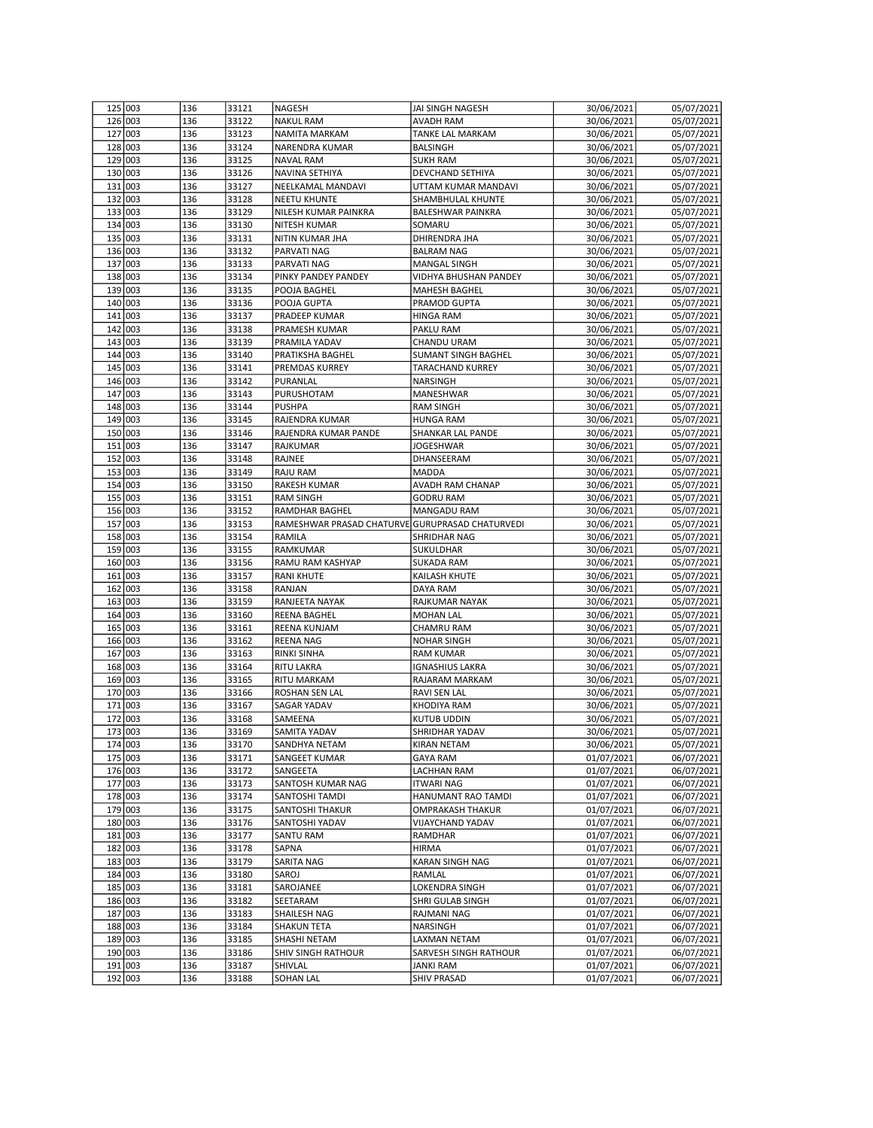|         | 125 003            | 136        | 33121          | <b>NAGESH</b>                                   | JAI SINGH NAGESH           | 30/06/2021               | 05/07/2021                             |
|---------|--------------------|------------|----------------|-------------------------------------------------|----------------------------|--------------------------|----------------------------------------|
|         | 126 003            | 136        | 33122          | <b>NAKUL RAM</b>                                | AVADH RAM                  | 30/06/2021               | 05/07/2021                             |
|         | 127 003            | 136        | 33123          | NAMITA MARKAM                                   | TANKE LAL MARKAM           | 30/06/2021               | 05/07/2021                             |
|         | 128 003            | 136        | 33124          | NARENDRA KUMAR                                  | BALSINGH                   | 30/06/2021               | 05/07/2021                             |
|         | 129 003            | 136        | 33125          | <b>NAVAL RAM</b>                                | <b>SUKH RAM</b>            | 30/06/2021               | 05/07/2021                             |
|         | 130 003            | 136        | 33126          | NAVINA SETHIYA                                  | DEVCHAND SETHIYA           | 30/06/2021               | 05/07/2021                             |
|         | 131 003            | 136        | 33127          | NEELKAMAL MANDAVI                               | UTTAM KUMAR MANDAVI        | 30/06/2021               | 05/07/2021                             |
|         | 132 003            | 136        | 33128          | NEETU KHUNTE                                    | SHAMBHULAL KHUNTE          | 30/06/2021               | 05/07/2021                             |
|         | 133 003            | 136        | 33129          | NILESH KUMAR PAINKRA                            | BALESHWAR PAINKRA          | 30/06/2021               | 05/07/2021                             |
|         | 134 003            | 136        | 33130          | NITESH KUMAR                                    | SOMARU                     | 30/06/2021               | 05/07/2021                             |
|         | 135 003            | 136        | 33131          | NITIN KUMAR JHA                                 | DHIRENDRA JHA              | 30/06/2021               | 05/07/2021                             |
|         | 136 003            | 136        | 33132          | PARVATI NAG                                     | <b>BALRAM NAG</b>          |                          | 05/07/2021                             |
|         |                    |            |                |                                                 |                            | 30/06/2021               |                                        |
|         | 137 003            | 136        | 33133          | PARVATI NAG                                     | MANGAL SINGH               | 30/06/2021               | 05/07/2021                             |
|         | 138 003            | 136        | 33134          | PINKY PANDEY PANDEY                             | VIDHYA BHUSHAN PANDEY      | 30/06/2021               | 05/07/2021                             |
| 139 003 |                    | 136        | 33135          | POOJA BAGHEL                                    | MAHESH BAGHEL              | 30/06/2021               | 05/07/2021                             |
| 140 003 |                    | 136        | 33136          | POOJA GUPTA                                     | PRAMOD GUPTA               | 30/06/2021               | 05/07/2021                             |
| 141 003 |                    | 136        | 33137          | PRADEEP KUMAR                                   | <b>HINGA RAM</b>           | 30/06/2021               | 05/07/2021                             |
| 142 003 |                    | 136        | 33138          | PRAMESH KUMAR                                   | PAKLU RAM                  | 30/06/2021               | 05/07/2021                             |
| 143 003 |                    | 136        | 33139          | PRAMILA YADAV                                   | CHANDU URAM                | 30/06/2021               | 05/07/2021                             |
|         | 144 003            | 136        | 33140          | PRATIKSHA BAGHEL                                | <b>SUMANT SINGH BAGHEL</b> | 30/06/2021               | 05/07/2021                             |
|         | 145 003            | 136        | 33141          | PREMDAS KURREY                                  | <b>TARACHAND KURREY</b>    | 30/06/2021               | 05/07/2021                             |
|         | 146 003            | 136        | 33142          | PURANLAL                                        | NARSINGH                   | 30/06/2021               | 05/07/2021                             |
| 147 003 |                    | 136        | 33143          | PURUSHOTAM                                      | MANESHWAR                  | 30/06/2021               | 05/07/2021                             |
|         | 148 003            | 136        | 33144          | <b>PUSHPA</b>                                   | <b>RAM SINGH</b>           | 30/06/2021               | 05/07/2021                             |
|         | 149 003            | 136        | 33145          | RAJENDRA KUMAR                                  | <b>HUNGA RAM</b>           | 30/06/2021               | 05/07/2021                             |
|         | 150 003            | 136        | 33146          | RAJENDRA KUMAR PANDE                            | SHANKAR LAL PANDE          | 30/06/2021               | 05/07/2021                             |
|         | 151 003            | 136        | 33147          | RAJKUMAR                                        | <b>JOGESHWAR</b>           | 30/06/2021               | 05/07/2021                             |
|         | 152 003            | 136        | 33148          | RAJNEE                                          | DHANSEERAM                 | 30/06/2021               | 05/07/2021                             |
| 153 003 |                    | 136        | 33149          | RAJU RAM                                        | MADDA                      | 30/06/2021               | 05/07/2021                             |
|         | 154 003            | 136        | 33150          | RAKESH KUMAR                                    | AVADH RAM CHANAP           | 30/06/2021               | 05/07/2021                             |
|         | 155 003            | 136        | 33151          | <b>RAM SINGH</b>                                | <b>GODRU RAM</b>           | 30/06/2021               | 05/07/2021                             |
|         | 156 003            | 136        | 33152          | RAMDHAR BAGHEL                                  | <b>MANGADU RAM</b>         | 30/06/2021               | 05/07/2021                             |
|         | 157 003            | 136        | 33153          | RAMESHWAR PRASAD CHATURVE GURUPRASAD CHATURVEDI |                            | 30/06/2021               | 05/07/2021                             |
|         | 158 003            | 136        | 33154          | RAMILA                                          | SHRIDHAR NAG               | 30/06/2021               | 05/07/2021                             |
|         |                    |            |                |                                                 |                            |                          |                                        |
|         |                    |            |                |                                                 |                            |                          |                                        |
|         | 159 003            | 136        | 33155          | RAMKUMAR                                        | SUKULDHAR                  | 30/06/2021               | 05/07/2021                             |
|         | 160 003            | 136        | 33156          | RAMU RAM KASHYAP                                | SUKADA RAM                 | 30/06/2021               | 05/07/2021                             |
|         | 161 003            | 136        | 33157          | <b>RANI KHUTE</b>                               | KAILASH KHUTE              | 30/06/2021               | 05/07/2021                             |
|         | 162 003            | 136        | 33158          | RANJAN                                          | DAYA RAM                   | 30/06/2021               |                                        |
|         | 163 003            | 136        | 33159          | RANJEETA NAYAK                                  | RAJKUMAR NAYAK             | 30/06/2021               | 05/07/2021                             |
| 164 003 |                    | 136        | 33160          | REENA BAGHEL                                    | MOHAN LAL                  | 30/06/2021               | 05/07/2021                             |
| 165 003 |                    | 136        | 33161          | REENA KUNJAM                                    | CHAMRU RAM                 | 30/06/2021               | 05/07/2021                             |
| 166 003 |                    | 136        | 33162          | <b>REENA NAG</b>                                | <b>NOHAR SINGH</b>         | 30/06/2021               |                                        |
|         | 167 003            | 136        | 33163          | RINKI SINHA                                     | <b>RAM KUMAR</b>           | 30/06/2021               | 05/07/2021                             |
| 168 003 |                    | 136        | 33164          | <b>RITU LAKRA</b>                               | <b>IGNASHIUS LAKRA</b>     | 30/06/2021               | 05/07/2021                             |
|         | 169 003            | 136        | 33165          | RITU MARKAM                                     | RAJARAM MARKAM             | 30/06/2021               | 05/07/2021                             |
| 170 003 |                    | 136        | 33166          | ROSHAN SEN LAL                                  | RAVI SEN LAL               | 30/06/2021               | 05/07/2021                             |
|         | 171 003            | 136        | 33167          | SAGAR YADAV                                     | KHODIYA RAM                | 30/06/2021               | 05/07/2021                             |
|         | 172 003            | 136        | 33168          | SAMEENA                                         | <b>KUTUB UDDIN</b>         | 30/06/2021               | 05/07/2021                             |
|         | 173 003            | 136        | 33169          | SAMITA YADAV                                    | SHRIDHAR YADAV             | 30/06/2021               | 05/07/2021                             |
|         | 174 003            | 136        | 33170          | SANDHYA NETAM                                   | KIRAN NETAM                | 30/06/2021               | 05/07/2021<br>05/07/2021               |
|         | 175 003            | 136        | 33171          | SANGEET KUMAR                                   | <b>GAYA RAM</b>            | 01/07/2021               | 06/07/2021                             |
|         | 176 003            | 136        | 33172          | SANGEETA                                        | LACHHAN RAM                | 01/07/2021               |                                        |
|         | 177 003            | 136        | 33173          | SANTOSH KUMAR NAG                               | ITWARI NAG                 | 01/07/2021               | 06/07/2021                             |
|         | 178 003            | 136        | 33174          | SANTOSHI TAMDI                                  | HANUMANT RAO TAMDI         | 01/07/2021               | 06/07/2021                             |
|         | 179 003            | 136        | 33175          | SANTOSHI THAKUR                                 | OMPRAKASH THAKUR           | 01/07/2021               | 05/07/2021<br>06/07/2021<br>06/07/2021 |
|         | 180 003            | 136        | 33176          | SANTOSHI YADAV                                  | VIJAYCHAND YADAV           | 01/07/2021               | 06/07/2021                             |
|         | 181 003            |            |                |                                                 |                            |                          |                                        |
|         | 182 003            | 136        | 33177<br>33178 | SANTU RAM                                       | RAMDHAR                    | 01/07/2021               | 06/07/2021                             |
|         |                    | 136        |                | SAPNA                                           | HIRMA                      | 01/07/2021               | 06/07/2021                             |
|         | 183 003            | 136        | 33179          | SARITA NAG                                      | KARAN SINGH NAG            | 01/07/2021               | 06/07/2021                             |
|         | 184 003            | 136        | 33180          | SAROJ                                           | RAMLAL                     | 01/07/2021               |                                        |
|         | 185 003            | 136        | 33181          | SAROJANEE                                       | LOKENDRA SINGH             | 01/07/2021               | 06/07/2021<br>06/07/2021               |
|         | 186 003            | 136        | 33182          | SEETARAM                                        | SHRI GULAB SINGH           | 01/07/2021               | 06/07/2021                             |
|         | 187 003            | 136        | 33183          | SHAILESH NAG                                    | RAJMANI NAG                | 01/07/2021               | 06/07/2021                             |
|         | 188 003            | 136        | 33184          | <b>SHAKUN TETA</b>                              | NARSINGH                   | 01/07/2021               | 06/07/2021                             |
|         | 189 003            | 136        | 33185          | SHASHI NETAM                                    | LAXMAN NETAM               | 01/07/2021               | 06/07/2021                             |
|         | 190 003            | 136        | 33186          | SHIV SINGH RATHOUR                              | SARVESH SINGH RATHOUR      | 01/07/2021               | 06/07/2021                             |
|         | 191 003<br>192 003 | 136<br>136 | 33187<br>33188 | SHIVLAL<br>SOHAN LAL                            | JANKI RAM<br>SHIV PRASAD   | 01/07/2021<br>01/07/2021 | 06/07/2021<br>06/07/2021               |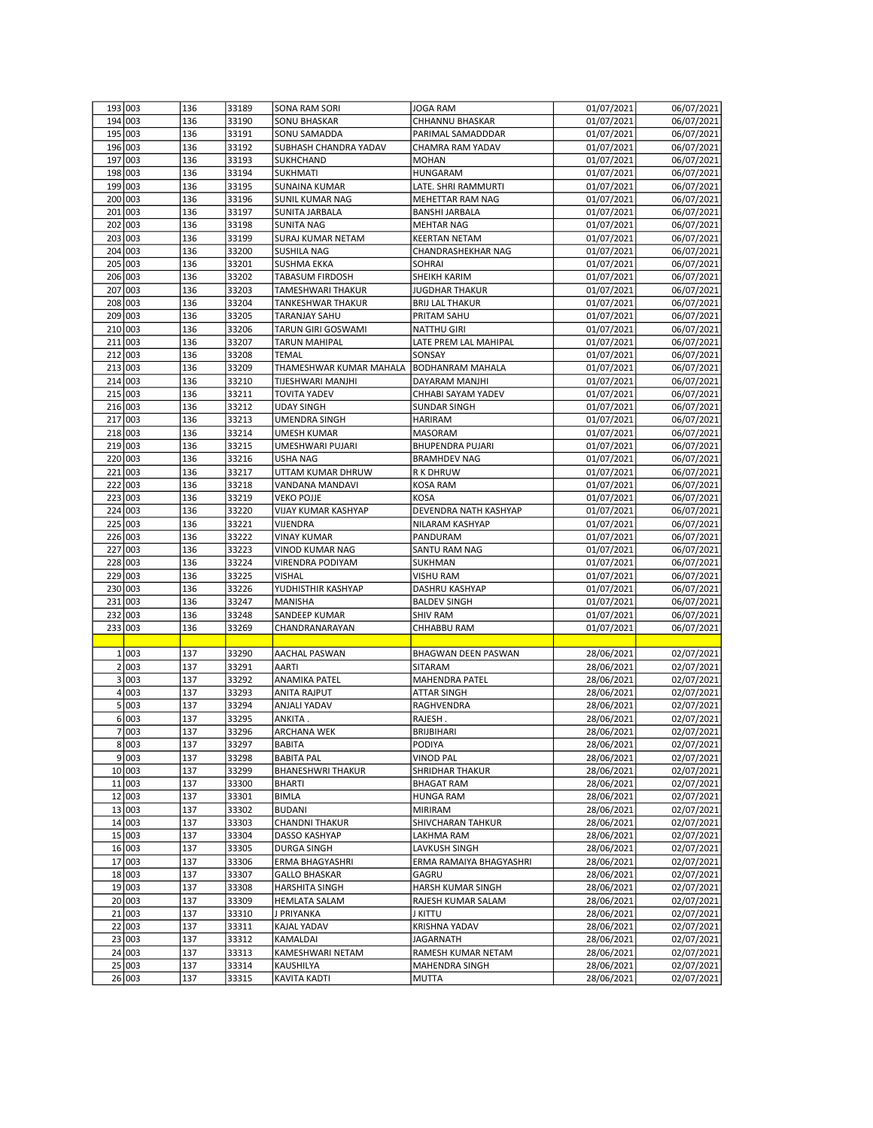| 193 003 | 136 | 33189          | SONA RAM SORI            | <b>JOGA RAM</b>         | 01/07/2021               | 06/07/2021 |
|---------|-----|----------------|--------------------------|-------------------------|--------------------------|------------|
| 194 003 | 136 | 33190          | <b>SONU BHASKAR</b>      | CHHANNU BHASKAR         | 01/07/2021               | 06/07/2021 |
| 195 003 | 136 | 33191          | SONU SAMADDA             | PARIMAL SAMADDDAR       | 01/07/2021               | 06/07/2021 |
| 196 003 | 136 | 33192          | SUBHASH CHANDRA YADAV    | CHAMRA RAM YADAV        | 01/07/2021               | 06/07/2021 |
| 197 003 | 136 | 33193          | SUKHCHAND                | <b>MOHAN</b>            | 01/07/2021               | 06/07/2021 |
| 198 003 | 136 | 33194          | SUKHMATI                 | HUNGARAM                | 01/07/2021               | 06/07/2021 |
| 199 003 | 136 | 33195          | <b>SUNAINA KUMAR</b>     | LATE. SHRI RAMMURTI     | 01/07/2021               | 06/07/2021 |
| 200 003 | 136 | 33196          | SUNIL KUMAR NAG          | MEHETTAR RAM NAG        | 01/07/2021               | 06/07/2021 |
| 201 003 | 136 | 33197          | SUNITA JARBALA           | <b>BANSHI JARBALA</b>   | 01/07/2021               | 06/07/2021 |
| 202 003 | 136 | 33198          | SUNITA NAG               | <b>MEHTAR NAG</b>       | 01/07/2021               | 06/07/2021 |
| 203 003 | 136 | 33199          | SURAJ KUMAR NETAM        | <b>KEERTAN NETAM</b>    | 01/07/2021               | 06/07/2021 |
| 204 003 | 136 | 33200          | SUSHILA NAG              | CHANDRASHEKHAR NAG      | 01/07/2021               | 06/07/2021 |
| 205 003 | 136 | 33201          | SUSHMA EKKA              | SOHRAI                  | 01/07/2021               | 06/07/2021 |
| 206 003 | 136 | 33202          | TABASUM FIRDOSH          | SHEIKH KARIM            | 01/07/2021               | 06/07/2021 |
| 207 003 | 136 | 33203          | TAMESHWARI THAKUR        | <b>JUGDHAR THAKUR</b>   | 01/07/2021               | 06/07/2021 |
| 208 003 | 136 | 33204          | TANKESHWAR THAKUR        | <b>BRIJ LAL THAKUR</b>  | 01/07/2021               | 06/07/2021 |
| 209 003 | 136 | 33205          | <b>TARANJAY SAHU</b>     | PRITAM SAHU             | 01/07/2021               | 06/07/2021 |
| 210 003 | 136 | 33206          | TARUN GIRI GOSWAMI       | <b>NATTHU GIRI</b>      | 01/07/2021               | 06/07/2021 |
| 211 003 | 136 | 33207          | <b>TARUN MAHIPAL</b>     | LATE PREM LAL MAHIPAL   | 01/07/2021               | 06/07/2021 |
| 212 003 | 136 | 33208          | <b>TEMAL</b>             | SONSAY                  | 01/07/2021               | 06/07/2021 |
| 213 003 | 136 | 33209          | THAMESHWAR KUMAR MAHALA  | <b>BODHANRAM MAHALA</b> | 01/07/2021               | 06/07/2021 |
| 214 003 | 136 | 33210          | TIJESHWARI MANJHI        | DAYARAM MANJHI          | 01/07/2021               | 06/07/2021 |
| 215 003 | 136 | 33211          | <b>TOVITA YADEV</b>      | CHHABI SAYAM YADEV      | 01/07/2021               | 06/07/2021 |
| 216 003 | 136 | 33212          | <b>UDAY SINGH</b>        | <b>SUNDAR SINGH</b>     | 01/07/2021               | 06/07/2021 |
| 217 003 | 136 | 33213          | UMENDRA SINGH            | HARIRAM                 | 01/07/2021               | 06/07/2021 |
| 218 003 | 136 | 33214          | <b>UMESH KUMAR</b>       | MASORAM                 | 01/07/2021               | 06/07/2021 |
| 219 003 | 136 | 33215          | UMESHWARI PUJARI         | <b>BHUPENDRA PUJARI</b> | 01/07/2021               | 06/07/2021 |
| 220 003 | 136 |                |                          | <b>BRAMHDEV NAG</b>     |                          |            |
| 221 003 |     | 33216<br>33217 | USHA NAG                 |                         | 01/07/2021               | 06/07/2021 |
|         | 136 | 33218          | UTTAM KUMAR DHRUW        | <b>RKDHRUW</b>          | 01/07/2021<br>01/07/2021 | 06/07/2021 |
| 222 003 | 136 |                | VANDANA MANDAVI          | <b>KOSA RAM</b>         |                          | 06/07/2021 |
| 223 003 | 136 | 33219          | <b>VEKO POJJE</b>        | <b>KOSA</b>             | 01/07/2021               | 06/07/2021 |
| 224 003 | 136 | 33220          | VIJAY KUMAR KASHYAP      | DEVENDRA NATH KASHYAP   | 01/07/2021               | 06/07/2021 |
| 225 003 | 136 | 33221          | VIJENDRA                 | NILARAM KASHYAP         | 01/07/2021               | 06/07/2021 |
| 226 003 | 136 | 33222          | VINAY KUMAR              | PANDURAM                | 01/07/2021               | 06/07/2021 |
| 227 003 | 136 | 33223          | VINOD KUMAR NAG          | SANTU RAM NAG           | 01/07/2021               | 06/07/2021 |
| 228 003 | 136 | 33224          | VIRENDRA PODIYAM         | SUKHMAN                 | 01/07/2021               | 06/07/2021 |
| 229 003 | 136 | 33225          | VISHAL                   | VISHU RAM               | 01/07/2021               | 06/07/2021 |
| 230 003 | 136 | 33226          | YUDHISTHIR KASHYAP       | DASHRU KASHYAP          | 01/07/2021               | 06/07/2021 |
| 231 003 | 136 | 33247          | MANISHA                  | <b>BALDEV SINGH</b>     | 01/07/2021               | 06/07/2021 |
| 232 003 | 136 | 33248          | SANDEEP KUMAR            | <b>SHIV RAM</b>         | 01/07/2021               | 06/07/2021 |
| 233 003 | 136 | 33269          | CHANDRANARAYAN           | CHHABBU RAM             | 01/07/2021               | 06/07/2021 |
|         |     |                |                          |                         |                          |            |
| 1 003   | 137 | 33290          | <b>AACHAL PASWAN</b>     | BHAGWAN DEEN PASWAN     | 28/06/2021               | 02/07/2021 |
| 2 003   | 137 | 33291          | <b>AARTI</b>             | SITARAM                 | 28/06/2021               | 02/07/2021 |
| 3 003   | 137 | 33292          | ANAMIKA PATEL            | <b>MAHENDRA PATEL</b>   | 28/06/2021               | 02/07/2021 |
| 4 003   | 137 | 33293          | <b>ANITA RAJPUT</b>      | <b>ATTAR SINGH</b>      | 28/06/2021               | 02/07/2021 |
| 5 003   | 137 | 33294          | <b>ANJALI YADAV</b>      | RAGHVENDRA              | 28/06/2021               | 02/07/2021 |
| 6 003   | 137 | 33295          | ANKITA.                  | RAJESH.                 | 28/06/2021               | 02/07/2021 |
| 7 003   | 137 | 33296          | ARCHANA WEK              | <b>BRIJBIHARI</b>       | 28/06/2021               | 02/07/2021 |
| 8 003   | 137 | 33297          | <b>BABITA</b>            | PODIYA                  | 28/06/2021               | 02/07/2021 |
| 9 003   | 137 | 33298          | <b>BABITA PAL</b>        | <b>VINOD PAL</b>        | 28/06/2021               | 02/07/2021 |
| 10 003  | 137 | 33299          | <b>BHANESHWRI THAKUR</b> | <b>SHRIDHAR THAKUR</b>  | 28/06/2021               | 02/07/2021 |
| 11 003  | 137 | 33300          | <b>BHARTI</b>            | <b>BHAGAT RAM</b>       | 28/06/2021               | 02/07/2021 |
| 12 003  | 137 | 33301          | <b>BIMLA</b>             | <b>HUNGA RAM</b>        | 28/06/2021               | 02/07/2021 |
| 13 003  | 137 | 33302          | <b>BUDANI</b>            | MIRIRAM                 | 28/06/2021               | 02/07/2021 |
| 14 003  | 137 | 33303          | <b>CHANDNI THAKUR</b>    | SHIVCHARAN TAHKUR       | 28/06/2021               | 02/07/2021 |
| 15 003  | 137 | 33304          | DASSO KASHYAP            | LAKHMA RAM              | 28/06/2021               | 02/07/2021 |
| 16 003  | 137 | 33305          | DURGA SINGH              | LAVKUSH SINGH           | 28/06/2021               | 02/07/2021 |
| 17 003  | 137 | 33306          | ERMA BHAGYASHRI          | ERMA RAMAIYA BHAGYASHRI | 28/06/2021               | 02/07/2021 |
| 18 003  | 137 | 33307          | <b>GALLO BHASKAR</b>     | GAGRU                   | 28/06/2021               | 02/07/2021 |
| 19 003  | 137 | 33308          | HARSHITA SINGH           | HARSH KUMAR SINGH       | 28/06/2021               | 02/07/2021 |
| 20 003  | 137 | 33309          | <b>HEMLATA SALAM</b>     | RAJESH KUMAR SALAM      | 28/06/2021               | 02/07/2021 |
| 21 003  | 137 | 33310          | J PRIYANKA               | J KITTU                 | 28/06/2021               | 02/07/2021 |
| 22 003  | 137 | 33311          | KAJAL YADAV              | <b>KRISHNA YADAV</b>    | 28/06/2021               | 02/07/2021 |
| 23 003  | 137 | 33312          | KAMALDAI                 | JAGARNATH               | 28/06/2021               | 02/07/2021 |
| 24 003  | 137 | 33313          | KAMESHWARI NETAM         | RAMESH KUMAR NETAM      | 28/06/2021               | 02/07/2021 |
| 25 003  | 137 | 33314          | KAUSHILYA                | MAHENDRA SINGH          | 28/06/2021               | 02/07/2021 |
| 26 003  | 137 | 33315          | KAVITA KADTI             | <b>MUTTA</b>            | 28/06/2021               | 02/07/2021 |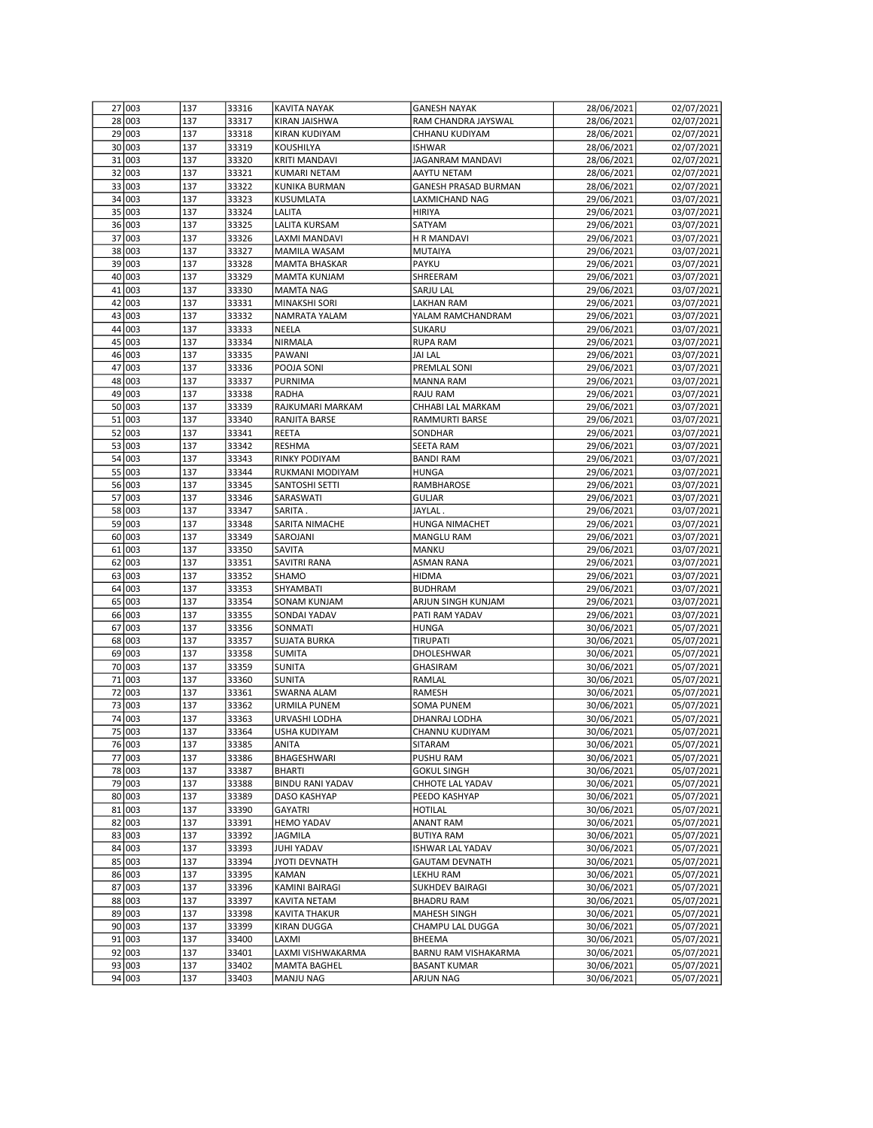| 27 003 | 137 | 33316 | KAVITA NAYAK            | <b>GANESH NAYAK</b>         | 28/06/2021 | 02/07/2021 |
|--------|-----|-------|-------------------------|-----------------------------|------------|------------|
| 28 003 | 137 | 33317 | KIRAN JAISHWA           | RAM CHANDRA JAYSWAL         | 28/06/2021 | 02/07/2021 |
| 29 003 | 137 | 33318 | <b>KIRAN KUDIYAM</b>    | CHHANU KUDIYAM              | 28/06/2021 | 02/07/2021 |
| 30 003 | 137 | 33319 | KOUSHILYA               | <b>ISHWAR</b>               | 28/06/2021 | 02/07/2021 |
| 31 003 | 137 | 33320 | <b>KRITI MANDAVI</b>    | JAGANRAM MANDAVI            | 28/06/2021 | 02/07/2021 |
| 32 003 | 137 | 33321 | KUMARI NETAM            | <b>AAYTU NETAM</b>          | 28/06/2021 | 02/07/2021 |
| 33 003 | 137 | 33322 | KUNIKA BURMAN           | <b>GANESH PRASAD BURMAN</b> | 28/06/2021 | 02/07/2021 |
| 34 003 | 137 | 33323 | KUSUMLATA               | LAXMICHAND NAG              | 29/06/2021 | 03/07/2021 |
| 35 003 | 137 | 33324 | LALITA                  | <b>HIRIYA</b>               | 29/06/2021 | 03/07/2021 |
| 36 003 | 137 | 33325 | LALITA KURSAM           | SATYAM                      | 29/06/2021 | 03/07/2021 |
| 37 003 | 137 | 33326 | LAXMI MANDAVI           | H R MANDAVI                 | 29/06/2021 | 03/07/2021 |
| 38 003 | 137 | 33327 | MAMILA WASAM            | <b>MUTAIYA</b>              | 29/06/2021 | 03/07/2021 |
| 39 003 | 137 | 33328 | <b>MAMTA BHASKAR</b>    | PAYKU                       | 29/06/2021 | 03/07/2021 |
| 40 003 | 137 | 33329 | <b>MAMTA KUNJAM</b>     | SHREERAM                    | 29/06/2021 | 03/07/2021 |
| 41 003 | 137 | 33330 | <b>MAMTA NAG</b>        | SARJU LAL                   | 29/06/2021 | 03/07/2021 |
| 42 003 | 137 | 33331 | MINAKSHI SORI           | LAKHAN RAM                  | 29/06/2021 | 03/07/2021 |
| 43 003 | 137 | 33332 | NAMRATA YALAM           | YALAM RAMCHANDRAM           | 29/06/2021 | 03/07/2021 |
| 44 003 | 137 | 33333 | <b>NEELA</b>            | SUKARU                      | 29/06/2021 | 03/07/2021 |
| 45 003 | 137 | 33334 | NIRMALA                 | <b>RUPA RAM</b>             | 29/06/2021 | 03/07/2021 |
| 46 003 | 137 | 33335 | PAWANI                  | <b>JAI LAL</b>              | 29/06/2021 | 03/07/2021 |
| 47 003 | 137 | 33336 | POOJA SONI              | PREMLAL SONI                | 29/06/2021 | 03/07/2021 |
| 48 003 | 137 | 33337 | PURNIMA                 | <b>MANNA RAM</b>            | 29/06/2021 | 03/07/2021 |
| 49 003 | 137 | 33338 | RADHA                   | RAJU RAM                    | 29/06/2021 | 03/07/2021 |
| 50 003 | 137 | 33339 | RAJKUMARI MARKAM        | CHHABI LAL MARKAM           | 29/06/2021 | 03/07/2021 |
| 51 003 | 137 | 33340 | RANJITA BARSE           | RAMMURTI BARSE              | 29/06/2021 | 03/07/2021 |
| 52 003 | 137 | 33341 | REETA                   | SONDHAR                     | 29/06/2021 | 03/07/2021 |
| 53 003 | 137 | 33342 | <b>RESHMA</b>           | <b>SEETA RAM</b>            | 29/06/2021 | 03/07/2021 |
| 54 003 | 137 | 33343 | RINKY PODIYAM           | <b>BANDI RAM</b>            | 29/06/2021 | 03/07/2021 |
| 55 003 | 137 | 33344 | RUKMANI MODIYAM         | HUNGA                       | 29/06/2021 | 03/07/2021 |
| 56 003 | 137 | 33345 | SANTOSHI SETTI          | RAMBHAROSE                  | 29/06/2021 | 03/07/2021 |
| 57 003 | 137 | 33346 | SARASWATI               | <b>GULJAR</b>               | 29/06/2021 | 03/07/2021 |
| 58 003 | 137 | 33347 | SARITA.                 | JAYLAL.                     | 29/06/2021 | 03/07/2021 |
| 59 003 | 137 | 33348 | SARITA NIMACHE          | HUNGA NIMACHET              | 29/06/2021 | 03/07/2021 |
| 60 003 | 137 | 33349 | SAROJANI                | MANGLU RAM                  | 29/06/2021 | 03/07/2021 |
| 61 003 | 137 | 33350 | SAVITA                  | MANKU                       | 29/06/2021 | 03/07/2021 |
| 62 003 | 137 | 33351 | SAVITRI RANA            | <b>ASMAN RANA</b>           | 29/06/2021 | 03/07/2021 |
| 63 003 | 137 | 33352 | SHAMO                   | <b>HIDMA</b>                | 29/06/2021 | 03/07/2021 |
| 64 003 | 137 | 33353 | SHYAMBATI               | <b>BUDHRAM</b>              | 29/06/2021 | 03/07/2021 |
| 65 003 | 137 | 33354 | <b>SONAM KUNJAM</b>     | ARJUN SINGH KUNJAM          | 29/06/2021 | 03/07/2021 |
| 66 003 | 137 | 33355 | SONDAI YADAV            | PATI RAM YADAV              | 29/06/2021 | 03/07/2021 |
| 67 003 | 137 | 33356 | SONMATI                 | HUNGA                       | 30/06/2021 | 05/07/2021 |
| 68 003 | 137 | 33357 | SUJATA BURKA            | TIRUPATI                    | 30/06/2021 | 05/07/2021 |
| 69 003 | 137 | 33358 | <b>SUMITA</b>           | DHOLESHWAR                  | 30/06/2021 | 05/07/2021 |
| 70 003 | 137 | 33359 | <b>SUNITA</b>           | GHASIRAM                    | 30/06/2021 | 05/07/2021 |
| 71 003 | 137 | 33360 | SUNITA                  | RAMLAL                      | 30/06/2021 | 05/07/2021 |
| 72 003 | 137 | 33361 | SWARNA ALAM             | RAMESH                      | 30/06/2021 | 05/07/2021 |
| 73 003 | 137 | 33362 | URMILA PUNEM            | SOMA PUNEM                  | 30/06/2021 | 05/07/2021 |
| 74 003 | 137 | 33363 | URVASHI LODHA           | DHANRAJ LODHA               | 30/06/2021 | 05/07/2021 |
| 75 003 | 137 | 33364 | <b>USHA KUDIYAM</b>     | CHANNU KUDIYAM              | 30/06/2021 | 05/07/2021 |
| 76 003 | 137 | 33385 | <b>ANITA</b>            | SITARAM                     | 30/06/2021 | 05/07/2021 |
| 77 003 | 137 | 33386 | BHAGESHWARI             | PUSHU RAM                   | 30/06/2021 | 05/07/2021 |
| 78 003 | 137 | 33387 | <b>BHARTI</b>           | <b>GOKUL SINGH</b>          | 30/06/2021 | 05/07/2021 |
| 79 003 | 137 | 33388 | <b>BINDU RANI YADAV</b> | CHHOTE LAL YADAV            | 30/06/2021 | 05/07/2021 |
| 80 003 | 137 | 33389 | <b>DASO KASHYAP</b>     | PEEDO KASHYAP               | 30/06/2021 | 05/07/2021 |
| 81 003 | 137 | 33390 | <b>GAYATRI</b>          | HOTILAL                     | 30/06/2021 | 05/07/2021 |
| 82 003 | 137 | 33391 | <b>HEMO YADAV</b>       | <b>ANANT RAM</b>            | 30/06/2021 | 05/07/2021 |
| 83 003 | 137 | 33392 | <b>JAGMILA</b>          | <b>BUTIYA RAM</b>           | 30/06/2021 | 05/07/2021 |
| 84 003 | 137 | 33393 | JUHI YADAV              | <b>ISHWAR LAL YADAV</b>     | 30/06/2021 | 05/07/2021 |
| 85 003 | 137 | 33394 | JYOTI DEVNATH           | <b>GAUTAM DEVNATH</b>       | 30/06/2021 | 05/07/2021 |
| 86 003 | 137 | 33395 | KAMAN                   | LEKHU RAM                   | 30/06/2021 | 05/07/2021 |
| 87 003 | 137 | 33396 | KAMINI BAIRAGI          | SUKHDEV BAIRAGI             | 30/06/2021 | 05/07/2021 |
| 88 003 | 137 | 33397 | KAVITA NETAM            | <b>BHADRU RAM</b>           | 30/06/2021 | 05/07/2021 |
| 89 003 | 137 | 33398 | KAVITA THAKUR           | MAHESH SINGH                | 30/06/2021 | 05/07/2021 |
| 90 003 | 137 | 33399 | KIRAN DUGGA             | CHAMPU LAL DUGGA            | 30/06/2021 | 05/07/2021 |
| 91 003 | 137 | 33400 | LAXMI                   | BHEEMA                      | 30/06/2021 | 05/07/2021 |
| 92 003 | 137 | 33401 | LAXMI VISHWAKARMA       | BARNU RAM VISHAKARMA        | 30/06/2021 | 05/07/2021 |
| 93 003 | 137 | 33402 | <b>MAMTA BAGHEL</b>     | <b>BASANT KUMAR</b>         | 30/06/2021 | 05/07/2021 |
| 94 003 | 137 | 33403 | MANJU NAG               | ARJUN NAG                   | 30/06/2021 | 05/07/2021 |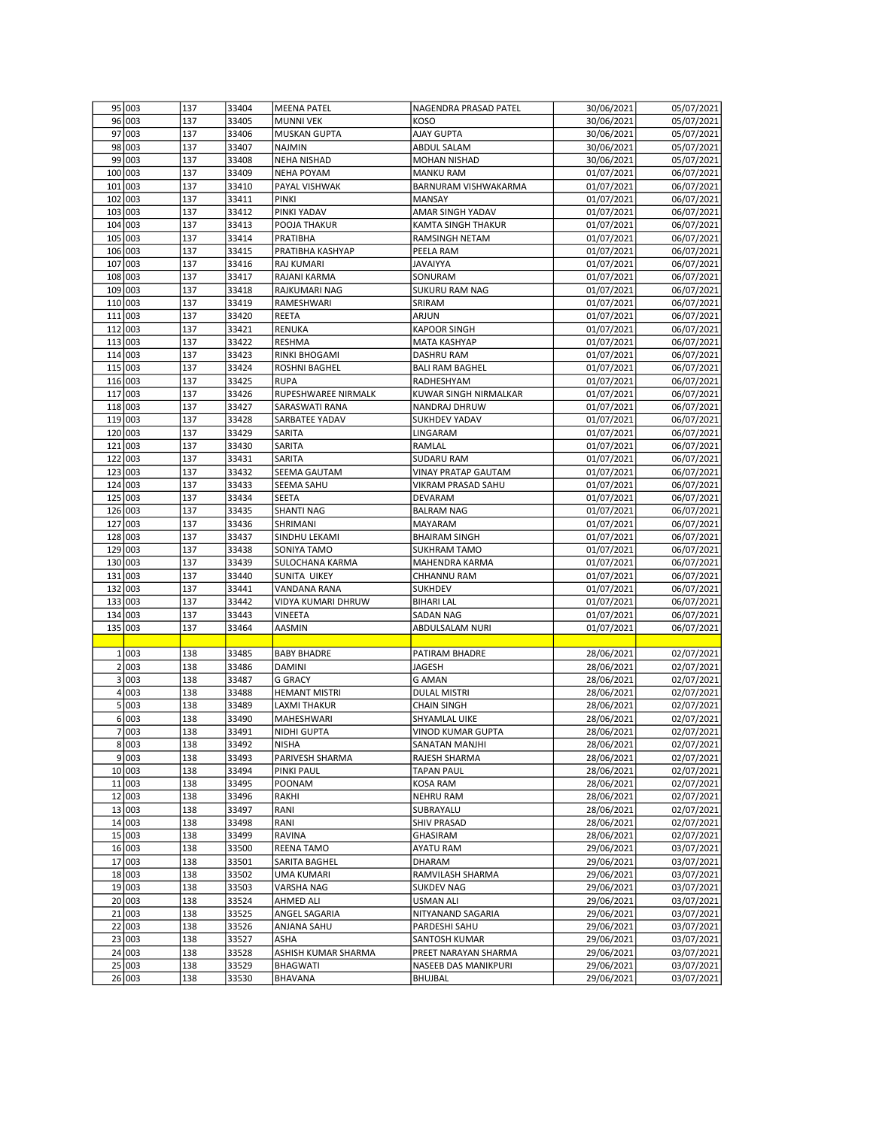| 95 003  | 137 | 33404 | <b>MEENA PATEL</b>   | NAGENDRA PRASAD PATEL  | 30/06/2021               | 05/07/2021 |
|---------|-----|-------|----------------------|------------------------|--------------------------|------------|
| 96 003  | 137 | 33405 | <b>MUNNI VEK</b>     | <b>KOSO</b>            | 30/06/2021               | 05/07/2021 |
| 97 003  | 137 | 33406 | <b>MUSKAN GUPTA</b>  | <b>AJAY GUPTA</b>      | 30/06/2021               | 05/07/2021 |
| 98 003  | 137 | 33407 | <b>NAJMIN</b>        | ABDUL SALAM            | 30/06/2021               | 05/07/2021 |
| 99 003  | 137 | 33408 | NEHA NISHAD          | <b>MOHAN NISHAD</b>    | 30/06/2021               | 05/07/2021 |
| 100 003 | 137 | 33409 | NEHA POYAM           | MANKU RAM              | 01/07/2021               | 06/07/2021 |
|         |     |       |                      |                        |                          |            |
| 101 003 | 137 | 33410 | PAYAL VISHWAK        | BARNURAM VISHWAKARMA   | 01/07/2021               | 06/07/2021 |
| 102 003 | 137 | 33411 | PINKI                | MANSAY                 | 01/07/2021               | 06/07/2021 |
| 103 003 | 137 | 33412 | PINKI YADAV          | AMAR SINGH YADAV       | 01/07/2021               | 06/07/2021 |
| 104 003 | 137 | 33413 | POOJA THAKUR         | KAMTA SINGH THAKUR     | 01/07/2021               | 06/07/2021 |
| 105 003 | 137 | 33414 | PRATIBHA             | RAMSINGH NETAM         | 01/07/2021               | 06/07/2021 |
| 106 003 | 137 | 33415 | PRATIBHA KASHYAP     | PEELA RAM              | 01/07/2021               | 06/07/2021 |
| 107 003 | 137 | 33416 | RAJ KUMARI           | JAVAIYYA               | 01/07/2021               | 06/07/2021 |
| 108 003 | 137 | 33417 | RAJANI KARMA         | SONURAM                | 01/07/2021               | 06/07/2021 |
| 109 003 | 137 | 33418 | RAJKUMARI NAG        | SUKURU RAM NAG         | 01/07/2021               | 06/07/2021 |
|         |     |       |                      | SRIRAM                 |                          |            |
| 110 003 | 137 | 33419 | RAMESHWARI           |                        | 01/07/2021               | 06/07/2021 |
| 111 003 | 137 | 33420 | REETA                | ARJUN                  | 01/07/2021               | 06/07/2021 |
| 112 003 | 137 | 33421 | <b>RENUKA</b>        | <b>KAPOOR SINGH</b>    | 01/07/2021               | 06/07/2021 |
| 113 003 | 137 | 33422 | RESHMA               | MATA KASHYAP           | 01/07/2021               | 06/07/2021 |
| 114 003 | 137 | 33423 | RINKI BHOGAMI        | DASHRU RAM             | 01/07/2021               | 06/07/2021 |
| 115 003 | 137 | 33424 | ROSHNI BAGHEL        | <b>BALI RAM BAGHEL</b> | 01/07/2021               | 06/07/2021 |
| 116 003 | 137 | 33425 | <b>RUPA</b>          | RADHESHYAM             | 01/07/2021               | 06/07/2021 |
| 117 003 | 137 | 33426 | RUPESHWAREE NIRMALK  | KUWAR SINGH NIRMALKAR  | 01/07/2021               | 06/07/2021 |
| 118 003 | 137 | 33427 | SARASWATI RANA       | NANDRAJ DHRUW          | 01/07/2021               | 06/07/2021 |
|         |     |       |                      | <b>SUKHDEV YADAV</b>   |                          |            |
| 119 003 | 137 | 33428 | SARBATEE YADAV       |                        | 01/07/2021<br>01/07/2021 | 06/07/2021 |
| 120 003 | 137 | 33429 | SARITA               | LINGARAM               |                          | 06/07/2021 |
| 121 003 | 137 | 33430 | SARITA               | RAMLAL                 | 01/07/2021               | 06/07/2021 |
| 122 003 | 137 | 33431 | SARITA               | SUDARU RAM             | 01/07/2021               | 06/07/2021 |
| 123 003 | 137 | 33432 | <b>SEEMA GAUTAM</b>  | VINAY PRATAP GAUTAM    | 01/07/2021               | 06/07/2021 |
| 124 003 | 137 | 33433 | SEEMA SAHU           | VIKRAM PRASAD SAHU     | 01/07/2021               | 06/07/2021 |
| 125 003 | 137 | 33434 | SEETA                | DEVARAM                | 01/07/2021               | 06/07/2021 |
| 126 003 | 137 | 33435 | SHANTI NAG           | <b>BALRAM NAG</b>      | 01/07/2021               | 06/07/2021 |
| 127 003 | 137 | 33436 | SHRIMANI             | MAYARAM                | 01/07/2021               | 06/07/2021 |
| 128 003 | 137 | 33437 | SINDHU LEKAMI        | <b>BHAIRAM SINGH</b>   | 01/07/2021               | 06/07/2021 |
| 129 003 | 137 | 33438 | SONIYA TAMO          | <b>SUKHRAM TAMO</b>    | 01/07/2021               | 06/07/2021 |
|         |     |       |                      |                        |                          |            |
| 130 003 | 137 | 33439 | SULOCHANA KARMA      | MAHENDRA KARMA         | 01/07/2021               | 06/07/2021 |
| 131 003 | 137 | 33440 | SUNITA UIKEY         | CHHANNU RAM            | 01/07/2021               | 06/07/2021 |
| 132 003 | 137 | 33441 | VANDANA RANA         | SUKHDEV                | 01/07/2021               | 06/07/2021 |
| 133 003 | 137 | 33442 | VIDYA KUMARI DHRUW   | <b>BIHARI LAL</b>      | 01/07/2021               | 06/07/2021 |
| 134 003 | 137 | 33443 | VINEETA              | SADAN NAG              | 01/07/2021               | 06/07/2021 |
| 135 003 | 137 | 33464 | AASMIN               | ABDULSALAM NURI        | 01/07/2021               | 06/07/2021 |
|         |     |       |                      |                        |                          |            |
| 1 003   | 138 | 33485 | <b>BABY BHADRE</b>   | PATIRAM BHADRE         | 28/06/2021               | 02/07/2021 |
| 2 003   | 138 | 33486 | <b>DAMINI</b>        | JAGESH                 | 28/06/2021               | 02/07/2021 |
| 3 003   | 138 | 33487 | <b>G GRACY</b>       | G AMAN                 | 28/06/2021               | 02/07/2021 |
| 4 003   | 138 | 33488 | <b>HEMANT MISTRI</b> | <b>DULAL MISTRI</b>    | 28/06/2021               | 02/07/2021 |
|         |     |       |                      |                        |                          |            |
| 5 003   | 138 | 33489 | LAXMI THAKUR         | <b>CHAIN SINGH</b>     | 28/06/2021               | 02/07/2021 |
| 6 003   | 138 | 33490 | MAHESHWARI           | SHYAMLAL UIKE          | 28/06/2021               | 02/07/2021 |
| 7 003   | 138 | 33491 | NIDHI GUPTA          | VINOD KUMAR GUPTA      | 28/06/2021               | 02/07/2021 |
| 8 003   | 138 | 33492 | <b>NISHA</b>         | SANATAN MANJHI         | 28/06/2021               | 02/07/2021 |
| 9 003   | 138 | 33493 | PARIVESH SHARMA      | RAJESH SHARMA          | 28/06/2021               | 02/07/2021 |
| 10 003  | 138 | 33494 | PINKI PAUL           | <b>TAPAN PAUL</b>      | 28/06/2021               | 02/07/2021 |
| 11 003  | 138 | 33495 | POONAM               | KOSA RAM               | 28/06/2021               | 02/07/2021 |
| 12 003  | 138 | 33496 | RAKHI                | <b>NEHRU RAM</b>       | 28/06/2021               | 02/07/2021 |
| 13 003  | 138 | 33497 | RANI                 | SUBRAYALU              | 28/06/2021               | 02/07/2021 |
| 14 003  | 138 | 33498 | RANI                 | SHIV PRASAD            | 28/06/2021               | 02/07/2021 |
|         |     |       |                      |                        |                          |            |
| 15 003  | 138 | 33499 | RAVINA               | GHASIRAM               | 28/06/2021               | 02/07/2021 |
| 16 003  | 138 | 33500 | REENA TAMO           | <b>AYATU RAM</b>       | 29/06/2021               | 03/07/2021 |
| 17 003  | 138 | 33501 | SARITA BAGHEL        | DHARAM                 | 29/06/2021               | 03/07/2021 |
| 18 003  | 138 | 33502 | UMA KUMARI           | RAMVILASH SHARMA       | 29/06/2021               | 03/07/2021 |
| 19 003  | 138 | 33503 | VARSHA NAG           | SUKDEV NAG             | 29/06/2021               | 03/07/2021 |
| 20 003  | 138 | 33524 | AHMED ALI            | USMAN ALI              | 29/06/2021               | 03/07/2021 |
| 21 003  | 138 | 33525 | ANGEL SAGARIA        | NITYANAND SAGARIA      | 29/06/2021               | 03/07/2021 |
| 22 003  | 138 | 33526 | ANJANA SAHU          | PARDESHI SAHU          | 29/06/2021               | 03/07/2021 |
| 23 003  | 138 | 33527 | ASHA                 | SANTOSH KUMAR          | 29/06/2021               | 03/07/2021 |
| 24 003  | 138 | 33528 | ASHISH KUMAR SHARMA  | PREET NARAYAN SHARMA   | 29/06/2021               | 03/07/2021 |
| 25 003  | 138 | 33529 | BHAGWATI             | NASEEB DAS MANIKPURI   | 29/06/2021               | 03/07/2021 |
|         |     |       |                      |                        |                          |            |
| 26 003  | 138 | 33530 | BHAVANA              | BHUJBAL                | 29/06/2021               | 03/07/2021 |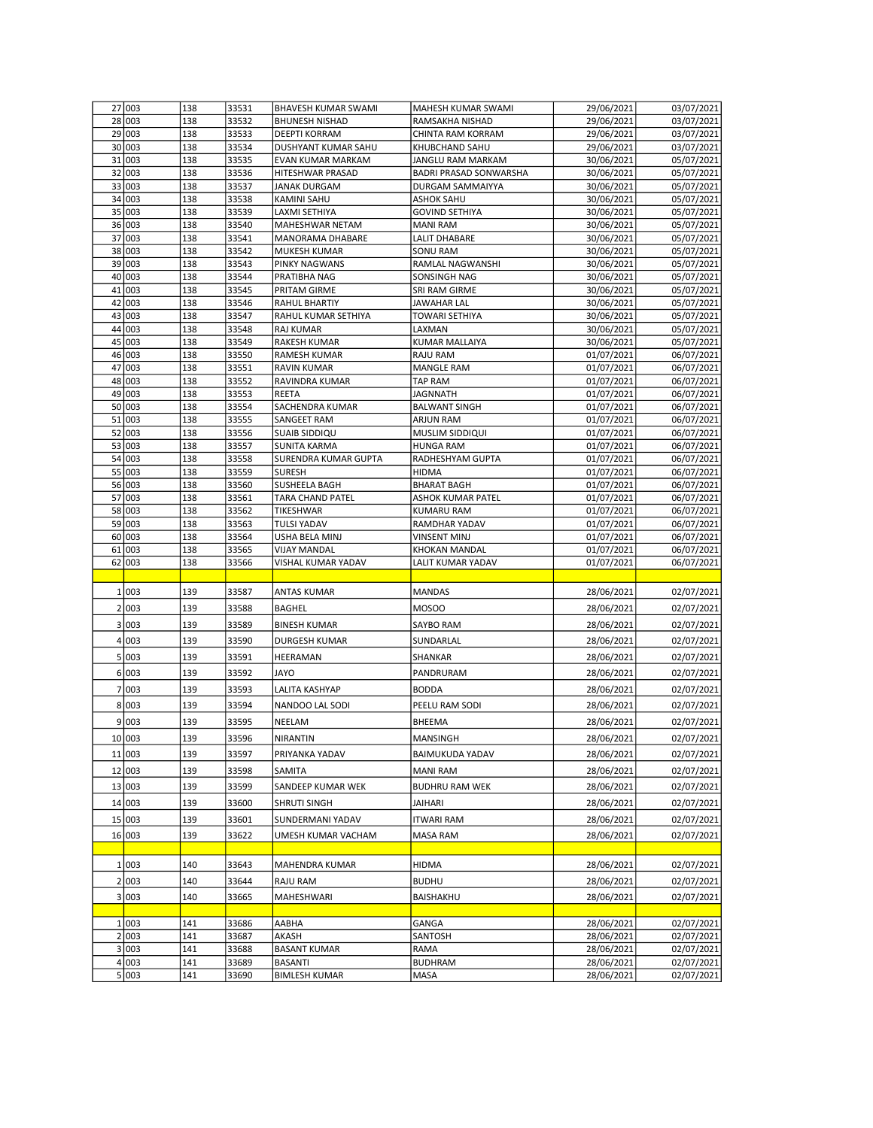| 27 003 | 138 | 33531 | <b>BHAVESH KUMAR SWAMI</b> | MAHESH KUMAR SWAMI     | 29/06/2021 | 03/07/2021 |
|--------|-----|-------|----------------------------|------------------------|------------|------------|
| 28 003 | 138 | 33532 | <b>BHUNESH NISHAD</b>      | RAMSAKHA NISHAD        | 29/06/2021 | 03/07/2021 |
| 29 003 | 138 | 33533 | DEEPTI KORRAM              | CHINTA RAM KORRAM      | 29/06/2021 | 03/07/2021 |
| 30 003 | 138 | 33534 | DUSHYANT KUMAR SAHU        | KHUBCHAND SAHU         | 29/06/2021 | 03/07/2021 |
| 31 003 | 138 | 33535 | EVAN KUMAR MARKAM          | JANGLU RAM MARKAM      | 30/06/2021 | 05/07/2021 |
| 32 003 | 138 | 33536 | HITESHWAR PRASAD           | BADRI PRASAD SONWARSHA | 30/06/2021 | 05/07/2021 |
| 33 003 | 138 | 33537 | JANAK DURGAM               | DURGAM SAMMAIYYA       | 30/06/2021 | 05/07/2021 |
| 34 003 | 138 | 33538 | KAMINI SAHU                | ASHOK SAHU             | 30/06/2021 | 05/07/2021 |
| 35 003 | 138 | 33539 | LAXMI SETHIYA              | GOVIND SETHIYA         | 30/06/2021 | 05/07/2021 |
| 36 003 | 138 | 33540 | MAHESHWAR NETAM            | <b>MANI RAM</b>        | 30/06/2021 | 05/07/2021 |
| 37 003 | 138 | 33541 | MANORAMA DHABARE           | LALIT DHABARE          | 30/06/2021 | 05/07/2021 |
| 38 003 | 138 | 33542 | MUKESH KUMAR               | SONU RAM               | 30/06/2021 | 05/07/2021 |
| 39 003 | 138 | 33543 | PINKY NAGWANS              | RAMLAL NAGWANSHI       | 30/06/2021 | 05/07/2021 |
| 40 003 | 138 | 33544 | PRATIBHA NAG               | SONSINGH NAG           | 30/06/2021 | 05/07/2021 |
| 41 003 | 138 | 33545 | PRITAM GIRME               | SRI RAM GIRME          | 30/06/2021 | 05/07/2021 |
| 42 003 | 138 | 33546 | RAHUL BHARTIY              | <b>JAWAHAR LAL</b>     | 30/06/2021 | 05/07/2021 |
| 43 003 | 138 | 33547 | RAHUL KUMAR SETHIYA        | TOWARI SETHIYA         | 30/06/2021 | 05/07/2021 |
| 44 003 | 138 | 33548 | RAJ KUMAR                  | LAXMAN                 | 30/06/2021 | 05/07/2021 |
| 45 003 | 138 | 33549 | <b>RAKESH KUMAR</b>        | <b>KUMAR MALLAIYA</b>  | 30/06/2021 | 05/07/2021 |
| 46 003 | 138 | 33550 | <b>RAMESH KUMAR</b>        | RAJU RAM               | 01/07/2021 | 06/07/2021 |
| 47 003 | 138 | 33551 | <b>RAVIN KUMAR</b>         | <b>MANGLE RAM</b>      | 01/07/2021 | 06/07/2021 |
| 48 003 | 138 | 33552 | RAVINDRA KUMAR             | <b>TAP RAM</b>         | 01/07/2021 | 06/07/2021 |
| 49 003 | 138 | 33553 | <b>REETA</b>               | JAGNNATH               | 01/07/2021 | 06/07/2021 |
| 50 003 | 138 | 33554 | SACHENDRA KUMAR            | <b>BALWANT SINGH</b>   | 01/07/2021 | 06/07/2021 |
| 51 003 | 138 | 33555 | SANGEET RAM                | <b>ARJUN RAM</b>       | 01/07/2021 | 06/07/2021 |
| 52 003 | 138 | 33556 | <b>SUAIB SIDDIQU</b>       | MUSLIM SIDDIQUI        | 01/07/2021 | 06/07/2021 |
| 53 003 | 138 | 33557 | <b>SUNITA KARMA</b>        | <b>HUNGA RAM</b>       | 01/07/2021 | 06/07/2021 |
| 54 003 | 138 | 33558 | SURENDRA KUMAR GUPTA       | RADHESHYAM GUPTA       | 01/07/2021 | 06/07/2021 |
| 55 003 | 138 | 33559 | <b>SURESH</b>              | <b>HIDMA</b>           | 01/07/2021 | 06/07/2021 |
| 56 003 | 138 | 33560 | SUSHEELA BAGH              | <b>BHARAT BAGH</b>     | 01/07/2021 | 06/07/2021 |
| 57 003 | 138 | 33561 | <b>TARA CHAND PATEL</b>    | ASHOK KUMAR PATEL      | 01/07/2021 | 06/07/2021 |
| 58 003 | 138 | 33562 | TIKESHWAR                  | KUMARU RAM             | 01/07/2021 | 06/07/2021 |
| 59 003 | 138 | 33563 | <b>TULSI YADAV</b>         | RAMDHAR YADAV          | 01/07/2021 | 06/07/2021 |
| 60 003 | 138 | 33564 | USHA BELA MINJ             | VINSENT MINJ           | 01/07/2021 | 06/07/2021 |
| 61 003 | 138 | 33565 | VIJAY MANDAL               | KHOKAN MANDAL          | 01/07/2021 | 06/07/2021 |
| 62 003 | 138 | 33566 | VISHAL KUMAR YADAV         | LALIT KUMAR YADAV      | 01/07/2021 | 06/07/2021 |
|        |     |       |                            |                        |            |            |
| 1 003  | 139 | 33587 | ANTAS KUMAR                | <b>MANDAS</b>          | 28/06/2021 | 02/07/2021 |
| 2 003  | 139 | 33588 | <b>BAGHEL</b>              | MOSO <sub>O</sub>      |            |            |
|        |     |       |                            |                        | 28/06/2021 | 02/07/2021 |
| 3 003  | 139 | 33589 | <b>BINESH KUMAR</b>        | SAYBO RAM              | 28/06/2021 | 02/07/2021 |
| 4 003  | 139 | 33590 | <b>DURGESH KUMAR</b>       | SUNDARLAL              | 28/06/2021 | 02/07/2021 |
| 5 003  | 139 | 33591 | HEERAMAN                   | SHANKAR                | 28/06/2021 | 02/07/2021 |
| 6 003  | 139 | 33592 | JAYO                       | PANDRURAM              | 28/06/2021 | 02/07/2021 |
|        |     |       |                            |                        |            |            |
| 7 003  | 139 | 33593 | <b>LALITA KASHYAP</b>      | <b>BODDA</b>           | 28/06/2021 | 02/07/2021 |
| 8 003  | 139 | 33594 | NANDOO LAL SODI            | PEELU RAM SODI         | 28/06/2021 | 02/07/2021 |
| 9 003  | 139 | 33595 | NEELAM                     | BHEEMA                 | 28/06/2021 | 02/07/2021 |
| 10 003 | 139 | 33596 | <b>NIRANTIN</b>            | <b>MANSINGH</b>        | 28/06/2021 | 02/07/2021 |
| 11 003 |     |       |                            |                        |            |            |
|        | 139 | 33597 | PRIYANKA YADAV             | BAIMUKUDA YADAV        | 28/06/2021 | 02/07/2021 |
| 12 003 | 139 | 33598 | SAMITA                     | <b>MANI RAM</b>        | 28/06/2021 | 02/07/2021 |
| 13 003 | 139 | 33599 | SANDEEP KUMAR WEK          | <b>BUDHRU RAM WEK</b>  | 28/06/2021 | 02/07/2021 |
| 14 003 | 139 | 33600 | SHRUTI SINGH               | JAIHARI                | 28/06/2021 | 02/07/2021 |
| 15 003 | 139 | 33601 | SUNDERMANI YADAV           | ITWARI RAM             | 28/06/2021 | 02/07/2021 |
|        |     |       |                            |                        |            |            |
| 16 003 | 139 | 33622 | UMESH KUMAR VACHAM         | <b>MASA RAM</b>        | 28/06/2021 | 02/07/2021 |
|        |     |       |                            |                        |            |            |
| 1 003  | 140 | 33643 | MAHENDRA KUMAR             | <b>HIDMA</b>           | 28/06/2021 | 02/07/2021 |
| 2 003  | 140 | 33644 | RAJU RAM                   | <b>BUDHU</b>           | 28/06/2021 | 02/07/2021 |
| 3 003  | 140 | 33665 | MAHESHWARI                 | BAISHAKHU              | 28/06/2021 | 02/07/2021 |
|        |     |       |                            |                        |            |            |
| 1 003  | 141 | 33686 | AABHA                      | GANGA                  | 28/06/2021 | 02/07/2021 |
| 2 003  | 141 | 33687 | AKASH                      | SANTOSH                | 28/06/2021 | 02/07/2021 |
| 3 003  | 141 | 33688 | <b>BASANT KUMAR</b>        | <b>RAMA</b>            | 28/06/2021 | 02/07/2021 |
| 4 003  | 141 | 33689 | <b>BASANTI</b>             | <b>BUDHRAM</b>         | 28/06/2021 | 02/07/2021 |
| 5 003  | 141 | 33690 | <b>BIMLESH KUMAR</b>       | MASA                   | 28/06/2021 | 02/07/2021 |
|        |     |       |                            |                        |            |            |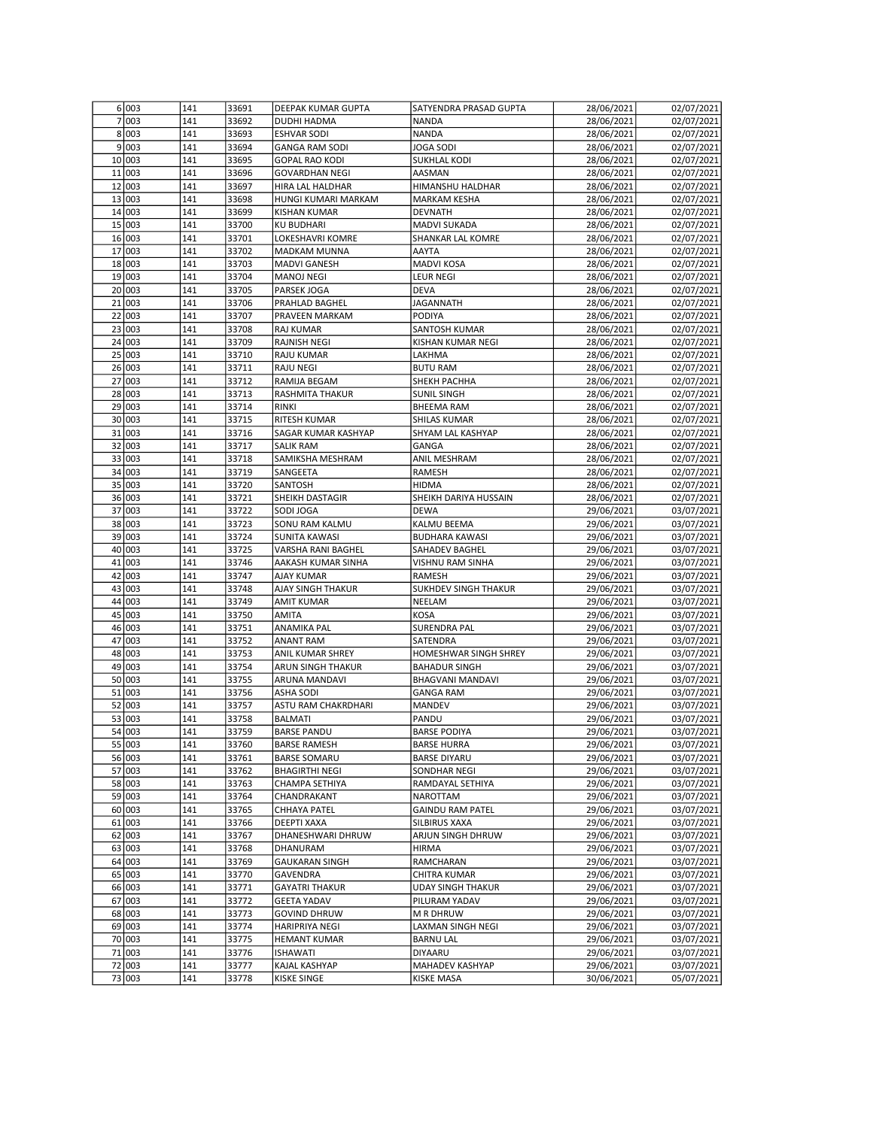| 6 003  | 141 | 33691 | DEEPAK KUMAR GUPTA    | SATYENDRA PRASAD GUPTA   | 28/06/2021 | 02/07/2021 |
|--------|-----|-------|-----------------------|--------------------------|------------|------------|
| 7 003  | 141 | 33692 | DUDHI HADMA           | <b>NANDA</b>             | 28/06/2021 | 02/07/2021 |
| 8 003  | 141 | 33693 | <b>ESHVAR SODI</b>    | <b>NANDA</b>             | 28/06/2021 | 02/07/2021 |
| 9 003  | 141 | 33694 | <b>GANGA RAM SODI</b> | JOGA SODI                | 28/06/2021 | 02/07/2021 |
| 10 003 | 141 | 33695 | GOPAL RAO KODI        | <b>SUKHLAL KODI</b>      | 28/06/2021 | 02/07/2021 |
| 11 003 | 141 | 33696 | <b>GOVARDHAN NEGI</b> | AASMAN                   | 28/06/2021 | 02/07/2021 |
| 12 003 | 141 | 33697 | HIRA LAL HALDHAR      | HIMANSHU HALDHAR         | 28/06/2021 | 02/07/2021 |
| 13 003 | 141 | 33698 | HUNGI KUMARI MARKAM   | <b>MARKAM KESHA</b>      | 28/06/2021 | 02/07/2021 |
| 14 003 | 141 | 33699 | KISHAN KUMAR          | <b>DEVNATH</b>           | 28/06/2021 | 02/07/2021 |
| 15 003 | 141 | 33700 | <b>KU BUDHARI</b>     | MADVI SUKADA             |            | 02/07/2021 |
|        |     |       |                       |                          | 28/06/2021 |            |
| 16 003 | 141 | 33701 | LOKESHAVRI KOMRE      | SHANKAR LAL KOMRE        | 28/06/2021 | 02/07/2021 |
| 17 003 | 141 | 33702 | MADKAM MUNNA          | AAYTA                    | 28/06/2021 | 02/07/2021 |
| 18 003 | 141 | 33703 | MADVI GANESH          | MADVI KOSA               | 28/06/2021 | 02/07/2021 |
| 19 003 | 141 | 33704 | MANOJ NEGI            | LEUR NEGI                | 28/06/2021 | 02/07/2021 |
| 20 003 | 141 | 33705 | PARSEK JOGA           | DEVA                     | 28/06/2021 | 02/07/2021 |
| 21 003 | 141 | 33706 | PRAHLAD BAGHEL        | <b>JAGANNATH</b>         | 28/06/2021 | 02/07/2021 |
| 22 003 | 141 | 33707 | PRAVEEN MARKAM        | PODIYA                   | 28/06/2021 | 02/07/2021 |
| 23 003 | 141 | 33708 | RAJ KUMAR             | SANTOSH KUMAR            | 28/06/2021 | 02/07/2021 |
| 24 003 | 141 | 33709 | RAJNISH NEGI          | KISHAN KUMAR NEGI        | 28/06/2021 | 02/07/2021 |
| 25 003 | 141 | 33710 | RAJU KUMAR            | LAKHMA                   | 28/06/2021 | 02/07/2021 |
| 26 003 | 141 | 33711 | <b>RAJU NEGI</b>      | <b>BUTU RAM</b>          | 28/06/2021 | 02/07/2021 |
| 27 003 | 141 | 33712 | RAMIJA BEGAM          | SHEKH PACHHA             | 28/06/2021 | 02/07/2021 |
| 28 003 | 141 | 33713 | RASHMITA THAKUR       | <b>SUNIL SINGH</b>       | 28/06/2021 | 02/07/2021 |
| 29 003 | 141 | 33714 | RINKI                 | <b>BHEEMA RAM</b>        | 28/06/2021 | 02/07/2021 |
| 30 003 | 141 | 33715 | RITESH KUMAR          | <b>SHILAS KUMAR</b>      | 28/06/2021 | 02/07/2021 |
| 31 003 | 141 | 33716 | SAGAR KUMAR KASHYAP   | SHYAM LAL KASHYAP        | 28/06/2021 | 02/07/2021 |
| 32 003 | 141 | 33717 | SALIK RAM             | GANGA                    | 28/06/2021 | 02/07/2021 |
| 33 003 | 141 | 33718 | SAMIKSHA MESHRAM      | ANIL MESHRAM             | 28/06/2021 | 02/07/2021 |
| 34 003 | 141 | 33719 | SANGEETA              | RAMESH                   |            | 02/07/2021 |
| 35 003 | 141 | 33720 |                       | <b>HIDMA</b>             | 28/06/2021 |            |
|        |     |       | SANTOSH               |                          | 28/06/2021 | 02/07/2021 |
| 36 003 | 141 | 33721 | SHEIKH DASTAGIR       | SHEIKH DARIYA HUSSAIN    | 28/06/2021 | 02/07/2021 |
| 37 003 | 141 | 33722 | SODI JOGA             | DEWA                     | 29/06/2021 | 03/07/2021 |
| 38 003 | 141 | 33723 | SONU RAM KALMU        | KALMU BEEMA              | 29/06/2021 | 03/07/2021 |
| 39 003 | 141 | 33724 | SUNITA KAWASI         | <b>BUDHARA KAWASI</b>    | 29/06/2021 | 03/07/2021 |
| 40 003 | 141 | 33725 | VARSHA RANI BAGHEL    | SAHADEV BAGHEL           | 29/06/2021 | 03/07/2021 |
| 41 003 | 141 | 33746 | AAKASH KUMAR SINHA    | VISHNU RAM SINHA         | 29/06/2021 | 03/07/2021 |
| 42 003 | 141 | 33747 | AJAY KUMAR            | RAMESH                   | 29/06/2021 | 03/07/2021 |
| 43 003 | 141 | 33748 | AJAY SINGH THAKUR     | SUKHDEV SINGH THAKUR     | 29/06/2021 | 03/07/2021 |
| 44 003 | 141 | 33749 | AMIT KUMAR            | NEELAM                   | 29/06/2021 | 03/07/2021 |
| 45 003 | 141 | 33750 | <b>AMITA</b>          | KOSA                     | 29/06/2021 | 03/07/2021 |
| 46 003 | 141 | 33751 | ANAMIKA PAL           | SURENDRA PAL             | 29/06/2021 | 03/07/2021 |
| 47 003 | 141 | 33752 | ANANT RAM             | SATENDRA                 | 29/06/2021 | 03/07/2021 |
| 48 003 | 141 | 33753 | ANIL KUMAR SHREY      | HOMESHWAR SINGH SHREY    | 29/06/2021 | 03/07/2021 |
| 49 003 | 141 | 33754 | ARUN SINGH THAKUR     | <b>BAHADUR SINGH</b>     | 29/06/2021 | 03/07/2021 |
| 50 003 | 141 | 33755 | ARUNA MANDAVI         | <b>BHAGVANI MANDAVI</b>  | 29/06/2021 | 03/07/2021 |
| 51 003 | 141 | 33756 | <b>ASHA SODI</b>      | <b>GANGA RAM</b>         | 29/06/2021 | 03/07/2021 |
| 52 003 | 141 | 33757 | ASTU RAM CHAKRDHARI   | MANDEV                   | 29/06/2021 | 03/07/2021 |
| 53 003 | 141 | 33758 | <b>BALMATI</b>        | PANDU                    | 29/06/2021 | 03/07/2021 |
| 54 003 | 141 | 33759 | <b>BARSE PANDU</b>    | <b>BARSE PODIYA</b>      | 29/06/2021 | 03/07/2021 |
| 55 003 | 141 | 33760 | <b>BARSE RAMESH</b>   | <b>BARSE HURRA</b>       | 29/06/2021 | 03/07/2021 |
| 56 003 | 141 | 33761 | <b>BARSE SOMARU</b>   | <b>BARSE DIYARU</b>      | 29/06/2021 | 03/07/2021 |
| 57 003 |     |       |                       |                          | 29/06/2021 | 03/07/2021 |
|        | 141 | 33762 | <b>BHAGIRTHI NEGI</b> | SONDHAR NEGI             |            |            |
| 58 003 | 141 | 33763 | CHAMPA SETHIYA        | RAMDAYAL SETHIYA         | 29/06/2021 | 03/07/2021 |
| 59 003 | 141 | 33764 | CHANDRAKANT           | NAROTTAM                 | 29/06/2021 | 03/07/2021 |
| 60 003 | 141 | 33765 | CHHAYA PATEL          | <b>GAINDU RAM PATEL</b>  | 29/06/2021 | 03/07/2021 |
| 61 003 | 141 | 33766 | DEEPTI XAXA           | SILBIRUS XAXA            | 29/06/2021 | 03/07/2021 |
| 62 003 | 141 | 33767 | DHANESHWARI DHRUW     | ARJUN SINGH DHRUW        | 29/06/2021 | 03/07/2021 |
| 63 003 | 141 | 33768 | DHANURAM              | <b>HIRMA</b>             | 29/06/2021 | 03/07/2021 |
| 64 003 | 141 | 33769 | <b>GAUKARAN SINGH</b> | RAMCHARAN                | 29/06/2021 | 03/07/2021 |
| 65 003 | 141 | 33770 | GAVENDRA              | CHITRA KUMAR             | 29/06/2021 | 03/07/2021 |
| 66 003 | 141 | 33771 | <b>GAYATRI THAKUR</b> | <b>UDAY SINGH THAKUR</b> | 29/06/2021 | 03/07/2021 |
| 67 003 | 141 | 33772 | <b>GEETA YADAV</b>    | PILURAM YADAV            | 29/06/2021 | 03/07/2021 |
| 68 003 | 141 | 33773 | <b>GOVIND DHRUW</b>   | M R DHRUW                | 29/06/2021 | 03/07/2021 |
| 69 003 | 141 | 33774 | HARIPRIYA NEGI        | LAXMAN SINGH NEGI        | 29/06/2021 | 03/07/2021 |
| 70 003 | 141 | 33775 | <b>HEMANT KUMAR</b>   | <b>BARNU LAL</b>         | 29/06/2021 | 03/07/2021 |
| 71 003 | 141 | 33776 | <b>ISHAWATI</b>       | DIYAARU                  | 29/06/2021 | 03/07/2021 |
| 72 003 | 141 | 33777 | KAJAL KASHYAP         | MAHADEV KASHYAP          | 29/06/2021 | 03/07/2021 |
| 73 003 | 141 | 33778 | <b>KISKE SINGE</b>    | <b>KISKE MASA</b>        | 30/06/2021 | 05/07/2021 |
|        |     |       |                       |                          |            |            |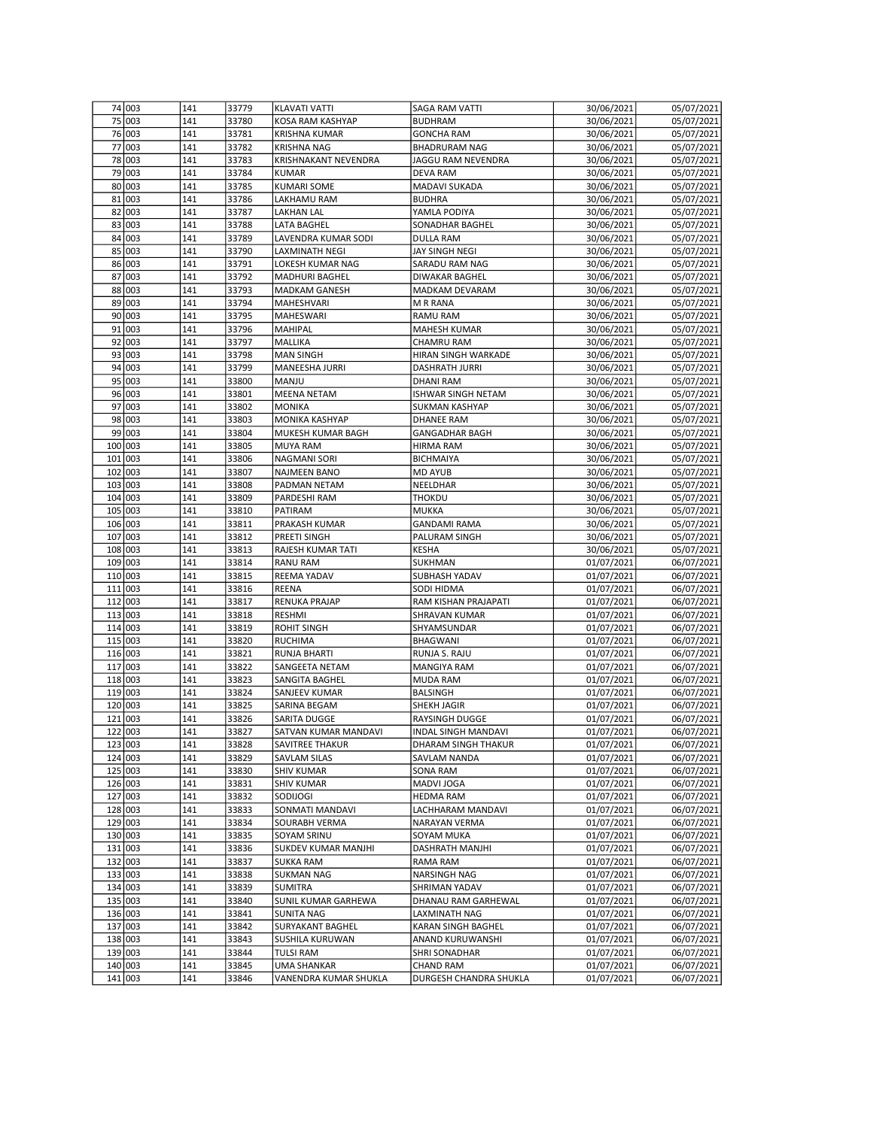| 74 003  | 141 | 33779 | <b>KLAVATI VATTI</b>  | <b>SAGA RAM VATTI</b>  | 30/06/2021 | 05/07/2021 |
|---------|-----|-------|-----------------------|------------------------|------------|------------|
| 75 003  | 141 | 33780 | KOSA RAM KASHYAP      | <b>BUDHRAM</b>         | 30/06/2021 | 05/07/2021 |
| 76 003  | 141 | 33781 | KRISHNA KUMAR         | <b>GONCHA RAM</b>      | 30/06/2021 | 05/07/2021 |
| 77 003  | 141 | 33782 | <b>KRISHNA NAG</b>    | <b>BHADRURAM NAG</b>   | 30/06/2021 | 05/07/2021 |
| 78 003  | 141 | 33783 | KRISHNAKANT NEVENDRA  | JAGGU RAM NEVENDRA     | 30/06/2021 | 05/07/2021 |
| 79 003  | 141 | 33784 |                       | DEVA RAM               |            | 05/07/2021 |
|         |     |       | KUMAR                 |                        | 30/06/2021 |            |
| 80 003  | 141 | 33785 | KUMARI SOME           | <b>MADAVI SUKADA</b>   | 30/06/2021 | 05/07/2021 |
| 81 003  | 141 | 33786 | LAKHAMU RAM           | <b>BUDHRA</b>          | 30/06/2021 | 05/07/2021 |
| 82 003  | 141 | 33787 | <b>LAKHAN LAL</b>     | YAMLA PODIYA           | 30/06/2021 | 05/07/2021 |
| 83 003  | 141 | 33788 | LATA BAGHEL           | SONADHAR BAGHEL        | 30/06/2021 | 05/07/2021 |
| 84 003  | 141 | 33789 | LAVENDRA KUMAR SODI   | DULLA RAM              | 30/06/2021 | 05/07/2021 |
| 85 003  | 141 | 33790 | LAXMINATH NEGI        | JAY SINGH NEGI         | 30/06/2021 | 05/07/2021 |
| 86 003  | 141 | 33791 | LOKESH KUMAR NAG      | SARADU RAM NAG         | 30/06/2021 | 05/07/2021 |
| 87 003  | 141 | 33792 | MADHURI BAGHEL        | DIWAKAR BAGHEL         | 30/06/2021 | 05/07/2021 |
| 88 003  |     |       | <b>MADKAM GANESH</b>  |                        |            |            |
|         | 141 | 33793 |                       | MADKAM DEVARAM         | 30/06/2021 | 05/07/2021 |
| 89 003  | 141 | 33794 | MAHESHVARI            | M R RANA               | 30/06/2021 | 05/07/2021 |
| 90 003  | 141 | 33795 | MAHESWARI             | RAMU RAM               | 30/06/2021 | 05/07/2021 |
| 91 003  | 141 | 33796 | MAHIPAL               | MAHESH KUMAR           | 30/06/2021 | 05/07/2021 |
| 92 003  | 141 | 33797 | MALLIKA               | CHAMRU RAM             | 30/06/2021 | 05/07/2021 |
| 93 003  | 141 | 33798 | MAN SINGH             | HIRAN SINGH WARKADE    | 30/06/2021 | 05/07/2021 |
| 94 003  | 141 | 33799 | MANEESHA JURRI        | <b>DASHRATH JURRI</b>  | 30/06/2021 | 05/07/2021 |
| 95 003  | 141 | 33800 | MANJU                 | <b>DHANI RAM</b>       | 30/06/2021 | 05/07/2021 |
|         |     |       |                       |                        | 30/06/2021 |            |
| 96 003  | 141 | 33801 | <b>MEENA NETAM</b>    | ISHWAR SINGH NETAM     |            | 05/07/2021 |
| 97 003  | 141 | 33802 | <b>MONIKA</b>         | <b>SUKMAN KASHYAP</b>  | 30/06/2021 | 05/07/2021 |
| 98 003  | 141 | 33803 | MONIKA KASHYAP        | <b>DHANEE RAM</b>      | 30/06/2021 | 05/07/2021 |
| 99 003  | 141 | 33804 | MUKESH KUMAR BAGH     | <b>GANGADHAR BAGH</b>  | 30/06/2021 | 05/07/2021 |
| 100 003 | 141 | 33805 | <b>MUYA RAM</b>       | <b>HIRMA RAM</b>       | 30/06/2021 | 05/07/2021 |
| 101 003 | 141 | 33806 | NAGMANI SORI          | BICHMAIYA              | 30/06/2021 | 05/07/2021 |
| 102 003 | 141 | 33807 | <b>NAJMEEN BANO</b>   | <b>MD AYUB</b>         | 30/06/2021 | 05/07/2021 |
| 103 003 | 141 | 33808 | PADMAN NETAM          | NEELDHAR               | 30/06/2021 | 05/07/2021 |
|         |     |       | PARDESHI RAM          |                        |            | 05/07/2021 |
| 104 003 | 141 | 33809 |                       | THOKDU                 | 30/06/2021 |            |
| 105 003 | 141 | 33810 | PATIRAM               | MUKKA                  | 30/06/2021 | 05/07/2021 |
| 106 003 | 141 | 33811 | PRAKASH KUMAR         | <b>GANDAMI RAMA</b>    | 30/06/2021 | 05/07/2021 |
| 107 003 | 141 | 33812 | PREETI SINGH          | PALURAM SINGH          | 30/06/2021 | 05/07/2021 |
| 108 003 | 141 | 33813 | RAJESH KUMAR TATI     | <b>KESHA</b>           | 30/06/2021 | 05/07/2021 |
| 109 003 | 141 | 33814 | RANU RAM              | SUKHMAN                | 01/07/2021 | 06/07/2021 |
| 110 003 | 141 | 33815 | REEMA YADAV           | SUBHASH YADAV          | 01/07/2021 | 06/07/2021 |
| 111 003 | 141 | 33816 | REENA                 | SODI HIDMA             | 01/07/2021 | 06/07/2021 |
| 112 003 | 141 | 33817 | RENUKA PRAJAP         | RAM KISHAN PRAJAPATI   | 01/07/2021 | 06/07/2021 |
| 113 003 |     |       | RESHMI                | SHRAVAN KUMAR          |            |            |
|         | 141 | 33818 |                       |                        | 01/07/2021 | 06/07/2021 |
| 114 003 | 141 | 33819 | ROHIT SINGH           | SHYAMSUNDAR            | 01/07/2021 | 06/07/2021 |
| 115 003 | 141 | 33820 | <b>RUCHIMA</b>        | <b>BHAGWANI</b>        | 01/07/2021 | 06/07/2021 |
| 116 003 | 141 | 33821 | RUNJA BHARTI          | RUNJA S. RAJU          | 01/07/2021 | 06/07/2021 |
| 117 003 | 141 | 33822 | SANGEETA NETAM        | MANGIYA RAM            | 01/07/2021 | 06/07/2021 |
| 118 003 | 141 | 33823 | SANGITA BAGHEL        | MUDA RAM               | 01/07/2021 | 06/07/2021 |
| 119 003 | 141 | 33824 | SANJEEV KUMAR         | <b>BALSINGH</b>        | 01/07/2021 | 06/07/2021 |
| 120 003 | 141 | 33825 | SARINA BEGAM          | SHEKH JAGIR            | 01/07/2021 | 06/07/2021 |
| 121 003 | 141 | 33826 | SARITA DUGGE          | RAYSINGH DUGGE         | 01/07/2021 | 06/07/2021 |
| 122 003 | 141 | 33827 | SATVAN KUMAR MANDAVI  | INDAL SINGH MANDAVI    | 01/07/2021 | 06/07/2021 |
|         |     |       |                       |                        |            |            |
| 123 003 | 141 | 33828 | SAVITREE THAKUR       | DHARAM SINGH THAKUR    | 01/07/2021 | 06/07/2021 |
| 124 003 | 141 | 33829 | SAVLAM SILAS          | SAVLAM NANDA           | 01/07/2021 | 06/07/2021 |
| 125 003 | 141 | 33830 | <b>SHIV KUMAR</b>     | SONA RAM               | 01/07/2021 | 06/07/2021 |
| 126 003 | 141 | 33831 | <b>SHIV KUMAR</b>     | MADVI JOGA             | 01/07/2021 | 06/07/2021 |
| 127 003 | 141 | 33832 | SODIJOGI              | HEDMA RAM              | 01/07/2021 | 06/07/2021 |
| 128 003 | 141 | 33833 | SONMATI MANDAVI       | LACHHARAM MANDAVI      | 01/07/2021 | 06/07/2021 |
| 129 003 | 141 | 33834 | SOURABH VERMA         | NARAYAN VERMA          | 01/07/2021 | 06/07/2021 |
| 130 003 | 141 | 33835 | SOYAM SRINU           | SOYAM MUKA             | 01/07/2021 | 06/07/2021 |
| 131 003 | 141 |       |                       | DASHRATH MANJHI        | 01/07/2021 |            |
|         |     | 33836 | SUKDEV KUMAR MANJHI   |                        |            | 06/07/2021 |
| 132 003 | 141 | 33837 | SUKKA RAM             | RAMA RAM               | 01/07/2021 | 06/07/2021 |
| 133 003 | 141 | 33838 | <b>SUKMAN NAG</b>     | NARSINGH NAG           | 01/07/2021 | 06/07/2021 |
| 134 003 | 141 | 33839 | <b>SUMITRA</b>        | SHRIMAN YADAV          | 01/07/2021 | 06/07/2021 |
| 135 003 | 141 | 33840 | SUNIL KUMAR GARHEWA   | DHANAU RAM GARHEWAL    | 01/07/2021 | 06/07/2021 |
| 136 003 | 141 | 33841 | SUNITA NAG            | LAXMINATH NAG          | 01/07/2021 | 06/07/2021 |
| 137 003 | 141 | 33842 | SURYAKANT BAGHEL      | KARAN SINGH BAGHEL     | 01/07/2021 | 06/07/2021 |
| 138 003 | 141 | 33843 | SUSHILA KURUWAN       | ANAND KURUWANSHI       | 01/07/2021 | 06/07/2021 |
| 139 003 | 141 | 33844 | TULSI RAM             | <b>SHRI SONADHAR</b>   | 01/07/2021 | 06/07/2021 |
|         |     |       |                       |                        |            |            |
| 140 003 | 141 | 33845 | UMA SHANKAR           | <b>CHAND RAM</b>       | 01/07/2021 | 06/07/2021 |
| 141 003 | 141 | 33846 | VANENDRA KUMAR SHUKLA | DURGESH CHANDRA SHUKLA | 01/07/2021 | 06/07/2021 |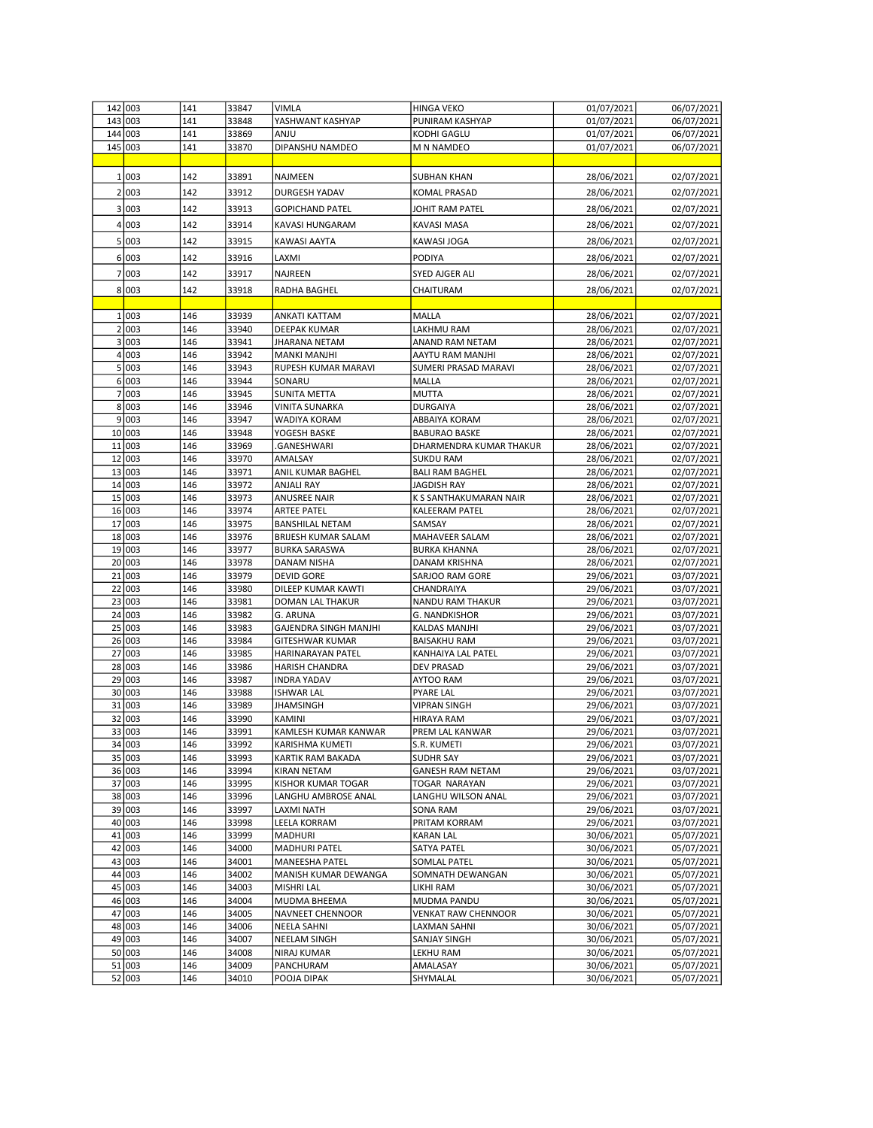| 142 003 | 141 | 33847 | <b>VIMLA</b>            | <b>HINGA VEKO</b>       | 01/07/2021 | 06/07/2021 |
|---------|-----|-------|-------------------------|-------------------------|------------|------------|
| 143 003 | 141 | 33848 | YASHWANT KASHYAP        | PUNIRAM KASHYAP         | 01/07/2021 | 06/07/2021 |
| 144 003 | 141 | 33869 | UlMA                    | KODHI GAGLU             | 01/07/2021 | 06/07/2021 |
| 145 003 | 141 | 33870 | DIPANSHU NAMDEO         | M N NAMDEO              | 01/07/2021 | 06/07/2021 |
|         |     |       |                         |                         |            |            |
| 1 003   | 142 | 33891 | NAJMEEN                 | <b>SUBHAN KHAN</b>      | 28/06/2021 | 02/07/2021 |
|         |     |       |                         |                         |            |            |
| 2 003   | 142 | 33912 | DURGESH YADAV           | <b>KOMAL PRASAD</b>     | 28/06/2021 | 02/07/2021 |
| 3 003   | 142 | 33913 | <b>GOPICHAND PATEL</b>  | JOHIT RAM PATEL         | 28/06/2021 | 02/07/2021 |
| 4 003   | 142 | 33914 | KAVASI HUNGARAM         | KAVASI MASA             | 28/06/2021 | 02/07/2021 |
| 5 003   | 142 | 33915 | KAWASI AAYTA            | KAWASI JOGA             | 28/06/2021 | 02/07/2021 |
|         |     |       | LAXMI                   | <b>PODIYA</b>           |            |            |
| 6 003   | 142 | 33916 |                         |                         | 28/06/2021 | 02/07/2021 |
| 7 003   | 142 | 33917 | NAJREEN                 | SYED AJGER ALI          | 28/06/2021 | 02/07/2021 |
| 8 0 0 3 | 142 | 33918 | RADHA BAGHEL            | CHAITURAM               | 28/06/2021 | 02/07/2021 |
|         |     |       |                         |                         |            |            |
| 1 003   | 146 | 33939 | ANKATI KATTAM           | MALLA                   | 28/06/2021 | 02/07/2021 |
| 2 003   | 146 | 33940 | DEEPAK KUMAR            | LAKHMU RAM              | 28/06/2021 | 02/07/2021 |
| 3 003   | 146 | 33941 | <b>JHARANA NETAM</b>    | ANAND RAM NETAM         | 28/06/2021 | 02/07/2021 |
| 4 003   | 146 | 33942 | <b>MANKI MANJHI</b>     | AAYTU RAM MANJHI        | 28/06/2021 | 02/07/2021 |
| 5 003   | 146 | 33943 | RUPESH KUMAR MARAVI     | SUMERI PRASAD MARAVI    | 28/06/2021 | 02/07/2021 |
| 6 003   | 146 | 33944 | SONARU                  | MALLA                   | 28/06/2021 | 02/07/2021 |
| 7 003   | 146 | 33945 | SUNITA METTA            | <b>MUTTA</b>            | 28/06/2021 | 02/07/2021 |
| 8 003   | 146 | 33946 | VINITA SUNARKA          | <b>DURGAIYA</b>         | 28/06/2021 | 02/07/2021 |
| 9 003   | 146 | 33947 | WADIYA KORAM            | ABBAIYA KORAM           | 28/06/2021 | 02/07/2021 |
| 10 003  | 146 | 33948 | YOGESH BASKE            | <b>BABURAO BASKE</b>    | 28/06/2021 | 02/07/2021 |
| 11 003  | 146 | 33969 | GANESHWARI              | DHARMENDRA KUMAR THAKUR | 28/06/2021 | 02/07/2021 |
| 12 003  | 146 | 33970 | AMALSAY                 | <b>SUKDU RAM</b>        | 28/06/2021 | 02/07/2021 |
| 13 003  | 146 | 33971 | ANIL KUMAR BAGHEL       | <b>BALI RAM BAGHEL</b>  | 28/06/2021 | 02/07/2021 |
| 14 003  | 146 | 33972 | <b>ANJALI RAY</b>       | JAGDISH RAY             | 28/06/2021 | 02/07/2021 |
| 15 003  | 146 | 33973 | <b>ANUSREE NAIR</b>     | K S SANTHAKUMARAN NAIR  | 28/06/2021 | 02/07/2021 |
| 16 003  | 146 | 33974 | <b>ARTEE PATEL</b>      | KALEERAM PATEL          | 28/06/2021 | 02/07/2021 |
| 17 003  | 146 | 33975 | <b>BANSHILAL NETAM</b>  | SAMSAY                  | 28/06/2021 | 02/07/2021 |
| 18 003  | 146 | 33976 | BRIJESH KUMAR SALAM     | MAHAVEER SALAM          | 28/06/2021 | 02/07/2021 |
| 19 003  | 146 | 33977 | <b>BURKA SARASWA</b>    | <b>BURKA KHANNA</b>     | 28/06/2021 | 02/07/2021 |
| 20 003  | 146 | 33978 | DANAM NISHA             | DANAM KRISHNA           | 28/06/2021 | 02/07/2021 |
| 21 003  | 146 | 33979 | <b>DEVID GORE</b>       | SARJOO RAM GORE         | 29/06/2021 | 03/07/2021 |
| 22 003  | 146 | 33980 | DILEEP KUMAR KAWTI      | CHANDRAIYA              | 29/06/2021 | 03/07/2021 |
| 23 003  | 146 | 33981 | DOMAN LAL THAKUR        | NANDU RAM THAKUR        | 29/06/2021 | 03/07/2021 |
| 24 003  | 146 | 33982 | G. ARUNA                | G. NANDKISHOR           | 29/06/2021 | 03/07/2021 |
| 25 003  | 146 | 33983 | GAJENDRA SINGH MANJHI   | KALDAS MANJHI           | 29/06/2021 | 03/07/2021 |
| 26 003  | 146 | 33984 | <b>GITESHWAR KUMAR</b>  | <b>BAISAKHU RAM</b>     | 29/06/2021 | 03/07/2021 |
| 27 003  | 146 | 33985 | HARINARAYAN PATEL       | KANHAIYA LAL PATEL      | 29/06/2021 | 03/07/2021 |
| 28 003  | 146 | 33986 | <b>HARISH CHANDRA</b>   | <b>DEV PRASAD</b>       | 29/06/2021 | 03/07/2021 |
| 29 003  | 146 | 33987 | <b>INDRA YADAV</b>      | AYTOO RAM               | 29/06/2021 | 03/07/2021 |
| 30 003  | 146 | 33988 | <b>ISHWAR LAL</b>       | <b>PYARE LAL</b>        | 29/06/2021 | 03/07/2021 |
| 31 003  | 146 | 33989 | <b>JHAMSINGH</b>        | <b>VIPRAN SINGH</b>     | 29/06/2021 | 03/07/2021 |
| 32 003  | 146 | 33990 | KAMINI                  | HIRAYA RAM              | 29/06/2021 | 03/07/2021 |
| 33 003  | 146 | 33991 | KAMLESH KUMAR KANWAR    | PREM LAL KANWAR         | 29/06/2021 | 03/07/2021 |
| 34 003  | 146 | 33992 | KARISHMA KUMETI         | S.R. KUMETI             | 29/06/2021 | 03/07/2021 |
| 35 003  | 146 | 33993 | KARTIK RAM BAKADA       | <b>SUDHR SAY</b>        | 29/06/2021 | 03/07/2021 |
| 36 003  | 146 | 33994 | KIRAN NETAM             | <b>GANESH RAM NETAM</b> | 29/06/2021 | 03/07/2021 |
| 37 003  | 146 | 33995 | KISHOR KUMAR TOGAR      | TOGAR NARAYAN           | 29/06/2021 | 03/07/2021 |
| 38 003  | 146 | 33996 | LANGHU AMBROSE ANAL     | LANGHU WILSON ANAL      | 29/06/2021 | 03/07/2021 |
| 39 003  | 146 | 33997 | LAXMI NATH              | SONA RAM                | 29/06/2021 | 03/07/2021 |
| 40 003  | 146 | 33998 | LEELA KORRAM            | PRITAM KORRAM           | 29/06/2021 | 03/07/2021 |
| 41 003  | 146 | 33999 | MADHURI                 | KARAN LAL               | 30/06/2021 | 05/07/2021 |
| 42 003  | 146 | 34000 | <b>MADHURI PATEL</b>    | SATYA PATEL             | 30/06/2021 | 05/07/2021 |
| 43 003  | 146 | 34001 | MANEESHA PATEL          | SOMLAL PATEL            | 30/06/2021 | 05/07/2021 |
| 44 003  | 146 | 34002 | MANISH KUMAR DEWANGA    | SOMNATH DEWANGAN        | 30/06/2021 | 05/07/2021 |
| 45 003  | 146 | 34003 | MISHRI LAL              | LIKHI RAM               | 30/06/2021 | 05/07/2021 |
| 46 003  | 146 | 34004 | MUDMA BHEEMA            | MUDMA PANDU             | 30/06/2021 | 05/07/2021 |
| 47 003  | 146 | 34005 | <b>NAVNEET CHENNOOR</b> | VENKAT RAW CHENNOOR     | 30/06/2021 | 05/07/2021 |
| 48 003  | 146 | 34006 | NEELA SAHNI             | LAXMAN SAHNI            | 30/06/2021 | 05/07/2021 |
| 49 003  | 146 | 34007 | NEELAM SINGH            | SANJAY SINGH            | 30/06/2021 | 05/07/2021 |
| 50 003  | 146 | 34008 | NIRAJ KUMAR             | LEKHU RAM               | 30/06/2021 | 05/07/2021 |
| 51 003  | 146 | 34009 | PANCHURAM               | AMALASAY                | 30/06/2021 | 05/07/2021 |
| 52 003  | 146 | 34010 | POOJA DIPAK             | SHYMALAL                | 30/06/2021 | 05/07/2021 |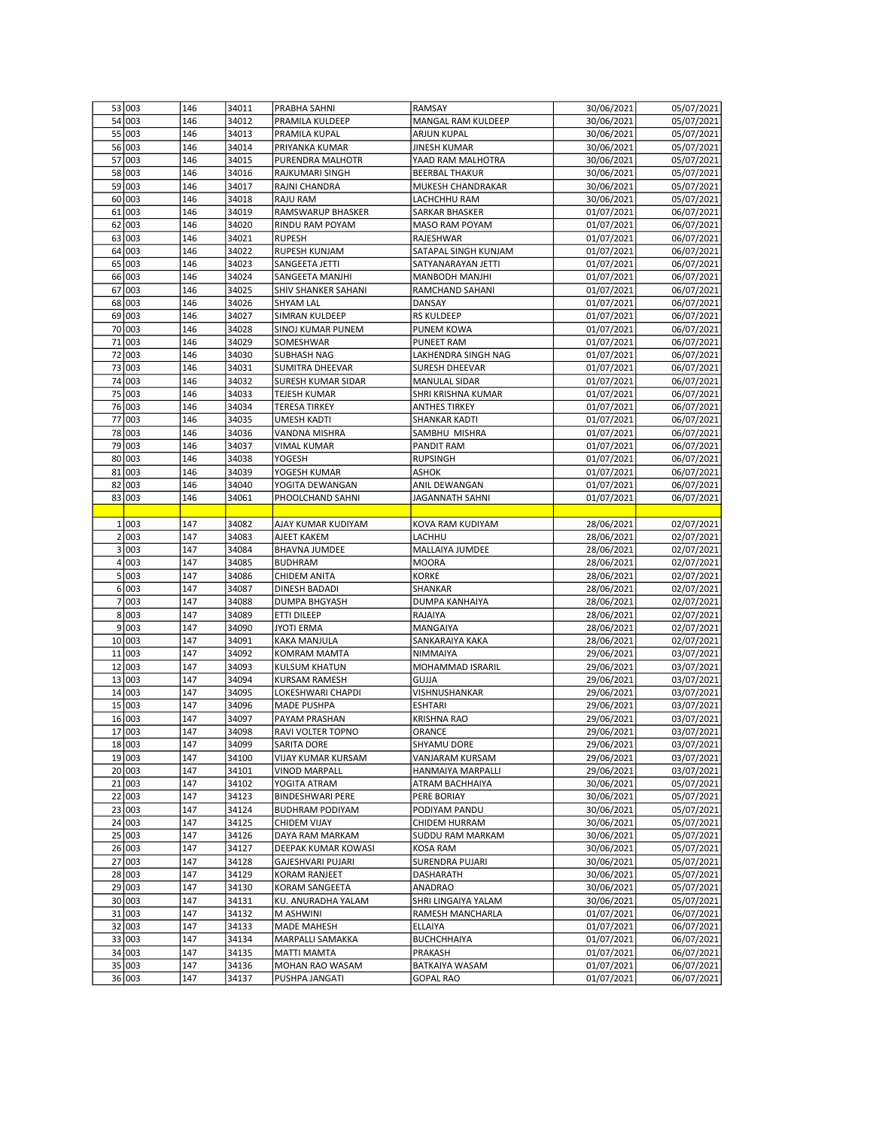| 53 003           | 146        | 34011          | PRABHA SAHNI            | RAMSAY                         | 30/06/2021 | 05/07/2021               |
|------------------|------------|----------------|-------------------------|--------------------------------|------------|--------------------------|
| 54 003           | 146        | 34012          | PRAMILA KULDEEP         | MANGAL RAM KULDEEP             | 30/06/2021 | 05/07/2021               |
| 55 003           | 146        | 34013          | PRAMILA KUPAL           | ARJUN KUPAL                    | 30/06/2021 | 05/07/2021               |
| 56 003           | 146        | 34014          | PRIYANKA KUMAR          | <b>JINESH KUMAR</b>            | 30/06/2021 | 05/07/2021               |
| 57 003           | 146        | 34015          | PURENDRA MALHOTR        | YAAD RAM MALHOTRA              | 30/06/2021 | 05/07/2021               |
| 58 003           | 146        | 34016          | RAJKUMARI SINGH         | <b>BEERBAL THAKUR</b>          | 30/06/2021 | 05/07/2021               |
| 59 003           | 146        | 34017          | RAJNI CHANDRA           | MUKESH CHANDRAKAR              | 30/06/2021 | 05/07/2021               |
| 60 003           | 146        | 34018          | RAJU RAM                | LACHCHHU RAM                   | 30/06/2021 | 05/07/2021               |
| 61 003           | 146        | 34019          | RAMSWARUP BHASKER       | SARKAR BHASKER                 | 01/07/2021 | 06/07/2021               |
| 62 003           | 146        | 34020          | RINDU RAM POYAM         | MASO RAM POYAM                 | 01/07/2021 | 06/07/2021               |
| 63 003           | 146        | 34021          | <b>RUPESH</b>           | RAJESHWAR                      | 01/07/2021 | 06/07/2021               |
| 64 003           | 146        | 34022          | RUPESH KUNJAM           | SATAPAL SINGH KUNJAM           | 01/07/2021 | 06/07/2021               |
| 65 003           | 146        | 34023          | SANGEETA JETTI          | SATYANARAYAN JETTI             | 01/07/2021 | 06/07/2021               |
| 66 003           | 146        | 34024          | SANGEETA MANJHI         | MANBODH MANJHI                 | 01/07/2021 | 06/07/2021               |
| 67 003           | 146        | 34025          | SHIV SHANKER SAHANI     | RAMCHAND SAHANI                | 01/07/2021 | 06/07/2021               |
| 68 003           |            |                |                         | DANSAY                         | 01/07/2021 |                          |
|                  | 146        | 34026          | SHYAM LAL               |                                |            | 06/07/2021               |
| 69 003           | 146        | 34027          | SIMRAN KULDEEP          | RS KULDEEP                     | 01/07/2021 | 06/07/2021               |
| 70 003           | 146        | 34028          | SINOJ KUMAR PUNEM       | PUNEM KOWA                     | 01/07/2021 | 06/07/2021               |
| 71 003           | 146        | 34029          | SOMESHWAR               | PUNEET RAM                     | 01/07/2021 | 06/07/2021               |
| 72 003           | 146        | 34030          | SUBHASH NAG             | LAKHENDRA SINGH NAG            | 01/07/2021 | 06/07/2021               |
| 73 003           | 146        | 34031          | SUMITRA DHEEVAR         | <b>SURESH DHEEVAR</b>          | 01/07/2021 | 06/07/2021               |
| 74 003           | 146        | 34032          | SURESH KUMAR SIDAR      | <b>MANULAL SIDAR</b>           | 01/07/2021 | 06/07/2021               |
| 75 003           | 146        | 34033          | TEJESH KUMAR            | SHRI KRISHNA KUMAR             | 01/07/2021 | 06/07/2021               |
| 76 003           | 146        | 34034          | TERESA TIRKEY           | ANTHES TIRKEY                  | 01/07/2021 | 06/07/2021               |
| 77 003           | 146        | 34035          | UMESH KADTI             | <b>SHANKAR KADTI</b>           | 01/07/2021 | 06/07/2021               |
| 78 003           | 146        | 34036          | VANDNA MISHRA           | SAMBHU MISHRA                  | 01/07/2021 | 06/07/2021               |
| 79 003           | 146        | 34037          | <b>VIMAL KUMAR</b>      | PANDIT RAM                     | 01/07/2021 | 06/07/2021               |
| 80 003           | 146        | 34038          | YOGESH                  | <b>RUPSINGH</b>                | 01/07/2021 | 06/07/2021               |
| 81 003           | 146        | 34039          | YOGESH KUMAR            | ASHOK                          | 01/07/2021 | 06/07/2021               |
| 82 003           | 146        | 34040          | YOGITA DEWANGAN         | ANIL DEWANGAN                  | 01/07/2021 | 06/07/2021               |
| 83 003           | 146        | 34061          | PHOOLCHAND SAHNI        | <b>JAGANNATH SAHNI</b>         | 01/07/2021 | 06/07/2021               |
|                  |            |                |                         |                                |            |                          |
| 1 003            | 147        | 34082          | AJAY KUMAR KUDIYAM      | KOVA RAM KUDIYAM               | 28/06/2021 | 02/07/2021               |
| 2 003            | 147        | 34083          | AJEET KAKEM             | LACHHU                         | 28/06/2021 | 02/07/2021               |
| 3 003            | 147        | 34084          | <b>BHAVNA JUMDEE</b>    | MALLAIYA JUMDEE                | 28/06/2021 | 02/07/2021               |
| 4 003            | 147        | 34085          | <b>BUDHRAM</b>          | <b>MOORA</b>                   | 28/06/2021 | 02/07/2021               |
| 5 003            | 147        | 34086          | CHIDEM ANITA            | KORKE                          | 28/06/2021 | 02/07/2021               |
| 6 003            | 147        | 34087          | DINESH BADADI           | SHANKAR                        | 28/06/2021 | 02/07/2021               |
| 7 003            | 147        | 34088          | <b>DUMPA BHGYASH</b>    | DUMPA KANHAIYA                 | 28/06/2021 | 02/07/2021               |
| 8 003            | 147        | 34089          | ETTI DILEEP             | RAJAIYA                        | 28/06/2021 | 02/07/2021               |
| 9 003            | 147        | 34090          | <b>JYOTI ERMA</b>       | MANGAIYA                       | 28/06/2021 | 02/07/2021               |
| 10 003           | 147        | 34091          | KAKA MANJULA            | SANKARAIYA KAKA                | 28/06/2021 | 02/07/2021               |
| 11 003           | 147        | 34092          | KOMRAM MAMTA            | NIMMAIYA                       | 29/06/2021 | 03/07/2021               |
| 12 003           | 147        | 34093          | KULSUM KHATUN           | MOHAMMAD ISRARIL               | 29/06/2021 | 03/07/2021               |
| 13 003           | 147        | 34094          | KURSAM RAMESH           | GUJJA                          | 29/06/2021 | 03/07/2021               |
| 14 003           | 147        | 34095          | LOKESHWARI CHAPDI       | VISHNUSHANKAR                  | 29/06/2021 | 03/07/2021               |
| 15 003           | 147        | 34096          | MADE PUSHPA             | <b>ESHTARI</b>                 | 29/06/2021 | 03/07/2021               |
| 16 003           | 147        | 34097          | PAYAM PRASHAN           | KRISHNA RAO                    | 29/06/2021 | 03/07/2021               |
| 17 003           | 147        | 34098          | RAVI VOLTER TOPNO       | ORANCE                         | 29/06/2021 | 03/07/2021               |
|                  |            |                | <b>SARITA DORE</b>      |                                |            |                          |
| 18 003<br>19 003 | 147<br>147 | 34099<br>34100 |                         | SHYAMU DORE<br>VANJARAM KURSAM | 29/06/2021 | 03/07/2021<br>03/07/2021 |
| 20 003           |            |                | VIJAY KUMAR KURSAM      |                                | 29/06/2021 |                          |
|                  | 147        | 34101          | VINOD MARPALL           | HANMAIYA MARPALLI              | 29/06/2021 | 03/07/2021               |
| 21 003           | 147        | 34102          | YOGITA ATRAM            | ATRAM BACHHAIYA                | 30/06/2021 | 05/07/2021               |
| 22 003           | 147        | 34123          | <b>BINDESHWARI PERE</b> | PERE BORIAY                    | 30/06/2021 | 05/07/2021               |
| 23 003           | 147        | 34124          | <b>BUDHRAM PODIYAM</b>  | PODIYAM PANDU                  | 30/06/2021 | 05/07/2021               |
| 24 003           | 147        | 34125          | CHIDEM VIJAY            | CHIDEM HURRAM                  | 30/06/2021 | 05/07/2021               |
| 25 003           | 147        | 34126          | DAYA RAM MARKAM         | SUDDU RAM MARKAM               | 30/06/2021 | 05/07/2021               |
| 26 003           | 147        | 34127          | DEEPAK KUMAR KOWASI     | KOSA RAM                       | 30/06/2021 | 05/07/2021               |
| 27 003           | 147        | 34128          | GAJESHVARI PUJARI       | SURENDRA PUJARI                | 30/06/2021 | 05/07/2021               |
| 28 003           | 147        | 34129          | KORAM RANJEET           | <b>DASHARATH</b>               | 30/06/2021 | 05/07/2021               |
| 29 003           | 147        | 34130          | KORAM SANGEETA          | ANADRAO                        | 30/06/2021 | 05/07/2021               |
| 30 003           | 147        | 34131          | KU. ANURADHA YALAM      | SHRI LINGAIYA YALAM            | 30/06/2021 | 05/07/2021               |
| 31 003           | 147        | 34132          | M ASHWINI               | RAMESH MANCHARLA               | 01/07/2021 | 06/07/2021               |
| 32 003           | 147        | 34133          | <b>MADE MAHESH</b>      | ELLAIYA                        | 01/07/2021 | 06/07/2021               |
| 33 003           | 147        | 34134          | MARPALLI SAMAKKA        | <b>BUCHCHHAIYA</b>             | 01/07/2021 | 06/07/2021               |
| 34 003           | 147        | 34135          | MATTI MAMTA             | PRAKASH                        | 01/07/2021 | 06/07/2021               |
| 35 003           | 147        | 34136          | MOHAN RAO WASAM         | BATKAIYA WASAM                 | 01/07/2021 | 06/07/2021               |
| 36 003           | 147        | 34137          | PUSHPA JANGATI          | <b>GOPAL RAO</b>               | 01/07/2021 | 06/07/2021               |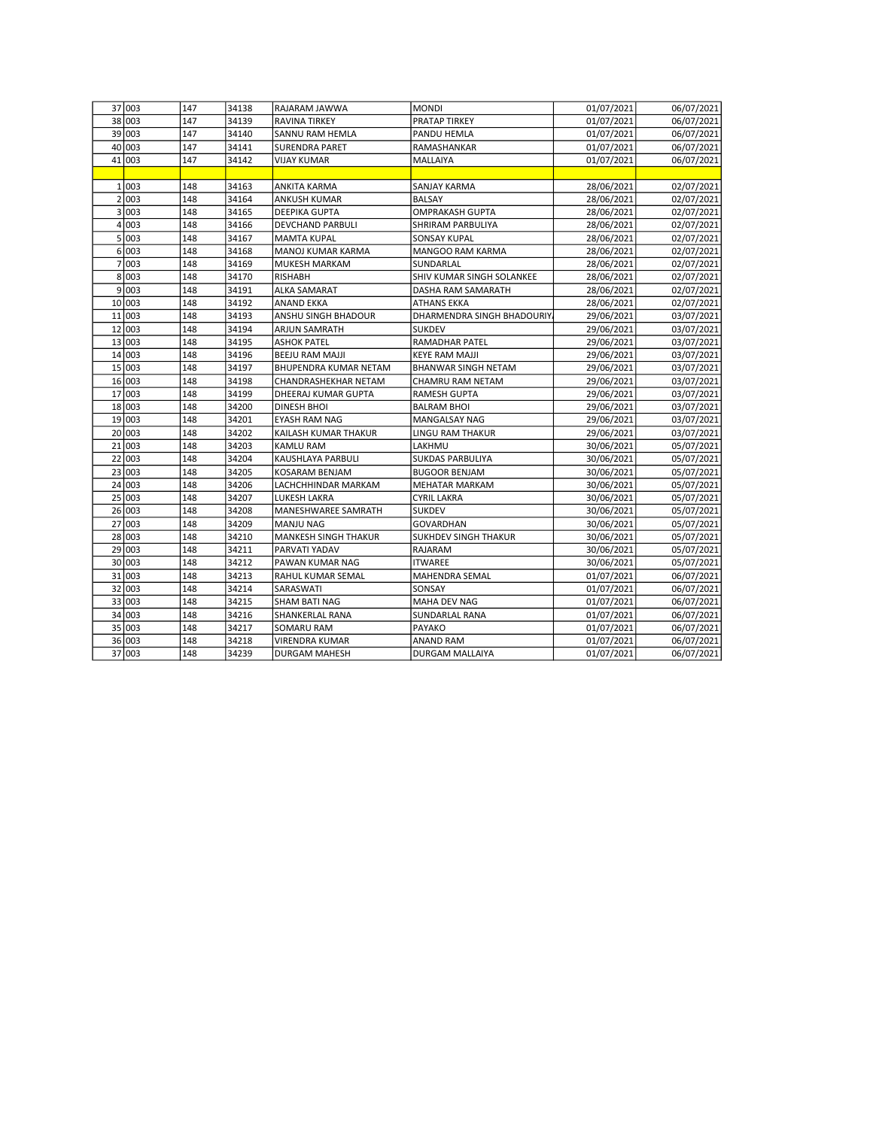| 37 003  | 147 | 34138 | RAJARAM JAWWA               | <b>MONDI</b>                | 01/07/2021 | 06/07/2021 |
|---------|-----|-------|-----------------------------|-----------------------------|------------|------------|
| 38 003  | 147 | 34139 | RAVINA TIRKEY               | PRATAP TIRKEY               | 01/07/2021 | 06/07/2021 |
| 39 003  | 147 | 34140 | SANNU RAM HEMLA             | PANDU HEMLA                 | 01/07/2021 | 06/07/2021 |
| 40 003  | 147 | 34141 | <b>SURENDRA PARET</b>       | <b>RAMASHANKAR</b>          | 01/07/2021 | 06/07/2021 |
| 41 003  | 147 | 34142 | VIJAY KUMAR                 | MALLAIYA                    | 01/07/2021 | 06/07/2021 |
|         |     |       |                             |                             |            |            |
| 1 003   | 148 | 34163 | ANKITA KARMA                | SANJAY KARMA                | 28/06/2021 | 02/07/2021 |
| 2 003   | 148 | 34164 | ANKUSH KUMAR                | BALSAY                      | 28/06/2021 | 02/07/2021 |
| 3 003   | 148 | 34165 | <b>DEEPIKA GUPTA</b>        | <b>OMPRAKASH GUPTA</b>      | 28/06/2021 | 02/07/2021 |
| 4 003   | 148 | 34166 | DEVCHAND PARBULI            | SHRIRAM PARBULIYA           | 28/06/2021 | 02/07/2021 |
| 5 003   | 148 | 34167 | <b>MAMTA KUPAL</b>          | <b>SONSAY KUPAL</b>         | 28/06/2021 | 02/07/2021 |
| 6 003   | 148 | 34168 | MANOJ KUMAR KARMA           | MANGOO RAM KARMA            | 28/06/2021 | 02/07/2021 |
| 7 003   | 148 | 34169 | MUKESH MARKAM               | SUNDARLAL                   | 28/06/2021 | 02/07/2021 |
| 8 0 0 3 | 148 | 34170 | RISHABH                     | SHIV KUMAR SINGH SOLANKEE   | 28/06/2021 | 02/07/2021 |
| 9 003   | 148 | 34191 | ALKA SAMARAT                | DASHA RAM SAMARATH          | 28/06/2021 | 02/07/2021 |
| 10 003  | 148 | 34192 | ANAND EKKA                  | <b>ATHANS EKKA</b>          | 28/06/2021 | 02/07/2021 |
| 11 003  | 148 | 34193 | ANSHU SINGH BHADOUR         | DHARMENDRA SINGH BHADOURIY. | 29/06/2021 | 03/07/2021 |
| 12 003  | 148 | 34194 | ARJUN SAMRATH               | <b>SUKDEV</b>               | 29/06/2021 | 03/07/2021 |
| 13 003  | 148 | 34195 | <b>ASHOK PATEL</b>          | <b>RAMADHAR PATEL</b>       | 29/06/2021 | 03/07/2021 |
| 14 003  | 148 | 34196 | <b>BEEJU RAM MAJJI</b>      | <b>KEYE RAM MAJJI</b>       | 29/06/2021 | 03/07/2021 |
| 15 003  | 148 | 34197 | BHUPENDRA KUMAR NETAM       | BHANWAR SINGH NETAM         | 29/06/2021 | 03/07/2021 |
| 16 003  | 148 | 34198 | CHANDRASHEKHAR NETAM        | CHAMRU RAM NETAM            | 29/06/2021 | 03/07/2021 |
| 17 003  | 148 | 34199 | DHEERAJ KUMAR GUPTA         | <b>RAMESH GUPTA</b>         | 29/06/2021 | 03/07/2021 |
| 18 003  | 148 | 34200 | <b>DINESH BHOI</b>          | <b>BALRAM BHOI</b>          | 29/06/2021 | 03/07/2021 |
| 19 003  | 148 | 34201 | EYASH RAM NAG               | MANGALSAY NAG               | 29/06/2021 | 03/07/2021 |
| 20 003  | 148 | 34202 | KAILASH KUMAR THAKUR        | LINGU RAM THAKUR            | 29/06/2021 | 03/07/2021 |
| 21 003  | 148 | 34203 | KAMLU RAM                   | LAKHMU                      | 30/06/2021 | 05/07/2021 |
| 22 003  | 148 | 34204 | KAUSHLAYA PARBULI           | SUKDAS PARBULIYA            | 30/06/2021 | 05/07/2021 |
| 23 003  | 148 | 34205 | KOSARAM BENJAM              | <b>BUGOOR BENJAM</b>        | 30/06/2021 | 05/07/2021 |
| 24 003  | 148 | 34206 | LACHCHHINDAR MARKAM         | MEHATAR MARKAM              | 30/06/2021 | 05/07/2021 |
| 25 003  | 148 | 34207 | LUKESH LAKRA                | <b>CYRIL LAKRA</b>          | 30/06/2021 | 05/07/2021 |
| 26 003  | 148 | 34208 | MANESHWAREE SAMRATH         | <b>SUKDEV</b>               | 30/06/2021 | 05/07/2021 |
| 27 003  | 148 | 34209 | <b>MANJU NAG</b>            | <b>GOVARDHAN</b>            | 30/06/2021 | 05/07/2021 |
| 28 003  | 148 | 34210 | <b>MANKESH SINGH THAKUR</b> | <b>SUKHDEV SINGH THAKUR</b> | 30/06/2021 | 05/07/2021 |
| 29 003  | 148 | 34211 | PARVATI YADAV               | RAJARAM                     | 30/06/2021 | 05/07/2021 |
| 30 003  | 148 | 34212 | PAWAN KUMAR NAG             | <b>ITWAREE</b>              | 30/06/2021 | 05/07/2021 |
| 31 003  | 148 | 34213 | RAHUL KUMAR SEMAL           | MAHENDRA SEMAL              | 01/07/2021 | 06/07/2021 |
| 32 003  | 148 | 34214 | SARASWATI                   | SONSAY                      | 01/07/2021 | 06/07/2021 |
| 33 003  | 148 | 34215 | SHAM BATI NAG               | MAHA DEV NAG                | 01/07/2021 | 06/07/2021 |
| 34 003  | 148 | 34216 | SHANKERLAL RANA             | SUNDARLAL RANA              | 01/07/2021 | 06/07/2021 |
| 35 003  | 148 | 34217 | SOMARU RAM                  | PAYAKO                      | 01/07/2021 | 06/07/2021 |
| 36 003  | 148 | 34218 | <b>VIRENDRA KUMAR</b>       | <b>ANAND RAM</b>            | 01/07/2021 | 06/07/2021 |
| 37 003  | 148 | 34239 | <b>DURGAM MAHESH</b>        | <b>DURGAM MALLAIYA</b>      | 01/07/2021 | 06/07/2021 |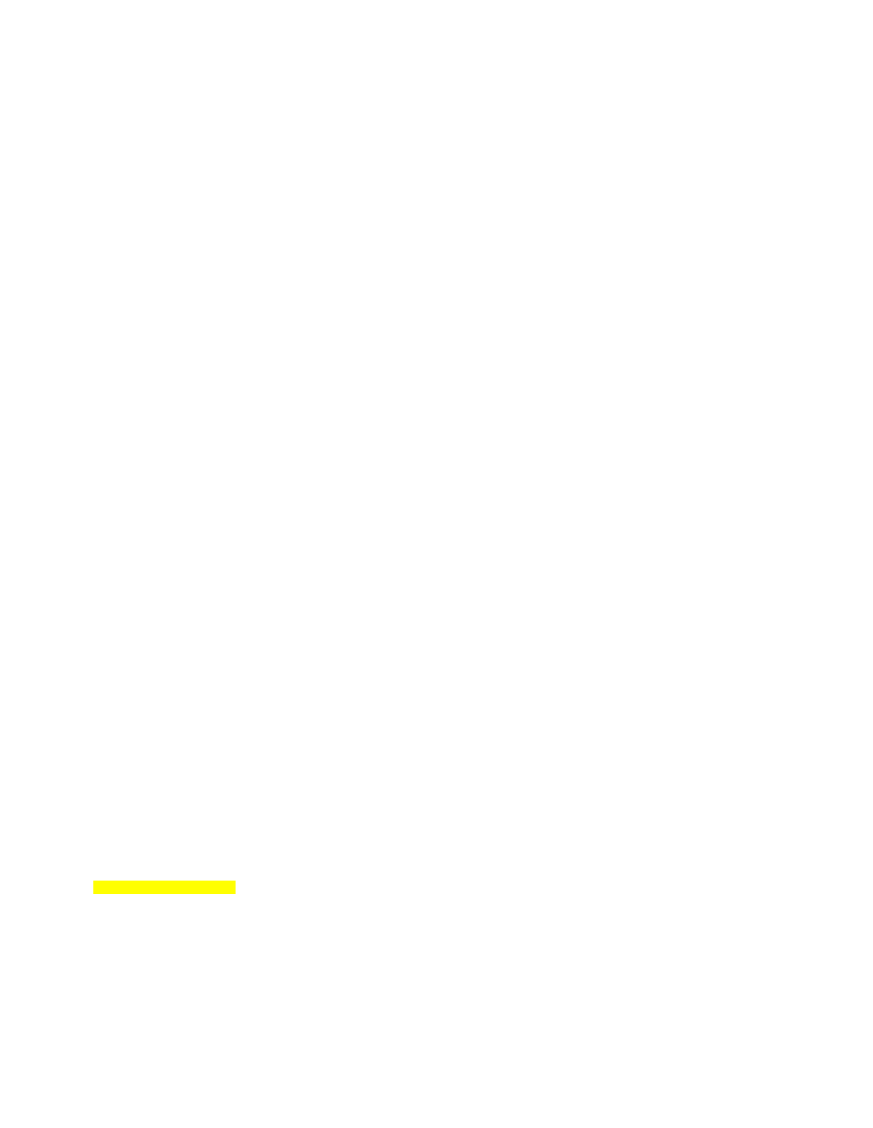<u> Tanzania (h. 1878).</u>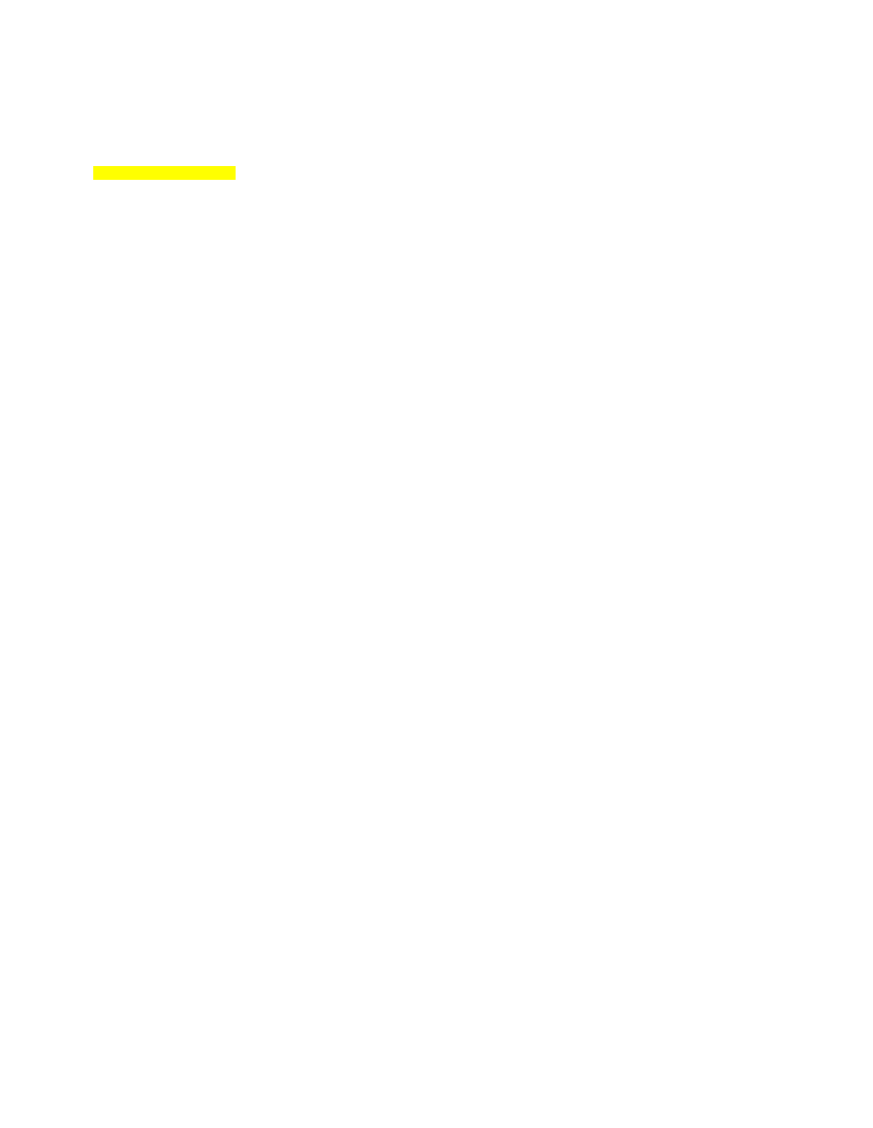**Contract Contract Contract**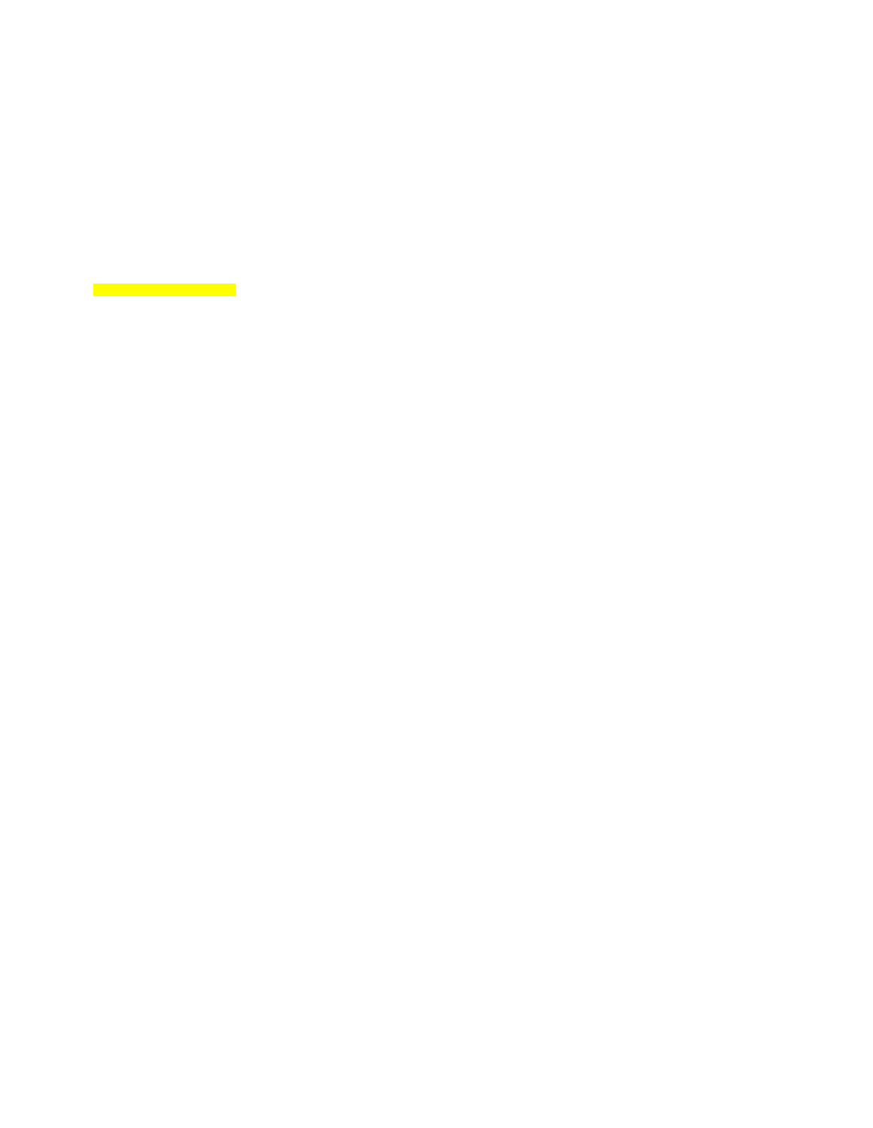**Contract Contract Contract**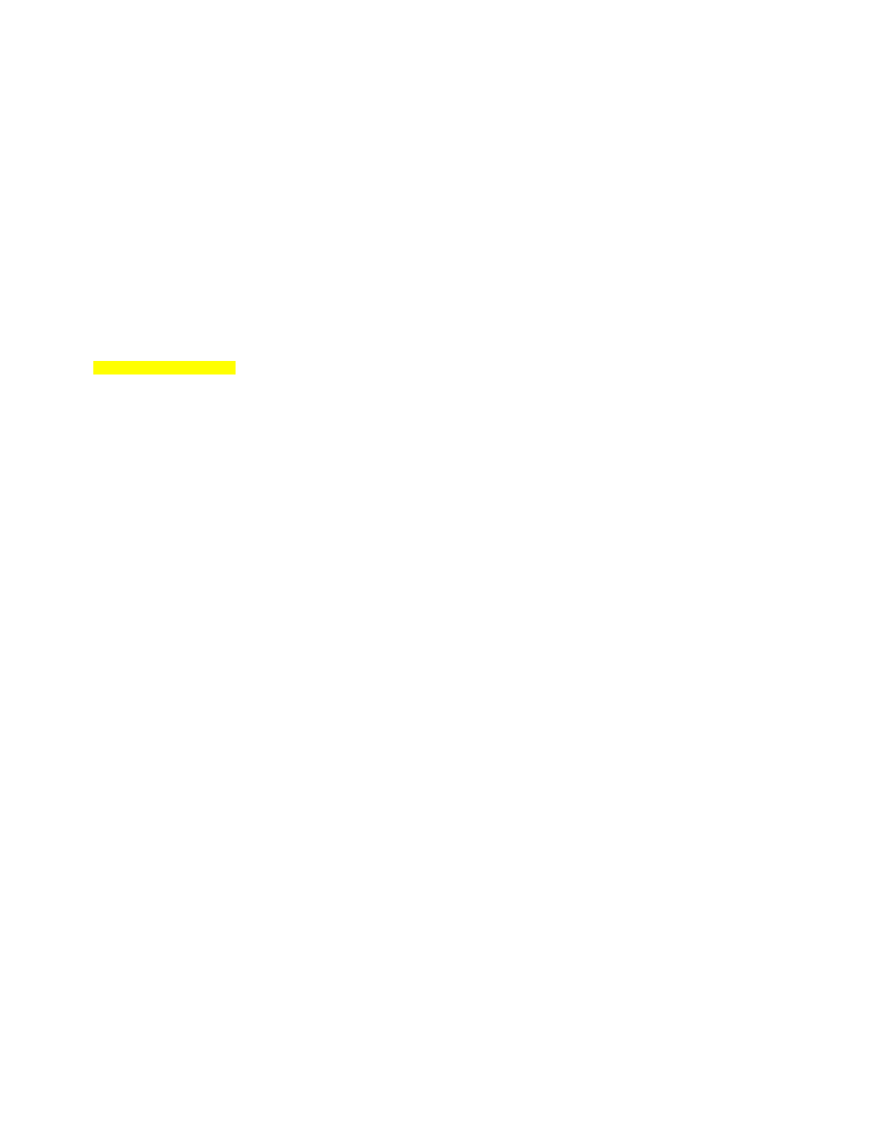$\mathcal{L}^{\text{max}}_{\text{max}}$  and  $\mathcal{L}^{\text{max}}_{\text{max}}$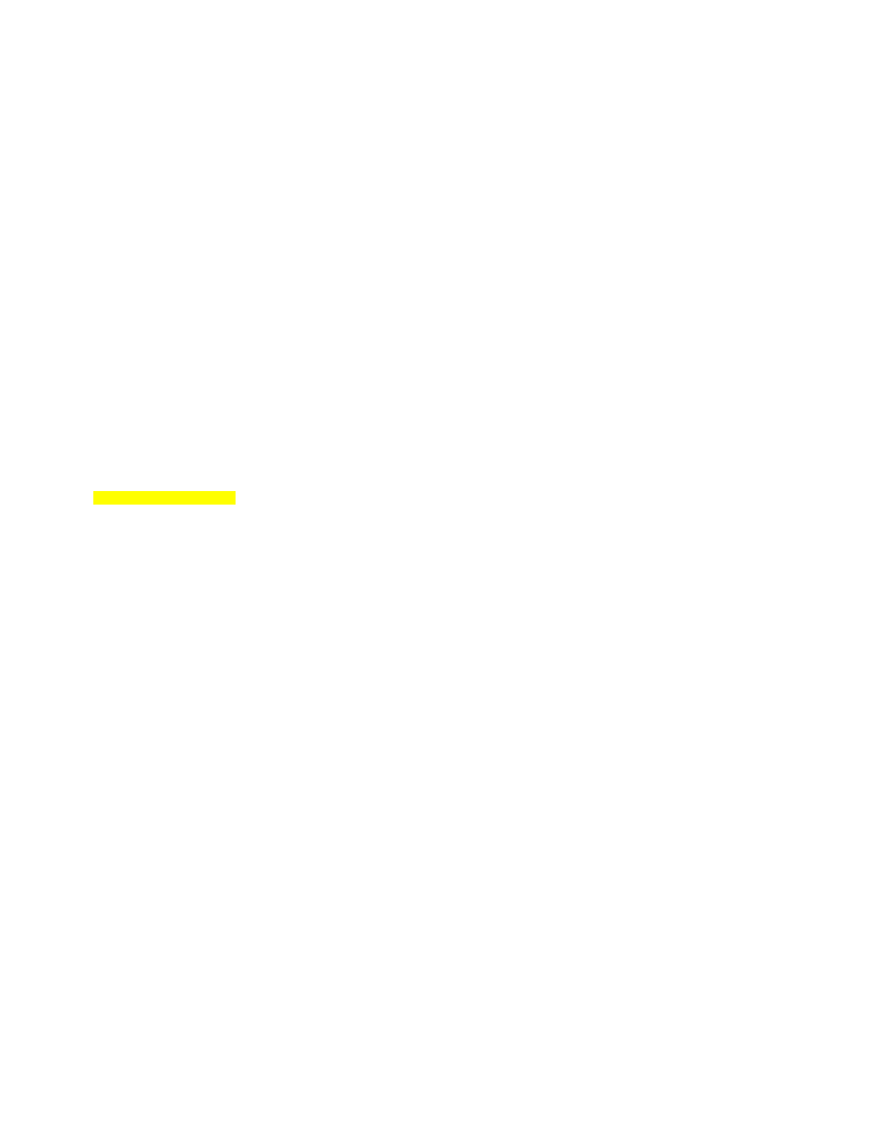<u> Tanzania (h. 1878).</u>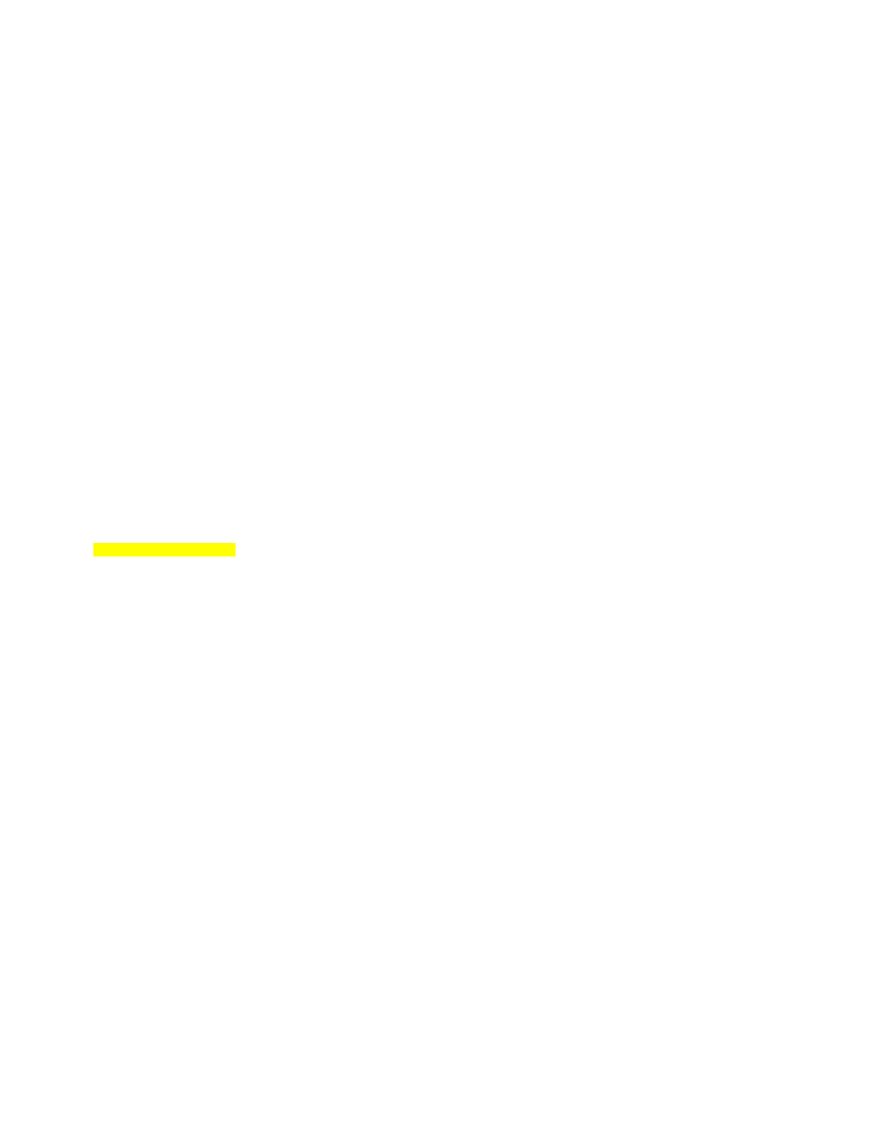<u> Tanzania (h. 1878).</u>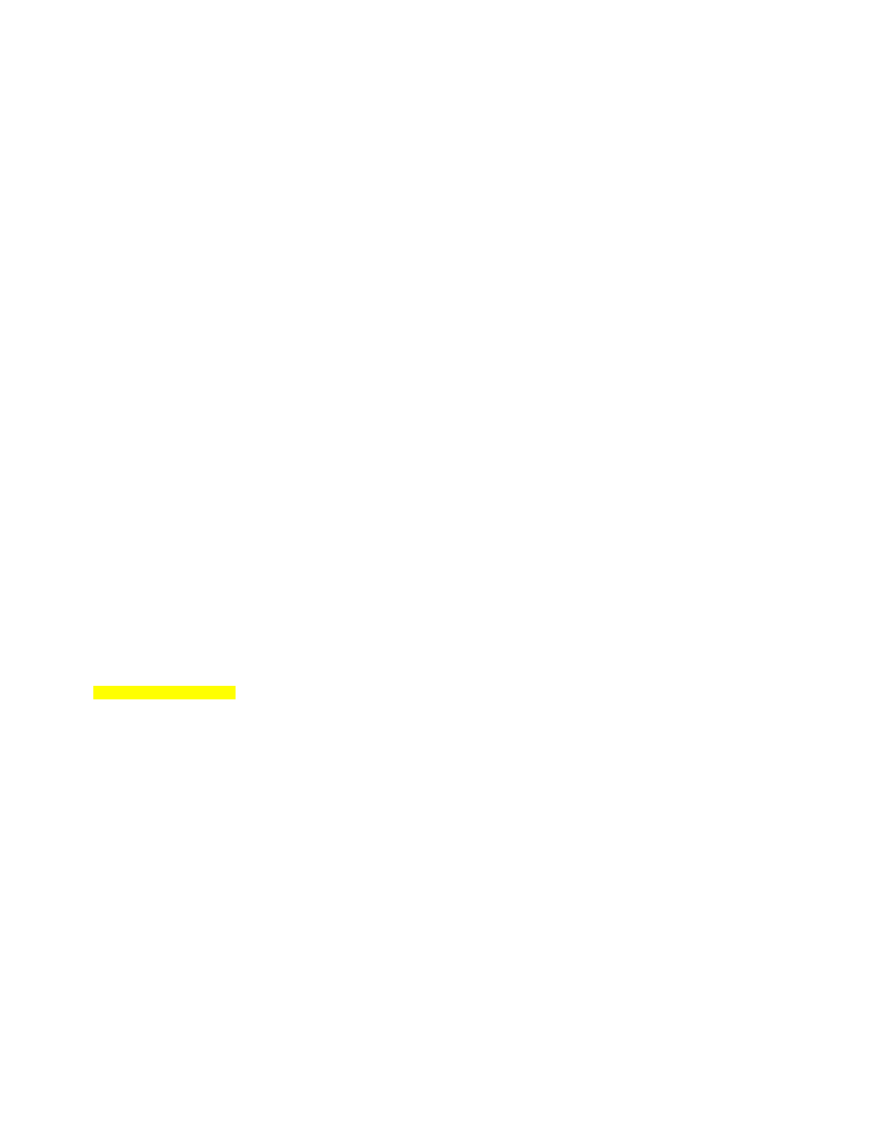$\mathcal{L}^{\text{max}}_{\text{max}}$  and  $\mathcal{L}^{\text{max}}_{\text{max}}$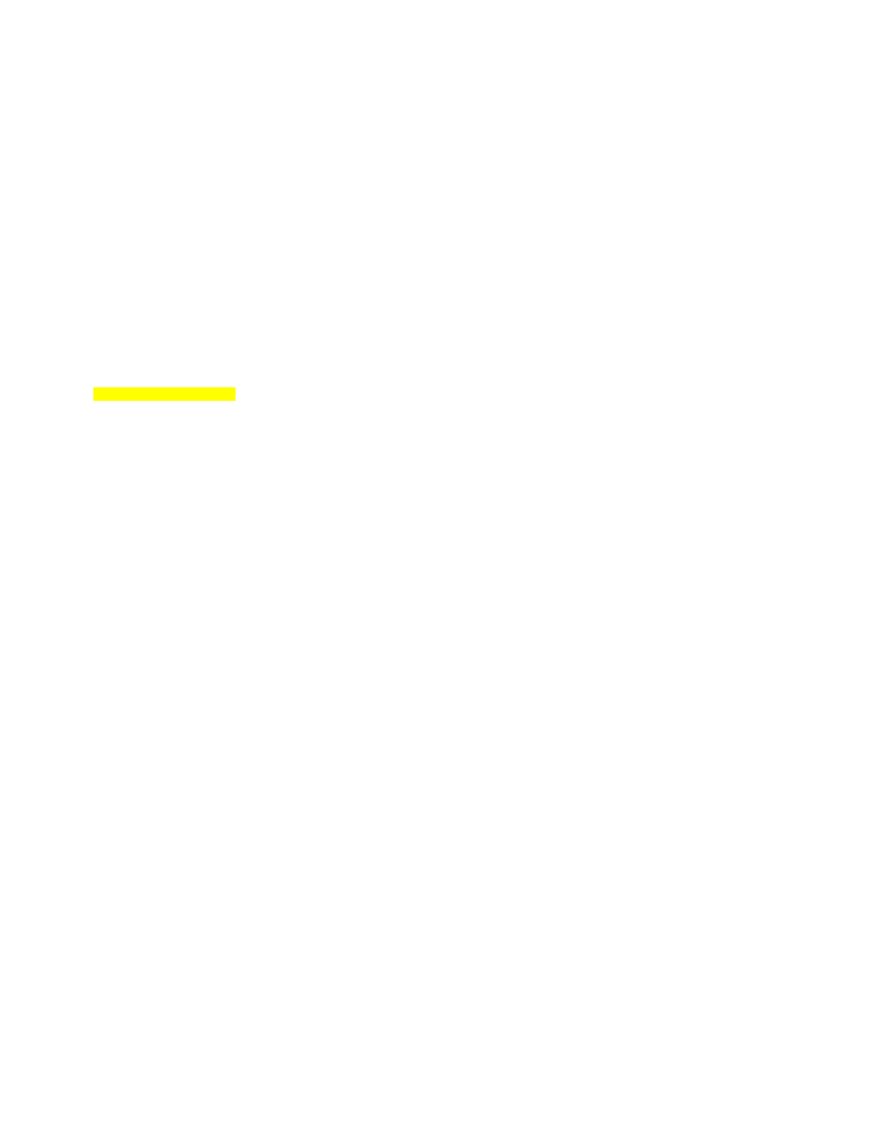<u> Tanzania (</u>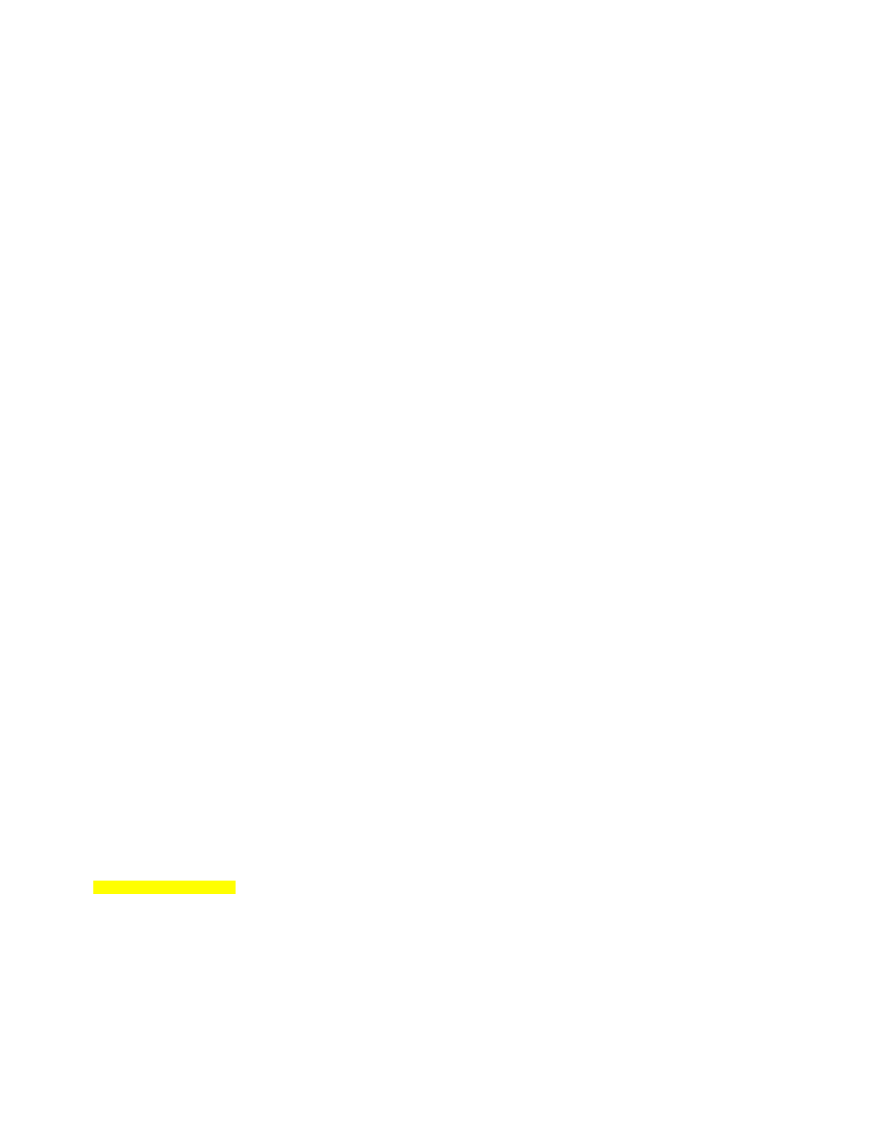<u> Tanzania (h. 1878).</u>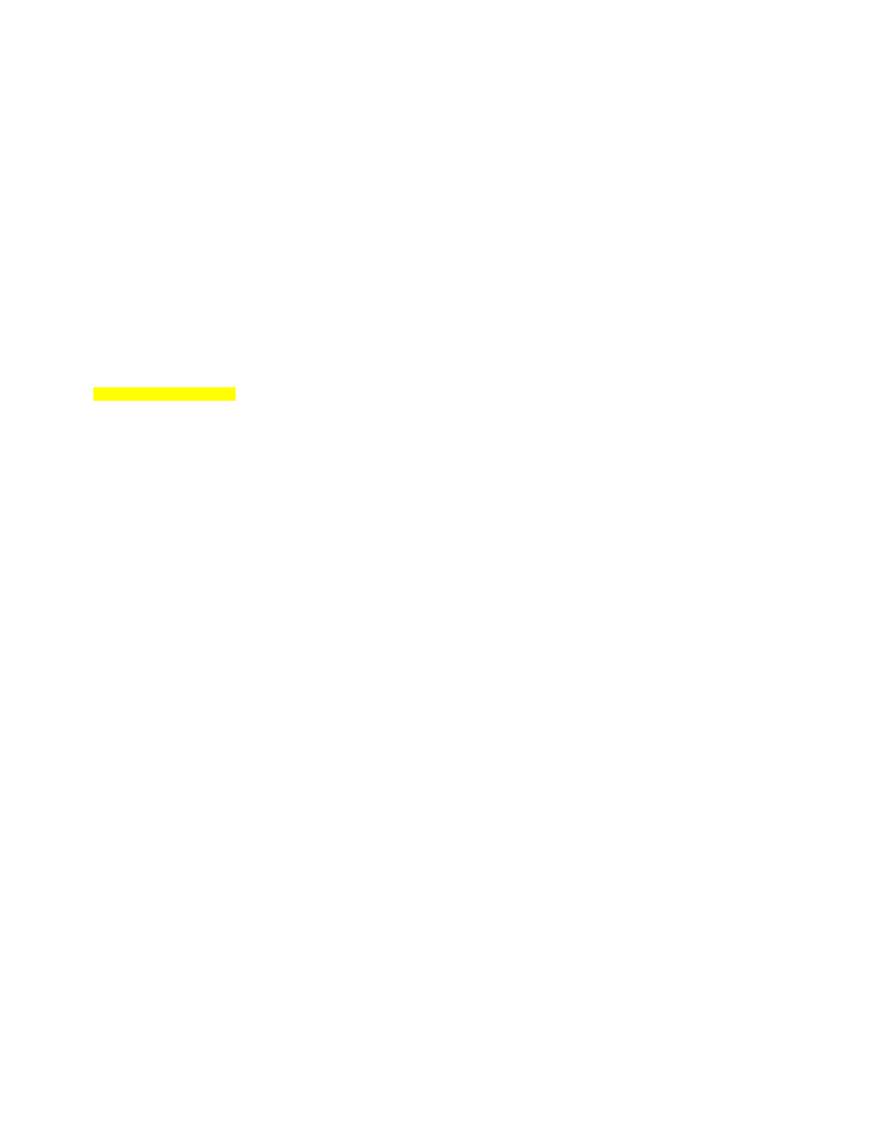<u> Tanzania (</u>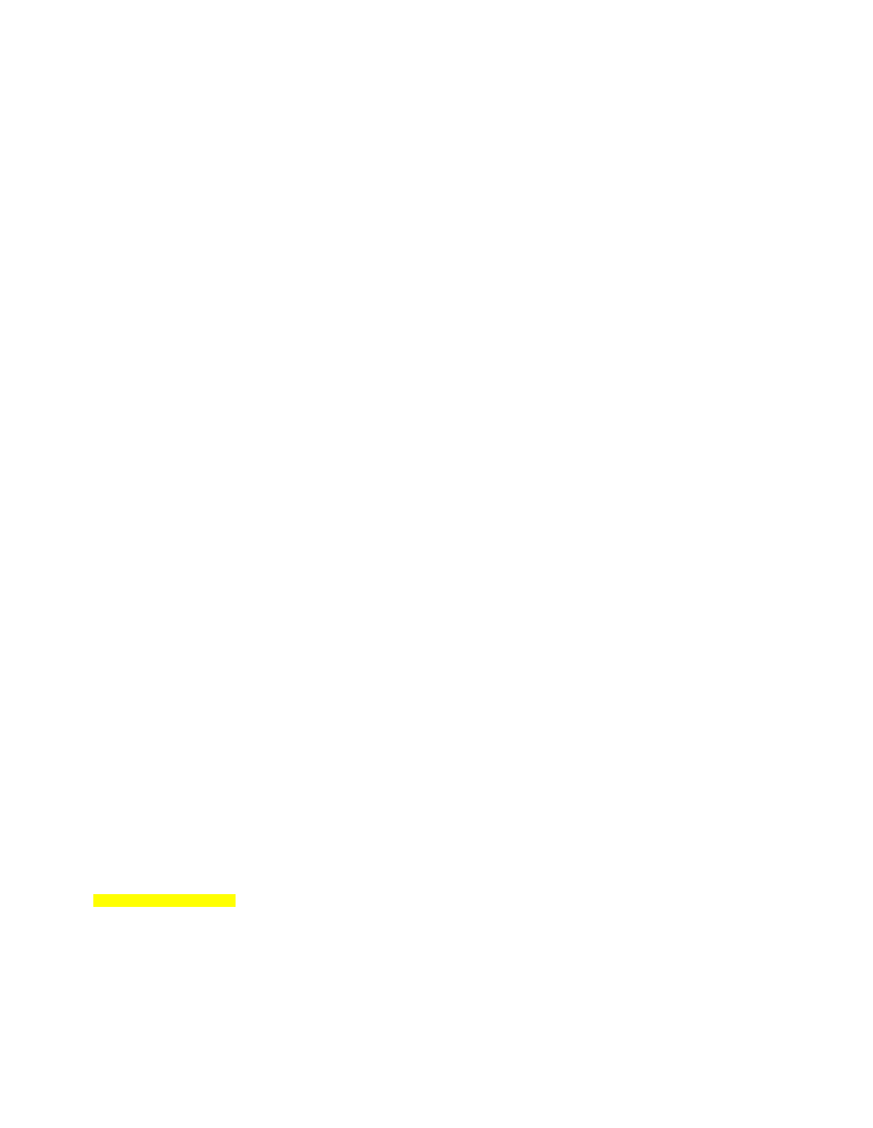**Contract Contract Contract**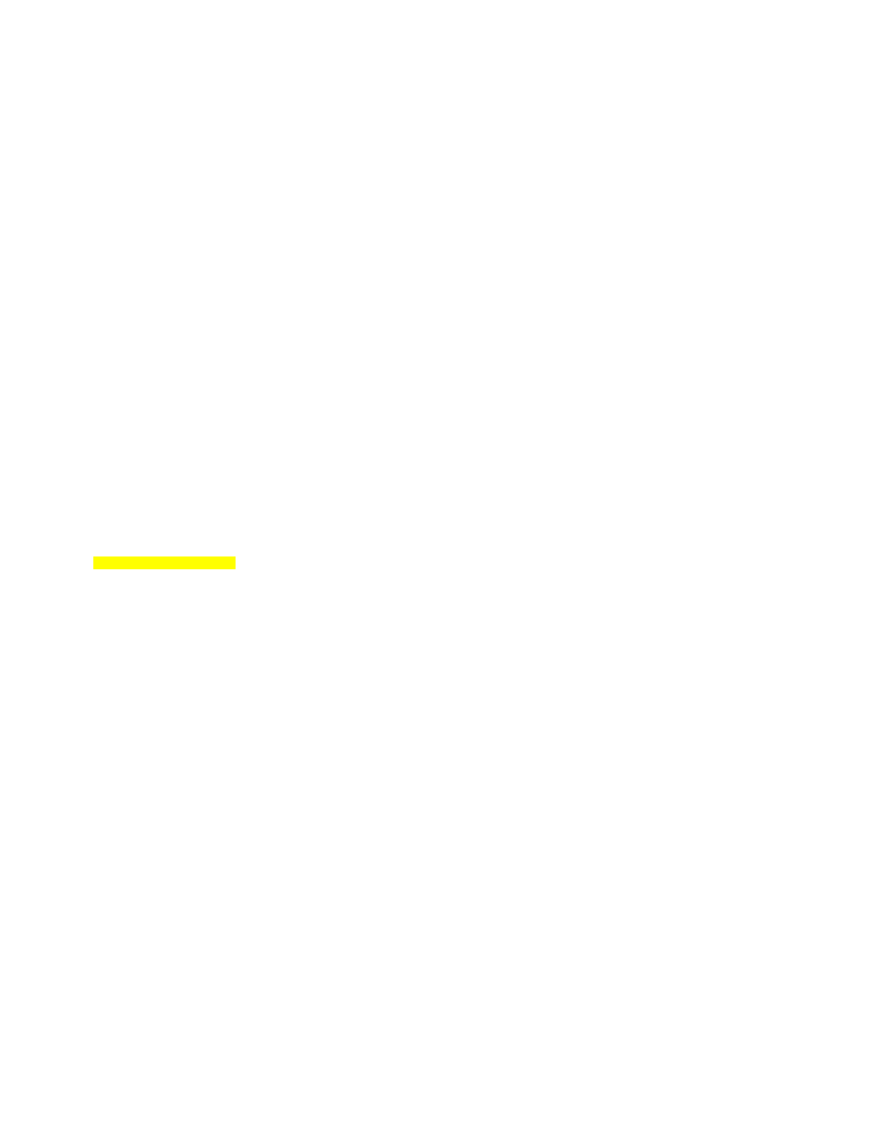<u> Tanzania (</u>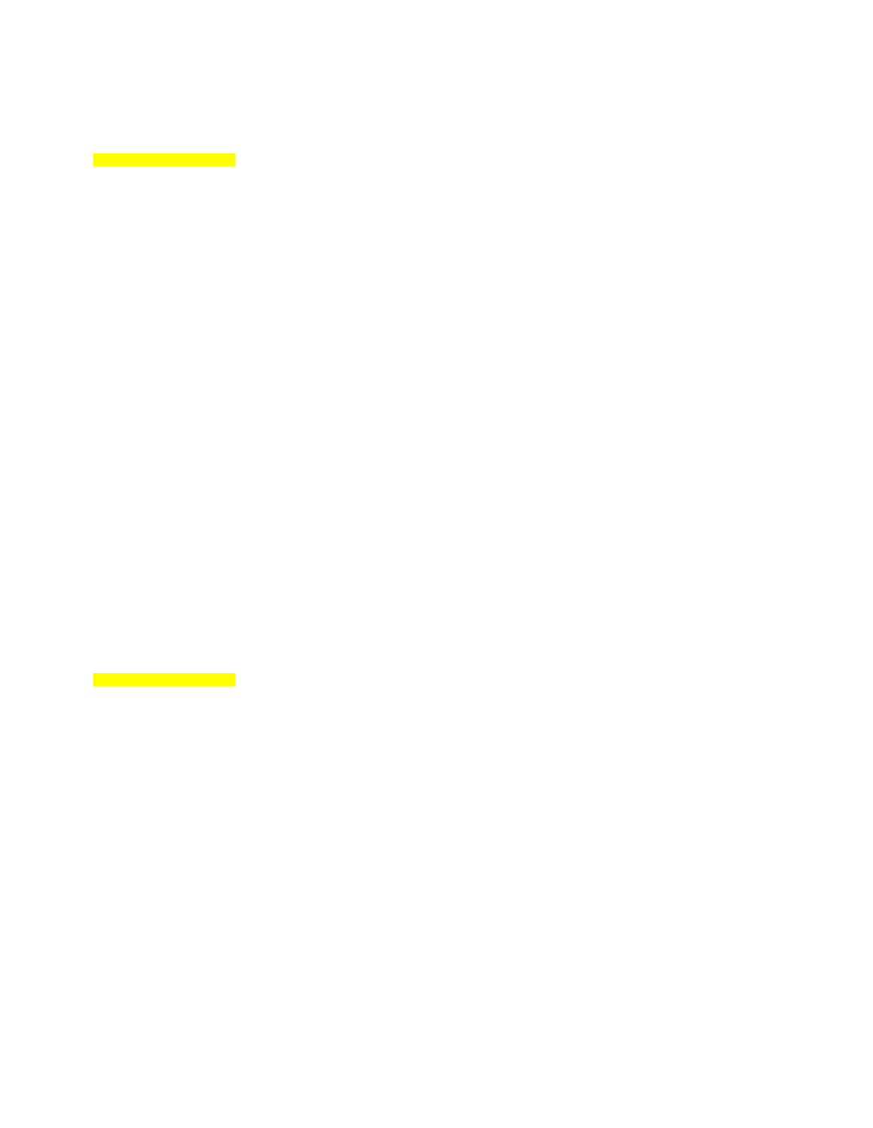**Contract Contract Contract**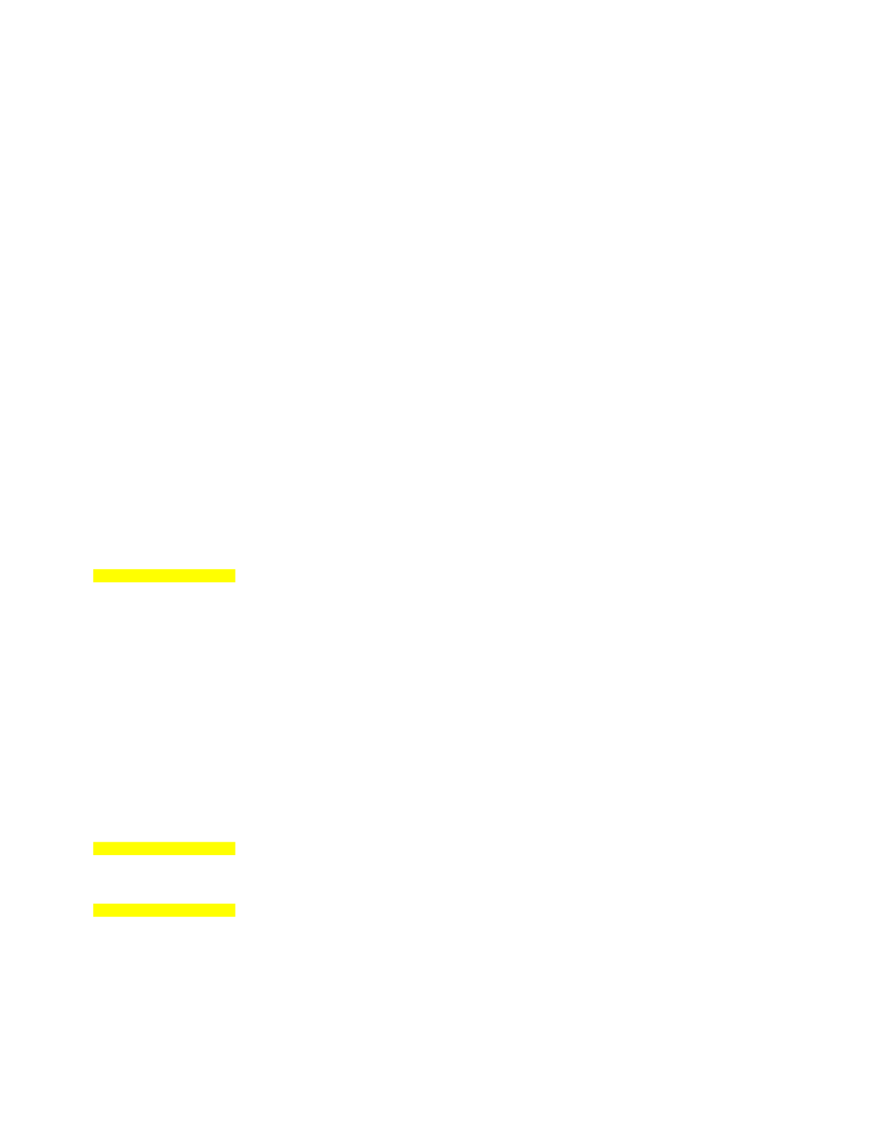<u> Tanzania (</u>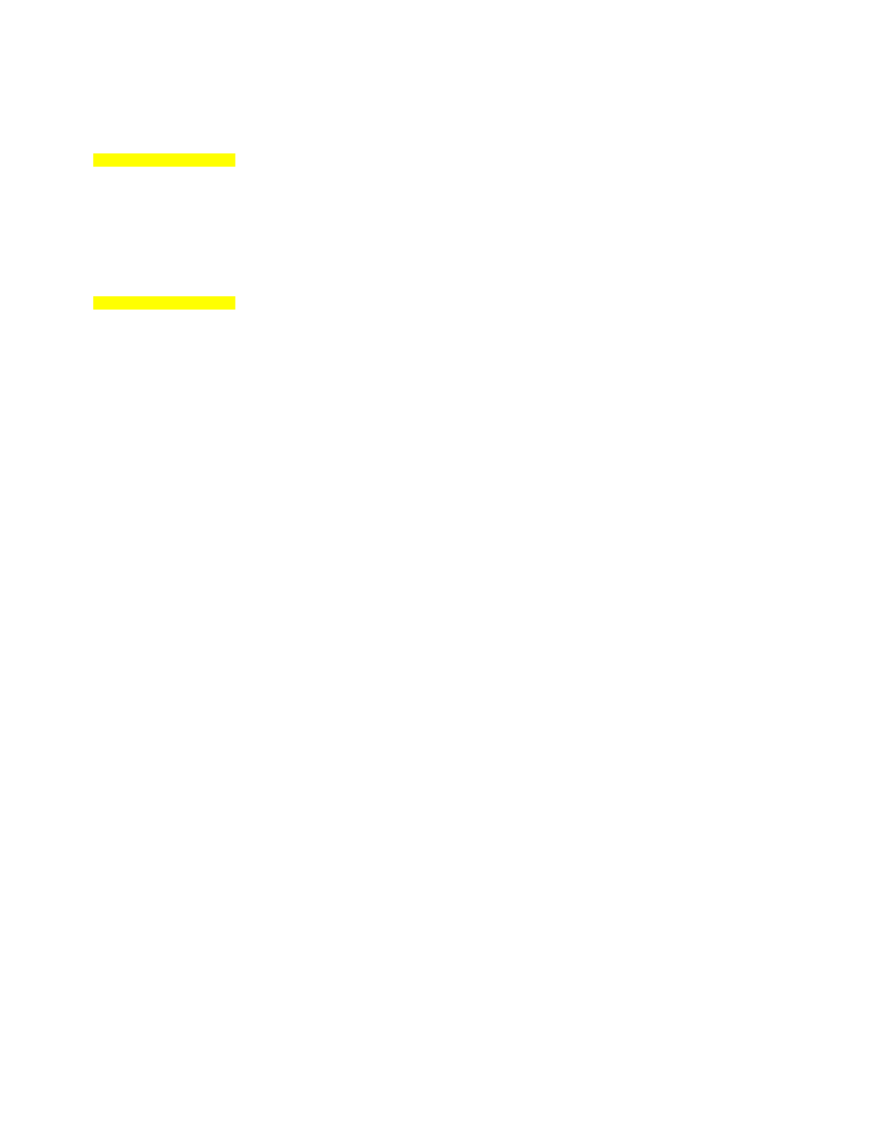<u> Tanzania (</u>